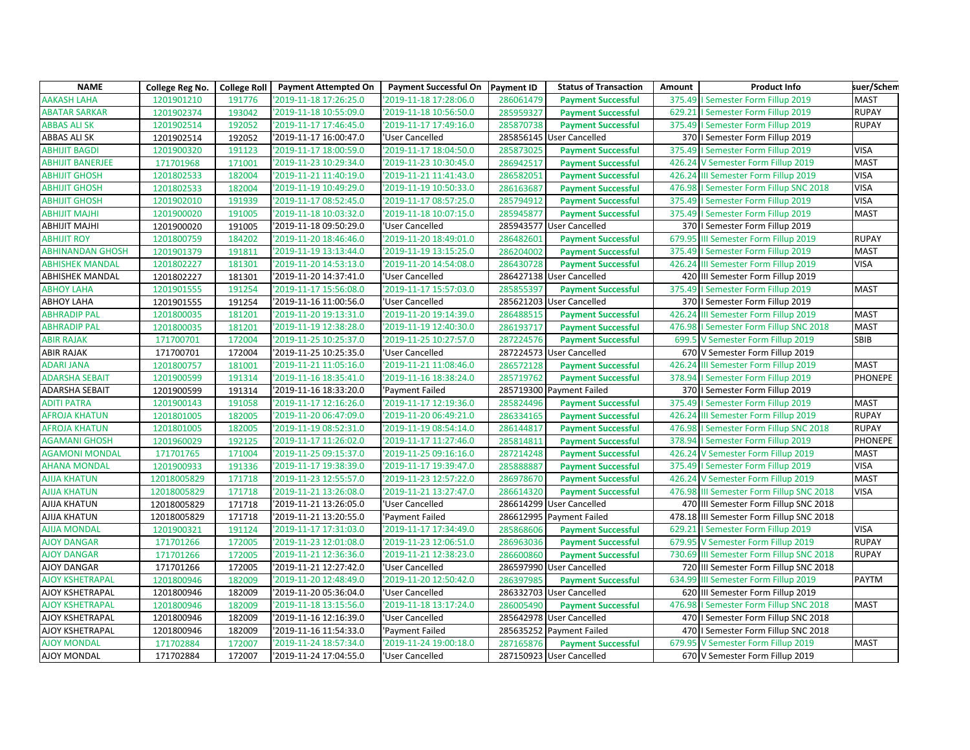| <b>NAME</b>             | College Reg No. | <b>College Roll</b> | <b>Payment Attempted On</b> | Payment Successful On   Payment ID |           | <b>Status of Transaction</b> | Amount | <b>Product Info</b>                      | suer/Schem     |
|-------------------------|-----------------|---------------------|-----------------------------|------------------------------------|-----------|------------------------------|--------|------------------------------------------|----------------|
| <b>AAKASH LAHA</b>      | 1201901210      | 191776              | '2019-11-18 17:26:25.0      | '2019-11-18 17:28:06.0             | 286061479 | <b>Payment Successful</b>    |        | 375.49   Semester Form Fillup 2019       | <b>MAST</b>    |
| <b>ABATAR SARKAR</b>    | 1201902374      | 193042              | '2019-11-18 10:55:09.0      | '2019-11-18 10:56:50.0             | 285959327 | <b>Payment Successful</b>    |        | 629.21   Semester Form Fillup 2019       | <b>RUPAY</b>   |
| <b>ABBAS ALI SK</b>     | 1201902514      | 192052              | '2019-11-17 17:46:45.0      | '2019-11-17 17:49:16.0             | 285870738 | <b>Payment Successful</b>    |        | 375.49   Semester Form Fillup 2019       | <b>RUPAY</b>   |
| ABBAS ALI SK            | 1201902514      | 192052              | '2019-11-17 16:00:47.0      | 'User Cancelled                    |           | 285856145 User Cancelled     |        | 370   Semester Form Fillup 2019          |                |
| <b>ABHIJIT BAGDI</b>    | 1201900320      | 191123              | '2019-11-17 18:00:59.0      | '2019-11-17 18:04:50.0             | 285873025 | <b>Payment Successful</b>    |        | 375.49   Semester Form Fillup 2019       | <b>VISA</b>    |
| <b>ABHIJIT BANERJEE</b> | 171701968       | 171001              | '2019-11-23 10:29:34.0      | '2019-11-23 10:30:45.0             | 286942517 | <b>Payment Successful</b>    |        | 426.24 V Semester Form Fillup 2019       | <b>MAST</b>    |
| <b>ABHIJIT GHOSH</b>    | 1201802533      | 182004              | '2019-11-21 11:40:19.0      | '2019-11-21 11:41:43.0             | 286582051 | <b>Payment Successful</b>    |        | 426.24 III Semester Form Fillup 2019     | <b>VISA</b>    |
| <b>ABHIJIT GHOSH</b>    | 1201802533      | 182004              | '2019-11-19 10:49:29.0      | '2019-11-19 10:50:33.0             | 286163687 | <b>Payment Successful</b>    | 476.98 | I Semester Form Fillup SNC 2018          | <b>VISA</b>    |
| <b>ABHIJIT GHOSH</b>    | 1201902010      | 191939              | '2019-11-17 08:52:45.0      | '2019-11-17 08:57:25.0             | 285794912 | <b>Payment Successful</b>    |        | 375.49   Semester Form Fillup 2019       | <b>VISA</b>    |
| <b>ABHIJIT MAJHI</b>    | 1201900020      | 191005              | '2019-11-18 10:03:32.0      | '2019-11-18 10:07:15.0             | 285945877 | <b>Payment Successful</b>    |        | 375.49   Semester Form Fillup 2019       | <b>MAST</b>    |
| <b>ABHIJIT MAJHI</b>    | 1201900020      | 191005              | '2019-11-18 09:50:29.0      | 'User Cancelled                    |           | 285943577 User Cancelled     |        | 370   Semester Form Fillup 2019          |                |
| <b>ABHIJIT ROY</b>      | 1201800759      | 184202              | '2019-11-20 18:46:46.0      | '2019-11-20 18:49:01.0             | 286482601 | <b>Payment Successful</b>    |        | 679.95 III Semester Form Fillup 2019     | <b>RUPAY</b>   |
| <b>ABHINANDAN GHOSH</b> | 1201901379      | 191811              | '2019-11-19 13:13:44.0      | '2019-11-19 13:15:25.0             | 286204002 | <b>Payment Successful</b>    |        | 375.49   Semester Form Fillup 2019       | <b>MAST</b>    |
| <b>ABHISHEK MANDAL</b>  | 1201802227      | 181301              | '2019-11-20 14:53:13.0      | '2019-11-20 14:54:08.0             | 286430728 | <b>Payment Successful</b>    |        | 426.24 III Semester Form Fillup 2019     | <b>VISA</b>    |
| <b>ABHISHEK MANDAL</b>  | 1201802227      | 181301              | '2019-11-20 14:37:41.0      | 'User Cancelled                    |           | 286427138 User Cancelled     |        | 420 III Semester Form Fillup 2019        |                |
| <b>ABHOY LAHA</b>       | 1201901555      | 191254              | '2019-11-17 15:56:08.0      | '2019-11-17 15:57:03.0             | 285855397 | <b>Payment Successful</b>    | 375.49 | I Semester Form Fillup 2019              | <b>MAST</b>    |
| <b>ABHOY LAHA</b>       | 1201901555      | 191254              | '2019-11-16 11:00:56.0      | 'User Cancelled                    |           | 285621203 User Cancelled     |        | 370   Semester Form Fillup 2019          |                |
| <b>ABHRADIP PAL</b>     | 1201800035      | 181201              | '2019-11-20 19:13:31.0      | '2019-11-20 19:14:39.0             | 286488515 | <b>Payment Successful</b>    |        | 426.24 III Semester Form Fillup 2019     | <b>MAST</b>    |
| <b>ABHRADIP PAL</b>     | 1201800035      | 181201              | '2019-11-19 12:38:28.0      | '2019-11-19 12:40:30.0             | 286193717 | <b>Payment Successful</b>    | 476.98 | I Semester Form Fillup SNC 2018          | <b>MAST</b>    |
| <b>ABIR RAJAK</b>       | 171700701       | 172004              | '2019-11-25 10:25:37.0      | '2019-11-25 10:27:57.0             | 287224576 | <b>Payment Successful</b>    |        | 699.5 V Semester Form Fillup 2019        | <b>SBIB</b>    |
| <b>ABIR RAJAK</b>       | 171700701       | 172004              | '2019-11-25 10:25:35.0      | 'User Cancelled                    |           | 287224573 User Cancelled     |        | 670 V Semester Form Fillup 2019          |                |
| <b>ADARI JANA</b>       | 1201800757      | 181001              | '2019-11-21 11:05:16.0      | '2019-11-21 11:08:46.0             | 286572128 | <b>Payment Successful</b>    |        | 426.24 III Semester Form Fillup 2019     | <b>MAST</b>    |
| <b>ADARSHA SEBAIT</b>   | 1201900599      | 191314              | '2019-11-16 18:35:41.0      | '2019-11-16 18:38:24.0             | 285719762 | <b>Payment Successful</b>    |        | 378.94   Semester Form Fillup 2019       | <b>PHONEPE</b> |
| ADARSHA SEBAIT          | 1201900599      | 191314              | '2019-11-16 18:33:20.0      | 'Payment Failed                    |           | 285719300 Payment Failed     |        | 370   Semester Form Fillup 2019          |                |
| <b>ADITI PATRA</b>      | 1201900143      | 191058              | '2019-11-17 12:16:26.0      | '2019-11-17 12:19:36.0             | 285824496 | <b>Payment Successful</b>    |        | 375.49   Semester Form Fillup 2019       | <b>MAST</b>    |
| <b>AFROJA KHATUN</b>    | 1201801005      | 182005              | '2019-11-20 06:47:09.0      | '2019-11-20 06:49:21.0             | 286334165 | <b>Payment Successful</b>    |        | 426.24 III Semester Form Fillup 2019     | <b>RUPAY</b>   |
| <b>AFROJA KHATUN</b>    | 1201801005      | 182005              | '2019-11-19 08:52:31.0      | '2019-11-19 08:54:14.0             | 286144817 | <b>Payment Successful</b>    |        | 476.98   Semester Form Fillup SNC 2018   | <b>RUPAY</b>   |
| <b>AGAMANI GHOSH</b>    | 1201960029      | 192125              | '2019-11-17 11:26:02.0      | '2019-11-17 11:27:46.0             | 285814811 | <b>Payment Successful</b>    | 378.94 | I Semester Form Fillup 2019              | <b>PHONEPE</b> |
| <b>AGAMONI MONDAL</b>   | 171701765       | 171004              | '2019-11-25 09:15:37.0      | '2019-11-25 09:16:16.0             | 287214248 | <b>Payment Successful</b>    |        | 426.24 V Semester Form Fillup 2019       | <b>MAST</b>    |
| <b>AHANA MONDAL</b>     | 1201900933      | 191336              | '2019-11-17 19:38:39.0      | '2019-11-17 19:39:47.0             | 285888887 | <b>Payment Successful</b>    |        | 375.49   Semester Form Fillup 2019       | <b>VISA</b>    |
| <b>AJIJA KHATUN</b>     | 12018005829     | 171718              | '2019-11-23 12:55:57.0      | '2019-11-23 12:57:22.0             | 286978670 | <b>Payment Successful</b>    |        | 426.24 V Semester Form Fillup 2019       | <b>MAST</b>    |
| <b>AJIJA KHATUN</b>     | 12018005829     | 171718              | '2019-11-21 13:26:08.0      | '2019-11-21 13:27:47.0             | 286614320 | <b>Payment Successful</b>    |        | 476.98 III Semester Form Fillup SNC 2018 | <b>VISA</b>    |
| AJIJA KHATUN            | 12018005829     | 171718              | '2019-11-21 13:26:05.0      | 'User Cancelled                    |           | 286614299 User Cancelled     |        | 470 III Semester Form Fillup SNC 2018    |                |
| AJIJA KHATUN            | 12018005829     | 171718              | '2019-11-21 13:20:55.0      | 'Payment Failed                    |           | 286612995 Payment Failed     |        | 478.18 III Semester Form Fillup SNC 2018 |                |
| <b>AJIJA MONDAL</b>     | 1201900321      | 191124              | '2019-11-17 17:31:03.0      | '2019-11-17 17:34:49.0             | 285868606 | <b>Payment Successful</b>    | 629.21 | I Semester Form Fillup 2019              | <b>VISA</b>    |
| <b>AJOY DANGAR</b>      | 171701266       | 172005              | '2019-11-23 12:01:08.0      | '2019-11-23 12:06:51.0             | 286963036 | <b>Payment Successful</b>    |        | 679.95 V Semester Form Fillup 2019       | <b>RUPAY</b>   |
| <b>AJOY DANGAR</b>      | 171701266       | 172005              | '2019-11-21 12:36:36.0      | '2019-11-21 12:38:23.0             | 286600860 | <b>Payment Successful</b>    |        | 730.69 III Semester Form Fillup SNC 2018 | <b>RUPAY</b>   |
| AJOY DANGAR             | 171701266       | 172005              | '2019-11-21 12:27:42.0      | 'User Cancelled                    |           | 286597990 User Cancelled     |        | 720 III Semester Form Fillup SNC 2018    |                |
| <b>AJOY KSHETRAPAL</b>  | 1201800946      | 182009              | '2019-11-20 12:48:49.0      | '2019-11-20 12:50:42.0             | 286397985 | <b>Payment Successful</b>    |        | 634.99 III Semester Form Fillup 2019     | <b>PAYTM</b>   |
| AJOY KSHETRAPAL         | 1201800946      | 182009              | '2019-11-20 05:36:04.0      | 'User Cancelled                    |           | 286332703 User Cancelled     |        | 620 III Semester Form Fillup 2019        |                |
| <b>AJOY KSHETRAPAL</b>  | 1201800946      | 182009              | '2019-11-18 13:15:56.0      | '2019-11-18 13:17:24.0             | 286005490 | <b>Payment Successful</b>    | 476.98 | I Semester Form Fillup SNC 2018          | <b>MAST</b>    |
| AJOY KSHETRAPAL         | 1201800946      | 182009              | '2019-11-16 12:16:39.0      | 'User Cancelled                    |           | 285642978 User Cancelled     |        | 470   I Semester Form Fillup SNC 2018    |                |
| AJOY KSHETRAPAL         | 1201800946      | 182009              | '2019-11-16 11:54:33.0      | 'Payment Failed                    |           | 285635252 Payment Failed     |        | 470   Semester Form Fillup SNC 2018      |                |
| <b>AJOY MONDAL</b>      | 171702884       | 172007              | '2019-11-24 18:57:34.0      | '2019-11-24 19:00:18.0             | 287165876 | <b>Payment Successful</b>    |        | 679.95 V Semester Form Fillup 2019       | <b>MAST</b>    |
| <b>AJOY MONDAL</b>      | 171702884       | 172007              | '2019-11-24 17:04:55.0      | 'User Cancelled                    |           | 287150923 User Cancelled     |        | 670 V Semester Form Fillup 2019          |                |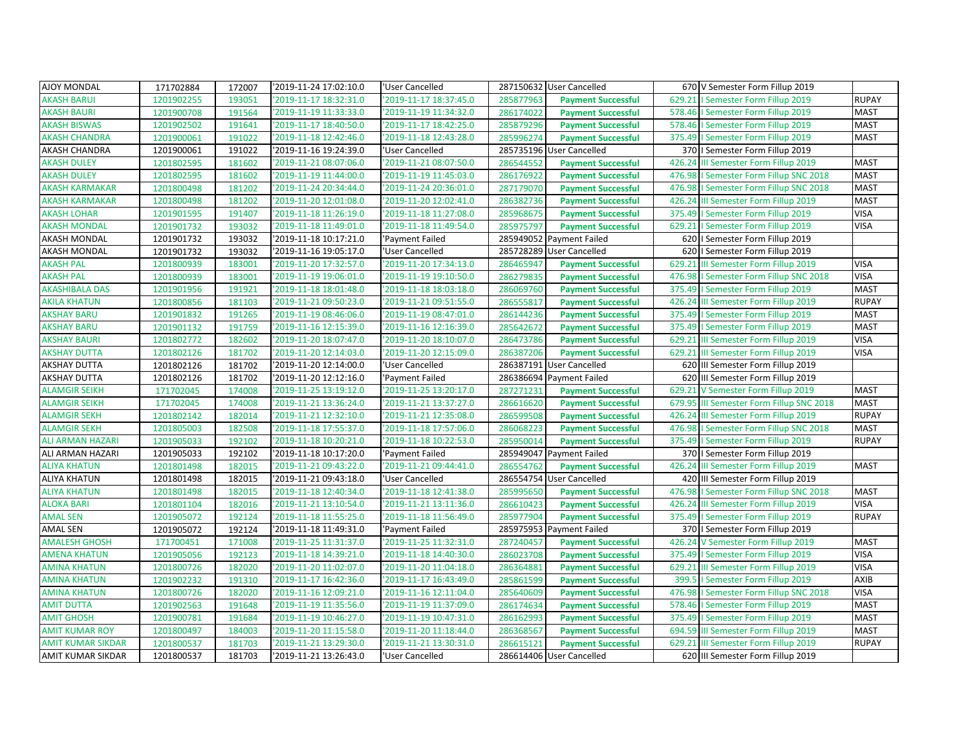| AJOY MONDAL              | 171702884  | 172007 | '2019-11-24 17:02:10.0 | 'User Cancelled        |           | 287150632 User Cancelled  | 670 V Semester Form Fillup 2019          |              |
|--------------------------|------------|--------|------------------------|------------------------|-----------|---------------------------|------------------------------------------|--------------|
| <b>AKASH BARUI</b>       | 1201902255 | 193051 | 2019-11-17 18:32:31.0  | 2019-11-17 18:37:45.0  | 285877963 | <b>Payment Successful</b> | 629.21   Semester Form Fillup 2019       | <b>RUPAY</b> |
| <b>AKASH BAURI</b>       | 1201900708 | 191564 | '2019-11-19 11:33:33.0 | '2019-11-19 11:34:32.0 | 286174022 | <b>Payment Successful</b> | 578.46   Semester Form Fillup 2019       | <b>MAST</b>  |
| <b>AKASH BISWAS</b>      | 1201902502 | 191641 | '2019-11-17 18:40:50.0 | '2019-11-17 18:42:25.0 | 285879296 | <b>Payment Successful</b> | 578.46   Semester Form Fillup 2019       | <b>MAST</b>  |
| <b>AKASH CHANDRA</b>     | 1201900061 | 191022 | 2019-11-18 12:42:46.0  | '2019-11-18 12:43:28.0 | 285996274 | <b>Payment Successful</b> | 375.49   Semester Form Fillup 2019       | <b>MAST</b>  |
| AKASH CHANDRA            | 1201900061 | 191022 | '2019-11-16 19:24:39.0 | 'User Cancelled        |           | 285735196 User Cancelled  | 370   Semester Form Fillup 2019          |              |
| <b>AKASH DULEY</b>       | 1201802595 | 181602 | '2019-11-21 08:07:06.0 | '2019-11-21 08:07:50.0 | 286544552 | <b>Payment Successful</b> | 426.24 III Semester Form Fillup 2019     | <b>MAST</b>  |
| <b>AKASH DULEY</b>       | 1201802595 | 181602 | '2019-11-19 11:44:00.0 | '2019-11-19 11:45:03.0 | 286176922 | <b>Payment Successful</b> | 476.98   Semester Form Fillup SNC 2018   | <b>MAST</b>  |
| <b>AKASH KARMAKAR</b>    | 1201800498 | 181202 | 2019-11-24 20:34:44.0  | '2019-11-24 20:36:01.0 | 287179070 | <b>Payment Successful</b> | 476.98   Semester Form Fillup SNC 2018   | <b>MAST</b>  |
| <b>AKASH KARMAKAR</b>    | 1201800498 | 181202 | '2019-11-20 12:01:08.0 | '2019-11-20 12:02:41.0 | 286382736 | <b>Payment Successful</b> | 426.24 III Semester Form Fillup 2019     | <b>MAST</b>  |
| <b>AKASH LOHAR</b>       | 1201901595 | 191407 | '2019-11-18 11:26:19.0 | '2019-11-18 11:27:08.0 | 285968675 | <b>Payment Successful</b> | 375.49   Semester Form Fillup 2019       | <b>VISA</b>  |
| <b>AKASH MONDAL</b>      | 1201901732 | 193032 | '2019-11-18 11:49:01.0 | '2019-11-18 11:49:54.0 | 285975797 | <b>Payment Successful</b> | 629.21   Semester Form Fillup 2019       | <b>VISA</b>  |
| AKASH MONDAL             | 1201901732 | 193032 | '2019-11-18 10:17:21.0 | 'Payment Failed        |           | 285949052 Payment Failed  | 620   Semester Form Fillup 2019          |              |
| <b>AKASH MONDAL</b>      | 1201901732 | 193032 | 2019-11-16 19:05:17.0  | 'User Cancelled        |           | 285728289 User Cancelled  | 620   Semester Form Fillup 2019          |              |
| <b>AKASH PAL</b>         | 1201800939 | 183001 | '2019-11-20 17:32:57.0 | '2019-11-20 17:34:13.0 | 286465947 | <b>Payment Successful</b> | 629.21 III Semester Form Fillup 2019     | <b>VISA</b>  |
| <b>AKASH PAL</b>         | 1201800939 | 183001 | '2019-11-19 19:06:01.0 | '2019-11-19 19:10:50.0 | 286279835 | <b>Payment Successful</b> | 476.98   Semester Form Fillup SNC 2018   | <b>VISA</b>  |
| <b>AKASHIBALA DAS</b>    | 1201901956 | 191921 | '2019-11-18 18:01:48.0 | '2019-11-18 18:03:18.0 | 286069760 | <b>Payment Successful</b> | 375.49   Semester Form Fillup 2019       | <b>MAST</b>  |
| <b>AKILA KHATUN</b>      | 1201800856 | 181103 | 2019-11-21 09:50:23.0  | '2019-11-21 09:51:55.0 | 286555817 | <b>Payment Successful</b> | 426.24 III Semester Form Fillup 2019     | <b>RUPAY</b> |
| <b>AKSHAY BARU</b>       | 1201901832 | 191265 | '2019-11-19 08:46:06.0 | '2019-11-19 08:47:01.0 | 286144236 | <b>Payment Successful</b> | 375.49   Semester Form Fillup 2019       | <b>MAST</b>  |
| <b>AKSHAY BARU</b>       | 1201901132 | 191759 | '2019-11-16 12:15:39.0 | '2019-11-16 12:16:39.0 | 285642672 | <b>Payment Successful</b> | 375.49   Semester Form Fillup 2019       | <b>MAST</b>  |
| <b>AKSHAY BAURI</b>      | 1201802772 | 182602 | 2019-11-20 18:07:47.0  | '2019-11-20 18:10:07.0 | 286473786 | <b>Payment Successful</b> | 629.21 III Semester Form Fillup 2019     | <b>VISA</b>  |
| <b>AKSHAY DUTTA</b>      | 1201802126 | 181702 | '2019-11-20 12:14:03.0 | '2019-11-20 12:15:09.0 | 286387206 | <b>Payment Successful</b> | 629.21 III Semester Form Fillup 2019     | <b>VISA</b>  |
| <b>AKSHAY DUTTA</b>      | 1201802126 | 181702 | '2019-11-20 12:14:00.0 | 'User Cancelled        |           | 286387191 User Cancelled  | 620 III Semester Form Fillup 2019        |              |
| <b>AKSHAY DUTTA</b>      | 1201802126 | 181702 | '2019-11-20 12:12:16.0 | 'Payment Failed        |           | 286386694 Payment Failed  | 620 III Semester Form Fillup 2019        |              |
| <b>ALAMGIR SEIKH</b>     | 171702045  | 174008 | '2019-11-25 13:19:12.0 | '2019-11-25 13:20:17.0 | 287271231 | <b>Payment Successful</b> | 629.21 V Semester Form Fillup 2019       | <b>MAST</b>  |
| <b>ALAMGIR SEIKH</b>     | 171702045  | 174008 | '2019-11-21 13:36:24.0 | '2019-11-21 13:37:27.0 | 286616620 | <b>Payment Successful</b> | 679.95 III Semester Form Fillup SNC 2018 | <b>MAST</b>  |
| <b>ALAMGIR SEKH</b>      | 1201802142 | 182014 | '2019-11-21 12:32:10.0 | '2019-11-21 12:35:08.0 | 286599508 | <b>Payment Successful</b> | 426.24 III Semester Form Fillup 2019     | <b>RUPAY</b> |
| <b>ALAMGIR SEKH</b>      | 1201805003 | 182508 | '2019-11-18 17:55:37.0 | '2019-11-18 17:57:06.0 | 286068223 | <b>Payment Successful</b> | 476.98   Semester Form Fillup SNC 2018   | <b>MAST</b>  |
| <b>ALI ARMAN HAZARI</b>  | 1201905033 | 192102 | '2019-11-18 10:20:21.0 | '2019-11-18 10:22:53.0 | 285950014 | <b>Payment Successful</b> | 375.49   Semester Form Fillup 2019       | <b>RUPAY</b> |
| ALI ARMAN HAZARI         | 1201905033 | 192102 | '2019-11-18 10:17:20.0 | 'Payment Failed        |           | 285949047 Payment Failed  | 370   Semester Form Fillup 2019          |              |
| <b>ALIYA KHATUN</b>      | 1201801498 | 182015 | '2019-11-21 09:43:22.0 | '2019-11-21 09:44:41.0 | 286554762 | <b>Payment Successful</b> | 426.24 III Semester Form Fillup 2019     | <b>MAST</b>  |
| <b>ALIYA KHATUN</b>      | 1201801498 | 182015 | '2019-11-21 09:43:18.0 | 'User Cancelled        |           | 286554754 User Cancelled  | 420 III Semester Form Fillup 2019        |              |
| <b>ALIYA KHATUN</b>      | 1201801498 | 182015 | '2019-11-18 12:40:34.0 | '2019-11-18 12:41:38.0 | 285995650 | <b>Payment Successful</b> | 476.98   Semester Form Fillup SNC 2018   | <b>MAST</b>  |
| <b>ALOKA BARI</b>        | 1201801104 | 182016 | '2019-11-21 13:10:54.0 | '2019-11-21 13:11:36.0 | 286610423 | <b>Payment Successful</b> | 426.24 III Semester Form Fillup 2019     | <b>VISA</b>  |
| <b>AMAL SEN</b>          | 1201905072 | 192124 | '2019-11-18 11:55:25.0 | '2019-11-18 11:56:49.0 | 285977904 | <b>Payment Successful</b> | 375.49   Semester Form Fillup 2019       | <b>RUPAY</b> |
| <b>AMAL SEN</b>          | 1201905072 | 192124 | '2019-11-18 11:49:31.0 | 'Payment Failed        |           | 285975953 Payment Failed  | 370   Semester Form Fillup 2019          |              |
| <b>AMALESH GHOSH</b>     | 171700451  | 171008 | '2019-11-25 11:31:37.0 | '2019-11-25 11:32:31.0 | 287240457 | <b>Payment Successful</b> | 426.24 V Semester Form Fillup 2019       | <b>MAST</b>  |
| <b>AMENA KHATUN</b>      | 1201905056 | 192123 | '2019-11-18 14:39:21.0 | '2019-11-18 14:40:30.0 | 286023708 | <b>Payment Successful</b> | 375.49   Semester Form Fillup 2019       | <b>VISA</b>  |
| <b>AMINA KHATUN</b>      | 1201800726 | 182020 | '2019-11-20 11:02:07.0 | '2019-11-20 11:04:18.0 | 286364881 | <b>Payment Successful</b> | 629.21 III Semester Form Fillup 2019     | <b>VISA</b>  |
| <b>AMINA KHATUN</b>      | 1201902232 | 191310 | 2019-11-17 16:42:36.0  | '2019-11-17 16:43:49.0 | 285861599 | <b>Payment Successful</b> | 399.5   Semester Form Fillup 2019        | AXIB         |
| <b>AMINA KHATUN</b>      | 1201800726 | 182020 | '2019-11-16 12:09:21.0 | '2019-11-16 12:11:04.0 | 285640609 | <b>Payment Successful</b> | 476.98   Semester Form Fillup SNC 2018   | <b>VISA</b>  |
| <b>AMIT DUTTA</b>        | 1201902563 | 191648 | '2019-11-19 11:35:56.0 | '2019-11-19 11:37:09.0 | 286174634 | <b>Payment Successful</b> | 578.46   Semester Form Fillup 2019       | <b>MAST</b>  |
| <b>AMIT GHOSH</b>        | 1201900781 | 191684 | '2019-11-19 10:46:27.0 | '2019-11-19 10:47:31.0 | 286162993 | <b>Payment Successful</b> | 375.49   Semester Form Fillup 2019       | <b>MAST</b>  |
| <b>AMIT KUMAR ROY</b>    | 1201800497 | 184003 | '2019-11-20 11:15:58.0 | '2019-11-20 11:18:44.0 | 286368567 | <b>Payment Successful</b> | 694.59 III Semester Form Fillup 2019     | <b>MAST</b>  |
| <b>AMIT KUMAR SIKDAR</b> | 1201800537 | 181703 | '2019-11-21 13:29:30.0 | '2019-11-21 13:30:31.0 | 286615121 | <b>Payment Successful</b> | 629.21 III Semester Form Fillup 2019     | <b>RUPAY</b> |
| AMIT KUMAR SIKDAR        | 1201800537 | 181703 | '2019-11-21 13:26:43.0 | 'User Cancelled        |           | 286614406 User Cancelled  | 620 III Semester Form Fillup 2019        |              |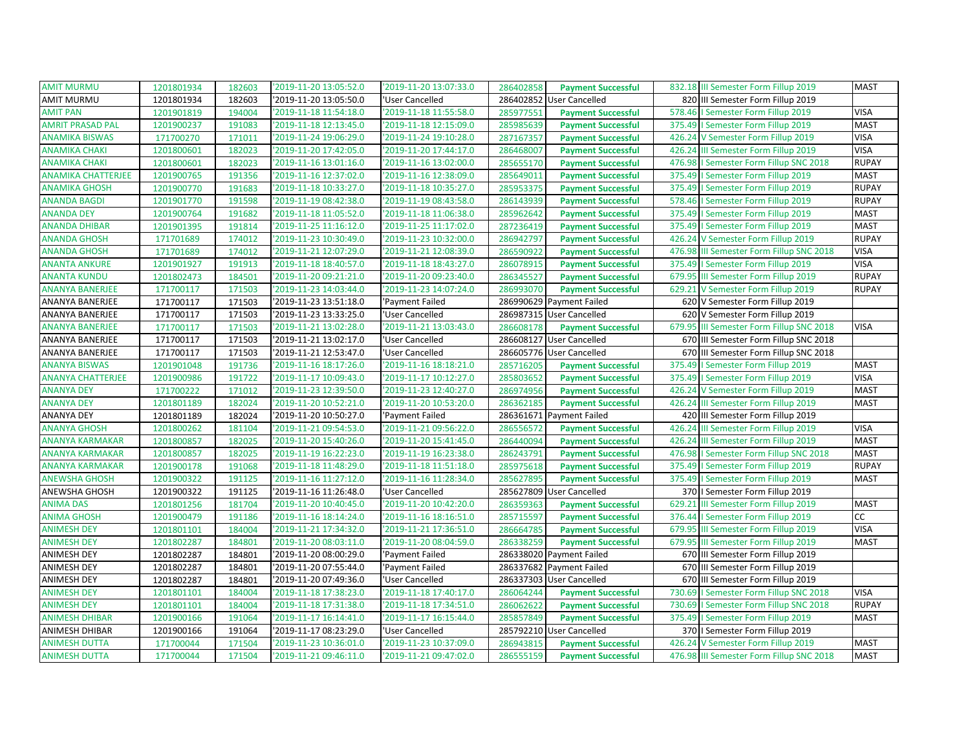| <b>AMIT MURMU</b>         | 1201801934 | 182603 | '2019-11-20 13:05:52.0 | '2019-11-20 13:07:33.0 | 286402858 | <b>Payment Successful</b> |        | 832.18 III Semester Form Fillup 2019     | <b>MAST</b>  |
|---------------------------|------------|--------|------------------------|------------------------|-----------|---------------------------|--------|------------------------------------------|--------------|
| <b>AMIT MURMU</b>         | 1201801934 | 182603 | '2019-11-20 13:05:50.0 | 'User Cancelled        | 286402852 | <b>User Cancelled</b>     |        | 820 III Semester Form Fillup 2019        |              |
| <b>AMIT PAN</b>           | 1201901819 | 194004 | '2019-11-18 11:54:18.0 | '2019-11-18 11:55:58.0 | 285977551 | <b>Payment Successful</b> |        | 578.46   Semester Form Fillup 2019       | <b>VISA</b>  |
| <b>AMRIT PRASAD PAL</b>   | 1201900237 | 191083 | '2019-11-18 12:13:45.0 | '2019-11-18 12:15:09.0 | 285985639 | <b>Payment Successful</b> | 375.49 | I Semester Form Fillup 2019              | <b>MAST</b>  |
| <b>ANAMIKA BISWAS</b>     | 171700270  | 171011 | '2019-11-24 19:06:29.0 | '2019-11-24 19:10:28.0 | 287167357 | <b>Payment Successful</b> | 426.24 | V Semester Form Fillup 2019              | <b>VISA</b>  |
| <b>ANAMIKA CHAKI</b>      | 1201800601 | 182023 | '2019-11-20 17:42:05.0 | 2019-11-20 17:44:17.0  | 286468007 | <b>Payment Successful</b> |        | 426.24 III Semester Form Fillup 2019     | <b>VISA</b>  |
| <b>ANAMIKA CHAKI</b>      | 1201800601 | 182023 | '2019-11-16 13:01:16.0 | '2019-11-16 13:02:00.0 | 285655170 | <b>Payment Successful</b> | 476.98 | I Semester Form Fillup SNC 2018          | <b>RUPAY</b> |
| <b>ANAMIKA CHATTERJEE</b> | 1201900765 | 191356 | '2019-11-16 12:37:02.0 | '2019-11-16 12:38:09.0 | 285649011 | <b>Payment Successful</b> |        | 375.49   Semester Form Fillup 2019       | <b>MAST</b>  |
| <b>ANAMIKA GHOSH</b>      | 1201900770 | 191683 | '2019-11-18 10:33:27.0 | '2019-11-18 10:35:27.0 | 285953375 | <b>Payment Successful</b> |        | 375.49   Semester Form Fillup 2019       | <b>RUPAY</b> |
| <b>ANANDA BAGDI</b>       | 1201901770 | 191598 | '2019-11-19 08:42:38.0 | '2019-11-19 08:43:58.0 | 286143939 | <b>Payment Successful</b> | 578.46 | I Semester Form Fillup 2019              | <b>RUPAY</b> |
| <b>ANANDA DEY</b>         | 1201900764 | 191682 | '2019-11-18 11:05:52.0 | '2019-11-18 11:06:38.0 | 285962642 | <b>Payment Successful</b> |        | 375.49   Semester Form Fillup 2019       | <b>MAST</b>  |
| <b>ANANDA DHIBAR</b>      | 1201901395 | 191814 | '2019-11-25 11:16:12.0 | '2019-11-25 11:17:02.0 | 287236419 | <b>Payment Successful</b> |        | 375.49   Semester Form Fillup 2019       | <b>MAST</b>  |
| <b>ANANDA GHOSH</b>       | 171701689  | 174012 | '2019-11-23 10:30:49.0 | '2019-11-23 10:32:00.0 | 286942797 | <b>Payment Successful</b> |        | 426.24 V Semester Form Fillup 2019       | <b>RUPAY</b> |
| <b>ANANDA GHOSH</b>       | 171701689  | 174012 | '2019-11-21 12:07:29.0 | '2019-11-21 12:08:39.0 | 286590922 | <b>Payment Successful</b> | 476.98 | III Semester Form Fillup SNC 2018        | <b>VISA</b>  |
| <b>ANANTA ANKURE</b>      | 1201901927 | 191913 | '2019-11-18 18:40:57.0 | '2019-11-18 18:43:27.0 | 286078915 | <b>Payment Successful</b> |        | 375.49   Semester Form Fillup 2019       | <b>VISA</b>  |
| <b>ANANTA KUNDU</b>       | 1201802473 | 184501 | '2019-11-20 09:21:21.0 | '2019-11-20 09:23:40.0 | 286345527 | <b>Payment Successful</b> |        | 679.95 III Semester Form Fillup 2019     | <b>RUPAY</b> |
| <b>ANANYA BANERJEE</b>    | 171700117  | 171503 | '2019-11-23 14:03:44.0 | '2019-11-23 14:07:24.0 | 286993070 | <b>Payment Successful</b> | 629.21 | V Semester Form Fillup 2019              | <b>RUPAY</b> |
| <b>ANANYA BANERJEE</b>    | 171700117  | 171503 | '2019-11-23 13:51:18.0 | 'Payment Failed        | 286990629 | <b>Payment Failed</b>     |        | 620 V Semester Form Fillup 2019          |              |
| ANANYA BANERJEE           | 171700117  | 171503 | '2019-11-23 13:33:25.0 | 'User Cancelled        |           | 286987315 User Cancelled  |        | 620 V Semester Form Fillup 2019          |              |
| <b>ANANYA BANERJEE</b>    | 171700117  | 171503 | '2019-11-21 13:02:28.0 | '2019-11-21 13:03:43.0 | 286608178 | <b>Payment Successful</b> | 679.95 | III Semester Form Fillup SNC 2018        | <b>VISA</b>  |
| <b>ANANYA BANERJEE</b>    | 171700117  | 171503 | '2019-11-21 13:02:17.0 | 'User Cancelled        |           | 286608127 User Cancelled  | 670    | III Semester Form Fillup SNC 2018        |              |
| ANANYA BANERJEE           | 171700117  | 171503 | '2019-11-21 12:53:47.0 | 'User Cancelled        |           | 286605776 User Cancelled  | 670    | III Semester Form Fillup SNC 2018        |              |
| <b>ANANYA BISWAS</b>      | 1201901048 | 191736 | '2019-11-16 18:17:26.0 | '2019-11-16 18:18:21.0 | 285716205 | <b>Payment Successful</b> | 375.49 | I Semester Form Fillup 2019              | <b>MAST</b>  |
| <b>ANANYA CHATTERJEE</b>  | 1201900986 | 191722 | '2019-11-17 10:09:43.0 | '2019-11-17 10:12:27.0 | 285803652 | <b>Payment Successful</b> |        | 375.49   Semester Form Fillup 2019       | <b>VISA</b>  |
| <b>ANANYA DEY</b>         | 171700222  | 171012 | '2019-11-23 12:39:50.0 | '2019-11-23 12:40:27.0 | 286974956 | <b>Payment Successful</b> | 426.24 | V Semester Form Fillup 2019              | <b>MAST</b>  |
| <b>ANANYA DEY</b>         | 1201801189 | 182024 | '2019-11-20 10:52:21.0 | '2019-11-20 10:53:20.0 | 286362185 | <b>Payment Successful</b> | 426.24 | III Semester Form Fillup 2019            | <b>MAST</b>  |
| <b>ANANYA DEY</b>         | 1201801189 | 182024 | '2019-11-20 10:50:27.0 | 'Payment Failed        |           | 286361671 Payment Failed  |        | 420 III Semester Form Fillup 2019        |              |
| <b>ANANYA GHOSH</b>       | 1201800262 | 181104 | '2019-11-21 09:54:53.0 | '2019-11-21 09:56:22.0 | 286556572 | <b>Payment Successful</b> | 426.24 | III Semester Form Fillup 2019            | <b>VISA</b>  |
| <b>ANANYA KARMAKAR</b>    | 1201800857 | 182025 | '2019-11-20 15:40:26.0 | '2019-11-20 15:41:45.0 | 286440094 | <b>Payment Successful</b> |        | 426.24 III Semester Form Fillup 2019     | <b>MAST</b>  |
| <b>ANANYA KARMAKAR</b>    | 1201800857 | 182025 | '2019-11-19 16:22:23.0 | '2019-11-19 16:23:38.0 | 286243791 | <b>Payment Successful</b> | 476.98 | I Semester Form Fillup SNC 2018          | <b>MAST</b>  |
| <b>ANANYA KARMAKAR</b>    | 1201900178 | 191068 | '2019-11-18 11:48:29.0 | '2019-11-18 11:51:18.0 | 285975618 | <b>Payment Successful</b> |        | 375.49   Semester Form Fillup 2019       | <b>RUPAY</b> |
| <b>ANEWSHA GHOSH</b>      | 1201900322 | 191125 | '2019-11-16 11:27:12.0 | '2019-11-16 11:28:34.0 | 285627895 | <b>Payment Successful</b> |        | 375.49   Semester Form Fillup 2019       | <b>MAST</b>  |
| ANEWSHA GHOSH             | 1201900322 | 191125 | '2019-11-16 11:26:48.0 | 'User Cancelled        |           | 285627809 User Cancelled  |        | 370   Semester Form Fillup 2019          |              |
| <b>ANIMA DAS</b>          | 1201801256 | 181704 | '2019-11-20 10:40:45.0 | '2019-11-20 10:42:20.0 | 286359363 | <b>Payment Successful</b> | 629.21 | III Semester Form Fillup 2019            | <b>MAST</b>  |
| <b>ANIMA GHOSH</b>        | 1201900479 | 191186 | '2019-11-16 18:14:24.0 | '2019-11-16 18:16:51.0 | 285715597 | <b>Payment Successful</b> |        | 376.44   Semester Form Fillup 2019       | cc           |
| <b>ANIMESH DEY</b>        | 1201801101 | 184004 | '2019-11-21 17:34:32.0 | '2019-11-21 17:36:51.0 | 286664785 | <b>Payment Successful</b> | 679.95 | III Semester Form Fillup 2019            | <b>VISA</b>  |
| <b>ANIMESH DEY</b>        | 1201802287 | 184801 | '2019-11-20 08:03:11.0 | '2019-11-20 08:04:59.0 | 286338259 | <b>Payment Successful</b> |        | 679.95 III Semester Form Fillup 2019     | <b>MAST</b>  |
| <b>ANIMESH DEY</b>        | 1201802287 | 184801 | '2019-11-20 08:00:29.0 | 'Payment Failed        |           | 286338020 Payment Failed  | 670    | III Semester Form Fillup 2019            |              |
| <b>ANIMESH DEY</b>        | 1201802287 | 184801 | '2019-11-20 07:55:44.0 | 'Payment Failed        | 286337682 | <b>Payment Failed</b>     |        | 670 III Semester Form Fillup 2019        |              |
| <b>ANIMESH DEY</b>        | 1201802287 | 184801 | '2019-11-20 07:49:36.0 | 'User Cancelled        |           | 286337303 User Cancelled  |        | 670 III Semester Form Fillup 2019        |              |
| <b>ANIMESH DEY</b>        | 1201801101 | 184004 | '2019-11-18 17:38:23.0 | '2019-11-18 17:40:17.0 | 286064244 | <b>Payment Successful</b> | 730.69 | I Semester Form Fillup SNC 2018          | <b>VISA</b>  |
| <b>ANIMESH DEY</b>        | 1201801101 | 184004 | '2019-11-18 17:31:38.0 | '2019-11-18 17:34:51.0 | 286062622 | <b>Payment Successful</b> | 730.69 | I Semester Form Fillup SNC 2018          | <b>RUPAY</b> |
| <b>ANIMESH DHIBAR</b>     | 1201900166 | 191064 | '2019-11-17 16:14:41.0 | '2019-11-17 16:15:44.0 | 285857849 | <b>Payment Successful</b> |        | 375.49   Semester Form Fillup 2019       | <b>MAST</b>  |
| ANIMESH DHIBAR            | 1201900166 | 191064 | '2019-11-17 08:23:29.0 | 'User Cancelled        |           | 285792210 User Cancelled  |        | 370   Semester Form Fillup 2019          |              |
| <b>ANIMESH DUTTA</b>      | 171700044  | 171504 | '2019-11-23 10:36:01.0 | '2019-11-23 10:37:09.0 | 286943815 | <b>Payment Successful</b> |        | 426.24 V Semester Form Fillup 2019       | <b>MAST</b>  |
| <b>ANIMESH DUTTA</b>      | 171700044  | 171504 | '2019-11-21 09:46:11.0 | '2019-11-21 09:47:02.0 | 286555159 | <b>Payment Successful</b> |        | 476.98 III Semester Form Fillup SNC 2018 | <b>MAST</b>  |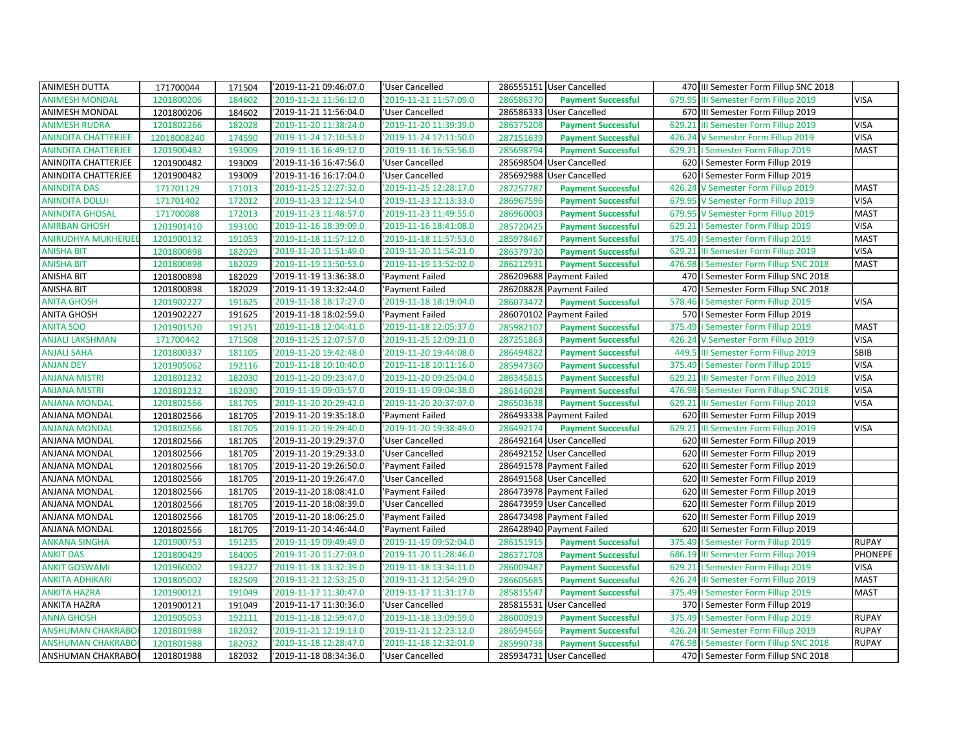| <b>ANIMESH DUTTA</b>       | 171700044   | 171504 | '2019-11-21 09:46:07.0 | 'User Cancelled        |           | 286555151 User Cancelled  |        | 470 III Semester Form Fillup SNC 2018  |                |
|----------------------------|-------------|--------|------------------------|------------------------|-----------|---------------------------|--------|----------------------------------------|----------------|
| <b>ANIMESH MONDAL</b>      | 1201800206  | 184602 | '2019-11-21 11:56:12.0 | 2019-11-21 11:57:09.0  | 286586370 | <b>Payment Successful</b> | 679.95 | III Semester Form Fillup 2019          | <b>VISA</b>    |
| ANIMESH MONDAL             | 1201800206  | 184602 | '2019-11-21 11:56:04.0 | 'User Cancelled        |           | 286586333 User Cancelled  |        | 670 III Semester Form Fillup 2019      |                |
| <b>ANIMESH RUDRA</b>       | 1201802266  | 182028 | '2019-11-20 11:38:24.0 | '2019-11-20 11:39:39.0 | 286375208 | <b>Payment Successful</b> | 629.21 | III Semester Form Fillup 2019          | <b>VISA</b>    |
| <b>ANINDITA CHATTERJEE</b> | 12018008240 | 174590 | '2019-11-24 17:10:53.0 | 2019-11-24 17:11:50.0  | 287151639 | <b>Payment Successful</b> | 426.24 | V Semester Form Fillup 2019            | <b>VISA</b>    |
| <b>ANINDITA CHATTERJEE</b> | 1201900482  | 193009 | '2019-11-16 16:49:12.0 | 2019-11-16 16:53:56.0  | 285698794 | <b>Payment Successful</b> |        | 629.21   Semester Form Fillup 2019     | <b>MAST</b>    |
| ANINDITA CHATTERJEE        | 1201900482  | 193009 | '2019-11-16 16:47:56.0 | 'User Cancelled        |           | 285698504 User Cancelled  |        | 620   Semester Form Fillup 2019        |                |
| ANINDITA CHATTERJEE        | 1201900482  | 193009 | '2019-11-16 16:17:04.0 | 'User Cancelled        |           | 285692988 User Cancelled  |        | 620   Semester Form Fillup 2019        |                |
| <b>ANINDITA DAS</b>        | 171701129   | 171013 | '2019-11-25 12:27:32.0 | 2019-11-25 12:28:17.0  | 287257787 | <b>Payment Successful</b> | 426.24 | V Semester Form Fillup 2019            | <b>MAST</b>    |
| <b>ANINDITA DOLUI</b>      | 171701402   | 172012 | '2019-11-23 12:12:54.0 | 2019-11-23 12:13:33.0  | 286967596 | <b>Payment Successful</b> | 679.95 | V Semester Form Fillup 2019            | <b>VISA</b>    |
| <b>ANINDITA GHOSAL</b>     | 171700088   | 172013 | '2019-11-23 11:48:57.0 | '2019-11-23 11:49:55.0 | 286960003 | <b>Payment Successful</b> |        | 679.95 V Semester Form Fillup 2019     | <b>MAST</b>    |
| <b>ANIRBAN GHOSH</b>       | 1201901410  | 193100 | '2019-11-16 18:39:09.0 | '2019-11-16 18:41:08.0 | 285720425 | <b>Payment Successful</b> | 629.21 | I Semester Form Fillup 2019            | <b>VISA</b>    |
| <b>ANIRUDHYA MUKHERJEE</b> | 1201900132  | 191053 | '2019-11-18 11:57:12.0 | '2019-11-18 11:57:53.0 | 285978467 | <b>Payment Successful</b> | 375.49 | I Semester Form Fillup 2019            | <b>MAST</b>    |
| <b>ANISHA BIT</b>          | 1201800898  | 182029 | '2019-11-20 11:51:49.0 | '2019-11-20 11:54:21.0 | 286379730 | <b>Payment Successful</b> |        | 629.21 III Semester Form Fillup 2019   | <b>VISA</b>    |
| <b>ANISHA BIT</b>          | 1201800898  | 182029 | '2019-11-19 13:50:53.0 | '2019-11-19 13:52:02.0 | 286212931 | <b>Payment Successful</b> |        | 476.98   Semester Form Fillup SNC 2018 | <b>MAST</b>    |
| ANISHA BIT                 | 1201800898  | 182029 | '2019-11-19 13:36:38.0 | 'Payment Failed        |           | 286209688 Payment Failed  |        | 470   Semester Form Fillup SNC 2018    |                |
| <b>ANISHA BIT</b>          | 1201800898  | 182029 | '2019-11-19 13:32:44.0 | 'Payment Failed        |           | 286208828 Payment Failed  |        | 470   Semester Form Fillup SNC 2018    |                |
| <b>ANITA GHOSH</b>         | 1201902227  | 191625 | '2019-11-18 18:17:27.0 | 2019-11-18 18:19:04.0  | 286073472 | <b>Payment Successful</b> | 578.46 | I Semester Form Fillup 2019            | <b>VISA</b>    |
| <b>ANITA GHOSH</b>         | 1201902227  | 191625 | '2019-11-18 18:02:59.0 | 'Payment Failed        |           | 286070102 Payment Failed  |        | 570   Semester Form Fillup 2019        |                |
| <b>ANITA SOO</b>           | 1201901520  | 191251 | '2019-11-18 12:04:41.0 | '2019-11-18 12:05:37.0 | 285982107 | <b>Payment Successful</b> |        | 375.49   Semester Form Fillup 2019     | <b>MAST</b>    |
| <b>ANJALI LAKSHMAN</b>     | 171700442   | 171508 | '2019-11-25 12:07:57.0 | '2019-11-25 12:09:21.0 | 287251863 | <b>Payment Successful</b> | 426.24 | V Semester Form Fillup 2019            | <b>VISA</b>    |
| <b>ANJALI SAHA</b>         | 1201800337  | 181105 | '2019-11-20 19:42:48.0 | '2019-11-20 19:44:08.0 | 286494822 | <b>Payment Successful</b> |        | 449.5 III Semester Form Fillup 2019    | SBIB           |
| <b>ANJAN DEY</b>           | 1201905062  | 192116 | '2019-11-18 10:10:40.0 | '2019-11-18 10:11:16.0 | 285947360 | <b>Payment Successful</b> |        | 375.49   Semester Form Fillup 2019     | <b>VISA</b>    |
| <b>ANJANA MISTRI</b>       | 1201801232  | 182030 | '2019-11-20 09:23:47.0 | '2019-11-20 09:25:04.0 | 286345815 | <b>Payment Successful</b> |        | 629.21 III Semester Form Fillup 2019   | <b>VISA</b>    |
| <b>ANJANA MISTRI</b>       | 1201801232  | 182030 | '2019-11-19 09:03:57.0 | '2019-11-19 09:04:38.0 | 286146028 | <b>Payment Successful</b> |        | 476.98   Semester Form Fillup SNC 2018 | <b>VISA</b>    |
| <b>ANJANA MONDAL</b>       | 1201802566  | 181705 | '2019-11-20 20:29:42.0 | 2019-11-20 20:37:07.0  | 286503638 | <b>Payment Successful</b> | 629.21 | III Semester Form Fillup 2019          | <b>VISA</b>    |
| ANJANA MONDAL              | 1201802566  | 181705 | '2019-11-20 19:35:18.0 | 'Payment Failed        |           | 286493338 Payment Failed  |        | 620 III Semester Form Fillup 2019      |                |
| <b>ANJANA MONDAL</b>       | 1201802566  | 181705 | '2019-11-20 19:29:40.0 | '2019-11-20 19:38:49.0 | 286492174 | <b>Payment Successful</b> | 629.21 | III Semester Form Fillup 2019          | <b>VISA</b>    |
| ANJANA MONDAL              | 1201802566  | 181705 | '2019-11-20 19:29:37.0 | 'User Cancelled        |           | 286492164 User Cancelled  | 620    | III Semester Form Fillup 2019          |                |
| ANJANA MONDAL              | 1201802566  | 181705 | '2019-11-20 19:29:33.0 | 'User Cancelled        |           | 286492152 User Cancelled  | 620    | III Semester Form Fillup 2019          |                |
| ANJANA MONDAL              | 1201802566  | 181705 | '2019-11-20 19:26:50.0 | 'Payment Failed        |           | 286491578 Payment Failed  | 620    | III Semester Form Fillup 2019          |                |
| ANJANA MONDAL              | 1201802566  | 181705 | '2019-11-20 19:26:47.0 | 'User Cancelled        |           | 286491568 User Cancelled  | 620    | III Semester Form Fillup 2019          |                |
| ANJANA MONDAL              | 1201802566  | 181705 | '2019-11-20 18:08:41.0 | 'Payment Failed        |           | 286473978 Payment Failed  | 620    | III Semester Form Fillup 2019          |                |
| ANJANA MONDAL              | 1201802566  | 181705 | '2019-11-20 18:08:39.0 | User Cancelled         |           | 286473959 User Cancelled  | 620    | III Semester Form Fillup 2019          |                |
| ANJANA MONDAL              | 1201802566  | 181705 | '2019-11-20 18:06:25.0 | 'Payment Failed        |           | 286473498 Payment Failed  | 620    | III Semester Form Fillup 2019          |                |
| ANJANA MONDAL              | 1201802566  | 181705 | '2019-11-20 14:46:44.0 | 'Payment Failed        |           | 286428940 Payment Failed  | 620    | III Semester Form Fillup 2019          |                |
| <b>ANKANA SINGHA</b>       | 1201900753  | 191235 | '2019-11-19 09:49:49.0 | '2019-11-19 09:52:04.0 | 286151915 | <b>Payment Successful</b> | 375.49 | I Semester Form Fillup 2019            | <b>RUPAY</b>   |
| <b>ANKIT DAS</b>           | 1201800429  | 184005 | '2019-11-20 11:27:03.0 | 2019-11-20 11:28:46.0  | 286371708 | <b>Payment Successful</b> |        | 686.19 III Semester Form Fillup 2019   | <b>PHONEPE</b> |
| <b>ANKIT GOSWAMI</b>       | 1201960002  | 193227 | '2019-11-18 13:32:39.0 | 2019-11-18 13:34:11.0  | 286009487 | <b>Payment Successful</b> |        | 629.21   Semester Form Fillup 2019     | <b>VISA</b>    |
| <b>ANKITA ADHIKARI</b>     | 1201805002  | 182509 | '2019-11-21 12:53:25.0 | '2019-11-21 12:54:29.0 | 286605685 | <b>Payment Successful</b> |        | 426.24 III Semester Form Fillup 2019   | <b>MAST</b>    |
| <b>ANKITA HAZRA</b>        | 1201900121  | 191049 | '2019-11-17 11:30:47.0 | '2019-11-17 11:31:17.0 | 285815547 | <b>Payment Successful</b> |        | 375.49   Semester Form Fillup 2019     | <b>MAST</b>    |
| ANKITA HAZRA               | 1201900121  | 191049 | '2019-11-17 11:30:36.0 | 'User Cancelled        | 285815531 | <b>User Cancelled</b>     |        | 370   Semester Form Fillup 2019        |                |
| <b>ANNA GHOSH</b>          | 1201905053  | 192111 | '2019-11-18 12:59:47.0 | 2019-11-18 13:09:59.0  | 286000919 | <b>Payment Successful</b> |        | 375.49   Semester Form Fillup 2019     | <b>RUPAY</b>   |
| <b>ANSHUMAN CHAKRABO</b>   | 1201801988  | 182032 | '2019-11-21 12:19:13.0 | '2019-11-21 12:23:12.0 | 286594566 | <b>Payment Successful</b> | 426.24 | III Semester Form Fillup 2019          | <b>RUPAY</b>   |
| <b>ANSHUMAN CHAKRABO</b>   | 1201801988  | 182032 | '2019-11-18 12:28:47.0 | '2019-11-18 12:32:01.0 | 285990738 | <b>Payment Successful</b> |        | 476.98   Semester Form Fillup SNC 2018 | <b>RUPAY</b>   |
| <b>ANSHUMAN CHAKRABOI</b>  | 1201801988  | 182032 | '2019-11-18 08:34:36.0 | 'User Cancelled        |           | 285934731 User Cancelled  |        | 470   Semester Form Fillup SNC 2018    |                |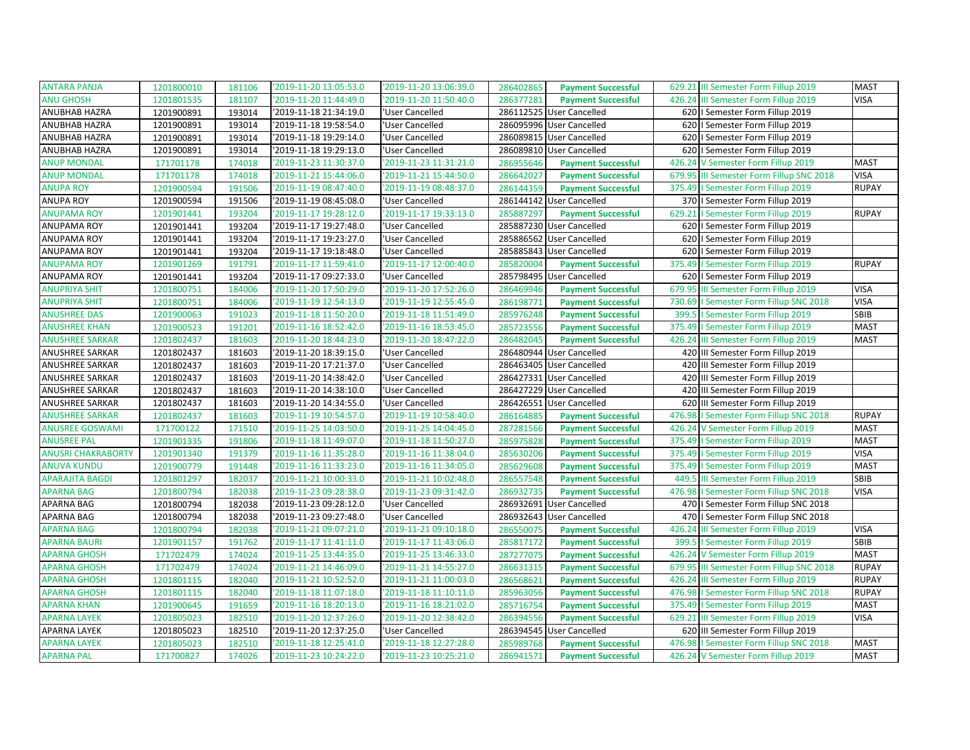| <b>ANTARA PANJA</b>       | 1201800010 | 181106 | '2019-11-20 13:05:53.0 | '2019-11-20 13:06:39.0 | 286402865 | <b>Payment Successful</b> | 629.21 III Semester Form Fillup 2019     | <b>MAST</b>  |
|---------------------------|------------|--------|------------------------|------------------------|-----------|---------------------------|------------------------------------------|--------------|
| <b>ANU GHOSH</b>          | 1201801535 | 181107 | '2019-11-20 11:44:49.0 | 2019-11-20 11:50:40.0  | 286377281 | <b>Payment Successful</b> | 426.24 III Semester Form Fillup 2019     | <b>VISA</b>  |
| ANUBHAB HAZRA             | 1201900891 | 193014 | '2019-11-18 21:34:19.0 | 'User Cancelled        |           | 286112525 User Cancelled  | 620   Semester Form Fillup 2019          |              |
| ANUBHAB HAZRA             | 1201900891 | 193014 | '2019-11-18 19:58:54.0 | 'User Cancelled        |           | 286095996 User Cancelled  | 620   Semester Form Fillup 2019          |              |
| ANUBHAB HAZRA             | 1201900891 | 193014 | '2019-11-18 19:29:14.0 | 'User Cancelled        |           | 286089815 User Cancelled  | 620   Semester Form Fillup 2019          |              |
| ANUBHAB HAZRA             | 1201900891 | 193014 | '2019-11-18 19:29:13.0 | 'User Cancelled        |           | 286089810 User Cancelled  | 620   Semester Form Fillup 2019          |              |
| <b>ANUP MONDAL</b>        | 171701178  | 174018 | '2019-11-23 11:30:37.0 | '2019-11-23 11:31:21.0 | 286955646 | <b>Payment Successful</b> | 426.24 V Semester Form Fillup 2019       | <b>MAST</b>  |
| <b>ANUP MONDAL</b>        | 171701178  | 174018 | '2019-11-21 15:44:06.0 | '2019-11-21 15:44:50.0 | 286642027 | <b>Payment Successful</b> | 679.95 III Semester Form Fillup SNC 2018 | <b>VISA</b>  |
| <b>ANUPA ROY</b>          | 1201900594 | 191506 | '2019-11-19 08:47:40.0 | '2019-11-19 08:48:37.0 | 286144359 | <b>Payment Successful</b> | 375.49   Semester Form Fillup 2019       | <b>RUPAY</b> |
| ANUPA ROY                 | 1201900594 | 191506 | '2019-11-19 08:45:08.0 | 'User Cancelled        |           | 286144142 User Cancelled  | 370   Semester Form Fillup 2019          |              |
| <b>ANUPAMA ROY</b>        | 1201901441 | 193204 | '2019-11-17 19:28:12.0 | '2019-11-17 19:33:13.0 | 285887297 | <b>Payment Successful</b> | 629.21   Semester Form Fillup 2019       | <b>RUPAY</b> |
| <b>ANUPAMA ROY</b>        | 1201901441 | 193204 | '2019-11-17 19:27:48.0 | 'User Cancelled        |           | 285887230 User Cancelled  | 620   Semester Form Fillup 2019          |              |
| ANUPAMA ROY               | 1201901441 | 193204 | '2019-11-17 19:23:27.0 | 'User Cancelled        | 285886562 | <b>User Cancelled</b>     | 620   Semester Form Fillup 2019          |              |
| ANUPAMA ROY               | 1201901441 | 193204 | '2019-11-17 19:18:48.0 | 'User Cancelled        |           | 285885843 User Cancelled  | 620   Semester Form Fillup 2019          |              |
| <b>ANUPAMA ROY</b>        | 1201901269 | 191791 | '2019-11-17 11:59:41.0 | '2019-11-17 12:00:40.0 | 285820004 | <b>Payment Successful</b> | 375.49   Semester Form Fillup 2019       | <b>RUPAY</b> |
| ANUPAMA ROY               | 1201901441 | 193204 | '2019-11-17 09:27:33.0 | 'User Cancelled        |           | 285798495 User Cancelled  | 620   Semester Form Fillup 2019          |              |
| <b>ANUPRIYA SHIT</b>      | 1201800751 | 184006 | '2019-11-20 17:50:29.0 | '2019-11-20 17:52:26.0 | 286469946 | <b>Payment Successful</b> | 679.95 III Semester Form Fillup 2019     | <b>VISA</b>  |
| <b>ANUPRIYA SHIT</b>      | 1201800751 | 184006 | '2019-11-19 12:54:13.0 | '2019-11-19 12:55:45.0 | 286198771 | <b>Payment Successful</b> | 730.69   Semester Form Fillup SNC 2018   | <b>VISA</b>  |
| <b>ANUSHREE DAS</b>       | 1201900063 | 191023 | '2019-11-18 11:50:20.0 | '2019-11-18 11:51:49.0 | 285976248 | <b>Payment Successful</b> | 399.5   Semester Form Fillup 2019        | SBIB         |
| <b>ANUSHREE KHAN</b>      | 1201900523 | 191201 | '2019-11-16 18:52:42.0 | '2019-11-16 18:53:45.0 | 285723556 | <b>Payment Successful</b> | 375.49   Semester Form Fillup 2019       | <b>MAST</b>  |
| <b>ANUSHREE SARKAR</b>    | 1201802437 | 181603 | '2019-11-20 18:44:23.0 | '2019-11-20 18:47:22.0 | 286482045 | <b>Payment Successful</b> | 426.24 III Semester Form Fillup 2019     | <b>MAST</b>  |
| ANUSHREE SARKAR           | 1201802437 | 181603 | '2019-11-20 18:39:15.0 | 'User Cancelled        |           | 286480944 User Cancelled  | 420 III Semester Form Fillup 2019        |              |
| ANUSHREE SARKAR           | 1201802437 | 181603 | '2019-11-20 17:21:37.0 | 'User Cancelled        |           | 286463405 User Cancelled  | 420 III Semester Form Fillup 2019        |              |
| ANUSHREE SARKAR           | 1201802437 | 181603 | '2019-11-20 14:38:42.0 | 'User Cancelled        |           | 286427331 User Cancelled  | 420 III Semester Form Fillup 2019        |              |
| ANUSHREE SARKAR           | 1201802437 | 181603 | '2019-11-20 14:38:10.0 | 'User Cancelled        |           | 286427229 User Cancelled  | 420 III Semester Form Fillup 2019        |              |
| ANUSHREE SARKAR           | 1201802437 | 181603 | '2019-11-20 14:34:55.0 | 'User Cancelled        | 286426551 | <b>User Cancelled</b>     | 620 III Semester Form Fillup 2019        |              |
| <b>ANUSHREE SARKAR</b>    | 1201802437 | 181603 | '2019-11-19 10:54:57.0 | 2019-11-19 10:58:40.0  | 286164885 | <b>Payment Successful</b> | 476.98   Semester Form Fillup SNC 2018   | <b>RUPAY</b> |
| <b>ANUSREE GOSWAMI</b>    | 171700122  | 171510 | '2019-11-25 14:03:50.0 | '2019-11-25 14:04:45.0 | 287281566 | <b>Payment Successful</b> | 426.24 V Semester Form Fillup 2019       | <b>MAST</b>  |
| <b>ANUSREE PAL</b>        | 1201901335 | 191806 | '2019-11-18 11:49:07.0 | '2019-11-18 11:50:27.0 | 285975828 | <b>Payment Successful</b> | 375.49   Semester Form Fillup 2019       | <b>MAST</b>  |
| <b>ANUSRI CHAKRABORTY</b> | 1201901340 | 191379 | '2019-11-16 11:35:28.0 | '2019-11-16 11:38:04.0 | 285630206 | <b>Payment Successful</b> | 375.49   Semester Form Fillup 2019       | <b>VISA</b>  |
| <b>ANUVA KUNDU</b>        | 1201900779 | 191448 | '2019-11-16 11:33:23.0 | 2019-11-16 11:34:05.0  | 285629608 | <b>Payment Successful</b> | 375.49   Semester Form Fillup 2019       | <b>MAST</b>  |
| <b>APARAJITA BAGDI</b>    | 1201801297 | 182037 | '2019-11-21 10:00:33.0 | '2019-11-21 10:02:48.0 | 286557548 | <b>Payment Successful</b> | 449.5 III Semester Form Fillup 2019      | SBIB         |
| <b>APARNA BAG</b>         | 1201800794 | 182038 | '2019-11-23 09:28:38.0 | '2019-11-23 09:31:42.0 | 286932735 | <b>Payment Successful</b> | 476.98   Semester Form Fillup SNC 2018   | <b>VISA</b>  |
| APARNA BAG                | 1201800794 | 182038 | '2019-11-23 09:28:12.0 | 'User Cancelled        | 286932691 | <b>User Cancelled</b>     | 470   Semester Form Fillup SNC 2018      |              |
| APARNA BAG                | 1201800794 | 182038 | '2019-11-23 09:27:48.0 | 'User Cancelled        |           | 286932643 User Cancelled  | 470   Semester Form Fillup SNC 2018      |              |
| <b>APARNA BAG</b>         | 1201800794 | 182038 | '2019-11-21 09:07:21.0 | '2019-11-21 09:10:18.0 | 286550075 | <b>Payment Successful</b> | 426.24 III Semester Form Fillup 2019     | <b>VISA</b>  |
| <b>APARNA BAURI</b>       | 1201901157 | 191762 | '2019-11-17 11:41:11.0 | '2019-11-17 11:43:06.0 | 285817172 | <b>Payment Successful</b> | 399.5   Semester Form Fillup 2019        | SBIB         |
| <b>APARNA GHOSH</b>       | 171702479  | 174024 | '2019-11-25 13:44:35.0 | '2019-11-25 13:46:33.0 | 287277075 | <b>Payment Successful</b> | 426.24 V Semester Form Fillup 2019       | <b>MAST</b>  |
| <b>APARNA GHOSH</b>       | 171702479  | 174024 | '2019-11-21 14:46:09.0 | 2019-11-21 14:55:27.0  | 286631315 | <b>Payment Successful</b> | 679.95 III Semester Form Fillup SNC 2018 | <b>RUPAY</b> |
| <b>APARNA GHOSH</b>       | 1201801115 | 182040 | '2019-11-21 10:52:52.0 | '2019-11-21 11:00:03.0 | 286568621 | <b>Payment Successful</b> | 426.24 III Semester Form Fillup 2019     | <b>RUPAY</b> |
| <b>APARNA GHOSH</b>       | 1201801115 | 182040 | '2019-11-18 11:07:18.0 | '2019-11-18 11:10:11.0 | 285963056 | <b>Payment Successful</b> | 476.98   Semester Form Fillup SNC 2018   | <b>RUPAY</b> |
| <b>APARNA KHAN</b>        | 1201900645 | 191659 | 2019-11-16 18:20:13.0  | '2019-11-16 18:21:02.0 | 285716754 | <b>Payment Successful</b> | 375.49   Semester Form Fillup 2019       | <b>MAST</b>  |
| <b>APARNA LAYEK</b>       | 1201805023 | 182510 | '2019-11-20 12:37:26.0 | 2019-11-20 12:38:42.0  | 286394556 | <b>Payment Successful</b> | 629.21 III Semester Form Fillup 2019     | <b>VISA</b>  |
| <b>APARNA LAYEK</b>       | 1201805023 | 182510 | '2019-11-20 12:37:25.0 | 'User Cancelled        |           | 286394545 User Cancelled  | 620 III Semester Form Fillup 2019        |              |
| <b>APARNA LAYEK</b>       | 1201805023 | 182510 | '2019-11-18 12:25:41.0 | '2019-11-18 12:27:28.0 | 285989768 | <b>Payment Successful</b> | 476.98   Semester Form Fillup SNC 2018   | <b>MAST</b>  |
| <b>APARNA PAL</b>         | 171700827  | 174026 | 2019-11-23 10:24:22.0  | '2019-11-23 10:25:21.0 | 286941571 | <b>Payment Successful</b> | 426.24 V Semester Form Fillup 2019       | <b>MAST</b>  |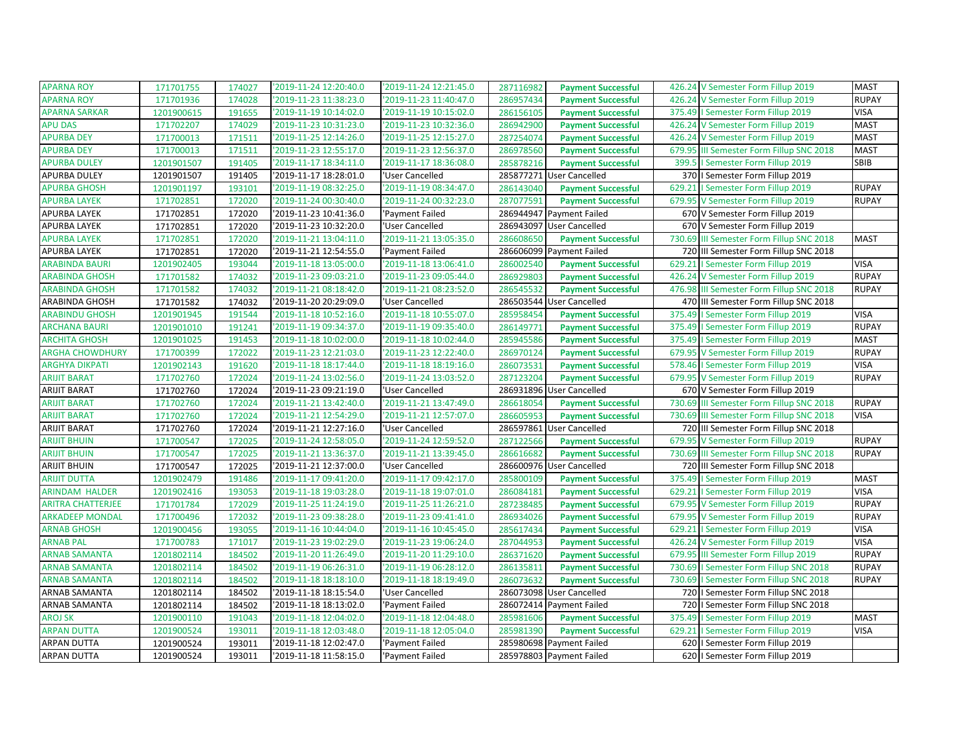| <b>APARNA ROY</b>        | 171701755  | 174027 | '2019-11-24 12:20:40.0 | '2019-11-24 12:21:45.0 | 287116982 | <b>Payment Successful</b> | 426.24 V Semester Form Fillup 2019                 | <b>MAST</b>  |
|--------------------------|------------|--------|------------------------|------------------------|-----------|---------------------------|----------------------------------------------------|--------------|
| <b>APARNA ROY</b>        | 171701936  | 174028 | '2019-11-23 11:38:23.0 | '2019-11-23 11:40:47.0 | 286957434 | <b>Payment Successful</b> | 426.24 V Semester Form Fillup 2019                 | <b>RUPAY</b> |
| <b>APARNA SARKAR</b>     | 1201900615 | 191655 | '2019-11-19 10:14:02.0 | '2019-11-19 10:15:02.0 | 286156105 | <b>Payment Successful</b> | 375.49   Semester Form Fillup 2019                 | <b>VISA</b>  |
| <b>APU DAS</b>           | 171702207  | 174029 | '2019-11-23 10:31:23.0 | '2019-11-23 10:32:36.0 | 286942900 | <b>Payment Successful</b> | 426.24 V Semester Form Fillup 2019                 | <b>MAST</b>  |
| <b>APURBA DEY</b>        | 171700013  | 171511 | '2019-11-25 12:14:26.0 | '2019-11-25 12:15:27.0 | 287254074 | <b>Payment Successful</b> | 426.24 V Semester Form Fillup 2019                 | <b>MAST</b>  |
| <b>APURBA DEY</b>        | 171700013  | 171511 | '2019-11-23 12:55:17.0 | '2019-11-23 12:56:37.0 | 286978560 | <b>Payment Successful</b> | 679.95 III Semester Form Fillup SNC 2018           | <b>MAST</b>  |
| <b>APURBA DULEY</b>      | 1201901507 | 191405 | '2019-11-17 18:34:11.0 | '2019-11-17 18:36:08.0 | 285878216 | <b>Payment Successful</b> | 399.5   Semester Form Fillup 2019                  | <b>SBIB</b>  |
| APURBA DULEY             | 1201901507 | 191405 | '2019-11-17 18:28:01.0 | 'User Cancelled        |           | 285877271 User Cancelled  | 370   Semester Form Fillup 2019                    |              |
| <b>APURBA GHOSH</b>      | 1201901197 | 193101 | '2019-11-19 08:32:25.0 | '2019-11-19 08:34:47.0 | 286143040 | <b>Payment Successful</b> | 629.21   Semester Form Fillup 2019                 | <b>RUPAY</b> |
| <b>APURBA LAYEK</b>      | 171702851  | 172020 | '2019-11-24 00:30:40.0 | '2019-11-24 00:32:23.0 | 287077591 | <b>Payment Successful</b> | 679.95<br>V Semester Form Fillup 2019              | <b>RUPAY</b> |
| APURBA LAYEK             | 171702851  | 172020 | '2019-11-23 10:41:36.0 | 'Payment Failed        |           | 286944947 Payment Failed  | 670 V Semester Form Fillup 2019                    |              |
| <b>APURBA LAYEK</b>      | 171702851  | 172020 | '2019-11-23 10:32:20.0 | 'User Cancelled        |           | 286943097 User Cancelled  | 670 V Semester Form Fillup 2019                    |              |
| <b>APURBA LAYEK</b>      | 171702851  | 172020 | '2019-11-21 13:04:11.0 | '2019-11-21 13:05:35.0 | 286608650 | <b>Payment Successful</b> | 730.69<br>III Semester Form Fillup SNC 2018        | <b>MAST</b>  |
| APURBA LAYEK             | 171702851  | 172020 | '2019-11-21 12:54:55.0 | 'Payment Failed        |           | 286606099 Payment Failed  | 720 III Semester Form Fillup SNC 2018              |              |
| <b>ARABINDA BAURI</b>    | 1201902405 | 193044 | '2019-11-18 13:05:00.0 | '2019-11-18 13:06:41.0 | 286002540 | <b>Payment Successful</b> | 629.21<br>I Semester Form Fillup 2019              | <b>VISA</b>  |
| <b>ARABINDA GHOSH</b>    | 171701582  | 174032 | '2019-11-23 09:03:21.0 | '2019-11-23 09:05:44.0 | 286929803 | <b>Payment Successful</b> | 426.24 V Semester Form Fillup 2019                 | <b>RUPAY</b> |
| <b>ARABINDA GHOSH</b>    | 171701582  | 174032 | '2019-11-21 08:18:42.0 | '2019-11-21 08:23:52.0 | 286545532 | <b>Payment Successful</b> | 476.98 III Semester Form Fillup SNC 2018           | <b>RUPAY</b> |
| ARABINDA GHOSH           | 171701582  | 174032 | '2019-11-20 20:29:09.0 | 'User Cancelled        | 286503544 | <b>User Cancelled</b>     | 470 III Semester Form Fillup SNC 2018              |              |
| <b>ARABINDU GHOSH</b>    | 1201901945 | 191544 | '2019-11-18 10:52:16.0 | '2019-11-18 10:55:07.0 | 285958454 | <b>Payment Successful</b> | 375.49   Semester Form Fillup 2019                 | <b>VISA</b>  |
| <b>ARCHANA BAURI</b>     | 1201901010 | 191241 | '2019-11-19 09:34:37.0 | '2019-11-19 09:35:40.0 | 286149771 | <b>Payment Successful</b> | 375.49   Semester Form Fillup 2019                 | <b>RUPAY</b> |
| <b>ARCHITA GHOSH</b>     | 1201901025 | 191453 | '2019-11-18 10:02:00.0 | '2019-11-18 10:02:44.0 | 285945586 | <b>Payment Successful</b> | 375.49   Semester Form Fillup 2019                 | <b>MAST</b>  |
| <b>ARGHA CHOWDHURY</b>   | 171700399  | 172022 | '2019-11-23 12:21:03.0 | '2019-11-23 12:22:40.0 | 286970124 | <b>Payment Successful</b> | 679.95 V Semester Form Fillup 2019                 | <b>RUPAY</b> |
| <b>ARGHYA DIKPATI</b>    | 1201902143 | 191620 | '2019-11-18 18:17:44.0 | '2019-11-18 18:19:16.0 | 286073531 | <b>Payment Successful</b> | 578.46   Semester Form Fillup 2019                 | <b>VISA</b>  |
| <b>ARIJIT BARAT</b>      | 171702760  | 172024 | '2019-11-24 13:02:56.0 | '2019-11-24 13:03:52.0 | 287123204 | <b>Payment Successful</b> | 679.95 V Semester Form Fillup 2019                 | <b>RUPAY</b> |
| <b>ARIJIT BARAT</b>      | 171702760  | 172024 | '2019-11-23 09:21:19.0 | 'User Cancelled        |           | 286931896 User Cancelled  | 670 V Semester Form Fillup 2019                    |              |
| <b>ARIJIT BARAT</b>      | 171702760  | 172024 | '2019-11-21 13:42:40.0 | '2019-11-21 13:47:49.0 | 286618054 | <b>Payment Successful</b> | 730.69<br><b>III Semester Form Fillup SNC 2018</b> | <b>RUPAY</b> |
| <b>ARIJIT BARAT</b>      | 171702760  | 172024 | '2019-11-21 12:54:29.0 | '2019-11-21 12:57:07.0 | 286605953 | <b>Payment Successful</b> | 730.69 III Semester Form Fillup SNC 2018           | <b>VISA</b>  |
| <b>ARIJIT BARAT</b>      | 171702760  | 172024 | '2019-11-21 12:27:16.0 | 'User Cancelled        | 286597861 | <b>User Cancelled</b>     | 720 III Semester Form Fillup SNC 2018              |              |
| <b>ARIJIT BHUIN</b>      | 171700547  | 172025 | '2019-11-24 12:58:05.0 | '2019-11-24 12:59:52.0 | 287122566 | <b>Payment Successful</b> | 679.95 V Semester Form Fillup 2019                 | <b>RUPAY</b> |
| <b>ARIJIT BHUIN</b>      | 171700547  | 172025 | '2019-11-21 13:36:37.0 | '2019-11-21 13:39:45.0 | 286616682 | <b>Payment Successful</b> | 730.69 III Semester Form Fillup SNC 2018           | <b>RUPAY</b> |
| <b>ARIJIT BHUIN</b>      | 171700547  | 172025 | '2019-11-21 12:37:00.0 | 'User Cancelled        |           | 286600976 User Cancelled  | 720 III Semester Form Fillup SNC 2018              |              |
| <b>ARIJIT DUTTA</b>      | 1201902479 | 191486 | '2019-11-17 09:41:20.0 | '2019-11-17 09:42:17.0 | 285800109 | <b>Payment Successful</b> | 375.49   Semester Form Fillup 2019                 | <b>MAST</b>  |
| <b>ARINDAM HALDER</b>    | 1201902416 | 193053 | '2019-11-18 19:03:28.0 | '2019-11-18 19:07:01.0 | 286084181 | <b>Payment Successful</b> | I Semester Form Fillup 2019<br>629.21              | <b>VISA</b>  |
| <b>ARITRA CHATTERJEE</b> | 171701784  | 172029 | '2019-11-25 11:24:19.0 | '2019-11-25 11:26:21.0 | 287238485 | <b>Payment Successful</b> | 679.95 V Semester Form Fillup 2019                 | <b>RUPAY</b> |
| <b>ARKADEEP MONDAL</b>   | 171700496  | 172032 | '2019-11-23 09:38:28.0 | '2019-11-23 09:41:41.0 | 286934026 | <b>Payment Successful</b> | 679.95 V Semester Form Fillup 2019                 | <b>RUPAY</b> |
| <b>ARNAB GHOSH</b>       | 1201900456 | 193055 | '2019-11-16 10:44:04.0 | '2019-11-16 10:45:45.0 | 285617434 | <b>Payment Successful</b> | 629.21<br>I Semester Form Fillup 2019              | <b>VISA</b>  |
| <b>ARNAB PAL</b>         | 171700783  | 171017 | '2019-11-23 19:02:29.0 | '2019-11-23 19:06:24.0 | 287044953 | <b>Payment Successful</b> | 426.24 V Semester Form Fillup 2019                 | <b>VISA</b>  |
| <b>ARNAB SAMANTA</b>     | 1201802114 | 184502 | '2019-11-20 11:26:49.0 | '2019-11-20 11:29:10.0 | 286371620 | <b>Payment Successful</b> | 679.95<br>III Semester Form Fillup 2019            | <b>RUPAY</b> |
| <b>ARNAB SAMANTA</b>     | 1201802114 | 184502 | '2019-11-19 06:26:31.0 | '2019-11-19 06:28:12.0 | 286135811 | <b>Payment Successful</b> | 730.69   Semester Form Fillup SNC 2018             | <b>RUPAY</b> |
| <b>ARNAB SAMANTA</b>     | 1201802114 | 184502 | '2019-11-18 18:18:10.0 | '2019-11-18 18:19:49.0 | 286073632 | <b>Payment Successful</b> | 730.69   Semester Form Fillup SNC 2018             | <b>RUPAY</b> |
| ARNAB SAMANTA            | 1201802114 | 184502 | '2019-11-18 18:15:54.0 | 'User Cancelled        |           | 286073098 User Cancelled  | 720   I Semester Form Fillup SNC 2018              |              |
| <b>ARNAB SAMANTA</b>     | 1201802114 | 184502 | '2019-11-18 18:13:02.0 | 'Payment Failed        | 286072414 | Payment Failed            | 720<br>I Semester Form Fillup SNC 2018             |              |
| <b>AROJ SK</b>           | 1201900110 | 191043 | '2019-11-18 12:04:02.0 | '2019-11-18 12:04:48.0 | 285981606 | <b>Payment Successful</b> | 375.49<br>I Semester Form Fillup 2019              | <b>MAST</b>  |
| <b>ARPAN DUTTA</b>       | 1201900524 | 193011 | '2019-11-18 12:03:48.0 | '2019-11-18 12:05:04.0 | 285981390 | <b>Payment Successful</b> | 629.21<br>I Semester Form Fillup 2019              | <b>VISA</b>  |
| ARPAN DUTTA              | 1201900524 | 193011 | '2019-11-18 12:02:47.0 | 'Payment Failed        |           | 285980698 Payment Failed  | 620   Semester Form Fillup 2019                    |              |
| ARPAN DUTTA              | 1201900524 | 193011 | '2019-11-18 11:58:15.0 | 'Payment Failed        |           | 285978803 Payment Failed  | 620   Semester Form Fillup 2019                    |              |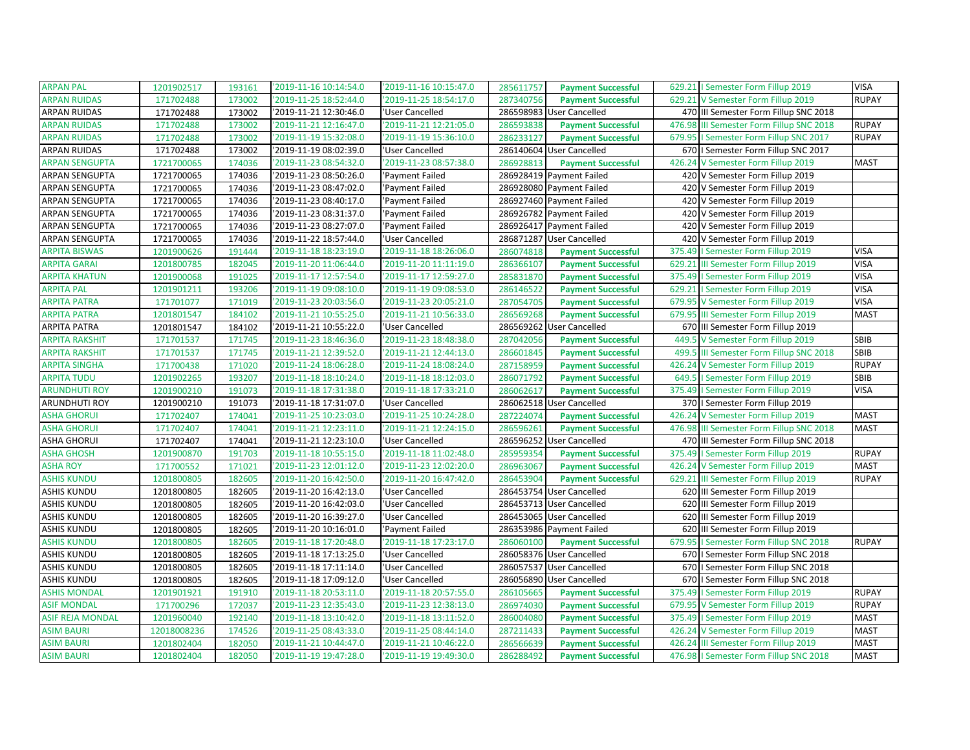| <b>ARPAN PAL</b>        | 1201902517  | 193161 | '2019-11-16 10:14:54.0 | '2019-11-16 10:15:47.0 | 285611757 | <b>Payment Successful</b> | 629.21   Semester Form Fillup 2019       | <b>VISA</b>  |
|-------------------------|-------------|--------|------------------------|------------------------|-----------|---------------------------|------------------------------------------|--------------|
| <b>ARPAN RUIDAS</b>     | 171702488   | 173002 | '2019-11-25 18:52:44.0 | '2019-11-25 18:54:17.0 | 287340756 | <b>Payment Successful</b> | 629.21 V Semester Form Fillup 2019       | <b>RUPAY</b> |
| <b>ARPAN RUIDAS</b>     | 171702488   | 173002 | '2019-11-21 12:30:46.0 | 'User Cancelled        |           | 286598983 User Cancelled  | 470 III Semester Form Fillup SNC 2018    |              |
| <b>ARPAN RUIDAS</b>     | 171702488   | 173002 | '2019-11-21 12:16:47.0 | '2019-11-21 12:21:05.0 | 286593838 | <b>Payment Successful</b> | 476.98 III Semester Form Fillup SNC 2018 | <b>RUPAY</b> |
| <b>ARPAN RUIDAS</b>     | 171702488   | 173002 | 2019-11-19 15:32:08.0  | '2019-11-19 15:36:10.0 | 286233127 | <b>Payment Successful</b> | 679.95   Semester Form Fillup SNC 2017   | <b>RUPAY</b> |
| ARPAN RUIDAS            | 171702488   | 173002 | '2019-11-19 08:02:39.0 | 'User Cancelled        |           | 286140604 User Cancelled  | 670   I Semester Form Fillup SNC 2017    |              |
| <b>ARPAN SENGUPTA</b>   | 1721700065  | 174036 | '2019-11-23 08:54:32.0 | '2019-11-23 08:57:38.0 | 286928813 | <b>Payment Successful</b> | 426.24 V Semester Form Fillup 2019       | <b>MAST</b>  |
| ARPAN SENGUPTA          | 1721700065  | 174036 | '2019-11-23 08:50:26.0 | 'Payment Failed        |           | 286928419 Payment Failed  | 420 V Semester Form Fillup 2019          |              |
| ARPAN SENGUPTA          | 1721700065  | 174036 | '2019-11-23 08:47:02.0 | 'Payment Failed        |           | 286928080 Payment Failed  | 420 V Semester Form Fillup 2019          |              |
| ARPAN SENGUPTA          | 1721700065  | 174036 | '2019-11-23 08:40:17.0 | 'Payment Failed        |           | 286927460 Payment Failed  | 420 V Semester Form Fillup 2019          |              |
| ARPAN SENGUPTA          | 1721700065  | 174036 | '2019-11-23 08:31:37.0 | 'Payment Failed        |           | 286926782 Payment Failed  | 420 V Semester Form Fillup 2019          |              |
| <b>ARPAN SENGUPTA</b>   | 1721700065  | 174036 | '2019-11-23 08:27:07.0 | 'Payment Failed        |           | 286926417 Payment Failed  | 420 V Semester Form Fillup 2019          |              |
| ARPAN SENGUPTA          | 1721700065  | 174036 | 2019-11-22 18:57:44.0  | 'User Cancelled        |           | 286871287 User Cancelled  | 420 V Semester Form Fillup 2019          |              |
| ARPITA BISWAS           | 1201900626  | 191444 | '2019-11-18 18:23:19.0 | '2019-11-18 18:26:06.0 | 286074818 | <b>Payment Successful</b> | 375.49   Semester Form Fillup 2019       | <b>VISA</b>  |
| <b>ARPITA GARAI</b>     | 1201800785  | 182045 | '2019-11-20 11:06:44.0 | '2019-11-20 11:11:19.0 | 286366107 | <b>Payment Successful</b> | 629.21 III Semester Form Fillup 2019     | <b>VISA</b>  |
| <b>ARPITA KHATUN</b>    | 1201900068  | 191025 | '2019-11-17 12:57:54.0 | '2019-11-17 12:59:27.0 | 285831870 | <b>Payment Successful</b> | 375.49   Semester Form Fillup 2019       | <b>VISA</b>  |
| <b>ARPITA PAL</b>       | 1201901211  | 193206 | '2019-11-19 09:08:10.0 | '2019-11-19 09:08:53.0 | 286146522 | <b>Payment Successful</b> | 629.21   Semester Form Fillup 2019       | <b>VISA</b>  |
| <b>ARPITA PATRA</b>     | 171701077   | 171019 | '2019-11-23 20:03:56.0 | '2019-11-23 20:05:21.0 | 287054705 | <b>Payment Successful</b> | 679.95 V Semester Form Fillup 2019       | <b>VISA</b>  |
| <b>ARPITA PATRA</b>     | 1201801547  | 184102 | '2019-11-21 10:55:25.0 | '2019-11-21 10:56:33.0 | 286569268 | <b>Payment Successful</b> | 679.95 III Semester Form Fillup 2019     | <b>MAST</b>  |
| <b>ARPITA PATRA</b>     | 1201801547  | 184102 | '2019-11-21 10:55:22.0 | 'User Cancelled        |           | 286569262 User Cancelled  | 670 III Semester Form Fillup 2019        |              |
| <b>ARPITA RAKSHIT</b>   | 171701537   | 171745 | 2019-11-23 18:46:36.0  | '2019-11-23 18:48:38.0 | 287042056 | <b>Payment Successful</b> | 449.5 V Semester Form Fillup 2019        | <b>SBIB</b>  |
| <b>ARPITA RAKSHIT</b>   | 171701537   | 171745 | '2019-11-21 12:39:52.0 | '2019-11-21 12:44:13.0 | 286601845 | <b>Payment Successful</b> | 499.5 III Semester Form Fillup SNC 2018  | SBIB         |
| <b>ARPITA SINGHA</b>    | 171700438   | 171020 | '2019-11-24 18:06:28.0 | '2019-11-24 18:08:24.0 | 287158959 | <b>Payment Successful</b> | 426.24 V Semester Form Fillup 2019       | <b>RUPAY</b> |
| <b>ARPITA TUDU</b>      | 1201902265  | 193207 | '2019-11-18 18:10:24.0 | '2019-11-18 18:12:03.0 | 286071792 | <b>Payment Successful</b> | 649.5   Semester Form Fillup 2019        | SBIB         |
| <b>ARUNDHUTI ROY</b>    | 1201900210  | 191073 | '2019-11-18 17:31:38.0 | '2019-11-18 17:33:21.0 | 286062617 | <b>Payment Successful</b> | 375.49   Semester Form Fillup 2019       | <b>VISA</b>  |
| <b>ARUNDHUTI ROY</b>    | 1201900210  | 191073 | 2019-11-18 17:31:07.0  | 'User Cancelled        |           | 286062518 User Cancelled  | 370   Semester Form Fillup 2019          |              |
| <b>ASHA GHORUI</b>      | 171702407   | 174041 | 2019-11-25 10:23:03.0  | '2019-11-25 10:24:28.0 | 287224074 | <b>Payment Successful</b> | 426.24 V Semester Form Fillup 2019       | <b>MAST</b>  |
| <b>ASHA GHORUI</b>      | 171702407   | 174041 | '2019-11-21 12:23:11.0 | '2019-11-21 12:24:15.0 | 286596261 | <b>Payment Successful</b> | 476.98 III Semester Form Fillup SNC 2018 | <b>MAST</b>  |
| <b>ASHA GHORUI</b>      | 171702407   | 174041 | '2019-11-21 12:23:10.0 | 'User Cancelled        |           | 286596252 User Cancelled  | 470 III Semester Form Fillup SNC 2018    |              |
| <b>ASHA GHOSH</b>       | 1201900870  | 191703 | '2019-11-18 10:55:15.0 | '2019-11-18 11:02:48.0 | 285959354 | <b>Payment Successful</b> | 375.49   Semester Form Fillup 2019       | <b>RUPAY</b> |
| <b>ASHA ROY</b>         | 171700552   | 171021 | '2019-11-23 12:01:12.0 | '2019-11-23 12:02:20.0 | 286963067 | <b>Payment Successful</b> | 426.24 V Semester Form Fillup 2019       | <b>MAST</b>  |
| <b>ASHIS KUNDU</b>      | 1201800805  | 182605 | '2019-11-20 16:42:50.0 | '2019-11-20 16:47:42.0 | 286453904 | <b>Payment Successful</b> | 629.21 III Semester Form Fillup 2019     | <b>RUPAY</b> |
| <b>ASHIS KUNDU</b>      | 1201800805  | 182605 | '2019-11-20 16:42:13.0 | 'User Cancelled        |           | 286453754 User Cancelled  | 620 III Semester Form Fillup 2019        |              |
| <b>ASHIS KUNDU</b>      | 1201800805  | 182605 | '2019-11-20 16:42:03.0 | 'User Cancelled        |           | 286453713 User Cancelled  | 620 III Semester Form Fillup 2019        |              |
| ASHIS KUNDU             | 1201800805  | 182605 | '2019-11-20 16:39:27.0 | 'User Cancelled        |           | 286453065 User Cancelled  | 620 III Semester Form Fillup 2019        |              |
| <b>ASHIS KUNDU</b>      | 1201800805  | 182605 | 2019-11-20 10:16:01.0  | 'Payment Failed        |           | 286353986 Payment Failed  | 620 III Semester Form Fillup 2019        |              |
| <b>ASHIS KUNDU</b>      | 1201800805  | 182605 | '2019-11-18 17:20:48.0 | '2019-11-18 17:23:17.0 | 286060100 | <b>Payment Successful</b> | 679.95   Semester Form Fillup SNC 2018   | <b>RUPAY</b> |
| <b>ASHIS KUNDU</b>      | 1201800805  | 182605 | 2019-11-18 17:13:25.0  | 'User Cancelled        |           | 286058376 User Cancelled  | 670   Semester Form Fillup SNC 2018      |              |
| <b>ASHIS KUNDU</b>      | 1201800805  | 182605 | '2019-11-18 17:11:14.0 | 'User Cancelled        |           | 286057537 User Cancelled  | 670   Semester Form Fillup SNC 2018      |              |
| <b>ASHIS KUNDU</b>      | 1201800805  | 182605 | '2019-11-18 17:09:12.0 | 'User Cancelled        |           | 286056890 User Cancelled  | 670   Semester Form Fillup SNC 2018      |              |
| <b>ASHIS MONDAL</b>     | 1201901921  | 191910 | '2019-11-18 20:53:11.0 | '2019-11-18 20:57:55.0 | 286105665 | <b>Payment Successful</b> | 375.49   Semester Form Fillup 2019       | <b>RUPAY</b> |
| <b>ASIF MONDAL</b>      | 171700296   | 172037 | '2019-11-23 12:35:43.0 | '2019-11-23 12:38:13.0 | 286974030 | <b>Payment Successful</b> | 679.95 V Semester Form Fillup 2019       | <b>RUPAY</b> |
| <b>ASIF REJA MONDAL</b> | 1201960040  | 192140 | '2019-11-18 13:10:42.0 | '2019-11-18 13:11:52.0 | 286004080 | <b>Payment Successful</b> | 375.49   Semester Form Fillup 2019       | <b>MAST</b>  |
| <b>ASIM BAURI</b>       | 12018008236 | 174526 | '2019-11-25 08:43:33.0 | '2019-11-25 08:44:14.0 | 287211433 | <b>Payment Successful</b> | 426.24 V Semester Form Fillup 2019       | <b>MAST</b>  |
| <b>ASIM BAURI</b>       | 1201802404  | 182050 | '2019-11-21 10:44:47.0 | '2019-11-21 10:46:22.0 | 286566639 | <b>Payment Successful</b> | 426.24 III Semester Form Fillup 2019     | <b>MAST</b>  |
| <b>ASIM BAURI</b>       | 1201802404  | 182050 | '2019-11-19 19:47:28.0 | '2019-11-19 19:49:30.0 | 286288492 | <b>Payment Successful</b> | 476.98   Semester Form Fillup SNC 2018   | <b>MAST</b>  |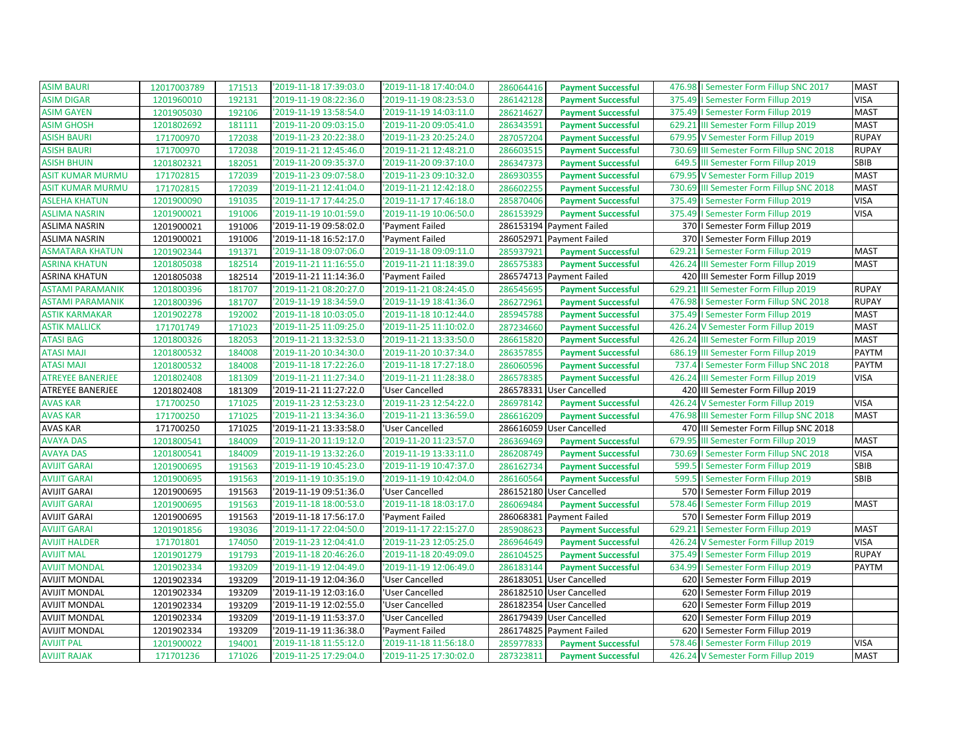| <b>ASIM DIGAR</b><br>'2019-11-19 08:22:36.0<br>'2019-11-19 08:23:53.0<br>375.49   Semester Form Fillup 2019<br><b>VISA</b><br>1201960010<br>192131<br>286142128<br><b>Payment Successful</b><br>1201905030<br>'2019-11-19 14:03:11.0<br>375.49   Semester Form Fillup 2019<br><b>ASIM GAYEN</b><br>192106<br>'2019-11-19 13:58:54.0<br>286214627<br><b>Payment Successful</b><br><b>MAST</b><br><b>MAST</b><br><b>ASIM GHOSH</b><br>'2019-11-20 09:03:15.0<br>'2019-11-20 09:05:41.0<br>629.21 III Semester Form Fillup 2019<br>1201802692<br>181111<br>286343591<br><b>Payment Successful</b><br><b>ASISH BAURI</b><br>'2019-11-23 20:22:38.0<br>'2019-11-23 20:25:24.0<br><b>RUPAY</b><br>171700970<br>172038<br>287057204<br><b>Payment Successful</b><br>679.95 V Semester Form Fillup 2019<br><b>ASISH BAURI</b><br>'2019-11-21 12:45:46.0<br>'2019-11-21 12:48:21.0<br>730.69 III Semester Form Fillup SNC 2018<br><b>RUPAY</b><br>171700970<br>172038<br>286603515<br><b>Payment Successful</b><br><b>ASISH BHUIN</b><br>1201802321<br>182051<br>'2019-11-20 09:35:37.0<br>'2019-11-20 09:37:10.0<br>286347373<br>649.5 III Semester Form Fillup 2019<br>SBIB<br><b>Payment Successful</b><br>172039<br>'2019-11-23 09:07:58.0<br>'2019-11-23 09:10:32.0<br>679.95 V Semester Form Fillup 2019<br><b>MAST</b><br>171702815<br>286930355<br><b>Payment Successful</b><br><b>MAST</b><br>ASIT KUMAR MURMU<br>171702815<br>172039<br>'2019-11-21 12:41:04.0<br>'2019-11-21 12:42:18.0<br>286602255<br><b>Payment Successful</b><br>730.69 III Semester Form Fillup SNC 2018<br><b>VISA</b><br><b>ASLEHA KHATUN</b><br>1201900090<br>191035<br>2019-11-17 17:44:25.0<br>'2019-11-17 17:46:18.0<br>375.49   Semester Form Fillup 2019<br>285870406<br><b>Payment Successful</b><br>1201900021<br>191006<br>'2019-11-19 10:01:59.0<br>'2019-11-19 10:06:50.0<br>286153929<br>375.49   Semester Form Fillup 2019<br><b>VISA</b><br><b>ASLIMA NASRIN</b><br><b>Payment Successful</b><br>286153194 Payment Failed<br>ASLIMA NASRIN<br>1201900021<br>191006<br>'2019-11-19 09:58:02.0<br>'Payment Failed<br>370   Semester Form Fillup 2019<br>191006<br>286052971<br>370   Semester Form Fillup 2019<br>ASLIMA NASRIN<br>1201900021<br>'2019-11-18 16:52:17.0<br>'Payment Failed<br>Payment Failed<br>629.21   Semester Form Fillup 2019<br><b>MAST</b><br>ASMATARA KHATUN<br>1201902344<br>191371<br>'2019-11-18 09:07:06.0<br>'2019-11-18 09:09:11.0<br>285937921<br><b>Payment Successful</b><br><b>ASRINA KHATUN</b><br>1201805038<br>182514<br>'2019-11-21 11:16:55.0<br>'2019-11-21 11:18:39.0<br>286575383<br>426.24 III Semester Form Fillup 2019<br><b>MAST</b><br><b>Payment Successful</b><br>286574713 Payment Failed<br>420 III Semester Form Fillup 2019<br>1201805038<br>182514<br>'2019-11-21 11:14:36.0<br>'Payment Failed<br><b>ASTAMI PARAMANIK</b><br>1201800396<br>181707<br>'2019-11-21 08:20:27.0<br>'2019-11-21 08:24:45.0<br>286545695<br><b>RUPAY</b><br><b>Payment Successful</b><br>629.21 III Semester Form Fillup 2019<br><b>ASTAMI PARAMANIK</b><br>2019-11-19 18:34:59.0<br>'2019-11-19 18:41:36.0<br>476.98   Semester Form Fillup SNC 2018<br><b>RUPAY</b><br>1201800396<br>181707<br>286272961<br><b>Payment Successful</b><br>1201902278<br>192002<br>'2019-11-18 10:03:05.0<br>'2019-11-18 10:12:44.0<br>285945788<br>375.49   Semester Form Fillup 2019<br><b>MAST</b><br><b>ASTIK KARMAKAR</b><br><b>Payment Successful</b><br><b>MAST</b><br><b>ASTIK MALLICK</b><br>'2019-11-25 11:09:25.0<br>'2019-11-25 11:10:02.0<br>287234660<br>426.24 V Semester Form Fillup 2019<br>171701749<br>171023<br><b>Payment Successful</b><br><b>ATASI BAG</b><br>'2019-11-21 13:32:53.0<br>'2019-11-21 13:33:50.0<br>426.24 III Semester Form Fillup 2019<br><b>MAST</b><br>1201800326<br>182053<br>286615820<br><b>Payment Successful</b><br><b>ATASI MAJI</b><br>PAYTM<br>'2019-11-20 10:34:30.0<br>'2019-11-20 10:37:34.0<br>686.19 III Semester Form Fillup 2019<br>1201800532<br>184008<br>286357855<br><b>Payment Successful</b><br><b>ATASI MAJI</b><br>'2019-11-18 17:22:26.0<br>'2019-11-18 17:27:18.0<br>737.4   Semester Form Fillup SNC 2018<br>PAYTM<br>1201800532<br>184008<br>286060596<br><b>Payment Successful</b><br><b>ATREYEE BANERJEE</b><br>'2019-11-21 11:27:34.0<br>'2019-11-21 11:28:38.0<br>286578385<br>426.24 III Semester Form Fillup 2019<br><b>VISA</b><br>1201802408<br>181309<br><b>Payment Successful</b><br>ATREYEE BANERJEE<br>1201802408<br>181309<br>'2019-11-21 11:27:22.0<br>'User Cancelled<br>286578331 User Cancelled<br>420 III Semester Form Fillup 2019<br><b>VISA</b><br><b>AVAS KAR</b><br>'2019-11-23 12:53:23.0<br>'2019-11-23 12:54:22.0<br>426.24 V Semester Form Fillup 2019<br>171700250<br>171025<br>286978142<br><b>Payment Successful</b><br><b>MAST</b><br><b>AVAS KAR</b><br>171700250<br>171025<br>'2019-11-21 13:34:36.0<br>'2019-11-21 13:36:59.0<br>286616209<br>476.98 III Semester Form Fillup SNC 2018<br><b>Payment Successful</b><br>171025<br>171700250<br>'2019-11-21 13:33:58.0<br>'User Cancelled<br>286616059 User Cancelled<br>470 III Semester Form Fillup SNC 2018<br>'2019-11-20 11:19:12.0<br>679.95 III Semester Form Fillup 2019<br><b>MAST</b><br><b>AVAYA DAS</b><br>1201800541<br>184009<br>'2019-11-20 11:23:57.0<br>286369469<br><b>Payment Successful</b><br><b>VISA</b><br><b>AVAYA DAS</b><br>1201800541<br>184009<br>'2019-11-19 13:32:26.0<br>'2019-11-19 13:33:11.0<br>286208749<br>730.69   Semester Form Fillup SNC 2018<br><b>Payment Successful</b><br><b>AVIJIT GARAI</b><br>'2019-11-19 10:45:23.0<br>'2019-11-19 10:47:37.0<br>599.5   Semester Form Fillup 2019<br>SBIB<br>1201900695<br>191563<br>286162734<br><b>Payment Successful</b><br>191563<br>'2019-11-19 10:42:04.0<br><b>AVIJIT GARAI</b><br>1201900695<br>'2019-11-19 10:35:19.0<br>286160564<br>599.5   Semester Form Fillup 2019<br><b>SBIB</b><br><b>Payment Successful</b><br>AVIJIT GARAI<br>'2019-11-19 09:51:36.0<br>286152180 User Cancelled<br>570   Semester Form Fillup 2019<br>1201900695<br>191563<br>'User Cancelled<br>'2019-11-18 18:00:53.0<br>578.46   Semester Form Fillup 2019<br><b>MAST</b><br><b>AVIJIT GARAI</b><br>1201900695<br>191563<br>'2019-11-18 18:03:17.0<br>286069484<br><b>Payment Successful</b><br>AVIJIT GARAI<br>'2019-11-18 17:56:17.0<br>286068381 Payment Failed<br>570   Semester Form Fillup 2019<br>1201900695<br>191563<br>'Payment Failed<br><b>AVIJIT GARAI</b><br>1201901856<br>193036<br>'2019-11-17 22:04:50.0<br>'2019-11-17 22:15:27.0<br>285908623<br>629.21   Semester Form Fillup 2019<br><b>MAST</b><br><b>Payment Successful</b><br><b>AVIJIT HALDER</b><br>'2019-11-23 12:04:41.0<br>'2019-11-23 12:05:25.0<br>426.24 V Semester Form Fillup 2019<br><b>VISA</b><br>171701801<br>174050<br>286964649<br><b>Payment Successful</b><br><b>AVIJIT MAL</b><br>1201901279<br>191793<br>'2019-11-18 20:46:26.0<br>286104525<br><b>RUPAY</b><br>'2019-11-18 20:49:09.0<br><b>Payment Successful</b><br>375.49   Semester Form Fillup 2019<br><b>AVIJIT MONDAL</b><br>1201902334<br>193209<br>'2019-11-19 12:04:49.0<br>'2019-11-19 12:06:49.0<br>286183144<br>634.99   Semester Form Fillup 2019<br><b>PAYTM</b><br><b>Payment Successful</b><br>1201902334<br>193209<br>'2019-11-19 12:04:36.0<br>'User Cancelled<br>286183051 User Cancelled<br>620   Semester Form Fillup 2019<br>1201902334<br>193209<br>'2019-11-19 12:03:16.0<br>'User Cancelled<br>286182510 User Cancelled<br>620   Semester Form Fillup 2019<br>193209<br>AVIJIT MONDAL<br>1201902334<br>'2019-11-19 12:02:55.0<br>'User Cancelled<br>286182354<br><b>User Cancelled</b><br>620   Semester Form Fillup 2019<br>286179439 User Cancelled<br>620   Semester Form Fillup 2019<br>AVIJIT MONDAL<br>193209<br>'2019-11-19 11:53:37.0<br>'User Cancelled<br>1201902334<br>1201902334<br>193209<br>286174825 Payment Failed<br>'2019-11-19 11:36:38.0<br>'Payment Failed<br>620   Semester Form Fillup 2019<br>194001<br>'2019-11-18 11:55:12.0<br>'2019-11-18 11:56:18.0<br>285977833<br><b>Payment Successful</b><br>578.46   Semester Form Fillup 2019<br><b>VISA</b><br>1201900022<br>2019-11-25 17:29:04.0<br><b>MAST</b><br>'2019-11-25 17:30:02.0<br>426.24 V Semester Form Fillup 2019<br>171701236<br>171026<br>287323811<br><b>Payment Successful</b> | <b>ASIM BAURI</b>       | 12017003789 | 171513 | '2019-11-18 17:39:03.0 | '2019-11-18 17:40:04.0 | 286064416<br><b>Payment Successful</b> | 476.98   Semester Form Fillup SNC 2017 | <b>MAST</b> |
|--------------------------------------------------------------------------------------------------------------------------------------------------------------------------------------------------------------------------------------------------------------------------------------------------------------------------------------------------------------------------------------------------------------------------------------------------------------------------------------------------------------------------------------------------------------------------------------------------------------------------------------------------------------------------------------------------------------------------------------------------------------------------------------------------------------------------------------------------------------------------------------------------------------------------------------------------------------------------------------------------------------------------------------------------------------------------------------------------------------------------------------------------------------------------------------------------------------------------------------------------------------------------------------------------------------------------------------------------------------------------------------------------------------------------------------------------------------------------------------------------------------------------------------------------------------------------------------------------------------------------------------------------------------------------------------------------------------------------------------------------------------------------------------------------------------------------------------------------------------------------------------------------------------------------------------------------------------------------------------------------------------------------------------------------------------------------------------------------------------------------------------------------------------------------------------------------------------------------------------------------------------------------------------------------------------------------------------------------------------------------------------------------------------------------------------------------------------------------------------------------------------------------------------------------------------------------------------------------------------------------------------------------------------------------------------------------------------------------------------------------------------------------------------------------------------------------------------------------------------------------------------------------------------------------------------------------------------------------------------------------------------------------------------------------------------------------------------------------------------------------------------------------------------------------------------------------------------------------------------------------------------------------------------------------------------------------------------------------------------------------------------------------------------------------------------------------------------------------------------------------------------------------------------------------------------------------------------------------------------------------------------------------------------------------------------------------------------------------------------------------------------------------------------------------------------------------------------------------------------------------------------------------------------------------------------------------------------------------------------------------------------------------------------------------------------------------------------------------------------------------------------------------------------------------------------------------------------------------------------------------------------------------------------------------------------------------------------------------------------------------------------------------------------------------------------------------------------------------------------------------------------------------------------------------------------------------------------------------------------------------------------------------------------------------------------------------------------------------------------------------------------------------------------------------------------------------------------------------------------------------------------------------------------------------------------------------------------------------------------------------------------------------------------------------------------------------------------------------------------------------------------------------------------------------------------------------------------------------------------------------------------------------------------------------------------------------------------------------------------------------------------------------------------------------------------------------------------------------------------------------------------------------------------------------------------------------------------------------------------------------------------------------------------------------------------------------------------------------------------------------------------------------------------------------------------------------------------------------------------------------------------------------------------------------------------------------------------------------------------------------------------------------------------------------------------------------------------------------------------------------------------------------------------------------------------------------------------------------------------------------------------------------------------------------------------------------------------------------------------------------------------------------------------------------------------------------------------------------------------------------------------------------------------------------------------------------------------------------------------------------------------------------------------------------------------------------------------------------------------------------------------------------------------------------------------------------------------------------------------------------------------------------------------------------------------------------------------------------------------------------------------------------------------------------------------------------------------------------------------------------------------------------------------------------------------------------------------------------------------------------------------------------------------------------------------------------------------------------------------------------------------------------------------------------------------------------------------------------------------------------------------------------------------------------------------------------------------------------------------------------------------------------------------------------------------------------------------------------------------------------------------------------------------------------------------------------------------------------------------------------------------------------------------------------------------------------------------------------------------------------------------------------------------------------------------------------------------------------------------------------------------------------------------------------------------------------------------------------------------------------------------------------------------------------------------------------------------------------------------------------------|-------------------------|-------------|--------|------------------------|------------------------|----------------------------------------|----------------------------------------|-------------|
|                                                                                                                                                                                                                                                                                                                                                                                                                                                                                                                                                                                                                                                                                                                                                                                                                                                                                                                                                                                                                                                                                                                                                                                                                                                                                                                                                                                                                                                                                                                                                                                                                                                                                                                                                                                                                                                                                                                                                                                                                                                                                                                                                                                                                                                                                                                                                                                                                                                                                                                                                                                                                                                                                                                                                                                                                                                                                                                                                                                                                                                                                                                                                                                                                                                                                                                                                                                                                                                                                                                                                                                                                                                                                                                                                                                                                                                                                                                                                                                                                                                                                                                                                                                                                                                                                                                                                                                                                                                                                                                                                                                                                                                                                                                                                                                                                                                                                                                                                                                                                                                                                                                                                                                                                                                                                                                                                                                                                                                                                                                                                                                                                                                                                                                                                                                                                                                                                                                                                                                                                                                                                                                                                                                                                                                                                                                                                                                                                                                                                                                                                                                                                                                                                                                                                                                                                                                                                                                                                                                                                                                                                                                                                                                                                                                                                                                                                                                                                                                                                                                                                                                                                                                                                                                                                                                                                                                                                                                                                                                                                                                                                                                                                                                                                                                                                                                                                                                |                         |             |        |                        |                        |                                        |                                        |             |
|                                                                                                                                                                                                                                                                                                                                                                                                                                                                                                                                                                                                                                                                                                                                                                                                                                                                                                                                                                                                                                                                                                                                                                                                                                                                                                                                                                                                                                                                                                                                                                                                                                                                                                                                                                                                                                                                                                                                                                                                                                                                                                                                                                                                                                                                                                                                                                                                                                                                                                                                                                                                                                                                                                                                                                                                                                                                                                                                                                                                                                                                                                                                                                                                                                                                                                                                                                                                                                                                                                                                                                                                                                                                                                                                                                                                                                                                                                                                                                                                                                                                                                                                                                                                                                                                                                                                                                                                                                                                                                                                                                                                                                                                                                                                                                                                                                                                                                                                                                                                                                                                                                                                                                                                                                                                                                                                                                                                                                                                                                                                                                                                                                                                                                                                                                                                                                                                                                                                                                                                                                                                                                                                                                                                                                                                                                                                                                                                                                                                                                                                                                                                                                                                                                                                                                                                                                                                                                                                                                                                                                                                                                                                                                                                                                                                                                                                                                                                                                                                                                                                                                                                                                                                                                                                                                                                                                                                                                                                                                                                                                                                                                                                                                                                                                                                                                                                                                                |                         |             |        |                        |                        |                                        |                                        |             |
|                                                                                                                                                                                                                                                                                                                                                                                                                                                                                                                                                                                                                                                                                                                                                                                                                                                                                                                                                                                                                                                                                                                                                                                                                                                                                                                                                                                                                                                                                                                                                                                                                                                                                                                                                                                                                                                                                                                                                                                                                                                                                                                                                                                                                                                                                                                                                                                                                                                                                                                                                                                                                                                                                                                                                                                                                                                                                                                                                                                                                                                                                                                                                                                                                                                                                                                                                                                                                                                                                                                                                                                                                                                                                                                                                                                                                                                                                                                                                                                                                                                                                                                                                                                                                                                                                                                                                                                                                                                                                                                                                                                                                                                                                                                                                                                                                                                                                                                                                                                                                                                                                                                                                                                                                                                                                                                                                                                                                                                                                                                                                                                                                                                                                                                                                                                                                                                                                                                                                                                                                                                                                                                                                                                                                                                                                                                                                                                                                                                                                                                                                                                                                                                                                                                                                                                                                                                                                                                                                                                                                                                                                                                                                                                                                                                                                                                                                                                                                                                                                                                                                                                                                                                                                                                                                                                                                                                                                                                                                                                                                                                                                                                                                                                                                                                                                                                                                                                |                         |             |        |                        |                        |                                        |                                        |             |
|                                                                                                                                                                                                                                                                                                                                                                                                                                                                                                                                                                                                                                                                                                                                                                                                                                                                                                                                                                                                                                                                                                                                                                                                                                                                                                                                                                                                                                                                                                                                                                                                                                                                                                                                                                                                                                                                                                                                                                                                                                                                                                                                                                                                                                                                                                                                                                                                                                                                                                                                                                                                                                                                                                                                                                                                                                                                                                                                                                                                                                                                                                                                                                                                                                                                                                                                                                                                                                                                                                                                                                                                                                                                                                                                                                                                                                                                                                                                                                                                                                                                                                                                                                                                                                                                                                                                                                                                                                                                                                                                                                                                                                                                                                                                                                                                                                                                                                                                                                                                                                                                                                                                                                                                                                                                                                                                                                                                                                                                                                                                                                                                                                                                                                                                                                                                                                                                                                                                                                                                                                                                                                                                                                                                                                                                                                                                                                                                                                                                                                                                                                                                                                                                                                                                                                                                                                                                                                                                                                                                                                                                                                                                                                                                                                                                                                                                                                                                                                                                                                                                                                                                                                                                                                                                                                                                                                                                                                                                                                                                                                                                                                                                                                                                                                                                                                                                                                                |                         |             |        |                        |                        |                                        |                                        |             |
|                                                                                                                                                                                                                                                                                                                                                                                                                                                                                                                                                                                                                                                                                                                                                                                                                                                                                                                                                                                                                                                                                                                                                                                                                                                                                                                                                                                                                                                                                                                                                                                                                                                                                                                                                                                                                                                                                                                                                                                                                                                                                                                                                                                                                                                                                                                                                                                                                                                                                                                                                                                                                                                                                                                                                                                                                                                                                                                                                                                                                                                                                                                                                                                                                                                                                                                                                                                                                                                                                                                                                                                                                                                                                                                                                                                                                                                                                                                                                                                                                                                                                                                                                                                                                                                                                                                                                                                                                                                                                                                                                                                                                                                                                                                                                                                                                                                                                                                                                                                                                                                                                                                                                                                                                                                                                                                                                                                                                                                                                                                                                                                                                                                                                                                                                                                                                                                                                                                                                                                                                                                                                                                                                                                                                                                                                                                                                                                                                                                                                                                                                                                                                                                                                                                                                                                                                                                                                                                                                                                                                                                                                                                                                                                                                                                                                                                                                                                                                                                                                                                                                                                                                                                                                                                                                                                                                                                                                                                                                                                                                                                                                                                                                                                                                                                                                                                                                                                |                         |             |        |                        |                        |                                        |                                        |             |
|                                                                                                                                                                                                                                                                                                                                                                                                                                                                                                                                                                                                                                                                                                                                                                                                                                                                                                                                                                                                                                                                                                                                                                                                                                                                                                                                                                                                                                                                                                                                                                                                                                                                                                                                                                                                                                                                                                                                                                                                                                                                                                                                                                                                                                                                                                                                                                                                                                                                                                                                                                                                                                                                                                                                                                                                                                                                                                                                                                                                                                                                                                                                                                                                                                                                                                                                                                                                                                                                                                                                                                                                                                                                                                                                                                                                                                                                                                                                                                                                                                                                                                                                                                                                                                                                                                                                                                                                                                                                                                                                                                                                                                                                                                                                                                                                                                                                                                                                                                                                                                                                                                                                                                                                                                                                                                                                                                                                                                                                                                                                                                                                                                                                                                                                                                                                                                                                                                                                                                                                                                                                                                                                                                                                                                                                                                                                                                                                                                                                                                                                                                                                                                                                                                                                                                                                                                                                                                                                                                                                                                                                                                                                                                                                                                                                                                                                                                                                                                                                                                                                                                                                                                                                                                                                                                                                                                                                                                                                                                                                                                                                                                                                                                                                                                                                                                                                                                                |                         |             |        |                        |                        |                                        |                                        |             |
|                                                                                                                                                                                                                                                                                                                                                                                                                                                                                                                                                                                                                                                                                                                                                                                                                                                                                                                                                                                                                                                                                                                                                                                                                                                                                                                                                                                                                                                                                                                                                                                                                                                                                                                                                                                                                                                                                                                                                                                                                                                                                                                                                                                                                                                                                                                                                                                                                                                                                                                                                                                                                                                                                                                                                                                                                                                                                                                                                                                                                                                                                                                                                                                                                                                                                                                                                                                                                                                                                                                                                                                                                                                                                                                                                                                                                                                                                                                                                                                                                                                                                                                                                                                                                                                                                                                                                                                                                                                                                                                                                                                                                                                                                                                                                                                                                                                                                                                                                                                                                                                                                                                                                                                                                                                                                                                                                                                                                                                                                                                                                                                                                                                                                                                                                                                                                                                                                                                                                                                                                                                                                                                                                                                                                                                                                                                                                                                                                                                                                                                                                                                                                                                                                                                                                                                                                                                                                                                                                                                                                                                                                                                                                                                                                                                                                                                                                                                                                                                                                                                                                                                                                                                                                                                                                                                                                                                                                                                                                                                                                                                                                                                                                                                                                                                                                                                                                                                | <b>ASIT KUMAR MURMU</b> |             |        |                        |                        |                                        |                                        |             |
|                                                                                                                                                                                                                                                                                                                                                                                                                                                                                                                                                                                                                                                                                                                                                                                                                                                                                                                                                                                                                                                                                                                                                                                                                                                                                                                                                                                                                                                                                                                                                                                                                                                                                                                                                                                                                                                                                                                                                                                                                                                                                                                                                                                                                                                                                                                                                                                                                                                                                                                                                                                                                                                                                                                                                                                                                                                                                                                                                                                                                                                                                                                                                                                                                                                                                                                                                                                                                                                                                                                                                                                                                                                                                                                                                                                                                                                                                                                                                                                                                                                                                                                                                                                                                                                                                                                                                                                                                                                                                                                                                                                                                                                                                                                                                                                                                                                                                                                                                                                                                                                                                                                                                                                                                                                                                                                                                                                                                                                                                                                                                                                                                                                                                                                                                                                                                                                                                                                                                                                                                                                                                                                                                                                                                                                                                                                                                                                                                                                                                                                                                                                                                                                                                                                                                                                                                                                                                                                                                                                                                                                                                                                                                                                                                                                                                                                                                                                                                                                                                                                                                                                                                                                                                                                                                                                                                                                                                                                                                                                                                                                                                                                                                                                                                                                                                                                                                                                |                         |             |        |                        |                        |                                        |                                        |             |
|                                                                                                                                                                                                                                                                                                                                                                                                                                                                                                                                                                                                                                                                                                                                                                                                                                                                                                                                                                                                                                                                                                                                                                                                                                                                                                                                                                                                                                                                                                                                                                                                                                                                                                                                                                                                                                                                                                                                                                                                                                                                                                                                                                                                                                                                                                                                                                                                                                                                                                                                                                                                                                                                                                                                                                                                                                                                                                                                                                                                                                                                                                                                                                                                                                                                                                                                                                                                                                                                                                                                                                                                                                                                                                                                                                                                                                                                                                                                                                                                                                                                                                                                                                                                                                                                                                                                                                                                                                                                                                                                                                                                                                                                                                                                                                                                                                                                                                                                                                                                                                                                                                                                                                                                                                                                                                                                                                                                                                                                                                                                                                                                                                                                                                                                                                                                                                                                                                                                                                                                                                                                                                                                                                                                                                                                                                                                                                                                                                                                                                                                                                                                                                                                                                                                                                                                                                                                                                                                                                                                                                                                                                                                                                                                                                                                                                                                                                                                                                                                                                                                                                                                                                                                                                                                                                                                                                                                                                                                                                                                                                                                                                                                                                                                                                                                                                                                                                                |                         |             |        |                        |                        |                                        |                                        |             |
|                                                                                                                                                                                                                                                                                                                                                                                                                                                                                                                                                                                                                                                                                                                                                                                                                                                                                                                                                                                                                                                                                                                                                                                                                                                                                                                                                                                                                                                                                                                                                                                                                                                                                                                                                                                                                                                                                                                                                                                                                                                                                                                                                                                                                                                                                                                                                                                                                                                                                                                                                                                                                                                                                                                                                                                                                                                                                                                                                                                                                                                                                                                                                                                                                                                                                                                                                                                                                                                                                                                                                                                                                                                                                                                                                                                                                                                                                                                                                                                                                                                                                                                                                                                                                                                                                                                                                                                                                                                                                                                                                                                                                                                                                                                                                                                                                                                                                                                                                                                                                                                                                                                                                                                                                                                                                                                                                                                                                                                                                                                                                                                                                                                                                                                                                                                                                                                                                                                                                                                                                                                                                                                                                                                                                                                                                                                                                                                                                                                                                                                                                                                                                                                                                                                                                                                                                                                                                                                                                                                                                                                                                                                                                                                                                                                                                                                                                                                                                                                                                                                                                                                                                                                                                                                                                                                                                                                                                                                                                                                                                                                                                                                                                                                                                                                                                                                                                                                |                         |             |        |                        |                        |                                        |                                        |             |
|                                                                                                                                                                                                                                                                                                                                                                                                                                                                                                                                                                                                                                                                                                                                                                                                                                                                                                                                                                                                                                                                                                                                                                                                                                                                                                                                                                                                                                                                                                                                                                                                                                                                                                                                                                                                                                                                                                                                                                                                                                                                                                                                                                                                                                                                                                                                                                                                                                                                                                                                                                                                                                                                                                                                                                                                                                                                                                                                                                                                                                                                                                                                                                                                                                                                                                                                                                                                                                                                                                                                                                                                                                                                                                                                                                                                                                                                                                                                                                                                                                                                                                                                                                                                                                                                                                                                                                                                                                                                                                                                                                                                                                                                                                                                                                                                                                                                                                                                                                                                                                                                                                                                                                                                                                                                                                                                                                                                                                                                                                                                                                                                                                                                                                                                                                                                                                                                                                                                                                                                                                                                                                                                                                                                                                                                                                                                                                                                                                                                                                                                                                                                                                                                                                                                                                                                                                                                                                                                                                                                                                                                                                                                                                                                                                                                                                                                                                                                                                                                                                                                                                                                                                                                                                                                                                                                                                                                                                                                                                                                                                                                                                                                                                                                                                                                                                                                                                                |                         |             |        |                        |                        |                                        |                                        |             |
|                                                                                                                                                                                                                                                                                                                                                                                                                                                                                                                                                                                                                                                                                                                                                                                                                                                                                                                                                                                                                                                                                                                                                                                                                                                                                                                                                                                                                                                                                                                                                                                                                                                                                                                                                                                                                                                                                                                                                                                                                                                                                                                                                                                                                                                                                                                                                                                                                                                                                                                                                                                                                                                                                                                                                                                                                                                                                                                                                                                                                                                                                                                                                                                                                                                                                                                                                                                                                                                                                                                                                                                                                                                                                                                                                                                                                                                                                                                                                                                                                                                                                                                                                                                                                                                                                                                                                                                                                                                                                                                                                                                                                                                                                                                                                                                                                                                                                                                                                                                                                                                                                                                                                                                                                                                                                                                                                                                                                                                                                                                                                                                                                                                                                                                                                                                                                                                                                                                                                                                                                                                                                                                                                                                                                                                                                                                                                                                                                                                                                                                                                                                                                                                                                                                                                                                                                                                                                                                                                                                                                                                                                                                                                                                                                                                                                                                                                                                                                                                                                                                                                                                                                                                                                                                                                                                                                                                                                                                                                                                                                                                                                                                                                                                                                                                                                                                                                                                |                         |             |        |                        |                        |                                        |                                        |             |
|                                                                                                                                                                                                                                                                                                                                                                                                                                                                                                                                                                                                                                                                                                                                                                                                                                                                                                                                                                                                                                                                                                                                                                                                                                                                                                                                                                                                                                                                                                                                                                                                                                                                                                                                                                                                                                                                                                                                                                                                                                                                                                                                                                                                                                                                                                                                                                                                                                                                                                                                                                                                                                                                                                                                                                                                                                                                                                                                                                                                                                                                                                                                                                                                                                                                                                                                                                                                                                                                                                                                                                                                                                                                                                                                                                                                                                                                                                                                                                                                                                                                                                                                                                                                                                                                                                                                                                                                                                                                                                                                                                                                                                                                                                                                                                                                                                                                                                                                                                                                                                                                                                                                                                                                                                                                                                                                                                                                                                                                                                                                                                                                                                                                                                                                                                                                                                                                                                                                                                                                                                                                                                                                                                                                                                                                                                                                                                                                                                                                                                                                                                                                                                                                                                                                                                                                                                                                                                                                                                                                                                                                                                                                                                                                                                                                                                                                                                                                                                                                                                                                                                                                                                                                                                                                                                                                                                                                                                                                                                                                                                                                                                                                                                                                                                                                                                                                                                                |                         |             |        |                        |                        |                                        |                                        |             |
|                                                                                                                                                                                                                                                                                                                                                                                                                                                                                                                                                                                                                                                                                                                                                                                                                                                                                                                                                                                                                                                                                                                                                                                                                                                                                                                                                                                                                                                                                                                                                                                                                                                                                                                                                                                                                                                                                                                                                                                                                                                                                                                                                                                                                                                                                                                                                                                                                                                                                                                                                                                                                                                                                                                                                                                                                                                                                                                                                                                                                                                                                                                                                                                                                                                                                                                                                                                                                                                                                                                                                                                                                                                                                                                                                                                                                                                                                                                                                                                                                                                                                                                                                                                                                                                                                                                                                                                                                                                                                                                                                                                                                                                                                                                                                                                                                                                                                                                                                                                                                                                                                                                                                                                                                                                                                                                                                                                                                                                                                                                                                                                                                                                                                                                                                                                                                                                                                                                                                                                                                                                                                                                                                                                                                                                                                                                                                                                                                                                                                                                                                                                                                                                                                                                                                                                                                                                                                                                                                                                                                                                                                                                                                                                                                                                                                                                                                                                                                                                                                                                                                                                                                                                                                                                                                                                                                                                                                                                                                                                                                                                                                                                                                                                                                                                                                                                                                                                |                         |             |        |                        |                        |                                        |                                        |             |
|                                                                                                                                                                                                                                                                                                                                                                                                                                                                                                                                                                                                                                                                                                                                                                                                                                                                                                                                                                                                                                                                                                                                                                                                                                                                                                                                                                                                                                                                                                                                                                                                                                                                                                                                                                                                                                                                                                                                                                                                                                                                                                                                                                                                                                                                                                                                                                                                                                                                                                                                                                                                                                                                                                                                                                                                                                                                                                                                                                                                                                                                                                                                                                                                                                                                                                                                                                                                                                                                                                                                                                                                                                                                                                                                                                                                                                                                                                                                                                                                                                                                                                                                                                                                                                                                                                                                                                                                                                                                                                                                                                                                                                                                                                                                                                                                                                                                                                                                                                                                                                                                                                                                                                                                                                                                                                                                                                                                                                                                                                                                                                                                                                                                                                                                                                                                                                                                                                                                                                                                                                                                                                                                                                                                                                                                                                                                                                                                                                                                                                                                                                                                                                                                                                                                                                                                                                                                                                                                                                                                                                                                                                                                                                                                                                                                                                                                                                                                                                                                                                                                                                                                                                                                                                                                                                                                                                                                                                                                                                                                                                                                                                                                                                                                                                                                                                                                                                                | ASRINA KHATUN           |             |        |                        |                        |                                        |                                        |             |
|                                                                                                                                                                                                                                                                                                                                                                                                                                                                                                                                                                                                                                                                                                                                                                                                                                                                                                                                                                                                                                                                                                                                                                                                                                                                                                                                                                                                                                                                                                                                                                                                                                                                                                                                                                                                                                                                                                                                                                                                                                                                                                                                                                                                                                                                                                                                                                                                                                                                                                                                                                                                                                                                                                                                                                                                                                                                                                                                                                                                                                                                                                                                                                                                                                                                                                                                                                                                                                                                                                                                                                                                                                                                                                                                                                                                                                                                                                                                                                                                                                                                                                                                                                                                                                                                                                                                                                                                                                                                                                                                                                                                                                                                                                                                                                                                                                                                                                                                                                                                                                                                                                                                                                                                                                                                                                                                                                                                                                                                                                                                                                                                                                                                                                                                                                                                                                                                                                                                                                                                                                                                                                                                                                                                                                                                                                                                                                                                                                                                                                                                                                                                                                                                                                                                                                                                                                                                                                                                                                                                                                                                                                                                                                                                                                                                                                                                                                                                                                                                                                                                                                                                                                                                                                                                                                                                                                                                                                                                                                                                                                                                                                                                                                                                                                                                                                                                                                                |                         |             |        |                        |                        |                                        |                                        |             |
|                                                                                                                                                                                                                                                                                                                                                                                                                                                                                                                                                                                                                                                                                                                                                                                                                                                                                                                                                                                                                                                                                                                                                                                                                                                                                                                                                                                                                                                                                                                                                                                                                                                                                                                                                                                                                                                                                                                                                                                                                                                                                                                                                                                                                                                                                                                                                                                                                                                                                                                                                                                                                                                                                                                                                                                                                                                                                                                                                                                                                                                                                                                                                                                                                                                                                                                                                                                                                                                                                                                                                                                                                                                                                                                                                                                                                                                                                                                                                                                                                                                                                                                                                                                                                                                                                                                                                                                                                                                                                                                                                                                                                                                                                                                                                                                                                                                                                                                                                                                                                                                                                                                                                                                                                                                                                                                                                                                                                                                                                                                                                                                                                                                                                                                                                                                                                                                                                                                                                                                                                                                                                                                                                                                                                                                                                                                                                                                                                                                                                                                                                                                                                                                                                                                                                                                                                                                                                                                                                                                                                                                                                                                                                                                                                                                                                                                                                                                                                                                                                                                                                                                                                                                                                                                                                                                                                                                                                                                                                                                                                                                                                                                                                                                                                                                                                                                                                                                |                         |             |        |                        |                        |                                        |                                        |             |
|                                                                                                                                                                                                                                                                                                                                                                                                                                                                                                                                                                                                                                                                                                                                                                                                                                                                                                                                                                                                                                                                                                                                                                                                                                                                                                                                                                                                                                                                                                                                                                                                                                                                                                                                                                                                                                                                                                                                                                                                                                                                                                                                                                                                                                                                                                                                                                                                                                                                                                                                                                                                                                                                                                                                                                                                                                                                                                                                                                                                                                                                                                                                                                                                                                                                                                                                                                                                                                                                                                                                                                                                                                                                                                                                                                                                                                                                                                                                                                                                                                                                                                                                                                                                                                                                                                                                                                                                                                                                                                                                                                                                                                                                                                                                                                                                                                                                                                                                                                                                                                                                                                                                                                                                                                                                                                                                                                                                                                                                                                                                                                                                                                                                                                                                                                                                                                                                                                                                                                                                                                                                                                                                                                                                                                                                                                                                                                                                                                                                                                                                                                                                                                                                                                                                                                                                                                                                                                                                                                                                                                                                                                                                                                                                                                                                                                                                                                                                                                                                                                                                                                                                                                                                                                                                                                                                                                                                                                                                                                                                                                                                                                                                                                                                                                                                                                                                                                                |                         |             |        |                        |                        |                                        |                                        |             |
|                                                                                                                                                                                                                                                                                                                                                                                                                                                                                                                                                                                                                                                                                                                                                                                                                                                                                                                                                                                                                                                                                                                                                                                                                                                                                                                                                                                                                                                                                                                                                                                                                                                                                                                                                                                                                                                                                                                                                                                                                                                                                                                                                                                                                                                                                                                                                                                                                                                                                                                                                                                                                                                                                                                                                                                                                                                                                                                                                                                                                                                                                                                                                                                                                                                                                                                                                                                                                                                                                                                                                                                                                                                                                                                                                                                                                                                                                                                                                                                                                                                                                                                                                                                                                                                                                                                                                                                                                                                                                                                                                                                                                                                                                                                                                                                                                                                                                                                                                                                                                                                                                                                                                                                                                                                                                                                                                                                                                                                                                                                                                                                                                                                                                                                                                                                                                                                                                                                                                                                                                                                                                                                                                                                                                                                                                                                                                                                                                                                                                                                                                                                                                                                                                                                                                                                                                                                                                                                                                                                                                                                                                                                                                                                                                                                                                                                                                                                                                                                                                                                                                                                                                                                                                                                                                                                                                                                                                                                                                                                                                                                                                                                                                                                                                                                                                                                                                                                |                         |             |        |                        |                        |                                        |                                        |             |
|                                                                                                                                                                                                                                                                                                                                                                                                                                                                                                                                                                                                                                                                                                                                                                                                                                                                                                                                                                                                                                                                                                                                                                                                                                                                                                                                                                                                                                                                                                                                                                                                                                                                                                                                                                                                                                                                                                                                                                                                                                                                                                                                                                                                                                                                                                                                                                                                                                                                                                                                                                                                                                                                                                                                                                                                                                                                                                                                                                                                                                                                                                                                                                                                                                                                                                                                                                                                                                                                                                                                                                                                                                                                                                                                                                                                                                                                                                                                                                                                                                                                                                                                                                                                                                                                                                                                                                                                                                                                                                                                                                                                                                                                                                                                                                                                                                                                                                                                                                                                                                                                                                                                                                                                                                                                                                                                                                                                                                                                                                                                                                                                                                                                                                                                                                                                                                                                                                                                                                                                                                                                                                                                                                                                                                                                                                                                                                                                                                                                                                                                                                                                                                                                                                                                                                                                                                                                                                                                                                                                                                                                                                                                                                                                                                                                                                                                                                                                                                                                                                                                                                                                                                                                                                                                                                                                                                                                                                                                                                                                                                                                                                                                                                                                                                                                                                                                                                                |                         |             |        |                        |                        |                                        |                                        |             |
|                                                                                                                                                                                                                                                                                                                                                                                                                                                                                                                                                                                                                                                                                                                                                                                                                                                                                                                                                                                                                                                                                                                                                                                                                                                                                                                                                                                                                                                                                                                                                                                                                                                                                                                                                                                                                                                                                                                                                                                                                                                                                                                                                                                                                                                                                                                                                                                                                                                                                                                                                                                                                                                                                                                                                                                                                                                                                                                                                                                                                                                                                                                                                                                                                                                                                                                                                                                                                                                                                                                                                                                                                                                                                                                                                                                                                                                                                                                                                                                                                                                                                                                                                                                                                                                                                                                                                                                                                                                                                                                                                                                                                                                                                                                                                                                                                                                                                                                                                                                                                                                                                                                                                                                                                                                                                                                                                                                                                                                                                                                                                                                                                                                                                                                                                                                                                                                                                                                                                                                                                                                                                                                                                                                                                                                                                                                                                                                                                                                                                                                                                                                                                                                                                                                                                                                                                                                                                                                                                                                                                                                                                                                                                                                                                                                                                                                                                                                                                                                                                                                                                                                                                                                                                                                                                                                                                                                                                                                                                                                                                                                                                                                                                                                                                                                                                                                                                                                |                         |             |        |                        |                        |                                        |                                        |             |
|                                                                                                                                                                                                                                                                                                                                                                                                                                                                                                                                                                                                                                                                                                                                                                                                                                                                                                                                                                                                                                                                                                                                                                                                                                                                                                                                                                                                                                                                                                                                                                                                                                                                                                                                                                                                                                                                                                                                                                                                                                                                                                                                                                                                                                                                                                                                                                                                                                                                                                                                                                                                                                                                                                                                                                                                                                                                                                                                                                                                                                                                                                                                                                                                                                                                                                                                                                                                                                                                                                                                                                                                                                                                                                                                                                                                                                                                                                                                                                                                                                                                                                                                                                                                                                                                                                                                                                                                                                                                                                                                                                                                                                                                                                                                                                                                                                                                                                                                                                                                                                                                                                                                                                                                                                                                                                                                                                                                                                                                                                                                                                                                                                                                                                                                                                                                                                                                                                                                                                                                                                                                                                                                                                                                                                                                                                                                                                                                                                                                                                                                                                                                                                                                                                                                                                                                                                                                                                                                                                                                                                                                                                                                                                                                                                                                                                                                                                                                                                                                                                                                                                                                                                                                                                                                                                                                                                                                                                                                                                                                                                                                                                                                                                                                                                                                                                                                                                                |                         |             |        |                        |                        |                                        |                                        |             |
|                                                                                                                                                                                                                                                                                                                                                                                                                                                                                                                                                                                                                                                                                                                                                                                                                                                                                                                                                                                                                                                                                                                                                                                                                                                                                                                                                                                                                                                                                                                                                                                                                                                                                                                                                                                                                                                                                                                                                                                                                                                                                                                                                                                                                                                                                                                                                                                                                                                                                                                                                                                                                                                                                                                                                                                                                                                                                                                                                                                                                                                                                                                                                                                                                                                                                                                                                                                                                                                                                                                                                                                                                                                                                                                                                                                                                                                                                                                                                                                                                                                                                                                                                                                                                                                                                                                                                                                                                                                                                                                                                                                                                                                                                                                                                                                                                                                                                                                                                                                                                                                                                                                                                                                                                                                                                                                                                                                                                                                                                                                                                                                                                                                                                                                                                                                                                                                                                                                                                                                                                                                                                                                                                                                                                                                                                                                                                                                                                                                                                                                                                                                                                                                                                                                                                                                                                                                                                                                                                                                                                                                                                                                                                                                                                                                                                                                                                                                                                                                                                                                                                                                                                                                                                                                                                                                                                                                                                                                                                                                                                                                                                                                                                                                                                                                                                                                                                                                |                         |             |        |                        |                        |                                        |                                        |             |
|                                                                                                                                                                                                                                                                                                                                                                                                                                                                                                                                                                                                                                                                                                                                                                                                                                                                                                                                                                                                                                                                                                                                                                                                                                                                                                                                                                                                                                                                                                                                                                                                                                                                                                                                                                                                                                                                                                                                                                                                                                                                                                                                                                                                                                                                                                                                                                                                                                                                                                                                                                                                                                                                                                                                                                                                                                                                                                                                                                                                                                                                                                                                                                                                                                                                                                                                                                                                                                                                                                                                                                                                                                                                                                                                                                                                                                                                                                                                                                                                                                                                                                                                                                                                                                                                                                                                                                                                                                                                                                                                                                                                                                                                                                                                                                                                                                                                                                                                                                                                                                                                                                                                                                                                                                                                                                                                                                                                                                                                                                                                                                                                                                                                                                                                                                                                                                                                                                                                                                                                                                                                                                                                                                                                                                                                                                                                                                                                                                                                                                                                                                                                                                                                                                                                                                                                                                                                                                                                                                                                                                                                                                                                                                                                                                                                                                                                                                                                                                                                                                                                                                                                                                                                                                                                                                                                                                                                                                                                                                                                                                                                                                                                                                                                                                                                                                                                                                                |                         |             |        |                        |                        |                                        |                                        |             |
|                                                                                                                                                                                                                                                                                                                                                                                                                                                                                                                                                                                                                                                                                                                                                                                                                                                                                                                                                                                                                                                                                                                                                                                                                                                                                                                                                                                                                                                                                                                                                                                                                                                                                                                                                                                                                                                                                                                                                                                                                                                                                                                                                                                                                                                                                                                                                                                                                                                                                                                                                                                                                                                                                                                                                                                                                                                                                                                                                                                                                                                                                                                                                                                                                                                                                                                                                                                                                                                                                                                                                                                                                                                                                                                                                                                                                                                                                                                                                                                                                                                                                                                                                                                                                                                                                                                                                                                                                                                                                                                                                                                                                                                                                                                                                                                                                                                                                                                                                                                                                                                                                                                                                                                                                                                                                                                                                                                                                                                                                                                                                                                                                                                                                                                                                                                                                                                                                                                                                                                                                                                                                                                                                                                                                                                                                                                                                                                                                                                                                                                                                                                                                                                                                                                                                                                                                                                                                                                                                                                                                                                                                                                                                                                                                                                                                                                                                                                                                                                                                                                                                                                                                                                                                                                                                                                                                                                                                                                                                                                                                                                                                                                                                                                                                                                                                                                                                                                |                         |             |        |                        |                        |                                        |                                        |             |
|                                                                                                                                                                                                                                                                                                                                                                                                                                                                                                                                                                                                                                                                                                                                                                                                                                                                                                                                                                                                                                                                                                                                                                                                                                                                                                                                                                                                                                                                                                                                                                                                                                                                                                                                                                                                                                                                                                                                                                                                                                                                                                                                                                                                                                                                                                                                                                                                                                                                                                                                                                                                                                                                                                                                                                                                                                                                                                                                                                                                                                                                                                                                                                                                                                                                                                                                                                                                                                                                                                                                                                                                                                                                                                                                                                                                                                                                                                                                                                                                                                                                                                                                                                                                                                                                                                                                                                                                                                                                                                                                                                                                                                                                                                                                                                                                                                                                                                                                                                                                                                                                                                                                                                                                                                                                                                                                                                                                                                                                                                                                                                                                                                                                                                                                                                                                                                                                                                                                                                                                                                                                                                                                                                                                                                                                                                                                                                                                                                                                                                                                                                                                                                                                                                                                                                                                                                                                                                                                                                                                                                                                                                                                                                                                                                                                                                                                                                                                                                                                                                                                                                                                                                                                                                                                                                                                                                                                                                                                                                                                                                                                                                                                                                                                                                                                                                                                                                                |                         |             |        |                        |                        |                                        |                                        |             |
|                                                                                                                                                                                                                                                                                                                                                                                                                                                                                                                                                                                                                                                                                                                                                                                                                                                                                                                                                                                                                                                                                                                                                                                                                                                                                                                                                                                                                                                                                                                                                                                                                                                                                                                                                                                                                                                                                                                                                                                                                                                                                                                                                                                                                                                                                                                                                                                                                                                                                                                                                                                                                                                                                                                                                                                                                                                                                                                                                                                                                                                                                                                                                                                                                                                                                                                                                                                                                                                                                                                                                                                                                                                                                                                                                                                                                                                                                                                                                                                                                                                                                                                                                                                                                                                                                                                                                                                                                                                                                                                                                                                                                                                                                                                                                                                                                                                                                                                                                                                                                                                                                                                                                                                                                                                                                                                                                                                                                                                                                                                                                                                                                                                                                                                                                                                                                                                                                                                                                                                                                                                                                                                                                                                                                                                                                                                                                                                                                                                                                                                                                                                                                                                                                                                                                                                                                                                                                                                                                                                                                                                                                                                                                                                                                                                                                                                                                                                                                                                                                                                                                                                                                                                                                                                                                                                                                                                                                                                                                                                                                                                                                                                                                                                                                                                                                                                                                                                | AVAS KAR                |             |        |                        |                        |                                        |                                        |             |
|                                                                                                                                                                                                                                                                                                                                                                                                                                                                                                                                                                                                                                                                                                                                                                                                                                                                                                                                                                                                                                                                                                                                                                                                                                                                                                                                                                                                                                                                                                                                                                                                                                                                                                                                                                                                                                                                                                                                                                                                                                                                                                                                                                                                                                                                                                                                                                                                                                                                                                                                                                                                                                                                                                                                                                                                                                                                                                                                                                                                                                                                                                                                                                                                                                                                                                                                                                                                                                                                                                                                                                                                                                                                                                                                                                                                                                                                                                                                                                                                                                                                                                                                                                                                                                                                                                                                                                                                                                                                                                                                                                                                                                                                                                                                                                                                                                                                                                                                                                                                                                                                                                                                                                                                                                                                                                                                                                                                                                                                                                                                                                                                                                                                                                                                                                                                                                                                                                                                                                                                                                                                                                                                                                                                                                                                                                                                                                                                                                                                                                                                                                                                                                                                                                                                                                                                                                                                                                                                                                                                                                                                                                                                                                                                                                                                                                                                                                                                                                                                                                                                                                                                                                                                                                                                                                                                                                                                                                                                                                                                                                                                                                                                                                                                                                                                                                                                                                                |                         |             |        |                        |                        |                                        |                                        |             |
|                                                                                                                                                                                                                                                                                                                                                                                                                                                                                                                                                                                                                                                                                                                                                                                                                                                                                                                                                                                                                                                                                                                                                                                                                                                                                                                                                                                                                                                                                                                                                                                                                                                                                                                                                                                                                                                                                                                                                                                                                                                                                                                                                                                                                                                                                                                                                                                                                                                                                                                                                                                                                                                                                                                                                                                                                                                                                                                                                                                                                                                                                                                                                                                                                                                                                                                                                                                                                                                                                                                                                                                                                                                                                                                                                                                                                                                                                                                                                                                                                                                                                                                                                                                                                                                                                                                                                                                                                                                                                                                                                                                                                                                                                                                                                                                                                                                                                                                                                                                                                                                                                                                                                                                                                                                                                                                                                                                                                                                                                                                                                                                                                                                                                                                                                                                                                                                                                                                                                                                                                                                                                                                                                                                                                                                                                                                                                                                                                                                                                                                                                                                                                                                                                                                                                                                                                                                                                                                                                                                                                                                                                                                                                                                                                                                                                                                                                                                                                                                                                                                                                                                                                                                                                                                                                                                                                                                                                                                                                                                                                                                                                                                                                                                                                                                                                                                                                                                |                         |             |        |                        |                        |                                        |                                        |             |
|                                                                                                                                                                                                                                                                                                                                                                                                                                                                                                                                                                                                                                                                                                                                                                                                                                                                                                                                                                                                                                                                                                                                                                                                                                                                                                                                                                                                                                                                                                                                                                                                                                                                                                                                                                                                                                                                                                                                                                                                                                                                                                                                                                                                                                                                                                                                                                                                                                                                                                                                                                                                                                                                                                                                                                                                                                                                                                                                                                                                                                                                                                                                                                                                                                                                                                                                                                                                                                                                                                                                                                                                                                                                                                                                                                                                                                                                                                                                                                                                                                                                                                                                                                                                                                                                                                                                                                                                                                                                                                                                                                                                                                                                                                                                                                                                                                                                                                                                                                                                                                                                                                                                                                                                                                                                                                                                                                                                                                                                                                                                                                                                                                                                                                                                                                                                                                                                                                                                                                                                                                                                                                                                                                                                                                                                                                                                                                                                                                                                                                                                                                                                                                                                                                                                                                                                                                                                                                                                                                                                                                                                                                                                                                                                                                                                                                                                                                                                                                                                                                                                                                                                                                                                                                                                                                                                                                                                                                                                                                                                                                                                                                                                                                                                                                                                                                                                                                                |                         |             |        |                        |                        |                                        |                                        |             |
|                                                                                                                                                                                                                                                                                                                                                                                                                                                                                                                                                                                                                                                                                                                                                                                                                                                                                                                                                                                                                                                                                                                                                                                                                                                                                                                                                                                                                                                                                                                                                                                                                                                                                                                                                                                                                                                                                                                                                                                                                                                                                                                                                                                                                                                                                                                                                                                                                                                                                                                                                                                                                                                                                                                                                                                                                                                                                                                                                                                                                                                                                                                                                                                                                                                                                                                                                                                                                                                                                                                                                                                                                                                                                                                                                                                                                                                                                                                                                                                                                                                                                                                                                                                                                                                                                                                                                                                                                                                                                                                                                                                                                                                                                                                                                                                                                                                                                                                                                                                                                                                                                                                                                                                                                                                                                                                                                                                                                                                                                                                                                                                                                                                                                                                                                                                                                                                                                                                                                                                                                                                                                                                                                                                                                                                                                                                                                                                                                                                                                                                                                                                                                                                                                                                                                                                                                                                                                                                                                                                                                                                                                                                                                                                                                                                                                                                                                                                                                                                                                                                                                                                                                                                                                                                                                                                                                                                                                                                                                                                                                                                                                                                                                                                                                                                                                                                                                                                |                         |             |        |                        |                        |                                        |                                        |             |
|                                                                                                                                                                                                                                                                                                                                                                                                                                                                                                                                                                                                                                                                                                                                                                                                                                                                                                                                                                                                                                                                                                                                                                                                                                                                                                                                                                                                                                                                                                                                                                                                                                                                                                                                                                                                                                                                                                                                                                                                                                                                                                                                                                                                                                                                                                                                                                                                                                                                                                                                                                                                                                                                                                                                                                                                                                                                                                                                                                                                                                                                                                                                                                                                                                                                                                                                                                                                                                                                                                                                                                                                                                                                                                                                                                                                                                                                                                                                                                                                                                                                                                                                                                                                                                                                                                                                                                                                                                                                                                                                                                                                                                                                                                                                                                                                                                                                                                                                                                                                                                                                                                                                                                                                                                                                                                                                                                                                                                                                                                                                                                                                                                                                                                                                                                                                                                                                                                                                                                                                                                                                                                                                                                                                                                                                                                                                                                                                                                                                                                                                                                                                                                                                                                                                                                                                                                                                                                                                                                                                                                                                                                                                                                                                                                                                                                                                                                                                                                                                                                                                                                                                                                                                                                                                                                                                                                                                                                                                                                                                                                                                                                                                                                                                                                                                                                                                                                                |                         |             |        |                        |                        |                                        |                                        |             |
|                                                                                                                                                                                                                                                                                                                                                                                                                                                                                                                                                                                                                                                                                                                                                                                                                                                                                                                                                                                                                                                                                                                                                                                                                                                                                                                                                                                                                                                                                                                                                                                                                                                                                                                                                                                                                                                                                                                                                                                                                                                                                                                                                                                                                                                                                                                                                                                                                                                                                                                                                                                                                                                                                                                                                                                                                                                                                                                                                                                                                                                                                                                                                                                                                                                                                                                                                                                                                                                                                                                                                                                                                                                                                                                                                                                                                                                                                                                                                                                                                                                                                                                                                                                                                                                                                                                                                                                                                                                                                                                                                                                                                                                                                                                                                                                                                                                                                                                                                                                                                                                                                                                                                                                                                                                                                                                                                                                                                                                                                                                                                                                                                                                                                                                                                                                                                                                                                                                                                                                                                                                                                                                                                                                                                                                                                                                                                                                                                                                                                                                                                                                                                                                                                                                                                                                                                                                                                                                                                                                                                                                                                                                                                                                                                                                                                                                                                                                                                                                                                                                                                                                                                                                                                                                                                                                                                                                                                                                                                                                                                                                                                                                                                                                                                                                                                                                                                                                |                         |             |        |                        |                        |                                        |                                        |             |
|                                                                                                                                                                                                                                                                                                                                                                                                                                                                                                                                                                                                                                                                                                                                                                                                                                                                                                                                                                                                                                                                                                                                                                                                                                                                                                                                                                                                                                                                                                                                                                                                                                                                                                                                                                                                                                                                                                                                                                                                                                                                                                                                                                                                                                                                                                                                                                                                                                                                                                                                                                                                                                                                                                                                                                                                                                                                                                                                                                                                                                                                                                                                                                                                                                                                                                                                                                                                                                                                                                                                                                                                                                                                                                                                                                                                                                                                                                                                                                                                                                                                                                                                                                                                                                                                                                                                                                                                                                                                                                                                                                                                                                                                                                                                                                                                                                                                                                                                                                                                                                                                                                                                                                                                                                                                                                                                                                                                                                                                                                                                                                                                                                                                                                                                                                                                                                                                                                                                                                                                                                                                                                                                                                                                                                                                                                                                                                                                                                                                                                                                                                                                                                                                                                                                                                                                                                                                                                                                                                                                                                                                                                                                                                                                                                                                                                                                                                                                                                                                                                                                                                                                                                                                                                                                                                                                                                                                                                                                                                                                                                                                                                                                                                                                                                                                                                                                                                                |                         |             |        |                        |                        |                                        |                                        |             |
|                                                                                                                                                                                                                                                                                                                                                                                                                                                                                                                                                                                                                                                                                                                                                                                                                                                                                                                                                                                                                                                                                                                                                                                                                                                                                                                                                                                                                                                                                                                                                                                                                                                                                                                                                                                                                                                                                                                                                                                                                                                                                                                                                                                                                                                                                                                                                                                                                                                                                                                                                                                                                                                                                                                                                                                                                                                                                                                                                                                                                                                                                                                                                                                                                                                                                                                                                                                                                                                                                                                                                                                                                                                                                                                                                                                                                                                                                                                                                                                                                                                                                                                                                                                                                                                                                                                                                                                                                                                                                                                                                                                                                                                                                                                                                                                                                                                                                                                                                                                                                                                                                                                                                                                                                                                                                                                                                                                                                                                                                                                                                                                                                                                                                                                                                                                                                                                                                                                                                                                                                                                                                                                                                                                                                                                                                                                                                                                                                                                                                                                                                                                                                                                                                                                                                                                                                                                                                                                                                                                                                                                                                                                                                                                                                                                                                                                                                                                                                                                                                                                                                                                                                                                                                                                                                                                                                                                                                                                                                                                                                                                                                                                                                                                                                                                                                                                                                                                |                         |             |        |                        |                        |                                        |                                        |             |
|                                                                                                                                                                                                                                                                                                                                                                                                                                                                                                                                                                                                                                                                                                                                                                                                                                                                                                                                                                                                                                                                                                                                                                                                                                                                                                                                                                                                                                                                                                                                                                                                                                                                                                                                                                                                                                                                                                                                                                                                                                                                                                                                                                                                                                                                                                                                                                                                                                                                                                                                                                                                                                                                                                                                                                                                                                                                                                                                                                                                                                                                                                                                                                                                                                                                                                                                                                                                                                                                                                                                                                                                                                                                                                                                                                                                                                                                                                                                                                                                                                                                                                                                                                                                                                                                                                                                                                                                                                                                                                                                                                                                                                                                                                                                                                                                                                                                                                                                                                                                                                                                                                                                                                                                                                                                                                                                                                                                                                                                                                                                                                                                                                                                                                                                                                                                                                                                                                                                                                                                                                                                                                                                                                                                                                                                                                                                                                                                                                                                                                                                                                                                                                                                                                                                                                                                                                                                                                                                                                                                                                                                                                                                                                                                                                                                                                                                                                                                                                                                                                                                                                                                                                                                                                                                                                                                                                                                                                                                                                                                                                                                                                                                                                                                                                                                                                                                                                                |                         |             |        |                        |                        |                                        |                                        |             |
|                                                                                                                                                                                                                                                                                                                                                                                                                                                                                                                                                                                                                                                                                                                                                                                                                                                                                                                                                                                                                                                                                                                                                                                                                                                                                                                                                                                                                                                                                                                                                                                                                                                                                                                                                                                                                                                                                                                                                                                                                                                                                                                                                                                                                                                                                                                                                                                                                                                                                                                                                                                                                                                                                                                                                                                                                                                                                                                                                                                                                                                                                                                                                                                                                                                                                                                                                                                                                                                                                                                                                                                                                                                                                                                                                                                                                                                                                                                                                                                                                                                                                                                                                                                                                                                                                                                                                                                                                                                                                                                                                                                                                                                                                                                                                                                                                                                                                                                                                                                                                                                                                                                                                                                                                                                                                                                                                                                                                                                                                                                                                                                                                                                                                                                                                                                                                                                                                                                                                                                                                                                                                                                                                                                                                                                                                                                                                                                                                                                                                                                                                                                                                                                                                                                                                                                                                                                                                                                                                                                                                                                                                                                                                                                                                                                                                                                                                                                                                                                                                                                                                                                                                                                                                                                                                                                                                                                                                                                                                                                                                                                                                                                                                                                                                                                                                                                                                                                |                         |             |        |                        |                        |                                        |                                        |             |
|                                                                                                                                                                                                                                                                                                                                                                                                                                                                                                                                                                                                                                                                                                                                                                                                                                                                                                                                                                                                                                                                                                                                                                                                                                                                                                                                                                                                                                                                                                                                                                                                                                                                                                                                                                                                                                                                                                                                                                                                                                                                                                                                                                                                                                                                                                                                                                                                                                                                                                                                                                                                                                                                                                                                                                                                                                                                                                                                                                                                                                                                                                                                                                                                                                                                                                                                                                                                                                                                                                                                                                                                                                                                                                                                                                                                                                                                                                                                                                                                                                                                                                                                                                                                                                                                                                                                                                                                                                                                                                                                                                                                                                                                                                                                                                                                                                                                                                                                                                                                                                                                                                                                                                                                                                                                                                                                                                                                                                                                                                                                                                                                                                                                                                                                                                                                                                                                                                                                                                                                                                                                                                                                                                                                                                                                                                                                                                                                                                                                                                                                                                                                                                                                                                                                                                                                                                                                                                                                                                                                                                                                                                                                                                                                                                                                                                                                                                                                                                                                                                                                                                                                                                                                                                                                                                                                                                                                                                                                                                                                                                                                                                                                                                                                                                                                                                                                                                                |                         |             |        |                        |                        |                                        |                                        |             |
|                                                                                                                                                                                                                                                                                                                                                                                                                                                                                                                                                                                                                                                                                                                                                                                                                                                                                                                                                                                                                                                                                                                                                                                                                                                                                                                                                                                                                                                                                                                                                                                                                                                                                                                                                                                                                                                                                                                                                                                                                                                                                                                                                                                                                                                                                                                                                                                                                                                                                                                                                                                                                                                                                                                                                                                                                                                                                                                                                                                                                                                                                                                                                                                                                                                                                                                                                                                                                                                                                                                                                                                                                                                                                                                                                                                                                                                                                                                                                                                                                                                                                                                                                                                                                                                                                                                                                                                                                                                                                                                                                                                                                                                                                                                                                                                                                                                                                                                                                                                                                                                                                                                                                                                                                                                                                                                                                                                                                                                                                                                                                                                                                                                                                                                                                                                                                                                                                                                                                                                                                                                                                                                                                                                                                                                                                                                                                                                                                                                                                                                                                                                                                                                                                                                                                                                                                                                                                                                                                                                                                                                                                                                                                                                                                                                                                                                                                                                                                                                                                                                                                                                                                                                                                                                                                                                                                                                                                                                                                                                                                                                                                                                                                                                                                                                                                                                                                                                | <b>AVIJIT MONDAL</b>    |             |        |                        |                        |                                        |                                        |             |
|                                                                                                                                                                                                                                                                                                                                                                                                                                                                                                                                                                                                                                                                                                                                                                                                                                                                                                                                                                                                                                                                                                                                                                                                                                                                                                                                                                                                                                                                                                                                                                                                                                                                                                                                                                                                                                                                                                                                                                                                                                                                                                                                                                                                                                                                                                                                                                                                                                                                                                                                                                                                                                                                                                                                                                                                                                                                                                                                                                                                                                                                                                                                                                                                                                                                                                                                                                                                                                                                                                                                                                                                                                                                                                                                                                                                                                                                                                                                                                                                                                                                                                                                                                                                                                                                                                                                                                                                                                                                                                                                                                                                                                                                                                                                                                                                                                                                                                                                                                                                                                                                                                                                                                                                                                                                                                                                                                                                                                                                                                                                                                                                                                                                                                                                                                                                                                                                                                                                                                                                                                                                                                                                                                                                                                                                                                                                                                                                                                                                                                                                                                                                                                                                                                                                                                                                                                                                                                                                                                                                                                                                                                                                                                                                                                                                                                                                                                                                                                                                                                                                                                                                                                                                                                                                                                                                                                                                                                                                                                                                                                                                                                                                                                                                                                                                                                                                                                                | <b>AVIJIT MONDAL</b>    |             |        |                        |                        |                                        |                                        |             |
|                                                                                                                                                                                                                                                                                                                                                                                                                                                                                                                                                                                                                                                                                                                                                                                                                                                                                                                                                                                                                                                                                                                                                                                                                                                                                                                                                                                                                                                                                                                                                                                                                                                                                                                                                                                                                                                                                                                                                                                                                                                                                                                                                                                                                                                                                                                                                                                                                                                                                                                                                                                                                                                                                                                                                                                                                                                                                                                                                                                                                                                                                                                                                                                                                                                                                                                                                                                                                                                                                                                                                                                                                                                                                                                                                                                                                                                                                                                                                                                                                                                                                                                                                                                                                                                                                                                                                                                                                                                                                                                                                                                                                                                                                                                                                                                                                                                                                                                                                                                                                                                                                                                                                                                                                                                                                                                                                                                                                                                                                                                                                                                                                                                                                                                                                                                                                                                                                                                                                                                                                                                                                                                                                                                                                                                                                                                                                                                                                                                                                                                                                                                                                                                                                                                                                                                                                                                                                                                                                                                                                                                                                                                                                                                                                                                                                                                                                                                                                                                                                                                                                                                                                                                                                                                                                                                                                                                                                                                                                                                                                                                                                                                                                                                                                                                                                                                                                                                |                         |             |        |                        |                        |                                        |                                        |             |
|                                                                                                                                                                                                                                                                                                                                                                                                                                                                                                                                                                                                                                                                                                                                                                                                                                                                                                                                                                                                                                                                                                                                                                                                                                                                                                                                                                                                                                                                                                                                                                                                                                                                                                                                                                                                                                                                                                                                                                                                                                                                                                                                                                                                                                                                                                                                                                                                                                                                                                                                                                                                                                                                                                                                                                                                                                                                                                                                                                                                                                                                                                                                                                                                                                                                                                                                                                                                                                                                                                                                                                                                                                                                                                                                                                                                                                                                                                                                                                                                                                                                                                                                                                                                                                                                                                                                                                                                                                                                                                                                                                                                                                                                                                                                                                                                                                                                                                                                                                                                                                                                                                                                                                                                                                                                                                                                                                                                                                                                                                                                                                                                                                                                                                                                                                                                                                                                                                                                                                                                                                                                                                                                                                                                                                                                                                                                                                                                                                                                                                                                                                                                                                                                                                                                                                                                                                                                                                                                                                                                                                                                                                                                                                                                                                                                                                                                                                                                                                                                                                                                                                                                                                                                                                                                                                                                                                                                                                                                                                                                                                                                                                                                                                                                                                                                                                                                                                                |                         |             |        |                        |                        |                                        |                                        |             |
|                                                                                                                                                                                                                                                                                                                                                                                                                                                                                                                                                                                                                                                                                                                                                                                                                                                                                                                                                                                                                                                                                                                                                                                                                                                                                                                                                                                                                                                                                                                                                                                                                                                                                                                                                                                                                                                                                                                                                                                                                                                                                                                                                                                                                                                                                                                                                                                                                                                                                                                                                                                                                                                                                                                                                                                                                                                                                                                                                                                                                                                                                                                                                                                                                                                                                                                                                                                                                                                                                                                                                                                                                                                                                                                                                                                                                                                                                                                                                                                                                                                                                                                                                                                                                                                                                                                                                                                                                                                                                                                                                                                                                                                                                                                                                                                                                                                                                                                                                                                                                                                                                                                                                                                                                                                                                                                                                                                                                                                                                                                                                                                                                                                                                                                                                                                                                                                                                                                                                                                                                                                                                                                                                                                                                                                                                                                                                                                                                                                                                                                                                                                                                                                                                                                                                                                                                                                                                                                                                                                                                                                                                                                                                                                                                                                                                                                                                                                                                                                                                                                                                                                                                                                                                                                                                                                                                                                                                                                                                                                                                                                                                                                                                                                                                                                                                                                                                                                | <b>AVIJIT MONDAL</b>    |             |        |                        |                        |                                        |                                        |             |
|                                                                                                                                                                                                                                                                                                                                                                                                                                                                                                                                                                                                                                                                                                                                                                                                                                                                                                                                                                                                                                                                                                                                                                                                                                                                                                                                                                                                                                                                                                                                                                                                                                                                                                                                                                                                                                                                                                                                                                                                                                                                                                                                                                                                                                                                                                                                                                                                                                                                                                                                                                                                                                                                                                                                                                                                                                                                                                                                                                                                                                                                                                                                                                                                                                                                                                                                                                                                                                                                                                                                                                                                                                                                                                                                                                                                                                                                                                                                                                                                                                                                                                                                                                                                                                                                                                                                                                                                                                                                                                                                                                                                                                                                                                                                                                                                                                                                                                                                                                                                                                                                                                                                                                                                                                                                                                                                                                                                                                                                                                                                                                                                                                                                                                                                                                                                                                                                                                                                                                                                                                                                                                                                                                                                                                                                                                                                                                                                                                                                                                                                                                                                                                                                                                                                                                                                                                                                                                                                                                                                                                                                                                                                                                                                                                                                                                                                                                                                                                                                                                                                                                                                                                                                                                                                                                                                                                                                                                                                                                                                                                                                                                                                                                                                                                                                                                                                                                                | <b>AVIJIT PAL</b>       |             |        |                        |                        |                                        |                                        |             |
|                                                                                                                                                                                                                                                                                                                                                                                                                                                                                                                                                                                                                                                                                                                                                                                                                                                                                                                                                                                                                                                                                                                                                                                                                                                                                                                                                                                                                                                                                                                                                                                                                                                                                                                                                                                                                                                                                                                                                                                                                                                                                                                                                                                                                                                                                                                                                                                                                                                                                                                                                                                                                                                                                                                                                                                                                                                                                                                                                                                                                                                                                                                                                                                                                                                                                                                                                                                                                                                                                                                                                                                                                                                                                                                                                                                                                                                                                                                                                                                                                                                                                                                                                                                                                                                                                                                                                                                                                                                                                                                                                                                                                                                                                                                                                                                                                                                                                                                                                                                                                                                                                                                                                                                                                                                                                                                                                                                                                                                                                                                                                                                                                                                                                                                                                                                                                                                                                                                                                                                                                                                                                                                                                                                                                                                                                                                                                                                                                                                                                                                                                                                                                                                                                                                                                                                                                                                                                                                                                                                                                                                                                                                                                                                                                                                                                                                                                                                                                                                                                                                                                                                                                                                                                                                                                                                                                                                                                                                                                                                                                                                                                                                                                                                                                                                                                                                                                                                | <b>AVIJIT RAJAK</b>     |             |        |                        |                        |                                        |                                        |             |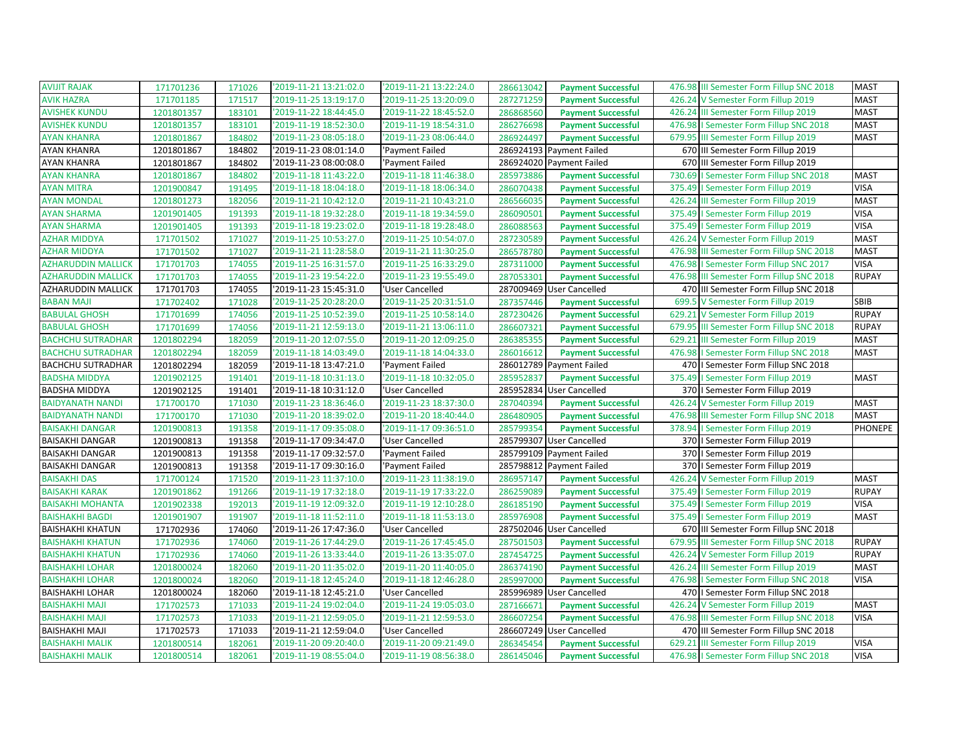| <b>AVIJIT RAJAK</b>       | 171701236  | 171026 | '2019-11-21 13:21:02.0 | '2019-11-21 13:22:24.0 | 286613042 | <b>Payment Successful</b> | 476.98 III Semester Form Fillup SNC 2018    | <b>MAST</b>  |
|---------------------------|------------|--------|------------------------|------------------------|-----------|---------------------------|---------------------------------------------|--------------|
| <b>AVIK HAZRA</b>         | 171701185  | 171517 | '2019-11-25 13:19:17.0 | '2019-11-25 13:20:09.0 | 287271259 | <b>Payment Successful</b> | 426.24 V Semester Form Fillup 2019          | <b>MAST</b>  |
| <b>AVISHEK KUNDU</b>      | 1201801357 | 183101 | '2019-11-22 18:44:45.0 | '2019-11-22 18:45:52.0 | 286868560 | <b>Payment Successful</b> | 426.24 III Semester Form Fillup 2019        | <b>MAST</b>  |
| <b>AVISHEK KUNDU</b>      | 1201801357 | 183101 | '2019-11-19 18:52:30.0 | '2019-11-19 18:54:31.0 | 286276698 | <b>Payment Successful</b> | 476.98   Semester Form Fillup SNC 2018      | <b>MAST</b>  |
| <b>AYAN KHANRA</b>        | 1201801867 | 184802 | '2019-11-23 08:05:18.0 | '2019-11-23 08:06:44.0 | 286924497 | <b>Payment Successful</b> | 679.95<br>III Semester Form Fillup 2019     | <b>MAST</b>  |
| AYAN KHANRA               | 1201801867 | 184802 | '2019-11-23 08:01:14.0 | 'Payment Failed        |           | 286924193 Payment Failed  | 670 III Semester Form Fillup 2019           |              |
| AYAN KHANRA               | 1201801867 | 184802 | '2019-11-23 08:00:08.0 | 'Payment Failed        |           | 286924020 Payment Failed  | 670 III Semester Form Fillup 2019           |              |
| <b>AYAN KHANRA</b>        | 1201801867 | 184802 | '2019-11-18 11:43:22.0 | '2019-11-18 11:46:38.0 | 285973886 | <b>Payment Successful</b> | 730.69   Semester Form Fillup SNC 2018      | <b>MAST</b>  |
| <b>AYAN MITRA</b>         | 1201900847 | 191495 | '2019-11-18 18:04:18.0 | '2019-11-18 18:06:34.0 | 286070438 | <b>Payment Successful</b> | 375.49<br>I Semester Form Fillup 2019       | <b>VISA</b>  |
| <b>AYAN MONDAL</b>        | 1201801273 | 182056 | '2019-11-21 10:42:12.0 | '2019-11-21 10:43:21.0 | 286566035 | <b>Payment Successful</b> | III Semester Form Fillup 2019<br>426.24     | <b>MAST</b>  |
| <b>AYAN SHARMA</b>        | 1201901405 | 191393 | '2019-11-18 19:32:28.0 | '2019-11-18 19:34:59.0 | 286090501 | <b>Payment Successful</b> | 375.49   Semester Form Fillup 2019          | <b>VISA</b>  |
| <b>AYAN SHARMA</b>        | 1201901405 | 191393 | '2019-11-18 19:23:02.0 | '2019-11-18 19:28:48.0 | 286088563 | <b>Payment Successful</b> | 375.49   Semester Form Fillup 2019          | <b>VISA</b>  |
| <b>AZHAR MIDDYA</b>       | 171701502  | 171027 | '2019-11-25 10:53:27.0 | '2019-11-25 10:54:07.0 | 287230589 | <b>Payment Successful</b> | 426.24 V Semester Form Fillup 2019          | <b>MAST</b>  |
| <b>AZHAR MIDDYA</b>       | 171701502  | 171027 | '2019-11-21 11:28:58.0 | '2019-11-21 11:30:25.0 | 286578780 | <b>Payment Successful</b> | 476.98 III Semester Form Fillup SNC 2018    | <b>MAST</b>  |
| <b>AZHARUDDIN MALLICK</b> | 171701703  | 174055 | '2019-11-25 16:31:57.0 | '2019-11-25 16:33:29.0 | 287311000 | <b>Payment Successful</b> | I Semester Form Fillup SNC 2017<br>476.98   | <b>VISA</b>  |
| <b>AZHARUDDIN MALLICK</b> | 171701703  | 174055 | '2019-11-23 19:54:22.0 | '2019-11-23 19:55:49.0 | 287053301 | <b>Payment Successful</b> | 476.98 III Semester Form Fillup SNC 2018    | <b>RUPAY</b> |
| AZHARUDDIN MALLICK        | 171701703  | 174055 | '2019-11-23 15:45:31.0 | 'User Cancelled        | 287009469 | <b>User Cancelled</b>     | 470 III Semester Form Fillup SNC 2018       |              |
| <b>BABAN MAJI</b>         | 171702402  | 171028 | '2019-11-25 20:28:20.0 | '2019-11-25 20:31:51.0 | 287357446 | <b>Payment Successful</b> | 699.5<br>V Semester Form Fillup 2019        | SBIB         |
| <b>BABULAL GHOSH</b>      | 171701699  | 174056 | '2019-11-25 10:52:39.0 | '2019-11-25 10:58:14.0 | 287230426 | <b>Payment Successful</b> | 629.21 V Semester Form Fillup 2019          | <b>RUPAY</b> |
| <b>BABULAL GHOSH</b>      | 171701699  | 174056 | '2019-11-21 12:59:13.0 | '2019-11-21 13:06:11.0 | 286607321 | <b>Payment Successful</b> | 679.95<br>III Semester Form Fillup SNC 2018 | <b>RUPAY</b> |
| <b>BACHCHU SUTRADHAR</b>  | 1201802294 | 182059 | '2019-11-20 12:07:55.0 | '2019-11-20 12:09:25.0 | 286385355 | <b>Payment Successful</b> | 629.21<br>III Semester Form Fillup 2019     | <b>MAST</b>  |
| <b>BACHCHU SUTRADHAR</b>  | 1201802294 | 182059 | '2019-11-18 14:03:49.0 | '2019-11-18 14:04:33.0 | 286016612 | <b>Payment Successful</b> | 476.98   Semester Form Fillup SNC 2018      | <b>MAST</b>  |
| <b>BACHCHU SUTRADHAR</b>  | 1201802294 | 182059 | '2019-11-18 13:47:21.0 | 'Payment Failed        |           | 286012789 Payment Failed  | 470   Semester Form Fillup SNC 2018         |              |
| <b>BADSHA MIDDYA</b>      | 1201902125 | 191401 | '2019-11-18 10:31:13.0 | '2019-11-18 10:32:05.0 | 285952837 | <b>Payment Successful</b> | 375.49   Semester Form Fillup 2019          | <b>MAST</b>  |
| <b>BADSHA MIDDYA</b>      | 1201902125 | 191401 | '2019-11-18 10:31:12.0 | 'User Cancelled        |           | 285952834 User Cancelled  | 370   Semester Form Fillup 2019             |              |
| <b>BAIDYANATH NANDI</b>   | 171700170  | 171030 | '2019-11-23 18:36:46.0 | '2019-11-23 18:37:30.0 | 287040394 | <b>Payment Successful</b> | 426.24<br>V Semester Form Fillup 2019       | <b>MAST</b>  |
| <b>BAIDYANATH NANDI</b>   | 171700170  | 171030 | '2019-11-20 18:39:02.0 | '2019-11-20 18:40:44.0 | 286480905 | <b>Payment Successful</b> | 476.98 III Semester Form Fillup SNC 2018    | <b>MAST</b>  |
| <b>BAISAKHI DANGAR</b>    | 1201900813 | 191358 | '2019-11-17 09:35:08.0 | '2019-11-17 09:36:51.0 | 285799354 | <b>Payment Successful</b> | 378.94   Semester Form Fillup 2019          | PHONEPE      |
| <b>BAISAKHI DANGAR</b>    | 1201900813 | 191358 | '2019-11-17 09:34:47.0 | 'User Cancelled        | 285799307 | <b>User Cancelled</b>     | 370   Semester Form Fillup 2019             |              |
| <b>BAISAKHI DANGAR</b>    | 1201900813 | 191358 | '2019-11-17 09:32:57.0 | 'Payment Failed        |           | 285799109 Payment Failed  | 370   Semester Form Fillup 2019             |              |
| <b>BAISAKHI DANGAR</b>    | 1201900813 | 191358 | '2019-11-17 09:30:16.0 | 'Payment Failed        |           | 285798812 Payment Failed  | 370   Semester Form Fillup 2019             |              |
| <b>BAISAKHI DAS</b>       | 171700124  | 171520 | '2019-11-23 11:37:10.0 | '2019-11-23 11:38:19.0 | 286957147 | <b>Payment Successful</b> | 426.24 V Semester Form Fillup 2019          | <b>MAST</b>  |
| <b>BAISAKHI KARAK</b>     | 1201901862 | 191266 | '2019-11-19 17:32:18.0 | '2019-11-19 17:33:22.0 | 286259089 | <b>Payment Successful</b> | 375.49<br>I Semester Form Fillup 2019       | <b>RUPAY</b> |
| <b>BAISAKHI MOHANTA</b>   | 1201902338 | 192013 | '2019-11-19 12:09:32.0 | '2019-11-19 12:10:28.0 | 286185190 | <b>Payment Successful</b> | I Semester Form Fillup 2019<br>375.49       | <b>VISA</b>  |
| <b>BAISHAKHI BAGDI</b>    | 1201901907 | 191907 | '2019-11-18 11:52:11.0 | '2019-11-18 11:53:13.0 | 285976908 | <b>Payment Successful</b> | 375.49   Semester Form Fillup 2019          | <b>MAST</b>  |
| <b>BAISHAKHI KHATUN</b>   | 171702936  | 174060 | '2019-11-26 17:47:36.0 | 'User Cancelled        |           | 287502046 User Cancelled  | 670 III Semester Form Fillup SNC 2018       |              |
| <b>BAISHAKHI KHATUN</b>   | 171702936  | 174060 | '2019-11-26 17:44:29.0 | '2019-11-26 17:45:45.0 | 287501503 | <b>Payment Successful</b> | 679.95 III Semester Form Fillup SNC 2018    | <b>RUPAY</b> |
| <b>BAISHAKHI KHATUN</b>   | 171702936  | 174060 | '2019-11-26 13:33:44.0 | '2019-11-26 13:35:07.0 | 287454725 | <b>Payment Successful</b> | 426.24 V Semester Form Fillup 2019          | <b>RUPAY</b> |
| <b>BAISHAKHI LOHAR</b>    | 1201800024 | 182060 | '2019-11-20 11:35:02.0 | '2019-11-20 11:40:05.0 | 286374190 | <b>Payment Successful</b> | 426.24 III Semester Form Fillup 2019        | <b>MAST</b>  |
| <b>BAISHAKHI LOHAR</b>    | 1201800024 | 182060 | '2019-11-18 12:45:24.0 | '2019-11-18 12:46:28.0 | 285997000 | <b>Payment Successful</b> | 476.98   Semester Form Fillup SNC 2018      | <b>VISA</b>  |
| <b>BAISHAKHI LOHAR</b>    | 1201800024 | 182060 | '2019-11-18 12:45:21.0 | 'User Cancelled        |           | 285996989 User Cancelled  | 470   I Semester Form Fillup SNC 2018       |              |
| <b>BAISHAKHI MAJI</b>     | 171702573  | 171033 | '2019-11-24 19:02:04.0 | '2019-11-24 19:05:03.0 | 287166671 | <b>Payment Successful</b> | 426.24<br>V Semester Form Fillup 2019       | <b>MAST</b>  |
| <b>BAISHAKHI MAJI</b>     | 171702573  | 171033 | '2019-11-21 12:59:05.0 | '2019-11-21 12:59:53.0 | 286607254 | <b>Payment Successful</b> | 476.98 III Semester Form Fillup SNC 2018    | <b>VISA</b>  |
| <b>BAISHAKHI MAJI</b>     | 171702573  | 171033 | '2019-11-21 12:59:04.0 | 'User Cancelled        |           | 286607249 User Cancelled  | 470 III Semester Form Fillup SNC 2018       |              |
| <b>BAISHAKHI MALIK</b>    | 1201800514 | 182061 | '2019-11-20 09:20:40.0 | '2019-11-20 09:21:49.0 | 286345454 | <b>Payment Successful</b> | 629.21<br>III Semester Form Fillup 2019     | <b>VISA</b>  |
| <b>BAISHAKHI MALIK</b>    | 1201800514 | 182061 | '2019-11-19 08:55:04.0 | '2019-11-19 08:56:38.0 | 286145046 | <b>Payment Successful</b> | 476.98   Semester Form Fillup SNC 2018      | <b>VISA</b>  |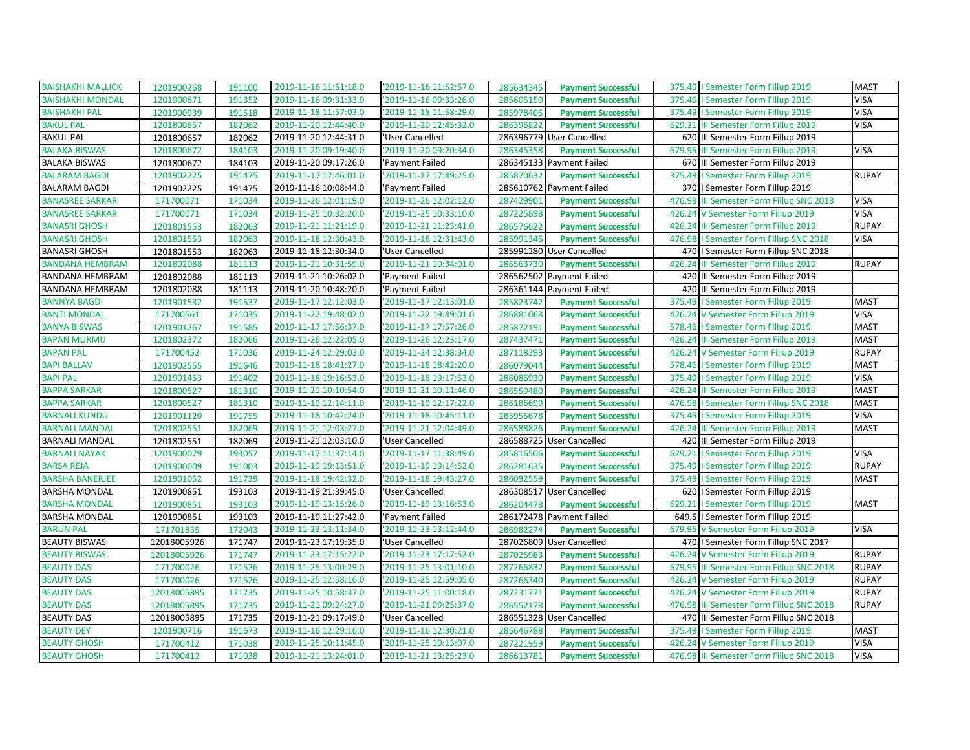| <b>BAISHAKHI MALLICK</b> | 1201900268  | 191100 | '2019-11-16 11:51:18.0 | '2019-11-16 11:52:57.0 | 285634345<br><b>Payment Successful</b> | 375.49   Semester Form Fillup 2019          | <b>MAST</b>  |
|--------------------------|-------------|--------|------------------------|------------------------|----------------------------------------|---------------------------------------------|--------------|
| <b>BAISHAKHI MONDAL</b>  | 1201900671  | 191352 | '2019-11-16 09:31:33.0 | '2019-11-16 09:33:26.0 | 285605150<br><b>Payment Successful</b> | 375.49   Semester Form Fillup 2019          | <b>VISA</b>  |
| <b>BAISHAKHI PAL</b>     | 1201900939  | 191518 | '2019-11-18 11:57:03.0 | '2019-11-18 11:58:29.0 | 285978405<br><b>Payment Successful</b> | 375.49   Semester Form Fillup 2019          | <b>VISA</b>  |
| <b>BAKUL PAL</b>         | 1201800657  | 182062 | '2019-11-20 12:44:40.0 | '2019-11-20 12:45:32.0 | 286396822<br><b>Payment Successful</b> | 629.21 III Semester Form Fillup 2019        | <b>VISA</b>  |
| <b>BAKUL PAL</b>         | 1201800657  | 182062 | '2019-11-20 12:44:31.0 | 'User Cancelled        | 286396779 User Cancelled               | 620 III Semester Form Fillup 2019           |              |
| <b>BALAKA BISWAS</b>     | 1201800672  | 184103 | '2019-11-20 09:19:40.0 | '2019-11-20 09:20:34.0 | 286345358<br><b>Payment Successful</b> | 679.95 III Semester Form Fillup 2019        | <b>VISA</b>  |
| <b>BALAKA BISWAS</b>     | 1201800672  | 184103 | '2019-11-20 09:17:26.0 | 'Payment Failed        | 286345133 Payment Failed               | 670 III Semester Form Fillup 2019           |              |
| <b>BALARAM BAGDI</b>     | 1201902225  | 191475 | '2019-11-17 17:46:01.0 | '2019-11-17 17:49:25.0 | 285870632<br><b>Payment Successful</b> | 375.49   Semester Form Fillup 2019          | <b>RUPAY</b> |
| <b>BALARAM BAGDI</b>     | 1201902225  | 191475 | '2019-11-16 10:08:44.0 | 'Payment Failed        | 285610762 Payment Failed               | 370   Semester Form Fillup 2019             |              |
| <b>BANASREE SARKAR</b>   | 171700071   | 171034 | '2019-11-26 12:01:19.0 | '2019-11-26 12:02:12.0 | 287429901<br><b>Payment Successful</b> | 476.98<br>III Semester Form Fillup SNC 2018 | <b>VISA</b>  |
| <b>BANASREE SARKAR</b>   | 171700071   | 171034 | '2019-11-25 10:32:20.0 | '2019-11-25 10:33:10.0 | 287225898<br><b>Payment Successful</b> | 426.24 V Semester Form Fillup 2019          | <b>VISA</b>  |
| <b>BANASRI GHOSH</b>     | 1201801553  | 182063 | '2019-11-21 11:21:19.0 | '2019-11-21 11:23:41.0 | 286576622<br><b>Payment Successful</b> | 426.24 III Semester Form Fillup 2019        | <b>RUPAY</b> |
| <b>BANASRI GHOSH</b>     | 1201801553  | 182063 | '2019-11-18 12:30:43.0 | '2019-11-18 12:31:43.0 | 285991346<br><b>Payment Successful</b> | 476.98   Semester Form Fillup SNC 2018      | <b>VISA</b>  |
| <b>BANASRI GHOSH</b>     | 1201801553  | 182063 | '2019-11-18 12:30:34.0 | 'User Cancelled        | 285991280 User Cancelled               | 470   Semester Form Fillup SNC 2018         |              |
| <b>BANDANA HEMBRAM</b>   | 1201802088  | 181113 | '2019-11-21 10:31:59.0 | '2019-11-21 10:34:01.0 | 286563730<br><b>Payment Successful</b> | 426.24<br>III Semester Form Fillup 2019     | <b>RUPAY</b> |
| BANDANA HEMBRAM          | 1201802088  | 181113 | '2019-11-21 10:26:02.0 | 'Payment Failed        | 286562502 Payment Failed               | 420 III Semester Form Fillup 2019           |              |
| BANDANA HEMBRAM          | 1201802088  | 181113 | '2019-11-20 10:48:20.0 | 'Payment Failed        | 286361144 Payment Failed               | 420 III Semester Form Fillup 2019           |              |
| <b>BANNYA BAGDI</b>      | 1201901532  | 191537 | '2019-11-17 12:12:03.0 | '2019-11-17 12:13:01.0 | 285823742<br><b>Payment Successful</b> | 375.49<br>I Semester Form Fillup 2019       | <b>MAST</b>  |
| <b>BANTI MONDAL</b>      | 171700561   | 171035 | '2019-11-22 19:48:02.0 | '2019-11-22 19:49:01.0 | 286881068<br><b>Payment Successful</b> | 426.24 V Semester Form Fillup 2019          | <b>VISA</b>  |
| <b>BANYA BISWAS</b>      | 1201901267  | 191585 | '2019-11-17 17:56:37.0 | '2019-11-17 17:57:26.0 | 285872191<br><b>Payment Successful</b> | 578.46   Semester Form Fillup 2019          | <b>MAST</b>  |
| <b>BAPAN MURMU</b>       | 1201802372  | 182066 | '2019-11-26 12:22:05.0 | '2019-11-26 12:23:17.0 | 287437471<br><b>Payment Successful</b> | 426.24 III Semester Form Fillup 2019        | <b>MAST</b>  |
| <b>BAPAN PAL</b>         | 171700452   | 171036 | '2019-11-24 12:29:03.0 | '2019-11-24 12:38:34.0 | 287118393<br><b>Payment Successful</b> | 426.24 V Semester Form Fillup 2019          | <b>RUPAY</b> |
| <b>BAPI BALLAV</b>       | 1201902555  | 191646 | '2019-11-18 18:41:27.0 | '2019-11-18 18:42:20.0 | 286079044<br><b>Payment Successful</b> | 578.46   Semester Form Fillup 2019          | <b>MAST</b>  |
| <b>BAPI PAL</b>          | 1201901453  | 191402 | '2019-11-18 19:16:53.0 | '2019-11-18 19:17:53.0 | 286086930<br><b>Payment Successful</b> | 375.49   Semester Form Fillup 2019          | <b>VISA</b>  |
| <b>BAPPA SARKAR</b>      | 1201800527  | 181310 | '2019-11-21 10:10:54.0 | '2019-11-21 10:11:46.0 | 286559480<br><b>Payment Successful</b> | 426.24 III Semester Form Fillup 2019        | <b>MAST</b>  |
| <b>BAPPA SARKAR</b>      | 1201800527  | 181310 | '2019-11-19 12:14:11.0 | '2019-11-19 12:17:22.0 | 286186699<br><b>Payment Successful</b> | 476.98<br>I Semester Form Fillup SNC 2018   | <b>MAST</b>  |
| <b>BARNALI KUNDU</b>     | 1201901120  | 191755 | '2019-11-18 10:42:24.0 | '2019-11-18 10:45:11.0 | 285955678<br><b>Payment Successful</b> | 375.49   Semester Form Fillup 2019          | <b>VISA</b>  |
| <b>BARNALI MANDAL</b>    | 1201802551  | 182069 | '2019-11-21 12:03:27.0 | '2019-11-21 12:04:49.0 | 286588826<br><b>Payment Successful</b> | 426.24 III Semester Form Fillup 2019        | <b>MAST</b>  |
| <b>BARNALI MANDAL</b>    | 1201802551  | 182069 | '2019-11-21 12:03:10.0 | 'User Cancelled        | 286588725 User Cancelled               | 420 III Semester Form Fillup 2019           |              |
| <b>BARNALI NAYAK</b>     | 1201900079  | 193057 | '2019-11-17 11:37:14.0 | '2019-11-17 11:38:49.0 | 285816506<br><b>Payment Successful</b> | 629.21   Semester Form Fillup 2019          | <b>VISA</b>  |
| <b>BARSA REJA</b>        | 1201900009  | 191003 | '2019-11-19 19:13:51.0 | '2019-11-19 19:14:52.0 | 286281635<br><b>Payment Successful</b> | 375.49   Semester Form Fillup 2019          | <b>RUPAY</b> |
| <b>BARSHA BANERJEE</b>   | 1201901052  | 191739 | '2019-11-18 19:42:32.0 | '2019-11-18 19:43:27.0 | 286092559<br><b>Payment Successful</b> | 375.49   Semester Form Fillup 2019          | <b>MAST</b>  |
| <b>BARSHA MONDAL</b>     | 1201900851  | 193103 | '2019-11-19 21:39:45.0 | 'User Cancelled        | 286308517 User Cancelled               | 620   Semester Form Fillup 2019             |              |
| <b>BARSHA MONDAL</b>     | 1201900851  | 193103 | '2019-11-19 13:15:26.0 | '2019-11-19 13:16:53.0 | 286204478<br><b>Payment Successful</b> | 629.21<br>I Semester Form Fillup 2019       | <b>MAST</b>  |
| <b>BARSHA MONDAL</b>     | 1201900851  | 193103 | '2019-11-19 11:27:42.0 | 'Payment Failed        | 286172478 Payment Failed               | 649.5   Semester Form Fillup 2019           |              |
| <b>BARUN PAL</b>         | 171701835   | 172043 | '2019-11-23 13:11:34.0 | '2019-11-23 13:12:44.0 | 286982274<br><b>Payment Successful</b> | 679.95 V Semester Form Fillup 2019          | <b>VISA</b>  |
| <b>BEAUTY BISWAS</b>     | 12018005926 | 171747 | '2019-11-23 17:19:35.0 | 'User Cancelled        | 287026809 User Cancelled               | 470   Semester Form Fillup SNC 2017         |              |
| <b>BEAUTY BISWAS</b>     | 12018005926 | 171747 | '2019-11-23 17:15:22.0 | '2019-11-23 17:17:52.0 | 287025983<br><b>Payment Successful</b> | 426.24 V Semester Form Fillup 2019          | <b>RUPAY</b> |
| <b>BEAUTY DAS</b>        | 171700026   | 171526 | '2019-11-25 13:00:29.0 | '2019-11-25 13:01:10.0 | 287266832<br><b>Payment Successful</b> | 679.95 III Semester Form Fillup SNC 2018    | <b>RUPAY</b> |
| <b>BEAUTY DAS</b>        | 171700026   | 171526 | '2019-11-25 12:58:16.0 | '2019-11-25 12:59:05.0 | 287266340<br><b>Payment Successful</b> | 426.24 V Semester Form Fillup 2019          | <b>RUPAY</b> |
| <b>BEAUTY DAS</b>        | 12018005895 | 171735 | '2019-11-25 10:58:37.0 | '2019-11-25 11:00:18.0 | 287231771<br><b>Payment Successful</b> | 426.24 V Semester Form Fillup 2019          | <b>RUPAY</b> |
| <b>BEAUTY DAS</b>        | 12018005895 | 171735 | '2019-11-21 09:24:27.0 | '2019-11-21 09:25:37.0 | 286552178<br><b>Payment Successful</b> | 476.98 III Semester Form Fillup SNC 2018    | <b>RUPAY</b> |
| <b>BEAUTY DAS</b>        | 12018005895 | 171735 | '2019-11-21 09:17:49.0 | 'User Cancelled        | 286551328 User Cancelled               | 470 III Semester Form Fillup SNC 2018       |              |
| <b>BEAUTY DEY</b>        | 1201900716  | 191673 | '2019-11-16 12:29:16.0 | '2019-11-16 12:30:21.0 | 285646788<br><b>Payment Successful</b> | 375.49   Semester Form Fillup 2019          | <b>MAST</b>  |
| <b>BEAUTY GHOSH</b>      | 171700412   | 171038 | '2019-11-25 10:11:45.0 | '2019-11-25 10:13:07.0 | 287221959<br><b>Payment Successful</b> | 426.24 V Semester Form Fillup 2019          | <b>VISA</b>  |
| <b>BEAUTY GHOSH</b>      | 171700412   | 171038 | '2019-11-21 13:24:01.0 | '2019-11-21 13:25:23.0 | 286613781<br><b>Payment Successful</b> | 476.98 III Semester Form Fillup SNC 2018    | <b>VISA</b>  |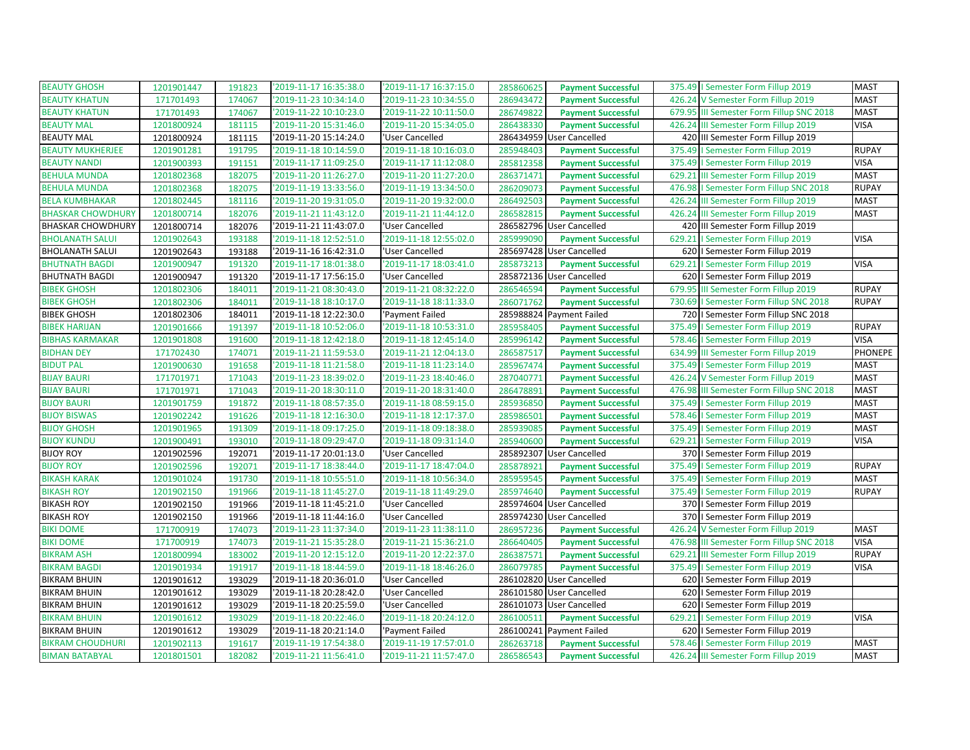| <b>BEAUTY GHOSH</b>      | 1201901447 | 191823 | '2019-11-17 16:35:38.0 | '2019-11-17 16:37:15.0 | 285860625 | <b>Payment Successful</b> | 375.49   Semester Form Fillup 2019       | <b>MAST</b>    |
|--------------------------|------------|--------|------------------------|------------------------|-----------|---------------------------|------------------------------------------|----------------|
| <b>BEAUTY KHATUN</b>     | 171701493  | 174067 | '2019-11-23 10:34:14.0 | '2019-11-23 10:34:55.0 | 286943472 | <b>Payment Successful</b> | 426.24 V Semester Form Fillup 2019       | <b>MAST</b>    |
| <b>BEAUTY KHATUN</b>     | 171701493  | 174067 | '2019-11-22 10:10:23.0 | '2019-11-22 10:11:50.0 | 286749822 | <b>Payment Successful</b> | 679.95 III Semester Form Fillup SNC 2018 | <b>MAST</b>    |
| <b>BEAUTY MAL</b>        | 1201800924 | 181115 | '2019-11-20 15:31:46.0 | '2019-11-20 15:34:05.0 | 286438330 | <b>Payment Successful</b> | 426.24 III Semester Form Fillup 2019     | <b>VISA</b>    |
| <b>BEAUTY MAL</b>        | 1201800924 | 181115 | '2019-11-20 15:14:24.0 | 'User Cancelled        | 286434959 | <b>User Cancelled</b>     | 420 III Semester Form Fillup 2019        |                |
| <b>BEAUTY MUKHERJEE</b>  | 1201901281 | 191795 | '2019-11-18 10:14:59.0 | '2019-11-18 10:16:03.0 | 285948403 | <b>Payment Successful</b> | 375.49   Semester Form Fillup 2019       | <b>RUPAY</b>   |
| <b>BEAUTY NANDI</b>      | 1201900393 | 191151 | '2019-11-17 11:09:25.0 | '2019-11-17 11:12:08.0 | 285812358 | <b>Payment Successful</b> | 375.49   Semester Form Fillup 2019       | <b>VISA</b>    |
| <b>BEHULA MUNDA</b>      | 1201802368 | 182075 | '2019-11-20 11:26:27.0 | '2019-11-20 11:27:20.0 | 286371471 | <b>Payment Successful</b> | 629.21 III Semester Form Fillup 2019     | <b>MAST</b>    |
| <b>BEHULA MUNDA</b>      | 1201802368 | 182075 | '2019-11-19 13:33:56.0 | '2019-11-19 13:34:50.0 | 286209073 | <b>Payment Successful</b> | 476.98   Semester Form Fillup SNC 2018   | <b>RUPAY</b>   |
| <b>BELA KUMBHAKAR</b>    | 1201802445 | 181116 | '2019-11-20 19:31:05.0 | '2019-11-20 19:32:00.0 | 286492503 | <b>Payment Successful</b> | 426.24 III Semester Form Fillup 2019     | <b>MAST</b>    |
| <b>BHASKAR CHOWDHURY</b> | 1201800714 | 182076 | '2019-11-21 11:43:12.0 | '2019-11-21 11:44:12.0 | 286582815 | <b>Payment Successful</b> | 426.24 III Semester Form Fillup 2019     | <b>MAST</b>    |
| <b>BHASKAR CHOWDHURY</b> | 1201800714 | 182076 | '2019-11-21 11:43:07.0 | 'User Cancelled        |           | 286582796 User Cancelled  | 420 III Semester Form Fillup 2019        |                |
| <b>BHOLANATH SALUI</b>   | 1201902643 | 193188 | '2019-11-18 12:52:51.0 | '2019-11-18 12:55:02.0 | 285999090 | <b>Payment Successful</b> | 629.21   Semester Form Fillup 2019       | <b>VISA</b>    |
| <b>BHOLANATH SALUI</b>   | 1201902643 | 193188 | '2019-11-16 16:42:31.0 | 'User Cancelled        |           | 285697428 User Cancelled  | 620   Semester Form Fillup 2019          |                |
| <b>BHUTNATH BAGDI</b>    | 1201900947 | 191320 | '2019-11-17 18:01:38.0 | '2019-11-17 18:03:41.0 | 285873213 | <b>Payment Successful</b> | 629.21   Semester Form Fillup 2019       | <b>VISA</b>    |
| <b>BHUTNATH BAGDI</b>    | 1201900947 | 191320 | '2019-11-17 17:56:15.0 | 'User Cancelled        |           | 285872136 User Cancelled  | 620   Semester Form Fillup 2019          |                |
| <b>BIBEK GHOSH</b>       | 1201802306 | 184011 | '2019-11-21 08:30:43.0 | '2019-11-21 08:32:22.0 | 286546594 | <b>Payment Successful</b> | 679.95 III Semester Form Fillup 2019     | <b>RUPAY</b>   |
| <b>BIBEK GHOSH</b>       | 1201802306 | 184011 | '2019-11-18 18:10:17.0 | '2019-11-18 18:11:33.0 | 286071762 | <b>Payment Successful</b> | 730.69   Semester Form Fillup SNC 2018   | <b>RUPAY</b>   |
| <b>BIBEK GHOSH</b>       | 1201802306 | 184011 | '2019-11-18 12:22:30.0 | 'Payment Failed        |           | 285988824 Payment Failed  | 720   I Semester Form Fillup SNC 2018    |                |
| <b>BIBEK HARIJAN</b>     | 1201901666 | 191397 | '2019-11-18 10:52:06.0 | '2019-11-18 10:53:31.0 | 285958405 | <b>Payment Successful</b> | 375.49   Semester Form Fillup 2019       | <b>RUPAY</b>   |
| <b>BIBHAS KARMAKAR</b>   | 1201901808 | 191600 | '2019-11-18 12:42:18.0 | '2019-11-18 12:45:14.0 | 285996142 | <b>Payment Successful</b> | 578.46   Semester Form Fillup 2019       | <b>VISA</b>    |
| <b>BIDHAN DEY</b>        | 171702430  | 174071 | '2019-11-21 11:59:53.0 | '2019-11-21 12:04:13.0 | 286587517 | <b>Payment Successful</b> | 634.99 III Semester Form Fillup 2019     | <b>PHONEPE</b> |
| <b>BIDUT PAL</b>         | 1201900630 | 191658 | '2019-11-18 11:21:58.0 | '2019-11-18 11:23:14.0 | 285967474 | <b>Payment Successful</b> | 375.49   Semester Form Fillup 2019       | <b>MAST</b>    |
| <b>BIJAY BAURI</b>       | 171701971  | 171043 | '2019-11-23 18:39:02.0 | '2019-11-23 18:40:46.0 | 287040771 | <b>Payment Successful</b> | 426.24 V Semester Form Fillup 2019       | <b>MAST</b>    |
| <b>BIJAY BAURI</b>       | 171701971  | 171043 | '2019-11-20 18:30:11.0 | '2019-11-20 18:31:40.0 | 286478891 | <b>Payment Successful</b> | 476.98 III Semester Form Fillup SNC 2018 | <b>MAST</b>    |
| <b>BIJOY BAURI</b>       | 1201901759 | 191872 | '2019-11-18 08:57:35.0 | '2019-11-18 08:59:15.0 | 285936850 | <b>Payment Successful</b> | 375.49   Semester Form Fillup 2019       | <b>MAST</b>    |
| <b>BIJOY BISWAS</b>      | 1201902242 | 191626 | '2019-11-18 12:16:30.0 | '2019-11-18 12:17:37.0 | 285986501 | <b>Payment Successful</b> | 578.46   Semester Form Fillup 2019       | <b>MAST</b>    |
| <b>BIJOY GHOSH</b>       | 1201901965 | 191309 | '2019-11-18 09:17:25.0 | '2019-11-18 09:18:38.0 | 285939085 | <b>Payment Successful</b> | 375.49   Semester Form Fillup 2019       | <b>MAST</b>    |
| <b>BIJOY KUNDU</b>       | 1201900491 | 193010 | '2019-11-18 09:29:47.0 | '2019-11-18 09:31:14.0 | 285940600 | <b>Payment Successful</b> | 629.21   Semester Form Fillup 2019       | <b>VISA</b>    |
| <b>BIJOY ROY</b>         | 1201902596 | 192071 | '2019-11-17 20:01:13.0 | 'User Cancelled        |           | 285892307 User Cancelled  | 370   Semester Form Fillup 2019          |                |
| <b>BIJOY ROY</b>         | 1201902596 | 192071 | '2019-11-17 18:38:44.0 | '2019-11-17 18:47:04.0 | 285878921 | <b>Payment Successful</b> | 375.49   Semester Form Fillup 2019       | <b>RUPAY</b>   |
| <b>BIKASH KARAK</b>      | 1201901024 | 191730 | '2019-11-18 10:55:51.0 | '2019-11-18 10:56:34.0 | 285959545 | <b>Payment Successful</b> | 375.49   Semester Form Fillup 2019       | <b>MAST</b>    |
| <b>BIKASH ROY</b>        | 1201902150 | 191966 | '2019-11-18 11:45:27.0 | '2019-11-18 11:49:29.0 | 285974640 | <b>Payment Successful</b> | 375.49   Semester Form Fillup 2019       | <b>RUPAY</b>   |
| <b>BIKASH ROY</b>        | 1201902150 | 191966 | '2019-11-18 11:45:21.0 | 'User Cancelled        | 285974604 | <b>User Cancelled</b>     | 370   Semester Form Fillup 2019          |                |
| <b>BIKASH ROY</b>        | 1201902150 | 191966 | '2019-11-18 11:44:16.0 | 'User Cancelled        |           | 285974230 User Cancelled  | 370   Semester Form Fillup 2019          |                |
| <b>BIKI DOME</b>         | 171700919  | 174073 | '2019-11-23 11:37:34.0 | '2019-11-23 11:38:11.0 | 286957236 | <b>Payment Successful</b> | 426.24 V Semester Form Fillup 2019       | <b>MAST</b>    |
| <b>BIKI DOME</b>         | 171700919  | 174073 | '2019-11-21 15:35:28.0 | '2019-11-21 15:36:21.0 | 286640405 | <b>Payment Successful</b> | 476.98 III Semester Form Fillup SNC 2018 | <b>VISA</b>    |
| <b>BIKRAM ASH</b>        | 1201800994 | 183002 | '2019-11-20 12:15:12.0 | '2019-11-20 12:22:37.0 | 286387571 | <b>Payment Successful</b> | 629.21 III Semester Form Fillup 2019     | <b>RUPAY</b>   |
| <b>BIKRAM BAGDI</b>      | 1201901934 | 191917 | '2019-11-18 18:44:59.0 | '2019-11-18 18:46:26.0 | 286079785 | <b>Payment Successful</b> | 375.49   Semester Form Fillup 2019       | <b>VISA</b>    |
| <b>BIKRAM BHUIN</b>      | 1201901612 | 193029 | '2019-11-18 20:36:01.0 | 'User Cancelled        |           | 286102820 User Cancelled  | 620   Semester Form Fillup 2019          |                |
| <b>BIKRAM BHUIN</b>      | 1201901612 | 193029 | '2019-11-18 20:28:42.0 | 'User Cancelled        |           | 286101580 User Cancelled  | 620   Semester Form Fillup 2019          |                |
| <b>BIKRAM BHUIN</b>      | 1201901612 | 193029 | '2019-11-18 20:25:59.0 | 'User Cancelled        |           | 286101073 User Cancelled  | 620   Semester Form Fillup 2019          |                |
| <b>BIKRAM BHUIN</b>      | 1201901612 | 193029 | '2019-11-18 20:22:46.0 | '2019-11-18 20:24:12.0 | 286100511 | <b>Payment Successful</b> | 629.21   Semester Form Fillup 2019       | <b>VISA</b>    |
| <b>BIKRAM BHUIN</b>      | 1201901612 | 193029 | '2019-11-18 20:21:14.0 | 'Payment Failed        |           | 286100241 Payment Failed  | 620   Semester Form Fillup 2019          |                |
| <b>BIKRAM CHOUDHURI</b>  | 1201902113 | 191617 | '2019-11-19 17:54:38.0 | '2019-11-19 17:57:01.0 | 286263718 | <b>Payment Successful</b> | 578.46   Semester Form Fillup 2019       | <b>MAST</b>    |
| <b>BIMAN BATABYAL</b>    | 1201801501 | 182082 | '2019-11-21 11:56:41.0 | '2019-11-21 11:57:47.0 | 286586543 | <b>Payment Successful</b> | 426.24 III Semester Form Fillup 2019     | <b>MAST</b>    |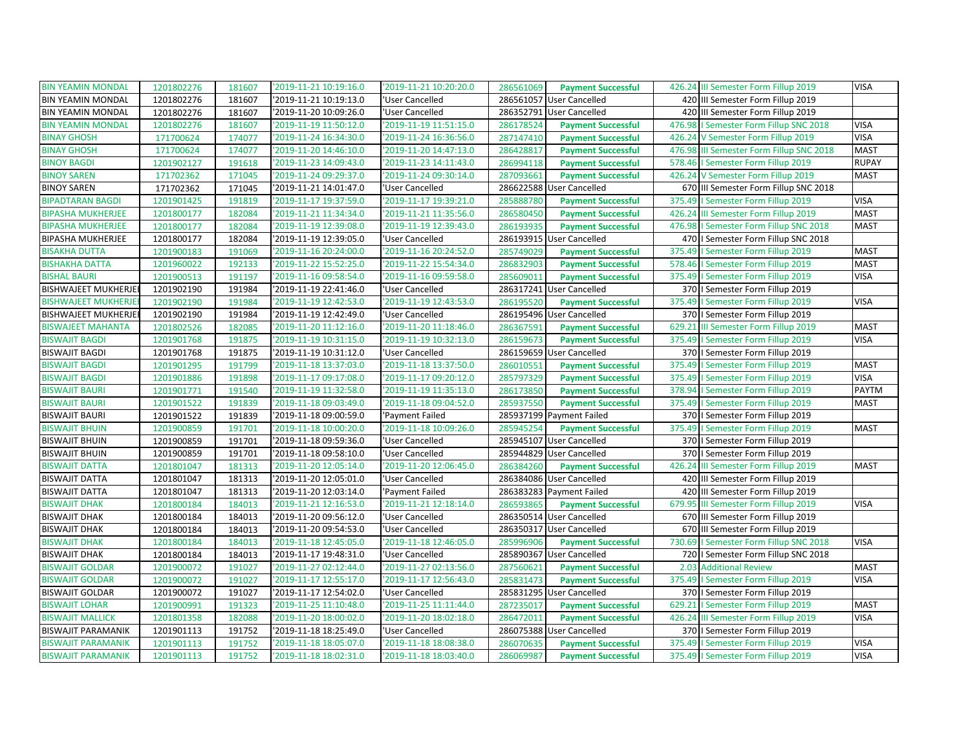| <b>BIN YEAMIN MONDAL</b>    | 1201802276 | 181607 | '2019-11-21 10:19:16.0 | '2019-11-21 10:20:20.0 | 286561069 | <b>Payment Successful</b> | 426.24 III Semester Form Fillup 2019     | <b>VISA</b>                |
|-----------------------------|------------|--------|------------------------|------------------------|-----------|---------------------------|------------------------------------------|----------------------------|
| <b>BIN YEAMIN MONDAL</b>    | 1201802276 | 181607 | '2019-11-21 10:19:13.0 | 'User Cancelled        |           | 286561057 User Cancelled  | 420 III Semester Form Fillup 2019        |                            |
| <b>BIN YEAMIN MONDAL</b>    | 1201802276 | 181607 | '2019-11-20 10:09:26.0 | 'User Cancelled        |           | 286352791 User Cancelled  | 420 III Semester Form Fillup 2019        |                            |
| <b>BIN YEAMIN MONDAL</b>    | 1201802276 | 181607 | '2019-11-19 11:50:12.0 | '2019-11-19 11:51:15.0 | 286178524 | <b>Payment Successful</b> | 476.98   Semester Form Fillup SNC 2018   | <b>VISA</b>                |
| <b>BINAY GHOSH</b>          | 171700624  | 174077 | '2019-11-24 16:34:30.0 | '2019-11-24 16:36:56.0 | 287147410 | <b>Payment Successful</b> | 426.24 V Semester Form Fillup 2019       | <b>VISA</b>                |
| <b>BINAY GHOSH</b>          | 171700624  | 174077 | '2019-11-20 14:46:10.0 | '2019-11-20 14:47:13.0 | 286428817 | <b>Payment Successful</b> | 476.98 III Semester Form Fillup SNC 2018 | <b>MAST</b>                |
| <b>BINOY BAGDI</b>          | 1201902127 | 191618 | '2019-11-23 14:09:43.0 | '2019-11-23 14:11:43.0 | 286994118 | <b>Payment Successful</b> | 578.46   Semester Form Fillup 2019       | <b>RUPAY</b>               |
| <b>BINOY SAREN</b>          | 171702362  | 171045 | '2019-11-24 09:29:37.0 | '2019-11-24 09:30:14.0 | 287093661 | <b>Payment Successful</b> | 426.24 V Semester Form Fillup 2019       | <b>MAST</b>                |
| <b>BINOY SAREN</b>          | 171702362  | 171045 | '2019-11-21 14:01:47.0 | 'User Cancelled        |           | 286622588 User Cancelled  | 670 III Semester Form Fillup SNC 2018    |                            |
| <b>BIPADTARAN BAGDI</b>     | 1201901425 | 191819 | '2019-11-17 19:37:59.0 | '2019-11-17 19:39:21.0 | 285888780 | <b>Payment Successful</b> | 375.49   Semester Form Fillup 2019       | <b>VISA</b>                |
| <b>BIPASHA MUKHERJEE</b>    | 1201800177 | 182084 | '2019-11-21 11:34:34.0 | '2019-11-21 11:35:56.0 | 286580450 | <b>Payment Successful</b> | 426.24 III Semester Form Fillup 2019     | <b>MAST</b>                |
| <b>BIPASHA MUKHERJEE</b>    | 1201800177 | 182084 | '2019-11-19 12:39:08.0 | '2019-11-19 12:39:43.0 | 286193935 | <b>Payment Successful</b> | 476.98   Semester Form Fillup SNC 2018   | <b>MAST</b>                |
| <b>BIPASHA MUKHERJEE</b>    | 1201800177 | 182084 | '2019-11-19 12:39:05.0 | 'User Cancelled        |           | 286193915 User Cancelled  | 470   Semester Form Fillup SNC 2018      |                            |
| <b>BISAKHA DUTTA</b>        | 1201900183 | 191069 | '2019-11-16 20:24:00.0 | '2019-11-16 20:24:52.0 | 285749029 | <b>Payment Successful</b> | 375.49   Semester Form Fillup 2019       | <b>MAST</b>                |
| <b>BISHAKHA DATTA</b>       | 1201960022 | 192133 | '2019-11-22 15:52:25.0 | '2019-11-22 15:54:34.0 | 286832903 | <b>Payment Successful</b> | 578.46   Semester Form Fillup 2019       | <b>MAST</b>                |
| <b>BISHAL BAURI</b>         | 1201900513 | 191197 | '2019-11-16 09:58:54.0 | '2019-11-16 09:59:58.0 | 285609011 | <b>Payment Successful</b> | 375.49   Semester Form Fillup 2019       | <b>VISA</b>                |
| <b>BISHWAJEET MUKHERJEI</b> | 1201902190 | 191984 | '2019-11-19 22:41:46.0 | 'User Cancelled        |           | 286317241 User Cancelled  | 370   Semester Form Fillup 2019          |                            |
| <b>BISHWAJEET MUKHERJE</b>  | 1201902190 | 191984 | '2019-11-19 12:42:53.0 | '2019-11-19 12:43:53.0 | 286195520 | <b>Payment Successful</b> | 375.49   Semester Form Fillup 2019       | <b>VISA</b>                |
| <b>BISHWAJEET MUKHERJEI</b> | 1201902190 | 191984 | '2019-11-19 12:42:49.0 | 'User Cancelled        |           | 286195496 User Cancelled  | 370   Semester Form Fillup 2019          |                            |
| <b>BISWAJEET MAHANTA</b>    | 1201802526 | 182085 | '2019-11-20 11:12:16.0 | '2019-11-20 11:18:46.0 | 286367591 | <b>Payment Successful</b> | 629.21 III Semester Form Fillup 2019     | <b>MAST</b>                |
| <b>BISWAJIT BAGDI</b>       | 1201901768 | 191875 | '2019-11-19 10:31:15.0 | '2019-11-19 10:32:13.0 | 286159673 | <b>Payment Successful</b> | 375.49   Semester Form Fillup 2019       | <b>VISA</b>                |
| <b>BISWAJIT BAGDI</b>       | 1201901768 | 191875 | '2019-11-19 10:31:12.0 | 'User Cancelled        |           | 286159659 User Cancelled  | 370   Semester Form Fillup 2019          |                            |
| <b>BISWAJIT BAGDI</b>       | 1201901295 | 191799 | '2019-11-18 13:37:03.0 | '2019-11-18 13:37:50.0 | 286010551 | <b>Payment Successful</b> | 375.49   Semester Form Fillup 2019       | <b>MAST</b>                |
| <b>BISWAJIT BAGDI</b>       | 1201901886 | 191898 | '2019-11-17 09:17:08.0 | '2019-11-17 09:20:12.0 | 285797329 | <b>Payment Successful</b> | 375.49   Semester Form Fillup 2019       | <b>VISA</b>                |
| <b>BISWAJIT BAURI</b>       | 1201901771 | 191540 | '2019-11-19 11:32:58.0 | '2019-11-19 11:35:13.0 | 286173850 | <b>Payment Successful</b> | 378.94   Semester Form Fillup 2019       | <b>PAYTM</b>               |
|                             |            |        |                        |                        |           |                           |                                          |                            |
| <b>BISWAJIT BAURI</b>       | 1201901522 | 191839 | '2019-11-18 09:03:49.0 | '2019-11-18 09:04:52.0 | 285937550 | <b>Payment Successful</b> | 375.49   Semester Form Fillup 2019       | <b>MAST</b>                |
| <b>BISWAJIT BAURI</b>       | 1201901522 | 191839 | '2019-11-18 09:00:59.0 | 'Payment Failed        |           | 285937199 Payment Failed  | 370   Semester Form Fillup 2019          |                            |
| <b>BISWAJIT BHUIN</b>       | 1201900859 | 191701 | '2019-11-18 10:00:20.0 | '2019-11-18 10:09:26.0 | 285945254 | <b>Payment Successful</b> | 375.49   Semester Form Fillup 2019       | <b>MAST</b>                |
| <b>BISWAJIT BHUIN</b>       | 1201900859 | 191701 | '2019-11-18 09:59:36.0 | 'User Cancelled        |           | 285945107 User Cancelled  | 370   Semester Form Fillup 2019          |                            |
| <b>BISWAJIT BHUIN</b>       | 1201900859 | 191701 | '2019-11-18 09:58:10.0 | 'User Cancelled        |           | 285944829 User Cancelled  | 370   Semester Form Fillup 2019          |                            |
| <b>BISWAJIT DATTA</b>       | 1201801047 | 181313 | '2019-11-20 12:05:14.0 | '2019-11-20 12:06:45.0 | 286384260 | <b>Payment Successful</b> | 426.24 III Semester Form Fillup 2019     | <b>MAST</b>                |
| <b>BISWAJIT DATTA</b>       | 1201801047 | 181313 | '2019-11-20 12:05:01.0 | 'User Cancelled        |           | 286384086 User Cancelled  | 420 III Semester Form Fillup 2019        |                            |
| <b>BISWAJIT DATTA</b>       | 1201801047 | 181313 | '2019-11-20 12:03:14.0 | 'Payment Failed        |           | 286383283 Payment Failed  | 420 III Semester Form Fillup 2019        |                            |
| <b>BISWAJIT DHAK</b>        | 1201800184 | 184013 | '2019-11-21 12:16:53.0 | '2019-11-21 12:18:14.0 | 286593865 | <b>Payment Successful</b> | 679.95 III Semester Form Fillup 2019     | <b>VISA</b>                |
| <b>BISWAJIT DHAK</b>        | 1201800184 | 184013 | '2019-11-20 09:56:12.0 | 'User Cancelled        |           | 286350514 User Cancelled  | 670 III Semester Form Fillup 2019        |                            |
| <b>BISWAJIT DHAK</b>        | 1201800184 | 184013 | '2019-11-20 09:54:53.0 | 'User Cancelled        |           | 286350317 User Cancelled  | 670 III Semester Form Fillup 2019        |                            |
| <b>BISWAJIT DHAK</b>        | 1201800184 | 184013 | '2019-11-18 12:45:05.0 | '2019-11-18 12:46:05.0 | 285996906 | <b>Payment Successful</b> | 730.69   Semester Form Fillup SNC 2018   | <b>VISA</b>                |
| <b>BISWAJIT DHAK</b>        | 1201800184 | 184013 | '2019-11-17 19:48:31.0 | 'User Cancelled        |           | 285890367 User Cancelled  | 720   I Semester Form Fillup SNC 2018    |                            |
| <b>BISWAJIT GOLDAR</b>      | 1201900072 | 191027 | '2019-11-27 02:12:44.0 | '2019-11-27 02:13:56.0 | 287560621 | <b>Payment Successful</b> | 2.03 Additional Review                   | <b>MAST</b>                |
| <b>BISWAJIT GOLDAR</b>      | 1201900072 | 191027 | '2019-11-17 12:55:17.0 | '2019-11-17 12:56:43.0 | 285831473 | <b>Payment Successful</b> | 375.49   Semester Form Fillup 2019       | <b>VISA</b>                |
| <b>BISWAJIT GOLDAR</b>      | 1201900072 | 191027 | '2019-11-17 12:54:02.0 | 'User Cancelled        |           | 285831295 User Cancelled  | 370   Semester Form Fillup 2019          |                            |
| <b>BISWAJIT LOHAR</b>       | 1201900991 | 191323 | '2019-11-25 11:10:48.0 | '2019-11-25 11:11:44.0 | 287235017 | <b>Payment Successful</b> | 629.21   Semester Form Fillup 2019       | <b>MAST</b>                |
| <b>BISWAJIT MALLICK</b>     | 1201801358 | 182088 | '2019-11-20 18:00:02.0 | '2019-11-20 18:02:18.0 | 286472011 | <b>Payment Successful</b> | 426.24 III Semester Form Fillup 2019     | <b>VISA</b>                |
| <b>BISWAJIT PARAMANIK</b>   | 1201901113 | 191752 | '2019-11-18 18:25:49.0 | 'User Cancelled        |           | 286075388 User Cancelled  | 370   Semester Form Fillup 2019          |                            |
| <b>BISWAJIT PARAMANIK</b>   | 1201901113 | 191752 | '2019-11-18 18:05:07.0 | '2019-11-18 18:08:38.0 | 286070635 | <b>Payment Successful</b> | 375.49   Semester Form Fillup 2019       | <b>VISA</b><br><b>VISA</b> |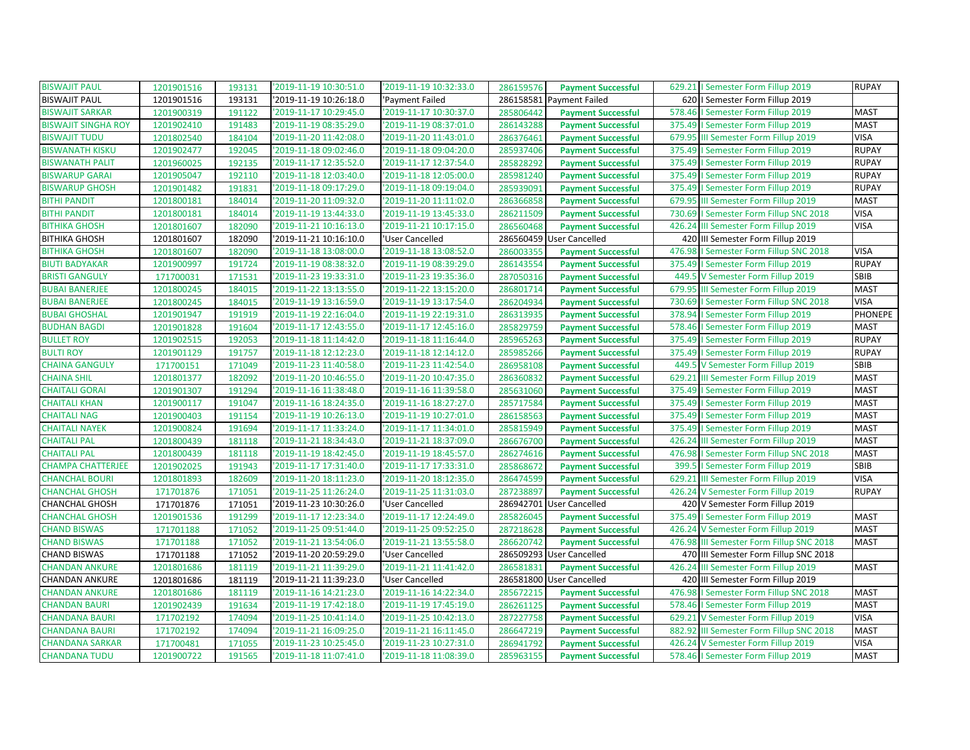| <b>BISWAJIT PAUL</b>       | 1201901516 | 193131 | '2019-11-19 10:30:51.0 | '2019-11-19 10:32:33.0 | 286159576                          | <b>Payment Successful</b> |        | 629.21   Semester Form Fillup 2019       | <b>RUPAY</b>   |
|----------------------------|------------|--------|------------------------|------------------------|------------------------------------|---------------------------|--------|------------------------------------------|----------------|
| <b>BISWAJIT PAUL</b>       | 1201901516 | 193131 | 2019-11-19 10:26:18.0  | 'Payment Failed        | 286158581<br>Payment Failed        |                           |        | 620   Semester Form Fillup 2019          |                |
| <b>BISWAJIT SARKAR</b>     | 1201900319 | 191122 | '2019-11-17 10:29:45.0 | '2019-11-17 10:30:37.0 | 285806442                          | <b>Payment Successful</b> |        | 578.46   Semester Form Fillup 2019       | <b>MAST</b>    |
| <b>BISWAJIT SINGHA ROY</b> | 1201902410 | 191483 | '2019-11-19 08:35:29.0 | '2019-11-19 08:37:01.0 | 286143288                          | <b>Payment Successful</b> | 375.49 | I Semester Form Fillup 2019              | <b>MAST</b>    |
| <b>BISWAJIT TUDU</b>       | 1201802540 | 184104 | '2019-11-20 11:42:08.0 | '2019-11-20 11:43:01.0 | 286376461                          | <b>Payment Successful</b> |        | 679.95 III Semester Form Fillup 2019     | <b>VISA</b>    |
| <b>BISWANATH KISKU</b>     | 1201902477 | 192045 | '2019-11-18 09:02:46.0 | '2019-11-18 09:04:20.0 | 285937406                          | <b>Payment Successful</b> |        | 375.49   Semester Form Fillup 2019       | <b>RUPAY</b>   |
| <b>BISWANATH PALIT</b>     | 1201960025 | 192135 | '2019-11-17 12:35:52.0 | '2019-11-17 12:37:54.0 | 285828292                          | <b>Payment Successful</b> |        | 375.49   Semester Form Fillup 2019       | <b>RUPAY</b>   |
| <b>BISWARUP GARAI</b>      | 1201905047 | 192110 | '2019-11-18 12:03:40.0 | '2019-11-18 12:05:00.0 | 285981240                          | <b>Payment Successful</b> |        | 375.49   Semester Form Fillup 2019       | <b>RUPAY</b>   |
| <b>BISWARUP GHOSH</b>      | 1201901482 | 191831 | '2019-11-18 09:17:29.0 | '2019-11-18 09:19:04.0 | 285939091                          | <b>Payment Successful</b> |        | 375.49   Semester Form Fillup 2019       | <b>RUPAY</b>   |
| <b>BITHI PANDIT</b>        | 1201800181 | 184014 | 2019-11-20 11:09:32.0  | '2019-11-20 11:11:02.0 | 286366858                          | <b>Payment Successful</b> |        | 679.95 III Semester Form Fillup 2019     | <b>MAST</b>    |
| <b>BITHI PANDIT</b>        | 1201800181 | 184014 | '2019-11-19 13:44:33.0 | '2019-11-19 13:45:33.0 | 286211509                          | <b>Payment Successful</b> |        | 730.69   Semester Form Fillup SNC 2018   | <b>VISA</b>    |
| <b>BITHIKA GHOSH</b>       | 1201801607 | 182090 | '2019-11-21 10:16:13.0 | '2019-11-21 10:17:15.0 | 286560468                          | <b>Payment Successful</b> |        | 426.24 III Semester Form Fillup 2019     | <b>VISA</b>    |
| <b>BITHIKA GHOSH</b>       | 1201801607 | 182090 | '2019-11-21 10:16:10.0 | 'User Cancelled        | 286560459 User Cancelled           |                           |        | 420 III Semester Form Fillup 2019        |                |
| <b>BITHIKA GHOSH</b>       | 1201801607 | 182090 | 2019-11-18 13:08:00.0  | '2019-11-18 13:08:52.0 | 286003355                          | <b>Payment Successful</b> |        | 476.98   Semester Form Fillup SNC 2018   | <b>VISA</b>    |
| <b>BIUTI BADYAKAR</b>      | 1201900997 | 191724 | '2019-11-19 08:38:32.0 | '2019-11-19 08:39:29.0 | 286143554                          | <b>Payment Successful</b> |        | 375.49   Semester Form Fillup 2019       | <b>RUPAY</b>   |
| <b>BRISTI GANGULY</b>      | 171700031  | 171531 | '2019-11-23 19:33:31.0 | '2019-11-23 19:35:36.0 | 287050316                          | <b>Payment Successful</b> |        | 449.5 V Semester Form Fillup 2019        | SBIB           |
| <b>BUBAI BANERJEE</b>      | 1201800245 | 184015 | '2019-11-22 13:13:55.0 | '2019-11-22 13:15:20.0 | 286801714                          | <b>Payment Successful</b> |        | 679.95 III Semester Form Fillup 2019     | <b>MAST</b>    |
| <b>BUBAI BANERJEE</b>      | 1201800245 | 184015 | '2019-11-19 13:16:59.0 | '2019-11-19 13:17:54.0 | 286204934                          | <b>Payment Successful</b> |        | 730.69   Semester Form Fillup SNC 2018   | <b>VISA</b>    |
| <b>BUBAI GHOSHAL</b>       | 1201901947 | 191919 | '2019-11-19 22:16:04.0 | '2019-11-19 22:19:31.0 | 286313935                          | <b>Payment Successful</b> |        | 378.94   Semester Form Fillup 2019       | <b>PHONEPE</b> |
| <b>BUDHAN BAGDI</b>        | 1201901828 | 191604 | '2019-11-17 12:43:55.0 | '2019-11-17 12:45:16.0 | 285829759                          | <b>Payment Successful</b> |        | 578.46   Semester Form Fillup 2019       | <b>MAST</b>    |
| <b>BULLET ROY</b>          | 1201902515 | 192053 | '2019-11-18 11:14:42.0 | '2019-11-18 11:16:44.0 | 285965263                          | <b>Payment Successful</b> |        | 375.49   Semester Form Fillup 2019       | <b>RUPAY</b>   |
| <b>BULTI ROY</b>           | 1201901129 | 191757 | '2019-11-18 12:12:23.0 | '2019-11-18 12:14:12.0 | 285985266                          | <b>Payment Successful</b> |        | 375.49   Semester Form Fillup 2019       | <b>RUPAY</b>   |
| <b>CHAINA GANGULY</b>      | 171700151  | 171049 | '2019-11-23 11:40:58.0 | '2019-11-23 11:42:54.0 | 286958108                          | <b>Payment Successful</b> |        | 449.5 V Semester Form Fillup 2019        | SBIB           |
| <b>CHAINA SHIL</b>         | 1201801377 | 182092 | '2019-11-20 10:46:55.0 | '2019-11-20 10:47:35.0 | 286360832                          | <b>Payment Successful</b> |        | 629.21 III Semester Form Fillup 2019     | <b>MAST</b>    |
| <b>CHAITALI GORAI</b>      | 1201901307 | 191294 | 2019-11-16 11:38:48.0  | '2019-11-16 11:39:58.0 | 285631060                          | <b>Payment Successful</b> |        | 375.49   Semester Form Fillup 2019       | <b>MAST</b>    |
| <b>CHAITALI KHAN</b>       | 1201900117 | 191047 | '2019-11-16 18:24:35.0 | '2019-11-16 18:27:27.0 | 285717584                          | <b>Payment Successful</b> |        | 375.49   Semester Form Fillup 2019       | <b>MAST</b>    |
| <b>CHAITALI NAG</b>        | 1201900403 | 191154 | '2019-11-19 10:26:13.0 | '2019-11-19 10:27:01.0 | 286158563                          | <b>Payment Successful</b> |        | 375.49   Semester Form Fillup 2019       | <b>MAST</b>    |
| <b>CHAITALI NAYEK</b>      | 1201900824 | 191694 | '2019-11-17 11:33:24.0 | '2019-11-17 11:34:01.0 | 285815949                          | <b>Payment Successful</b> |        | 375.49   Semester Form Fillup 2019       | <b>MAST</b>    |
| <b>CHAITALI PAL</b>        | 1201800439 | 181118 | '2019-11-21 18:34:43.0 | '2019-11-21 18:37:09.0 | 286676700                          | <b>Payment Successful</b> |        | 426.24 III Semester Form Fillup 2019     | <b>MAST</b>    |
| <b>CHAITALI PAL</b>        | 1201800439 | 181118 | '2019-11-19 18:42:45.0 | '2019-11-19 18:45:57.0 | 286274616                          | <b>Payment Successful</b> |        | 476.98   Semester Form Fillup SNC 2018   | <b>MAST</b>    |
| <b>CHAMPA CHATTERJEE</b>   | 1201902025 | 191943 | '2019-11-17 17:31:40.0 | '2019-11-17 17:33:31.0 | 285868672                          | <b>Payment Successful</b> | 399.5  | I Semester Form Fillup 2019              | SBIB           |
| <b>CHANCHAL BOURI</b>      | 1201801893 | 182609 | '2019-11-20 18:11:23.0 | '2019-11-20 18:12:35.0 | 286474599                          | <b>Payment Successful</b> |        | 629.21 III Semester Form Fillup 2019     | <b>VISA</b>    |
| <b>CHANCHAL GHOSH</b>      | 171701876  | 171051 | '2019-11-25 11:26:24.0 | '2019-11-25 11:31:03.0 | 287238897                          | <b>Payment Successful</b> |        | 426.24 V Semester Form Fillup 2019       | <b>RUPAY</b>   |
| <b>CHANCHAL GHOSH</b>      | 171701876  | 171051 | '2019-11-23 10:30:26.0 | 'User Cancelled        | 286942701<br><b>User Cancelled</b> |                           |        | 420 V Semester Form Fillup 2019          |                |
| <b>CHANCHAL GHOSH</b>      | 1201901536 | 191299 | '2019-11-17 12:23:34.0 | '2019-11-17 12:24:49.0 | 285826045                          | <b>Payment Successful</b> |        | 375.49   Semester Form Fillup 2019       | <b>MAST</b>    |
| <b>CHAND BISWAS</b>        | 171701188  | 171052 | '2019-11-25 09:51:44.0 | '2019-11-25 09:52:25.0 | 287218628                          | <b>Payment Successful</b> |        | 426.24 V Semester Form Fillup 2019       | <b>MAST</b>    |
| <b>CHAND BISWAS</b>        | 171701188  | 171052 | '2019-11-21 13:54:06.0 | '2019-11-21 13:55:58.0 | 286620742                          | <b>Payment Successful</b> |        | 476.98 III Semester Form Fillup SNC 2018 | <b>MAST</b>    |
| <b>CHAND BISWAS</b>        | 171701188  | 171052 | '2019-11-20 20:59:29.0 | 'User Cancelled        | 286509293 User Cancelled           |                           |        | 470 III Semester Form Fillup SNC 2018    |                |
| <b>CHANDAN ANKURE</b>      | 1201801686 | 181119 | '2019-11-21 11:39:29.0 | '2019-11-21 11:41:42.0 | 286581831                          | <b>Payment Successful</b> |        | 426.24 III Semester Form Fillup 2019     | <b>MAST</b>    |
| CHANDAN ANKURE             | 1201801686 | 181119 | '2019-11-21 11:39:23.0 | 'User Cancelled        | 286581800 User Cancelled           |                           |        | 420 III Semester Form Fillup 2019        |                |
| <b>CHANDAN ANKURE</b>      | 1201801686 | 181119 | '2019-11-16 14:21:23.0 | '2019-11-16 14:22:34.0 | 285672215                          | <b>Payment Successful</b> | 476.98 | I Semester Form Fillup SNC 2018          | <b>MAST</b>    |
| <b>CHANDAN BAURI</b>       | 1201902439 | 191634 | '2019-11-19 17:42:18.0 | '2019-11-19 17:45:19.0 | 286261125                          | <b>Payment Successful</b> |        | 578.46   Semester Form Fillup 2019       | <b>MAST</b>    |
| <b>CHANDANA BAURI</b>      | 171702192  | 174094 | '2019-11-25 10:41:14.0 | '2019-11-25 10:42:13.0 | 287227758                          | <b>Payment Successful</b> |        | 629.21 V Semester Form Fillup 2019       | <b>VISA</b>    |
| <b>CHANDANA BAURI</b>      | 171702192  | 174094 | '2019-11-21 16:09:25.0 | '2019-11-21 16:11:45.0 | 286647219                          | <b>Payment Successful</b> |        | 882.92 III Semester Form Fillup SNC 2018 | <b>MAST</b>    |
| <b>CHANDANA SARKAR</b>     | 171700481  | 171055 | '2019-11-23 10:25:45.0 | '2019-11-23 10:27:31.0 | 286941792                          | <b>Payment Successful</b> |        | 426.24 V Semester Form Fillup 2019       | <b>VISA</b>    |
| <b>CHANDANA TUDU</b>       | 1201900722 | 191565 | '2019-11-18 11:07:41.0 | '2019-11-18 11:08:39.0 | 285963155                          | <b>Payment Successful</b> |        | 578.46   Semester Form Fillup 2019       | <b>MAST</b>    |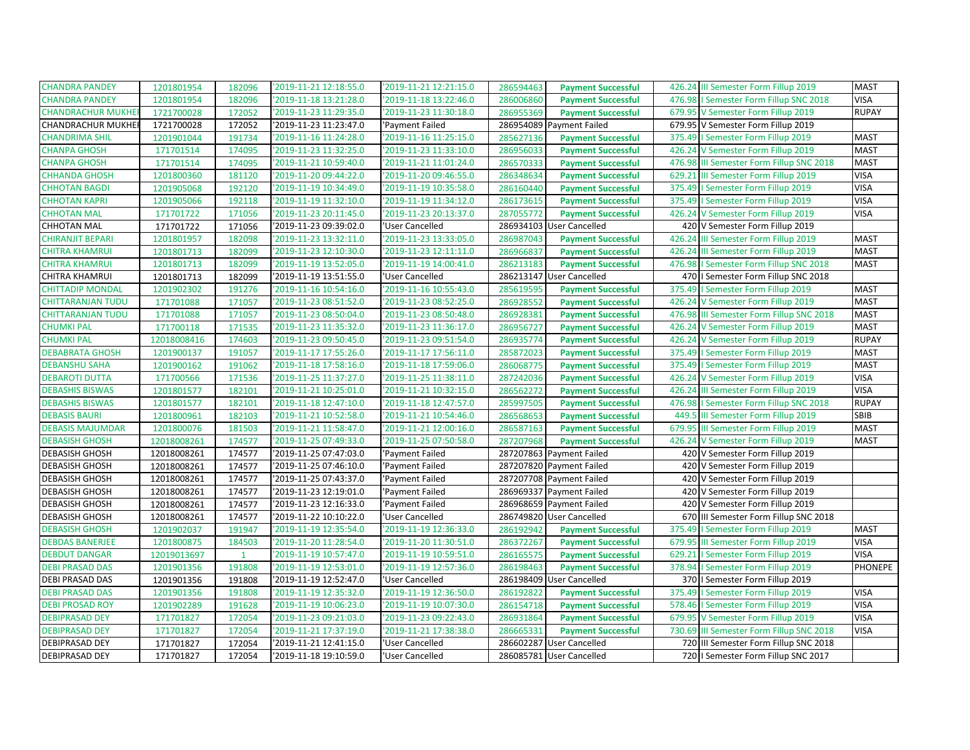| <b>CHANDRA PANDEY</b>     | 1201801954  | 182096       | '2019-11-21 12:18:55.0 | '2019-11-21 12:21:15.0 | 286594463 | <b>Payment Successful</b> | 426.24 III Semester Form Fillup 2019     | <b>MAST</b>    |
|---------------------------|-------------|--------------|------------------------|------------------------|-----------|---------------------------|------------------------------------------|----------------|
| <b>CHANDRA PANDEY</b>     | 1201801954  | 182096       | 2019-11-18 13:21:28.0  | '2019-11-18 13:22:46.0 | 286006860 | <b>Payment Successful</b> | 476.98   Semester Form Fillup SNC 2018   | <b>VISA</b>    |
| <b>CHANDRACHUR MUKHE</b>  | 1721700028  | 172052       | '2019-11-23 11:29:35.0 | '2019-11-23 11:30:18.0 | 286955369 | <b>Payment Successful</b> | 679.95 V Semester Form Fillup 2019       | <b>RUPAY</b>   |
| <b>CHANDRACHUR MUKHER</b> | 1721700028  | 172052       | '2019-11-23 11:23:47.0 | 'Payment Failed        |           | 286954089 Payment Failed  | 679.95 V Semester Form Fillup 2019       |                |
| <b>CHANDRIMA SHIL</b>     | 1201901044  | 191734       | '2019-11-16 11:24:28.0 | '2019-11-16 11:25:15.0 | 285627136 | <b>Payment Successful</b> | 375.49   Semester Form Fillup 2019       | <b>MAST</b>    |
| <b>CHANPA GHOSH</b>       | 171701514   | 174095       | '2019-11-23 11:32:25.0 | '2019-11-23 11:33:10.0 | 286956033 | <b>Payment Successful</b> | 426.24 V Semester Form Fillup 2019       | <b>MAST</b>    |
| <b>CHANPA GHOSH</b>       | 171701514   | 174095       | '2019-11-21 10:59:40.0 | '2019-11-21 11:01:24.0 | 286570333 | <b>Payment Successful</b> | 476.98 III Semester Form Fillup SNC 2018 | <b>MAST</b>    |
| <b>CHHANDA GHOSH</b>      | 1201800360  | 181120       | '2019-11-20 09:44:22.0 | '2019-11-20 09:46:55.0 | 286348634 | <b>Payment Successful</b> | 629.21 III Semester Form Fillup 2019     | <b>VISA</b>    |
| <b>CHHOTAN BAGDI</b>      | 1201905068  | 192120       | '2019-11-19 10:34:49.0 | '2019-11-19 10:35:58.0 | 286160440 | <b>Payment Successful</b> | 375.49   Semester Form Fillup 2019       | <b>VISA</b>    |
| <b>CHHOTAN KAPRI</b>      | 1201905066  | 192118       | '2019-11-19 11:32:10.0 | '2019-11-19 11:34:12.0 | 286173615 | <b>Payment Successful</b> | 375.49   Semester Form Fillup 2019       | <b>VISA</b>    |
| <b>CHHOTAN MAL</b>        | 171701722   | 171056       | '2019-11-23 20:11:45.0 | '2019-11-23 20:13:37.0 | 287055772 | <b>Payment Successful</b> | 426.24 V Semester Form Fillup 2019       | <b>VISA</b>    |
| <b>CHHOTAN MAL</b>        | 171701722   | 171056       | '2019-11-23 09:39:02.0 | 'User Cancelled        |           | 286934103 User Cancelled  | 420 V Semester Form Fillup 2019          |                |
| <b>CHIRANJIT BEPARI</b>   | 1201801957  | 182098       | '2019-11-23 13:32:11.0 | '2019-11-23 13:33:05.0 | 286987043 | <b>Payment Successful</b> | 426.24 III Semester Form Fillup 2019     | <b>MAST</b>    |
| <b>CHITRA KHAMRUI</b>     | 1201801713  | 182099       | '2019-11-23 12:10:30.0 | '2019-11-23 12:11:11.0 | 286966837 | <b>Payment Successful</b> | 426.24 III Semester Form Fillup 2019     | <b>MAST</b>    |
| <b>CHITRA KHAMRUI</b>     | 1201801713  | 182099       | '2019-11-19 13:52:05.0 | '2019-11-19 14:00:41.0 | 286213183 | <b>Payment Successful</b> | 476.98   Semester Form Fillup SNC 2018   | <b>MAST</b>    |
| CHITRA KHAMRUI            | 1201801713  | 182099       | '2019-11-19 13:51:55.0 | 'User Cancelled        |           | 286213147 User Cancelled  | 470   I Semester Form Fillup SNC 2018    |                |
| <b>CHITTADIP MONDAL</b>   | 1201902302  | 191276       | '2019-11-16 10:54:16.0 | '2019-11-16 10:55:43.0 | 285619595 | <b>Payment Successful</b> | 375.49   Semester Form Fillup 2019       | <b>MAST</b>    |
| <b>CHITTARANJAN TUDU</b>  | 171701088   | 171057       | '2019-11-23 08:51:52.0 | '2019-11-23 08:52:25.0 | 286928552 | <b>Payment Successful</b> | 426.24 V Semester Form Fillup 2019       | <b>MAST</b>    |
| <b>CHITTARANJAN TUDU</b>  | 171701088   | 171057       | '2019-11-23 08:50:04.0 | '2019-11-23 08:50:48.0 | 286928381 | <b>Payment Successful</b> | 476.98 III Semester Form Fillup SNC 2018 | <b>MAST</b>    |
| <b>CHUMKI PAL</b>         | 171700118   | 171535       | '2019-11-23 11:35:32.0 | '2019-11-23 11:36:17.0 | 286956727 | <b>Payment Successful</b> | 426.24 V Semester Form Fillup 2019       | <b>MAST</b>    |
| <b>CHUMKI PAL</b>         | 12018008416 | 174603       | '2019-11-23 09:50:45.0 | '2019-11-23 09:51:54.0 | 286935774 | <b>Payment Successful</b> | 426.24 V Semester Form Fillup 2019       | <b>RUPAY</b>   |
| <b>DEBABRATA GHOSH</b>    | 1201900137  | 191057       | '2019-11-17 17:55:26.0 | '2019-11-17 17:56:11.0 | 285872023 | <b>Payment Successful</b> | 375.49   Semester Form Fillup 2019       | <b>MAST</b>    |
| <b>DEBANSHU SAHA</b>      | 1201900162  | 191062       | '2019-11-18 17:58:16.0 | '2019-11-18 17:59:06.0 | 286068775 | <b>Payment Successful</b> | 375.49   Semester Form Fillup 2019       | <b>MAST</b>    |
| <b>DEBAROTI DUTTA</b>     | 171700566   | 171536       | '2019-11-25 11:37:27.0 | '2019-11-25 11:38:11.0 | 287242036 | <b>Payment Successful</b> | 426.24 V Semester Form Fillup 2019       | <b>VISA</b>    |
| <b>DEBASHIS BISWAS</b>    | 1201801577  | 182101       | '2019-11-21 10:25:01.0 | '2019-11-21 10:32:15.0 | 286562272 | <b>Payment Successful</b> | 426.24 III Semester Form Fillup 2019     | <b>VISA</b>    |
| <b>DEBASHIS BISWAS</b>    | 1201801577  | 182101       | '2019-11-18 12:47:10.0 | '2019-11-18 12:47:57.0 | 285997505 | <b>Payment Successful</b> | 476.98   Semester Form Fillup SNC 2018   | <b>RUPAY</b>   |
| <b>DEBASIS BAURI</b>      | 1201800961  | 182103       | '2019-11-21 10:52:58.0 | 2019-11-21 10:54:46.0  | 286568653 | <b>Payment Successful</b> | 449.5 III Semester Form Fillup 2019      | SBIB           |
| <b>DEBASIS MAJUMDAR</b>   | 1201800076  | 181503       | '2019-11-21 11:58:47.0 | '2019-11-21 12:00:16.0 | 286587163 | <b>Payment Successful</b> | 679.95 III Semester Form Fillup 2019     | <b>MAST</b>    |
| <b>DEBASISH GHOSH</b>     | 12018008261 | 174577       | '2019-11-25 07:49:33.0 | '2019-11-25 07:50:58.0 | 287207968 | <b>Payment Successful</b> | 426.24 V Semester Form Fillup 2019       | <b>MAST</b>    |
| <b>DEBASISH GHOSH</b>     | 12018008261 | 174577       | 2019-11-25 07:47:03.0  | 'Payment Failed        |           | 287207863 Payment Failed  | 420 V Semester Form Fillup 2019          |                |
| <b>DEBASISH GHOSH</b>     | 12018008261 | 174577       | '2019-11-25 07:46:10.0 | 'Payment Failed        |           | 287207820 Payment Failed  | 420 V Semester Form Fillup 2019          |                |
| <b>DEBASISH GHOSH</b>     | 12018008261 | 174577       | '2019-11-25 07:43:37.0 | 'Payment Failed        |           | 287207708 Payment Failed  | 420 V Semester Form Fillup 2019          |                |
| <b>DEBASISH GHOSH</b>     | 12018008261 | 174577       | '2019-11-23 12:19:01.0 | 'Payment Failed        |           | 286969337 Payment Failed  | 420 V Semester Form Fillup 2019          |                |
| <b>DEBASISH GHOSH</b>     | 12018008261 | 174577       | 2019-11-23 12:16:33.0  | 'Payment Failed        |           | 286968659 Payment Failed  | 420 V Semester Form Fillup 2019          |                |
| <b>DEBASISH GHOSH</b>     | 12018008261 | 174577       | '2019-11-22 10:10:22.0 | 'User Cancelled        |           | 286749820 User Cancelled  | 670 III Semester Form Fillup SNC 2018    |                |
| <b>DEBASISH GHOSH</b>     | 1201902037  | 191947       | '2019-11-19 12:35:54.0 | '2019-11-19 12:36:33.0 | 286192942 | <b>Payment Successful</b> | 375.49   Semester Form Fillup 2019       | <b>MAST</b>    |
| <b>DEBDAS BANERJEE</b>    | 1201800875  | 184503       | '2019-11-20 11:28:54.0 | '2019-11-20 11:30:51.0 | 286372267 | <b>Payment Successful</b> | 679.95 III Semester Form Fillup 2019     | <b>VISA</b>    |
| <b>DEBDUT DANGAR</b>      | 12019013697 | $\mathbf{1}$ | '2019-11-19 10:57:47.0 | 2019-11-19 10:59:51.0  | 286165575 | <b>Payment Successful</b> | 629.21   Semester Form Fillup 2019       | <b>VISA</b>    |
| <b>DEBI PRASAD DAS</b>    | 1201901356  | 191808       | '2019-11-19 12:53:01.0 | 2019-11-19 12:57:36.0  | 286198463 | <b>Payment Successful</b> | 378.94   Semester Form Fillup 2019       | <b>PHONEPE</b> |
| <b>DEBI PRASAD DAS</b>    | 1201901356  | 191808       | '2019-11-19 12:52:47.0 | 'User Cancelled        |           | 286198409 User Cancelled  | 370   Semester Form Fillup 2019          |                |
| <b>DEBI PRASAD DAS</b>    | 1201901356  | 191808       | '2019-11-19 12:35:32.0 | '2019-11-19 12:36:50.0 | 286192822 | <b>Payment Successful</b> | 375.49   Semester Form Fillup 2019       | <b>VISA</b>    |
| <b>DEBI PROSAD ROY</b>    | 1201902289  | 191628       | '2019-11-19 10:06:23.0 | '2019-11-19 10:07:30.0 | 286154718 | <b>Payment Successful</b> | 578.46<br>I Semester Form Fillup 2019    | <b>VISA</b>    |
| <b>DEBIPRASAD DEY</b>     | 171701827   | 172054       | '2019-11-23 09:21:03.0 | 2019-11-23 09:22:43.0  | 286931864 | <b>Payment Successful</b> | 679.95 V Semester Form Fillup 2019       | <b>VISA</b>    |
| <b>DEBIPRASAD DEY</b>     | 171701827   | 172054       | '2019-11-21 17:37:19.0 | '2019-11-21 17:38:38.0 | 286665331 | <b>Payment Successful</b> | 730.69 III Semester Form Fillup SNC 2018 | <b>VISA</b>    |
| <b>DEBIPRASAD DEY</b>     | 171701827   | 172054       | '2019-11-21 12:41:15.0 | 'User Cancelled        |           | 286602287 User Cancelled  | 720 III Semester Form Fillup SNC 2018    |                |
| <b>DEBIPRASAD DEY</b>     | 171701827   | 172054       | '2019-11-18 19:10:59.0 | 'User Cancelled        |           | 286085781 User Cancelled  | 720   Semester Form Fillup SNC 2017      |                |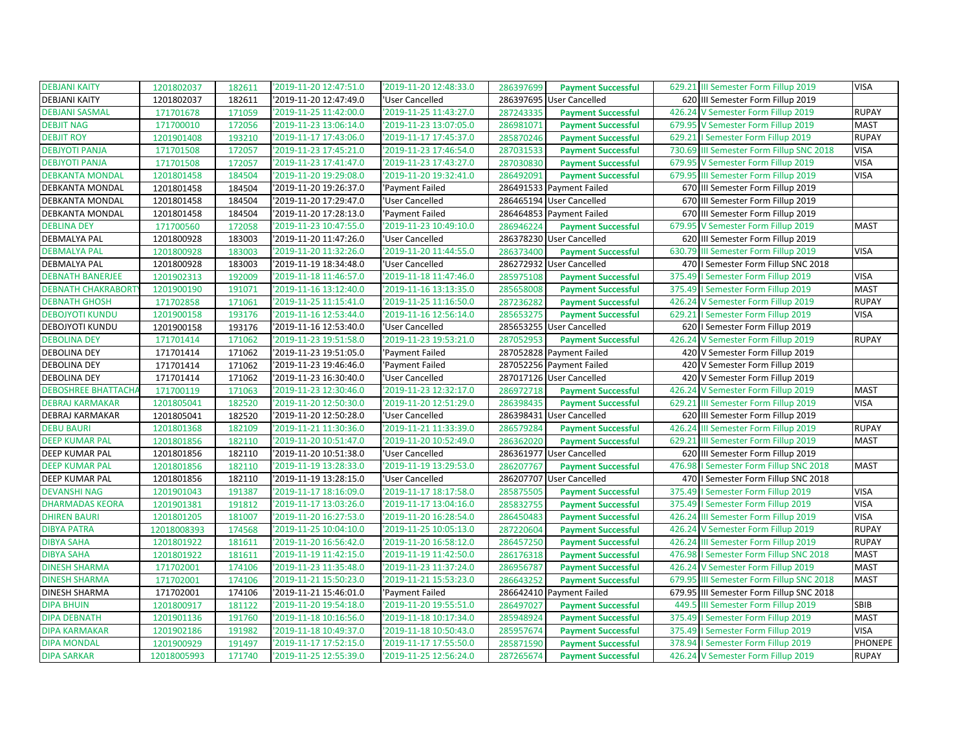| <b>DEBJANI KAITY</b>       | 1201802037  | 182611 | '2019-11-20 12:47:51.0 | '2019-11-20 12:48:33.0 | 286397699<br><b>Payment Successful</b> | 629.21 III Semester Form Fillup 2019     | <b>VISA</b>    |
|----------------------------|-------------|--------|------------------------|------------------------|----------------------------------------|------------------------------------------|----------------|
| <b>DEBJANI KAITY</b>       | 1201802037  | 182611 | 2019-11-20 12:47:49.0  | 'User Cancelled        | 286397695<br>User Cancelled            | 620 III Semester Form Fillup 2019        |                |
| <b>DEBJANI SASMAL</b>      | 171701678   | 171059 | '2019-11-25 11:42:00.0 | '2019-11-25 11:43:27.0 | 287243335<br><b>Payment Successful</b> | 426.24 V Semester Form Fillup 2019       | <b>RUPAY</b>   |
| <b>DEBJIT NAG</b>          | 171700010   | 172056 | '2019-11-23 13:06:14.0 | '2019-11-23 13:07:05.0 | 286981071<br><b>Payment Successful</b> | 679.95 V Semester Form Fillup 2019       | <b>MAST</b>    |
| <b>DEBJIT ROY</b>          | 1201901408  | 193210 | 2019-11-17 17:43:06.0  | '2019-11-17 17:45:37.0 | 285870246<br><b>Payment Successful</b> | 629.21   Semester Form Fillup 2019       | <b>RUPAY</b>   |
| <b>DEBJYOTI PANJA</b>      | 171701508   | 172057 | '2019-11-23 17:45:21.0 | '2019-11-23 17:46:54.0 | 287031533<br><b>Payment Successful</b> | 730.69 III Semester Form Fillup SNC 2018 | <b>VISA</b>    |
| <b>DEBJYOTI PANJA</b>      | 171701508   | 172057 | '2019-11-23 17:41:47.0 | '2019-11-23 17:43:27.0 | 287030830<br><b>Payment Successful</b> | 679.95 V Semester Form Fillup 2019       | <b>VISA</b>    |
| <b>DEBKANTA MONDAL</b>     | 1201801458  | 184504 | 2019-11-20 19:29:08.0  | '2019-11-20 19:32:41.0 | 286492091<br><b>Payment Successful</b> | 679.95 III Semester Form Fillup 2019     | <b>VISA</b>    |
| DEBKANTA MONDAL            | 1201801458  | 184504 | '2019-11-20 19:26:37.0 | 'Payment Failed        | 286491533 Payment Failed               | 670 III Semester Form Fillup 2019        |                |
| DEBKANTA MONDAL            | 1201801458  | 184504 | 2019-11-20 17:29:47.0  | 'User Cancelled        | 286465194 User Cancelled               | 670 III Semester Form Fillup 2019        |                |
| DEBKANTA MONDAL            | 1201801458  | 184504 | '2019-11-20 17:28:13.0 | 'Payment Failed        | 286464853 Payment Failed               | 670 III Semester Form Fillup 2019        |                |
| <b>DEBLINA DEY</b>         | 171700560   | 172058 | '2019-11-23 10:47:55.0 | '2019-11-23 10:49:10.0 | 286946224<br><b>Payment Successful</b> | 679.95 V Semester Form Fillup 2019       | <b>MAST</b>    |
| <b>DEBMALYA PAL</b>        | 1201800928  | 183003 | '2019-11-20 11:47:26.0 | 'User Cancelled        | 286378230 User Cancelled               | 620 III Semester Form Fillup 2019        |                |
| <b>DEBMALYA PAL</b>        | 1201800928  | 183003 | '2019-11-20 11:32:26.0 | '2019-11-20 11:44:55.0 | 286373400<br><b>Payment Successful</b> | 630.79 III Semester Form Fillup 2019     | <b>VISA</b>    |
| <b>DEBMALYA PAL</b>        | 1201800928  | 183003 | 2019-11-19 18:34:48.0  | 'User Cancelled        | 286272932 User Cancelled               | 470   Semester Form Fillup SNC 2018      |                |
| <b>DEBNATH BANERJEE</b>    | 1201902313  | 192009 | '2019-11-18 11:46:57.0 | '2019-11-18 11:47:46.0 | 285975108<br><b>Payment Successful</b> | 375.49   Semester Form Fillup 2019       | <b>VISA</b>    |
| <b>DEBNATH CHAKRABORT</b>  | 1201900190  | 191071 | '2019-11-16 13:12:40.0 | '2019-11-16 13:13:35.0 | 285658008<br><b>Payment Successful</b> | 375.49   Semester Form Fillup 2019       | <b>MAST</b>    |
| <b>DEBNATH GHOSH</b>       | 171702858   | 171061 | '2019-11-25 11:15:41.0 | '2019-11-25 11:16:50.0 | 287236282<br><b>Payment Successful</b> | 426.24 V Semester Form Fillup 2019       | <b>RUPAY</b>   |
| <b>DEBOJYOTI KUNDU</b>     | 1201900158  | 193176 | 2019-11-16 12:53:44.0  | '2019-11-16 12:56:14.0 | 285653275<br><b>Payment Successful</b> | 629.21   Semester Form Fillup 2019       | <b>VISA</b>    |
| DEBOJYOTI KUNDU            | 1201900158  | 193176 | '2019-11-16 12:53:40.0 | 'User Cancelled        | 285653255 User Cancelled               | 620   Semester Form Fillup 2019          |                |
| <b>DEBOLINA DEY</b>        | 171701414   | 171062 | '2019-11-23 19:51:58.0 | '2019-11-23 19:53:21.0 | 287052953<br><b>Payment Successful</b> | 426.24 V Semester Form Fillup 2019       | <b>RUPAY</b>   |
| <b>DEBOLINA DEY</b>        | 171701414   | 171062 | '2019-11-23 19:51:05.0 | 'Payment Failed        | 287052828 Payment Failed               | 420 V Semester Form Fillup 2019          |                |
| <b>DEBOLINA DEY</b>        | 171701414   | 171062 | '2019-11-23 19:46:46.0 | 'Payment Failed        | 287052256 Payment Failed               | 420 V Semester Form Fillup 2019          |                |
| <b>DEBOLINA DEY</b>        | 171701414   | 171062 | 2019-11-23 16:30:40.0  | 'User Cancelled        | 287017126 User Cancelled               | 420 V Semester Form Fillup 2019          |                |
| <b>DEBOSHREE BHATTACHA</b> | 171700119   | 171063 | '2019-11-23 12:30:46.0 | '2019-11-23 12:32:17.0 | 286972718<br><b>Payment Successful</b> | 426.24 V Semester Form Fillup 2019       | <b>MAST</b>    |
| <b>DEBRAJ KARMAKAR</b>     | 1201805041  | 182520 | '2019-11-20 12:50:30.0 | '2019-11-20 12:51:29.0 | 286398435<br><b>Payment Successful</b> | 629.21 III Semester Form Fillup 2019     | <b>VISA</b>    |
| DEBRAJ KARMAKAR            | 1201805041  | 182520 | '2019-11-20 12:50:28.0 | 'User Cancelled        | 286398431 User Cancelled               | 620 III Semester Form Fillup 2019        |                |
| <b>DEBU BAURI</b>          | 1201801368  | 182109 | '2019-11-21 11:30:36.0 | '2019-11-21 11:33:39.0 | 286579284<br><b>Payment Successful</b> | 426.24 III Semester Form Fillup 2019     | <b>RUPAY</b>   |
| <b>DEEP KUMAR PAL</b>      | 1201801856  | 182110 | '2019-11-20 10:51:47.0 | '2019-11-20 10:52:49.0 | 286362020<br><b>Payment Successful</b> | 629.21 III Semester Form Fillup 2019     | <b>MAST</b>    |
| DEEP KUMAR PAL             | 1201801856  | 182110 | '2019-11-20 10:51:38.0 | 'User Cancelled        | 286361977 User Cancelled               | 620 III Semester Form Fillup 2019        |                |
| <b>DEEP KUMAR PAL</b>      | 1201801856  | 182110 | '2019-11-19 13:28:33.0 | '2019-11-19 13:29:53.0 | 286207767<br><b>Payment Successful</b> | 476.98   Semester Form Fillup SNC 2018   | <b>MAST</b>    |
| DEEP KUMAR PAL             | 1201801856  | 182110 | '2019-11-19 13:28:15.0 | 'User Cancelled        | 286207707 User Cancelled               | 470   Semester Form Fillup SNC 2018      |                |
| <b>DEVANSHI NAG</b>        | 1201901043  | 191387 | 2019-11-17 18:16:09.0  | '2019-11-17 18:17:58.0 | 285875505<br><b>Payment Successful</b> | 375.49   Semester Form Fillup 2019       | <b>VISA</b>    |
| <b>DHARMADAS KEORA</b>     | 1201901381  | 191812 | '2019-11-17 13:03:26.0 | '2019-11-17 13:04:16.0 | 285832755<br><b>Payment Successful</b> | 375.49   Semester Form Fillup 2019       | <b>VISA</b>    |
| <b>DHIREN BAURI</b>        | 1201801205  | 181007 | '2019-11-20 16:27:53.0 | '2019-11-20 16:28:54.0 | 286450483<br><b>Payment Successful</b> | 426.24 III Semester Form Fillup 2019     | <b>VISA</b>    |
| <b>DIBYA PATRA</b>         | 12018008393 | 174568 | '2019-11-25 10:04:10.0 | '2019-11-25 10:05:13.0 | 287220604<br><b>Payment Successful</b> | 426.24 V Semester Form Fillup 2019       | <b>RUPAY</b>   |
| <b>DIBYA SAHA</b>          | 1201801922  | 181611 | '2019-11-20 16:56:42.0 | '2019-11-20 16:58:12.0 | 286457250<br><b>Payment Successful</b> | 426.24 III Semester Form Fillup 2019     | <b>RUPAY</b>   |
| <b>DIBYA SAHA</b>          | 1201801922  | 181611 | '2019-11-19 11:42:15.0 | '2019-11-19 11:42:50.0 | 286176318<br><b>Payment Successful</b> | 476.98   Semester Form Fillup SNC 2018   | <b>MAST</b>    |
| <b>DINESH SHARMA</b>       | 171702001   | 174106 | 2019-11-23 11:35:48.0  | '2019-11-23 11:37:24.0 | 286956787<br><b>Payment Successful</b> | 426.24 V Semester Form Fillup 2019       | <b>MAST</b>    |
| <b>DINESH SHARMA</b>       | 171702001   | 174106 | 2019-11-21 15:50:23.0  | '2019-11-21 15:53:23.0 | 286643252<br><b>Payment Successful</b> | 679.95 III Semester Form Fillup SNC 2018 | <b>MAST</b>    |
| DINESH SHARMA              | 171702001   | 174106 | '2019-11-21 15:46:01.0 | 'Payment Failed        | 286642410 Payment Failed               | 679.95 III Semester Form Fillup SNC 2018 |                |
| <b>DIPA BHUIN</b>          | 1201800917  | 181122 | '2019-11-20 19:54:18.0 | '2019-11-20 19:55:51.0 | 286497027<br><b>Payment Successful</b> | 449.5 III Semester Form Fillup 2019      | SBIB           |
| <b>DIPA DEBNATH</b>        | 1201901136  | 191760 | 2019-11-18 10:16:56.0  | '2019-11-18 10:17:34.0 | 285948924<br><b>Payment Successful</b> | 375.49   Semester Form Fillup 2019       | <b>MAST</b>    |
| <b>DIPA KARMAKAR</b>       | 1201902186  | 191982 | '2019-11-18 10:49:37.0 | '2019-11-18 10:50:43.0 | 285957674<br><b>Payment Successful</b> | 375.49   Semester Form Fillup 2019       | <b>VISA</b>    |
| <b>DIPA MONDAL</b>         | 1201900929  | 191497 | '2019-11-17 17:52:15.0 | '2019-11-17 17:55:50.0 | 285871590<br><b>Payment Successful</b> | 378.94   Semester Form Fillup 2019       | <b>PHONEPE</b> |
| <b>DIPA SARKAR</b>         | 12018005993 | 171740 | 2019-11-25 12:55:39.0  | '2019-11-25 12:56:24.0 | 287265674<br><b>Payment Successful</b> | 426.24 V Semester Form Fillup 2019       | <b>RUPAY</b>   |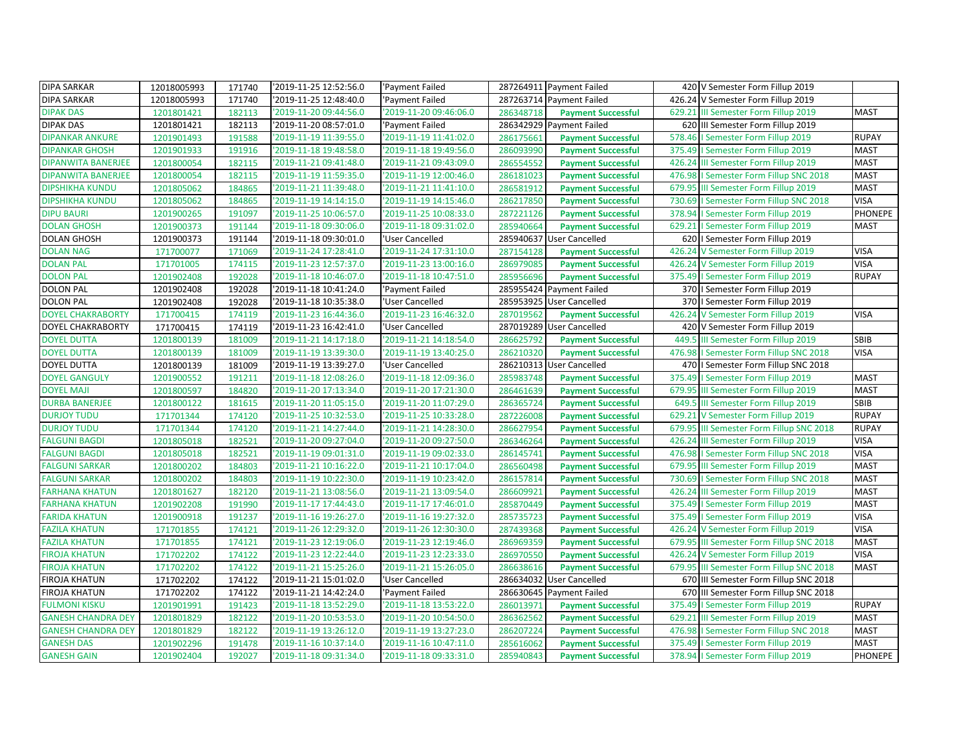| <b>DIPA SARKAR</b>        | 12018005993 | 171740 | '2019-11-25 12:52:56.0 | 'Payment Failed        | 287264911 Payment Failed               | 420 V Semester Form Fillup 2019           |                |
|---------------------------|-------------|--------|------------------------|------------------------|----------------------------------------|-------------------------------------------|----------------|
| <b>DIPA SARKAR</b>        | 12018005993 | 171740 | 2019-11-25 12:48:40.0  | 'Payment Failed        | 287263714 Payment Failed               | 426.24 V Semester Form Fillup 2019        |                |
| <b>DIPAK DAS</b>          | 1201801421  | 182113 | '2019-11-20 09:44:56.0 | '2019-11-20 09:46:06.0 | 286348718<br><b>Payment Successful</b> | 629.21 III Semester Form Fillup 2019      | <b>MAST</b>    |
| <b>DIPAK DAS</b>          | 1201801421  | 182113 | '2019-11-20 08:57:01.0 | 'Payment Failed        | 286342929 Payment Failed               | 620 III Semester Form Fillup 2019         |                |
| <b>DIPANKAR ANKURE</b>    | 1201901493  | 191588 | '2019-11-19 11:39:55.0 | '2019-11-19 11:41:02.0 | 286175661<br><b>Payment Successful</b> | 578.46   Semester Form Fillup 2019        | <b>RUPAY</b>   |
| <b>DIPANKAR GHOSH</b>     | 1201901933  | 191916 | '2019-11-18 19:48:58.0 | '2019-11-18 19:49:56.0 | 286093990<br><b>Payment Successful</b> | 375.49   Semester Form Fillup 2019        | <b>MAST</b>    |
| DIPANWITA BANERJEE        | 1201800054  | 182115 | '2019-11-21 09:41:48.0 | '2019-11-21 09:43:09.0 | 286554552<br><b>Payment Successful</b> | 426.24 III Semester Form Fillup 2019      | <b>MAST</b>    |
| <b>DIPANWITA BANERJEE</b> | 1201800054  | 182115 | '2019-11-19 11:59:35.0 | '2019-11-19 12:00:46.0 | 286181023<br><b>Payment Successful</b> | 476.98   Semester Form Fillup SNC 2018    | <b>MAST</b>    |
| <b>DIPSHIKHA KUNDU</b>    | 1201805062  | 184865 | '2019-11-21 11:39:48.0 | '2019-11-21 11:41:10.0 | 286581912<br><b>Payment Successful</b> | 679.95 III Semester Form Fillup 2019      | <b>MAST</b>    |
| <b>DIPSHIKHA KUNDU</b>    | 1201805062  | 184865 | '2019-11-19 14:14:15.0 | '2019-11-19 14:15:46.0 | 286217850<br><b>Payment Successful</b> | I Semester Form Fillup SNC 2018<br>730.69 | <b>VISA</b>    |
| <b>DIPU BAURI</b>         | 1201900265  | 191097 | 2019-11-25 10:06:57.0  | '2019-11-25 10:08:33.0 | 287221126<br><b>Payment Successful</b> | 378.94   Semester Form Fillup 2019        | <b>PHONEPE</b> |
| <b>DOLAN GHOSH</b>        | 1201900373  | 191144 | '2019-11-18 09:30:06.0 | '2019-11-18 09:31:02.0 | 285940664<br><b>Payment Successful</b> | 629.21   Semester Form Fillup 2019        | <b>MAST</b>    |
| <b>DOLAN GHOSH</b>        | 1201900373  | 191144 | '2019-11-18 09:30:01.0 | 'User Cancelled        | 285940637 User Cancelled               | 620   Semester Form Fillup 2019           |                |
| <b>DOLAN NAG</b>          | 171700077   | 171069 | '2019-11-24 17:28:41.0 | '2019-11-24 17:31:10.0 | 287154128<br><b>Payment Successful</b> | 426.24 V Semester Form Fillup 2019        | <b>VISA</b>    |
| <b>DOLAN PAL</b>          | 171701005   | 174115 | 2019-11-23 12:57:37.0  | '2019-11-23 13:00:16.0 | 286979085<br><b>Payment Successful</b> | 426.24 V Semester Form Fillup 2019        | <b>VISA</b>    |
| <b>DOLON PAL</b>          | 1201902408  | 192028 | 2019-11-18 10:46:07.0  | '2019-11-18 10:47:51.0 | 285956696<br><b>Payment Successful</b> | 375.49   Semester Form Fillup 2019        | <b>RUPAY</b>   |
| <b>DOLON PAL</b>          | 1201902408  | 192028 | '2019-11-18 10:41:24.0 | 'Payment Failed        | 285955424 Payment Failed               | 370   Semester Form Fillup 2019           |                |
| <b>DOLON PAL</b>          | 1201902408  | 192028 | 2019-11-18 10:35:38.0  | 'User Cancelled        | 285953925<br><b>User Cancelled</b>     | 370   Semester Form Fillup 2019           |                |
| <b>DOYEL CHAKRABORTY</b>  | 171700415   | 174119 | '2019-11-23 16:44:36.0 | '2019-11-23 16:46:32.0 | 287019562<br><b>Payment Successful</b> | 426.24 V Semester Form Fillup 2019        | <b>VISA</b>    |
| DOYEL CHAKRABORTY         | 171700415   | 174119 | '2019-11-23 16:42:41.0 | 'User Cancelled        | 287019289 User Cancelled               | 420 V Semester Form Fillup 2019           |                |
| <b>DOYEL DUTTA</b>        | 1201800139  | 181009 | '2019-11-21 14:17:18.0 | '2019-11-21 14:18:54.0 | 286625792<br><b>Payment Successful</b> | 449.5 III Semester Form Fillup 2019       | <b>SBIB</b>    |
| <b>DOYEL DUTTA</b>        | 1201800139  | 181009 | '2019-11-19 13:39:30.0 | '2019-11-19 13:40:25.0 | 286210320<br><b>Payment Successful</b> | 476.98   Semester Form Fillup SNC 2018    | <b>VISA</b>    |
| DOYEL DUTTA               | 1201800139  | 181009 | '2019-11-19 13:39:27.0 | 'User Cancelled        | 286210313 User Cancelled               | 470   I Semester Form Fillup SNC 2018     |                |
| <b>DOYEL GANGULY</b>      | 1201900552  | 191211 | '2019-11-18 12:08:26.0 | '2019-11-18 12:09:36.0 | 285983748<br><b>Payment Successful</b> | 375.49   Semester Form Fillup 2019        | <b>MAST</b>    |
| <b>DOYEL MAJI</b>         | 1201800597  | 184820 | '2019-11-20 17:13:34.0 | '2019-11-20 17:21:30.0 | 286461639<br><b>Payment Successful</b> | 679.95 III Semester Form Fillup 2019      | <b>MAST</b>    |
| <b>DURBA BANERJEE</b>     | 1201800122  | 181615 | '2019-11-20 11:05:15.0 | '2019-11-20 11:07:29.0 | 286365724<br><b>Payment Successful</b> | 649.5 III Semester Form Fillup 2019       | SBIB           |
| <b>DURJOY TUDU</b>        | 171701344   | 174120 | '2019-11-25 10:32:53.0 | '2019-11-25 10:33:28.0 | 287226008<br><b>Payment Successful</b> | 629.21 V Semester Form Fillup 2019        | <b>RUPAY</b>   |
| <b>DURJOY TUDU</b>        | 171701344   | 174120 | '2019-11-21 14:27:44.0 | '2019-11-21 14:28:30.0 | 286627954<br><b>Payment Successful</b> | 679.95 III Semester Form Fillup SNC 2018  | <b>RUPAY</b>   |
| <b>FALGUNI BAGDI</b>      | 1201805018  | 182521 | '2019-11-20 09:27:04.0 | '2019-11-20 09:27:50.0 | 286346264<br><b>Payment Successful</b> | 426.24 III Semester Form Fillup 2019      | <b>VISA</b>    |
| <b>FALGUNI BAGDI</b>      | 1201805018  | 182521 | '2019-11-19 09:01:31.0 | '2019-11-19 09:02:33.0 | 286145741<br><b>Payment Successful</b> | 476.98   Semester Form Fillup SNC 2018    | <b>VISA</b>    |
| <b>FALGUNI SARKAR</b>     | 1201800202  | 184803 | '2019-11-21 10:16:22.0 | '2019-11-21 10:17:04.0 | 286560498<br><b>Payment Successful</b> | 679.95 III Semester Form Fillup 2019      | <b>MAST</b>    |
| FALGUNI SARKAR            | 1201800202  | 184803 | '2019-11-19 10:22:30.0 | '2019-11-19 10:23:42.0 | 286157814<br><b>Payment Successful</b> | 730.69   Semester Form Fillup SNC 2018    | <b>MAST</b>    |
| <b>FARHANA KHATUN</b>     | 1201801627  | 182120 | '2019-11-21 13:08:56.0 | '2019-11-21 13:09:54.0 | 286609921<br><b>Payment Successful</b> | 426.24 III Semester Form Fillup 2019      | <b>MAST</b>    |
| <b>FARHANA KHATUN</b>     | 1201902208  | 191990 | '2019-11-17 17:44:43.0 | '2019-11-17 17:46:01.0 | 285870449<br><b>Payment Successful</b> | 375.49   Semester Form Fillup 2019        | <b>MAST</b>    |
| <b>FARIDA KHATUN</b>      | 1201900918  | 191237 | 2019-11-16 19:26:27.0  | '2019-11-16 19:27:32.0 | 285735723<br><b>Payment Successful</b> | 375.49   Semester Form Fillup 2019        | <b>VISA</b>    |
| <b>FAZILA KHATUN</b>      | 171701855   | 174121 | '2019-11-26 12:29:32.0 | '2019-11-26 12:30:30.0 | 287439368<br><b>Payment Successful</b> | 426.24 V Semester Form Fillup 2019        | <b>VISA</b>    |
| <b>FAZILA KHATUN</b>      | 171701855   | 174121 | '2019-11-23 12:19:06.0 | '2019-11-23 12:19:46.0 | 286969359<br><b>Payment Successful</b> | 679.95 III Semester Form Fillup SNC 2018  | <b>MAST</b>    |
| <b>FIROJA KHATUN</b>      | 171702202   | 174122 | '2019-11-23 12:22:44.0 | '2019-11-23 12:23:33.0 | 286970550<br><b>Payment Successful</b> | 426.24 V Semester Form Fillup 2019        | <b>VISA</b>    |
| <b>FIROJA KHATUN</b>      | 171702202   | 174122 | '2019-11-21 15:25:26.0 | '2019-11-21 15:26:05.0 | 286638616<br><b>Payment Successful</b> | 679.95 III Semester Form Fillup SNC 2018  | <b>MAST</b>    |
| FIROJA KHATUN             | 171702202   | 174122 | '2019-11-21 15:01:02.0 | 'User Cancelled        | 286634032 User Cancelled               | 670 III Semester Form Fillup SNC 2018     |                |
| <b>FIROJA KHATUN</b>      | 171702202   | 174122 | '2019-11-21 14:42:24.0 | 'Payment Failed        | 286630645 Payment Failed               | 670 III Semester Form Fillup SNC 2018     |                |
| <b>FULMONI KISKU</b>      | 1201901991  | 191423 | '2019-11-18 13:52:29.0 | '2019-11-18 13:53:22.0 | 286013971<br><b>Payment Successful</b> | 375.49   Semester Form Fillup 2019        | <b>RUPAY</b>   |
| <b>GANESH CHANDRA DEY</b> | 1201801829  | 182122 | '2019-11-20 10:53:53.0 | '2019-11-20 10:54:50.0 | 286362562<br><b>Payment Successful</b> | 629.21 III Semester Form Fillup 2019      | <b>MAST</b>    |
| <b>GANESH CHANDRA DEY</b> | 1201801829  | 182122 | '2019-11-19 13:26:12.0 | '2019-11-19 13:27:23.0 | 286207224<br><b>Payment Successful</b> | 476.98   Semester Form Fillup SNC 2018    | <b>MAST</b>    |
| <b>GANESH DAS</b>         | 1201902296  | 191478 | 2019-11-16 10:37:14.0  | '2019-11-16 10:47:11.0 | 285616062<br><b>Payment Successful</b> | 375.49   Semester Form Fillup 2019        | <b>MAST</b>    |
| <b>GANESH GAIN</b>        | 1201902404  | 192027 | '2019-11-18 09:31:34.0 | '2019-11-18 09:33:31.0 | 285940843<br><b>Payment Successful</b> | 378.94   Semester Form Fillup 2019        | PHONEPE        |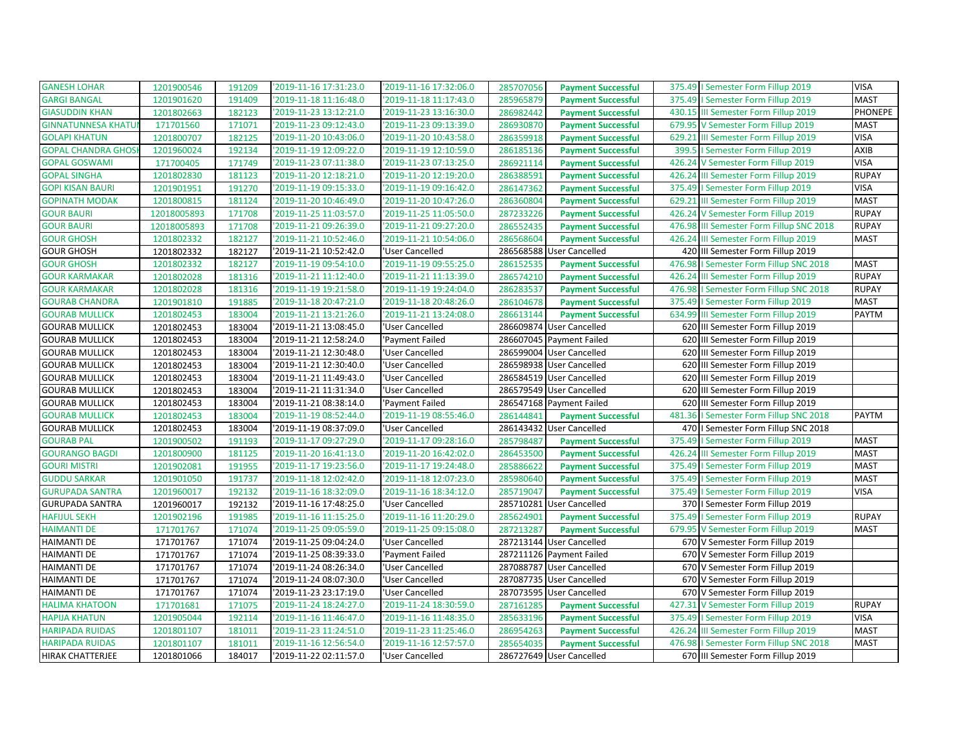| <b>GANESH LOHAR</b>       | 1201900546  | 191209 | '2019-11-16 17:31:23.0 | '2019-11-16 17:32:06.0 | 285707056 | <b>Payment Successful</b> | <b>VISA</b><br>375.49   Semester Form Fillup 2019         |         |
|---------------------------|-------------|--------|------------------------|------------------------|-----------|---------------------------|-----------------------------------------------------------|---------|
| <b>GARGI BANGAL</b>       | 1201901620  | 191409 | '2019-11-18 11:16:48.0 | '2019-11-18 11:17:43.0 | 285965879 | <b>Payment Successful</b> | <b>MAST</b><br>375.49   Semester Form Fillup 2019         |         |
| <b>GIASUDDIN KHAN</b>     | 1201802663  | 182123 | '2019-11-23 13:12:21.0 | '2019-11-23 13:16:30.0 | 286982442 | <b>Payment Successful</b> | 430.15 III Semester Form Fillup 2019                      | PHONEPE |
| <b>GINNATUNNESA KHATU</b> | 171701560   | 171071 | '2019-11-23 09:12:43.0 | '2019-11-23 09:13:39.0 | 286930870 | <b>Payment Successful</b> | 679.95 V Semester Form Fillup 2019<br><b>MAST</b>         |         |
| <b>GOLAPI KHATUN</b>      | 1201800707  | 182125 | '2019-11-20 10:43:06.0 | '2019-11-20 10:43:58.0 | 286359918 | <b>Payment Successful</b> | <b>VISA</b><br>629.21 III Semester Form Fillup 2019       |         |
| <b>GOPAL CHANDRA GHOS</b> | 1201960024  | 192134 | '2019-11-19 12:09:22.0 | '2019-11-19 12:10:59.0 | 286185136 | <b>Payment Successful</b> | AXIB<br>399.5   Semester Form Fillup 2019                 |         |
| <b>GOPAL GOSWAMI</b>      | 171700405   | 171749 | '2019-11-23 07:11:38.0 | '2019-11-23 07:13:25.0 | 286921114 | <b>Payment Successful</b> | <b>VISA</b><br>426.24 V Semester Form Fillup 2019         |         |
| <b>GOPAL SINGHA</b>       | 1201802830  | 181123 | '2019-11-20 12:18:21.0 | '2019-11-20 12:19:20.0 | 286388591 | <b>Payment Successful</b> | 426.24 III Semester Form Fillup 2019<br><b>RUPAY</b>      |         |
| <b>GOPI KISAN BAURI</b>   | 1201901951  | 191270 | '2019-11-19 09:15:33.0 | '2019-11-19 09:16:42.0 | 286147362 | <b>Payment Successful</b> | <b>VISA</b><br>I Semester Form Fillup 2019<br>375.49      |         |
| <b>GOPINATH MODAK</b>     | 1201800815  | 181124 | '2019-11-20 10:46:49.0 | '2019-11-20 10:47:26.0 | 286360804 | <b>Payment Successful</b> | <b>MAST</b><br>III Semester Form Fillup 2019<br>629.21    |         |
| <b>GOUR BAURI</b>         | 12018005893 | 171708 | '2019-11-25 11:03:57.0 | '2019-11-25 11:05:50.0 | 287233226 | <b>Payment Successful</b> | 426.24 V Semester Form Fillup 2019<br><b>RUPAY</b>        |         |
| <b>GOUR BAURI</b>         | 12018005893 | 171708 | '2019-11-21 09:26:39.0 | '2019-11-21 09:27:20.0 | 286552435 | <b>Payment Successful</b> | 476.98 III Semester Form Fillup SNC 2018<br><b>RUPAY</b>  |         |
| <b>GOUR GHOSH</b>         | 1201802332  | 182127 | '2019-11-21 10:52:46.0 | '2019-11-21 10:54:06.0 | 286568604 | <b>Payment Successful</b> | 426.24<br>III Semester Form Fillup 2019<br><b>MAST</b>    |         |
| <b>GOUR GHOSH</b>         | 1201802332  | 182127 | '2019-11-21 10:52:42.0 | 'User Cancelled        |           | 286568588 User Cancelled  | 420 III Semester Form Fillup 2019                         |         |
| <b>GOUR GHOSH</b>         | 1201802332  | 182127 | '2019-11-19 09:54:10.0 | '2019-11-19 09:55:25.0 | 286152535 | <b>Payment Successful</b> | 476.98<br><b>MAST</b><br>I Semester Form Fillup SNC 2018  |         |
| <b>GOUR KARMAKAR</b>      | 1201802028  | 181316 | '2019-11-21 11:12:40.0 | '2019-11-21 11:13:39.0 | 286574210 | <b>Payment Successful</b> | <b>RUPAY</b><br>426.24<br>III Semester Form Fillup 2019   |         |
| <b>GOUR KARMAKAR</b>      | 1201802028  | 181316 | '2019-11-19 19:21:58.0 | '2019-11-19 19:24:04.0 | 286283537 | <b>Payment Successful</b> | <b>RUPAY</b><br>476.98<br>I Semester Form Fillup SNC 2018 |         |
| <b>GOURAB CHANDRA</b>     | 1201901810  | 191885 | '2019-11-18 20:47:21.0 | '2019-11-18 20:48:26.0 | 286104678 | <b>Payment Successful</b> | I Semester Form Fillup 2019<br><b>MAST</b><br>375.49      |         |
| <b>GOURAB MULLICK</b>     | 1201802453  | 183004 | '2019-11-21 13:21:26.0 | '2019-11-21 13:24:08.0 | 286613144 | <b>Payment Successful</b> | 634.99 III Semester Form Fillup 2019<br><b>PAYTM</b>      |         |
| <b>GOURAB MULLICK</b>     | 1201802453  | 183004 | '2019-11-21 13:08:45.0 | 'User Cancelled        |           | 286609874 User Cancelled  | 620 III Semester Form Fillup 2019                         |         |
| <b>GOURAB MULLICK</b>     | 1201802453  | 183004 | '2019-11-21 12:58:24.0 | 'Payment Failed        |           | 286607045 Payment Failed  | 620<br>III Semester Form Fillup 2019                      |         |
| <b>GOURAB MULLICK</b>     | 1201802453  | 183004 | '2019-11-21 12:30:48.0 | 'User Cancelled        |           | 286599004 User Cancelled  | 620<br>III Semester Form Fillup 2019                      |         |
| <b>GOURAB MULLICK</b>     | 1201802453  | 183004 | '2019-11-21 12:30:40.0 | 'User Cancelled        |           | 286598938 User Cancelled  | 620<br>III Semester Form Fillup 2019                      |         |
| <b>GOURAB MULLICK</b>     | 1201802453  | 183004 | '2019-11-21 11:49:43.0 | 'User Cancelled        |           | 286584519 User Cancelled  | 620<br>III Semester Form Fillup 2019                      |         |
| <b>GOURAB MULLICK</b>     | 1201802453  | 183004 | '2019-11-21 11:31:34.0 | 'User Cancelled        |           | 286579549 User Cancelled  | 620<br>III Semester Form Fillup 2019                      |         |
| <b>GOURAB MULLICK</b>     | 1201802453  | 183004 | '2019-11-21 08:38:14.0 | 'Payment Failed        |           | 286547168 Payment Failed  | 620<br>III Semester Form Fillup 2019                      |         |
| <b>GOURAB MULLICK</b>     | 1201802453  | 183004 | '2019-11-19 08:52:44.0 | '2019-11-19 08:55:46.0 | 286144841 | <b>Payment Successful</b> | 481.36   Semester Form Fillup SNC 2018<br>PAYTM           |         |
| <b>GOURAB MULLICK</b>     | 1201802453  | 183004 | '2019-11-19 08:37:09.0 | 'User Cancelled        |           | 286143432 User Cancelled  | 470   I Semester Form Fillup SNC 2018                     |         |
| <b>GOURAB PAL</b>         | 1201900502  | 191193 | '2019-11-17 09:27:29.0 | '2019-11-17 09:28:16.0 | 285798487 | <b>Payment Successful</b> | I Semester Form Fillup 2019<br><b>MAST</b><br>375.49      |         |
| <b>GOURANGO BAGDI</b>     | 1201800900  | 181125 | '2019-11-20 16:41:13.0 | '2019-11-20 16:42:02.0 | 286453500 | <b>Payment Successful</b> | <b>MAST</b><br>III Semester Form Fillup 2019<br>426.24    |         |
| <b>GOURI MISTRI</b>       | 1201902081  | 191955 | '2019-11-17 19:23:56.0 | '2019-11-17 19:24:48.0 | 285886622 | <b>Payment Successful</b> | <b>MAST</b><br>375.49   Semester Form Fillup 2019         |         |
| <b>GUDDU SARKAR</b>       | 1201901050  | 191737 | '2019-11-18 12:02:42.0 | '2019-11-18 12:07:23.0 | 285980640 | <b>Payment Successful</b> | 375.49   Semester Form Fillup 2019<br><b>MAST</b>         |         |
| <b>GURUPADA SANTRA</b>    | 1201960017  | 192132 | '2019-11-16 18:32:09.0 | '2019-11-16 18:34:12.0 | 285719047 | <b>Payment Successful</b> | <b>VISA</b><br>375.49   Semester Form Fillup 2019         |         |
| <b>GURUPADA SANTRA</b>    | 1201960017  | 192132 | '2019-11-16 17:48:25.0 | 'User Cancelled        | 285710281 | <b>User Cancelled</b>     | 370   Semester Form Fillup 2019                           |         |
| <b>HAFIJUL SEKH</b>       | 1201902196  | 191985 | '2019-11-16 11:15:25.0 | '2019-11-16 11:20:29.0 | 285624901 | <b>Payment Successful</b> | 375.49   Semester Form Fillup 2019<br><b>RUPAY</b>        |         |
| <b>HAIMANTI DE</b>        | 171701767   | 171074 | '2019-11-25 09:05:59.0 | '2019-11-25 09:15:08.0 | 287213287 | <b>Payment Successful</b> | 679.95<br>V Semester Form Fillup 2019<br><b>MAST</b>      |         |
| <b>HAIMANTI DE</b>        | 171701767   | 171074 | '2019-11-25 09:04:24.0 | 'User Cancelled        |           | 287213144 User Cancelled  | 670 V Semester Form Fillup 2019                           |         |
| <b>HAIMANTI DE</b>        | 171701767   | 171074 | '2019-11-25 08:39:33.0 | 'Payment Failed        |           | 287211126 Payment Failed  | 670 V Semester Form Fillup 2019                           |         |
| <b>HAIMANTI DE</b>        | 171701767   | 171074 | '2019-11-24 08:26:34.0 | 'User Cancelled        | 287088787 | <b>User Cancelled</b>     | 670 V Semester Form Fillup 2019                           |         |
| <b>HAIMANTI DE</b>        | 171701767   | 171074 | '2019-11-24 08:07:30.0 | 'User Cancelled        |           | 287087735 User Cancelled  | 670 V Semester Form Fillup 2019                           |         |
| <b>HAIMANTI DE</b>        | 171701767   | 171074 | '2019-11-23 23:17:19.0 | 'User Cancelled        |           | 287073595 User Cancelled  | 670 V Semester Form Fillup 2019                           |         |
| <b>HALIMA KHATOON</b>     | 171701681   | 171075 | '2019-11-24 18:24:27.0 | '2019-11-24 18:30:59.0 | 287161285 | <b>Payment Successful</b> | 427.31<br>V Semester Form Fillup 2019<br><b>RUPAY</b>     |         |
| <b>HAPIJA KHATUN</b>      | 1201905044  | 192114 | '2019-11-16 11:46:47.0 | '2019-11-16 11:48:35.0 | 285633196 | <b>Payment Successful</b> | <b>VISA</b><br>375.49   Semester Form Fillup 2019         |         |
| <b>HARIPADA RUIDAS</b>    | 1201801107  | 181011 | '2019-11-23 11:24:51.0 | '2019-11-23 11:25:46.0 | 286954263 | <b>Payment Successful</b> | <b>MAST</b><br>426.24<br>III Semester Form Fillup 2019    |         |
| <b>HARIPADA RUIDAS</b>    | 1201801107  | 181011 | '2019-11-16 12:56:54.0 | '2019-11-16 12:57:57.0 | 285654035 | <b>Payment Successful</b> | <b>MAST</b><br>476.98   Semester Form Fillup SNC 2018     |         |
| <b>HIRAK CHATTERJEE</b>   | 1201801066  | 184017 | '2019-11-22 02:11:57.0 | 'User Cancelled        |           | 286727649 User Cancelled  | 670 III Semester Form Fillup 2019                         |         |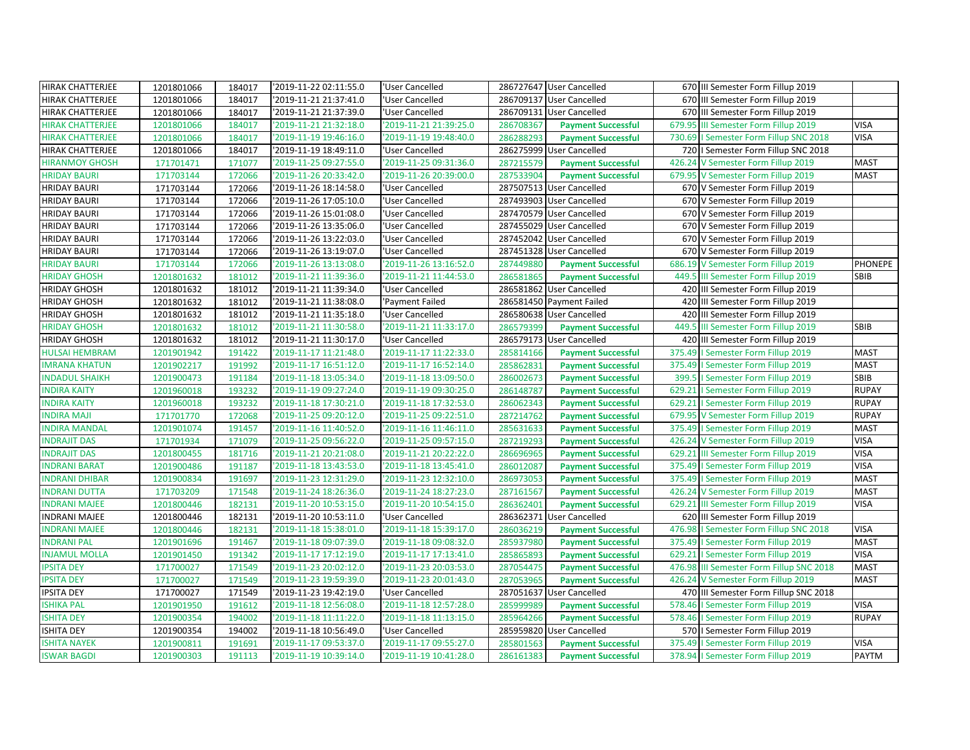| HIRAK CHATTERJEE<br>'2019-11-21 21:37:41.0<br>'User Cancelled<br>286709137 User Cancelled<br>670 III Semester Form Fillup 2019<br>1201801066<br>184017<br>286709131 User Cancelled<br>670 III Semester Form Fillup 2019<br>HIRAK CHATTERJEE<br>1201801066<br>184017<br>'2019-11-21 21:37:39.0<br>'User Cancelled<br><b>VISA</b><br><b>HIRAK CHATTERJEE</b><br>'2019-11-21 21:32:18.0<br>'2019-11-21 21:39:25.0<br>679.95<br>III Semester Form Fillup 2019<br>1201801066<br>184017<br>286708367<br><b>Payment Successful</b><br><b>VISA</b><br><b>HIRAK CHATTERJEE</b><br>'2019-11-19 19:48:40.0<br>286288293<br>1201801066<br>184017<br>'2019-11-19 19:46:16.0<br><b>Payment Successful</b><br>730.69<br>I Semester Form Fillup SNC 2018<br>HIRAK CHATTERJEE<br>'2019-11-19 18:49:11.0<br>'User Cancelled<br>286275999 User Cancelled<br>720   Semester Form Fillup SNC 2018<br>1201801066<br>184017<br><b>HIRANMOY GHOSH</b><br>171701471<br>171077<br>'2019-11-25 09:27:55.0<br>'2019-11-25 09:31:36.0<br>287215579<br>426.24<br>V Semester Form Fillup 2019<br><b>MAST</b><br><b>Payment Successful</b><br>679.95 V Semester Form Fillup 2019<br><b>MAST</b><br><b>HRIDAY BAURI</b><br>'2019-11-26 20:33:42.0<br>'2019-11-26 20:39:00.0<br>287533904<br>171703144<br>172066<br><b>Payment Successful</b><br><b>HRIDAY BAURI</b><br>171703144<br>172066<br>'2019-11-26 18:14:58.0<br>287507513 User Cancelled<br>670 V Semester Form Fillup 2019<br>'User Cancelled | <b>HRIDAY BAURI</b><br><b>HRIDAY BAURI</b><br><b>HRIDAY BAURI</b><br><b>HRIDAY BAURI</b><br><b>HRIDAY BAURI</b> |
|-----------------------------------------------------------------------------------------------------------------------------------------------------------------------------------------------------------------------------------------------------------------------------------------------------------------------------------------------------------------------------------------------------------------------------------------------------------------------------------------------------------------------------------------------------------------------------------------------------------------------------------------------------------------------------------------------------------------------------------------------------------------------------------------------------------------------------------------------------------------------------------------------------------------------------------------------------------------------------------------------------------------------------------------------------------------------------------------------------------------------------------------------------------------------------------------------------------------------------------------------------------------------------------------------------------------------------------------------------------------------------------------------------------------------------------------------------------------------|-----------------------------------------------------------------------------------------------------------------|
|                                                                                                                                                                                                                                                                                                                                                                                                                                                                                                                                                                                                                                                                                                                                                                                                                                                                                                                                                                                                                                                                                                                                                                                                                                                                                                                                                                                                                                                                       |                                                                                                                 |
|                                                                                                                                                                                                                                                                                                                                                                                                                                                                                                                                                                                                                                                                                                                                                                                                                                                                                                                                                                                                                                                                                                                                                                                                                                                                                                                                                                                                                                                                       |                                                                                                                 |
|                                                                                                                                                                                                                                                                                                                                                                                                                                                                                                                                                                                                                                                                                                                                                                                                                                                                                                                                                                                                                                                                                                                                                                                                                                                                                                                                                                                                                                                                       |                                                                                                                 |
|                                                                                                                                                                                                                                                                                                                                                                                                                                                                                                                                                                                                                                                                                                                                                                                                                                                                                                                                                                                                                                                                                                                                                                                                                                                                                                                                                                                                                                                                       |                                                                                                                 |
|                                                                                                                                                                                                                                                                                                                                                                                                                                                                                                                                                                                                                                                                                                                                                                                                                                                                                                                                                                                                                                                                                                                                                                                                                                                                                                                                                                                                                                                                       |                                                                                                                 |
|                                                                                                                                                                                                                                                                                                                                                                                                                                                                                                                                                                                                                                                                                                                                                                                                                                                                                                                                                                                                                                                                                                                                                                                                                                                                                                                                                                                                                                                                       |                                                                                                                 |
|                                                                                                                                                                                                                                                                                                                                                                                                                                                                                                                                                                                                                                                                                                                                                                                                                                                                                                                                                                                                                                                                                                                                                                                                                                                                                                                                                                                                                                                                       |                                                                                                                 |
|                                                                                                                                                                                                                                                                                                                                                                                                                                                                                                                                                                                                                                                                                                                                                                                                                                                                                                                                                                                                                                                                                                                                                                                                                                                                                                                                                                                                                                                                       |                                                                                                                 |
| 171703144<br>172066<br>'2019-11-26 17:05:10.0<br>'User Cancelled<br>287493903 User Cancelled<br>670 V Semester Form Fillup 2019                                                                                                                                                                                                                                                                                                                                                                                                                                                                                                                                                                                                                                                                                                                                                                                                                                                                                                                                                                                                                                                                                                                                                                                                                                                                                                                                       |                                                                                                                 |
| 171703144<br>172066<br>287470579 User Cancelled<br>V Semester Form Fillup 2019<br>'2019-11-26 15:01:08.0<br>'User Cancelled<br>670                                                                                                                                                                                                                                                                                                                                                                                                                                                                                                                                                                                                                                                                                                                                                                                                                                                                                                                                                                                                                                                                                                                                                                                                                                                                                                                                    |                                                                                                                 |
| 287455029 User Cancelled<br>172066<br>'2019-11-26 13:35:06.0<br>'User Cancelled<br>670 V Semester Form Fillup 2019<br>171703144                                                                                                                                                                                                                                                                                                                                                                                                                                                                                                                                                                                                                                                                                                                                                                                                                                                                                                                                                                                                                                                                                                                                                                                                                                                                                                                                       |                                                                                                                 |
| 171703144<br>172066<br>'2019-11-26 13:22:03.0<br>287452042 User Cancelled<br>V Semester Form Fillup 2019<br>'User Cancelled<br>670                                                                                                                                                                                                                                                                                                                                                                                                                                                                                                                                                                                                                                                                                                                                                                                                                                                                                                                                                                                                                                                                                                                                                                                                                                                                                                                                    |                                                                                                                 |
| 287451328 User Cancelled<br>670 V Semester Form Fillup 2019<br>172066<br>'2019-11-26 13:19:07.0<br>'User Cancelled<br>171703144                                                                                                                                                                                                                                                                                                                                                                                                                                                                                                                                                                                                                                                                                                                                                                                                                                                                                                                                                                                                                                                                                                                                                                                                                                                                                                                                       |                                                                                                                 |
| <b>HRIDAY BAURI</b><br>171703144<br>172066<br>'2019-11-26 13:13:08.0<br>'2019-11-26 13:16:52.0<br>287449880<br><b>Payment Successful</b><br>686.19<br>V Semester Form Fillup 2019<br>PHONEPE                                                                                                                                                                                                                                                                                                                                                                                                                                                                                                                                                                                                                                                                                                                                                                                                                                                                                                                                                                                                                                                                                                                                                                                                                                                                          |                                                                                                                 |
| '2019-11-21 11:39:36.0<br>'2019-11-21 11:44:53.0<br>449.5<br>III Semester Form Fillup 2019<br><b>HRIDAY GHOSH</b><br>1201801632<br>181012<br>286581865<br><b>Payment Successful</b><br>SBIB                                                                                                                                                                                                                                                                                                                                                                                                                                                                                                                                                                                                                                                                                                                                                                                                                                                                                                                                                                                                                                                                                                                                                                                                                                                                           |                                                                                                                 |
| <b>HRIDAY GHOSH</b><br>1201801632<br>181012<br>'2019-11-21 11:39:34.0<br>286581862 User Cancelled<br>'User Cancelled<br>420<br>III Semester Form Fillup 2019                                                                                                                                                                                                                                                                                                                                                                                                                                                                                                                                                                                                                                                                                                                                                                                                                                                                                                                                                                                                                                                                                                                                                                                                                                                                                                          |                                                                                                                 |
| <b>HRIDAY GHOSH</b><br>'2019-11-21 11:38:08.0<br>286581450 Payment Failed<br>420<br>III Semester Form Fillup 2019<br>1201801632<br>181012<br>'Payment Failed                                                                                                                                                                                                                                                                                                                                                                                                                                                                                                                                                                                                                                                                                                                                                                                                                                                                                                                                                                                                                                                                                                                                                                                                                                                                                                          |                                                                                                                 |
| 1201801632<br>181012<br>'2019-11-21 11:35:18.0<br>286580638 User Cancelled<br>420<br>III Semester Form Fillup 2019<br><b>HRIDAY GHOSH</b><br>'User Cancelled                                                                                                                                                                                                                                                                                                                                                                                                                                                                                                                                                                                                                                                                                                                                                                                                                                                                                                                                                                                                                                                                                                                                                                                                                                                                                                          |                                                                                                                 |
| <b>HRIDAY GHOSH</b><br>'2019-11-21 11:30:58.0<br>'2019-11-21 11:33:17.0<br>449.5<br>III Semester Form Fillup 2019<br><b>SBIB</b><br>1201801632<br>181012<br>286579399<br><b>Payment Successful</b>                                                                                                                                                                                                                                                                                                                                                                                                                                                                                                                                                                                                                                                                                                                                                                                                                                                                                                                                                                                                                                                                                                                                                                                                                                                                    |                                                                                                                 |
| 286579173 User Cancelled<br><b>HRIDAY GHOSH</b><br>'2019-11-21 11:30:17.0<br>'User Cancelled<br>420<br>III Semester Form Fillup 2019<br>1201801632<br>181012                                                                                                                                                                                                                                                                                                                                                                                                                                                                                                                                                                                                                                                                                                                                                                                                                                                                                                                                                                                                                                                                                                                                                                                                                                                                                                          |                                                                                                                 |
| <b>HULSAI HEMBRAM</b><br>'2019-11-17 11:21:48.0<br>'2019-11-17 11:22:33.0<br>375.49   Semester Form Fillup 2019<br><b>MAST</b><br>1201901942<br>191422<br>285814166<br><b>Payment Successful</b>                                                                                                                                                                                                                                                                                                                                                                                                                                                                                                                                                                                                                                                                                                                                                                                                                                                                                                                                                                                                                                                                                                                                                                                                                                                                      |                                                                                                                 |
| <b>IMRANA KHATUN</b><br>'2019-11-17 16:51:12.0<br>'2019-11-17 16:52:14.0<br>285862831<br>375.49   Semester Form Fillup 2019<br><b>MAST</b><br>1201902217<br>191992<br><b>Payment Successful</b>                                                                                                                                                                                                                                                                                                                                                                                                                                                                                                                                                                                                                                                                                                                                                                                                                                                                                                                                                                                                                                                                                                                                                                                                                                                                       |                                                                                                                 |
| '2019-11-18 13:09:50.0<br>SBIB<br><b>INDADUL SHAIKH</b><br>191184<br>'2019-11-18 13:05:34.0<br>286002673<br>399.5   Semester Form Fillup 2019<br>1201900473<br><b>Payment Successful</b>                                                                                                                                                                                                                                                                                                                                                                                                                                                                                                                                                                                                                                                                                                                                                                                                                                                                                                                                                                                                                                                                                                                                                                                                                                                                              |                                                                                                                 |
| <b>RUPAY</b><br><b>INDIRA KAITY</b><br>193232<br>'2019-11-19 09:27:24.0<br>'2019-11-19 09:30:25.0<br>629.21   Semester Form Fillup 2019<br>1201960018<br>286148787<br><b>Payment Successful</b>                                                                                                                                                                                                                                                                                                                                                                                                                                                                                                                                                                                                                                                                                                                                                                                                                                                                                                                                                                                                                                                                                                                                                                                                                                                                       |                                                                                                                 |
| <b>INDIRA KAITY</b><br>'2019-11-18 17:30:21.0<br>2019-11-18 17:32:53.0<br>629.21   Semester Form Fillup 2019<br><b>RUPAY</b><br>193232<br>286062343<br>1201960018<br><b>Payment Successful</b>                                                                                                                                                                                                                                                                                                                                                                                                                                                                                                                                                                                                                                                                                                                                                                                                                                                                                                                                                                                                                                                                                                                                                                                                                                                                        |                                                                                                                 |
| <b>INDIRA MAJI</b><br>172068<br>'2019-11-25 09:20:12.0<br>'2019-11-25 09:22:51.0<br>287214762<br>679.95 V Semester Form Fillup 2019<br><b>RUPAY</b><br>171701770<br><b>Payment Successful</b>                                                                                                                                                                                                                                                                                                                                                                                                                                                                                                                                                                                                                                                                                                                                                                                                                                                                                                                                                                                                                                                                                                                                                                                                                                                                         |                                                                                                                 |
| <b>INDIRA MANDAL</b><br>1201901074<br>191457<br>'2019-11-16 11:40:52.0<br>'2019-11-16 11:46:11.0<br>285631633<br>375.49   Semester Form Fillup 2019<br><b>MAST</b><br><b>Payment Successful</b>                                                                                                                                                                                                                                                                                                                                                                                                                                                                                                                                                                                                                                                                                                                                                                                                                                                                                                                                                                                                                                                                                                                                                                                                                                                                       |                                                                                                                 |
| <b>VISA</b><br><b>INDRAJIT DAS</b><br>171079<br>'2019-11-25 09:56:22.0<br>'2019-11-25 09:57:15.0<br>287219293<br>426.24 V Semester Form Fillup 2019<br>171701934<br><b>Payment Successful</b>                                                                                                                                                                                                                                                                                                                                                                                                                                                                                                                                                                                                                                                                                                                                                                                                                                                                                                                                                                                                                                                                                                                                                                                                                                                                         |                                                                                                                 |
| <b>VISA</b><br><b>INDRAJIT DAS</b><br>1201800455<br>181716<br>286696965<br>629.21 III Semester Form Fillup 2019<br>'2019-11-21 20:21:08.0<br>'2019-11-21 20:22:22.0<br><b>Payment Successful</b>                                                                                                                                                                                                                                                                                                                                                                                                                                                                                                                                                                                                                                                                                                                                                                                                                                                                                                                                                                                                                                                                                                                                                                                                                                                                      |                                                                                                                 |
| <b>VISA</b><br><b>INDRANI BARAT</b><br>'2019-11-18 13:43:53.0<br>'2019-11-18 13:45:41.0<br>375.49   Semester Form Fillup 2019<br>1201900486<br>191187<br>286012087<br><b>Payment Successful</b>                                                                                                                                                                                                                                                                                                                                                                                                                                                                                                                                                                                                                                                                                                                                                                                                                                                                                                                                                                                                                                                                                                                                                                                                                                                                       |                                                                                                                 |
| 191697<br><b>INDRANI DHIBAR</b><br>1201900834<br>'2019-11-23 12:31:29.0<br>'2019-11-23 12:32:10.0<br>286973053<br>375.49   Semester Form Fillup 2019<br><b>MAST</b><br><b>Payment Successful</b>                                                                                                                                                                                                                                                                                                                                                                                                                                                                                                                                                                                                                                                                                                                                                                                                                                                                                                                                                                                                                                                                                                                                                                                                                                                                      |                                                                                                                 |
| <b>MAST</b><br><b>INDRANI DUTTA</b><br>'2019-11-24 18:26:36.0<br>'2019-11-24 18:27:23.0<br>426.24 V Semester Form Fillup 2019<br>171703209<br>171548<br>287161567<br><b>Payment Successful</b>                                                                                                                                                                                                                                                                                                                                                                                                                                                                                                                                                                                                                                                                                                                                                                                                                                                                                                                                                                                                                                                                                                                                                                                                                                                                        |                                                                                                                 |
| 182131<br>286362401<br><b>VISA</b><br><b>INDRANI MAJEE</b><br>1201800446<br>'2019-11-20 10:53:15.0<br>'2019-11-20 10:54:15.0<br><b>Payment Successful</b><br>629.21 III Semester Form Fillup 2019                                                                                                                                                                                                                                                                                                                                                                                                                                                                                                                                                                                                                                                                                                                                                                                                                                                                                                                                                                                                                                                                                                                                                                                                                                                                     |                                                                                                                 |
| <b>INDRANI MAJEE</b><br>'2019-11-20 10:53:11.0<br>286362371 User Cancelled<br>620 III Semester Form Fillup 2019<br>1201800446<br>182131<br>'User Cancelled                                                                                                                                                                                                                                                                                                                                                                                                                                                                                                                                                                                                                                                                                                                                                                                                                                                                                                                                                                                                                                                                                                                                                                                                                                                                                                            |                                                                                                                 |
| <b>INDRANI MAJEE</b><br>1201800446<br>182131<br>'2019-11-18 15:38:01.0<br>'2019-11-18 15:39:17.0<br>286036219<br><b>VISA</b><br><b>Payment Successful</b><br>476.98   Semester Form Fillup SNC 2018                                                                                                                                                                                                                                                                                                                                                                                                                                                                                                                                                                                                                                                                                                                                                                                                                                                                                                                                                                                                                                                                                                                                                                                                                                                                   |                                                                                                                 |
| <b>INDRANI PAL</b><br>191467<br>'2019-11-18 09:07:39.0<br>'2019-11-18 09:08:32.0<br>375.49   Semester Form Fillup 2019<br><b>MAST</b><br>1201901696<br>285937980<br><b>Payment Successful</b>                                                                                                                                                                                                                                                                                                                                                                                                                                                                                                                                                                                                                                                                                                                                                                                                                                                                                                                                                                                                                                                                                                                                                                                                                                                                         |                                                                                                                 |
| <b>VISA</b><br><b>INJAMUL MOLLA</b><br>1201901450<br>191342<br>'2019-11-17 17:12:19.0<br>2019-11-17 17:13:41.0<br>285865893<br><b>Payment Successful</b><br>629.21   Semester Form Fillup 2019                                                                                                                                                                                                                                                                                                                                                                                                                                                                                                                                                                                                                                                                                                                                                                                                                                                                                                                                                                                                                                                                                                                                                                                                                                                                        |                                                                                                                 |
| <b>IPSITA DEY</b><br>'2019-11-23 20:02:12.0<br>2019-11-23 20:03:53.0<br>287054475<br>476.98 III Semester Form Fillup SNC 2018<br><b>MAST</b><br>171700027<br>171549<br><b>Payment Successful</b>                                                                                                                                                                                                                                                                                                                                                                                                                                                                                                                                                                                                                                                                                                                                                                                                                                                                                                                                                                                                                                                                                                                                                                                                                                                                      |                                                                                                                 |
| 287053965<br>171700027<br>171549<br>'2019-11-23 19:59:39.0<br>'2019-11-23 20:01:43.0<br>426.24 V Semester Form Fillup 2019<br><b>MAST</b><br><b>IPSITA DEY</b><br><b>Payment Successful</b>                                                                                                                                                                                                                                                                                                                                                                                                                                                                                                                                                                                                                                                                                                                                                                                                                                                                                                                                                                                                                                                                                                                                                                                                                                                                           |                                                                                                                 |
| <b>IPSITA DEY</b><br>'2019-11-23 19:42:19.0<br>'User Cancelled<br>287051637 User Cancelled<br>470 III Semester Form Fillup SNC 2018<br>171700027<br>171549                                                                                                                                                                                                                                                                                                                                                                                                                                                                                                                                                                                                                                                                                                                                                                                                                                                                                                                                                                                                                                                                                                                                                                                                                                                                                                            |                                                                                                                 |
| <b>VISA</b><br><b>ISHIKA PAL</b><br>1201901950<br>191612<br>'2019-11-18 12:56:08.0<br>2019-11-18 12:57:28.0<br>285999989<br><b>Payment Successful</b><br>578.46<br>I Semester Form Fillup 2019                                                                                                                                                                                                                                                                                                                                                                                                                                                                                                                                                                                                                                                                                                                                                                                                                                                                                                                                                                                                                                                                                                                                                                                                                                                                        |                                                                                                                 |
| <b>ISHITA DEY</b><br>'2019-11-18 11:11:22.0<br>2019-11-18 11:13:15.0<br>285964266<br>578.46   Semester Form Fillup 2019<br><b>RUPAY</b><br>1201900354<br>194002<br><b>Payment Successful</b>                                                                                                                                                                                                                                                                                                                                                                                                                                                                                                                                                                                                                                                                                                                                                                                                                                                                                                                                                                                                                                                                                                                                                                                                                                                                          |                                                                                                                 |
| <b>ISHITA DEY</b><br>285959820 User Cancelled<br>1201900354<br>194002<br>'2019-11-18 10:56:49.0<br>'User Cancelled<br>570   Semester Form Fillup 2019                                                                                                                                                                                                                                                                                                                                                                                                                                                                                                                                                                                                                                                                                                                                                                                                                                                                                                                                                                                                                                                                                                                                                                                                                                                                                                                 |                                                                                                                 |
| <b>ISHITA NAYEK</b><br>191691<br>'2019-11-17 09:53:37.0<br>'2019-11-17 09:55:27.0<br>375.49   Semester Form Fillup 2019<br><b>VISA</b><br>1201900811<br>285801563<br><b>Payment Successful</b>                                                                                                                                                                                                                                                                                                                                                                                                                                                                                                                                                                                                                                                                                                                                                                                                                                                                                                                                                                                                                                                                                                                                                                                                                                                                        |                                                                                                                 |
| '2019-11-19 10:41:28.0<br>PAYTM<br><b>ISWAR BAGDI</b><br>'2019-11-19 10:39:14.0<br>378.94   Semester Form Fillup 2019<br>1201900303<br>191113<br>286161383<br><b>Payment Successful</b>                                                                                                                                                                                                                                                                                                                                                                                                                                                                                                                                                                                                                                                                                                                                                                                                                                                                                                                                                                                                                                                                                                                                                                                                                                                                               |                                                                                                                 |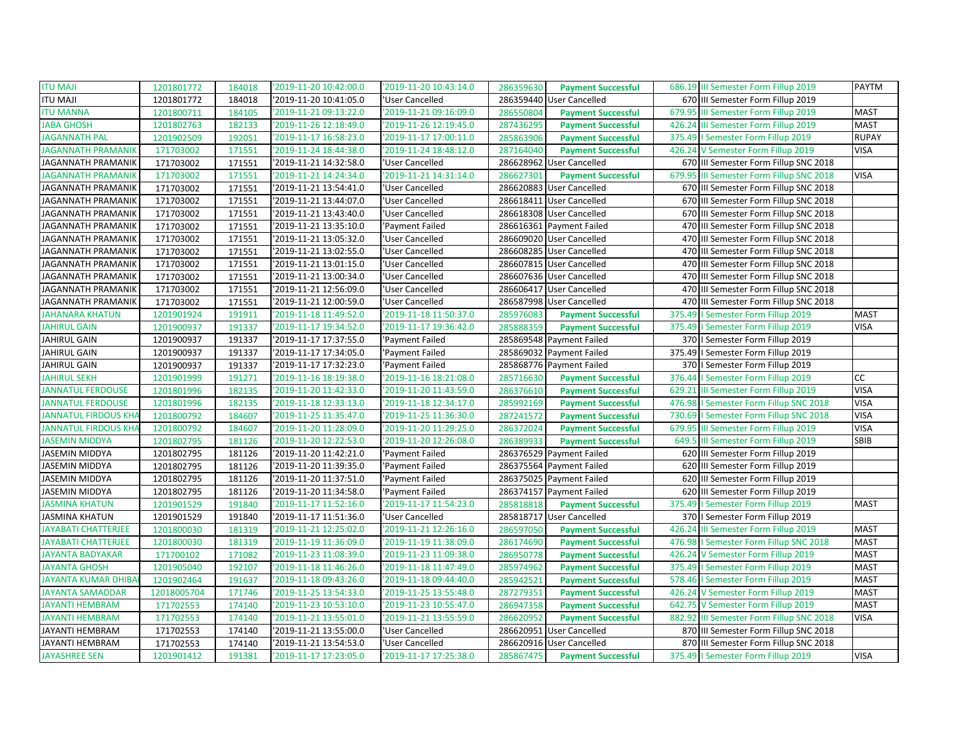| <b>ITU MAJI</b>             | 1201801772  | 184018 | '2019-11-20 10:42:00.0 | '2019-11-20 10:43:14.0 | 286359630<br><b>Payment Successful</b> | 686.19 III Semester Form Fillup 2019     | <b>PAYTM</b> |
|-----------------------------|-------------|--------|------------------------|------------------------|----------------------------------------|------------------------------------------|--------------|
| <b>ITU MAJI</b>             | 1201801772  | 184018 | '2019-11-20 10:41:05.0 | 'User Cancelled        | 286359440 User Cancelled               | 670 III Semester Form Fillup 2019        |              |
| <b>ITU MANNA</b>            | 1201800711  | 184105 | '2019-11-21 09:13:22.0 | '2019-11-21 09:16:09.0 | 286550804<br><b>Payment Successful</b> | 679.95 III Semester Form Fillup 2019     | <b>MAST</b>  |
| <b>JABA GHOSH</b>           | 1201802763  | 182133 | '2019-11-26 12:18:49.0 | '2019-11-26 12:19:45.0 | 287436295<br><b>Payment Successful</b> | 426.24 III Semester Form Fillup 2019     | <b>MAST</b>  |
| <b>JAGANNATH PAL</b>        | 1201902509  | 192051 | 2019-11-17 16:58:23.0  | '2019-11-17 17:00:11.0 | 285863906<br><b>Payment Successful</b> | 375.49   Semester Form Fillup 2019       | <b>RUPAY</b> |
| <b>IAGANNATH PRAMANII</b>   | 171703002   | 171551 | '2019-11-24 18:44:38.0 | '2019-11-24 18:48:12.0 | 287164040<br><b>Payment Successful</b> | 426.24 V Semester Form Fillup 2019       | <b>VISA</b>  |
| JAGANNATH PRAMANIK          | 171703002   | 171551 | '2019-11-21 14:32:58.0 | 'User Cancelled        | 286628962 User Cancelled               | 670 III Semester Form Fillup SNC 2018    |              |
| <b>JAGANNATH PRAMANIK</b>   | 171703002   | 171551 | '2019-11-21 14:24:34.0 | '2019-11-21 14:31:14.0 | 286627301<br><b>Payment Successful</b> | 679.95 III Semester Form Fillup SNC 2018 | <b>VISA</b>  |
| JAGANNATH PRAMANIK          | 171703002   | 171551 | '2019-11-21 13:54:41.0 | 'User Cancelled        | 286620883 User Cancelled               | 670 III Semester Form Fillup SNC 2018    |              |
| JAGANNATH PRAMANIK          | 171703002   | 171551 | '2019-11-21 13:44:07.0 | 'User Cancelled        | 286618411 User Cancelled               | 670 III Semester Form Fillup SNC 2018    |              |
| JAGANNATH PRAMANIK          | 171703002   | 171551 | '2019-11-21 13:43:40.0 | 'User Cancelled        | 286618308 User Cancelled               | 670 III Semester Form Fillup SNC 2018    |              |
| JAGANNATH PRAMANIK          | 171703002   | 171551 | '2019-11-21 13:35:10.0 | 'Payment Failed        | 286616361 Payment Failed               | 470 III Semester Form Fillup SNC 2018    |              |
| <b>JAGANNATH PRAMANIK</b>   | 171703002   | 171551 | '2019-11-21 13:05:32.0 | 'User Cancelled        | 286609020 User Cancelled               | 470 III Semester Form Fillup SNC 2018    |              |
| JAGANNATH PRAMANIK          | 171703002   | 171551 | '2019-11-21 13:02:55.0 | 'User Cancelled        | 286608285 User Cancelled               | 470 III Semester Form Fillup SNC 2018    |              |
| JAGANNATH PRAMANIK          | 171703002   | 171551 | '2019-11-21 13:01:15.0 | 'User Cancelled        | 286607815 User Cancelled               | 470 III Semester Form Fillup SNC 2018    |              |
| JAGANNATH PRAMANIK          | 171703002   | 171551 | '2019-11-21 13:00:34.0 | 'User Cancelled        | 286607636 User Cancelled               | 470 III Semester Form Fillup SNC 2018    |              |
| JAGANNATH PRAMANIK          | 171703002   | 171551 | '2019-11-21 12:56:09.0 | 'User Cancelled        | 286606417 User Cancelled               | 470 III Semester Form Fillup SNC 2018    |              |
| <b>JAGANNATH PRAMANIK</b>   | 171703002   | 171551 | '2019-11-21 12:00:59.0 | 'User Cancelled        | 286587998 User Cancelled               | 470 III Semester Form Fillup SNC 2018    |              |
| <b>IAHANARA KHATUN</b>      | 1201901924  | 191911 | '2019-11-18 11:49:52.0 | '2019-11-18 11:50:37.0 | 285976083<br><b>Payment Successful</b> | 375.49   Semester Form Fillup 2019       | <b>MAST</b>  |
| <b>JAHIRUL GAIN</b>         | 1201900937  | 191337 | 2019-11-17 19:34:52.0  | '2019-11-17 19:36:42.0 | 285888359<br><b>Payment Successful</b> | 375.49   Semester Form Fillup 2019       | <b>VISA</b>  |
| <b>JAHIRUL GAIN</b>         | 1201900937  | 191337 | 2019-11-17 17:37:55.0  | 'Payment Failed        | 285869548 Payment Failed               | 370   Semester Form Fillup 2019          |              |
| <b>JAHIRUL GAIN</b>         | 1201900937  | 191337 | 2019-11-17 17:34:05.0  | 'Payment Failed        | 285869032 Payment Failed               | 375.49   Semester Form Fillup 2019       |              |
| JAHIRUL GAIN                | 1201900937  | 191337 | '2019-11-17 17:32:23.0 | 'Payment Failed        | 285868776 Payment Failed               | 370   Semester Form Fillup 2019          |              |
| <b>JAHIRUL SEKH</b>         | 1201901999  | 191271 | 2019-11-16 18:19:38.0  | '2019-11-16 18:21:08.0 | 285716630<br><b>Payment Successful</b> | 376.44   Semester Form Fillup 2019       | cc           |
| <b>JANNATUL FERDOUSE</b>    | 1201801996  | 182135 | '2019-11-20 11:42:33.0 | '2019-11-20 11:43:59.0 | 286376610<br><b>Payment Successful</b> | 629.21 III Semester Form Fillup 2019     | <b>VISA</b>  |
| <b>JANNATUL FERDOUSE</b>    | 1201801996  | 182135 | '2019-11-18 12:33:13.0 | '2019-11-18 12:34:17.0 | 285992169<br><b>Payment Successful</b> | 476.98   Semester Form Fillup SNC 2018   | <b>VISA</b>  |
| <b>IANNATUL FIRDOUS KHA</b> | 1201800792  | 184607 | '2019-11-25 11:35:47.0 | '2019-11-25 11:36:30.0 | 287241572<br><b>Payment Successful</b> | 730.69   Semester Form Fillup SNC 2018   | <b>VISA</b>  |
| JANNATUL FIRDOUS KHA        | 1201800792  | 184607 | '2019-11-20 11:28:09.0 | '2019-11-20 11:29:25.0 | 286372024<br><b>Payment Successful</b> | 679.95 III Semester Form Fillup 2019     | <b>VISA</b>  |
| <b>JASEMIN MIDDYA</b>       | 1201802795  | 181126 | '2019-11-20 12:22:53.0 | '2019-11-20 12:26:08.0 | 286389933<br><b>Payment Successful</b> | 649.5 III Semester Form Fillup 2019      | <b>SBIB</b>  |
| JASEMIN MIDDYA              | 1201802795  | 181126 | '2019-11-20 11:42:21.0 | 'Payment Failed        | 286376529 Payment Failed               | 620 III Semester Form Fillup 2019        |              |
| JASEMIN MIDDYA              | 1201802795  | 181126 | '2019-11-20 11:39:35.0 | 'Payment Failed        | 286375564 Payment Failed               | 620 III Semester Form Fillup 2019        |              |
| JASEMIN MIDDYA              | 1201802795  | 181126 | '2019-11-20 11:37:51.0 | 'Payment Failed        | 286375025 Payment Failed               | 620 III Semester Form Fillup 2019        |              |
| JASEMIN MIDDYA              | 1201802795  | 181126 | '2019-11-20 11:34:58.0 | 'Payment Failed        | 286374157 Payment Failed               | 620 III Semester Form Fillup 2019        |              |
| <b>JASMINA KHATUN</b>       | 1201901529  | 191840 | '2019-11-17 11:52:16.0 | '2019-11-17 11:54:23.0 | 285818818<br><b>Payment Successful</b> | 375.49   Semester Form Fillup 2019       | <b>MAST</b>  |
| <b>JASMINA KHATUN</b>       | 1201901529  | 191840 | '2019-11-17 11:51:36.0 | 'User Cancelled        | 285818717 User Cancelled               | 370   Semester Form Fillup 2019          |              |
| <b>IAYABATI CHATTERJEE</b>  | 1201800030  | 181319 | '2019-11-21 12:25:02.0 | '2019-11-21 12:26:16.0 | 286597050<br><b>Payment Successful</b> | 426.24 III Semester Form Fillup 2019     | <b>MAST</b>  |
| JAYABATI CHATTERJEE         | 1201800030  | 181319 | '2019-11-19 11:36:09.0 | '2019-11-19 11:38:09.0 | 286174690<br><b>Payment Successful</b> | 476.98   Semester Form Fillup SNC 2018   | <b>MAST</b>  |
| <b>JAYANTA BADYAKAR</b>     | 171700102   | 171082 | '2019-11-23 11:08:39.0 | '2019-11-23 11:09:38.0 | 286950778<br><b>Payment Successful</b> | 426.24 V Semester Form Fillup 2019       | <b>MAST</b>  |
| <b>JAYANTA GHOSH</b>        | 1201905040  | 192107 | 2019-11-18 11:46:26.0  | '2019-11-18 11:47:49.0 | 285974962<br><b>Payment Successful</b> | 375.49   Semester Form Fillup 2019       | <b>MAST</b>  |
| <b>IAYANTA KUMAR DHIBA</b>  | 1201902464  | 191637 | '2019-11-18 09:43:26.0 | '2019-11-18 09:44:40.0 | 285942521<br><b>Payment Successful</b> | 578.46   Semester Form Fillup 2019       | <b>MAST</b>  |
| JAYANTA SAMADDAR            | 12018005704 | 171746 | 2019-11-25 13:54:33.0  | '2019-11-25 13:55:48.0 | 287279351<br><b>Payment Successful</b> | 426.24 V Semester Form Fillup 2019       | <b>MAST</b>  |
| <b>JAYANTI HEMBRAM</b>      | 171702553   | 174140 | '2019-11-23 10:53:10.0 | '2019-11-23 10:55:47.0 | 286947358<br><b>Payment Successful</b> | 642.75 V Semester Form Fillup 2019       | <b>MAST</b>  |
| <b>JAYANTI HEMBRAM</b>      | 171702553   | 174140 | '2019-11-21 13:55:01.0 | '2019-11-21 13:55:59.0 | 286620952<br><b>Payment Successful</b> | 882.92 III Semester Form Fillup SNC 2018 | <b>VISA</b>  |
| JAYANTI HEMBRAM             | 171702553   | 174140 | '2019-11-21 13:55:00.0 | 'User Cancelled        | 286620951<br><b>User Cancelled</b>     | 870 III Semester Form Fillup SNC 2018    |              |
| JAYANTI HEMBRAM             | 171702553   | 174140 | '2019-11-21 13:54:53.0 | 'User Cancelled        | 286620916 User Cancelled               | 870 III Semester Form Fillup SNC 2018    |              |
| <b>JAYASHREE SEN</b>        | 1201901412  | 191381 | '2019-11-17 17:23:05.0 | '2019-11-17 17:25:38.0 | 285867475<br><b>Payment Successful</b> | 375.49   Semester Form Fillup 2019       | <b>VISA</b>  |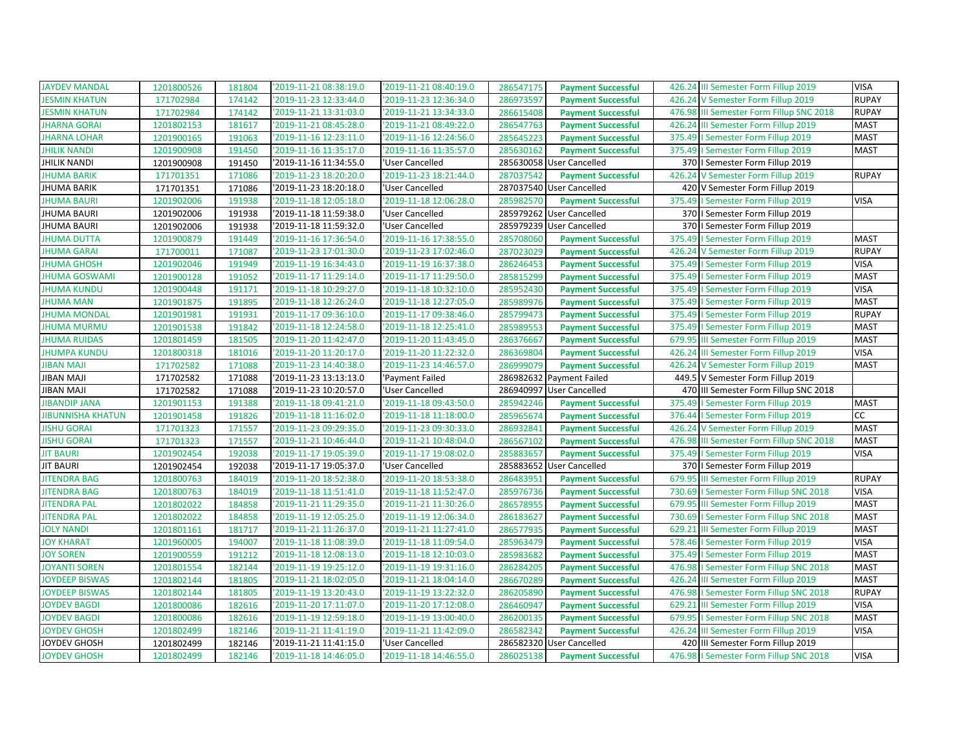| <b>JAYDEV MANDAL</b>     | 1201800526 | 181804 | '2019-11-21 08:38:19.0 | '2019-11-21 08:40:19.0 | 286547175<br><b>Payment Successful</b> | 426.24 III Semester Form Fillup 2019     | <b>VISA</b>  |
|--------------------------|------------|--------|------------------------|------------------------|----------------------------------------|------------------------------------------|--------------|
| <b>JESMIN KHATUN</b>     | 171702984  | 174142 | '2019-11-23 12:33:44.0 | '2019-11-23 12:36:34.0 | 286973597<br><b>Payment Successful</b> | 426.24 V Semester Form Fillup 2019       | <b>RUPAY</b> |
| <b>JESMIN KHATUN</b>     | 171702984  | 174142 | '2019-11-21 13:31:03.0 | '2019-11-21 13:34:33.0 | 286615408<br><b>Payment Successful</b> | 476.98 III Semester Form Fillup SNC 2018 | <b>RUPAY</b> |
| <b>JHARNA GORAI</b>      | 1201802153 | 181617 | 2019-11-21 08:45:28.0  | '2019-11-21 08:49:22.0 | 286547763<br><b>Payment Successful</b> | 426.24 III Semester Form Fillup 2019     | <b>MAST</b>  |
| <b>JHARNA LOHAR</b>      | 1201900165 | 191063 | '2019-11-16 12:23:11.0 | '2019-11-16 12:24:56.0 | 285645223<br><b>Payment Successful</b> | 375.49   Semester Form Fillup 2019       | <b>MAST</b>  |
| <b>JHILIK NANDI</b>      | 1201900908 | 191450 | '2019-11-16 11:35:17.0 | '2019-11-16 11:35:57.0 | 285630162<br><b>Payment Successful</b> | 375.49   Semester Form Fillup 2019       | <b>MAST</b>  |
| <b>JHILIK NANDI</b>      | 1201900908 | 191450 | '2019-11-16 11:34:55.0 | 'User Cancelled        | 285630058 User Cancelled               | 370   Semester Form Fillup 2019          |              |
| <b>JHUMA BARIK</b>       | 171701351  | 171086 | '2019-11-23 18:20:20.0 | '2019-11-23 18:21:44.0 | 287037542<br><b>Payment Successful</b> | 426.24 V Semester Form Fillup 2019       | <b>RUPAY</b> |
| <b>JHUMA BARIK</b>       | 171701351  | 171086 | '2019-11-23 18:20:18.0 | 'User Cancelled        | 287037540 User Cancelled               | 420 V Semester Form Fillup 2019          |              |
| <b>JHUMA BAURI</b>       | 1201902006 | 191938 | '2019-11-18 12:05:18.0 | '2019-11-18 12:06:28.0 | 285982570<br><b>Payment Successful</b> | 375.49   Semester Form Fillup 2019       | <b>VISA</b>  |
| <b>JHUMA BAURI</b>       | 1201902006 | 191938 | '2019-11-18 11:59:38.0 | 'User Cancelled        | 285979262 User Cancelled               | 370   Semester Form Fillup 2019          |              |
| JHUMA BAURI              | 1201902006 | 191938 | '2019-11-18 11:59:32.0 | 'User Cancelled        | 285979239 User Cancelled               | 370   Semester Form Fillup 2019          |              |
| <b>JHUMA DUTTA</b>       | 1201900879 | 191449 | '2019-11-16 17:36:54.0 | '2019-11-16 17:38:55.0 | 285708060<br><b>Payment Successful</b> | 375.49   Semester Form Fillup 2019       | <b>MAST</b>  |
| <b>JHUMA GARAI</b>       | 171700011  | 171087 | '2019-11-23 17:01:30.0 | '2019-11-23 17:02:46.0 | 287023029<br><b>Payment Successful</b> | 426.24 V Semester Form Fillup 2019       | <b>RUPAY</b> |
| <b>JHUMA GHOSH</b>       | 1201902046 | 191949 | '2019-11-19 16:34:43.0 | '2019-11-19 16:37:38.0 | 286246453<br><b>Payment Successful</b> | 375.49   Semester Form Fillup 2019       | <b>VISA</b>  |
| <b>JHUMA GOSWAMI</b>     | 1201900128 | 191052 | '2019-11-17 11:29:14.0 | '2019-11-17 11:29:50.0 | 285815299<br><b>Payment Successful</b> | 375.49   Semester Form Fillup 2019       | <b>MAST</b>  |
| <b>JHUMA KUNDU</b>       | 1201900448 | 191171 | '2019-11-18 10:29:27.0 | '2019-11-18 10:32:10.0 | 285952430<br><b>Payment Successful</b> | 375.49   Semester Form Fillup 2019       | <b>VISA</b>  |
| <b>JHUMA MAN</b>         | 1201901875 | 191895 | '2019-11-18 12:26:24.0 | '2019-11-18 12:27:05.0 | 285989976<br><b>Payment Successful</b> | 375.49   Semester Form Fillup 2019       | <b>MAST</b>  |
| <b>JHUMA MONDAL</b>      | 1201901981 | 191931 | '2019-11-17 09:36:10.0 | '2019-11-17 09:38:46.0 | 285799473<br><b>Payment Successful</b> | 375.49   Semester Form Fillup 2019       | <b>RUPAY</b> |
| <b>JHUMA MURMU</b>       | 1201901538 | 191842 | '2019-11-18 12:24:58.0 | '2019-11-18 12:25:41.0 | 285989553<br><b>Payment Successful</b> | 375.49   Semester Form Fillup 2019       | <b>MAST</b>  |
| <b>JHUMA RUIDAS</b>      | 1201801459 | 181505 | '2019-11-20 11:42:47.0 | '2019-11-20 11:43:45.0 | 286376667<br><b>Payment Successful</b> | 679.95 III Semester Form Fillup 2019     | <b>MAST</b>  |
| <b>JHUMPA KUNDU</b>      | 1201800318 | 181016 | '2019-11-20 11:20:17.0 | '2019-11-20 11:22:32.0 | 286369804<br><b>Payment Successful</b> | 426.24 III Semester Form Fillup 2019     | <b>VISA</b>  |
| <b>JIBAN MAJI</b>        | 171702582  | 171088 | '2019-11-23 14:40:38.0 | '2019-11-23 14:46:57.0 | 286999079<br><b>Payment Successful</b> | 426.24 V Semester Form Fillup 2019       | <b>MAST</b>  |
| <b>JIBAN MAJI</b>        | 171702582  | 171088 | '2019-11-23 13:13:13.0 | 'Payment Failed        | 286982632 Payment Failed               | 449.5 V Semester Form Fillup 2019        |              |
| <b>JIBAN MAJI</b>        | 171702582  | 171088 | '2019-11-23 10:20:57.0 | 'User Cancelled        | 286940997 User Cancelled               | 470 III Semester Form Fillup SNC 2018    |              |
| <b>JIBANDIP JANA</b>     | 1201901153 | 191388 | '2019-11-18 09:41:21.0 | '2019-11-18 09:43:50.0 | 285942246<br><b>Payment Successful</b> | 375.49   Semester Form Fillup 2019       | <b>MAST</b>  |
| <b>JIBUNNISHA KHATUN</b> | 1201901458 | 191826 | '2019-11-18 11:16:02.0 | '2019-11-18 11:18:00.0 | 285965674<br><b>Payment Successful</b> | 376.44   Semester Form Fillup 2019       |              |
| <b>JISHU GORAI</b>       |            |        |                        |                        |                                        |                                          | cc           |
|                          | 171701323  | 171557 | '2019-11-23 09:29:35.0 | '2019-11-23 09:30:33.0 | 286932841<br><b>Payment Successful</b> | 426.24 V Semester Form Fillup 2019       | <b>MAST</b>  |
| <b>JISHU GORAI</b>       | 171701323  | 171557 | '2019-11-21 10:46:44.0 | '2019-11-21 10:48:04.0 | 286567102<br><b>Payment Successful</b> | 476.98 III Semester Form Fillup SNC 2018 | <b>MAST</b>  |
| <b>JIT BAURI</b>         | 1201902454 | 192038 | '2019-11-17 19:05:39.0 | '2019-11-17 19:08:02.0 | 285883657<br><b>Payment Successful</b> | 375.49   Semester Form Fillup 2019       | <b>VISA</b>  |
| <b>JIT BAURI</b>         | 1201902454 | 192038 | '2019-11-17 19:05:37.0 | 'User Cancelled        | 285883652 User Cancelled               | 370   Semester Form Fillup 2019          |              |
| <b>JITENDRA BAG</b>      | 1201800763 | 184019 | '2019-11-20 18:52:38.0 | '2019-11-20 18:53:38.0 | 286483951<br><b>Payment Successful</b> | 679.95 III Semester Form Fillup 2019     | <b>RUPAY</b> |
| <b>JITENDRA BAG</b>      | 1201800763 | 184019 | '2019-11-18 11:51:41.0 | '2019-11-18 11:52:47.0 | 285976736<br><b>Payment Successful</b> | 730.69   Semester Form Fillup SNC 2018   | <b>VISA</b>  |
| <b>JITENDRA PAL</b>      | 1201802022 | 184858 | '2019-11-21 11:29:35.0 | '2019-11-21 11:30:26.0 | 286578955<br><b>Payment Successful</b> | 679.95 III Semester Form Fillup 2019     | <b>MAST</b>  |
| <b>JITENDRA PAL</b>      | 1201802022 | 184858 | '2019-11-19 12:05:25.0 | '2019-11-19 12:06:34.0 | 286183627<br><b>Payment Successful</b> | 730.69   Semester Form Fillup SNC 2018   | <b>MAST</b>  |
| <b>JOLY NANDI</b>        | 1201801161 | 181717 | '2019-11-21 11:26:37.0 | '2019-11-21 11:27:41.0 | 286577935<br><b>Payment Successful</b> | 629.21 III Semester Form Fillup 2019     | <b>MAST</b>  |
| <b>JOY KHARAT</b>        | 1201960005 | 194007 | '2019-11-18 11:08:39.0 | '2019-11-18 11:09:54.0 | 285963479<br><b>Payment Successful</b> | 578.46   Semester Form Fillup 2019       | <b>VISA</b>  |
| <b>JOY SOREN</b>         | 1201900559 | 191212 | '2019-11-18 12:08:13.0 | '2019-11-18 12:10:03.0 | 285983682<br><b>Payment Successful</b> | 375.49   Semester Form Fillup 2019       | <b>MAST</b>  |
| <b>JOYANTI SOREN</b>     | 1201801554 | 182144 | '2019-11-19 19:25:12.0 | '2019-11-19 19:31:16.0 | 286284205<br><b>Payment Successful</b> | 476.98   Semester Form Fillup SNC 2018   | <b>MAST</b>  |
| <b>JOYDEEP BISWAS</b>    | 1201802144 | 181805 | '2019-11-21 18:02:05.0 | '2019-11-21 18:04:14.0 | 286670289<br><b>Payment Successful</b> | 426.24 III Semester Form Fillup 2019     | <b>MAST</b>  |
| <b>JOYDEEP BISWAS</b>    | 1201802144 | 181805 | '2019-11-19 13:20:43.0 | '2019-11-19 13:22:32.0 | 286205890<br><b>Payment Successful</b> | 476.98   Semester Form Fillup SNC 2018   | <b>RUPAY</b> |
| <b>JOYDEV BAGDI</b>      | 1201800086 | 182616 | '2019-11-20 17:11:07.0 | '2019-11-20 17:12:08.0 | 286460947<br><b>Payment Successful</b> | 629.21 III Semester Form Fillup 2019     | <b>VISA</b>  |
| <b>JOYDEV BAGDI</b>      | 1201800086 | 182616 | '2019-11-19 12:59:18.0 | '2019-11-19 13:00:40.0 | 286200135<br><b>Payment Successful</b> | 679.95   Semester Form Fillup SNC 2018   | <b>MAST</b>  |
| <b>JOYDEV GHOSH</b>      | 1201802499 | 182146 | '2019-11-21 11:41:19.0 | '2019-11-21 11:42:09.0 | 286582342<br><b>Payment Successful</b> | 426.24 III Semester Form Fillup 2019     | <b>VISA</b>  |
| JOYDEV GHOSH             | 1201802499 | 182146 | '2019-11-21 11:41:15.0 | 'User Cancelled        | 286582320 User Cancelled               | 420 III Semester Form Fillup 2019        |              |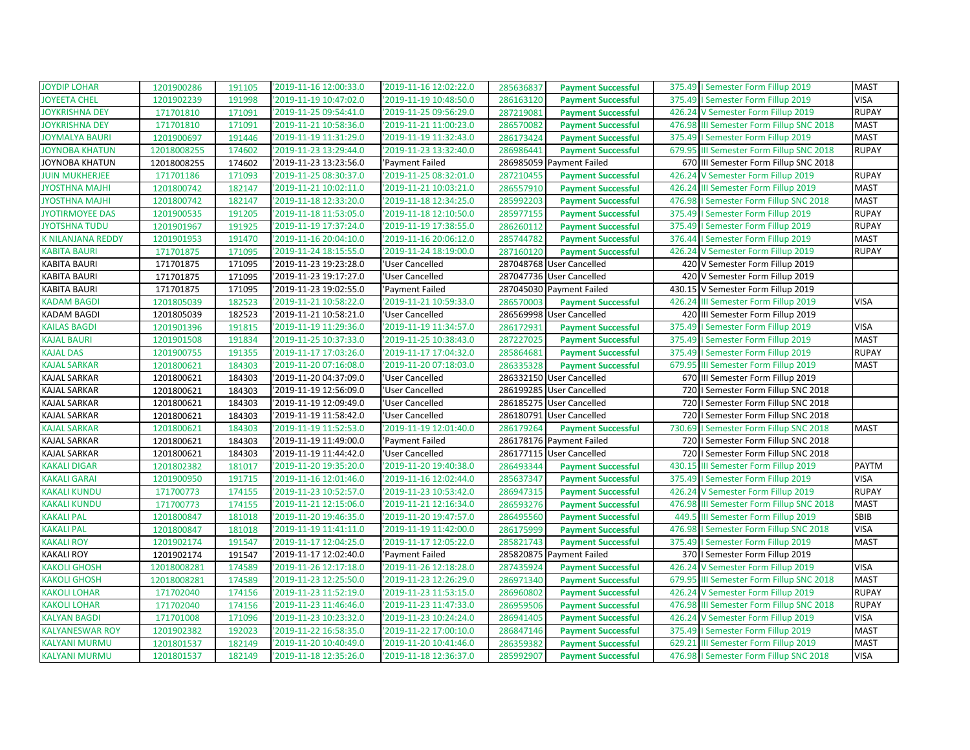| <b>JOYDIP LOHAR</b>    | 1201900286  | 191105 | '2019-11-16 12:00:33.0 | '2019-11-16 12:02:22.0 | 285636837 | <b>Payment Successful</b> | 375.49   Semester Form Fillup 2019       | <b>MAST</b>  |
|------------------------|-------------|--------|------------------------|------------------------|-----------|---------------------------|------------------------------------------|--------------|
| <b>JOYEETA CHEL</b>    | 1201902239  | 191998 | '2019-11-19 10:47:02.0 | 2019-11-19 10:48:50.0  | 286163120 | <b>Payment Successful</b> | 375.49   Semester Form Fillup 2019       | VISA         |
| JOYKRISHNA DEY         | 171701810   | 171091 | '2019-11-25 09:54:41.0 | '2019-11-25 09:56:29.0 | 287219081 | <b>Payment Successful</b> | 426.24 V Semester Form Fillup 2019       | <b>RUPAY</b> |
| <b>JOYKRISHNA DEY</b>  | 171701810   | 171091 | '2019-11-21 10:58:36.0 | '2019-11-21 11:00:23.0 | 286570082 | <b>Payment Successful</b> | 476.98 III Semester Form Fillup SNC 2018 | <b>MAST</b>  |
| <b>JOYMALYA BAURI</b>  | 1201900697  | 191446 | '2019-11-19 11:31:29.0 | '2019-11-19 11:32:43.0 | 286173424 | <b>Payment Successful</b> | 375.49   Semester Form Fillup 2019       | <b>MAST</b>  |
| JOYNOBA KHATUN         | 12018008255 | 174602 | '2019-11-23 13:29:44.0 | '2019-11-23 13:32:40.0 | 286986441 | <b>Payment Successful</b> | 679.95 III Semester Form Fillup SNC 2018 | <b>RUPAY</b> |
| <b>JOYNOBA KHATUN</b>  | 12018008255 | 174602 | '2019-11-23 13:23:56.0 | 'Payment Failed        |           | 286985059 Payment Failed  | 670 III Semester Form Fillup SNC 2018    |              |
| <b>JUIN MUKHERJEE</b>  | 171701186   | 171093 | '2019-11-25 08:30:37.0 | '2019-11-25 08:32:01.0 | 287210455 | <b>Payment Successful</b> | 426.24 V Semester Form Fillup 2019       | <b>RUPAY</b> |
| <b>JYOSTHNA MAJHI</b>  | 1201800742  | 182147 | '2019-11-21 10:02:11.0 | '2019-11-21 10:03:21.0 | 286557910 | <b>Payment Successful</b> | 426.24 III Semester Form Fillup 2019     | <b>MAST</b>  |
| <b>JYOSTHNA MAJHI</b>  | 1201800742  | 182147 | '2019-11-18 12:33:20.0 | '2019-11-18 12:34:25.0 | 285992203 | <b>Payment Successful</b> | 476.98   Semester Form Fillup SNC 2018   | <b>MAST</b>  |
| <b>JYOTIRMOYEE DAS</b> | 1201900535  | 191205 | '2019-11-18 11:53:05.0 | '2019-11-18 12:10:50.0 | 285977155 | <b>Payment Successful</b> | 375.49   Semester Form Fillup 2019       | <b>RUPAY</b> |
| <b>JYOTSHNA TUDU</b>   | 1201901967  | 191925 | '2019-11-19 17:37:24.0 | '2019-11-19 17:38:55.0 | 286260112 | <b>Payment Successful</b> | 375.49   Semester Form Fillup 2019       | <b>RUPAY</b> |
| K NILANJANA REDDY      | 1201901953  | 191470 | '2019-11-16 20:04:10.0 | '2019-11-16 20:06:12.0 | 285744782 | <b>Payment Successful</b> | 376.44   Semester Form Fillup 2019       | <b>MAST</b>  |
| <b>KABITA BAURI</b>    | 171701875   | 171095 | '2019-11-24 18:15:55.0 | '2019-11-24 18:19:00.0 | 287160120 | <b>Payment Successful</b> | 426.24 V Semester Form Fillup 2019       | <b>RUPAY</b> |
| <b>KABITA BAURI</b>    | 171701875   | 171095 | '2019-11-23 19:23:28.0 | 'User Cancelled        |           | 287048768 User Cancelled  | 420 V Semester Form Fillup 2019          |              |
| <b>KABITA BAURI</b>    | 171701875   | 171095 | '2019-11-23 19:17:27.0 | 'User Cancelled        |           | 287047736 User Cancelled  | 420 V Semester Form Fillup 2019          |              |
| <b>KABITA BAURI</b>    | 171701875   | 171095 | '2019-11-23 19:02:55.0 | 'Payment Failed        |           | 287045030 Payment Failed  | 430.15 V Semester Form Fillup 2019       |              |
| <b>KADAM BAGDI</b>     | 1201805039  | 182523 | '2019-11-21 10:58:22.0 | '2019-11-21 10:59:33.0 | 286570003 | <b>Payment Successful</b> | 426.24 III Semester Form Fillup 2019     | <b>VISA</b>  |
| <b>KADAM BAGDI</b>     | 1201805039  | 182523 | '2019-11-21 10:58:21.0 | 'User Cancelled        |           | 286569998 User Cancelled  | 420 III Semester Form Fillup 2019        |              |
| <b>KAILAS BAGDI</b>    | 1201901396  | 191815 | '2019-11-19 11:29:36.0 | '2019-11-19 11:34:57.0 | 286172931 | <b>Payment Successful</b> | 375.49   Semester Form Fillup 2019       | <b>VISA</b>  |
| <b>KAJAL BAURI</b>     | 1201901508  | 191834 | '2019-11-25 10:37:33.0 | '2019-11-25 10:38:43.0 | 287227025 | <b>Payment Successful</b> | 375.49   Semester Form Fillup 2019       | <b>MAST</b>  |
| <b>KAJAL DAS</b>       | 1201900755  | 191355 | '2019-11-17 17:03:26.0 | '2019-11-17 17:04:32.0 | 285864681 | <b>Payment Successful</b> | 375.49   Semester Form Fillup 2019       | <b>RUPAY</b> |
| <b>KAJAL SARKAR</b>    | 1201800621  | 184303 | '2019-11-20 07:16:08.0 | 2019-11-20 07:18:03.0  | 286335328 | <b>Payment Successful</b> | 679.95 III Semester Form Fillup 2019     | <b>MAST</b>  |
| <b>KAJAL SARKAR</b>    | 1201800621  | 184303 | '2019-11-20 04:37:09.0 | 'User Cancelled        |           | 286332150 User Cancelled  | 670 III Semester Form Fillup 2019        |              |
| <b>KAJAL SARKAR</b>    | 1201800621  | 184303 | '2019-11-19 12:56:09.0 | 'User Cancelled        |           | 286199285 User Cancelled  | 720   I Semester Form Fillup SNC 2018    |              |
| <b>KAJAL SARKAR</b>    | 1201800621  | 184303 | '2019-11-19 12:09:49.0 | 'User Cancelled        |           | 286185275 User Cancelled  | 720   I Semester Form Fillup SNC 2018    |              |
| KAJAL SARKAR           | 1201800621  | 184303 | '2019-11-19 11:58:42.0 | 'User Cancelled        |           | 286180791 User Cancelled  | 720   Semester Form Fillup SNC 2018      |              |
| <b>KAJAL SARKAR</b>    | 1201800621  | 184303 | '2019-11-19 11:52:53.0 | '2019-11-19 12:01:40.0 | 286179264 | <b>Payment Successful</b> | 730.69   Semester Form Fillup SNC 2018   | <b>MAST</b>  |
| KAJAL SARKAR           | 1201800621  | 184303 | '2019-11-19 11:49:00.0 | 'Payment Failed        |           | 286178176 Payment Failed  | 720   Semester Form Fillup SNC 2018      |              |
| <b>KAJAL SARKAR</b>    | 1201800621  | 184303 | '2019-11-19 11:44:42.0 | 'User Cancelled        |           | 286177115 User Cancelled  | 720   Semester Form Fillup SNC 2018      |              |
| <b>KAKALI DIGAR</b>    | 1201802382  | 181017 | '2019-11-20 19:35:20.0 | '2019-11-20 19:40:38.0 | 286493344 | <b>Payment Successful</b> | 430.15 III Semester Form Fillup 2019     | PAYTM        |
| KAKALI GARAI           | 1201900950  | 191715 | '2019-11-16 12:01:46.0 | '2019-11-16 12:02:44.0 | 285637347 | <b>Payment Successful</b> | 375.49   Semester Form Fillup 2019       | <b>VISA</b>  |
| <b>KAKALI KUNDU</b>    | 171700773   | 174155 | '2019-11-23 10:52:57.0 | '2019-11-23 10:53:42.0 | 286947315 | <b>Payment Successful</b> | 426.24 V Semester Form Fillup 2019       | <b>RUPAY</b> |
| <b>KAKALI KUNDU</b>    | 171700773   | 174155 | '2019-11-21 12:15:06.0 | '2019-11-21 12:16:34.0 | 286593276 | <b>Payment Successful</b> | 476.98 III Semester Form Fillup SNC 2018 | <b>MAST</b>  |
| <b>KAKALI PAL</b>      | 1201800847  | 181018 | '2019-11-20 19:46:35.0 | '2019-11-20 19:47:57.0 | 286495560 | <b>Payment Successful</b> | 449.5 III Semester Form Fillup 2019      | SBIB         |
| <b>KAKALI PAL</b>      | 1201800847  | 181018 | '2019-11-19 11:41:11.0 | '2019-11-19 11:42:00.0 | 286175999 | <b>Payment Successful</b> | 476.98   Semester Form Fillup SNC 2018   | <b>VISA</b>  |
| <b>KAKALI ROY</b>      | 1201902174  | 191547 | '2019-11-17 12:04:25.0 | '2019-11-17 12:05:22.0 | 285821743 | <b>Payment Successful</b> | 375.49   Semester Form Fillup 2019       | <b>MAST</b>  |
| <b>KAKALI ROY</b>      | 1201902174  | 191547 | '2019-11-17 12:02:40.0 | 'Payment Failed        |           | 285820875 Payment Failed  | 370   Semester Form Fillup 2019          |              |
| <b>KAKOLI GHOSH</b>    | 12018008281 | 174589 | '2019-11-26 12:17:18.0 | '2019-11-26 12:18:28.0 | 287435924 | <b>Payment Successful</b> | 426.24 V Semester Form Fillup 2019       | <b>VISA</b>  |
| <b>KAKOLI GHOSH</b>    | 12018008281 | 174589 | '2019-11-23 12:25:50.0 | '2019-11-23 12:26:29.0 | 286971340 | <b>Payment Successful</b> | 679.95 III Semester Form Fillup SNC 2018 | <b>MAST</b>  |
| <b>KAKOLI LOHAR</b>    | 171702040   | 174156 | '2019-11-23 11:52:19.0 | '2019-11-23 11:53:15.0 | 286960802 | <b>Payment Successful</b> | 426.24 V Semester Form Fillup 2019       | <b>RUPAY</b> |
| <b>KAKOLI LOHAR</b>    | 171702040   | 174156 | '2019-11-23 11:46:46.0 | '2019-11-23 11:47:33.0 | 286959506 | <b>Payment Successful</b> | 476.98 III Semester Form Fillup SNC 2018 | <b>RUPAY</b> |
| <b>KALYAN BAGDI</b>    | 171701008   | 171096 | '2019-11-23 10:23:32.0 | '2019-11-23 10:24:24.0 | 286941405 | <b>Payment Successful</b> | 426.24 V Semester Form Fillup 2019       | <b>VISA</b>  |
| <b>KALYANESWAR ROY</b> | 1201902382  | 192023 | '2019-11-22 16:58:35.0 | 2019-11-22 17:00:10.0  | 286847146 | <b>Payment Successful</b> | 375.49   Semester Form Fillup 2019       | <b>MAST</b>  |
| <b>KALYANI MURMU</b>   | 1201801537  | 182149 | '2019-11-20 10:40:49.0 | '2019-11-20 10:41:46.0 | 286359382 | <b>Payment Successful</b> | 629.21 III Semester Form Fillup 2019     | <b>MAST</b>  |
| <b>KALYANI MURMU</b>   | 1201801537  | 182149 | '2019-11-18 12:35:26.0 | '2019-11-18 12:36:37.0 | 285992907 | <b>Payment Successful</b> | 476.98   Semester Form Fillup SNC 2018   | <b>VISA</b>  |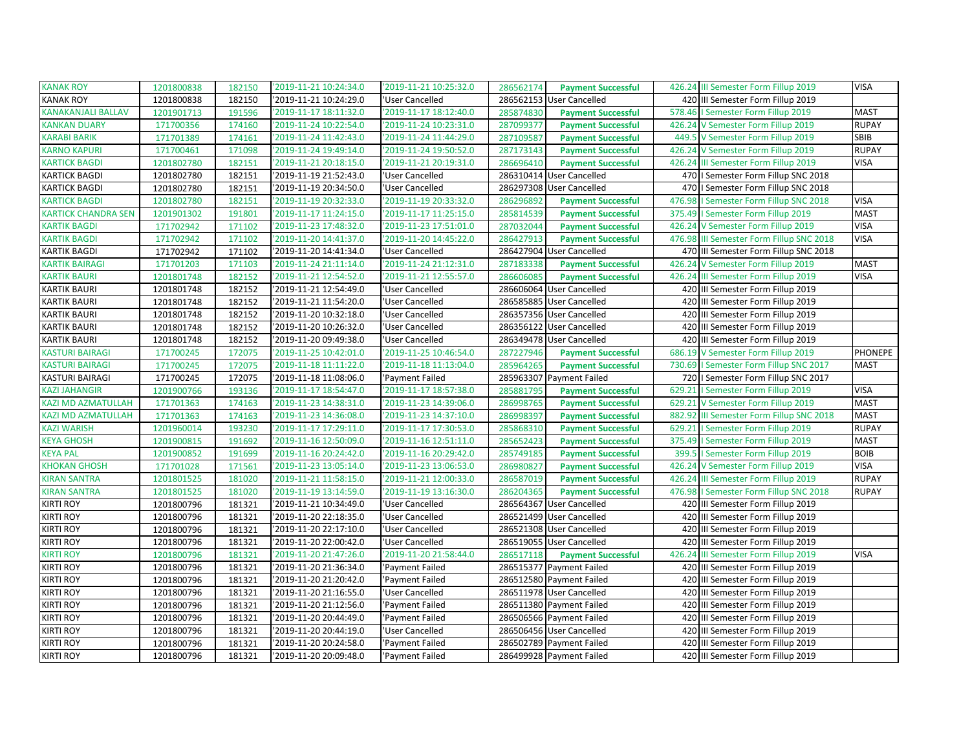| '2019-11-21 10:24:34.0<br>426.24 III Semester Form Fillup 2019<br>KANAK ROY<br>1201800838<br>182150<br>'2019-11-21 10:25:32.0<br>286562174<br><b>Payment Successful</b>                 | <b>VISA</b>  |
|-----------------------------------------------------------------------------------------------------------------------------------------------------------------------------------------|--------------|
| <b>KANAK ROY</b><br>2019-11-21 10:24:29.0<br>286562153<br>420 III Semester Form Fillup 2019<br>1201800838<br>182150<br>'User Cancelled<br><b>User Cancelled</b>                         |              |
| KANAKANJALI BALLAV<br>1201901713<br>191596<br>'2019-11-17 18:11:32.0<br>'2019-11-17 18:12:40.0<br>285874830<br><b>Payment Successful</b><br>578.46   Semester Form Fillup 2019          | <b>MAST</b>  |
| '2019-11-24 10:23:31.0<br><b>KANKAN DUARY</b><br>'2019-11-24 10:22:54.0<br>287099377<br>426.24 V Semester Form Fillup 2019<br>171700356<br>174160<br><b>Payment Successful</b>          | <b>RUPAY</b> |
| <b>KARABI BARIK</b><br>171701389<br>174161<br>'2019-11-24 11:42:43.0<br>'2019-11-24 11:44:29.0<br>287109587<br><b>Payment Successful</b><br>449.5 V Semester Form Fillup 2019           | SBIB         |
| KARNO KAPURI<br>426.24 V Semester Form Fillup 2019<br>171700461<br>171098<br>'2019-11-24 19:49:14.0<br>'2019-11-24 19:50:52.0<br>287173143<br><b>Payment Successful</b>                 | <b>RUPAY</b> |
| 182151<br>2019-11-21 20:18:15.0<br>'2019-11-21 20:19:31.0<br>286696410<br><b>KARTICK BAGDI</b><br>1201802780<br><b>Payment Successful</b><br>426.24 III Semester Form Fillup 2019       | <b>VISA</b>  |
| 286310414 User Cancelled<br>KARTICK BAGDI<br>'2019-11-19 21:52:43.0<br>'User Cancelled<br>470   Semester Form Fillup SNC 2018<br>1201802780<br>182151                                   |              |
| <b>KARTICK BAGDI</b><br>1201802780<br>182151<br>286297308 User Cancelled<br>'2019-11-19 20:34:50.0<br>'User Cancelled<br>470   I Semester Form Fillup SNC 2018                          |              |
| <b>KARTICK BAGDI</b><br>'2019-11-19 20:32:33.0<br>'2019-11-19 20:33:32.0<br>1201802780<br>182151<br>476.98<br>I Semester Form Fillup SNC 2018<br>286296892<br><b>Payment Successful</b> | <b>VISA</b>  |
| <b>KARTICK CHANDRA SEN</b><br>1201901302<br>191801<br>'2019-11-17 11:24:15.0<br>'2019-11-17 11:25:15.0<br>285814539<br>375.49   Semester Form Fillup 2019<br><b>Payment Successful</b>  | <b>MAST</b>  |
| <b>KARTIK BAGDI</b><br>'2019-11-23 17:48:32.0<br>'2019-11-23 17:51:01.0<br>171702942<br>171102<br>287032044<br>426.24 V Semester Form Fillup 2019<br><b>Payment Successful</b>          | <b>VISA</b>  |
| <b>KARTIK BAGDI</b><br>171702942<br>171102<br>'2019-11-20 14:41:37.0<br>'2019-11-20 14:45:22.0<br>286427913<br>476.98 III Semester Form Fillup SNC 2018<br><b>Payment Successful</b>    | <b>VISA</b>  |
| KARTIK BAGDI<br>286427904 User Cancelled<br>171102<br>'2019-11-20 14:41:34.0<br>'User Cancelled<br>470 III Semester Form Fillup SNC 2018<br>171702942                                   |              |
| 171103<br><b>KARTIK BAIRAGI</b><br>171701203<br>'2019-11-24 21:11:14.0<br>'2019-11-24 21:12:31.0<br>287183338<br><b>Payment Successful</b><br>426.24 V Semester Form Fillup 2019        | <b>MAST</b>  |
| '2019-11-21 12:54:52.0<br>'2019-11-21 12:55:57.0<br>KARTIK BAURI<br>1201801748<br>182152<br>286606085<br>426.24 III Semester Form Fillup 2019<br><b>Payment Successful</b>              | <b>VISA</b>  |
| KARTIK BAURI<br>1201801748<br>182152<br>'2019-11-21 12:54:49.0<br>'User Cancelled<br>286606064 User Cancelled<br>420 III Semester Form Fillup 2019                                      |              |
| KARTIK BAURI<br>286585885<br>1201801748<br>182152<br>'2019-11-21 11:54:20.0<br>'User Cancelled<br><b>User Cancelled</b><br>420 III Semester Form Fillup 2019                            |              |
| KARTIK BAURI<br>1201801748<br>182152<br>'2019-11-20 10:32:18.0<br>286357356 User Cancelled<br>420 III Semester Form Fillup 2019<br>'User Cancelled                                      |              |
| <b>KARTIK BAURI</b><br>'2019-11-20 10:26:32.0<br>286356122 User Cancelled<br>420 III Semester Form Fillup 2019<br>1201801748<br>182152<br>'User Cancelled                               |              |
| KARTIK BAURI<br>182152<br>'2019-11-20 09:49:38.0<br>'User Cancelled<br>286349478 User Cancelled<br>420 III Semester Form Fillup 2019<br>1201801748                                      |              |
| KASTURI BAIRAGI<br>'2019-11-25 10:42:01.0<br>'2019-11-25 10:46:54.0<br>287227946<br>686.19 V Semester Form Fillup 2019<br>171700245<br>172075<br><b>Payment Successful</b>              | PHONEPE      |
| <b>KASTURI BAIRAGI</b><br>171700245<br>172075<br>'2019-11-18 11:11:22.0<br>'2019-11-18 11:13:04.0<br>285964265<br>730.69   Semester Form Fillup SNC 2017<br><b>Payment Successful</b>   | <b>MAST</b>  |
| 2019-11-18 11:08:06.0<br>285963307 Payment Failed<br>720   Semester Form Fillup SNC 2017<br>KASTURI BAIRAGI<br>171700245<br>172075<br>'Payment Failed                                   |              |
| <b>KAZI JAHANGIR</b><br>193136<br>2019-11-17 18:54:47.0<br>'2019-11-17 18:57:38.0<br>285881795<br>629.21   Semester Form Fillup 2019<br>1201900766<br><b>Payment Successful</b>         | <b>VISA</b>  |
| <b>KAZI MD AZMATULLAH</b><br>'2019-11-23 14:38:31.0<br>'2019-11-23 14:39:06.0<br>174163<br>629.21 V Semester Form Fillup 2019<br>171701363<br>286998765<br><b>Payment Successful</b>    | <b>MAST</b>  |
| KAZI MD AZMATULLAH<br>'2019-11-23 14:36:08.0<br>'2019-11-23 14:37:10.0<br>882.92 III Semester Form Fillup SNC 2018<br>171701363<br>174163<br>286998397<br><b>Payment Successful</b>     | <b>MAST</b>  |
| KAZI WARISH<br>1201960014<br>193230<br>'2019-11-17 17:29:11.0<br>'2019-11-17 17:30:53.0<br>285868310<br>629.21   Semester Form Fillup 2019<br><b>Payment Successful</b>                 | <b>RUPAY</b> |
| <b>KEYA GHOSH</b><br>191692<br>'2019-11-16 12:50:09.0<br>'2019-11-16 12:51:11.0<br>375.49   Semester Form Fillup 2019<br>1201900815<br>285652423<br><b>Payment Successful</b>           | <b>MAST</b>  |
| <b>KEYA PAL</b><br>1201900852<br>191699<br>399.5   Semester Form Fillup 2019<br>'2019-11-16 20:24:42.0<br>'2019-11-16 20:29:42.0<br>285749185<br><b>Payment Successful</b>              | <b>BOIB</b>  |
| <b>KHOKAN GHOSH</b><br>171561<br>'2019-11-23 13:05:14.0<br>'2019-11-23 13:06:53.0<br>426.24 V Semester Form Fillup 2019<br>171701028<br>286980827<br><b>Payment Successful</b>          | <b>VISA</b>  |
| <b>KIRAN SANTRA</b><br>1201801525<br>181020<br>'2019-11-21 11:58:15.0<br>'2019-11-21 12:00:33.0<br>286587019<br>426.24 III Semester Form Fillup 2019<br><b>Payment Successful</b>       | <b>RUPAY</b> |
| <b>KIRAN SANTRA</b><br>181020<br>'2019-11-19 13:14:59.0<br>'2019-11-19 13:16:30.0<br>286204365<br>476.98   Semester Form Fillup SNC 2018<br>1201801525<br><b>Payment Successful</b>     | <b>RUPAY</b> |
| KIRTI ROY<br>1201800796<br>181321<br>'2019-11-21 10:34:49.0<br>'User Cancelled<br>286564367<br><b>User Cancelled</b><br>420 III Semester Form Fillup 2019                               |              |
| 286521499 User Cancelled<br>KIRTI ROY<br>1201800796<br>'2019-11-20 22:18:35.0<br>'User Cancelled<br>420 III Semester Form Fillup 2019<br>181321                                         |              |
| <b>KIRTI ROY</b><br>1201800796<br>181321<br>286521308 User Cancelled<br>420 III Semester Form Fillup 2019<br>'2019-11-20 22:17:10.0<br>'User Cancelled                                  |              |
| <b>KIRTI ROY</b><br>286519055 User Cancelled<br>181321<br>'2019-11-20 22:00:42.0<br>'User Cancelled<br>420 III Semester Form Fillup 2019<br>1201800796                                  |              |
| KIRTI ROY<br>1201800796<br>181321<br>'2019-11-20 21:47:26.0<br>'2019-11-20 21:58:44.0<br>286517118<br><b>Payment Successful</b><br>426.24 III Semester Form Fillup 2019                 | <b>VISA</b>  |
| KIRTI ROY<br>1201800796<br>181321<br>'2019-11-20 21:36:34.0<br>'Payment Failed<br>286515377 Payment Failed<br>420 III Semester Form Fillup 2019                                         |              |
| <b>KIRTI ROY</b><br>1201800796<br>181321<br>286512580 Payment Failed<br>420 III Semester Form Fillup 2019<br>'2019-11-20 21:20:42.0<br>'Payment Failed                                  |              |
| KIRTI ROY<br>1201800796<br>181321<br>'2019-11-20 21:16:55.0<br>'User Cancelled<br>286511978 User Cancelled<br>420 III Semester Form Fillup 2019                                         |              |
| <b>KIRTI ROY</b><br>181321<br>286511380 Payment Failed<br>420 III Semester Form Fillup 2019<br>1201800796<br>'2019-11-20 21:12:56.0<br>'Payment Failed                                  |              |
| <b>KIRTI ROY</b><br>286506566 Payment Failed<br>1201800796<br>181321<br>'2019-11-20 20:44:49.0<br>'Payment Failed<br>420 III Semester Form Fillup 2019                                  |              |
|                                                                                                                                                                                         |              |
| <b>KIRTI ROY</b><br>1201800796<br>181321<br>2019-11-20 20:44:19.0<br>286506456 User Cancelled<br>420 III Semester Form Fillup 2019<br>'User Cancelled                                   |              |
| <b>KIRTI ROY</b><br>1201800796<br>181321<br>'2019-11-20 20:24:58.0<br>'Payment Failed<br>286502789 Payment Failed<br>420 III Semester Form Fillup 2019                                  |              |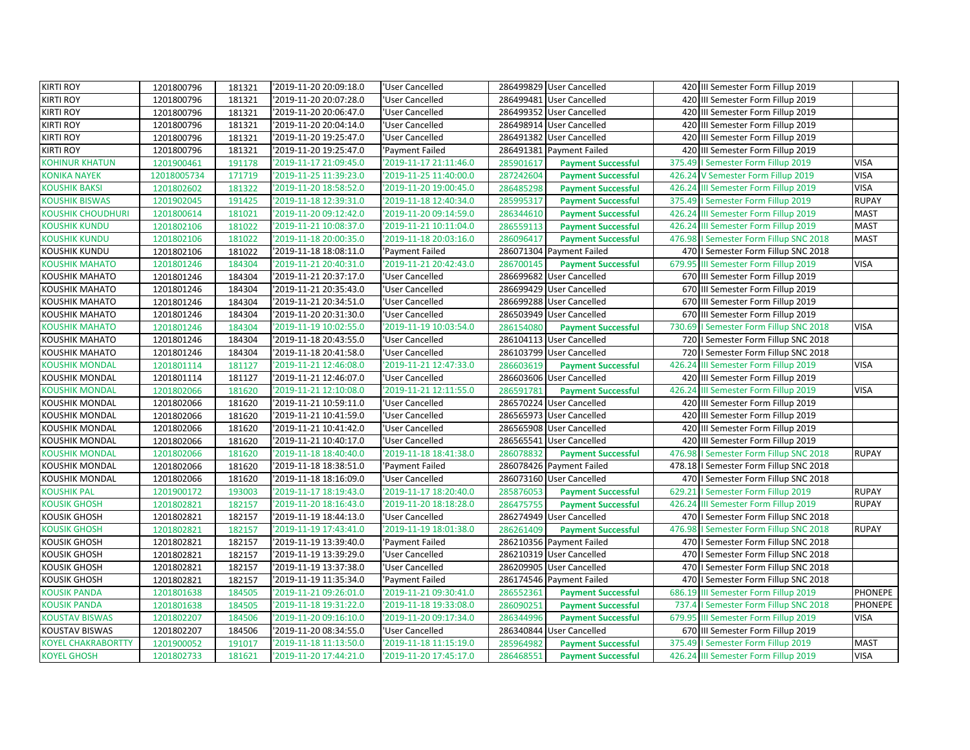| <b>KIRTI ROY</b>          | 1201800796  | 181321 | '2019-11-20 20:09:18.0 | 'User Cancelled        |           | 286499829 User Cancelled  | 420 III Semester Form Fillup 2019              |              |
|---------------------------|-------------|--------|------------------------|------------------------|-----------|---------------------------|------------------------------------------------|--------------|
| <b>KIRTI ROY</b>          | 1201800796  | 181321 | '2019-11-20 20:07:28.0 | 'User Cancelled        |           | 286499481 User Cancelled  | 420 III Semester Form Fillup 2019              |              |
| <b>KIRTI ROY</b>          | 1201800796  | 181321 | '2019-11-20 20:06:47.0 | 'User Cancelled        |           | 286499352 User Cancelled  | 420 III Semester Form Fillup 2019              |              |
| <b>KIRTI ROY</b>          | 1201800796  | 181321 | '2019-11-20 20:04:14.0 | 'User Cancelled        |           | 286498914 User Cancelled  | 420 III Semester Form Fillup 2019              |              |
| <b>KIRTI ROY</b>          | 1201800796  | 181321 | '2019-11-20 19:25:47.0 | 'User Cancelled        |           | 286491382 User Cancelled  | 420 III Semester Form Fillup 2019              |              |
| <b>KIRTI ROY</b>          | 1201800796  | 181321 | '2019-11-20 19:25:47.0 | 'Payment Failed        |           | 286491381 Payment Failed  | 420 III Semester Form Fillup 2019              |              |
| <b>KOHINUR KHATUN</b>     | 1201900461  | 191178 | '2019-11-17 21:09:45.0 | '2019-11-17 21:11:46.0 | 285901617 | <b>Payment Successful</b> | 375.49<br>I Semester Form Fillup 2019          | <b>VISA</b>  |
| <b>KONIKA NAYEK</b>       | 12018005734 | 171719 | '2019-11-25 11:39:23.0 | '2019-11-25 11:40:00.0 | 287242604 | <b>Payment Successful</b> | 426.24 V Semester Form Fillup 2019             | <b>VISA</b>  |
| <b>KOUSHIK BAKSI</b>      | 1201802602  | 181322 | '2019-11-20 18:58:52.0 | '2019-11-20 19:00:45.0 | 286485298 | <b>Payment Successful</b> | 426.24 III Semester Form Fillup 2019           | <b>VISA</b>  |
| <b>KOUSHIK BISWAS</b>     | 1201902045  | 191425 | '2019-11-18 12:39:31.0 | '2019-11-18 12:40:34.0 | 285995317 | <b>Payment Successful</b> | 375.49<br>I Semester Form Fillup 2019          | <b>RUPAY</b> |
| <b>KOUSHIK CHOUDHURI</b>  | 1201800614  | 181021 | '2019-11-20 09:12:42.0 | '2019-11-20 09:14:59.0 | 286344610 | <b>Payment Successful</b> | 426.24 III Semester Form Fillup 2019           | <b>MAST</b>  |
| <b>KOUSHIK KUNDU</b>      | 1201802106  | 181022 | '2019-11-21 10:08:37.0 | '2019-11-21 10:11:04.0 | 286559113 | <b>Payment Successful</b> | 426.24<br>III Semester Form Fillup 2019        | <b>MAST</b>  |
| <b>KOUSHIK KUNDU</b>      | 1201802106  | 181022 | '2019-11-18 20:00:35.0 | '2019-11-18 20:03:16.0 | 286096417 | <b>Payment Successful</b> | 476.98   Semester Form Fillup SNC 2018         | <b>MAST</b>  |
| KOUSHIK KUNDU             | 1201802106  | 181022 | '2019-11-18 18:08:11.0 | 'Payment Failed        |           | 286071304 Payment Failed  | 470   Semester Form Fillup SNC 2018            |              |
| <b>KOUSHIK MAHATO</b>     | 1201801246  | 184304 | '2019-11-21 20:40:31.0 | '2019-11-21 20:42:43.0 | 286700145 | <b>Payment Successful</b> | 679.95<br>III Semester Form Fillup 2019        | <b>VISA</b>  |
| <b>KOUSHIK MAHATO</b>     | 1201801246  | 184304 | '2019-11-21 20:37:17.0 | 'User Cancelled        |           | 286699682 User Cancelled  | 670 III Semester Form Fillup 2019              |              |
| <b>KOUSHIK MAHATO</b>     | 1201801246  | 184304 | '2019-11-21 20:35:43.0 | 'User Cancelled        |           | 286699429 User Cancelled  | 670 III Semester Form Fillup 2019              |              |
| <b>KOUSHIK MAHATO</b>     | 1201801246  | 184304 | '2019-11-21 20:34:51.0 | 'User Cancelled        |           | 286699288 User Cancelled  | 670 III Semester Form Fillup 2019              |              |
| KOUSHIK MAHATO            | 1201801246  | 184304 | '2019-11-20 20:31:30.0 | 'User Cancelled        |           | 286503949 User Cancelled  | 670 III Semester Form Fillup 2019              |              |
| <b>KOUSHIK MAHATO</b>     | 1201801246  | 184304 | '2019-11-19 10:02:55.0 | '2019-11-19 10:03:54.0 | 286154080 | <b>Payment Successful</b> | 730.69<br>I Semester Form Fillup SNC 2018      | <b>VISA</b>  |
| <b>KOUSHIK MAHATO</b>     | 1201801246  | 184304 | '2019-11-18 20:43:55.0 | 'User Cancelled        |           | 286104113 User Cancelled  | 720   I Semester Form Fillup SNC 2018          |              |
| <b>KOUSHIK MAHATO</b>     | 1201801246  | 184304 | '2019-11-18 20:41:58.0 | 'User Cancelled        |           | 286103799 User Cancelled  | 720   Semester Form Fillup SNC 2018            |              |
| <b>KOUSHIK MONDAL</b>     | 1201801114  | 181127 | '2019-11-21 12:46:08.0 | '2019-11-21 12:47:33.0 | 286603619 | <b>Payment Successful</b> | 426.24<br>III Semester Form Fillup 2019        | <b>VISA</b>  |
| <b>KOUSHIK MONDAL</b>     | 1201801114  | 181127 | '2019-11-21 12:46:07.0 | 'User Cancelled        |           | 286603606 User Cancelled  | 420 III Semester Form Fillup 2019              |              |
| <b>KOUSHIK MONDAL</b>     | 1201802066  | 181620 | '2019-11-21 12:10:08.0 | '2019-11-21 12:11:55.0 | 286591781 | <b>Payment Successful</b> | 426.24<br>III Semester Form Fillup 2019        | <b>VISA</b>  |
| <b>KOUSHIK MONDAL</b>     | 1201802066  | 181620 | '2019-11-21 10:59:11.0 | 'User Cancelled        |           | 286570224 User Cancelled  | 420<br>III Semester Form Fillup 2019           |              |
| KOUSHIK MONDAL            | 1201802066  | 181620 | '2019-11-21 10:41:59.0 | 'User Cancelled        |           | 286565973 User Cancelled  | 420 III Semester Form Fillup 2019              |              |
| <b>KOUSHIK MONDAL</b>     | 1201802066  | 181620 | '2019-11-21 10:41:42.0 | 'User Cancelled        |           | 286565908 User Cancelled  | 420 III Semester Form Fillup 2019              |              |
| <b>KOUSHIK MONDAL</b>     | 1201802066  | 181620 | '2019-11-21 10:40:17.0 | 'User Cancelled        |           | 286565541 User Cancelled  | 420 III Semester Form Fillup 2019              |              |
| <b>KOUSHIK MONDAL</b>     | 1201802066  | 181620 | '2019-11-18 18:40:40.0 | '2019-11-18 18:41:38.0 | 286078832 | <b>Payment Successful</b> | 476.98<br>I Semester Form Fillup SNC 2018      | <b>RUPAY</b> |
| <b>KOUSHIK MONDAL</b>     | 1201802066  | 181620 | '2019-11-18 18:38:51.0 | 'Payment Failed        |           | 286078426 Payment Failed  | 478.18   Semester Form Fillup SNC 2018         |              |
| KOUSHIK MONDAL            | 1201802066  | 181620 | '2019-11-18 18:16:09.0 | 'User Cancelled        |           | 286073160 User Cancelled  | 470   Semester Form Fillup SNC 2018            |              |
| <b>KOUSHIK PAL</b>        | 1201900172  | 193003 | '2019-11-17 18:19:43.0 | '2019-11-17 18:20:40.0 | 285876053 | <b>Payment Successful</b> | 629.21<br>I Semester Form Fillup 2019          | <b>RUPAY</b> |
| <b>KOUSIK GHOSH</b>       | 1201802821  | 182157 | '2019-11-20 18:16:43.0 | '2019-11-20 18:18:28.0 | 286475755 | <b>Payment Successful</b> | 426.24 III Semester Form Fillup 2019           | <b>RUPAY</b> |
| KOUSIK GHOSH              | 1201802821  | 182157 | '2019-11-19 18:44:13.0 | 'User Cancelled        |           | 286274949 User Cancelled  | 470   Semester Form Fillup SNC 2018            |              |
| <b>KOUSIK GHOSH</b>       | 1201802821  | 182157 | '2019-11-19 17:43:41.0 | '2019-11-19 18:01:38.0 | 286261409 | <b>Payment Successful</b> | 476.98<br>I Semester Form Fillup SNC 2018      | <b>RUPAY</b> |
| <b>KOUSIK GHOSH</b>       | 1201802821  | 182157 | '2019-11-19 13:39:40.0 | 'Payment Failed        |           | 286210356 Payment Failed  | 470   Semester Form Fillup SNC 2018            |              |
| KOUSIK GHOSH              | 1201802821  | 182157 | '2019-11-19 13:39:29.0 | 'User Cancelled        |           | 286210319 User Cancelled  | 470   Semester Form Fillup SNC 2018            |              |
| <b>KOUSIK GHOSH</b>       | 1201802821  | 182157 | '2019-11-19 13:37:38.0 | 'User Cancelled        |           | 286209905 User Cancelled  | 470   Semester Form Fillup SNC 2018            |              |
| KOUSIK GHOSH              | 1201802821  | 182157 | '2019-11-19 11:35:34.0 | 'Payment Failed        |           | 286174546 Payment Failed  | 470   Semester Form Fillup SNC 2018            |              |
| <b>KOUSIK PANDA</b>       | 1201801638  | 184505 | '2019-11-21 09:26:01.0 | '2019-11-21 09:30:41.0 | 286552361 | <b>Payment Successful</b> | <b>III Semester Form Fillup 2019</b><br>686.19 | PHONEPE      |
| <b>KOUSIK PANDA</b>       | 1201801638  | 184505 | '2019-11-18 19:31:22.0 | '2019-11-18 19:33:08.0 | 286090251 | <b>Payment Successful</b> | I Semester Form Fillup SNC 2018<br>737.4       | PHONEPE      |
| <b>KOUSTAV BISWAS</b>     | 1201802207  | 184506 | '2019-11-20 09:16:10.0 | '2019-11-20 09:17:34.0 | 286344996 | <b>Payment Successful</b> | 679.95<br>III Semester Form Fillup 2019        | <b>VISA</b>  |
| KOUSTAV BISWAS            | 1201802207  | 184506 | '2019-11-20 08:34:55.0 | 'User Cancelled        |           | 286340844 User Cancelled  | 670 III Semester Form Fillup 2019              |              |
| <b>KOYEL CHAKRABORTTY</b> | 1201900052  | 191017 | '2019-11-18 11:13:50.0 | '2019-11-18 11:15:19.0 | 285964982 | <b>Payment Successful</b> | 375.49   Semester Form Fillup 2019             | <b>MAST</b>  |
| <b>KOYEL GHOSH</b>        | 1201802733  | 181621 | '2019-11-20 17:44:21.0 | '2019-11-20 17:45:17.0 | 286468551 | <b>Payment Successful</b> | 426.24 III Semester Form Fillup 2019           | <b>VISA</b>  |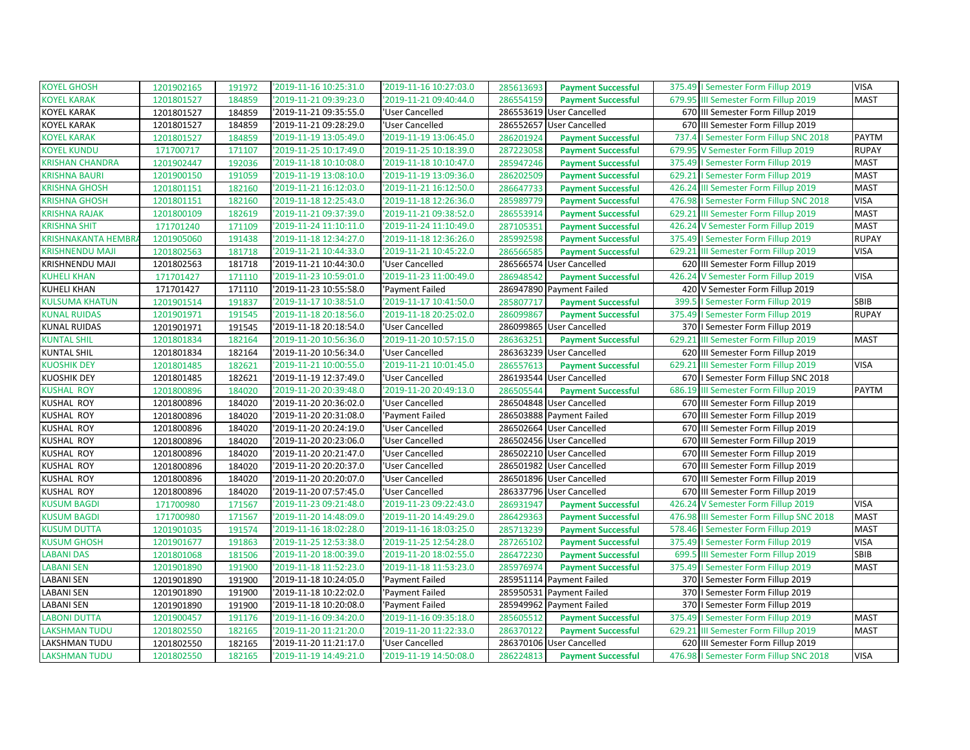| <b>KOYEL GHOSH</b>        | 1201902165 | 191972 | '2019-11-16 10:25:31.0 | '2019-11-16 10:27:03.0 | 285613693<br><b>Payment Successful</b> | 375.49   Semester Form Fillup 2019       | <b>VISA</b>  |
|---------------------------|------------|--------|------------------------|------------------------|----------------------------------------|------------------------------------------|--------------|
| <b>KOYEL KARAK</b>        | 1201801527 | 184859 | '2019-11-21 09:39:23.0 | '2019-11-21 09:40:44.0 | 286554159<br><b>Payment Successful</b> | 679.95 III Semester Form Fillup 2019     | <b>MAST</b>  |
| <b>KOYEL KARAK</b>        | 1201801527 | 184859 | '2019-11-21 09:35:55.0 | 'User Cancelled        | 286553619 User Cancelled               | 670 III Semester Form Fillup 2019        |              |
| <b>KOYEL KARAK</b>        | 1201801527 | 184859 | '2019-11-21 09:28:29.0 | 'User Cancelled        | 286552657 User Cancelled               | 670 III Semester Form Fillup 2019        |              |
| <b>KOYEL KARAK</b>        | 1201801527 | 184859 | '2019-11-19 13:05:49.0 | '2019-11-19 13:06:45.0 | 286201924<br><b>Payment Successful</b> | 737.4   Semester Form Fillup SNC 2018    | PAYTM        |
| <b>KOYEL KUNDU</b>        | 171700717  | 171107 | '2019-11-25 10:17:49.0 | '2019-11-25 10:18:39.0 | 287223058<br><b>Payment Successful</b> | 679.95 V Semester Form Fillup 2019       | <b>RUPAY</b> |
| <b>KRISHAN CHANDRA</b>    | 1201902447 | 192036 | '2019-11-18 10:10:08.0 | '2019-11-18 10:10:47.0 | 285947246<br><b>Payment Successful</b> | 375.49   Semester Form Fillup 2019       | <b>MAST</b>  |
| <b>KRISHNA BAURI</b>      | 1201900150 | 191059 | '2019-11-19 13:08:10.0 | '2019-11-19 13:09:36.0 | 286202509<br><b>Payment Successful</b> | 629.21   Semester Form Fillup 2019       | <b>MAST</b>  |
| <b>KRISHNA GHOSH</b>      | 1201801151 | 182160 | '2019-11-21 16:12:03.0 | '2019-11-21 16:12:50.0 | 286647733<br><b>Payment Successful</b> | 426.24 III Semester Form Fillup 2019     | <b>MAST</b>  |
| <b>KRISHNA GHOSH</b>      | 1201801151 | 182160 | '2019-11-18 12:25:43.0 | '2019-11-18 12:26:36.0 | 285989779<br><b>Payment Successful</b> | 476.98   Semester Form Fillup SNC 2018   | <b>VISA</b>  |
| <b>KRISHNA RAJAK</b>      | 1201800109 | 182619 | '2019-11-21 09:37:39.0 | '2019-11-21 09:38:52.0 | 286553914<br><b>Payment Successful</b> | 629.21 III Semester Form Fillup 2019     | <b>MAST</b>  |
| <b>KRISHNA SHIT</b>       | 171701240  | 171109 | '2019-11-24 11:10:11.0 | '2019-11-24 11:10:49.0 | 287105351<br><b>Payment Successful</b> | 426.24 V Semester Form Fillup 2019       | <b>MAST</b>  |
| <b>KRISHNAKANTA HEMBR</b> | 1201905060 | 191438 | '2019-11-18 12:34:27.0 | '2019-11-18 12:36:26.0 | 285992598<br><b>Payment Successful</b> | 375.49   Semester Form Fillup 2019       | <b>RUPAY</b> |
| <b>KRISHNENDU MAJI</b>    | 1201802563 | 181718 | '2019-11-21 10:44:33.0 | '2019-11-21 10:45:22.0 | 286566585<br><b>Payment Successful</b> | 629.21 III Semester Form Fillup 2019     | <b>VISA</b>  |
| KRISHNENDU MAJI           | 1201802563 | 181718 | '2019-11-21 10:44:30.0 | 'User Cancelled        | 286566574 User Cancelled               | 620 III Semester Form Fillup 2019        |              |
| <b>KUHELI KHAN</b>        | 171701427  | 171110 | '2019-11-23 10:59:01.0 | '2019-11-23 11:00:49.0 | 286948542<br><b>Payment Successful</b> | 426.24 V Semester Form Fillup 2019       | <b>VISA</b>  |
| <b>KUHELI KHAN</b>        | 171701427  | 171110 | '2019-11-23 10:55:58.0 | 'Payment Failed        | 286947890 Payment Failed               | 420 V Semester Form Fillup 2019          |              |
| <b>KULSUMA KHATUN</b>     | 1201901514 | 191837 | '2019-11-17 10:38:51.0 | '2019-11-17 10:41:50.0 | 285807717<br><b>Payment Successful</b> | 399.5   Semester Form Fillup 2019        | SBIB         |
| <b>KUNAL RUIDAS</b>       | 1201901971 | 191545 | '2019-11-18 20:18:56.0 | '2019-11-18 20:25:02.0 | 286099867<br><b>Payment Successful</b> | 375.49   Semester Form Fillup 2019       | <b>RUPAY</b> |
| <b>KUNAL RUIDAS</b>       | 1201901971 | 191545 | '2019-11-18 20:18:54.0 | 'User Cancelled        | 286099865 User Cancelled               | 370   Semester Form Fillup 2019          |              |
| <b>KUNTAL SHIL</b>        | 1201801834 | 182164 | '2019-11-20 10:56:36.0 | '2019-11-20 10:57:15.0 | 286363251<br><b>Payment Successful</b> | 629.21 III Semester Form Fillup 2019     | <b>MAST</b>  |
| <b>KUNTAL SHIL</b>        | 1201801834 | 182164 | '2019-11-20 10:56:34.0 | 'User Cancelled        | 286363239 User Cancelled               | 620 III Semester Form Fillup 2019        |              |
| <b>KUOSHIK DEY</b>        | 1201801485 | 182621 | '2019-11-21 10:00:55.0 | '2019-11-21 10:01:45.0 | 286557613<br><b>Payment Successful</b> | 629.21 III Semester Form Fillup 2019     | <b>VISA</b>  |
| <b>KUOSHIK DEY</b>        | 1201801485 | 182621 | '2019-11-19 12:37:49.0 | 'User Cancelled        | 286193544 User Cancelled               | 670   Semester Form Fillup SNC 2018      |              |
| <b>KUSHAL ROY</b>         | 1201800896 | 184020 | '2019-11-20 20:39:48.0 | '2019-11-20 20:49:13.0 | 286505544<br><b>Payment Successful</b> | 686.19 III Semester Form Fillup 2019     | <b>PAYTM</b> |
| <b>KUSHAL ROY</b>         | 1201800896 | 184020 | '2019-11-20 20:36:02.0 | 'User Cancelled        | 286504848 User Cancelled               | 670 III Semester Form Fillup 2019        |              |
| KUSHAL ROY                | 1201800896 | 184020 | '2019-11-20 20:31:08.0 | 'Payment Failed        | 286503888 Payment Failed               | 670 III Semester Form Fillup 2019        |              |
| <b>KUSHAL ROY</b>         | 1201800896 | 184020 | '2019-11-20 20:24:19.0 | 'User Cancelled        | 286502664 User Cancelled               | 670 III Semester Form Fillup 2019        |              |
| <b>KUSHAL ROY</b>         | 1201800896 | 184020 | '2019-11-20 20:23:06.0 | 'User Cancelled        | 286502456 User Cancelled               | 670 III Semester Form Fillup 2019        |              |
| <b>KUSHAL ROY</b>         | 1201800896 | 184020 | '2019-11-20 20:21:47.0 | 'User Cancelled        | 286502210 User Cancelled               | 670 III Semester Form Fillup 2019        |              |
| KUSHAL ROY                | 1201800896 | 184020 | '2019-11-20 20:20:37.0 | 'User Cancelled        | 286501982 User Cancelled               | 670 III Semester Form Fillup 2019        |              |
| <b>KUSHAL ROY</b>         | 1201800896 | 184020 | '2019-11-20 20:20:07.0 | 'User Cancelled        | 286501896 User Cancelled               | 670 III Semester Form Fillup 2019        |              |
| <b>KUSHAL ROY</b>         | 1201800896 | 184020 | '2019-11-20 07:57:45.0 | 'User Cancelled        | 286337796 User Cancelled               | 670 III Semester Form Fillup 2019        |              |
| <b>KUSUM BAGDI</b>        | 171700980  | 171567 | '2019-11-23 09:21:48.0 | '2019-11-23 09:22:43.0 | 286931947<br><b>Payment Successful</b> | 426.24 V Semester Form Fillup 2019       | <b>VISA</b>  |
| <b>KUSUM BAGDI</b>        | 171700980  | 171567 | '2019-11-20 14:48:09.0 | '2019-11-20 14:49:29.0 | 286429363<br><b>Payment Successful</b> | 476.98 III Semester Form Fillup SNC 2018 | <b>MAST</b>  |
| <b>KUSUM DUTTA</b>        | 1201901035 | 191574 | '2019-11-16 18:02:28.0 | '2019-11-16 18:03:25.0 | 285713239<br><b>Payment Successful</b> | 578.46   Semester Form Fillup 2019       | <b>MAST</b>  |
| <b>KUSUM GHOSH</b>        | 1201901677 | 191863 | '2019-11-25 12:53:38.0 | '2019-11-25 12:54:28.0 | 287265102<br><b>Payment Successful</b> | 375.49   Semester Form Fillup 2019       | <b>VISA</b>  |
| <b>LABANI DAS</b>         | 1201801068 | 181506 | '2019-11-20 18:00:39.0 | '2019-11-20 18:02:55.0 | 286472230<br><b>Payment Successful</b> | 699.5 III Semester Form Fillup 2019      | SBIB         |
| <b>LABANI SEN</b>         | 1201901890 | 191900 | '2019-11-18 11:52:23.0 | '2019-11-18 11:53:23.0 | 285976974<br><b>Payment Successful</b> | 375.49   Semester Form Fillup 2019       | <b>MAST</b>  |
| <b>LABANI SEN</b>         | 1201901890 | 191900 | '2019-11-18 10:24:05.0 | 'Payment Failed        | 285951114 Payment Failed               | 370   Semester Form Fillup 2019          |              |
| <b>LABANI SEN</b>         | 1201901890 | 191900 | '2019-11-18 10:22:02.0 | 'Payment Failed        | 285950531 Payment Failed               | 370   Semester Form Fillup 2019          |              |
| <b>LABANI SEN</b>         | 1201901890 | 191900 | '2019-11-18 10:20:08.0 | 'Payment Failed        | 285949962 Payment Failed               | 370   Semester Form Fillup 2019          |              |
| <b>LABONI DUTTA</b>       | 1201900457 | 191176 | '2019-11-16 09:34:20.0 | '2019-11-16 09:35:18.0 | 285605512<br><b>Payment Successful</b> | 375.49   Semester Form Fillup 2019       | <b>MAST</b>  |
| <b>LAKSHMAN TUDU</b>      | 1201802550 | 182165 | '2019-11-20 11:21:20.0 | '2019-11-20 11:22:33.0 | 286370122<br><b>Payment Successful</b> | 629.21 III Semester Form Fillup 2019     | <b>MAST</b>  |
| LAKSHMAN TUDU             | 1201802550 | 182165 | '2019-11-20 11:21:17.0 | 'User Cancelled        | 286370106 User Cancelled               | 620 III Semester Form Fillup 2019        |              |
| <b>LAKSHMAN TUDU</b>      | 1201802550 | 182165 | '2019-11-19 14:49:21.0 | '2019-11-19 14:50:08.0 | 286224813<br><b>Payment Successful</b> | 476.98   Semester Form Fillup SNC 2018   | <b>VISA</b>  |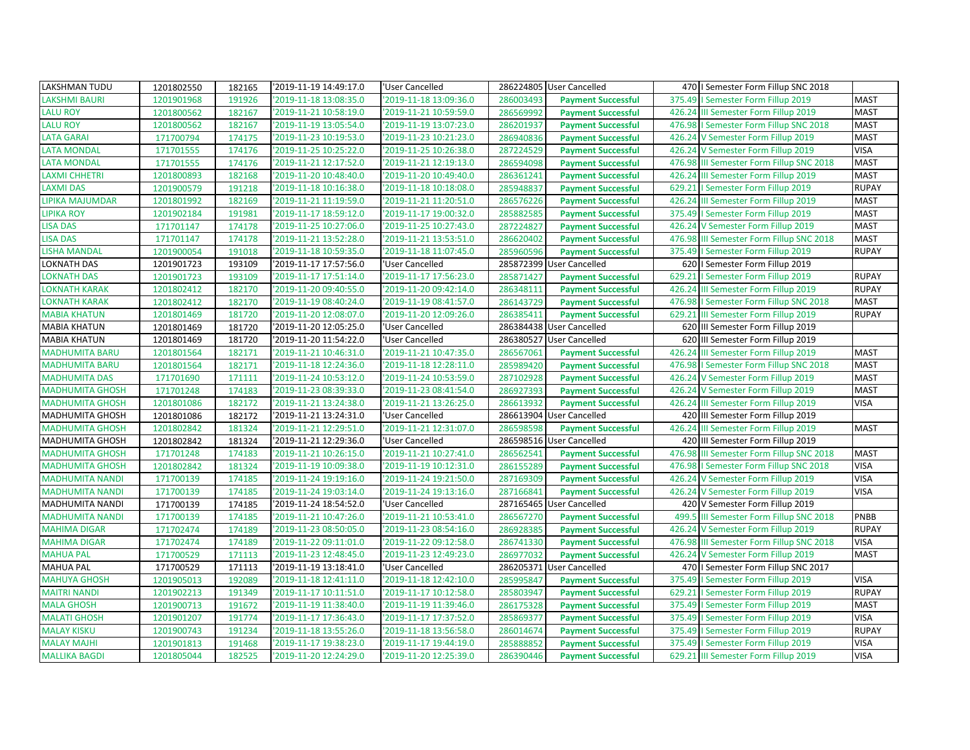| <b>LAKSHMAN TUDU</b>   | 1201802550 | 182165 | '2019-11-19 14:49:17.0 | 'User Cancelled        |           | 286224805 User Cancelled  |        | 470   Semester Form Fillup SNC 2018     |              |
|------------------------|------------|--------|------------------------|------------------------|-----------|---------------------------|--------|-----------------------------------------|--------------|
| <b>LAKSHMI BAURI</b>   | 1201901968 | 191926 | '2019-11-18 13:08:35.0 | '2019-11-18 13:09:36.0 | 286003493 | <b>Payment Successful</b> | 375.49 | I Semester Form Fillup 2019             | <b>MAST</b>  |
| <b>LALU ROY</b>        | 1201800562 | 182167 | '2019-11-21 10:58:19.0 | '2019-11-21 10:59:59.0 | 286569992 | <b>Payment Successful</b> | 426.24 | III Semester Form Fillup 2019           | <b>MAST</b>  |
| <b>LALU ROY</b>        | 1201800562 | 182167 | '2019-11-19 13:05:54.0 | '2019-11-19 13:07:23.0 | 286201937 | <b>Payment Successful</b> | 476.98 | I Semester Form Fillup SNC 2018         | <b>MAST</b>  |
| <b>LATA GARAI</b>      | 171700794  | 174175 | '2019-11-23 10:19:53.0 | '2019-11-23 10:21:23.0 | 286940836 | <b>Payment Successful</b> | 426.24 | V Semester Form Fillup 2019             | <b>MAST</b>  |
| <b>LATA MONDAL</b>     | 171701555  | 174176 | '2019-11-25 10:25:22.0 | '2019-11-25 10:26:38.0 | 287224529 | <b>Payment Successful</b> |        | 426.24 V Semester Form Fillup 2019      | <b>VISA</b>  |
| <b>LATA MONDAL</b>     | 171701555  | 174176 | '2019-11-21 12:17:52.0 | '2019-11-21 12:19:13.0 | 286594098 | <b>Payment Successful</b> | 476.98 | III Semester Form Fillup SNC 2018       | <b>MAST</b>  |
| <b>LAXMI CHHETRI</b>   | 1201800893 | 182168 | '2019-11-20 10:48:40.0 | '2019-11-20 10:49:40.0 | 286361241 | <b>Payment Successful</b> |        | 426.24 III Semester Form Fillup 2019    | <b>MAST</b>  |
| <b>LAXMI DAS</b>       | 1201900579 | 191218 | '2019-11-18 10:16:38.0 | '2019-11-18 10:18:08.0 | 285948837 | <b>Payment Successful</b> | 629.21 | I Semester Form Fillup 2019             | <b>RUPAY</b> |
| <b>LIPIKA MAJUMDAR</b> | 1201801992 | 182169 | '2019-11-21 11:19:59.0 | '2019-11-21 11:20:51.0 | 286576226 | <b>Payment Successful</b> | 426.24 | III Semester Form Fillup 2019           | <b>MAST</b>  |
| <b>LIPIKA ROY</b>      | 1201902184 | 191981 | '2019-11-17 18:59:12.0 | '2019-11-17 19:00:32.0 | 285882585 | <b>Payment Successful</b> |        | 375.49   Semester Form Fillup 2019      | <b>MAST</b>  |
| <b>LISA DAS</b>        | 171701147  | 174178 | '2019-11-25 10:27:06.0 | '2019-11-25 10:27:43.0 | 287224827 | <b>Payment Successful</b> |        | 426.24 V Semester Form Fillup 2019      | <b>MAST</b>  |
| <b>LISA DAS</b>        | 171701147  | 174178 | '2019-11-21 13:52:28.0 | '2019-11-21 13:53:51.0 | 286620402 | <b>Payment Successful</b> | 476.98 | III Semester Form Fillup SNC 2018       | <b>MAST</b>  |
| <b>LISHA MANDAL</b>    | 1201900054 | 191018 | '2019-11-18 10:59:35.0 | '2019-11-18 11:07:45.0 | 285960596 | <b>Payment Successful</b> | 375.49 | I Semester Form Fillup 2019             | <b>RUPAY</b> |
| <b>LOKNATH DAS</b>     | 1201901723 | 193109 | '2019-11-17 17:57:56.0 | 'User Cancelled        |           | 285872399 User Cancelled  |        | 620   Semester Form Fillup 2019         |              |
| <b>LOKNATH DAS</b>     | 1201901723 | 193109 | '2019-11-17 17:51:14.0 | '2019-11-17 17:56:23.0 | 285871427 | <b>Payment Successful</b> |        | 629.21   Semester Form Fillup 2019      | <b>RUPAY</b> |
| <b>LOKNATH KARAK</b>   | 1201802412 | 182170 | '2019-11-20 09:40:55.0 | '2019-11-20 09:42:14.0 | 286348111 | <b>Payment Successful</b> | 426.24 | III Semester Form Fillup 2019           | <b>RUPAY</b> |
| <b>LOKNATH KARAK</b>   | 1201802412 | 182170 | '2019-11-19 08:40:24.0 | '2019-11-19 08:41:57.0 | 286143729 | <b>Payment Successful</b> | 476.98 | I Semester Form Fillup SNC 2018         | <b>MAST</b>  |
| <b>MABIA KHATUN</b>    | 1201801469 | 181720 | '2019-11-20 12:08:07.0 | '2019-11-20 12:09:26.0 | 286385411 | <b>Payment Successful</b> | 629.21 | III Semester Form Fillup 2019           | <b>RUPAY</b> |
| <b>MABIA KHATUN</b>    | 1201801469 | 181720 | '2019-11-20 12:05:25.0 | 'User Cancelled        |           | 286384438 User Cancelled  |        | 620 III Semester Form Fillup 2019       |              |
| <b>MABIA KHATUN</b>    | 1201801469 | 181720 | '2019-11-20 11:54:22.0 | 'User Cancelled        |           | 286380527 User Cancelled  | 620    | III Semester Form Fillup 2019           |              |
| <b>MADHUMITA BARU</b>  | 1201801564 | 182171 | '2019-11-21 10:46:31.0 | '2019-11-21 10:47:35.0 | 286567061 | <b>Payment Successful</b> | 426.24 | III Semester Form Fillup 2019           | <b>MAST</b>  |
| <b>MADHUMITA BARU</b>  | 1201801564 | 182171 | '2019-11-18 12:24:36.0 | '2019-11-18 12:28:11.0 | 285989420 | <b>Payment Successful</b> | 476.98 | I Semester Form Fillup SNC 2018         | <b>MAST</b>  |
| <b>MADHUMITA DAS</b>   | 171701690  | 171111 | '2019-11-24 10:53:12.0 | '2019-11-24 10:53:59.0 | 287102928 | <b>Payment Successful</b> |        | 426.24 V Semester Form Fillup 2019      | <b>MAST</b>  |
| <b>MADHUMITA GHOSH</b> | 171701248  | 174183 | '2019-11-23 08:39:33.0 | '2019-11-23 08:41:54.0 | 286927393 | <b>Payment Successful</b> | 426.24 | V Semester Form Fillup 2019             | <b>MAST</b>  |
| <b>MADHUMITA GHOSH</b> | 1201801086 | 182172 | '2019-11-21 13:24:38.0 | '2019-11-21 13:26:25.0 | 286613932 | <b>Payment Successful</b> | 426.24 | III Semester Form Fillup 2019           | <b>VISA</b>  |
| <b>MADHUMITA GHOSH</b> | 1201801086 | 182172 | '2019-11-21 13:24:31.0 | 'User Cancelled        |           | 286613904 User Cancelled  |        | 420 III Semester Form Fillup 2019       |              |
| <b>MADHUMITA GHOSH</b> | 1201802842 | 181324 | '2019-11-21 12:29:51.0 | '2019-11-21 12:31:07.0 | 286598598 | <b>Payment Successful</b> | 426.24 | III Semester Form Fillup 2019           | <b>MAST</b>  |
| <b>MADHUMITA GHOSH</b> | 1201802842 | 181324 | '2019-11-21 12:29:36.0 | 'User Cancelled        |           | 286598516 User Cancelled  |        | 420 III Semester Form Fillup 2019       |              |
| <b>MADHUMITA GHOSH</b> | 171701248  | 174183 | '2019-11-21 10:26:15.0 | '2019-11-21 10:27:41.0 | 286562541 | <b>Payment Successful</b> | 476.98 | III Semester Form Fillup SNC 2018       | <b>MAST</b>  |
| <b>MADHUMITA GHOSH</b> | 1201802842 | 181324 | '2019-11-19 10:09:38.0 | '2019-11-19 10:12:31.0 | 286155289 | <b>Payment Successful</b> | 476.98 | I Semester Form Fillup SNC 2018         | <b>VISA</b>  |
| <b>MADHUMITA NANDI</b> | 171700139  | 174185 | '2019-11-24 19:19:16.0 | '2019-11-24 19:21:50.0 | 287169309 | <b>Payment Successful</b> | 426.24 | V Semester Form Fillup 2019             | <b>VISA</b>  |
| <b>MADHUMITA NANDI</b> | 171700139  | 174185 | '2019-11-24 19:03:14.0 | '2019-11-24 19:13:16.0 | 287166841 | <b>Payment Successful</b> | 426.24 | V Semester Form Fillup 2019             | <b>VISA</b>  |
| <b>MADHUMITA NANDI</b> | 171700139  | 174185 | '2019-11-24 18:54:52.0 | 'User Cancelled        | 287165465 | <b>User Cancelled</b>     | 420    | V Semester Form Fillup 2019             |              |
| <b>MADHUMITA NANDI</b> | 171700139  | 174185 | '2019-11-21 10:47:26.0 | '2019-11-21 10:53:41.0 | 286567270 | <b>Payment Successful</b> |        | 499.5 III Semester Form Fillup SNC 2018 | PNBB         |
| <b>MAHIMA DIGAR</b>    | 171702474  | 174189 | '2019-11-23 08:50:05.0 | '2019-11-23 08:54:16.0 | 286928385 | <b>Payment Successful</b> | 426.24 | V Semester Form Fillup 2019             | <b>RUPAY</b> |
| <b>MAHIMA DIGAR</b>    | 171702474  | 174189 | '2019-11-22 09:11:01.0 | '2019-11-22 09:12:58.0 | 286741330 | <b>Payment Successful</b> | 476.98 | III Semester Form Fillup SNC 2018       | <b>VISA</b>  |
| <b>MAHUA PAL</b>       | 171700529  | 171113 | '2019-11-23 12:48:45.0 | '2019-11-23 12:49:23.0 | 286977032 | <b>Payment Successful</b> | 426.24 | V Semester Form Fillup 2019             | <b>MAST</b>  |
| <b>MAHUA PAL</b>       | 171700529  | 171113 | '2019-11-19 13:18:41.0 | 'User Cancelled        | 286205371 | <b>User Cancelled</b>     |        | 470   I Semester Form Fillup SNC 2017   |              |
| <b>MAHUYA GHOSH</b>    | 1201905013 | 192089 | '2019-11-18 12:41:11.0 | '2019-11-18 12:42:10.0 | 285995847 | <b>Payment Successful</b> |        | 375.49   Semester Form Fillup 2019      | <b>VISA</b>  |
| <b>MAITRI NANDI</b>    | 1201902213 | 191349 | '2019-11-17 10:11:51.0 | '2019-11-17 10:12:58.0 | 285803947 | <b>Payment Successful</b> | 629.21 | I Semester Form Fillup 2019             | <b>RUPAY</b> |
| <b>MALA GHOSH</b>      | 1201900713 | 191672 | '2019-11-19 11:38:40.0 | '2019-11-19 11:39:46.0 | 286175328 | <b>Payment Successful</b> | 375.49 | I Semester Form Fillup 2019             | <b>MAST</b>  |
| <b>MALATI GHOSH</b>    | 1201901207 | 191774 | '2019-11-17 17:36:43.0 | '2019-11-17 17:37:52.0 | 285869377 | <b>Payment Successful</b> |        | 375.49   Semester Form Fillup 2019      | <b>VISA</b>  |
| <b>MALAY KISKU</b>     | 1201900743 | 191234 | '2019-11-18 13:55:26.0 | '2019-11-18 13:56:58.0 | 286014674 | <b>Payment Successful</b> |        | 375.49   Semester Form Fillup 2019      | <b>RUPAY</b> |
| <b>MALAY MAJHI</b>     | 1201901813 | 191468 | '2019-11-17 19:38:23.0 | '2019-11-17 19:44:19.0 | 285888852 | <b>Payment Successful</b> |        | 375.49   Semester Form Fillup 2019      | <b>VISA</b>  |
| <b>MALLIKA BAGDI</b>   | 1201805044 | 182525 | '2019-11-20 12:24:29.0 | '2019-11-20 12:25:39.0 | 286390446 | <b>Payment Successful</b> |        | 629.21 III Semester Form Fillup 2019    | <b>VISA</b>  |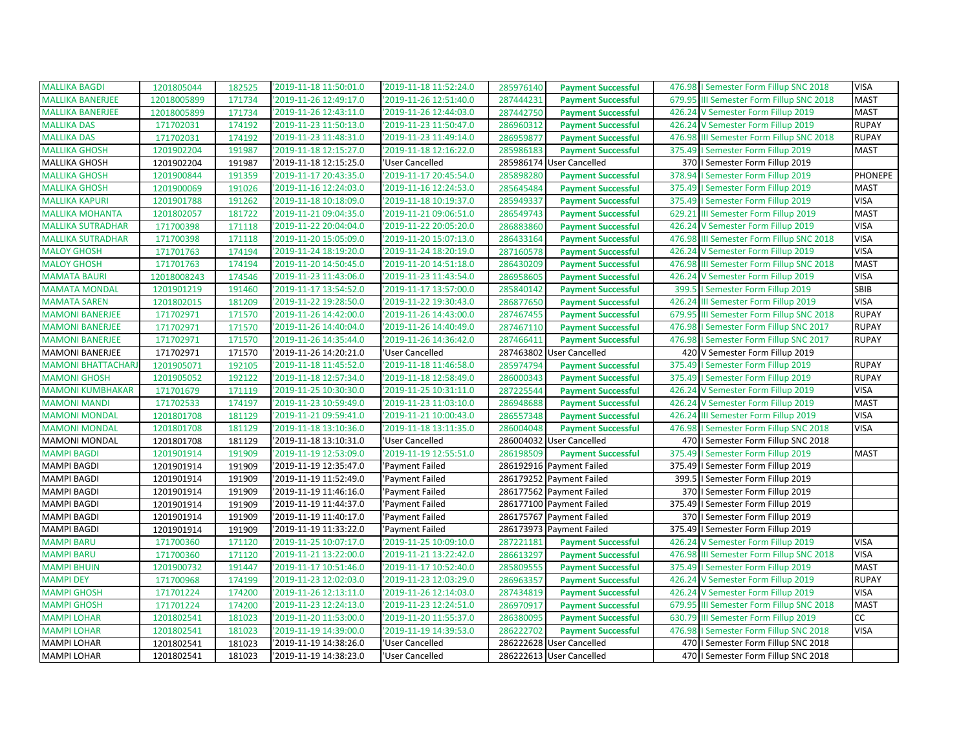| <b>MALLIKA BAGDI</b>      | 1201805044  | 182525 | '2019-11-18 11:50:01.0 | '2019-11-18 11:52:24.0 | 285976140 | <b>Payment Successful</b> | 476.98   Semester Form Fillup SNC 2018   | <b>VISA</b>    |
|---------------------------|-------------|--------|------------------------|------------------------|-----------|---------------------------|------------------------------------------|----------------|
| <b>MALLIKA BANERJEE</b>   | 12018005899 | 171734 | '2019-11-26 12:49:17.0 | '2019-11-26 12:51:40.0 | 287444231 | <b>Payment Successful</b> | 679.95 III Semester Form Fillup SNC 2018 | <b>MAST</b>    |
| <b>MALLIKA BANERJEE</b>   | 12018005899 | 171734 | '2019-11-26 12:43:11.0 | '2019-11-26 12:44:03.0 | 287442750 | <b>Payment Successful</b> | 426.24 V Semester Form Fillup 2019       | <b>MAST</b>    |
| <b>MALLIKA DAS</b>        | 171702031   | 174192 | '2019-11-23 11:50:13.0 | '2019-11-23 11:50:47.0 | 286960312 | <b>Payment Successful</b> | 426.24 V Semester Form Fillup 2019       | <b>RUPAY</b>   |
| <b>MALLIKA DAS</b>        | 171702031   | 174192 | '2019-11-23 11:48:31.0 | '2019-11-23 11:49:14.0 | 286959877 | <b>Payment Successful</b> | 476.98 III Semester Form Fillup SNC 2018 | <b>RUPAY</b>   |
| <b>MALLIKA GHOSH</b>      | 1201902204  | 191987 | '2019-11-18 12:15:27.0 | '2019-11-18 12:16:22.0 | 285986183 | <b>Payment Successful</b> | 375.49   Semester Form Fillup 2019       | <b>MAST</b>    |
| <b>MALLIKA GHOSH</b>      | 1201902204  | 191987 | '2019-11-18 12:15:25.0 | 'User Cancelled        |           | 285986174 User Cancelled  | 370   Semester Form Fillup 2019          |                |
| <b>MALLIKA GHOSH</b>      | 1201900844  | 191359 | '2019-11-17 20:43:35.0 | '2019-11-17 20:45:54.0 | 285898280 | <b>Payment Successful</b> | 378.94   Semester Form Fillup 2019       | <b>PHONEPE</b> |
| <b>MALLIKA GHOSH</b>      | 1201900069  | 191026 | '2019-11-16 12:24:03.0 | '2019-11-16 12:24:53.0 | 285645484 | <b>Payment Successful</b> | 375.49   Semester Form Fillup 2019       | <b>MAST</b>    |
| <b>MALLIKA KAPURI</b>     | 1201901788  | 191262 | '2019-11-18 10:18:09.0 | '2019-11-18 10:19:37.0 | 285949337 | <b>Payment Successful</b> | 375.49   Semester Form Fillup 2019       | <b>VISA</b>    |
| <b>MALLIKA MOHANTA</b>    | 1201802057  | 181722 | '2019-11-21 09:04:35.0 | '2019-11-21 09:06:51.0 | 286549743 | <b>Payment Successful</b> | 629.21 III Semester Form Fillup 2019     | <b>MAST</b>    |
| <b>MALLIKA SUTRADHAR</b>  | 171700398   | 171118 | '2019-11-22 20:04:04.0 | '2019-11-22 20:05:20.0 | 286883860 | <b>Payment Successful</b> | 426.24 V Semester Form Fillup 2019       | <b>VISA</b>    |
| <b>MALLIKA SUTRADHAR</b>  | 171700398   | 171118 | '2019-11-20 15:05:09.0 | '2019-11-20 15:07:13.0 | 286433164 | <b>Payment Successful</b> | 476.98 III Semester Form Fillup SNC 2018 | <b>VISA</b>    |
| <b>MALOY GHOSH</b>        | 171701763   | 174194 | '2019-11-24 18:19:20.0 | '2019-11-24 18:20:19.0 | 287160578 | <b>Payment Successful</b> | 426.24 V Semester Form Fillup 2019       | <b>VISA</b>    |
| <b>MALOY GHOSH</b>        | 171701763   | 174194 | '2019-11-20 14:50:45.0 | '2019-11-20 14:51:18.0 | 286430209 | <b>Payment Successful</b> | 476.98 III Semester Form Fillup SNC 2018 | <b>MAST</b>    |
| <b>MAMATA BAURI</b>       | 12018008243 | 174546 | '2019-11-23 11:43:06.0 | '2019-11-23 11:43:54.0 | 286958605 | <b>Payment Successful</b> | 426.24 V Semester Form Fillup 2019       | <b>VISA</b>    |
| <b>MAMATA MONDAL</b>      | 1201901219  | 191460 | '2019-11-17 13:54:52.0 | '2019-11-17 13:57:00.0 | 285840142 | <b>Payment Successful</b> | 399.5   Semester Form Fillup 2019        | SBIB           |
| <b>MAMATA SAREN</b>       | 1201802015  | 181209 | '2019-11-22 19:28:50.0 | '2019-11-22 19:30:43.0 | 286877650 | <b>Payment Successful</b> | 426.24 III Semester Form Fillup 2019     | <b>VISA</b>    |
| <b>MAMONI BANERJEE</b>    | 171702971   | 171570 | '2019-11-26 14:42:00.0 | '2019-11-26 14:43:00.0 | 287467455 | <b>Payment Successful</b> | 679.95 III Semester Form Fillup SNC 2018 | <b>RUPAY</b>   |
| <b>MAMONI BANERJEE</b>    | 171702971   | 171570 | '2019-11-26 14:40:04.0 | '2019-11-26 14:40:49.0 | 287467110 | <b>Payment Successful</b> | 476.98   Semester Form Fillup SNC 2017   | <b>RUPAY</b>   |
| <b>MAMONI BANERJEE</b>    | 171702971   | 171570 | '2019-11-26 14:35:44.0 | '2019-11-26 14:36:42.0 | 287466411 | <b>Payment Successful</b> | 476.98   Semester Form Fillup SNC 2017   | <b>RUPAY</b>   |
| <b>MAMONI BANERJEE</b>    | 171702971   | 171570 | '2019-11-26 14:20:21.0 | 'User Cancelled        |           | 287463802 User Cancelled  | 420 V Semester Form Fillup 2019          |                |
| <b>MAMONI BHATTACHARJ</b> | 1201905071  | 192105 | '2019-11-18 11:45:52.0 | '2019-11-18 11:46:58.0 | 285974794 | <b>Payment Successful</b> | 375.49   Semester Form Fillup 2019       | <b>RUPAY</b>   |
| <b>MAMONI GHOSH</b>       | 1201905052  | 192122 | '2019-11-18 12:57:34.0 | '2019-11-18 12:58:49.0 | 286000343 | <b>Payment Successful</b> | 375.49   Semester Form Fillup 2019       | <b>RUPAY</b>   |
| <b>MAMONI KUMBHAKAR</b>   | 171701679   | 171119 | '2019-11-25 10:30:30.0 | '2019-11-25 10:31:11.0 | 287225544 | <b>Payment Successful</b> | 426.24 V Semester Form Fillup 2019       | <b>VISA</b>    |
| <b>MAMONI MANDI</b>       | 171702533   | 174197 | '2019-11-23 10:59:49.0 | '2019-11-23 11:03:10.0 | 286948688 | <b>Payment Successful</b> | 426.24 V Semester Form Fillup 2019       | <b>MAST</b>    |
| <b>MAMONI MONDAL</b>      | 1201801708  | 181129 | '2019-11-21 09:59:41.0 | '2019-11-21 10:00:43.0 | 286557348 | <b>Payment Successful</b> | 426.24 III Semester Form Fillup 2019     | <b>VISA</b>    |
| <b>MAMONI MONDAL</b>      | 1201801708  | 181129 | '2019-11-18 13:10:36.0 | '2019-11-18 13:11:35.0 | 286004048 | <b>Payment Successful</b> | 476.98   Semester Form Fillup SNC 2018   | <b>VISA</b>    |
| <b>MAMONI MONDAL</b>      | 1201801708  | 181129 | '2019-11-18 13:10:31.0 | 'User Cancelled        |           | 286004032 User Cancelled  | 470   Semester Form Fillup SNC 2018      |                |
| <b>MAMPI BAGDI</b>        | 1201901914  | 191909 | '2019-11-19 12:53:09.0 | '2019-11-19 12:55:51.0 | 286198509 | <b>Payment Successful</b> | 375.49   Semester Form Fillup 2019       | <b>MAST</b>    |
| <b>MAMPI BAGDI</b>        | 1201901914  | 191909 | '2019-11-19 12:35:47.0 | 'Payment Failed        |           | 286192916 Payment Failed  | 375.49   Semester Form Fillup 2019       |                |
| <b>MAMPI BAGDI</b>        | 1201901914  | 191909 | '2019-11-19 11:52:49.0 | 'Payment Failed        |           | 286179252 Payment Failed  | 399.5   Semester Form Fillup 2019        |                |
| <b>MAMPI BAGDI</b>        | 1201901914  | 191909 | '2019-11-19 11:46:16.0 | 'Payment Failed        |           | 286177562 Payment Failed  | 370   Semester Form Fillup 2019          |                |
| <b>MAMPI BAGDI</b>        | 1201901914  | 191909 | '2019-11-19 11:44:37.0 | 'Payment Failed        |           | 286177100 Payment Failed  | 375.49   Semester Form Fillup 2019       |                |
| <b>MAMPI BAGDI</b>        | 1201901914  | 191909 | '2019-11-19 11:40:17.0 | 'Payment Failed        |           | 286175767 Payment Failed  | 370   Semester Form Fillup 2019          |                |
| <b>MAMPI BAGDI</b>        | 1201901914  | 191909 | '2019-11-19 11:33:22.0 | 'Payment Failed        |           | 286173973 Payment Failed  | 375.49   Semester Form Fillup 2019       |                |
| <b>MAMPI BARU</b>         | 171700360   | 171120 | '2019-11-25 10:07:17.0 | '2019-11-25 10:09:10.0 | 287221181 | <b>Payment Successful</b> | 426.24 V Semester Form Fillup 2019       | <b>VISA</b>    |
| <b>MAMPI BARU</b>         | 171700360   | 171120 | '2019-11-21 13:22:00.0 | '2019-11-21 13:22:42.0 | 286613297 | <b>Payment Successful</b> | 476.98 III Semester Form Fillup SNC 2018 | <b>VISA</b>    |
| <b>MAMPI BHUIN</b>        | 1201900732  | 191447 | '2019-11-17 10:51:46.0 | '2019-11-17 10:52:40.0 | 285809555 | <b>Payment Successful</b> | 375.49   Semester Form Fillup 2019       | <b>MAST</b>    |
| <b>MAMPI DEY</b>          | 171700968   | 174199 | '2019-11-23 12:02:03.0 | '2019-11-23 12:03:29.0 | 286963357 | <b>Payment Successful</b> | 426.24 V Semester Form Fillup 2019       | <b>RUPAY</b>   |
| <b>MAMPI GHOSH</b>        | 171701224   | 174200 | '2019-11-26 12:13:11.0 | '2019-11-26 12:14:03.0 | 287434819 | <b>Payment Successful</b> | 426.24 V Semester Form Fillup 2019       | <b>VISA</b>    |
| <b>MAMPI GHOSH</b>        | 171701224   | 174200 | '2019-11-23 12:24:13.0 | '2019-11-23 12:24:51.0 | 286970917 | <b>Payment Successful</b> | 679.95 III Semester Form Fillup SNC 2018 | <b>MAST</b>    |
| <b>MAMPI LOHAR</b>        | 1201802541  | 181023 | '2019-11-20 11:53:00.0 | '2019-11-20 11:55:37.0 | 286380095 | <b>Payment Successful</b> | 630.79 III Semester Form Fillup 2019     | СC             |
| <b>MAMPI LOHAR</b>        | 1201802541  | 181023 | '2019-11-19 14:39:00.0 | '2019-11-19 14:39:53.0 | 286222702 | <b>Payment Successful</b> | 476.98   Semester Form Fillup SNC 2018   | <b>VISA</b>    |
| <b>MAMPI LOHAR</b>        | 1201802541  | 181023 | '2019-11-19 14:38:26.0 | 'User Cancelled        |           | 286222628 User Cancelled  | 470   Semester Form Fillup SNC 2018      |                |
| <b>MAMPI LOHAR</b>        | 1201802541  | 181023 | '2019-11-19 14:38:23.0 | 'User Cancelled        |           | 286222613 User Cancelled  | 470   Semester Form Fillup SNC 2018      |                |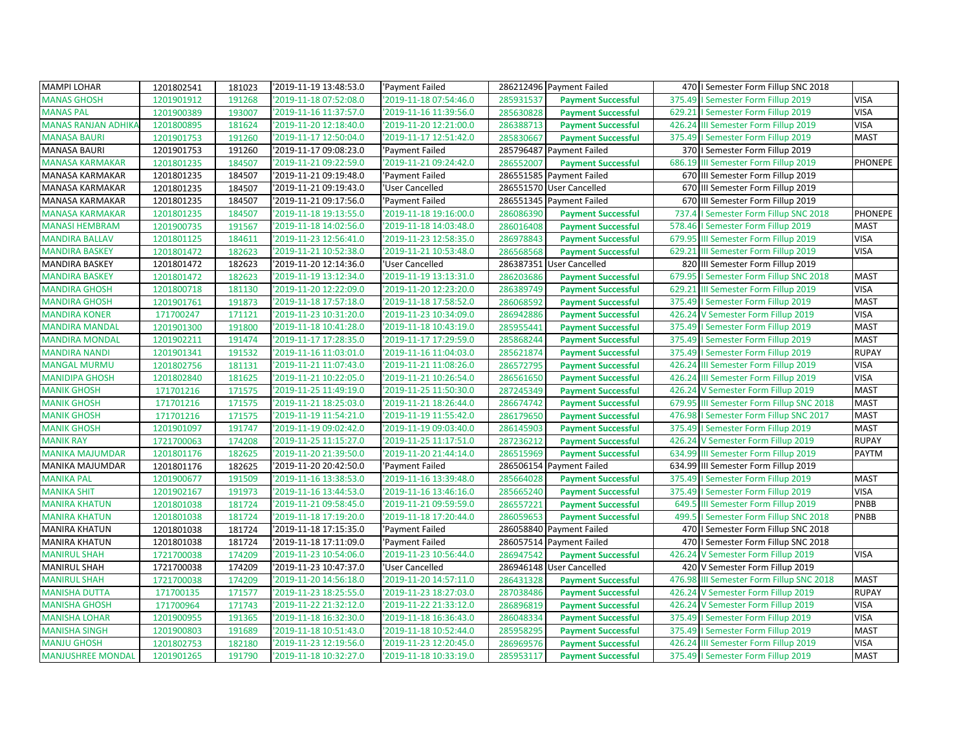| <b>MAMPI LOHAR</b>         | 1201802541 | 181023 | '2019-11-19 13:48:53.0 | 'Payment Failed        |           | 286212496 Payment Failed  |        | 470   Semester Form Fillup SNC 2018      |                |
|----------------------------|------------|--------|------------------------|------------------------|-----------|---------------------------|--------|------------------------------------------|----------------|
| <b>MANAS GHOSH</b>         | 1201901912 | 191268 | '2019-11-18 07:52:08.0 | 2019-11-18 07:54:46.0  | 285931537 | <b>Payment Successful</b> | 375.49 | I Semester Form Fillup 2019              | <b>VISA</b>    |
| <b>MANAS PAL</b>           | 1201900389 | 193007 | '2019-11-16 11:37:57.0 | '2019-11-16 11:39:56.0 | 285630828 | <b>Payment Successful</b> |        | 629.21   Semester Form Fillup 2019       | <b>VISA</b>    |
| <b>MANAS RANJAN ADHIKA</b> | 1201800895 | 181624 | '2019-11-20 12:18:40.0 | '2019-11-20 12:21:00.0 | 286388713 | <b>Payment Successful</b> | 426.24 | III Semester Form Fillup 2019            | <b>VISA</b>    |
| <b>MANASA BAURI</b>        | 1201901753 | 191260 | '2019-11-17 12:50:04.0 | '2019-11-17 12:51:42.0 | 285830667 | <b>Payment Successful</b> | 375.49 | I Semester Form Fillup 2019              | <b>MAST</b>    |
| <b>MANASA BAURI</b>        | 1201901753 | 191260 | '2019-11-17 09:08:23.0 | 'Payment Failed        |           | 285796487 Payment Failed  |        | 370   Semester Form Fillup 2019          |                |
| <b>MANASA KARMAKAR</b>     | 1201801235 | 184507 | '2019-11-21 09:22:59.0 | 2019-11-21 09:24:42.0  | 286552007 | <b>Payment Successful</b> | 686.19 | III Semester Form Fillup 2019            | <b>PHONEPE</b> |
| MANASA KARMAKAR            | 1201801235 | 184507 | '2019-11-21 09:19:48.0 | 'Payment Failed        |           | 286551585 Payment Failed  |        | 670 III Semester Form Fillup 2019        |                |
| MANASA KARMAKAR            | 1201801235 | 184507 | '2019-11-21 09:19:43.0 | 'User Cancelled        |           | 286551570 User Cancelled  | 670    | III Semester Form Fillup 2019            |                |
| MANASA KARMAKAR            | 1201801235 | 184507 | '2019-11-21 09:17:56.0 | 'Payment Failed        |           | 286551345 Payment Failed  | 670    | III Semester Form Fillup 2019            |                |
| <b>MANASA KARMAKAR</b>     | 1201801235 | 184507 | '2019-11-18 19:13:55.0 | '2019-11-18 19:16:00.0 | 286086390 | <b>Payment Successful</b> | 737.4  | I Semester Form Fillup SNC 2018          | PHONEPE        |
| <b>MANASI HEMBRAM</b>      | 1201900735 | 191567 | '2019-11-18 14:02:56.0 | '2019-11-18 14:03:48.0 | 286016408 | <b>Payment Successful</b> | 578.46 | I Semester Form Fillup 2019              | <b>MAST</b>    |
| <b>MANDIRA BALLAV</b>      | 1201801125 | 184611 | '2019-11-23 12:56:41.0 | '2019-11-23 12:58:35.0 | 286978843 | <b>Payment Successful</b> | 679.95 | III Semester Form Fillup 2019            | <b>VISA</b>    |
| <b>MANDIRA BASKEY</b>      | 1201801472 | 182623 | '2019-11-21 10:52:38.0 | '2019-11-21 10:53:48.0 | 286568568 | <b>Payment Successful</b> |        | 629.21 III Semester Form Fillup 2019     | <b>VISA</b>    |
| <b>MANDIRA BASKEY</b>      | 1201801472 | 182623 | '2019-11-20 12:14:36.0 | 'User Cancelled        |           | 286387351 User Cancelled  |        | 820 III Semester Form Fillup 2019        |                |
| <b>MANDIRA BASKEY</b>      | 1201801472 | 182623 | '2019-11-19 13:12:34.0 | '2019-11-19 13:13:31.0 | 286203686 | <b>Payment Successful</b> |        | 679.95   Semester Form Fillup SNC 2018   | <b>MAST</b>    |
| <b>MANDIRA GHOSH</b>       | 1201800718 | 181130 | '2019-11-20 12:22:09.0 | '2019-11-20 12:23:20.0 | 286389749 | <b>Payment Successful</b> | 629.21 | III Semester Form Fillup 2019            | <b>VISA</b>    |
| <b>MANDIRA GHOSH</b>       | 1201901761 | 191873 | '2019-11-18 17:57:18.0 | '2019-11-18 17:58:52.0 | 286068592 | <b>Payment Successful</b> |        | 375.49   Semester Form Fillup 2019       | <b>MAST</b>    |
| <b>MANDIRA KONER</b>       | 171700247  | 171121 | '2019-11-23 10:31:20.0 | '2019-11-23 10:34:09.0 | 286942886 | <b>Payment Successful</b> |        | 426.24 V Semester Form Fillup 2019       | <b>VISA</b>    |
| <b>MANDIRA MANDAL</b>      | 1201901300 | 191800 | '2019-11-18 10:41:28.0 | '2019-11-18 10:43:19.0 | 285955441 | <b>Payment Successful</b> |        | 375.49   Semester Form Fillup 2019       | <b>MAST</b>    |
| <b>MANDIRA MONDAL</b>      | 1201902211 | 191474 | '2019-11-17 17:28:35.0 | '2019-11-17 17:29:59.0 | 285868244 | <b>Payment Successful</b> |        | 375.49   Semester Form Fillup 2019       | <b>MAST</b>    |
| <b>MANDIRA NANDI</b>       | 1201901341 | 191532 | '2019-11-16 11:03:01.0 | 2019-11-16 11:04:03.0  | 285621874 | <b>Payment Successful</b> |        | 375.49   Semester Form Fillup 2019       | <b>RUPAY</b>   |
| <b>MANGAL MURMU</b>        | 1201802756 | 181131 | '2019-11-21 11:07:43.0 | '2019-11-21 11:08:26.0 | 286572795 | <b>Payment Successful</b> | 426.24 | III Semester Form Fillup 2019            | <b>VISA</b>    |
| <b>MANIDIPA GHOSH</b>      | 1201802840 | 181625 | '2019-11-21 10:22:05.0 | '2019-11-21 10:26:54.0 | 286561650 | <b>Payment Successful</b> |        | 426.24 III Semester Form Fillup 2019     | <b>VISA</b>    |
| <b>MANIK GHOSH</b>         | 171701216  | 171575 | '2019-11-25 11:49:19.0 | '2019-11-25 11:50:30.0 | 287245349 | <b>Payment Successful</b> | 426.24 | V Semester Form Fillup 2019              | <b>MAST</b>    |
| <b>MANIK GHOSH</b>         | 171701216  | 171575 | '2019-11-21 18:25:03.0 | '2019-11-21 18:26:44.0 | 286674742 | <b>Payment Successful</b> | 679.95 | III Semester Form Fillup SNC 2018        | <b>MAST</b>    |
| <b>MANIK GHOSH</b>         | 171701216  | 171575 | '2019-11-19 11:54:21.0 | 2019-11-19 11:55:42.0  | 286179650 | <b>Payment Successful</b> |        | 476.98   Semester Form Fillup SNC 2017   | <b>MAST</b>    |
| <b>MANIK GHOSH</b>         | 1201901097 | 191747 | '2019-11-19 09:02:42.0 | '2019-11-19 09:03:40.0 | 286145903 | <b>Payment Successful</b> |        | 375.49   Semester Form Fillup 2019       | <b>MAST</b>    |
| <b>MANIK RAY</b>           | 1721700063 | 174208 | '2019-11-25 11:15:27.0 | '2019-11-25 11:17:51.0 | 287236212 | <b>Payment Successful</b> |        | 426.24 V Semester Form Fillup 2019       | <b>RUPAY</b>   |
| <b>MANIKA MAJUMDAR</b>     | 1201801176 | 182625 | '2019-11-20 21:39:50.0 | 2019-11-20 21:44:14.0  | 286515969 | <b>Payment Successful</b> | 634.99 | III Semester Form Fillup 2019            | PAYTM          |
| MANIKA MAJUMDAR            | 1201801176 | 182625 | '2019-11-20 20:42:50.0 | 'Payment Failed        |           | 286506154 Payment Failed  |        | 634.99 III Semester Form Fillup 2019     |                |
| <b>MANIKA PAL</b>          | 1201900677 | 191509 | '2019-11-16 13:38:53.0 | '2019-11-16 13:39:48.0 | 285664028 | <b>Payment Successful</b> |        | 375.49   Semester Form Fillup 2019       | <b>MAST</b>    |
| <b>MANIKA SHIT</b>         | 1201902167 | 191973 | '2019-11-16 13:44:53.0 | '2019-11-16 13:46:16.0 | 285665240 | <b>Payment Successful</b> | 375.49 | I Semester Form Fillup 2019              | <b>VISA</b>    |
| <b>MANIRA KHATUN</b>       | 1201801038 | 181724 | '2019-11-21 09:58:45.0 | '2019-11-21 09:59:59.0 | 286557221 | <b>Payment Successful</b> | 649.5  | III Semester Form Fillup 2019            | PNBB           |
| <b>MANIRA KHATUN</b>       | 1201801038 | 181724 | '2019-11-18 17:19:20.0 | 2019-11-18 17:20:44.0  | 286059653 | <b>Payment Successful</b> |        | 499.5   Semester Form Fillup SNC 2018    | PNBB           |
| <b>MANIRA KHATUN</b>       | 1201801038 | 181724 | '2019-11-18 17:15:35.0 | 'Payment Failed        |           | 286058840 Payment Failed  | 470    | I Semester Form Fillup SNC 2018          |                |
| <b>MANIRA KHATUN</b>       | 1201801038 | 181724 | '2019-11-18 17:11:09.0 | 'Payment Failed        |           | 286057514 Payment Failed  | 470    | I Semester Form Fillup SNC 2018          |                |
| <b>MANIRUL SHAH</b>        | 1721700038 | 174209 | '2019-11-23 10:54:06.0 | 2019-11-23 10:56:44.0  | 286947542 | <b>Payment Successful</b> | 426.24 | V Semester Form Fillup 2019              | <b>VISA</b>    |
| <b>MANIRUL SHAH</b>        | 1721700038 | 174209 | '2019-11-23 10:47:37.0 | 'User Cancelled        |           | 286946148 User Cancelled  |        | 420 V Semester Form Fillup 2019          |                |
| <b>MANIRUL SHAH</b>        | 1721700038 | 174209 | '2019-11-20 14:56:18.0 | '2019-11-20 14:57:11.0 | 286431328 | <b>Payment Successful</b> |        | 476.98 III Semester Form Fillup SNC 2018 | <b>MAST</b>    |
| <b>MANISHA DUTTA</b>       | 171700135  | 171577 | '2019-11-23 18:25:55.0 | '2019-11-23 18:27:03.0 | 287038486 | <b>Payment Successful</b> | 426.24 | V Semester Form Fillup 2019              | <b>RUPAY</b>   |
| <b>MANISHA GHOSH</b>       | 171700964  | 171743 | '2019-11-22 21:32:12.0 | 2019-11-22 21:33:12.0  | 286896819 | <b>Payment Successful</b> | 426.24 | V Semester Form Fillup 2019              | <b>VISA</b>    |
| <b>MANISHA LOHAR</b>       | 1201900955 | 191365 | '2019-11-18 16:32:30.0 | 2019-11-18 16:36:43.0  | 286048334 | <b>Payment Successful</b> |        | 375.49   Semester Form Fillup 2019       | <b>VISA</b>    |
| <b>MANISHA SINGH</b>       | 1201900803 | 191689 | '2019-11-18 10:51:43.0 | '2019-11-18 10:52:44.0 | 285958295 | <b>Payment Successful</b> |        | 375.49   Semester Form Fillup 2019       | <b>MAST</b>    |
| <b>MANJU GHOSH</b>         | 1201802753 | 182180 | '2019-11-23 12:19:56.0 | '2019-11-23 12:20:45.0 | 286969576 | <b>Payment Successful</b> |        | 426.24 III Semester Form Fillup 2019     | <b>VISA</b>    |
| <b>MANJUSHREE MONDAL</b>   | 1201901265 | 191790 | '2019-11-18 10:32:27.0 | '2019-11-18 10:33:19.0 | 285953117 | <b>Payment Successful</b> |        | 375.49   Semester Form Fillup 2019       | <b>MAST</b>    |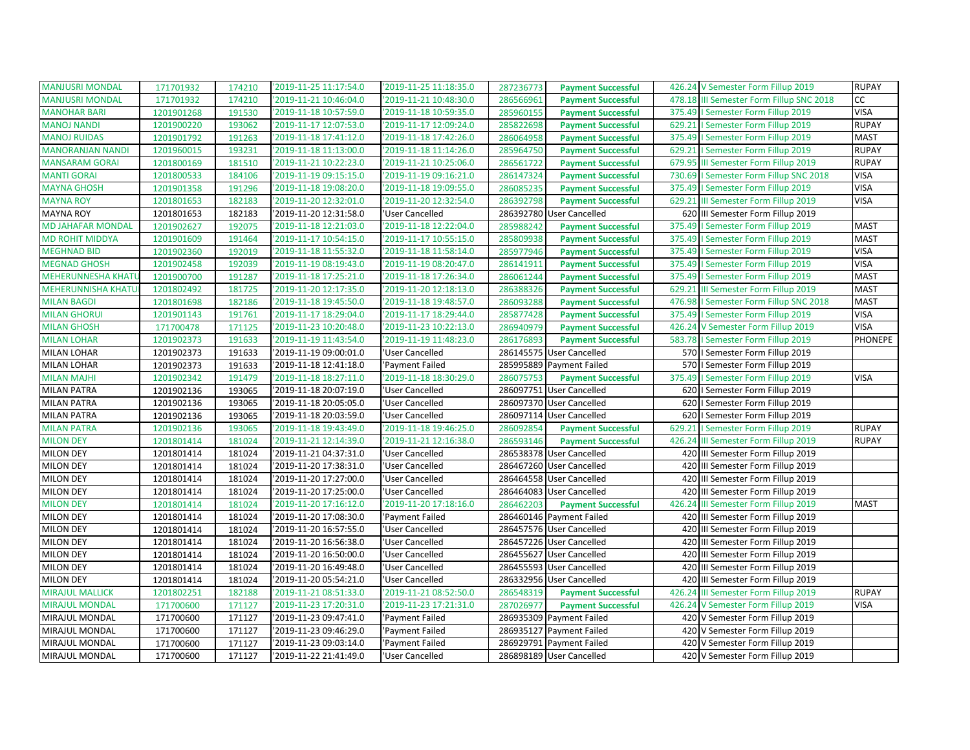| <b>MANJUSRI MONDAL</b>    | 171701932  | 174210 | '2019-11-25 11:17:54.0 | '2019-11-25 11:18:35.0 | 287236773 | <b>Payment Successful</b> |        | 426.24 V Semester Form Fillup 2019       | <b>RUPAY</b>   |
|---------------------------|------------|--------|------------------------|------------------------|-----------|---------------------------|--------|------------------------------------------|----------------|
| <b>MANJUSRI MONDAL</b>    | 171701932  | 174210 | '2019-11-21 10:46:04.0 | '2019-11-21 10:48:30.0 | 286566961 | <b>Payment Successful</b> |        | 478.18 III Semester Form Fillup SNC 2018 | <b>CC</b>      |
| <b>MANOHAR BARI</b>       | 1201901268 | 191530 | '2019-11-18 10:57:59.0 | '2019-11-18 10:59:35.0 | 285960155 | <b>Payment Successful</b> |        | 375.49   Semester Form Fillup 2019       | <b>VISA</b>    |
| <b>MANOJ NANDI</b>        | 1201900220 | 193062 | '2019-11-17 12:07:53.0 | '2019-11-17 12:09:24.0 | 285822698 | <b>Payment Successful</b> |        | 629.21   Semester Form Fillup 2019       | <b>RUPAY</b>   |
| <b>MANOJ RUIDAS</b>       | 1201901792 | 191263 | '2019-11-18 17:41:12.0 | '2019-11-18 17:42:26.0 | 286064958 | <b>Payment Successful</b> |        | 375.49   Semester Form Fillup 2019       | <b>MAST</b>    |
| <b>MANORANJAN NANDI</b>   | 1201960015 | 193231 | '2019-11-18 11:13:00.0 | '2019-11-18 11:14:26.0 | 285964750 | <b>Payment Successful</b> |        | 629.21   Semester Form Fillup 2019       | <b>RUPAY</b>   |
| <b>MANSARAM GORAI</b>     | 1201800169 | 181510 | '2019-11-21 10:22:23.0 | '2019-11-21 10:25:06.0 | 286561722 | <b>Payment Successful</b> |        | 679.95 III Semester Form Fillup 2019     | <b>RUPAY</b>   |
| <b>MANTI GORAI</b>        | 1201800533 | 184106 | '2019-11-19 09:15:15.0 | '2019-11-19 09:16:21.0 | 286147324 | <b>Payment Successful</b> |        | 730.69   Semester Form Fillup SNC 2018   | <b>VISA</b>    |
| <b>MAYNA GHOSH</b>        | 1201901358 | 191296 | '2019-11-18 19:08:20.0 | '2019-11-18 19:09:55.0 | 286085235 | <b>Payment Successful</b> |        | 375.49   Semester Form Fillup 2019       | <b>VISA</b>    |
| <b>MAYNA ROY</b>          | 1201801653 | 182183 | '2019-11-20 12:32:01.0 | '2019-11-20 12:32:54.0 | 286392798 | <b>Payment Successful</b> | 629.21 | III Semester Form Fillup 2019            | <b>VISA</b>    |
| <b>MAYNA ROY</b>          | 1201801653 | 182183 | '2019-11-20 12:31:58.0 | 'User Cancelled        |           | 286392780 User Cancelled  |        | 620 III Semester Form Fillup 2019        |                |
| <b>MD JAHAFAR MONDAL</b>  | 1201902627 | 192075 | '2019-11-18 12:21:03.0 | '2019-11-18 12:22:04.0 | 285988242 | <b>Payment Successful</b> | 375.49 | I Semester Form Fillup 2019              | <b>MAST</b>    |
| <b>MD ROHIT MIDDYA</b>    | 1201901609 | 191464 | '2019-11-17 10:54:15.0 | '2019-11-17 10:55:15.0 | 285809938 | <b>Payment Successful</b> | 375.49 | I Semester Form Fillup 2019              | <b>MAST</b>    |
| <b>MEGHNAD BID</b>        | 1201902360 | 192019 | '2019-11-18 11:55:32.0 | '2019-11-18 11:58:14.0 | 285977946 | <b>Payment Successful</b> |        | 375.49   Semester Form Fillup 2019       | <b>VISA</b>    |
| <b>MEGNAD GHOSH</b>       | 1201902458 | 192039 | '2019-11-19 08:19:43.0 | '2019-11-19 08:20:47.0 | 286141911 | <b>Payment Successful</b> |        | 375.49   Semester Form Fillup 2019       | <b>VISA</b>    |
| <b>MEHERUNNESHA KHAT</b>  | 1201900700 | 191287 | '2019-11-18 17:25:21.0 | '2019-11-18 17:26:34.0 | 286061244 | <b>Payment Successful</b> |        | 375.49   Semester Form Fillup 2019       | <b>MAST</b>    |
| <b>MEHERUNNISHA KHATU</b> | 1201802492 | 181725 | '2019-11-20 12:17:35.0 | '2019-11-20 12:18:13.0 | 286388326 | <b>Payment Successful</b> | 629.21 | III Semester Form Fillup 2019            | <b>MAST</b>    |
| <b>MILAN BAGDI</b>        | 1201801698 | 182186 | '2019-11-18 19:45:50.0 | '2019-11-18 19:48:57.0 | 286093288 | <b>Payment Successful</b> |        | 476.98   Semester Form Fillup SNC 2018   | <b>MAST</b>    |
| <b>MILAN GHORUI</b>       | 1201901143 | 191761 | '2019-11-17 18:29:04.0 | '2019-11-17 18:29:44.0 | 285877428 | <b>Payment Successful</b> |        | 375.49   Semester Form Fillup 2019       | <b>VISA</b>    |
| <b>MILAN GHOSH</b>        | 171700478  | 171125 | '2019-11-23 10:20:48.0 | '2019-11-23 10:22:13.0 | 286940979 | <b>Payment Successful</b> |        | 426.24 V Semester Form Fillup 2019       | <b>VISA</b>    |
| <b>MILAN LOHAR</b>        | 1201902373 | 191633 | '2019-11-19 11:43:54.0 | '2019-11-19 11:48:23.0 | 286176893 | <b>Payment Successful</b> |        | 583.78   Semester Form Fillup 2019       | <b>PHONEPE</b> |
| <b>MILAN LOHAR</b>        | 1201902373 | 191633 | '2019-11-19 09:00:01.0 | 'User Cancelled        |           | 286145575 User Cancelled  |        | 570   Semester Form Fillup 2019          |                |
| <b>MILAN LOHAR</b>        | 1201902373 | 191633 | '2019-11-18 12:41:18.0 | 'Payment Failed        |           | 285995889 Payment Failed  |        | 570   Semester Form Fillup 2019          |                |
| <b>MILAN MAJHI</b>        | 1201902342 | 191479 | '2019-11-18 18:27:11.0 | '2019-11-18 18:30:29.0 | 286075753 | <b>Payment Successful</b> |        | 375.49   Semester Form Fillup 2019       | <b>VISA</b>    |
| <b>MILAN PATRA</b>        | 1201902136 | 193065 | '2019-11-18 20:07:19.0 | 'User Cancelled        |           | 286097751 User Cancelled  |        | 620   Semester Form Fillup 2019          |                |
| <b>MILAN PATRA</b>        | 1201902136 | 193065 | '2019-11-18 20:05:05.0 | 'User Cancelled        |           | 286097370 User Cancelled  | 620    | I Semester Form Fillup 2019              |                |
| <b>MILAN PATRA</b>        | 1201902136 | 193065 | '2019-11-18 20:03:59.0 | 'User Cancelled        |           | 286097114 User Cancelled  |        | 620   Semester Form Fillup 2019          |                |
| <b>MILAN PATRA</b>        | 1201902136 | 193065 | '2019-11-18 19:43:49.0 | '2019-11-18 19:46:25.0 | 286092854 | <b>Payment Successful</b> | 629.21 | I Semester Form Fillup 2019              | <b>RUPAY</b>   |
| <b>MILON DEY</b>          | 1201801414 | 181024 | '2019-11-21 12:14:39.0 | '2019-11-21 12:16:38.0 | 286593146 | <b>Payment Successful</b> | 426.24 | III Semester Form Fillup 2019            | <b>RUPAY</b>   |
| <b>MILON DEY</b>          | 1201801414 | 181024 | '2019-11-21 04:37:31.0 | 'User Cancelled        |           | 286538378 User Cancelled  | 420    | III Semester Form Fillup 2019            |                |
| <b>MILON DEY</b>          | 1201801414 | 181024 | '2019-11-20 17:38:31.0 | 'User Cancelled        |           | 286467260 User Cancelled  | 420    | III Semester Form Fillup 2019            |                |
| <b>MILON DEY</b>          | 1201801414 | 181024 | '2019-11-20 17:27:00.0 | 'User Cancelled        |           | 286464558 User Cancelled  | 420    | III Semester Form Fillup 2019            |                |
| <b>MILON DEY</b>          | 1201801414 | 181024 | '2019-11-20 17:25:00.0 | 'User Cancelled        |           | 286464083 User Cancelled  | 420    | III Semester Form Fillup 2019            |                |
| <b>MILON DEY</b>          | 1201801414 | 181024 | '2019-11-20 17:16:12.0 | 2019-11-20 17:18:16.0  | 286462203 | <b>Payment Successful</b> | 426.24 | III Semester Form Fillup 2019            | <b>MAST</b>    |
| <b>MILON DEY</b>          | 1201801414 | 181024 | '2019-11-20 17:08:30.0 | 'Payment Failed        |           | 286460146 Payment Failed  | 420    | III Semester Form Fillup 2019            |                |
| <b>MILON DEY</b>          | 1201801414 | 181024 | '2019-11-20 16:57:55.0 | 'User Cancelled        |           | 286457576 User Cancelled  | 420    | III Semester Form Fillup 2019            |                |
| <b>MILON DEY</b>          | 1201801414 | 181024 | '2019-11-20 16:56:38.0 | 'User Cancelled        |           | 286457226 User Cancelled  | 420    | III Semester Form Fillup 2019            |                |
| <b>MILON DEY</b>          | 1201801414 | 181024 | '2019-11-20 16:50:00.0 | 'User Cancelled        |           | 286455627 User Cancelled  | 420    | III Semester Form Fillup 2019            |                |
| <b>MILON DEY</b>          | 1201801414 | 181024 | '2019-11-20 16:49:48.0 | 'User Cancelled        |           | 286455593 User Cancelled  | 420    | III Semester Form Fillup 2019            |                |
| <b>MILON DEY</b>          | 1201801414 | 181024 | '2019-11-20 05:54:21.0 | 'User Cancelled        |           | 286332956 User Cancelled  | 420    | III Semester Form Fillup 2019            |                |
| <b>MIRAJUL MALLICK</b>    | 1201802251 | 182188 | '2019-11-21 08:51:33.0 | '2019-11-21 08:52:50.0 | 286548319 | <b>Payment Successful</b> | 426.24 | III Semester Form Fillup 2019            | <b>RUPAY</b>   |
| <b>MIRAJUL MONDAL</b>     | 171700600  | 171127 | '2019-11-23 17:20:31.0 | '2019-11-23 17:21:31.0 | 287026977 | <b>Payment Successful</b> | 426.24 | V Semester Form Fillup 2019              | <b>VISA</b>    |
| MIRAJUL MONDAL            | 171700600  | 171127 | '2019-11-23 09:47:41.0 | 'Payment Failed        |           | 286935309 Payment Failed  |        | 420 V Semester Form Fillup 2019          |                |
| MIRAJUL MONDAL            | 171700600  | 171127 | '2019-11-23 09:46:29.0 | 'Payment Failed        |           | 286935127 Payment Failed  |        | 420 V Semester Form Fillup 2019          |                |
| <b>MIRAJUL MONDAL</b>     | 171700600  | 171127 | '2019-11-23 09:03:14.0 | 'Payment Failed        |           | 286929791 Payment Failed  |        | 420 V Semester Form Fillup 2019          |                |
| MIRAJUL MONDAL            | 171700600  | 171127 | '2019-11-22 21:41:49.0 | 'User Cancelled        |           | 286898189 User Cancelled  |        | 420 V Semester Form Fillup 2019          |                |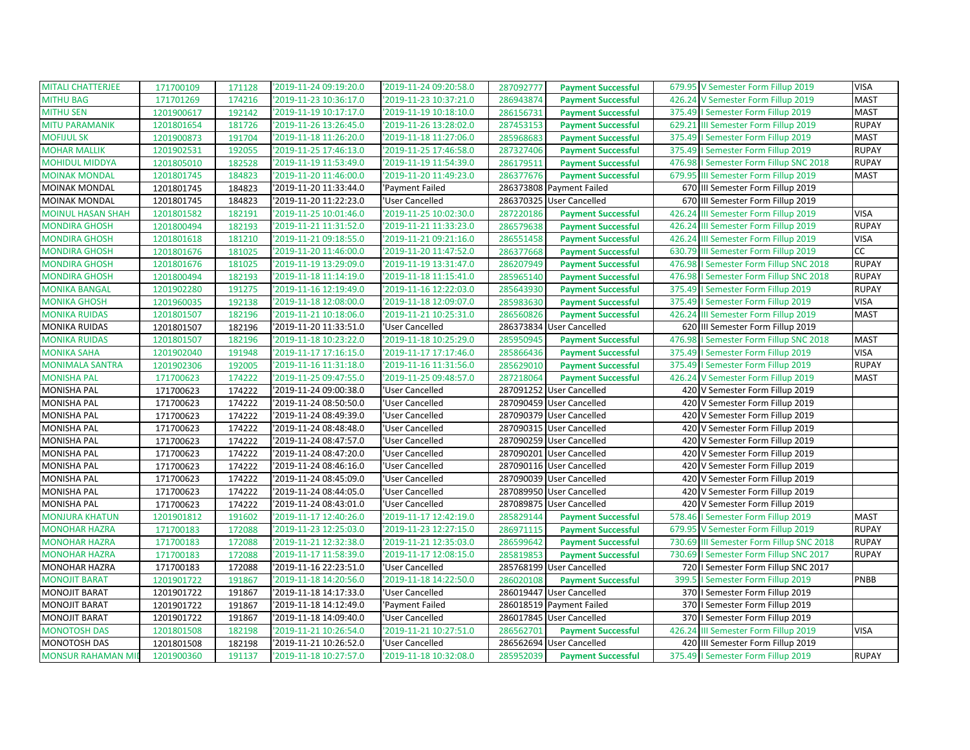| <b>MITALI CHATTERJEE</b>  | 171700109  | 171128 | '2019-11-24 09:19:20.0 | '2019-11-24 09:20:58.0 | 287092777 | <b>Payment Successful</b> |        | 679.95 V Semester Form Fillup 2019       | <b>VISA</b>  |
|---------------------------|------------|--------|------------------------|------------------------|-----------|---------------------------|--------|------------------------------------------|--------------|
| <b>MITHU BAG</b>          | 171701269  | 174216 | 2019-11-23 10:36:17.0  | '2019-11-23 10:37:21.0 | 286943874 | <b>Payment Successful</b> | 426.24 | V Semester Form Fillup 2019              | <b>MAST</b>  |
| <b>MITHU SEN</b>          | 1201900617 | 192142 | '2019-11-19 10:17:17.0 | '2019-11-19 10:18:10.0 | 286156731 | <b>Payment Successful</b> |        | 375.49   Semester Form Fillup 2019       | <b>MAST</b>  |
| <b>MITU PARAMANIK</b>     | 1201801654 | 181726 | '2019-11-26 13:26:45.0 | '2019-11-26 13:28:02.0 | 287453153 | <b>Payment Successful</b> |        | 629.21 III Semester Form Fillup 2019     | <b>RUPAY</b> |
| <b>MOFIJUL SK</b>         | 1201900873 | 191704 | '2019-11-18 11:26:20.0 | '2019-11-18 11:27:06.0 | 285968683 | <b>Payment Successful</b> |        | 375.49   Semester Form Fillup 2019       | <b>MAST</b>  |
| <b>MOHAR MALLIK</b>       | 1201902531 | 192055 | '2019-11-25 17:46:13.0 | 2019-11-25 17:46:58.0  | 287327406 | <b>Payment Successful</b> |        | 375.49   Semester Form Fillup 2019       | <b>RUPAY</b> |
| <b>MOHIDUL MIDDYA</b>     | 1201805010 | 182528 | '2019-11-19 11:53:49.0 | 2019-11-19 11:54:39.0  | 286179511 | <b>Payment Successful</b> |        | 476.98   Semester Form Fillup SNC 2018   | <b>RUPAY</b> |
| <b>MOINAK MONDAL</b>      | 1201801745 | 184823 | '2019-11-20 11:46:00.0 | '2019-11-20 11:49:23.0 | 286377676 | <b>Payment Successful</b> |        | 679.95 III Semester Form Fillup 2019     | <b>MAST</b>  |
| <b>MOINAK MONDAL</b>      | 1201801745 | 184823 | '2019-11-20 11:33:44.0 | 'Payment Failed        |           | 286373808 Payment Failed  |        | 670 III Semester Form Fillup 2019        |              |
| <b>MOINAK MONDAL</b>      | 1201801745 | 184823 | '2019-11-20 11:22:23.0 | 'User Cancelled        | 286370325 | <b>User Cancelled</b>     |        | 670 III Semester Form Fillup 2019        |              |
| <b>MOINUL HASAN SHAH</b>  | 1201801582 | 182191 | 2019-11-25 10:01:46.0  | '2019-11-25 10:02:30.0 | 287220186 | <b>Payment Successful</b> |        | 426.24 III Semester Form Fillup 2019     | <b>VISA</b>  |
| <b>MONDIRA GHOSH</b>      | 1201800494 | 182193 | '2019-11-21 11:31:52.0 | '2019-11-21 11:33:23.0 | 286579638 | <b>Payment Successful</b> | 426.24 | III Semester Form Fillup 2019            | <b>RUPAY</b> |
| <b>MONDIRA GHOSH</b>      | 1201801618 | 181210 | '2019-11-21 09:18:55.0 | '2019-11-21 09:21:16.0 | 286551458 | <b>Payment Successful</b> |        | 426.24 III Semester Form Fillup 2019     | <b>VISA</b>  |
| <b>MONDIRA GHOSH</b>      | 1201801676 | 181025 | '2019-11-20 11:46:00.0 | '2019-11-20 11:47:52.0 | 286377668 | <b>Payment Successful</b> |        | 630.79 III Semester Form Fillup 2019     | cc           |
| <b>MONDIRA GHOSH</b>      | 1201801676 | 181025 | '2019-11-19 13:29:09.0 | '2019-11-19 13:31:47.0 | 286207949 | <b>Payment Successful</b> |        | 476.98   Semester Form Fillup SNC 2018   | <b>RUPAY</b> |
| <b>MONDIRA GHOSH</b>      | 1201800494 | 182193 | '2019-11-18 11:14:19.0 | '2019-11-18 11:15:41.0 | 285965140 | <b>Payment Successful</b> |        | 476.98   Semester Form Fillup SNC 2018   | <b>RUPAY</b> |
| <b>MONIKA BANGAL</b>      | 1201902280 | 191275 | '2019-11-16 12:19:49.0 | '2019-11-16 12:22:03.0 | 285643930 | <b>Payment Successful</b> |        | 375.49   Semester Form Fillup 2019       | <b>RUPAY</b> |
| <b>MONIKA GHOSH</b>       | 1201960035 | 192138 | '2019-11-18 12:08:00.0 | '2019-11-18 12:09:07.0 | 285983630 | <b>Payment Successful</b> |        | 375.49   Semester Form Fillup 2019       | <b>VISA</b>  |
| <b>MONIKA RUIDAS</b>      | 1201801507 | 182196 | '2019-11-21 10:18:06.0 | 2019-11-21 10:25:31.0  | 286560826 | <b>Payment Successful</b> |        | 426.24 III Semester Form Fillup 2019     | <b>MAST</b>  |
| <b>MONIKA RUIDAS</b>      | 1201801507 | 182196 | '2019-11-20 11:33:51.0 | 'User Cancelled        |           | 286373834 User Cancelled  |        | 620 III Semester Form Fillup 2019        |              |
| <b>MONIKA RUIDAS</b>      | 1201801507 | 182196 | '2019-11-18 10:23:22.0 | '2019-11-18 10:25:29.0 | 285950945 | <b>Payment Successful</b> |        | 476.98   Semester Form Fillup SNC 2018   | <b>MAST</b>  |
| <b>MONIKA SAHA</b>        | 1201902040 | 191948 | '2019-11-17 17:16:15.0 | '2019-11-17 17:17:46.0 | 285866436 | <b>Payment Successful</b> |        | 375.49   Semester Form Fillup 2019       | <b>VISA</b>  |
| <b>MONIMALA SANTRA</b>    | 1201902306 | 192005 | '2019-11-16 11:31:18.0 | 2019-11-16 11:31:56.0  | 285629010 | <b>Payment Successful</b> |        | 375.49   Semester Form Fillup 2019       | <b>RUPAY</b> |
| <b>MONISHA PAL</b>        | 171700623  | 174222 | '2019-11-25 09:47:55.0 | '2019-11-25 09:48:57.0 | 287218064 | <b>Payment Successful</b> |        | 426.24 V Semester Form Fillup 2019       | <b>MAST</b>  |
| <b>MONISHA PAL</b>        | 171700623  | 174222 | '2019-11-24 09:00:38.0 | 'User Cancelled        |           | 287091252 User Cancelled  |        | 420 V Semester Form Fillup 2019          |              |
| <b>MONISHA PAL</b>        | 171700623  | 174222 | '2019-11-24 08:50:50.0 | 'User Cancelled        | 287090459 | <b>User Cancelled</b>     | 420    | V Semester Form Fillup 2019              |              |
| <b>MONISHA PAL</b>        | 171700623  | 174222 | '2019-11-24 08:49:39.0 | 'User Cancelled        |           | 287090379 User Cancelled  |        | 420 V Semester Form Fillup 2019          |              |
| <b>MONISHA PAL</b>        | 171700623  | 174222 | '2019-11-24 08:48:48.0 | 'User Cancelled        |           | 287090315 User Cancelled  |        | 420 V Semester Form Fillup 2019          |              |
| <b>MONISHA PAL</b>        | 171700623  | 174222 | '2019-11-24 08:47:57.0 | 'User Cancelled        |           | 287090259 User Cancelled  |        | 420 V Semester Form Fillup 2019          |              |
| <b>MONISHA PAL</b>        | 171700623  | 174222 | '2019-11-24 08:47:20.0 | 'User Cancelled        |           | 287090201 User Cancelled  | 420    | V Semester Form Fillup 2019              |              |
| <b>MONISHA PAL</b>        | 171700623  | 174222 | '2019-11-24 08:46:16.0 | 'User Cancelled        |           | 287090116 User Cancelled  |        | 420 V Semester Form Fillup 2019          |              |
| <b>MONISHA PAL</b>        | 171700623  | 174222 | '2019-11-24 08:45:09.0 | 'User Cancelled        |           | 287090039 User Cancelled  |        | 420 V Semester Form Fillup 2019          |              |
| <b>MONISHA PAL</b>        | 171700623  | 174222 | '2019-11-24 08:44:05.0 | 'User Cancelled        |           | 287089950 User Cancelled  | 420    | V Semester Form Fillup 2019              |              |
| <b>MONISHA PAL</b>        | 171700623  | 174222 | '2019-11-24 08:43:01.0 | 'User Cancelled        | 287089875 | <b>User Cancelled</b>     | 420    | V Semester Form Fillup 2019              |              |
| <b>MONJURA KHATUN</b>     | 1201901812 | 191602 | '2019-11-17 12:40:26.0 | 2019-11-17 12:42:19.0  | 285829144 | <b>Payment Successful</b> |        | 578.46   Semester Form Fillup 2019       | <b>MAST</b>  |
| <b>MONOHAR HAZRA</b>      | 171700183  | 172088 | '2019-11-23 12:25:03.0 | '2019-11-23 12:27:15.0 | 286971115 | <b>Payment Successful</b> | 679.95 | V Semester Form Fillup 2019              | <b>RUPAY</b> |
| <b>MONOHAR HAZRA</b>      | 171700183  | 172088 | '2019-11-21 12:32:38.0 | '2019-11-21 12:35:03.0 | 286599642 | <b>Payment Successful</b> |        | 730.69 III Semester Form Fillup SNC 2018 | <b>RUPAY</b> |
| <b>MONOHAR HAZRA</b>      | 171700183  | 172088 | '2019-11-17 11:58:39.0 | 2019-11-17 12:08:15.0  | 285819853 | <b>Payment Successful</b> | 730.69 | I Semester Form Fillup SNC 2017          | <b>RUPAY</b> |
| MONOHAR HAZRA             | 171700183  | 172088 | '2019-11-16 22:23:51.0 | 'User Cancelled        |           | 285768199 User Cancelled  |        | 720   Semester Form Fillup SNC 2017      |              |
| <b>MONOJIT BARAT</b>      | 1201901722 | 191867 | '2019-11-18 14:20:56.0 | '2019-11-18 14:22:50.0 | 286020108 | <b>Payment Successful</b> | 399.5  | I Semester Form Fillup 2019              | PNBB         |
| <b>MONOJIT BARAT</b>      | 1201901722 | 191867 | '2019-11-18 14:17:33.0 | 'User Cancelled        |           | 286019447 User Cancelled  |        | 370   Semester Form Fillup 2019          |              |
| <b>MONOJIT BARAT</b>      | 1201901722 | 191867 | '2019-11-18 14:12:49.0 | 'Payment Failed        |           | 286018519 Payment Failed  | 370    | I Semester Form Fillup 2019              |              |
| <b>MONOJIT BARAT</b>      | 1201901722 | 191867 | '2019-11-18 14:09:40.0 | 'User Cancelled        |           | 286017845 User Cancelled  |        | 370   Semester Form Fillup 2019          |              |
| <b>MONOTOSH DAS</b>       | 1201801508 | 182198 | '2019-11-21 10:26:54.0 | '2019-11-21 10:27:51.0 | 286562701 | <b>Payment Successful</b> | 426.24 | III Semester Form Fillup 2019            | <b>VISA</b>  |
| <b>MONOTOSH DAS</b>       | 1201801508 | 182198 | '2019-11-21 10:26:52.0 | 'User Cancelled        |           | 286562694 User Cancelled  |        | 420 III Semester Form Fillup 2019        |              |
| <b>MONSUR RAHAMAN MIL</b> | 1201900360 | 191137 | '2019-11-18 10:27:57.0 | '2019-11-18 10:32:08.0 | 285952039 | <b>Payment Successful</b> |        | 375.49   Semester Form Fillup 2019       | <b>RUPAY</b> |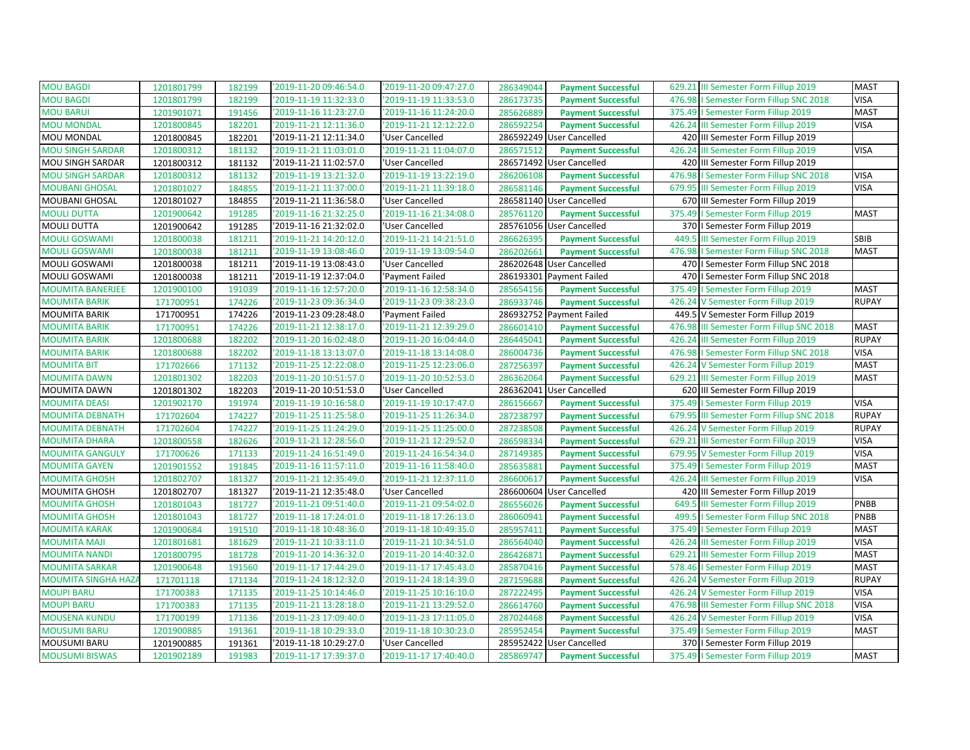| <b>MOU BAGDI</b>           | 1201801799 | 182199 | '2019-11-20 09:46:54.0 | '2019-11-20 09:47:27.0 | 286349044 | <b>Payment Successful</b> | 629.21 III Semester Form Fillup 2019        | <b>MAST</b>  |
|----------------------------|------------|--------|------------------------|------------------------|-----------|---------------------------|---------------------------------------------|--------------|
| <b>MOU BAGDI</b>           | 1201801799 | 182199 | '2019-11-19 11:32:33.0 | '2019-11-19 11:33:53.0 | 286173735 | <b>Payment Successful</b> | 476.98   Semester Form Fillup SNC 2018      | <b>VISA</b>  |
| <b>MOU BARUI</b>           | 1201901071 | 191456 | '2019-11-16 11:23:27.0 | '2019-11-16 11:24:20.0 | 285626889 | <b>Payment Successful</b> | 375.49   Semester Form Fillup 2019          | <b>MAST</b>  |
| <b>MOU MONDAL</b>          | 1201800845 | 182201 | '2019-11-21 12:11:36.0 | '2019-11-21 12:12:22.0 | 286592254 | <b>Payment Successful</b> | 426.24 III Semester Form Fillup 2019        | <b>VISA</b>  |
| MOU MONDAL                 | 1201800845 | 182201 | '2019-11-21 12:11:34.0 | 'User Cancelled        | 286592249 | <b>User Cancelled</b>     | 420 III Semester Form Fillup 2019           |              |
| <b>MOU SINGH SARDAR</b>    | 1201800312 | 181132 | '2019-11-21 11:03:01.0 | '2019-11-21 11:04:07.0 | 286571512 | <b>Payment Successful</b> | 426.24 III Semester Form Fillup 2019        | <b>VISA</b>  |
| MOU SINGH SARDAR           | 1201800312 | 181132 | '2019-11-21 11:02:57.0 | 'User Cancelled        |           | 286571492 User Cancelled  | 420 III Semester Form Fillup 2019           |              |
| <b>MOU SINGH SARDAR</b>    | 1201800312 | 181132 | '2019-11-19 13:21:32.0 | '2019-11-19 13:22:19.0 | 286206108 | <b>Payment Successful</b> | 476.98   Semester Form Fillup SNC 2018      | <b>VISA</b>  |
| <b>MOUBANI GHOSAL</b>      | 1201801027 | 184855 | '2019-11-21 11:37:00.0 | '2019-11-21 11:39:18.0 | 286581146 | <b>Payment Successful</b> | 679.95<br>III Semester Form Fillup 2019     | <b>VISA</b>  |
| MOUBANI GHOSAL             | 1201801027 | 184855 | '2019-11-21 11:36:58.0 | 'User Cancelled        |           | 286581140 User Cancelled  | 670 III Semester Form Fillup 2019           |              |
| <b>MOULI DUTTA</b>         | 1201900642 | 191285 | '2019-11-16 21:32:25.0 | '2019-11-16 21:34:08.0 | 285761120 | <b>Payment Successful</b> | 375.49   Semester Form Fillup 2019          | <b>MAST</b>  |
| <b>MOULI DUTTA</b>         | 1201900642 | 191285 | '2019-11-16 21:32:02.0 | 'User Cancelled        |           | 285761056 User Cancelled  | 370   Semester Form Fillup 2019             |              |
| <b>MOULI GOSWAMI</b>       | 1201800038 | 181211 | '2019-11-21 14:20:12.0 | '2019-11-21 14:21:51.0 | 286626395 | <b>Payment Successful</b> | 449.5<br>III Semester Form Fillup 2019      | SBIB         |
| <b>MOULI GOSWAMI</b>       | 1201800038 | 181211 | '2019-11-19 13:08:46.0 | '2019-11-19 13:09:54.0 | 286202661 | <b>Payment Successful</b> | 476.98   Semester Form Fillup SNC 2018      | <b>MAST</b>  |
| MOULI GOSWAMI              | 1201800038 | 181211 | '2019-11-19 13:08:43.0 | 'User Cancelled        |           | 286202648 User Cancelled  | 470   I Semester Form Fillup SNC 2018       |              |
| MOULI GOSWAMI              | 1201800038 | 181211 | '2019-11-19 12:37:04.0 | 'Payment Failed        |           | 286193301 Payment Failed  | 470   Semester Form Fillup SNC 2018         |              |
| <b>MOUMITA BANERJEE</b>    | 1201900100 | 191039 | '2019-11-16 12:57:20.0 | '2019-11-16 12:58:34.0 | 285654156 | <b>Payment Successful</b> | 375.49<br>I Semester Form Fillup 2019       | <b>MAST</b>  |
| <b>MOUMITA BARIK</b>       | 171700951  | 174226 | '2019-11-23 09:36:34.0 | '2019-11-23 09:38:23.0 | 286933746 | <b>Payment Successful</b> | V Semester Form Fillup 2019<br>426.24       | <b>RUPAY</b> |
| <b>MOUMITA BARIK</b>       | 171700951  | 174226 | '2019-11-23 09:28:48.0 | 'Payment Failed        |           | 286932752 Payment Failed  | 449.5 V Semester Form Fillup 2019           |              |
| <b>MOUMITA BARIK</b>       | 171700951  | 174226 | '2019-11-21 12:38:17.0 | '2019-11-21 12:39:29.0 | 286601410 | <b>Payment Successful</b> | 476.98<br>III Semester Form Fillup SNC 2018 | <b>MAST</b>  |
| <b>MOUMITA BARIK</b>       | 1201800688 | 182202 | '2019-11-20 16:02:48.0 | '2019-11-20 16:04:44.0 | 286445041 | <b>Payment Successful</b> | 426.24<br>III Semester Form Fillup 2019     | <b>RUPAY</b> |
| <b>MOUMITA BARIK</b>       | 1201800688 | 182202 | '2019-11-18 13:13:07.0 | '2019-11-18 13:14:08.0 | 286004736 | <b>Payment Successful</b> | 476.98   Semester Form Fillup SNC 2018      | <b>VISA</b>  |
| <b>MOUMITA BIT</b>         | 171702666  | 171132 | '2019-11-25 12:22:08.0 | '2019-11-25 12:23:06.0 | 287256397 | <b>Payment Successful</b> | 426.24 V Semester Form Fillup 2019          | <b>MAST</b>  |
| <b>MOUMITA DAWN</b>        | 1201801302 | 182203 | '2019-11-20 10:51:57.0 | '2019-11-20 10:52:53.0 | 286362064 | <b>Payment Successful</b> | 629.21 III Semester Form Fillup 2019        | <b>MAST</b>  |
| MOUMITA DAWN               | 1201801302 | 182203 | '2019-11-20 10:51:53.0 | 'User Cancelled        | 286362041 | <b>User Cancelled</b>     | 620 III Semester Form Fillup 2019           |              |
| <b>MOUMITA DEASI</b>       | 1201902170 | 191974 | '2019-11-19 10:16:58.0 | '2019-11-19 10:17:47.0 | 286156667 | <b>Payment Successful</b> | 375.49<br>I Semester Form Fillup 2019       | <b>VISA</b>  |
| <b>MOUMITA DEBNATH</b>     | 171702604  | 174227 | '2019-11-25 11:25:58.0 | '2019-11-25 11:26:34.0 | 287238797 | <b>Payment Successful</b> | 679.95 III Semester Form Fillup SNC 2018    | <b>RUPAY</b> |
| <b>MOUMITA DEBNATH</b>     | 171702604  | 174227 | '2019-11-25 11:24:29.0 | '2019-11-25 11:25:00.0 | 287238508 | <b>Payment Successful</b> | 426.24 V Semester Form Fillup 2019          | <b>RUPAY</b> |
| <b>MOUMITA DHARA</b>       | 1201800558 | 182626 | '2019-11-21 12:28:56.0 | '2019-11-21 12:29:52.0 | 286598334 | <b>Payment Successful</b> | 629.21 III Semester Form Fillup 2019        | <b>VISA</b>  |
| <b>MOUMITA GANGULY</b>     | 171700626  | 171133 | '2019-11-24 16:51:49.0 | '2019-11-24 16:54:34.0 | 287149385 | <b>Payment Successful</b> | 679.95 V Semester Form Fillup 2019          | <b>VISA</b>  |
| <b>MOUMITA GAYEN</b>       | 1201901552 | 191845 | '2019-11-16 11:57:11.0 | '2019-11-16 11:58:40.0 | 285635881 | <b>Payment Successful</b> | 375.49   Semester Form Fillup 2019          | <b>MAST</b>  |
| <b>MOUMITA GHOSH</b>       | 1201802707 | 181327 | '2019-11-21 12:35:49.0 | '2019-11-21 12:37:11.0 | 286600617 | <b>Payment Successful</b> | 426.24 III Semester Form Fillup 2019        | <b>VISA</b>  |
| MOUMITA GHOSH              | 1201802707 | 181327 | '2019-11-21 12:35:48.0 | 'User Cancelled        |           | 286600604 User Cancelled  | 420 III Semester Form Fillup 2019           |              |
| <b>MOUMITA GHOSH</b>       | 1201801043 | 181727 | '2019-11-21 09:51:40.0 | '2019-11-21 09:54:02.0 | 286556026 | <b>Payment Successful</b> | 649.5<br>III Semester Form Fillup 2019      | PNBB         |
| <b>MOUMITA GHOSH</b>       | 1201801043 | 181727 | '2019-11-18 17:24:01.0 | '2019-11-18 17:26:13.0 | 286060941 | <b>Payment Successful</b> | 499.5   Semester Form Fillup SNC 2018       | PNBB         |
| <b>MOUMITA KARAK</b>       | 1201900684 | 191510 | '2019-11-18 10:48:36.0 | '2019-11-18 10:49:35.0 | 285957411 | <b>Payment Successful</b> | 375.49<br>I Semester Form Fillup 2019       | <b>MAST</b>  |
| <b>MOUMITA MAJI</b>        | 1201801681 | 181629 | '2019-11-21 10:33:11.0 | '2019-11-21 10:34:51.0 | 286564040 | <b>Payment Successful</b> | 426.24 III Semester Form Fillup 2019        | <b>VISA</b>  |
| <b>MOUMITA NANDI</b>       | 1201800795 | 181728 | '2019-11-20 14:36:32.0 | '2019-11-20 14:40:32.0 | 286426871 | <b>Payment Successful</b> | 629.21 III Semester Form Fillup 2019        | <b>MAST</b>  |
| <b>MOUMITA SARKAR</b>      | 1201900648 | 191560 | '2019-11-17 17:44:29.0 | '2019-11-17 17:45:43.0 | 285870416 | <b>Payment Successful</b> | 578.46   Semester Form Fillup 2019          | <b>MAST</b>  |
| <b>MOUMITA SINGHA HAZA</b> | 171701118  | 171134 | '2019-11-24 18:12:32.0 | '2019-11-24 18:14:39.0 | 287159688 | <b>Payment Successful</b> | 426.24 V Semester Form Fillup 2019          | <b>RUPAY</b> |
| <b>MOUPI BARU</b>          | 171700383  | 171135 | '2019-11-25 10:14:46.0 | '2019-11-25 10:16:10.0 | 287222495 | <b>Payment Successful</b> | 426.24 V Semester Form Fillup 2019          | <b>VISA</b>  |
| <b>MOUPI BARU</b>          | 171700383  | 171135 | '2019-11-21 13:28:18.0 | '2019-11-21 13:29:52.0 | 286614760 | <b>Payment Successful</b> | III Semester Form Fillup SNC 2018<br>476.98 | <b>VISA</b>  |
| <b>MOUSENA KUNDU</b>       | 171700199  | 171136 | '2019-11-23 17:09:40.0 | '2019-11-23 17:11:05.0 | 287024468 | <b>Payment Successful</b> | 426.24 V Semester Form Fillup 2019          | <b>VISA</b>  |
| <b>MOUSUMI BARU</b>        | 1201900885 | 191361 | '2019-11-18 10:29:33.0 | '2019-11-18 10:30:23.0 | 285952454 | <b>Payment Successful</b> | 375.49   Semester Form Fillup 2019          | <b>MAST</b>  |
| <b>MOUSUMI BARU</b>        | 1201900885 | 191361 | '2019-11-18 10:29:27.0 | 'User Cancelled        |           | 285952422 User Cancelled  | 370   Semester Form Fillup 2019             |              |
| <b>MOUSUMI BISWAS</b>      | 1201902189 | 191983 | '2019-11-17 17:39:37.0 | '2019-11-17 17:40:40.0 | 285869747 | <b>Payment Successful</b> | 375.49   Semester Form Fillup 2019          | <b>MAST</b>  |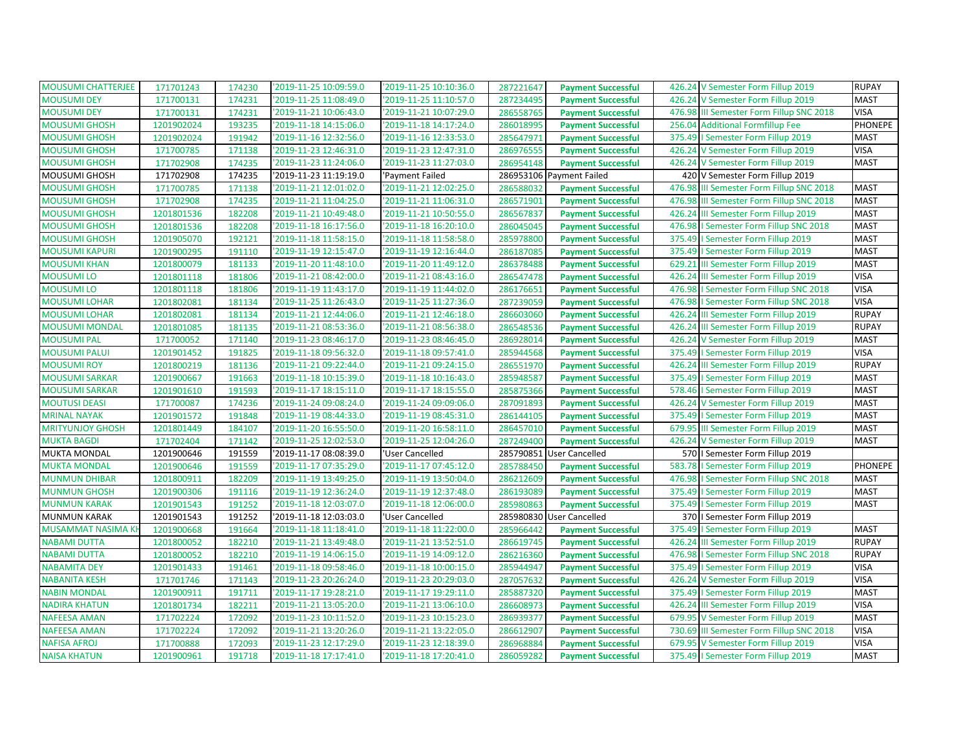| <b>MOUSUMI CHATTERJEE</b> | 171701243  | 174230 | '2019-11-25 10:09:59.0 | '2019-11-25 10:10:36.0 | 287221647 | <b>Payment Successful</b> | 426.24 V Semester Form Fillup 2019       | <b>RUPAY</b>   |
|---------------------------|------------|--------|------------------------|------------------------|-----------|---------------------------|------------------------------------------|----------------|
| <b>MOUSUMI DEY</b>        | 171700131  | 174231 | '2019-11-25 11:08:49.0 | 2019-11-25 11:10:57.0  | 287234495 | <b>Payment Successful</b> | 426.24 V Semester Form Fillup 2019       | <b>MAST</b>    |
| <b>MOUSUMI DEY</b>        | 171700131  | 174231 | '2019-11-21 10:06:43.0 | '2019-11-21 10:07:29.0 | 286558765 | <b>Payment Successful</b> | 476.98 III Semester Form Fillup SNC 2018 | <b>VISA</b>    |
| <b>MOUSUMI GHOSH</b>      | 1201902024 | 193235 | '2019-11-18 14:15:06.0 | '2019-11-18 14:17:24.0 | 286018995 | <b>Payment Successful</b> | 256.04 Additional Formfillup Fee         | PHONEPE        |
| <b>MOUSUMI GHOSH</b>      | 1201902024 | 191942 | '2019-11-16 12:32:56.0 | '2019-11-16 12:33:53.0 | 285647971 | <b>Payment Successful</b> | 375.49   Semester Form Fillup 2019       | <b>MAST</b>    |
| <b>MOUSUMI GHOSH</b>      | 171700785  | 171138 | '2019-11-23 12:46:31.0 | '2019-11-23 12:47:31.0 | 286976555 | <b>Payment Successful</b> | 426.24 V Semester Form Fillup 2019       | <b>VISA</b>    |
| <b>MOUSUMI GHOSH</b>      | 171702908  | 174235 | '2019-11-23 11:24:06.0 | '2019-11-23 11:27:03.0 | 286954148 | <b>Payment Successful</b> | 426.24 V Semester Form Fillup 2019       | <b>MAST</b>    |
| MOUSUMI GHOSH             | 171702908  | 174235 | '2019-11-23 11:19:19.0 | 'Payment Failed        |           | 286953106 Payment Failed  | 420 V Semester Form Fillup 2019          |                |
| <b>MOUSUMI GHOSH</b>      | 171700785  | 171138 | '2019-11-21 12:01:02.0 | '2019-11-21 12:02:25.0 | 286588032 | <b>Payment Successful</b> | 476.98 III Semester Form Fillup SNC 2018 | <b>MAST</b>    |
| <b>MOUSUMI GHOSH</b>      | 171702908  | 174235 | '2019-11-21 11:04:25.0 | '2019-11-21 11:06:31.0 | 286571901 | <b>Payment Successful</b> | 476.98 III Semester Form Fillup SNC 2018 | <b>MAST</b>    |
| <b>MOUSUMI GHOSH</b>      | 1201801536 | 182208 | '2019-11-21 10:49:48.0 | '2019-11-21 10:50:55.0 | 286567837 | <b>Payment Successful</b> | 426.24 III Semester Form Fillup 2019     | <b>MAST</b>    |
| <b>MOUSUMI GHOSH</b>      | 1201801536 | 182208 | '2019-11-18 16:17:56.0 | '2019-11-18 16:20:10.0 | 286045045 | <b>Payment Successful</b> | 476.98   Semester Form Fillup SNC 2018   | <b>MAST</b>    |
| <b>MOUSUMI GHOSH</b>      | 1201905070 | 192121 | '2019-11-18 11:58:15.0 | '2019-11-18 11:58:58.0 | 285978800 | <b>Payment Successful</b> | 375.49   Semester Form Fillup 2019       | <b>MAST</b>    |
| <b>MOUSUMI KAPURI</b>     | 1201900295 | 191110 | '2019-11-19 12:15:47.0 | '2019-11-19 12:16:44.0 | 286187085 | <b>Payment Successful</b> | 375.49   Semester Form Fillup 2019       | <b>MAST</b>    |
| <b>MOUSUMI KHAN</b>       | 1201800079 | 181133 | '2019-11-20 11:48:10.0 | '2019-11-20 11:49:12.0 | 286378488 | <b>Payment Successful</b> | 629.21 III Semester Form Fillup 2019     | <b>MAST</b>    |
| <b>MOUSUMI LO</b>         | 1201801118 | 181806 | '2019-11-21 08:42:00.0 | '2019-11-21 08:43:16.0 | 286547478 | <b>Payment Successful</b> | 426.24 III Semester Form Fillup 2019     | <b>VISA</b>    |
| <b>MOUSUMILO</b>          | 1201801118 | 181806 | '2019-11-19 11:43:17.0 | '2019-11-19 11:44:02.0 | 286176651 | <b>Payment Successful</b> | 476.98   Semester Form Fillup SNC 2018   | <b>VISA</b>    |
| <b>MOUSUMI LOHAR</b>      | 1201802081 | 181134 | '2019-11-25 11:26:43.0 | '2019-11-25 11:27:36.0 | 287239059 | <b>Payment Successful</b> | 476.98   Semester Form Fillup SNC 2018   | <b>VISA</b>    |
| <b>MOUSUMI LOHAR</b>      | 1201802081 | 181134 | '2019-11-21 12:44:06.0 | '2019-11-21 12:46:18.0 | 286603060 | <b>Payment Successful</b> | 426.24 III Semester Form Fillup 2019     | <b>RUPAY</b>   |
| <b>MOUSUMI MONDAL</b>     | 1201801085 | 181135 | '2019-11-21 08:53:36.0 | '2019-11-21 08:56:38.0 | 286548536 | <b>Payment Successful</b> | 426.24 III Semester Form Fillup 2019     | <b>RUPAY</b>   |
| <b>MOUSUMI PAL</b>        | 171700052  | 171140 | '2019-11-23 08:46:17.0 | '2019-11-23 08:46:45.0 | 286928014 | <b>Payment Successful</b> | 426.24 V Semester Form Fillup 2019       | <b>MAST</b>    |
| <b>MOUSUMI PALUI</b>      | 1201901452 | 191825 | '2019-11-18 09:56:32.0 | '2019-11-18 09:57:41.0 | 285944568 | <b>Payment Successful</b> | 375.49   Semester Form Fillup 2019       | <b>VISA</b>    |
| <b>MOUSUMI ROY</b>        | 1201800219 | 181136 | '2019-11-21 09:22:44.0 | '2019-11-21 09:24:15.0 | 286551970 | <b>Payment Successful</b> | 426.24 III Semester Form Fillup 2019     | <b>RUPAY</b>   |
| <b>MOUSUMI SARKAR</b>     | 1201900667 | 191663 | '2019-11-18 10:15:39.0 | '2019-11-18 10:16:43.0 | 285948587 | <b>Payment Successful</b> | 375.49   Semester Form Fillup 2019       | <b>MAST</b>    |
| <b>MOUSUMI SARKAR</b>     | 1201901610 | 191593 | '2019-11-17 18:15:11.0 | '2019-11-17 18:15:55.0 | 285875366 | <b>Payment Successful</b> | 578.46   Semester Form Fillup 2019       | <b>MAST</b>    |
| <b>MOUTUSI DEASI</b>      | 171700087  | 174236 | '2019-11-24 09:08:24.0 | '2019-11-24 09:09:06.0 | 287091893 | <b>Payment Successful</b> | 426.24 V Semester Form Fillup 2019       | <b>MAST</b>    |
| <b>MRINAL NAYAK</b>       | 1201901572 | 191848 | '2019-11-19 08:44:33.0 | '2019-11-19 08:45:31.0 | 286144105 | <b>Payment Successful</b> | 375.49   Semester Form Fillup 2019       | <b>MAST</b>    |
| <b>MRITYUNJOY GHOSH</b>   | 1201801449 | 184107 | '2019-11-20 16:55:50.0 | '2019-11-20 16:58:11.0 | 286457010 | <b>Payment Successful</b> | 679.95 III Semester Form Fillup 2019     | <b>MAST</b>    |
| <b>MUKTA BAGDI</b>        | 171702404  | 171142 | '2019-11-25 12:02:53.0 | '2019-11-25 12:04:26.0 | 287249400 | <b>Payment Successful</b> | 426.24 V Semester Form Fillup 2019       | <b>MAST</b>    |
| <b>MUKTA MONDAL</b>       | 1201900646 | 191559 | '2019-11-17 08:08:39.0 | 'User Cancelled        |           | 285790851 User Cancelled  | 570   Semester Form Fillup 2019          |                |
| <b>MUKTA MONDAL</b>       | 1201900646 | 191559 | '2019-11-17 07:35:29.0 | '2019-11-17 07:45:12.0 | 285788450 | <b>Payment Successful</b> | 583.78   Semester Form Fillup 2019       | <b>PHONEPE</b> |
| <b>MUNMUN DHIBAR</b>      | 1201800911 | 182209 | '2019-11-19 13:49:25.0 | '2019-11-19 13:50:04.0 | 286212609 | <b>Payment Successful</b> | 476.98   Semester Form Fillup SNC 2018   | <b>MAST</b>    |
| <b>MUNMUN GHOSH</b>       | 1201900306 | 191116 | '2019-11-19 12:36:24.0 | '2019-11-19 12:37:48.0 | 286193089 | <b>Payment Successful</b> | 375.49   Semester Form Fillup 2019       | <b>MAST</b>    |
| <b>MUNMUN KARAK</b>       | 1201901543 | 191252 | '2019-11-18 12:03:07.0 | '2019-11-18 12:06:00.0 | 285980863 | <b>Payment Successful</b> | 375.49   Semester Form Fillup 2019       | <b>MAST</b>    |
| <b>MUNMUN KARAK</b>       | 1201901543 | 191252 | '2019-11-18 12:03:03.0 | 'User Cancelled        |           | 285980830 User Cancelled  | 370   Semester Form Fillup 2019          |                |
| MUSAMMAT NASIMA KI        | 1201900668 | 191664 | '2019-11-18 11:18:41.0 | '2019-11-18 11:22:00.0 | 285966442 | <b>Payment Successful</b> | 375.49   Semester Form Fillup 2019       | <b>MAST</b>    |
| <b>NABAMI DUTTA</b>       | 1201800052 | 182210 | '2019-11-21 13:49:48.0 | '2019-11-21 13:52:51.0 | 286619745 | <b>Payment Successful</b> | 426.24 III Semester Form Fillup 2019     | <b>RUPAY</b>   |
| <b>NABAMI DUTTA</b>       | 1201800052 | 182210 | '2019-11-19 14:06:15.0 | '2019-11-19 14:09:12.0 | 286216360 | <b>Payment Successful</b> | 476.98   Semester Form Fillup SNC 2018   | <b>RUPAY</b>   |
| <b>NABAMITA DEY</b>       | 1201901433 | 191461 | '2019-11-18 09:58:46.0 | '2019-11-18 10:00:15.0 | 285944947 | <b>Payment Successful</b> | 375.49   Semester Form Fillup 2019       | <b>VISA</b>    |
| <b>NABANITA KESH</b>      | 171701746  | 171143 | '2019-11-23 20:26:24.0 | '2019-11-23 20:29:03.0 | 287057632 | <b>Payment Successful</b> | 426.24 V Semester Form Fillup 2019       | <b>VISA</b>    |
| <b>NABIN MONDAL</b>       | 1201900911 | 191711 | '2019-11-17 19:28:21.0 | '2019-11-17 19:29:11.0 | 285887320 | <b>Payment Successful</b> | 375.49   Semester Form Fillup 2019       | <b>MAST</b>    |
| <b>NADIRA KHATUN</b>      | 1201801734 | 182211 | '2019-11-21 13:05:20.0 | '2019-11-21 13:06:10.0 | 286608973 | <b>Payment Successful</b> | 426.24 III Semester Form Fillup 2019     | <b>VISA</b>    |
| <b>NAFEESA AMAN</b>       | 171702224  | 172092 | '2019-11-23 10:11:52.0 | '2019-11-23 10:15:23.0 | 286939377 | <b>Payment Successful</b> | 679.95 V Semester Form Fillup 2019       | <b>MAST</b>    |
| NAFEESA AMAN              | 171702224  | 172092 | '2019-11-21 13:20:26.0 | '2019-11-21 13:22:05.0 | 286612907 | <b>Payment Successful</b> | 730.69 III Semester Form Fillup SNC 2018 | <b>VISA</b>    |
| <b>NAFISA AFROJ</b>       | 171700888  | 172093 | '2019-11-23 12:17:29.0 | '2019-11-23 12:18:39.0 | 286968884 | <b>Payment Successful</b> | 679.95 V Semester Form Fillup 2019       | <b>VISA</b>    |
| <b>NAISA KHATUN</b>       | 1201900961 | 191718 | '2019-11-18 17:17:41.0 | '2019-11-18 17:20:41.0 | 286059282 | <b>Payment Successful</b> | 375.49   Semester Form Fillup 2019       | <b>MAST</b>    |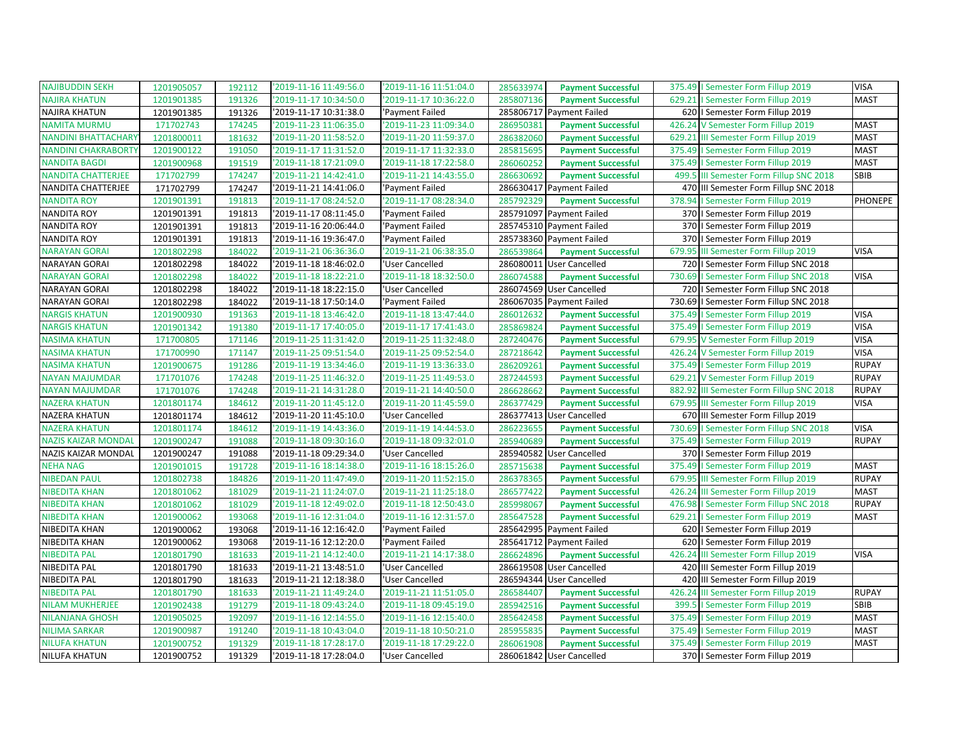| <b>NAJIBUDDIN SEKH</b>     | 1201905057 | 192112 | '2019-11-16 11:49:56.0 | '2019-11-16 11:51:04.0 | 285633974 | <b>Payment Successful</b> | 375.49   Semester Form Fillup 2019          | <b>VISA</b>    |
|----------------------------|------------|--------|------------------------|------------------------|-----------|---------------------------|---------------------------------------------|----------------|
| <b>NAJIRA KHATUN</b>       | 1201901385 | 191326 | '2019-11-17 10:34:50.0 | '2019-11-17 10:36:22.0 | 285807136 | <b>Payment Successful</b> | 629.21   Semester Form Fillup 2019          | <b>MAST</b>    |
| <b>NAJIRA KHATUN</b>       | 1201901385 | 191326 | '2019-11-17 10:31:38.0 | 'Payment Failed        |           | 285806717 Payment Failed  | 620   Semester Form Fillup 2019             |                |
| <b>NAMITA MURMU</b>        | 171702743  | 174245 | '2019-11-23 11:06:35.0 | '2019-11-23 11:09:34.0 | 286950381 | <b>Payment Successful</b> | 426.24 V Semester Form Fillup 2019          | <b>MAST</b>    |
| <b>NANDINI BHATTACHARY</b> | 1201800011 | 181632 | '2019-11-20 11:58:52.0 | '2019-11-20 11:59:37.0 | 286382060 | <b>Payment Successful</b> | III Semester Form Fillup 2019<br>629.21     | <b>MAST</b>    |
| <b>NANDINI CHAKRABORTY</b> | 1201900122 | 191050 | '2019-11-17 11:31:52.0 | '2019-11-17 11:32:33.0 | 285815695 | <b>Payment Successful</b> | 375.49   Semester Form Fillup 2019          | <b>MAST</b>    |
| <b>NANDITA BAGDI</b>       | 1201900968 | 191519 | '2019-11-18 17:21:09.0 | '2019-11-18 17:22:58.0 | 286060252 | <b>Payment Successful</b> | 375.49   Semester Form Fillup 2019          | <b>MAST</b>    |
| <b>NANDITA CHATTERJEE</b>  | 171702799  | 174247 | '2019-11-21 14:42:41.0 | '2019-11-21 14:43:55.0 | 286630692 | <b>Payment Successful</b> | 499.5 III Semester Form Fillup SNC 2018     | SBIB           |
| NANDITA CHATTERJEE         | 171702799  | 174247 | '2019-11-21 14:41:06.0 | 'Payment Failed        |           | 286630417 Payment Failed  | 470 III Semester Form Fillup SNC 2018       |                |
| <b>NANDITA ROY</b>         | 1201901391 | 191813 | '2019-11-17 08:24:52.0 | '2019-11-17 08:28:34.0 | 285792329 | <b>Payment Successful</b> | 378.94<br>I Semester Form Fillup 2019       | <b>PHONEPE</b> |
| <b>NANDITA ROY</b>         | 1201901391 | 191813 | '2019-11-17 08:11:45.0 | 'Payment Failed        |           | 285791097 Payment Failed  | 370   Semester Form Fillup 2019             |                |
| <b>NANDITA ROY</b>         | 1201901391 | 191813 | '2019-11-16 20:06:44.0 | 'Payment Failed        |           | 285745310 Payment Failed  | 370   Semester Form Fillup 2019             |                |
| <b>NANDITA ROY</b>         | 1201901391 | 191813 | '2019-11-16 19:36:47.0 | 'Payment Failed        |           | 285738360 Payment Failed  | 370<br>I Semester Form Fillup 2019          |                |
| <b>NARAYAN GORAI</b>       | 1201802298 | 184022 | '2019-11-21 06:36:36.0 | '2019-11-21 06:38:35.0 | 286539864 | <b>Payment Successful</b> | 679.95<br>III Semester Form Fillup 2019     | <b>VISA</b>    |
| <b>NARAYAN GORAI</b>       | 1201802298 | 184022 | '2019-11-18 18:46:02.0 | 'User Cancelled        |           | 286080011 User Cancelled  | 720   Semester Form Fillup SNC 2018         |                |
| <b>NARAYAN GORAI</b>       | 1201802298 | 184022 | '2019-11-18 18:22:21.0 | '2019-11-18 18:32:50.0 | 286074588 | <b>Payment Successful</b> | 730.69   Semester Form Fillup SNC 2018      | <b>VISA</b>    |
| <b>NARAYAN GORAI</b>       | 1201802298 | 184022 | '2019-11-18 18:22:15.0 | 'User Cancelled        |           | 286074569 User Cancelled  | 720   Semester Form Fillup SNC 2018         |                |
| <b>NARAYAN GORAI</b>       | 1201802298 | 184022 | '2019-11-18 17:50:14.0 | 'Payment Failed        |           | 286067035 Payment Failed  | 730.69   Semester Form Fillup SNC 2018      |                |
| <b>NARGIS KHATUN</b>       | 1201900930 | 191363 | '2019-11-18 13:46:42.0 | '2019-11-18 13:47:44.0 | 286012632 | <b>Payment Successful</b> | 375.49   Semester Form Fillup 2019          | <b>VISA</b>    |
| <b>NARGIS KHATUN</b>       | 1201901342 | 191380 | '2019-11-17 17:40:05.0 | '2019-11-17 17:41:43.0 | 285869824 | <b>Payment Successful</b> | 375.49   Semester Form Fillup 2019          | <b>VISA</b>    |
| <b>NASIMA KHATUN</b>       | 171700805  | 171146 | '2019-11-25 11:31:42.0 | '2019-11-25 11:32:48.0 | 287240476 | <b>Payment Successful</b> | 679.95 V Semester Form Fillup 2019          | <b>VISA</b>    |
| <b>NASIMA KHATUN</b>       | 171700990  | 171147 | '2019-11-25 09:51:54.0 | '2019-11-25 09:52:54.0 | 287218642 | <b>Payment Successful</b> | 426.24 V Semester Form Fillup 2019          | <b>VISA</b>    |
| <b>NASIMA KHATUN</b>       | 1201900675 | 191286 | '2019-11-19 13:34:46.0 | '2019-11-19 13:36:33.0 | 286209261 | <b>Payment Successful</b> | 375.49   Semester Form Fillup 2019          | <b>RUPAY</b>   |
| <b>NAYAN MAJUMDAR</b>      | 171701076  | 174248 | '2019-11-25 11:46:32.0 | '2019-11-25 11:49:53.0 | 287244593 | <b>Payment Successful</b> | 629.21 V Semester Form Fillup 2019          | <b>RUPAY</b>   |
| <b>NAYAN MAJUMDAR</b>      | 171701076  | 174248 | '2019-11-21 14:31:28.0 | '2019-11-21 14:40:50.0 | 286628662 | <b>Payment Successful</b> | III Semester Form Fillup SNC 2018<br>882.92 | <b>RUPAY</b>   |
| <b>NAZERA KHATUN</b>       | 1201801174 | 184612 | '2019-11-20 11:45:12.0 | '2019-11-20 11:45:59.0 | 286377429 | <b>Payment Successful</b> | 679.95 III Semester Form Fillup 2019        | <b>VISA</b>    |
| NAZERA KHATUN              | 1201801174 | 184612 | '2019-11-20 11:45:10.0 | 'User Cancelled        |           | 286377413 User Cancelled  | 670 III Semester Form Fillup 2019           |                |
| <b>NAZERA KHATUN</b>       | 1201801174 | 184612 | '2019-11-19 14:43:36.0 | '2019-11-19 14:44:53.0 | 286223655 | <b>Payment Successful</b> | 730.69   Semester Form Fillup SNC 2018      | <b>VISA</b>    |
| <b>NAZIS KAIZAR MONDAL</b> | 1201900247 | 191088 | '2019-11-18 09:30:16.0 | '2019-11-18 09:32:01.0 | 285940689 | <b>Payment Successful</b> | 375.49   Semester Form Fillup 2019          | <b>RUPAY</b>   |
| NAZIS KAIZAR MONDAL        | 1201900247 | 191088 | '2019-11-18 09:29:34.0 | 'User Cancelled        |           | 285940582 User Cancelled  | 370   Semester Form Fillup 2019             |                |
| <b>NEHA NAG</b>            | 1201901015 | 191728 | '2019-11-16 18:14:38.0 | '2019-11-16 18:15:26.0 | 285715638 | <b>Payment Successful</b> | 375.49<br>I Semester Form Fillup 2019       | <b>MAST</b>    |
| <b>NIBEDAN PAUL</b>        | 1201802738 | 184826 | '2019-11-20 11:47:49.0 | '2019-11-20 11:52:15.0 | 286378365 | <b>Payment Successful</b> | 679.95 III Semester Form Fillup 2019        | <b>RUPAY</b>   |
| <b>NIBEDITA KHAN</b>       | 1201801062 | 181029 | '2019-11-21 11:24:07.0 | '2019-11-21 11:25:18.0 | 286577422 | <b>Payment Successful</b> | 426.24<br>III Semester Form Fillup 2019     | <b>MAST</b>    |
| <b>NIBEDITA KHAN</b>       | 1201801062 | 181029 | '2019-11-18 12:49:02.0 | '2019-11-18 12:50:43.0 | 285998067 | <b>Payment Successful</b> | 476.98<br>I Semester Form Fillup SNC 2018   | <b>RUPAY</b>   |
| <b>NIBEDITA KHAN</b>       | 1201900062 | 193068 | '2019-11-16 12:31:04.0 | '2019-11-16 12:31:57.0 | 285647528 | <b>Payment Successful</b> | 629.21   Semester Form Fillup 2019          | <b>MAST</b>    |
| NIBEDITA KHAN              | 1201900062 | 193068 | '2019-11-16 12:16:42.0 | 'Payment Failed        |           | 285642995 Payment Failed  | 620   Semester Form Fillup 2019             |                |
| NIBEDITA KHAN              | 1201900062 | 193068 | '2019-11-16 12:12:20.0 | 'Payment Failed        |           | 285641712 Payment Failed  | 620   Semester Form Fillup 2019             |                |
| <b>NIBEDITA PAL</b>        | 1201801790 | 181633 | '2019-11-21 14:12:40.0 | '2019-11-21 14:17:38.0 | 286624896 | <b>Payment Successful</b> | 426.24<br>III Semester Form Fillup 2019     | <b>VISA</b>    |
| NIBEDITA PAL               | 1201801790 | 181633 | '2019-11-21 13:48:51.0 | 'User Cancelled        | 286619508 | <b>User Cancelled</b>     | 420 III Semester Form Fillup 2019           |                |
| NIBEDITA PAL               | 1201801790 | 181633 | '2019-11-21 12:18:38.0 | 'User Cancelled        |           | 286594344 User Cancelled  | 420 III Semester Form Fillup 2019           |                |
| <b>NIBEDITA PAL</b>        | 1201801790 | 181633 | '2019-11-21 11:49:24.0 | '2019-11-21 11:51:05.0 | 286584407 | <b>Payment Successful</b> | 426.24<br>III Semester Form Fillup 2019     | <b>RUPAY</b>   |
| <b>NILAM MUKHERJEE</b>     | 1201902438 | 191279 | '2019-11-18 09:43:24.0 | '2019-11-18 09:45:19.0 | 285942516 | <b>Payment Successful</b> | I Semester Form Fillup 2019<br>399.5        | <b>SBIB</b>    |
| <b>NILANJANA GHOSH</b>     | 1201905025 | 192097 | '2019-11-16 12:14:55.0 | '2019-11-16 12:15:40.0 | 285642458 | <b>Payment Successful</b> | 375.49<br>I Semester Form Fillup 2019       | <b>MAST</b>    |
| <b>NILIMA SARKAR</b>       | 1201900987 | 191240 | '2019-11-18 10:43:04.0 | '2019-11-18 10:50:21.0 | 285955835 | <b>Payment Successful</b> | 375.49   Semester Form Fillup 2019          | <b>MAST</b>    |
| <b>NILUFA KHATUN</b>       | 1201900752 | 191329 | '2019-11-18 17:28:17.0 | '2019-11-18 17:29:22.0 | 286061908 | <b>Payment Successful</b> | 375.49   Semester Form Fillup 2019          | <b>MAST</b>    |
| <b>NILUFA KHATUN</b>       | 1201900752 | 191329 | '2019-11-18 17:28:04.0 | 'User Cancelled        |           | 286061842 User Cancelled  | 370   Semester Form Fillup 2019             |                |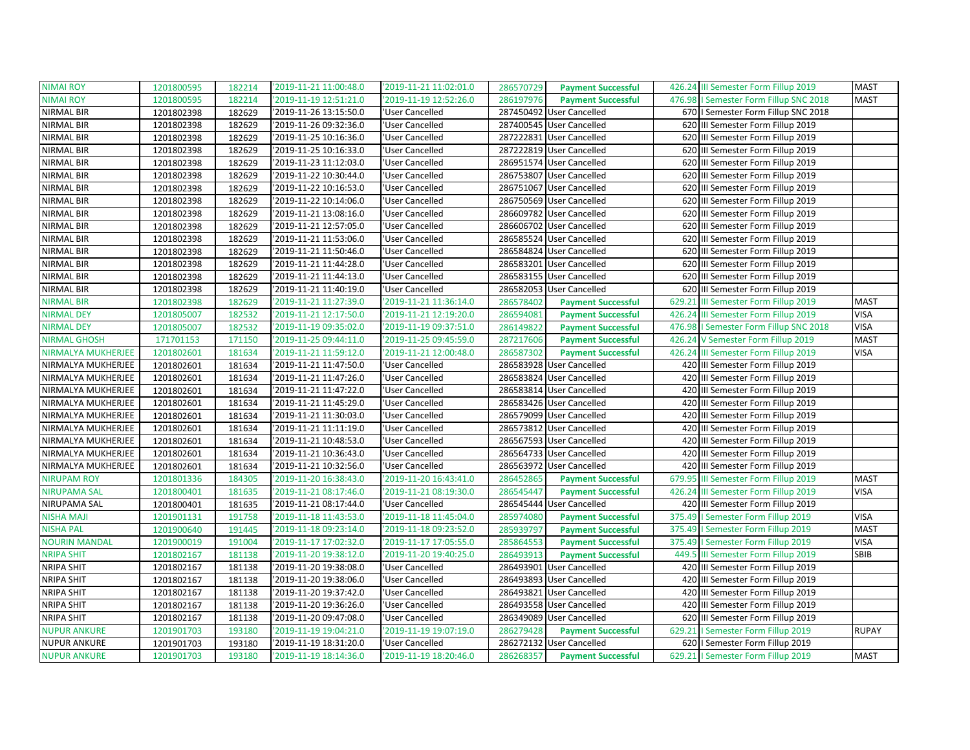| <b>NIMAI ROY</b>     | 1201800595 | 182214 | '2019-11-21 11:00:48.0 | '2019-11-21 11:02:01.0 | <b>Payment Successful</b><br>286570729 | 426.24 III Semester Form Fillup 2019   | <b>MAST</b>  |
|----------------------|------------|--------|------------------------|------------------------|----------------------------------------|----------------------------------------|--------------|
| <b>NIMAI ROY</b>     | 1201800595 | 182214 | '2019-11-19 12:51:21.0 | '2019-11-19 12:52:26.0 | 286197976<br><b>Payment Successful</b> | 476.98   Semester Form Fillup SNC 2018 | <b>MAST</b>  |
| NIRMAL BIR           | 1201802398 | 182629 | '2019-11-26 13:15:50.0 | 'User Cancelled        | 287450492 User Cancelled               | 670   I Semester Form Fillup SNC 2018  |              |
| NIRMAL BIR           | 1201802398 | 182629 | '2019-11-26 09:32:36.0 | 'User Cancelled        | 287400545 User Cancelled               | 620 III Semester Form Fillup 2019      |              |
| NIRMAL BIR           | 1201802398 | 182629 | '2019-11-25 10:16:36.0 | 'User Cancelled        | 287222831 User Cancelled               | 620 III Semester Form Fillup 2019      |              |
| NIRMAL BIR           | 1201802398 | 182629 | '2019-11-25 10:16:33.0 | 'User Cancelled        | 287222819 User Cancelled               | 620 III Semester Form Fillup 2019      |              |
| NIRMAL BIR           | 1201802398 | 182629 | '2019-11-23 11:12:03.0 | 'User Cancelled        | 286951574 User Cancelled               | 620 III Semester Form Fillup 2019      |              |
| NIRMAL BIR           | 1201802398 | 182629 | '2019-11-22 10:30:44.0 | 'User Cancelled        | 286753807 User Cancelled               | 620 III Semester Form Fillup 2019      |              |
| NIRMAL BIR           | 1201802398 | 182629 | '2019-11-22 10:16:53.0 | 'User Cancelled        | 286751067 User Cancelled               | 620 III Semester Form Fillup 2019      |              |
| NIRMAL BIR           | 1201802398 | 182629 | '2019-11-22 10:14:06.0 | 'User Cancelled        | 286750569 User Cancelled               | 620 III Semester Form Fillup 2019      |              |
| NIRMAL BIR           | 1201802398 | 182629 | 2019-11-21 13:08:16.0  | 'User Cancelled        | 286609782 User Cancelled               | 620 III Semester Form Fillup 2019      |              |
| NIRMAL BIR           | 1201802398 | 182629 | '2019-11-21 12:57:05.0 | 'User Cancelled        | 286606702 User Cancelled               | 620 III Semester Form Fillup 2019      |              |
| <b>NIRMAL BIR</b>    | 1201802398 | 182629 | '2019-11-21 11:53:06.0 | 'User Cancelled        | 286585524 User Cancelled               | 620 III Semester Form Fillup 2019      |              |
| NIRMAL BIR           | 1201802398 | 182629 | '2019-11-21 11:50:46.0 | 'User Cancelled        | 286584824 User Cancelled               | 620 III Semester Form Fillup 2019      |              |
| NIRMAL BIR           | 1201802398 | 182629 | 2019-11-21 11:44:28.0  | 'User Cancelled        | 286583201 User Cancelled               | 620 III Semester Form Fillup 2019      |              |
| NIRMAL BIR           | 1201802398 | 182629 | '2019-11-21 11:44:13.0 | 'User Cancelled        | 286583155 User Cancelled               | 620 III Semester Form Fillup 2019      |              |
| NIRMAL BIR           | 1201802398 | 182629 | '2019-11-21 11:40:19.0 | 'User Cancelled        | 286582053 User Cancelled               | 620 III Semester Form Fillup 2019      |              |
| NIRMAL BIR           | 1201802398 | 182629 | '2019-11-21 11:27:39.0 | '2019-11-21 11:36:14.0 | 286578402<br><b>Payment Successful</b> | 629.21 III Semester Form Fillup 2019   | <b>MAST</b>  |
| <b>NIRMAL DEY</b>    | 1201805007 | 182532 | '2019-11-21 12:17:50.0 | '2019-11-21 12:19:20.0 | 286594081<br><b>Payment Successful</b> | 426.24 III Semester Form Fillup 2019   | <b>VISA</b>  |
| <b>NIRMAL DEY</b>    | 1201805007 | 182532 | '2019-11-19 09:35:02.0 | '2019-11-19 09:37:51.0 | 286149822<br><b>Payment Successful</b> | 476.98   Semester Form Fillup SNC 2018 | <b>VISA</b>  |
| <b>NIRMAL GHOSH</b>  | 171701153  | 171150 | '2019-11-25 09:44:11.0 | '2019-11-25 09:45:59.0 | 287217606<br><b>Payment Successful</b> | 426.24 V Semester Form Fillup 2019     | <b>MAST</b>  |
| NIRMALYA MUKHERJEE   | 1201802601 | 181634 | '2019-11-21 11:59:12.0 | '2019-11-21 12:00:48.0 | 286587302<br><b>Payment Successful</b> | 426.24 III Semester Form Fillup 2019   | <b>VISA</b>  |
| NIRMALYA MUKHERJEE   | 1201802601 | 181634 | '2019-11-21 11:47:50.0 | 'User Cancelled        | 286583928 User Cancelled               | 420 III Semester Form Fillup 2019      |              |
| NIRMALYA MUKHERJEE   | 1201802601 | 181634 | '2019-11-21 11:47:26.0 | 'User Cancelled        | 286583824 User Cancelled               | 420 III Semester Form Fillup 2019      |              |
| NIRMALYA MUKHERJEE   | 1201802601 | 181634 | '2019-11-21 11:47:22.0 | 'User Cancelled        | 286583814 User Cancelled               | 420 III Semester Form Fillup 2019      |              |
| NIRMALYA MUKHERJEE   | 1201802601 | 181634 | '2019-11-21 11:45:29.0 | 'User Cancelled        | 286583426 User Cancelled               | 420 III Semester Form Fillup 2019      |              |
| NIRMALYA MUKHERJEE   | 1201802601 | 181634 | '2019-11-21 11:30:03.0 | 'User Cancelled        | 286579099 User Cancelled               | 420 III Semester Form Fillup 2019      |              |
| NIRMALYA MUKHERJEE   | 1201802601 | 181634 | '2019-11-21 11:11:19.0 | 'User Cancelled        | 286573812 User Cancelled               | 420 III Semester Form Fillup 2019      |              |
| NIRMALYA MUKHERJEE   | 1201802601 | 181634 | '2019-11-21 10:48:53.0 | 'User Cancelled        | 286567593 User Cancelled               | 420 III Semester Form Fillup 2019      |              |
| NIRMALYA MUKHERJEE   | 1201802601 | 181634 | 2019-11-21 10:36:43.0  | 'User Cancelled        | 286564733 User Cancelled               | 420 III Semester Form Fillup 2019      |              |
| NIRMALYA MUKHERJEE   | 1201802601 | 181634 | '2019-11-21 10:32:56.0 | 'User Cancelled        | 286563972 User Cancelled               | 420 III Semester Form Fillup 2019      |              |
| <b>NIRUPAM ROY</b>   | 1201801336 | 184305 | '2019-11-20 16:38:43.0 | '2019-11-20 16:43:41.0 | 286452865<br><b>Payment Successful</b> | 679.95 III Semester Form Fillup 2019   | <b>MAST</b>  |
| <b>NIRUPAMA SAL</b>  | 1201800401 | 181635 | '2019-11-21 08:17:46.0 | '2019-11-21 08:19:30.0 | 286545447<br><b>Payment Successful</b> | 426.24 III Semester Form Fillup 2019   | <b>VISA</b>  |
| NIRUPAMA SAL         | 1201800401 | 181635 | '2019-11-21 08:17:44.0 | 'User Cancelled        | 286545444 User Cancelled               | 420 III Semester Form Fillup 2019      |              |
| <b>NISHA MAJI</b>    | 1201901131 | 191758 | 2019-11-18 11:43:53.0  | '2019-11-18 11:45:04.0 | 285974080<br><b>Payment Successful</b> | 375.49   Semester Form Fillup 2019     | <b>VISA</b>  |
| <b>NISHA PAL</b>     | 1201900640 | 191445 | '2019-11-18 09:23:14.0 | '2019-11-18 09:23:52.0 | 285939797<br><b>Payment Successful</b> | 375.49   Semester Form Fillup 2019     | <b>MAST</b>  |
| <b>NOURIN MANDAL</b> | 1201900019 | 191004 | '2019-11-17 17:02:32.0 | '2019-11-17 17:05:55.0 | 285864553<br><b>Payment Successful</b> | 375.49   Semester Form Fillup 2019     | <b>VISA</b>  |
| <b>NRIPA SHIT</b>    | 1201802167 | 181138 | '2019-11-20 19:38:12.0 | '2019-11-20 19:40:25.0 | 286493913<br><b>Payment Successful</b> | 449.5 III Semester Form Fillup 2019    | SBIB         |
| <b>NRIPA SHIT</b>    | 1201802167 | 181138 | '2019-11-20 19:38:08.0 | 'User Cancelled        | 286493901<br><b>User Cancelled</b>     | 420 III Semester Form Fillup 2019      |              |
| <b>NRIPA SHIT</b>    | 1201802167 | 181138 | '2019-11-20 19:38:06.0 | 'User Cancelled        | 286493893 User Cancelled               | 420 III Semester Form Fillup 2019      |              |
| <b>NRIPA SHIT</b>    | 1201802167 | 181138 | '2019-11-20 19:37:42.0 | 'User Cancelled        | 286493821<br><b>User Cancelled</b>     | 420 III Semester Form Fillup 2019      |              |
| <b>NRIPA SHIT</b>    | 1201802167 | 181138 | '2019-11-20 19:36:26.0 | 'User Cancelled        | 286493558 User Cancelled               | 420 III Semester Form Fillup 2019      |              |
| <b>NRIPA SHIT</b>    | 1201802167 | 181138 | '2019-11-20 09:47:08.0 | 'User Cancelled        | 286349089 User Cancelled               | 620 III Semester Form Fillup 2019      |              |
| <b>NUPUR ANKURE</b>  | 1201901703 | 193180 | '2019-11-19 19:04:21.0 | '2019-11-19 19:07:19.0 | 286279428<br><b>Payment Successful</b> | 629.21   Semester Form Fillup 2019     | <b>RUPAY</b> |
| <b>NUPUR ANKURE</b>  | 1201901703 | 193180 | '2019-11-19 18:31:20.0 | 'User Cancelled        | 286272132 User Cancelled               | 620   Semester Form Fillup 2019        |              |
| <b>NUPUR ANKURE</b>  | 1201901703 | 193180 | 2019-11-19 18:14:36.0  | '2019-11-19 18:20:46.0 | 286268357<br><b>Payment Successful</b> | 629.21   Semester Form Fillup 2019     | <b>MAST</b>  |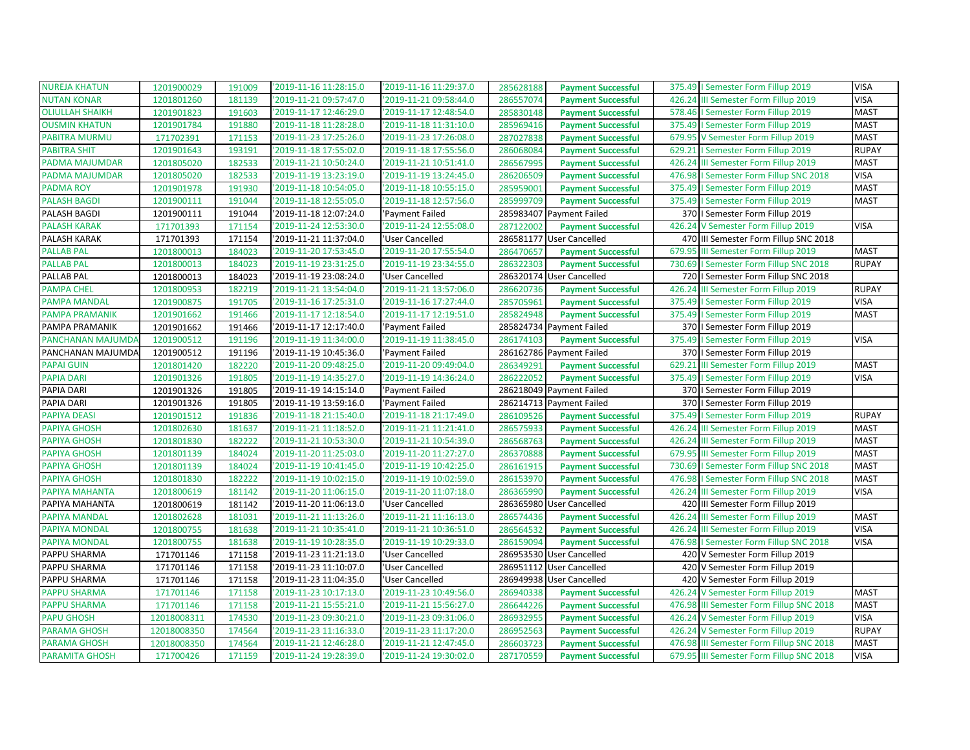| <b>NUREJA KHATUN</b>     | 1201900029  | 191009 | '2019-11-16 11:28:15.0 | '2019-11-16 11:29:37.0 | 285628188 | <b>Payment Successful</b> | 375.49   Semester Form Fillup 2019       | <b>VISA</b>  |
|--------------------------|-------------|--------|------------------------|------------------------|-----------|---------------------------|------------------------------------------|--------------|
| <b>NUTAN KONAR</b>       | 1201801260  | 181139 | '2019-11-21 09:57:47.0 | '2019-11-21 09:58:44.0 | 286557074 | <b>Payment Successful</b> | 426.24 III Semester Form Fillup 2019     | <b>VISA</b>  |
| <b>OLIULLAH SHAIKH</b>   | 1201901823  | 191603 | '2019-11-17 12:46:29.0 | '2019-11-17 12:48:54.0 | 285830148 | <b>Payment Successful</b> | 578.46   Semester Form Fillup 2019       | <b>MAST</b>  |
| <b>OUSMIN KHATUN</b>     | 1201901784  | 191880 | '2019-11-18 11:28:28.0 | '2019-11-18 11:31:10.0 | 285969416 | <b>Payment Successful</b> | 375.49   Semester Form Fillup 2019       | <b>MAST</b>  |
| <b>PABITRA MURMU</b>     | 171702391   | 171153 | '2019-11-23 17:25:26.0 | '2019-11-23 17:26:08.0 | 287027838 | <b>Payment Successful</b> | 679.95 V Semester Form Fillup 2019       | <b>MAST</b>  |
| <b>PABITRA SHIT</b>      | 1201901643  | 193191 | '2019-11-18 17:55:02.0 | '2019-11-18 17:55:56.0 | 286068084 | <b>Payment Successful</b> | 629.21   Semester Form Fillup 2019       | <b>RUPAY</b> |
| PADMA MAJUMDAR           | 1201805020  | 182533 | '2019-11-21 10:50:24.0 | '2019-11-21 10:51:41.0 | 286567995 | <b>Payment Successful</b> | 426.24 III Semester Form Fillup 2019     | <b>MAST</b>  |
| PADMA MAJUMDAR           | 1201805020  | 182533 | '2019-11-19 13:23:19.0 | '2019-11-19 13:24:45.0 | 286206509 | <b>Payment Successful</b> | 476.98   Semester Form Fillup SNC 2018   | <b>VISA</b>  |
| <b>PADMA ROY</b>         | 1201901978  | 191930 | '2019-11-18 10:54:05.0 | '2019-11-18 10:55:15.0 | 285959001 | <b>Payment Successful</b> | 375.49   Semester Form Fillup 2019       | <b>MAST</b>  |
| <b>PALASH BAGDI</b>      | 1201900111  | 191044 | '2019-11-18 12:55:05.0 | '2019-11-18 12:57:56.0 | 285999709 | <b>Payment Successful</b> | 375.49   Semester Form Fillup 2019       | <b>MAST</b>  |
| PALASH BAGDI             | 1201900111  | 191044 | '2019-11-18 12:07:24.0 | 'Payment Failed        |           | 285983407 Payment Failed  | 370   Semester Form Fillup 2019          |              |
| <b>PALASH KARAK</b>      | 171701393   | 171154 | '2019-11-24 12:53:30.0 | '2019-11-24 12:55:08.0 | 287122002 | <b>Payment Successful</b> | 426.24 V Semester Form Fillup 2019       | <b>VISA</b>  |
| PALASH KARAK             | 171701393   | 171154 | '2019-11-21 11:37:04.0 | 'User Cancelled        |           | 286581177 User Cancelled  | 470 III Semester Form Fillup SNC 2018    |              |
| <b>PALLAB PAL</b>        | 1201800013  | 184023 | '2019-11-20 17:53:45.0 | '2019-11-20 17:55:54.0 | 286470657 | <b>Payment Successful</b> | 679.95 III Semester Form Fillup 2019     | <b>MAST</b>  |
| <b>PALLAB PAL</b>        | 1201800013  | 184023 | '2019-11-19 23:31:25.0 | '2019-11-19 23:34:55.0 | 286322303 | <b>Payment Successful</b> | 730.69   Semester Form Fillup SNC 2018   | <b>RUPAY</b> |
| PALLAB PAL               | 1201800013  | 184023 | '2019-11-19 23:08:24.0 | 'User Cancelled        |           | 286320174 User Cancelled  | 720   Semester Form Fillup SNC 2018      |              |
| <b>PAMPA CHEL</b>        | 1201800953  | 182219 | '2019-11-21 13:54:04.0 | '2019-11-21 13:57:06.0 | 286620736 | <b>Payment Successful</b> | 426.24 III Semester Form Fillup 2019     | <b>RUPAY</b> |
| <b>PAMPA MANDAL</b>      | 1201900875  | 191705 | '2019-11-16 17:25:31.0 | '2019-11-16 17:27:44.0 | 285705961 | <b>Payment Successful</b> | 375.49   Semester Form Fillup 2019       | <b>VISA</b>  |
| PAMPA PRAMANIK           | 1201901662  | 191466 | '2019-11-17 12:18:54.0 | '2019-11-17 12:19:51.0 | 285824948 | <b>Payment Successful</b> | 375.49   Semester Form Fillup 2019       | <b>MAST</b>  |
| PAMPA PRAMANIK           | 1201901662  | 191466 | '2019-11-17 12:17:40.0 | 'Payment Failed        |           | 285824734 Payment Failed  | 370   Semester Form Fillup 2019          |              |
| <b>PANCHANAN MAJUMDA</b> | 1201900512  | 191196 | '2019-11-19 11:34:00.0 | '2019-11-19 11:38:45.0 | 286174103 | <b>Payment Successful</b> | 375.49   Semester Form Fillup 2019       | <b>VISA</b>  |
| PANCHANAN MAJUMDA        | 1201900512  | 191196 | '2019-11-19 10:45:36.0 | 'Payment Failed        |           | 286162786 Payment Failed  | 370   Semester Form Fillup 2019          |              |
| <b>PAPAI GUIN</b>        | 1201801420  | 182220 | '2019-11-20 09:48:25.0 | '2019-11-20 09:49:04.0 | 286349291 | <b>Payment Successful</b> | 629.21 III Semester Form Fillup 2019     | <b>MAST</b>  |
| <b>PAPIA DARI</b>        | 1201901326  | 191805 | '2019-11-19 14:35:27.0 | '2019-11-19 14:36:24.0 | 286222052 | <b>Payment Successful</b> | 375.49   Semester Form Fillup 2019       | <b>VISA</b>  |
| PAPIA DARI               | 1201901326  | 191805 | '2019-11-19 14:15:14.0 | 'Payment Failed        |           | 286218049 Payment Failed  | 370   Semester Form Fillup 2019          |              |
| PAPIA DARI               | 1201901326  | 191805 | '2019-11-19 13:59:16.0 | 'Payment Failed        |           | 286214713 Payment Failed  | 370   Semester Form Fillup 2019          |              |
| <b>PAPIYA DEASI</b>      | 1201901512  | 191836 | '2019-11-18 21:15:40.0 | '2019-11-18 21:17:49.0 | 286109526 | <b>Payment Successful</b> | 375.49   Semester Form Fillup 2019       | <b>RUPAY</b> |
| <b>PAPIYA GHOSH</b>      | 1201802630  | 181637 | '2019-11-21 11:18:52.0 | '2019-11-21 11:21:41.0 | 286575933 | <b>Payment Successful</b> | 426.24 III Semester Form Fillup 2019     | <b>MAST</b>  |
| <b>PAPIYA GHOSH</b>      | 1201801830  | 182222 | '2019-11-21 10:53:30.0 | '2019-11-21 10:54:39.0 | 286568763 | <b>Payment Successful</b> | 426.24 III Semester Form Fillup 2019     | <b>MAST</b>  |
| <b>PAPIYA GHOSH</b>      | 1201801139  | 184024 | '2019-11-20 11:25:03.0 | '2019-11-20 11:27:27.0 | 286370888 | <b>Payment Successful</b> | 679.95 III Semester Form Fillup 2019     | <b>MAST</b>  |
| <b>PAPIYA GHOSH</b>      | 1201801139  | 184024 | '2019-11-19 10:41:45.0 | '2019-11-19 10:42:25.0 | 286161915 | <b>Payment Successful</b> | 730.69   Semester Form Fillup SNC 2018   | <b>MAST</b>  |
| <b>PAPIYA GHOSH</b>      | 1201801830  | 182222 | '2019-11-19 10:02:15.0 | '2019-11-19 10:02:59.0 | 286153970 | <b>Payment Successful</b> | 476.98   Semester Form Fillup SNC 2018   | <b>MAST</b>  |
| PAPIYA MAHANTA           | 1201800619  | 181142 | '2019-11-20 11:06:15.0 | '2019-11-20 11:07:18.0 | 286365990 | <b>Payment Successful</b> | 426.24 III Semester Form Fillup 2019     | <b>VISA</b>  |
| PAPIYA MAHANTA           | 1201800619  | 181142 | '2019-11-20 11:06:13.0 | 'User Cancelled        |           | 286365980 User Cancelled  | 420 III Semester Form Fillup 2019        |              |
| <b>PAPIYA MANDAL</b>     | 1201802628  | 181031 | '2019-11-21 11:13:26.0 | '2019-11-21 11:16:13.0 | 286574436 | <b>Payment Successful</b> | 426.24 III Semester Form Fillup 2019     | <b>MAST</b>  |
| <b>PAPIYA MONDAL</b>     | 1201800755  | 181638 | '2019-11-21 10:35:41.0 | '2019-11-21 10:36:51.0 | 286564532 | <b>Payment Successful</b> | 426.24 III Semester Form Fillup 2019     | <b>VISA</b>  |
| <b>PAPIYA MONDAL</b>     | 1201800755  | 181638 | '2019-11-19 10:28:35.0 | '2019-11-19 10:29:33.0 | 286159094 | <b>Payment Successful</b> | 476.98   Semester Form Fillup SNC 2018   | <b>VISA</b>  |
| PAPPU SHARMA             | 171701146   | 171158 | '2019-11-23 11:21:13.0 | 'User Cancelled        |           | 286953530 User Cancelled  | 420 V Semester Form Fillup 2019          |              |
| PAPPU SHARMA             | 171701146   | 171158 | '2019-11-23 11:10:07.0 | 'User Cancelled        |           | 286951112 User Cancelled  | 420 V Semester Form Fillup 2019          |              |
| PAPPU SHARMA             | 171701146   | 171158 | '2019-11-23 11:04:35.0 | 'User Cancelled        |           | 286949938 User Cancelled  | 420 V Semester Form Fillup 2019          |              |
| <b>PAPPU SHARMA</b>      | 171701146   | 171158 | '2019-11-23 10:17:13.0 | '2019-11-23 10:49:56.0 | 286940338 | <b>Payment Successful</b> | 426.24 V Semester Form Fillup 2019       | <b>MAST</b>  |
| <b>PAPPU SHARMA</b>      | 171701146   | 171158 | '2019-11-21 15:55:21.0 | '2019-11-21 15:56:27.0 | 286644226 | <b>Payment Successful</b> | 476.98 III Semester Form Fillup SNC 2018 | <b>MAST</b>  |
| <b>PAPU GHOSH</b>        | 12018008311 | 174530 | '2019-11-23 09:30:21.0 | '2019-11-23 09:31:06.0 | 286932955 | <b>Payment Successful</b> | 426.24 V Semester Form Fillup 2019       | <b>VISA</b>  |
| <b>PARAMA GHOSH</b>      | 12018008350 | 174564 | '2019-11-23 11:16:33.0 | '2019-11-23 11:17:20.0 | 286952563 | <b>Payment Successful</b> | 426.24 V Semester Form Fillup 2019       | <b>RUPAY</b> |
| <b>PARAMA GHOSH</b>      | 12018008350 | 174564 | '2019-11-21 12:46:28.0 | '2019-11-21 12:47:45.0 | 286603723 | <b>Payment Successful</b> | 476.98 III Semester Form Fillup SNC 2018 | <b>MAST</b>  |
| <b>PARAMITA GHOSH</b>    | 171700426   | 171159 | '2019-11-24 19:28:39.0 | '2019-11-24 19:30:02.0 | 287170559 | <b>Payment Successful</b> | 679.95 III Semester Form Fillup SNC 2018 | <b>VISA</b>  |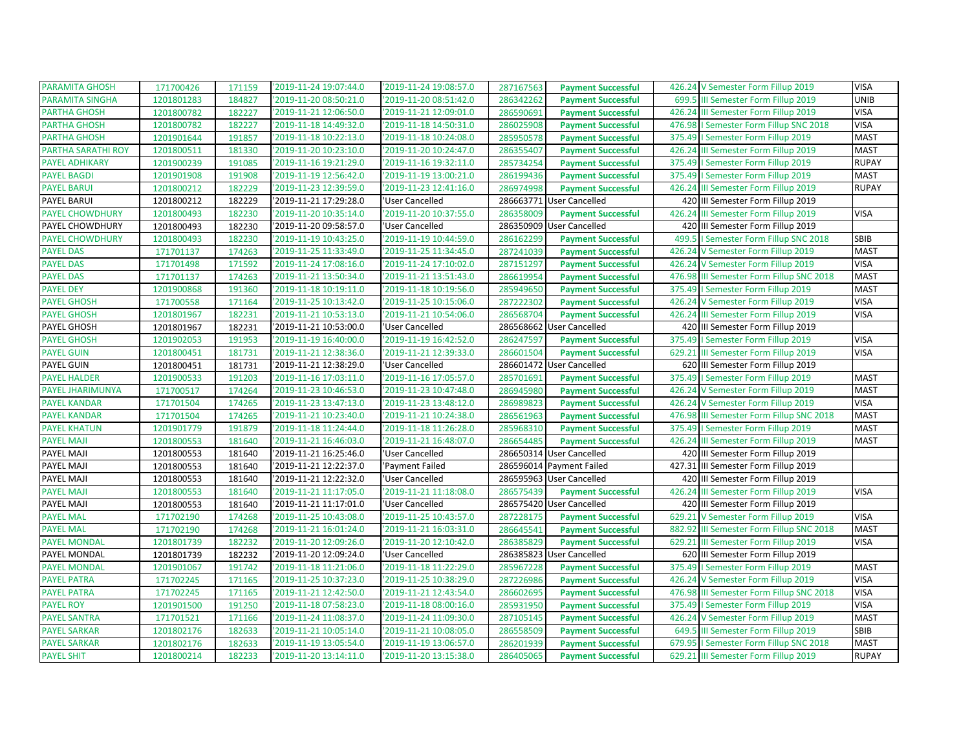| <b>PARAMITA GHOSH</b>  | 171700426  | 171159 | '2019-11-24 19:07:44.0 | '2019-11-24 19:08:57.0 | 287167563 | <b>Payment Successful</b> | 426.24 V Semester Form Fillup 2019          | <b>VISA</b>  |
|------------------------|------------|--------|------------------------|------------------------|-----------|---------------------------|---------------------------------------------|--------------|
| PARAMITA SINGHA        | 1201801283 | 184827 | '2019-11-20 08:50:21.0 | '2019-11-20 08:51:42.0 | 286342262 | <b>Payment Successful</b> | 699.5<br>III Semester Form Fillup 2019      | <b>UNIB</b>  |
| <b>PARTHA GHOSH</b>    | 1201800782 | 182227 | '2019-11-21 12:06:50.0 | '2019-11-21 12:09:01.0 | 286590691 | <b>Payment Successful</b> | 426.24 III Semester Form Fillup 2019        | <b>VISA</b>  |
| <b>PARTHA GHOSH</b>    | 1201800782 | 182227 | '2019-11-18 14:49:32.0 | '2019-11-18 14:50:31.0 | 286025908 | <b>Payment Successful</b> | 476.98   Semester Form Fillup SNC 2018      | <b>VISA</b>  |
| <b>PARTHA GHOSH</b>    | 1201901644 | 191857 | '2019-11-18 10:22:13.0 | '2019-11-18 10:24:08.0 | 285950578 | <b>Payment Successful</b> | I Semester Form Fillup 2019<br>375.49       | <b>MAST</b>  |
| PARTHA SARATHI ROY     | 1201800511 | 181330 | '2019-11-20 10:23:10.0 | '2019-11-20 10:24:47.0 | 286355407 | <b>Payment Successful</b> | 426.24 III Semester Form Fillup 2019        | <b>MAST</b>  |
| <b>PAYEL ADHIKARY</b>  | 1201900239 | 191085 | '2019-11-16 19:21:29.0 | '2019-11-16 19:32:11.0 | 285734254 | <b>Payment Successful</b> | 375.49   Semester Form Fillup 2019          | <b>RUPAY</b> |
| <b>PAYEL BAGDI</b>     | 1201901908 | 191908 | '2019-11-19 12:56:42.0 | '2019-11-19 13:00:21.0 | 286199436 | <b>Payment Successful</b> | 375.49   Semester Form Fillup 2019          | <b>MAST</b>  |
| <b>PAYEL BARUI</b>     | 1201800212 | 182229 | '2019-11-23 12:39:59.0 | '2019-11-23 12:41:16.0 | 286974998 | <b>Payment Successful</b> | 426.24 III Semester Form Fillup 2019        | <b>RUPAY</b> |
| PAYEL BARUI            | 1201800212 | 182229 | '2019-11-21 17:29:28.0 | 'User Cancelled        | 286663771 | <b>User Cancelled</b>     | 420 III Semester Form Fillup 2019           |              |
| <b>PAYEL CHOWDHURY</b> | 1201800493 | 182230 | '2019-11-20 10:35:14.0 | '2019-11-20 10:37:55.0 | 286358009 | <b>Payment Successful</b> | 426.24<br>III Semester Form Fillup 2019     | <b>VISA</b>  |
| PAYEL CHOWDHURY        | 1201800493 | 182230 | '2019-11-20 09:58:57.0 | 'User Cancelled        |           | 286350909 User Cancelled  | 420 III Semester Form Fillup 2019           |              |
| <b>PAYEL CHOWDHURY</b> | 1201800493 | 182230 | '2019-11-19 10:43:25.0 | '2019-11-19 10:44:59.0 | 286162299 | <b>Payment Successful</b> | 499.5<br>I Semester Form Fillup SNC 2018    | SBIB         |
| <b>PAYEL DAS</b>       | 171701137  | 174263 | '2019-11-25 11:33:49.0 | '2019-11-25 11:34:45.0 | 287241039 | <b>Payment Successful</b> | 426.24 V Semester Form Fillup 2019          | <b>MAST</b>  |
| <b>PAYEL DAS</b>       | 171701498  | 171592 | '2019-11-24 17:08:16.0 | '2019-11-24 17:10:02.0 | 287151297 | <b>Payment Successful</b> | 426.24 V Semester Form Fillup 2019          | <b>VISA</b>  |
| <b>PAYEL DAS</b>       | 171701137  | 174263 | '2019-11-21 13:50:34.0 | '2019-11-21 13:51:43.0 | 286619954 | <b>Payment Successful</b> | 476.98 III Semester Form Fillup SNC 2018    | <b>MAST</b>  |
| <b>PAYEL DEY</b>       | 1201900868 | 191360 | '2019-11-18 10:19:11.0 | '2019-11-18 10:19:56.0 | 285949650 | <b>Payment Successful</b> | 375.49   Semester Form Fillup 2019          | <b>MAST</b>  |
| <b>PAYEL GHOSH</b>     | 171700558  | 171164 | '2019-11-25 10:13:42.0 | '2019-11-25 10:15:06.0 | 287222302 | <b>Payment Successful</b> | 426.24 V Semester Form Fillup 2019          | <b>VISA</b>  |
| <b>PAYEL GHOSH</b>     | 1201801967 | 182231 | '2019-11-21 10:53:13.0 | '2019-11-21 10:54:06.0 | 286568704 | <b>Payment Successful</b> | 426.24 III Semester Form Fillup 2019        | <b>VISA</b>  |
| <b>PAYEL GHOSH</b>     | 1201801967 | 182231 | '2019-11-21 10:53:00.0 | 'User Cancelled        | 286568662 | <b>User Cancelled</b>     | 420 III Semester Form Fillup 2019           |              |
| <b>PAYEL GHOSH</b>     | 1201902053 | 191953 | '2019-11-19 16:40:00.0 | '2019-11-19 16:42:52.0 | 286247597 | <b>Payment Successful</b> | I Semester Form Fillup 2019<br>375.49       | <b>VISA</b>  |
| <b>PAYEL GUIN</b>      | 1201800451 | 181731 | '2019-11-21 12:38:36.0 | '2019-11-21 12:39:33.0 | 286601504 | <b>Payment Successful</b> | 629.21 III Semester Form Fillup 2019        | <b>VISA</b>  |
| PAYEL GUIN             | 1201800451 | 181731 | '2019-11-21 12:38:29.0 | 'User Cancelled        |           | 286601472 User Cancelled  | 620 III Semester Form Fillup 2019           |              |
| <b>PAYEL HALDER</b>    | 1201900533 | 191203 | '2019-11-16 17:03:11.0 | '2019-11-16 17:05:57.0 | 285701691 | <b>Payment Successful</b> | 375.49   Semester Form Fillup 2019          | <b>MAST</b>  |
| PAYEL JHARIMUNYA       | 171700517  | 174264 | '2019-11-23 10:46:53.0 | '2019-11-23 10:47:48.0 | 286945980 | <b>Payment Successful</b> | 426.24 V Semester Form Fillup 2019          | <b>MAST</b>  |
| <b>PAYEL KANDAR</b>    | 171701504  | 174265 | '2019-11-23 13:47:13.0 | '2019-11-23 13:48:12.0 | 286989823 | <b>Payment Successful</b> | 426.24 V Semester Form Fillup 2019          | <b>VISA</b>  |
| <b>PAYEL KANDAR</b>    | 171701504  | 174265 | '2019-11-21 10:23:40.0 | '2019-11-21 10:24:38.0 | 286561963 | <b>Payment Successful</b> | 476.98 III Semester Form Fillup SNC 2018    | <b>MAST</b>  |
| <b>PAYEL KHATUN</b>    | 1201901779 | 191879 | '2019-11-18 11:24:44.0 | '2019-11-18 11:26:28.0 | 285968310 | <b>Payment Successful</b> | 375.49   Semester Form Fillup 2019          | <b>MAST</b>  |
| <b>PAYEL MAJI</b>      | 1201800553 | 181640 | '2019-11-21 16:46:03.0 | '2019-11-21 16:48:07.0 | 286654485 | <b>Payment Successful</b> | 426.24 III Semester Form Fillup 2019        | <b>MAST</b>  |
| PAYEL MAJI             | 1201800553 | 181640 | '2019-11-21 16:25:46.0 | 'User Cancelled        |           | 286650314 User Cancelled  | 420 III Semester Form Fillup 2019           |              |
| PAYEL MAJI             | 1201800553 | 181640 | '2019-11-21 12:22:37.0 | 'Payment Failed        |           | 286596014 Payment Failed  | 427.31<br>III Semester Form Fillup 2019     |              |
| PAYEL MAJI             | 1201800553 | 181640 | '2019-11-21 12:22:32.0 | 'User Cancelled        |           | 286595963 User Cancelled  | 420 III Semester Form Fillup 2019           |              |
| <b>PAYEL MAJI</b>      | 1201800553 | 181640 | '2019-11-21 11:17:05.0 | '2019-11-21 11:18:08.0 | 286575439 | <b>Payment Successful</b> | 426.24<br>III Semester Form Fillup 2019     | <b>VISA</b>  |
| PAYEL MAJI             | 1201800553 | 181640 | '2019-11-21 11:17:01.0 | 'User Cancelled        |           | 286575420 User Cancelled  | 420 III Semester Form Fillup 2019           |              |
| <b>PAYEL MAL</b>       | 171702190  | 174268 | '2019-11-25 10:43:08.0 | '2019-11-25 10:43:57.0 | 287228175 | <b>Payment Successful</b> | 629.21 V Semester Form Fillup 2019          | <b>VISA</b>  |
| <b>PAYEL MAL</b>       | 171702190  | 174268 | '2019-11-21 16:01:24.0 | '2019-11-21 16:03:31.0 | 286645541 | <b>Payment Successful</b> | 882.92<br>III Semester Form Fillup SNC 2018 | <b>MAST</b>  |
| <b>PAYEL MONDAL</b>    | 1201801739 | 182232 | '2019-11-20 12:09:26.0 | '2019-11-20 12:10:42.0 | 286385829 | <b>Payment Successful</b> | 629.21 III Semester Form Fillup 2019        | <b>VISA</b>  |
| PAYEL MONDAL           | 1201801739 | 182232 | '2019-11-20 12:09:24.0 | 'User Cancelled        |           | 286385823 User Cancelled  | 620 III Semester Form Fillup 2019           |              |
| <b>PAYEL MONDAL</b>    | 1201901067 | 191742 | '2019-11-18 11:21:06.0 | '2019-11-18 11:22:29.0 | 285967228 | <b>Payment Successful</b> | 375.49   Semester Form Fillup 2019          | <b>MAST</b>  |
| <b>PAYEL PATRA</b>     | 171702245  | 171165 | '2019-11-25 10:37:23.0 | '2019-11-25 10:38:29.0 | 287226986 | <b>Payment Successful</b> | 426.24 V Semester Form Fillup 2019          | <b>VISA</b>  |
| <b>PAYEL PATRA</b>     | 171702245  | 171165 | '2019-11-21 12:42:50.0 | '2019-11-21 12:43:54.0 | 286602695 | <b>Payment Successful</b> | 476.98<br>III Semester Form Fillup SNC 2018 | <b>VISA</b>  |
| <b>PAYEL ROY</b>       | 1201901500 | 191250 | '2019-11-18 07:58:23.0 | '2019-11-18 08:00:16.0 | 285931950 | <b>Payment Successful</b> | I Semester Form Fillup 2019<br>375.49       | <b>VISA</b>  |
| <b>PAYEL SANTRA</b>    | 171701521  | 171166 | '2019-11-24 11:08:37.0 | '2019-11-24 11:09:30.0 | 287105145 | <b>Payment Successful</b> | 426.24 V Semester Form Fillup 2019          | <b>MAST</b>  |
| <b>PAYEL SARKAR</b>    | 1201802176 | 182633 | '2019-11-21 10:05:14.0 | '2019-11-21 10:08:05.0 | 286558509 | <b>Payment Successful</b> | 649.5 III Semester Form Fillup 2019         | SBIB         |
| <b>PAYEL SARKAR</b>    | 1201802176 | 182633 | '2019-11-19 13:05:54.0 | '2019-11-19 13:06:57.0 | 286201939 | <b>Payment Successful</b> | 679.95   Semester Form Fillup SNC 2018      | <b>MAST</b>  |
| <b>PAYEL SHIT</b>      | 1201800214 | 182233 | '2019-11-20 13:14:11.0 | '2019-11-20 13:15:38.0 | 286405065 | <b>Payment Successful</b> | 629.21 III Semester Form Fillup 2019        | <b>RUPAY</b> |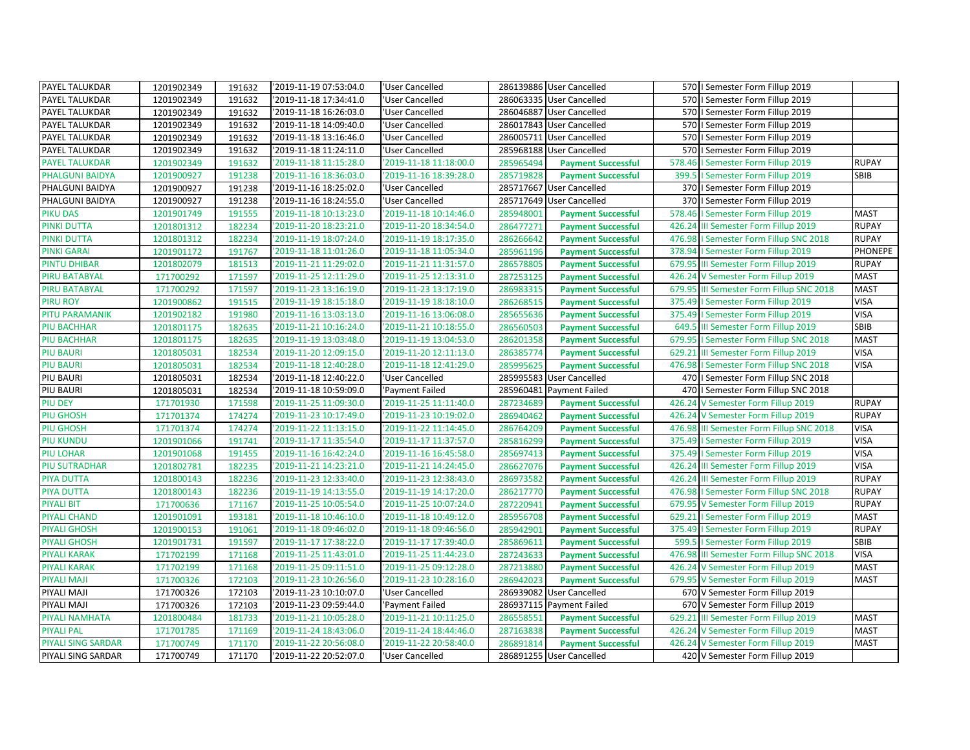| PAYEL TALUKDAR        | 1201902349 | 191632 | '2019-11-19 07:53:04.0 | 'User Cancelled        | 286139886 User Cancelled |                           | 570   Semester Form Fillup 2019          |                |
|-----------------------|------------|--------|------------------------|------------------------|--------------------------|---------------------------|------------------------------------------|----------------|
| PAYEL TALUKDAR        | 1201902349 | 191632 | 2019-11-18 17:34:41.0  | 'User Cancelled        | 286063335 User Cancelled |                           | 570   Semester Form Fillup 2019          |                |
| PAYEL TALUKDAR        | 1201902349 | 191632 | 2019-11-18 16:26:03.0  | 'User Cancelled        | 286046887 User Cancelled |                           | 570   Semester Form Fillup 2019          |                |
| PAYEL TALUKDAR        | 1201902349 | 191632 | '2019-11-18 14:09:40.0 | 'User Cancelled        | 286017843 User Cancelled |                           | 570   Semester Form Fillup 2019          |                |
| PAYEL TALUKDAR        | 1201902349 | 191632 | 2019-11-18 13:16:46.0  | 'User Cancelled        | 286005711 User Cancelled |                           | 570   Semester Form Fillup 2019          |                |
| PAYEL TALUKDAR        | 1201902349 | 191632 | '2019-11-18 11:24:11.0 | 'User Cancelled        | 285968188 User Cancelled |                           | 570   Semester Form Fillup 2019          |                |
| <b>PAYEL TALUKDAR</b> | 1201902349 | 191632 | '2019-11-18 11:15:28.0 | '2019-11-18 11:18:00.0 | 285965494                | <b>Payment Successful</b> | 578.46   Semester Form Fillup 2019       | <b>RUPAY</b>   |
| PHALGUNI BAIDYA       | 1201900927 | 191238 | 2019-11-16 18:36:03.0  | '2019-11-16 18:39:28.0 | 285719828                | <b>Payment Successful</b> | 399.5   Semester Form Fillup 2019        | SBIB           |
| PHALGUNI BAIDYA       | 1201900927 | 191238 | 2019-11-16 18:25:02.0  | 'User Cancelled        | 285717667 User Cancelled |                           | 370   Semester Form Fillup 2019          |                |
| PHALGUNI BAIDYA       | 1201900927 | 191238 | '2019-11-16 18:24:55.0 | 'User Cancelled        | 285717649 User Cancelled |                           | 370   Semester Form Fillup 2019          |                |
| <b>PIKU DAS</b>       | 1201901749 | 191555 | '2019-11-18 10:13:23.0 | '2019-11-18 10:14:46.0 | 285948001                | <b>Payment Successful</b> | 578.46   Semester Form Fillup 2019       | <b>MAST</b>    |
| <b>PINKI DUTTA</b>    | 1201801312 | 182234 | '2019-11-20 18:23:21.0 | '2019-11-20 18:34:54.0 | 286477271                | <b>Payment Successful</b> | 426.24 III Semester Form Fillup 2019     | <b>RUPAY</b>   |
| <b>PINKI DUTTA</b>    | 1201801312 | 182234 | '2019-11-19 18:07:24.0 | '2019-11-19 18:17:35.0 | 286266642                | <b>Payment Successful</b> | 476.98   Semester Form Fillup SNC 2018   | <b>RUPAY</b>   |
| <b>PINKI GARAI</b>    | 1201901172 | 191767 | '2019-11-18 11:01:26.0 | '2019-11-18 11:05:34.0 | 285961196                | <b>Payment Successful</b> | 378.94   Semester Form Fillup 2019       | <b>PHONEPE</b> |
| <b>PINTU DHIBAR</b>   | 1201802079 | 181513 | '2019-11-21 11:29:02.0 | '2019-11-21 11:31:57.0 | 286578805                | <b>Payment Successful</b> | 679.95 III Semester Form Fillup 2019     | <b>RUPAY</b>   |
| PIRU BATABYAL         | 171700292  | 171597 | '2019-11-25 12:11:29.0 | '2019-11-25 12:13:31.0 | 287253125                | <b>Payment Successful</b> | 426.24 V Semester Form Fillup 2019       | <b>MAST</b>    |
| <b>PIRU BATABYAL</b>  | 171700292  | 171597 | '2019-11-23 13:16:19.0 | '2019-11-23 13:17:19.0 | 286983315                | <b>Payment Successful</b> | 679.95 III Semester Form Fillup SNC 2018 | <b>MAST</b>    |
| <b>PIRU ROY</b>       | 1201900862 | 191515 | '2019-11-19 18:15:18.0 | '2019-11-19 18:18:10.0 | 286268515                | <b>Payment Successful</b> | 375.49   Semester Form Fillup 2019       | <b>VISA</b>    |
| PITU PARAMANIK        | 1201902182 | 191980 | '2019-11-16 13:03:13.0 | '2019-11-16 13:06:08.0 | 285655636                | <b>Payment Successful</b> | 375.49   Semester Form Fillup 2019       | <b>VISA</b>    |
| <b>PIU BACHHAR</b>    | 1201801175 | 182635 | '2019-11-21 10:16:24.0 | '2019-11-21 10:18:55.0 | 286560503                | <b>Payment Successful</b> | 649.5 III Semester Form Fillup 2019      | <b>SBIB</b>    |
| <b>PIU BACHHAR</b>    | 1201801175 | 182635 | '2019-11-19 13:03:48.0 | '2019-11-19 13:04:53.0 | 286201358                | <b>Payment Successful</b> | 679.95   Semester Form Fillup SNC 2018   | <b>MAST</b>    |
| <b>PIU BAURI</b>      | 1201805031 | 182534 | '2019-11-20 12:09:15.0 | '2019-11-20 12:11:13.0 | 286385774                | <b>Payment Successful</b> | 629.21 III Semester Form Fillup 2019     | <b>VISA</b>    |
| <b>PIU BAURI</b>      | 1201805031 | 182534 | '2019-11-18 12:40:28.0 | '2019-11-18 12:41:29.0 | 285995625                | <b>Payment Successful</b> | 476.98   Semester Form Fillup SNC 2018   | <b>VISA</b>    |
|                       |            |        |                        |                        |                          |                           |                                          |                |
| PIU BAURI             | 1201805031 | 182534 | '2019-11-18 12:40:22.0 | 'User Cancelled        | 285995583 User Cancelled |                           | 470   Semester Form Fillup SNC 2018      |                |
| PIU BAURI             | 1201805031 | 182534 | '2019-11-18 10:59:09.0 | 'Payment Failed        | 285960481 Payment Failed |                           | 470   Semester Form Fillup SNC 2018      |                |
| PIU DEY               | 171701930  | 171598 | '2019-11-25 11:09:30.0 | '2019-11-25 11:11:40.0 | 287234689                | <b>Payment Successful</b> | 426.24 V Semester Form Fillup 2019       | <b>RUPAY</b>   |
| <b>PIU GHOSH</b>      | 171701374  | 174274 | 2019-11-23 10:17:49.0  | '2019-11-23 10:19:02.0 | 286940462                | <b>Payment Successful</b> | 426.24 V Semester Form Fillup 2019       | <b>RUPAY</b>   |
| <b>PIU GHOSH</b>      | 171701374  | 174274 | '2019-11-22 11:13:15.0 | '2019-11-22 11:14:45.0 | 286764209                | <b>Payment Successful</b> | 476.98 III Semester Form Fillup SNC 2018 | <b>VISA</b>    |
| <b>PIU KUNDU</b>      | 1201901066 | 191741 | '2019-11-17 11:35:54.0 | '2019-11-17 11:37:57.0 | 285816299                | <b>Payment Successful</b> | 375.49   Semester Form Fillup 2019       | <b>VISA</b>    |
| <b>PIU LOHAR</b>      | 1201901068 | 191455 | '2019-11-16 16:42:24.0 | '2019-11-16 16:45:58.0 | 285697413                | <b>Payment Successful</b> | 375.49   Semester Form Fillup 2019       | <b>VISA</b>    |
| <b>PIU SUTRADHAR</b>  | 1201802781 | 182235 | '2019-11-21 14:23:21.0 | '2019-11-21 14:24:45.0 | 286627076                | <b>Payment Successful</b> | 426.24 III Semester Form Fillup 2019     | <b>VISA</b>    |
| <b>PIYA DUTTA</b>     | 1201800143 | 182236 | '2019-11-23 12:33:40.0 | '2019-11-23 12:38:43.0 | 286973582                | <b>Payment Successful</b> | 426.24 III Semester Form Fillup 2019     | <b>RUPAY</b>   |
| <b>PIYA DUTTA</b>     | 1201800143 | 182236 | '2019-11-19 14:13:55.0 | '2019-11-19 14:17:20.0 | 286217770                | <b>Payment Successful</b> | 476.98   Semester Form Fillup SNC 2018   | <b>RUPAY</b>   |
| <b>PIYALI BIT</b>     | 171700636  | 171167 | '2019-11-25 10:05:54.0 | '2019-11-25 10:07:24.0 | 287220941                | <b>Payment Successful</b> | 679.95 V Semester Form Fillup 2019       | <b>RUPAY</b>   |
| <b>PIYALI CHAND</b>   | 1201901091 | 193181 | '2019-11-18 10:46:10.0 | '2019-11-18 10:49:12.0 | 285956708                | <b>Payment Successful</b> | 629.21   Semester Form Fillup 2019       | <b>MAST</b>    |
| <b>PIYALI GHOSH</b>   | 1201900153 | 191061 | '2019-11-18 09:46:02.0 | '2019-11-18 09:46:56.0 | 285942901                | <b>Payment Successful</b> | 375.49   Semester Form Fillup 2019       | <b>RUPAY</b>   |
| <b>PIYALI GHOSH</b>   | 1201901731 | 191597 | '2019-11-17 17:38:22.0 | '2019-11-17 17:39:40.0 | 285869611                | <b>Payment Successful</b> | 599.5   Semester Form Fillup 2019        | SBIB           |
| <b>PIYALI KARAK</b>   | 171702199  | 171168 | '2019-11-25 11:43:01.0 | '2019-11-25 11:44:23.0 | 287243633                | <b>Payment Successful</b> | 476.98 III Semester Form Fillup SNC 2018 | <b>VISA</b>    |
| <b>PIYALI KARAK</b>   | 171702199  | 171168 | '2019-11-25 09:11:51.0 | '2019-11-25 09:12:28.0 | 287213880                | <b>Payment Successful</b> | 426.24 V Semester Form Fillup 2019       | <b>MAST</b>    |
| <b>PIYALI MAJI</b>    | 171700326  | 172103 | '2019-11-23 10:26:56.0 | '2019-11-23 10:28:16.0 | 286942023                | <b>Payment Successful</b> | 679.95 V Semester Form Fillup 2019       | <b>MAST</b>    |
| PIYALI MAJI           | 171700326  | 172103 | '2019-11-23 10:10:07.0 | 'User Cancelled        | 286939082 User Cancelled |                           | 670 V Semester Form Fillup 2019          |                |
| PIYALI MAJI           | 171700326  | 172103 | '2019-11-23 09:59:44.0 | 'Payment Failed        | 286937115 Payment Failed |                           | 670 V Semester Form Fillup 2019          |                |
| PIYALI NAMHATA        | 1201800484 | 181733 | '2019-11-21 10:05:28.0 | '2019-11-21 10:11:25.0 | 286558551                | <b>Payment Successful</b> | 629.21 III Semester Form Fillup 2019     | <b>MAST</b>    |
| <b>PIYALI PAL</b>     | 171701785  | 171169 | 2019-11-24 18:43:06.0  | '2019-11-24 18:44:46.0 | 287163838                | <b>Payment Successful</b> | 426.24 V Semester Form Fillup 2019       | <b>MAST</b>    |
| PIYALI SING SARDAR    | 171700749  | 171170 | '2019-11-22 20:56:08.0 | '2019-11-22 20:58:40.0 | 286891814                | <b>Payment Successful</b> | 426.24 V Semester Form Fillup 2019       | <b>MAST</b>    |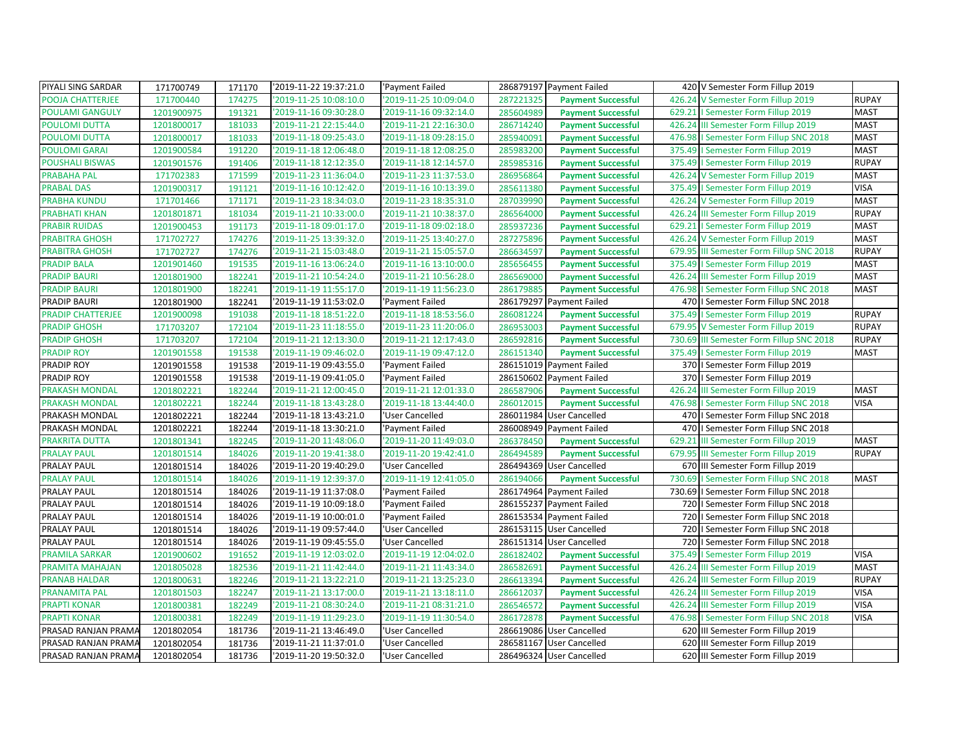| PIYALI SING SARDAR     | 171700749  | 171170 | '2019-11-22 19:37:21.0 | 'Payment Failed        |           | 286879197 Payment Failed  |        | 420 V Semester Form Fillup 2019          |              |
|------------------------|------------|--------|------------------------|------------------------|-----------|---------------------------|--------|------------------------------------------|--------------|
| POOJA CHATTERJEE       | 171700440  | 174275 | 2019-11-25 10:08:10.0  | 2019-11-25 10:09:04.0  | 287221325 | <b>Payment Successful</b> | 426.24 | V Semester Form Fillup 2019              | <b>RUPAY</b> |
| <b>POULAMI GANGULY</b> | 1201900975 | 191321 | '2019-11-16 09:30:28.0 | 2019-11-16 09:32:14.0  | 285604989 | <b>Payment Successful</b> |        | 629.21   Semester Form Fillup 2019       | <b>MAST</b>  |
| <b>POULOMI DUTTA</b>   | 1201800017 | 181033 | '2019-11-21 22:15:44.0 | '2019-11-21 22:16:30.0 | 286714240 | <b>Payment Successful</b> | 426.24 | III Semester Form Fillup 2019            | <b>MAST</b>  |
| <b>POULOMI DUTTA</b>   | 1201800017 | 181033 | '2019-11-18 09:25:43.0 | '2019-11-18 09:28:15.0 | 285940091 | <b>Payment Successful</b> | 476.98 | I Semester Form Fillup SNC 2018          | <b>MAST</b>  |
| <b>POULOMI GARAI</b>   | 1201900584 | 191220 | '2019-11-18 12:06:48.0 | 2019-11-18 12:08:25.0  | 285983200 | <b>Payment Successful</b> |        | 375.49   Semester Form Fillup 2019       | <b>MAST</b>  |
| <b>POUSHALI BISWAS</b> | 1201901576 | 191406 | '2019-11-18 12:12:35.0 | '2019-11-18 12:14:57.0 | 285985316 | <b>Payment Successful</b> |        | 375.49   Semester Form Fillup 2019       | <b>RUPAY</b> |
| <b>PRABAHA PAL</b>     | 171702383  | 171599 | '2019-11-23 11:36:04.0 | '2019-11-23 11:37:53.0 | 286956864 | <b>Payment Successful</b> |        | 426.24 V Semester Form Fillup 2019       | <b>MAST</b>  |
| <b>PRABAL DAS</b>      | 1201900317 | 191121 | '2019-11-16 10:12:42.0 | '2019-11-16 10:13:39.0 | 285611380 | <b>Payment Successful</b> |        | 375.49   Semester Form Fillup 2019       | <b>VISA</b>  |
| <b>PRABHA KUNDU</b>    | 171701466  | 171171 | '2019-11-23 18:34:03.0 | '2019-11-23 18:35:31.0 | 287039990 | <b>Payment Successful</b> | 426.24 | V Semester Form Fillup 2019              | <b>MAST</b>  |
| <b>PRABHATI KHAN</b>   | 1201801871 | 181034 | '2019-11-21 10:33:00.0 | 2019-11-21 10:38:37.0  | 286564000 | <b>Payment Successful</b> |        | 426.24 III Semester Form Fillup 2019     | <b>RUPAY</b> |
| <b>PRABIR RUIDAS</b>   | 1201900453 | 191173 | '2019-11-18 09:01:17.0 | '2019-11-18 09:02:18.0 | 285937236 | <b>Payment Successful</b> |        | 629.21   Semester Form Fillup 2019       | <b>MAST</b>  |
| <b>PRABITRA GHOSH</b>  | 171702727  | 174276 | '2019-11-25 13:39:32.0 | '2019-11-25 13:40:27.0 | 287275896 | <b>Payment Successful</b> |        | 426.24 V Semester Form Fillup 2019       | <b>MAST</b>  |
| <b>PRABITRA GHOSH</b>  | 171702727  | 174276 | '2019-11-21 15:03:48.0 | '2019-11-21 15:05:57.0 | 286634597 | <b>Payment Successful</b> |        | 679.95 III Semester Form Fillup SNC 2018 | <b>RUPAY</b> |
| <b>PRADIP BALA</b>     | 1201901460 | 191535 | '2019-11-16 13:06:24.0 | '2019-11-16 13:10:00.0 | 285656455 | <b>Payment Successful</b> |        | 375.49   Semester Form Fillup 2019       | <b>MAST</b>  |
| <b>PRADIP BAURI</b>    | 1201801900 | 182241 | '2019-11-21 10:54:24.0 | '2019-11-21 10:56:28.0 | 286569000 | <b>Payment Successful</b> |        | 426.24 III Semester Form Fillup 2019     | <b>MAST</b>  |
| <b>PRADIP BAURI</b>    | 1201801900 | 182241 | '2019-11-19 11:55:17.0 | '2019-11-19 11:56:23.0 | 286179885 | <b>Payment Successful</b> |        | 476.98   Semester Form Fillup SNC 2018   | <b>MAST</b>  |
| PRADIP BAURI           | 1201801900 | 182241 | '2019-11-19 11:53:02.0 | 'Payment Failed        |           | 286179297 Payment Failed  |        | 470   Semester Form Fillup SNC 2018      |              |
| PRADIP CHATTERJEE      | 1201900098 | 191038 | '2019-11-18 18:51:22.0 | 2019-11-18 18:53:56.0  | 286081224 | <b>Payment Successful</b> |        | 375.49   Semester Form Fillup 2019       | <b>RUPAY</b> |
| <b>PRADIP GHOSH</b>    | 171703207  | 172104 | '2019-11-23 11:18:55.0 | '2019-11-23 11:20:06.0 | 286953003 | <b>Payment Successful</b> |        | 679.95 V Semester Form Fillup 2019       | <b>RUPAY</b> |
| <b>PRADIP GHOSH</b>    | 171703207  | 172104 | '2019-11-21 12:13:30.0 | '2019-11-21 12:17:43.0 | 286592816 | <b>Payment Successful</b> |        | 730.69 III Semester Form Fillup SNC 2018 | <b>RUPAY</b> |
| <b>PRADIP ROY</b>      | 1201901558 | 191538 | '2019-11-19 09:46:02.0 | '2019-11-19 09:47:12.0 | 286151340 | <b>Payment Successful</b> | 375.49 | I Semester Form Fillup 2019              | <b>MAST</b>  |
| PRADIP ROY             | 1201901558 | 191538 | '2019-11-19 09:43:55.0 | 'Payment Failed        |           | 286151019 Payment Failed  |        | 370   Semester Form Fillup 2019          |              |
| PRADIP ROY             | 1201901558 | 191538 | '2019-11-19 09:41:05.0 | 'Payment Failed        |           | 286150602 Payment Failed  |        | 370   Semester Form Fillup 2019          |              |
| <b>PRAKASH MONDAL</b>  | 1201802221 | 182244 | '2019-11-21 12:00:45.0 | '2019-11-21 12:01:33.0 | 286587906 | <b>Payment Successful</b> | 426.24 | III Semester Form Fillup 2019            | <b>MAST</b>  |
| <b>PRAKASH MONDAL</b>  | 1201802221 | 182244 | '2019-11-18 13:43:28.0 | '2019-11-18 13:44:40.0 | 286012015 | <b>Payment Successful</b> | 476.98 | I Semester Form Fillup SNC 2018          | <b>VISA</b>  |
| PRAKASH MONDAL         | 1201802221 | 182244 | '2019-11-18 13:43:21.0 | 'User Cancelled        |           | 286011984 User Cancelled  |        | 470   Semester Form Fillup SNC 2018      |              |
| PRAKASH MONDAL         | 1201802221 | 182244 | '2019-11-18 13:30:21.0 | 'Payment Failed        |           | 286008949 Payment Failed  |        | 470   Semester Form Fillup SNC 2018      |              |
| PRAKRITA DUTTA         | 1201801341 | 182245 | '2019-11-20 11:48:06.0 | '2019-11-20 11:49:03.0 | 286378450 | <b>Payment Successful</b> | 629.21 | III Semester Form Fillup 2019            | <b>MAST</b>  |
| <b>PRALAY PAUL</b>     | 1201801514 | 184026 | '2019-11-20 19:41:38.0 | 2019-11-20 19:42:41.0  | 286494589 | <b>Payment Successful</b> | 679.95 | III Semester Form Fillup 2019            | <b>RUPAY</b> |
| PRALAY PAUL            | 1201801514 | 184026 | '2019-11-20 19:40:29.0 | 'User Cancelled        |           | 286494369 User Cancelled  |        | 670 III Semester Form Fillup 2019        |              |
| <b>PRALAY PAUL</b>     | 1201801514 | 184026 | '2019-11-19 12:39:37.0 | 2019-11-19 12:41:05.0  | 286194066 | <b>Payment Successful</b> |        | 730.69   Semester Form Fillup SNC 2018   | <b>MAST</b>  |
| PRALAY PAUL            | 1201801514 | 184026 | '2019-11-19 11:37:08.0 | 'Payment Failed        |           | 286174964 Payment Failed  |        | 730.69   Semester Form Fillup SNC 2018   |              |
| PRALAY PAUL            | 1201801514 | 184026 | '2019-11-19 10:09:18.0 | 'Payment Failed        |           | 286155237 Payment Failed  |        | 720   Semester Form Fillup SNC 2018      |              |
| PRALAY PAUL            | 1201801514 | 184026 | '2019-11-19 10:00:01.0 | 'Payment Failed        |           | 286153534 Payment Failed  |        | 720   Semester Form Fillup SNC 2018      |              |
| PRALAY PAUL            | 1201801514 | 184026 | '2019-11-19 09:57:44.0 | 'User Cancelled        |           | 286153115 User Cancelled  |        | 720   Semester Form Fillup SNC 2018      |              |
| PRALAY PAUL            | 1201801514 | 184026 | '2019-11-19 09:45:55.0 | 'User Cancelled        |           | 286151314 User Cancelled  | 720    | I Semester Form Fillup SNC 2018          |              |
| PRAMILA SARKAR         | 1201900602 | 191652 | '2019-11-19 12:03:02.0 | 2019-11-19 12:04:02.0  | 286182402 | <b>Payment Successful</b> | 375.49 | I Semester Form Fillup 2019              | <b>VISA</b>  |
| PRAMITA MAHAJAN        | 1201805028 | 182536 | '2019-11-21 11:42:44.0 | 2019-11-21 11:43:34.0  | 286582691 | <b>Payment Successful</b> | 426.24 | III Semester Form Fillup 2019            | <b>MAST</b>  |
| <b>PRANAB HALDAR</b>   | 1201800631 | 182246 | '2019-11-21 13:22:21.0 | '2019-11-21 13:25:23.0 | 286613394 | <b>Payment Successful</b> |        | 426.24 III Semester Form Fillup 2019     | <b>RUPAY</b> |
| <b>PRANAMITA PAL</b>   | 1201801503 | 182247 | '2019-11-21 13:17:00.0 | '2019-11-21 13:18:11.0 | 286612037 | <b>Payment Successful</b> | 426.24 | III Semester Form Fillup 2019            | <b>VISA</b>  |
| <b>PRAPTI KONAR</b>    | 1201800381 | 182249 | '2019-11-21 08:30:24.0 | 2019-11-21 08:31:21.0  | 286546572 | <b>Payment Successful</b> | 426.24 | III Semester Form Fillup 2019            | <b>VISA</b>  |
| <b>PRAPTI KONAR</b>    | 1201800381 | 182249 | '2019-11-19 11:29:23.0 | 2019-11-19 11:30:54.0  | 286172878 | <b>Payment Successful</b> |        | 476.98   Semester Form Fillup SNC 2018   | <b>VISA</b>  |
| PRASAD RANJAN PRAMA    | 1201802054 | 181736 | 2019-11-21 13:46:49.0  | 'User Cancelled        |           | 286619086 User Cancelled  |        | 620 III Semester Form Fillup 2019        |              |
| PRASAD RANJAN PRAMA    | 1201802054 | 181736 | '2019-11-21 11:37:01.0 | 'User Cancelled        |           | 286581167 User Cancelled  | 620    | III Semester Form Fillup 2019            |              |
| PRASAD RANJAN PRAMA    | 1201802054 | 181736 | '2019-11-20 19:50:32.0 | 'User Cancelled        |           | 286496324 User Cancelled  |        | 620 III Semester Form Fillup 2019        |              |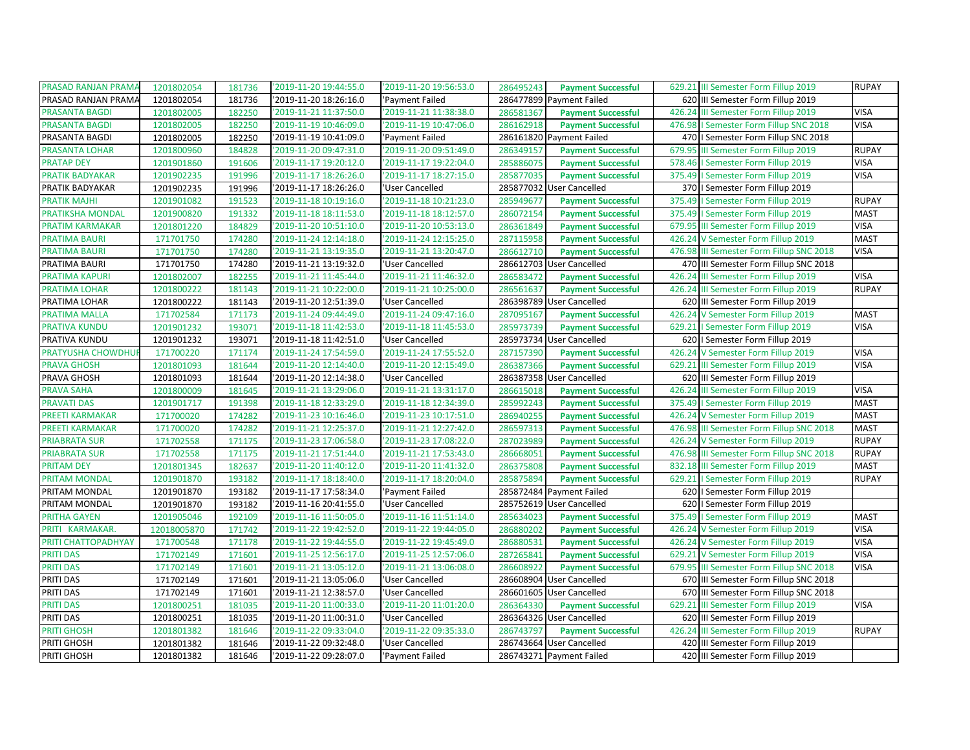| PRASAD RANJAN PRAMA<br>629.21 III Semester Form Fillup 2019<br>1201802054<br>'2019-11-20 19:44:55.0<br>'2019-11-20 19:56:53.0<br>286495243<br>181736<br><b>Payment Successful</b>     |             | <b>RUPAY</b> |
|---------------------------------------------------------------------------------------------------------------------------------------------------------------------------------------|-------------|--------------|
| PRASAD RANJAN PRAMA<br>2019-11-20 18:26:16.0<br>286477899 Payment Failed<br>620 III Semester Form Fillup 2019<br>1201802054<br>181736<br>'Payment Failed                              |             |              |
| 426.24 III Semester Form Fillup 2019<br><b>PRASANTA BAGDI</b><br>1201802005<br>182250<br>'2019-11-21 11:37:50.0<br>'2019-11-21 11:38:38.0<br>286581367<br><b>Payment Successful</b>   | <b>VISA</b> |              |
| <b>PRASANTA BAGDI</b><br>'2019-11-19 10:46:09.0<br>'2019-11-19 10:47:06.0<br>182250<br>286162918<br>476.98   Semester Form Fillup SNC 2018<br>1201802005<br><b>Payment Successful</b> | <b>VISA</b> |              |
| PRASANTA BAGDI<br>182250<br>'2019-11-19 10:41:09.0<br>1201802005<br>'Payment Failed<br>286161820 Payment Failed<br>470   Semester Form Fillup SNC 2018                                |             |              |
| PRASANTA LOHAR<br>2019-11-20 09:47:31.0<br>'2019-11-20 09:51:49.0<br>679.95 III Semester Form Fillup 2019<br>1201800960<br>184828<br>286349157<br><b>Payment Successful</b>           |             | <b>RUPAY</b> |
| <b>PRATAP DEY</b><br>191606<br>'2019-11-17 19:20:12.0<br>'2019-11-17 19:22:04.0<br>285886075<br><b>Payment Successful</b><br>1201901860<br>578.46   Semester Form Fillup 2019         | <b>VISA</b> |              |
| 2019-11-17 18:26:26.0<br>'2019-11-17 18:27:15.0<br>375.49   Semester Form Fillup 2019<br>PRATIK BADYAKAR<br>1201902235<br>191996<br>285877035<br><b>Payment Successful</b>            | <b>VISA</b> |              |
| PRATIK BADYAKAR<br>1201902235<br>191996<br>'2019-11-17 18:26:26.0<br>285877032 User Cancelled<br>370   Semester Form Fillup 2019<br>'User Cancelled                                   |             |              |
| <b>PRATIK MAJHI</b><br>'2019-11-18 10:19:16.0<br>'2019-11-18 10:21:23.0<br>375.49   Semester Form Fillup 2019<br>1201901082<br>191523<br>285949677<br><b>Payment Successful</b>       |             | <b>RUPAY</b> |
| PRATIKSHA MONDAL<br>1201900820<br>191332<br>'2019-11-18 18:11:53.0<br>'2019-11-18 18:12:57.0<br>286072154<br><b>Payment Successful</b><br>375.49   Semester Form Fillup 2019          | <b>MAST</b> |              |
| PRATIM KARMAKAR<br>'2019-11-20 10:51:10.0<br>'2019-11-20 10:53:13.0<br>679.95 III Semester Form Fillup 2019<br>1201801220<br>184829<br>286361849<br><b>Payment Successful</b>         | <b>VISA</b> |              |
| 174280<br><b>PRATIMA BAURI</b><br>171701750<br>'2019-11-24 12:14:18.0<br>'2019-11-24 12:15:25.0<br>287115958<br><b>Payment Successful</b><br>426.24 V Semester Form Fillup 2019       | <b>MAST</b> |              |
| <b>PRATIMA BAURI</b><br>'2019-11-21 13:19:35.0<br>'2019-11-21 13:20:47.0<br>476.98 III Semester Form Fillup SNC 2018<br>174280<br>286612710<br>171701750<br><b>Payment Successful</b> | <b>VISA</b> |              |
| PRATIMA BAURI<br>171701750<br>174280<br>'2019-11-21 13:19:32.0<br>'User Cancelled<br>286612703 User Cancelled<br>470 III Semester Form Fillup SNC 2018                                |             |              |
| PRATIMA KAPURI<br>'2019-11-21 11:45:44.0<br>'2019-11-21 11:46:32.0<br>426.24 III Semester Form Fillup 2019<br>1201802007<br>182255<br>286583472<br><b>Payment Successful</b>          | <b>VISA</b> |              |
| '2019-11-21 10:22:00.0<br>286561637<br>PRATIMA LOHAR<br>1201800222<br>181143<br>'2019-11-21 10:25:00.0<br><b>Payment Successful</b><br>426.24 III Semester Form Fillup 2019           |             | <b>RUPAY</b> |
| PRATIMA LOHAR<br>181143<br>'2019-11-20 12:51:39.0<br>'User Cancelled<br>286398789 User Cancelled<br>620 III Semester Form Fillup 2019<br>1201800222                                   |             |              |
| PRATIMA MALLA<br>171702584<br>171173<br>'2019-11-24 09:44:49.0<br>'2019-11-24 09:47:16.0<br>287095167<br><b>Payment Successful</b><br>426.24 V Semester Form Fillup 2019              | <b>MAST</b> |              |
| '2019-11-18 11:42:53.0<br>'2019-11-18 11:45:53.0<br>629.21   Semester Form Fillup 2019<br>PRATIVA KUNDU<br>1201901232<br>193071<br>285973739<br><b>Payment Successful</b>             | <b>VISA</b> |              |
| PRATIVA KUNDU<br>'2019-11-18 11:42:51.0<br>'User Cancelled<br>285973734 User Cancelled<br>620   Semester Form Fillup 2019<br>1201901232<br>193071                                     |             |              |
| PRATYUSHA CHOWDHUI<br>171700220<br>171174<br>'2019-11-24 17:54:59.0<br>'2019-11-24 17:55:52.0<br>287157390<br><b>Payment Successful</b><br>426.24 V Semester Form Fillup 2019         | <b>VISA</b> |              |
| <b>PRAVA GHOSH</b><br>'2019-11-20 12:14:40.0<br>'2019-11-20 12:15:49.0<br>629.21 III Semester Form Fillup 2019<br>1201801093<br>181644<br>286387366<br><b>Payment Successful</b>      | <b>VISA</b> |              |
| 286387358 User Cancelled<br>620 III Semester Form Fillup 2019<br>PRAVA GHOSH<br>1201801093<br>181644<br>'2019-11-20 12:14:38.0<br>'User Cancelled                                     |             |              |
| <b>PRAVA SAHA</b><br>'2019-11-21 13:29:06.0<br>'2019-11-21 13:31:17.0<br>426.24 III Semester Form Fillup 2019<br>1201800009<br>181645<br>286615018<br><b>Payment Successful</b>       | <b>VISA</b> |              |
| <b>PRAVATI DAS</b><br>'2019-11-18 12:33:29.0<br>'2019-11-18 12:34:39.0<br>375.49   Semester Form Fillup 2019<br>1201901717<br>191398<br>285992243<br><b>Payment Successful</b>        | <b>MAST</b> |              |
| PREETI KARMAKAR<br>'2019-11-23 10:16:46.0<br>'2019-11-23 10:17:51.0<br>426.24 V Semester Form Fillup 2019<br>171700020<br>174282<br>286940255<br><b>Payment Successful</b>            | <b>MAST</b> |              |
| PREETI KARMAKAR<br>171700020<br>174282<br>'2019-11-21 12:25:37.0<br>'2019-11-21 12:27:42.0<br>286597313<br>476.98 III Semester Form Fillup SNC 2018<br><b>Payment Successful</b>      | <b>MAST</b> |              |
| <b>PRIABRATA SUR</b><br>'2019-11-23 17:06:58.0<br>'2019-11-23 17:08:22.0<br>426.24 V Semester Form Fillup 2019<br>171702558<br>171175<br>287023989<br><b>Payment Successful</b>       |             | <b>RUPAY</b> |
| <b>PRIABRATA SUR</b><br>171702558<br>171175<br>'2019-11-21 17:51:44.0<br>'2019-11-21 17:53:43.0<br>286668051<br><b>Payment Successful</b><br>476.98 III Semester Form Fillup SNC 2018 |             | <b>RUPAY</b> |
| <b>PRITAM DEY</b><br>'2019-11-20 11:40:12.0<br>'2019-11-20 11:41:32.0<br>182637<br>286375808<br>832.18 III Semester Form Fillup 2019<br>1201801345<br><b>Payment Successful</b>       |             | <b>MAST</b>  |
| 193182<br>629.21   Semester Form Fillup 2019<br><b>PRITAM MONDAL</b><br>1201901870<br>2019-11-17 18:18:40.0<br>'2019-11-17 18:20:04.0<br>285875894<br><b>Payment Successful</b>       |             | <b>RUPAY</b> |
| 285872484 Payment Failed<br>PRITAM MONDAL<br>2019-11-17 17:58:34.0<br>1201901870<br>193182<br>'Payment Failed<br>620   Semester Form Fillup 2019                                      |             |              |
| 193182<br>'2019-11-16 20:41:55.0<br>PRITAM MONDAL<br>1201901870<br>'User Cancelled<br>285752619 User Cancelled<br>620   Semester Form Fillup 2019                                     |             |              |
| PRITHA GAYEN<br>2019-11-16 11:50:05.0<br>'2019-11-16 11:51:14.0<br>375.49   Semester Form Fillup 2019<br>1201905046<br>192109<br>285634023<br><b>Payment Successful</b>               | <b>MAST</b> |              |
| PRITI KARMAKAR.<br>12018005870<br>171742<br>'2019-11-22 19:42:52.0<br>'2019-11-22 19:44:05.0<br>286880202<br><b>Payment Successful</b><br>426.24 V Semester Form Fillup 2019          | <b>VISA</b> |              |
| PRITI CHATTOPADHYAY<br>171178<br>'2019-11-22 19:44:55.0<br>'2019-11-22 19:45:49.0<br>426.24 V Semester Form Fillup 2019<br>171700548<br>286880531<br><b>Payment Successful</b>        | <b>VISA</b> |              |
| <b>PRITI DAS</b><br>171702149<br>171601<br>'2019-11-25 12:56:17.0<br>'2019-11-25 12:57:06.0<br>287265841<br><b>Payment Successful</b><br>629.21 V Semester Form Fillup 2019           | <b>VISA</b> |              |
| <b>PRITI DAS</b><br>'2019-11-21 13:05:12.0<br>'2019-11-21 13:06:08.0<br>679.95 III Semester Form Fillup SNC 2018<br>171702149<br>171601<br>286608922<br><b>Payment Successful</b>     | <b>VISA</b> |              |
| PRITI DAS<br>171702149<br>171601<br>'2019-11-21 13:05:06.0<br>'User Cancelled<br>286608904 User Cancelled<br>670 III Semester Form Fillup SNC 2018                                    |             |              |
| PRITI DAS<br>'2019-11-21 12:38:57.0<br>'User Cancelled<br>286601605 User Cancelled<br>670 III Semester Form Fillup SNC 2018<br>171702149<br>171601                                    |             |              |
| 181035<br><b>PRITI DAS</b><br>1201800251<br>'2019-11-20 11:00:33.0<br>'2019-11-20 11:01:20.0<br>286364330<br><b>Payment Successful</b><br>629.21 III Semester Form Fillup 2019        | <b>VISA</b> |              |
| PRITI DAS<br>'2019-11-20 11:00:31.0<br>286364326 User Cancelled<br>1201800251<br>181035<br>'User Cancelled<br>620 III Semester Form Fillup 2019                                       |             |              |
| 286743797<br>PRITI GHOSH<br>1201801382<br>181646<br>'2019-11-22 09:33:04.0<br>'2019-11-22 09:35:33.0<br><b>Payment Successful</b><br>426.24 III Semester Form Fillup 2019             |             | <b>RUPAY</b> |
| PRITI GHOSH<br>'2019-11-22 09:32:48.0<br>'User Cancelled<br>286743664 User Cancelled<br>420 III Semester Form Fillup 2019<br>1201801382<br>181646                                     |             |              |
| PRITI GHOSH<br>1201801382<br>181646<br>'2019-11-22 09:28:07.0<br>'Payment Failed<br>286743271 Payment Failed<br>420 III Semester Form Fillup 2019                                     |             |              |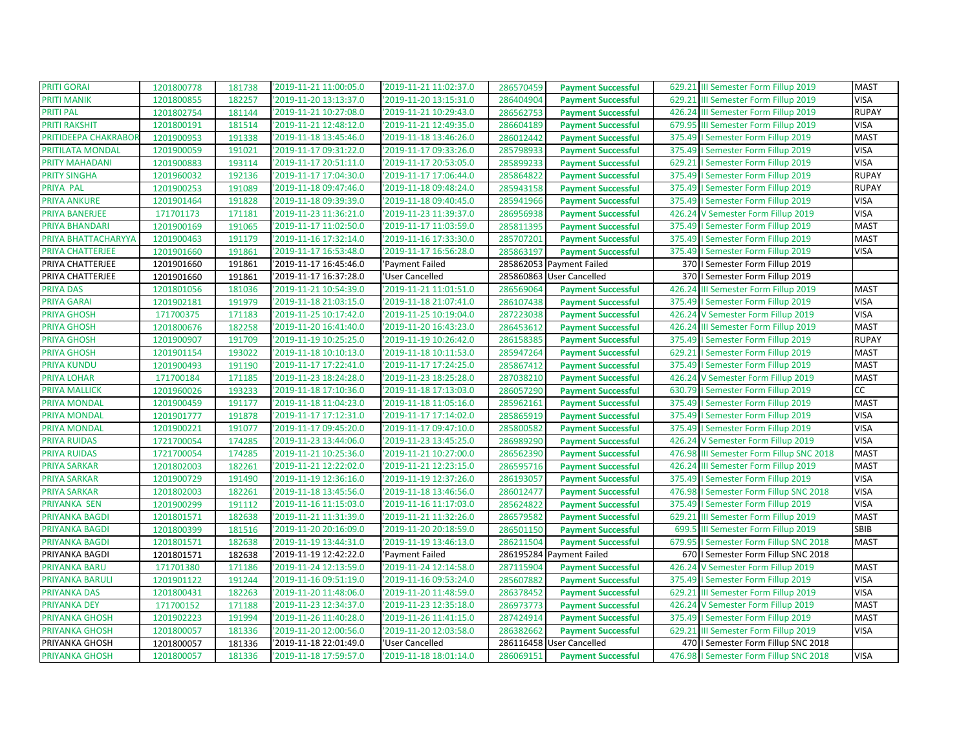| PRITI GORAI           | 1201800778 | 181738 | '2019-11-21 11:00:05.0 | '2019-11-21 11:02:37.0 | 286570459 | <b>Payment Successful</b> | 629.21 III Semester Form Fillup 2019     | <b>MAST</b>  |
|-----------------------|------------|--------|------------------------|------------------------|-----------|---------------------------|------------------------------------------|--------------|
| <b>PRITI MANIK</b>    | 1201800855 | 182257 | '2019-11-20 13:13:37.0 | '2019-11-20 13:15:31.0 | 286404904 | <b>Payment Successful</b> | 629.21 III Semester Form Fillup 2019     | <b>VISA</b>  |
| PRITI PAL             | 1201802754 | 181144 | 2019-11-21 10:27:08.0  | '2019-11-21 10:29:43.0 | 286562753 | <b>Payment Successful</b> | 426.24 III Semester Form Fillup 2019     | <b>RUPAY</b> |
| <b>PRITI RAKSHIT</b>  | 1201800191 | 181514 | '2019-11-21 12:48:12.0 | '2019-11-21 12:49:35.0 | 286604189 | <b>Payment Successful</b> | 679.95 III Semester Form Fillup 2019     | <b>VISA</b>  |
| PRITIDEEPA CHAKRABOR  | 1201900953 | 191338 | '2019-11-18 13:45:46.0 | '2019-11-18 13:46:26.0 | 286012442 | <b>Payment Successful</b> | 375.49   Semester Form Fillup 2019       | <b>MAST</b>  |
| PRITILATA MONDAL      | 1201900059 | 191021 | '2019-11-17 09:31:22.0 | '2019-11-17 09:33:26.0 | 285798933 | <b>Payment Successful</b> | 375.49   Semester Form Fillup 2019       | <b>VISA</b>  |
| PRITY MAHADANI        | 1201900883 | 193114 | '2019-11-17 20:51:11.0 | '2019-11-17 20:53:05.0 | 285899233 | <b>Payment Successful</b> | 629.21   Semester Form Fillup 2019       | <b>VISA</b>  |
| <b>PRITY SINGHA</b>   | 1201960032 | 192136 | '2019-11-17 17:04:30.0 | '2019-11-17 17:06:44.0 | 285864822 | <b>Payment Successful</b> | 375.49   Semester Form Fillup 2019       | <b>RUPAY</b> |
| PRIYA PAL             | 1201900253 | 191089 | '2019-11-18 09:47:46.0 | '2019-11-18 09:48:24.0 | 285943158 | <b>Payment Successful</b> | 375.49   Semester Form Fillup 2019       | <b>RUPAY</b> |
| <b>PRIYA ANKURE</b>   | 1201901464 | 191828 | '2019-11-18 09:39:39.0 | '2019-11-18 09:40:45.0 | 285941966 | <b>Payment Successful</b> | 375.49   Semester Form Fillup 2019       | <b>VISA</b>  |
| <b>PRIYA BANERJEE</b> | 171701173  | 171181 | '2019-11-23 11:36:21.0 | '2019-11-23 11:39:37.0 | 286956938 | <b>Payment Successful</b> | 426.24 V Semester Form Fillup 2019       | <b>VISA</b>  |
| PRIYA BHANDARI        | 1201900169 | 191065 | '2019-11-17 11:02:50.0 | '2019-11-17 11:03:59.0 | 285811395 | <b>Payment Successful</b> | 375.49   Semester Form Fillup 2019       | <b>MAST</b>  |
| PRIYA BHATTACHARYYA   | 1201900463 | 191179 | '2019-11-16 17:32:14.0 | '2019-11-16 17:33:30.0 | 285707201 | <b>Payment Successful</b> | 375.49   Semester Form Fillup 2019       | <b>MAST</b>  |
| PRIYA CHATTERJEE      | 1201901660 | 191861 | 2019-11-17 16:53:48.0  | '2019-11-17 16:56:28.0 | 285863197 | <b>Payment Successful</b> | 375.49   Semester Form Fillup 2019       | <b>VISA</b>  |
| PRIYA CHATTERJEE      | 1201901660 | 191861 | 2019-11-17 16:45:46.0  | 'Payment Failed        |           | 285862053 Payment Failed  | 370   Semester Form Fillup 2019          |              |
| PRIYA CHATTERJEE      | 1201901660 | 191861 | '2019-11-17 16:37:28.0 | 'User Cancelled        |           | 285860863 User Cancelled  | 370   Semester Form Fillup 2019          |              |
| <b>PRIYA DAS</b>      | 1201801056 | 181036 | '2019-11-21 10:54:39.0 | '2019-11-21 11:01:51.0 | 286569064 | <b>Payment Successful</b> | 426.24 III Semester Form Fillup 2019     | <b>MAST</b>  |
| PRIYA GARAI           | 1201902181 | 191979 | '2019-11-18 21:03:15.0 | '2019-11-18 21:07:41.0 | 286107438 | <b>Payment Successful</b> | 375.49   Semester Form Fillup 2019       | <b>VISA</b>  |
| <b>PRIYA GHOSH</b>    | 171700375  | 171183 | '2019-11-25 10:17:42.0 | '2019-11-25 10:19:04.0 | 287223038 | <b>Payment Successful</b> | 426.24 V Semester Form Fillup 2019       | <b>VISA</b>  |
| <b>PRIYA GHOSH</b>    | 1201800676 | 182258 | '2019-11-20 16:41:40.0 | '2019-11-20 16:43:23.0 | 286453612 | <b>Payment Successful</b> | 426.24 III Semester Form Fillup 2019     | <b>MAST</b>  |
| <b>PRIYA GHOSH</b>    | 1201900907 | 191709 | '2019-11-19 10:25:25.0 | '2019-11-19 10:26:42.0 | 286158385 | <b>Payment Successful</b> | 375.49   Semester Form Fillup 2019       | <b>RUPAY</b> |
| <b>PRIYA GHOSH</b>    | 1201901154 | 193022 | '2019-11-18 10:10:13.0 | '2019-11-18 10:11:53.0 | 285947264 | <b>Payment Successful</b> | 629.21   Semester Form Fillup 2019       | <b>MAST</b>  |
| PRIYA KUNDU           | 1201900493 | 191190 | '2019-11-17 17:22:41.0 | '2019-11-17 17:24:25.0 | 285867412 | <b>Payment Successful</b> | 375.49   Semester Form Fillup 2019       | <b>MAST</b>  |
| PRIYA LOHAR           | 171700184  | 171185 | 2019-11-23 18:24:28.0  | '2019-11-23 18:25:28.0 | 287038210 | <b>Payment Successful</b> | 426.24 V Semester Form Fillup 2019       | <b>MAST</b>  |
| PRIYA MALLICK         | 1201960026 | 193233 | '2019-11-18 17:10:36.0 | '2019-11-18 17:13:03.0 | 286057290 | <b>Payment Successful</b> | 630.79   Semester Form Fillup 2019       | CC           |
| PRIYA MONDAL          | 1201900459 | 191177 | '2019-11-18 11:04:23.0 | '2019-11-18 11:05:16.0 | 285962161 | <b>Payment Successful</b> | 375.49   Semester Form Fillup 2019       | <b>MAST</b>  |
| <b>PRIYA MONDAL</b>   | 1201901777 | 191878 | '2019-11-17 17:12:31.0 | '2019-11-17 17:14:02.0 | 285865919 | <b>Payment Successful</b> | 375.49   Semester Form Fillup 2019       | <b>VISA</b>  |
| PRIYA MONDAL          | 1201900221 | 191077 | '2019-11-17 09:45:20.0 | '2019-11-17 09:47:10.0 | 285800582 | <b>Payment Successful</b> | 375.49   Semester Form Fillup 2019       | <b>VISA</b>  |
| <b>PRIYA RUIDAS</b>   | 1721700054 | 174285 | '2019-11-23 13:44:06.0 | '2019-11-23 13:45:25.0 | 286989290 | <b>Payment Successful</b> | 426.24 V Semester Form Fillup 2019       | <b>VISA</b>  |
| <b>PRIYA RUIDAS</b>   | 1721700054 | 174285 | '2019-11-21 10:25:36.0 | '2019-11-21 10:27:00.0 | 286562390 | <b>Payment Successful</b> | 476.98 III Semester Form Fillup SNC 2018 | <b>MAST</b>  |
| PRIYA SARKAR          | 1201802003 | 182261 | '2019-11-21 12:22:02.0 | '2019-11-21 12:23:15.0 | 286595716 | <b>Payment Successful</b> | 426.24 III Semester Form Fillup 2019     | <b>MAST</b>  |
| PRIYA SARKAR          | 1201900729 | 191490 | '2019-11-19 12:36:16.0 | '2019-11-19 12:37:26.0 | 286193057 | <b>Payment Successful</b> | 375.49   Semester Form Fillup 2019       | <b>VISA</b>  |
| <b>PRIYA SARKAR</b>   | 1201802003 | 182261 | '2019-11-18 13:45:56.0 | '2019-11-18 13:46:56.0 | 286012477 | <b>Payment Successful</b> | 476.98   Semester Form Fillup SNC 2018   | <b>VISA</b>  |
| PRIYANKA SEN          | 1201900299 | 191112 | '2019-11-16 11:15:03.0 | '2019-11-16 11:17:03.0 | 285624822 | <b>Payment Successful</b> | 375.49   Semester Form Fillup 2019       | <b>VISA</b>  |
| PRIYANKA BAGDI        | 1201801571 | 182638 | '2019-11-21 11:31:39.0 | '2019-11-21 11:32:26.0 | 286579582 | <b>Payment Successful</b> | 629.21 III Semester Form Fillup 2019     | <b>MAST</b>  |
| PRIYANKA BAGDI        | 1201800399 | 181516 | '2019-11-20 20:16:09.0 | '2019-11-20 20:18:59.0 | 286501150 | <b>Payment Successful</b> | 699.5 III Semester Form Fillup 2019      | SBIB         |
| PRIYANKA BAGDI        | 1201801571 | 182638 | '2019-11-19 13:44:31.0 | '2019-11-19 13:46:13.0 | 286211504 | <b>Payment Successful</b> | 679.95   Semester Form Fillup SNC 2018   | <b>MAST</b>  |
| PRIYANKA BAGDI        | 1201801571 | 182638 | '2019-11-19 12:42:22.0 | 'Payment Failed        |           | 286195284 Payment Failed  | 670   Semester Form Fillup SNC 2018      |              |
| PRIYANKA BARU         | 171701380  | 171186 | '2019-11-24 12:13:59.0 | '2019-11-24 12:14:58.0 | 287115904 | <b>Payment Successful</b> | 426.24 V Semester Form Fillup 2019       | <b>MAST</b>  |
| PRIYANKA BARULI       | 1201901122 | 191244 | '2019-11-16 09:51:19.0 | '2019-11-16 09:53:24.0 | 285607882 | <b>Payment Successful</b> | 375.49   Semester Form Fillup 2019       | <b>VISA</b>  |
| PRIYANKA DAS          | 1201800431 | 182263 | '2019-11-20 11:48:06.0 | '2019-11-20 11:48:59.0 | 286378452 | <b>Payment Successful</b> | 629.21 III Semester Form Fillup 2019     | <b>VISA</b>  |
| PRIYANKA DEY          | 171700152  | 171188 | '2019-11-23 12:34:37.0 | '2019-11-23 12:35:18.0 | 286973773 | <b>Payment Successful</b> | 426.24 V Semester Form Fillup 2019       | <b>MAST</b>  |
| PRIYANKA GHOSH        | 1201902223 | 191994 | '2019-11-26 11:40:28.0 | '2019-11-26 11:41:15.0 | 287424914 | <b>Payment Successful</b> | 375.49   Semester Form Fillup 2019       | <b>MAST</b>  |
| PRIYANKA GHOSH        | 1201800057 | 181336 | '2019-11-20 12:00:56.0 | '2019-11-20 12:03:58.0 | 286382662 | <b>Payment Successful</b> | 629.21 III Semester Form Fillup 2019     | <b>VISA</b>  |
| PRIYANKA GHOSH        | 1201800057 | 181336 | 2019-11-18 22:01:49.0  | 'User Cancelled        |           | 286116458 User Cancelled  | 470   Semester Form Fillup SNC 2018      |              |
| PRIYANKA GHOSH        | 1201800057 | 181336 | '2019-11-18 17:59:57.0 | '2019-11-18 18:01:14.0 | 286069151 | <b>Payment Successful</b> | 476.98   Semester Form Fillup SNC 2018   | <b>VISA</b>  |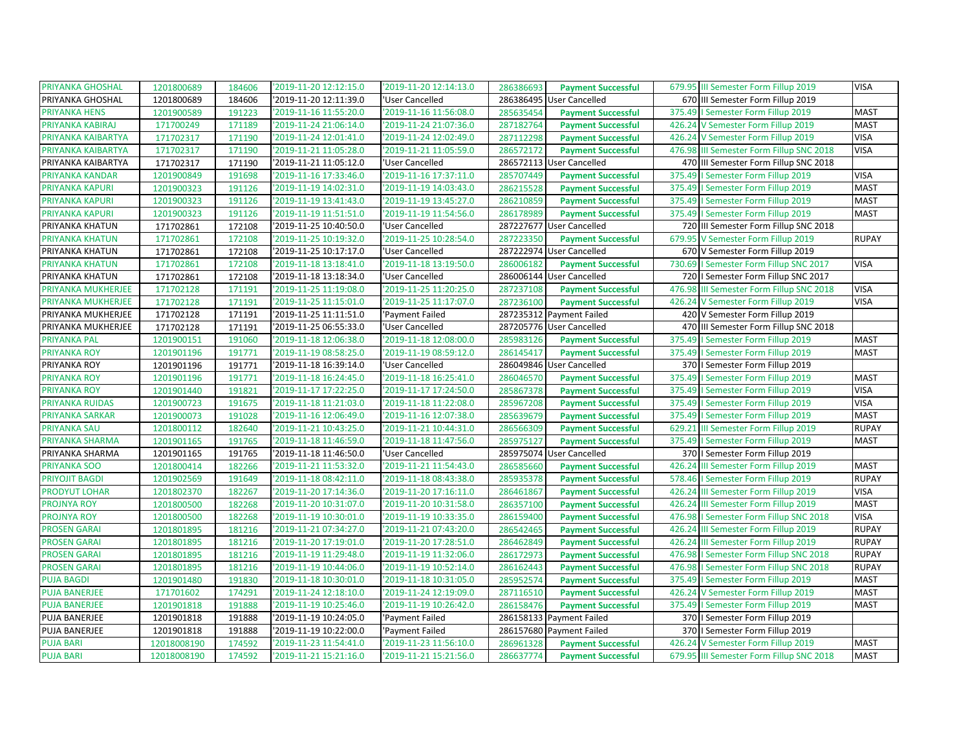| PRIYANKA GHOSHAL       | 1201800689  | 184606 | '2019-11-20 12:12:15.0 | '2019-11-20 12:14:13.0 | 286386693 | <b>Payment Successful</b> | 679.95 III Semester Form Fillup 2019        | <b>VISA</b>  |
|------------------------|-------------|--------|------------------------|------------------------|-----------|---------------------------|---------------------------------------------|--------------|
| PRIYANKA GHOSHAL       | 1201800689  | 184606 | '2019-11-20 12:11:39.0 | 'User Cancelled        | 286386495 | User Cancelled            | 670 III Semester Form Fillup 2019           |              |
| PRIYANKA HENS          | 1201900589  | 191223 | '2019-11-16 11:55:20.0 | '2019-11-16 11:56:08.0 | 285635454 | <b>Payment Successful</b> | 375.49   Semester Form Fillup 2019          | <b>MAST</b>  |
| PRIYANKA KABIRAJ       | 171700249   | 171189 | '2019-11-24 21:06:14.0 | '2019-11-24 21:07:36.0 | 287182764 | <b>Payment Successful</b> | 426.24 V Semester Form Fillup 2019          | <b>MAST</b>  |
| PRIYANKA KAIBARTYA     | 171702317   | 171190 | '2019-11-24 12:01:41.0 | '2019-11-24 12:02:49.0 | 287112298 | <b>Payment Successful</b> | 426.24 V Semester Form Fillup 2019          | <b>VISA</b>  |
| PRIYANKA KAIBARTYA     | 171702317   | 171190 | '2019-11-21 11:05:28.0 | '2019-11-21 11:05:59.0 | 286572172 | <b>Payment Successful</b> | 476.98 III Semester Form Fillup SNC 2018    | <b>VISA</b>  |
| PRIYANKA KAIBARTYA     | 171702317   | 171190 | '2019-11-21 11:05:12.0 | 'User Cancelled        |           | 286572113 User Cancelled  | 470 III Semester Form Fillup SNC 2018       |              |
| PRIYANKA KANDAR        | 1201900849  | 191698 | '2019-11-16 17:33:46.0 | '2019-11-16 17:37:11.0 | 285707449 | <b>Payment Successful</b> | 375.49   Semester Form Fillup 2019          | <b>VISA</b>  |
| PRIYANKA KAPURI        | 1201900323  | 191126 | '2019-11-19 14:02:31.0 | '2019-11-19 14:03:43.0 | 286215528 | <b>Payment Successful</b> | 375.49<br>I Semester Form Fillup 2019       | <b>MAST</b>  |
| PRIYANKA KAPURI        | 1201900323  | 191126 | '2019-11-19 13:41:43.0 | '2019-11-19 13:45:27.0 | 286210859 | <b>Payment Successful</b> | 375.49<br>I Semester Form Fillup 2019       | <b>MAST</b>  |
| PRIYANKA KAPURI        | 1201900323  | 191126 | '2019-11-19 11:51:51.0 | '2019-11-19 11:54:56.0 | 286178989 | <b>Payment Successful</b> | 375.49   Semester Form Fillup 2019          | <b>MAST</b>  |
| PRIYANKA KHATUN        | 171702861   | 172108 | '2019-11-25 10:40:50.0 | 'User Cancelled        |           | 287227677 User Cancelled  | 720 III Semester Form Fillup SNC 2018       |              |
| PRIYANKA KHATUN        | 171702861   | 172108 | '2019-11-25 10:19:32.0 | '2019-11-25 10:28:54.0 | 287223350 | <b>Payment Successful</b> | 679.95 V Semester Form Fillup 2019          | <b>RUPAY</b> |
| PRIYANKA KHATUN        | 171702861   | 172108 | '2019-11-25 10:17:17.0 | 'User Cancelled        |           | 287222974 User Cancelled  | 670 V Semester Form Fillup 2019             |              |
| PRIYANKA KHATUN        | 171702861   | 172108 | '2019-11-18 13:18:41.0 | '2019-11-18 13:19:50.0 | 286006182 | <b>Payment Successful</b> | 730.69   Semester Form Fillup SNC 2017      | <b>VISA</b>  |
| PRIYANKA KHATUN        | 171702861   | 172108 | '2019-11-18 13:18:34.0 | 'User Cancelled        |           | 286006144 User Cancelled  | 720   Semester Form Fillup SNC 2017         |              |
| PRIYANKA MUKHERJEE     | 171702128   | 171191 | '2019-11-25 11:19:08.0 | '2019-11-25 11:20:25.0 | 287237108 | <b>Payment Successful</b> | 476.98<br>III Semester Form Fillup SNC 2018 | <b>VISA</b>  |
| PRIYANKA MUKHERJEE     | 171702128   | 171191 | '2019-11-25 11:15:01.0 | '2019-11-25 11:17:07.0 | 287236100 | <b>Payment Successful</b> | 426.24<br>V Semester Form Fillup 2019       | <b>VISA</b>  |
| PRIYANKA MUKHERJEE     | 171702128   | 171191 | '2019-11-25 11:11:51.0 | 'Payment Failed        |           | 287235312 Payment Failed  | 420 V Semester Form Fillup 2019             |              |
| PRIYANKA MUKHERJEE     | 171702128   | 171191 | '2019-11-25 06:55:33.0 | 'User Cancelled        |           | 287205776 User Cancelled  | 470 III Semester Form Fillup SNC 2018       |              |
| <b>PRIYANKA PAL</b>    | 1201900151  | 191060 | '2019-11-18 12:06:38.0 | '2019-11-18 12:08:00.0 | 285983126 | <b>Payment Successful</b> | I Semester Form Fillup 2019<br>375.49       | <b>MAST</b>  |
| <b>PRIYANKA ROY</b>    | 1201901196  | 191771 | '2019-11-19 08:58:25.0 | '2019-11-19 08:59:12.0 | 286145417 | <b>Payment Successful</b> | 375.49<br>I Semester Form Fillup 2019       | <b>MAST</b>  |
| PRIYANKA ROY           | 1201901196  | 191771 | '2019-11-18 16:39:14.0 | 'User Cancelled        |           | 286049846 User Cancelled  | 370   Semester Form Fillup 2019             |              |
| PRIYANKA ROY           | 1201901196  | 191771 | '2019-11-18 16:24:45.0 | '2019-11-18 16:25:41.0 | 286046570 | <b>Payment Successful</b> | 375.49   Semester Form Fillup 2019          | <b>MAST</b>  |
| <b>PRIYANKA ROY</b>    | 1201901440  | 191821 | '2019-11-17 17:22:25.0 | '2019-11-17 17:24:50.0 | 285867378 | <b>Payment Successful</b> | 375.49   Semester Form Fillup 2019          | <b>VISA</b>  |
| <b>PRIYANKA RUIDAS</b> | 1201900723  | 191675 | '2019-11-18 11:21:03.0 | '2019-11-18 11:22:08.0 | 285967208 | <b>Payment Successful</b> | 375.49<br>I Semester Form Fillup 2019       | <b>VISA</b>  |
| PRIYANKA SARKAR        | 1201900073  | 191028 | '2019-11-16 12:06:49.0 | '2019-11-16 12:07:38.0 | 285639679 | <b>Payment Successful</b> | 375.49   Semester Form Fillup 2019          | <b>MAST</b>  |
| PRIYANKA SAU           | 1201800112  | 182640 | '2019-11-21 10:43:25.0 | '2019-11-21 10:44:31.0 | 286566309 | <b>Payment Successful</b> | III Semester Form Fillup 2019<br>629.21     | <b>RUPAY</b> |
| PRIYANKA SHARMA        | 1201901165  | 191765 | '2019-11-18 11:46:59.0 | '2019-11-18 11:47:56.0 | 285975127 | <b>Payment Successful</b> | 375.49   Semester Form Fillup 2019          | <b>MAST</b>  |
| PRIYANKA SHARMA        | 1201901165  | 191765 | '2019-11-18 11:46:50.0 | 'User Cancelled        | 285975074 | User Cancelled            | 370   Semester Form Fillup 2019             |              |
| PRIYANKA SOO           | 1201800414  | 182266 | '2019-11-21 11:53:32.0 | '2019-11-21 11:54:43.0 | 286585660 | <b>Payment Successful</b> | 426.24<br>III Semester Form Fillup 2019     | <b>MAST</b>  |
| <b>PRIYOJIT BAGDI</b>  | 1201902569  | 191649 | '2019-11-18 08:42:11.0 | '2019-11-18 08:43:38.0 | 285935378 | <b>Payment Successful</b> | 578.46   Semester Form Fillup 2019          | <b>RUPAY</b> |
| PRODYUT LOHAR          | 1201802370  | 182267 | '2019-11-20 17:14:36.0 | '2019-11-20 17:16:11.0 | 286461867 | <b>Payment Successful</b> | 426.24<br>III Semester Form Fillup 2019     | <b>VISA</b>  |
| <b>PROJNYA ROY</b>     | 1201800500  | 182268 | '2019-11-20 10:31:07.0 | '2019-11-20 10:31:58.0 | 286357100 | <b>Payment Successful</b> | 426.24<br>III Semester Form Fillup 2019     | <b>MAST</b>  |
| <b>PROJNYA ROY</b>     | 1201800500  | 182268 | '2019-11-19 10:30:01.0 | '2019-11-19 10:33:35.0 | 286159400 | <b>Payment Successful</b> | 476.98   Semester Form Fillup SNC 2018      | <b>VISA</b>  |
| <b>PROSEN GARAI</b>    | 1201801895  | 181216 | '2019-11-21 07:34:27.0 | '2019-11-21 07:43:20.0 | 286542465 | <b>Payment Successful</b> | 426.24<br>III Semester Form Fillup 2019     | <b>RUPAY</b> |
| <b>PROSEN GARAI</b>    | 1201801895  | 181216 | '2019-11-20 17:19:01.0 | '2019-11-20 17:28:51.0 | 286462849 | <b>Payment Successful</b> | 426.24 III Semester Form Fillup 2019        | <b>RUPAY</b> |
| <b>PROSEN GARAI</b>    | 1201801895  | 181216 | '2019-11-19 11:29:48.0 | '2019-11-19 11:32:06.0 | 286172973 | <b>Payment Successful</b> | 476.98   Semester Form Fillup SNC 2018      | <b>RUPAY</b> |
| <b>PROSEN GARAI</b>    | 1201801895  | 181216 | '2019-11-19 10:44:06.0 | '2019-11-19 10:52:14.0 | 286162443 | <b>Payment Successful</b> | 476.98   Semester Form Fillup SNC 2018      | <b>RUPAY</b> |
| <b>PUJA BAGDI</b>      | 1201901480  | 191830 | '2019-11-18 10:30:01.0 | '2019-11-18 10:31:05.0 | 285952574 | <b>Payment Successful</b> | 375.49   Semester Form Fillup 2019          | <b>MAST</b>  |
| <b>PUJA BANERJEE</b>   | 171701602   | 174291 | '2019-11-24 12:18:10.0 | '2019-11-24 12:19:09.0 | 287116510 | <b>Payment Successful</b> | 426.24 V Semester Form Fillup 2019          | <b>MAST</b>  |
| <b>PUJA BANERJEE</b>   | 1201901818  | 191888 | '2019-11-19 10:25:46.0 | '2019-11-19 10:26:42.0 | 286158476 | <b>Payment Successful</b> | 375.49<br>I Semester Form Fillup 2019       | <b>MAST</b>  |
| PUJA BANERJEE          | 1201901818  | 191888 | '2019-11-19 10:24:05.0 | 'Payment Failed        |           | 286158133 Payment Failed  | 370   Semester Form Fillup 2019             |              |
| PUJA BANERJEE          | 1201901818  | 191888 | '2019-11-19 10:22:00.0 | 'Payment Failed        |           | 286157680 Payment Failed  | 370   Semester Form Fillup 2019             |              |
| <b>PUJA BARI</b>       | 12018008190 | 174592 | '2019-11-23 11:54:41.0 | '2019-11-23 11:56:10.0 | 286961328 | <b>Payment Successful</b> | 426.24 V Semester Form Fillup 2019          | <b>MAST</b>  |
| <b>PUJA BARI</b>       | 12018008190 | 174592 | '2019-11-21 15:21:16.0 | '2019-11-21 15:21:56.0 | 286637774 | <b>Payment Successful</b> | 679.95 III Semester Form Fillup SNC 2018    | <b>MAST</b>  |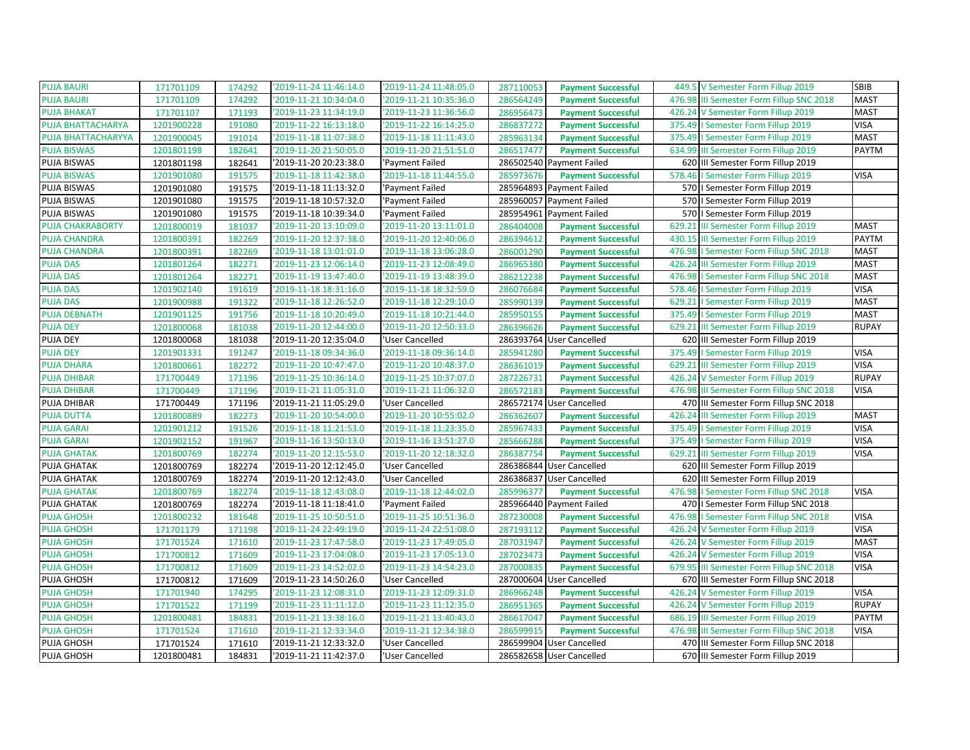| <b>PUJA BAURI</b>         | 171701109  | 174292 | '2019-11-24 11:46:14.0 | '2019-11-24 11:48:05.0 | 287110053 | <b>Payment Successful</b> | 449.5 V Semester Form Fillup 2019        | SBIB         |
|---------------------------|------------|--------|------------------------|------------------------|-----------|---------------------------|------------------------------------------|--------------|
| <b>PUJA BAURI</b>         | 171701109  | 174292 | '2019-11-21 10:34:04.0 | '2019-11-21 10:35:36.0 | 286564249 | <b>Payment Successful</b> | 476.98 III Semester Form Fillup SNC 2018 | <b>MAST</b>  |
| <b>PUJA BHAKAT</b>        | 171701107  | 171193 | '2019-11-23 11:34:19.0 | '2019-11-23 11:36:56.0 | 286956473 | <b>Payment Successful</b> | 426.24 V Semester Form Fillup 2019       | <b>MAST</b>  |
| PUJA BHATTACHARYA         | 1201900228 | 191080 | '2019-11-22 16:13:18.0 | '2019-11-22 16:14:25.0 | 286837272 | <b>Payment Successful</b> | 375.49   Semester Form Fillup 2019       | <b>VISA</b>  |
| <b>PUJA BHATTACHARYYA</b> | 1201900045 | 191014 | '2019-11-18 11:07:38.0 | '2019-11-18 11:11:43.0 | 285963134 | <b>Payment Successful</b> | 375.49   Semester Form Fillup 2019       | <b>MAST</b>  |
| <b>PUJA BISWAS</b>        | 1201801198 | 182641 | '2019-11-20 21:50:05.0 | '2019-11-20 21:51:51.0 | 286517477 | <b>Payment Successful</b> | 634.99 III Semester Form Fillup 2019     | PAYTM        |
| PUJA BISWAS               | 1201801198 | 182641 | '2019-11-20 20:23:38.0 | 'Payment Failed        |           | 286502540 Payment Failed  | 620 III Semester Form Fillup 2019        |              |
| <b>PUJA BISWAS</b>        | 1201901080 | 191575 | '2019-11-18 11:42:38.0 | '2019-11-18 11:44:55.0 | 285973676 | <b>Payment Successful</b> | 578.46   Semester Form Fillup 2019       | <b>VISA</b>  |
| PUJA BISWAS               | 1201901080 | 191575 | '2019-11-18 11:13:32.0 | 'Payment Failed        |           | 285964893 Payment Failed  | 570   Semester Form Fillup 2019          |              |
| PUJA BISWAS               | 1201901080 | 191575 | '2019-11-18 10:57:32.0 | 'Payment Failed        |           | 285960057 Payment Failed  | 570   Semester Form Fillup 2019          |              |
| PUJA BISWAS               | 1201901080 | 191575 | '2019-11-18 10:39:34.0 | 'Payment Failed        |           | 285954961 Payment Failed  | 570   Semester Form Fillup 2019          |              |
| <b>PUJA CHAKRABORTY</b>   | 1201800019 | 181037 | '2019-11-20 13:10:09.0 | '2019-11-20 13:11:01.0 | 286404008 | <b>Payment Successful</b> | 629.21 III Semester Form Fillup 2019     | <b>MAST</b>  |
| <b>PUJA CHANDRA</b>       | 1201800391 | 182269 | '2019-11-20 12:37:38.0 | '2019-11-20 12:40:06.0 | 286394612 | <b>Payment Successful</b> | 430.15 III Semester Form Fillup 2019     | PAYTM        |
| <b>PUJA CHANDRA</b>       | 1201800391 | 182269 | '2019-11-18 13:01:01.0 | '2019-11-18 13:06:28.0 | 286001290 | <b>Payment Successful</b> | 476.98   Semester Form Fillup SNC 2018   | <b>MAST</b>  |
| <b>PUJA DAS</b>           | 1201801264 | 182271 | '2019-11-23 12:06:14.0 | '2019-11-23 12:08:49.0 | 286965380 | <b>Payment Successful</b> | 426.24 III Semester Form Fillup 2019     | <b>MAST</b>  |
| <b>PUJA DAS</b>           | 1201801264 | 182271 | '2019-11-19 13:47:40.0 | '2019-11-19 13:48:39.0 | 286212238 | <b>Payment Successful</b> | 476.98   Semester Form Fillup SNC 2018   | <b>MAST</b>  |
| <b>PUJA DAS</b>           | 1201902140 | 191619 | '2019-11-18 18:31:16.0 | '2019-11-18 18:32:59.0 | 286076684 | <b>Payment Successful</b> | 578.46   Semester Form Fillup 2019       | VISA         |
| <b>PUJA DAS</b>           | 1201900988 | 191322 | '2019-11-18 12:26:52.0 | '2019-11-18 12:29:10.0 | 285990139 | <b>Payment Successful</b> | 629.21   Semester Form Fillup 2019       | <b>MAST</b>  |
| <b>PUJA DEBNATH</b>       | 1201901125 | 191756 | '2019-11-18 10:20:49.0 | '2019-11-18 10:21:44.0 | 285950155 | <b>Payment Successful</b> | 375.49   Semester Form Fillup 2019       | <b>MAST</b>  |
| <b>PUJA DEY</b>           | 1201800068 | 181038 | '2019-11-20 12:44:00.0 | '2019-11-20 12:50:33.0 | 286396626 | <b>Payment Successful</b> | 629.21 III Semester Form Fillup 2019     | <b>RUPAY</b> |
| PUJA DEY                  | 1201800068 | 181038 | '2019-11-20 12:35:04.0 | 'User Cancelled        |           | 286393764 User Cancelled  | 620 III Semester Form Fillup 2019        |              |
| <b>PUJA DEY</b>           | 1201901331 | 191247 | '2019-11-18 09:34:36.0 | '2019-11-18 09:36:14.0 | 285941280 | <b>Payment Successful</b> | 375.49   Semester Form Fillup 2019       | <b>VISA</b>  |
| <b>PUJA DHARA</b>         | 1201800661 | 182272 | '2019-11-20 10:47:47.0 | '2019-11-20 10:48:37.0 | 286361019 | <b>Payment Successful</b> | 629.21 III Semester Form Fillup 2019     | <b>VISA</b>  |
| <b>PUJA DHIBAR</b>        | 171700449  | 171196 | '2019-11-25 10:36:14.0 | '2019-11-25 10:37:07.0 | 287226731 | <b>Payment Successful</b> | 426.24 V Semester Form Fillup 2019       | <b>RUPAY</b> |
| <b>PUJA DHIBAR</b>        | 171700449  | 171196 | '2019-11-21 11:05:31.0 | '2019-11-21 11:06:32.0 | 286572183 | <b>Payment Successful</b> | 476.98 III Semester Form Fillup SNC 2018 | <b>VISA</b>  |
| PUJA DHIBAR               | 171700449  | 171196 | '2019-11-21 11:05:29.0 | 'User Cancelled        |           | 286572174 User Cancelled  | 470 III Semester Form Fillup SNC 2018    |              |
| <b>PUJA DUTTA</b>         | 1201800889 | 182273 | '2019-11-20 10:54:00.0 | '2019-11-20 10:55:02.0 | 286362607 | <b>Payment Successful</b> | 426.24 III Semester Form Fillup 2019     | <b>MAST</b>  |
| <b>PUJA GARAI</b>         | 1201901212 | 191526 | '2019-11-18 11:21:53.0 | '2019-11-18 11:23:35.0 | 285967433 | <b>Payment Successful</b> | 375.49   Semester Form Fillup 2019       | <b>VISA</b>  |
| <b>PUJA GARAI</b>         | 1201902152 | 191967 | '2019-11-16 13:50:13.0 | '2019-11-16 13:51:27.0 | 285666288 | <b>Payment Successful</b> | 375.49   Semester Form Fillup 2019       | <b>VISA</b>  |
| <b>PUJA GHATAK</b>        | 1201800769 | 182274 | '2019-11-20 12:15:53.0 | '2019-11-20 12:18:32.0 | 286387754 | <b>Payment Successful</b> | 629.21 III Semester Form Fillup 2019     | <b>VISA</b>  |
| PUJA GHATAK               | 1201800769 | 182274 | '2019-11-20 12:12:45.0 | 'User Cancelled        |           | 286386844 User Cancelled  | 620 III Semester Form Fillup 2019        |              |
| PUJA GHATAK               | 1201800769 | 182274 | '2019-11-20 12:12:43.0 | 'User Cancelled        |           | 286386837 User Cancelled  | 620 III Semester Form Fillup 2019        |              |
| <b>PUJA GHATAK</b>        | 1201800769 | 182274 | '2019-11-18 12:43:08.0 | '2019-11-18 12:44:02.0 | 285996377 | <b>Payment Successful</b> | 476.98   Semester Form Fillup SNC 2018   | <b>VISA</b>  |
| PUJA GHATAK               | 1201800769 | 182274 | '2019-11-18 11:18:41.0 | 'Payment Failed        |           | 285966440 Payment Failed  | 470   Semester Form Fillup SNC 2018      |              |
| <b>PUJA GHOSH</b>         | 1201800232 | 181648 | '2019-11-25 10:50:51.0 | '2019-11-25 10:51:36.0 | 287230008 | <b>Payment Successful</b> | 476.98   Semester Form Fillup SNC 2018   | <b>VISA</b>  |
| <b>PUJA GHOSH</b>         | 171701179  | 171198 | '2019-11-24 22:49:19.0 | '2019-11-24 22:51:08.0 | 287193112 | <b>Payment Successful</b> | 426.24 V Semester Form Fillup 2019       | <b>VISA</b>  |
| <b>PUJA GHOSH</b>         | 171701524  | 171610 | '2019-11-23 17:47:58.0 | '2019-11-23 17:49:05.0 | 287031947 | <b>Payment Successful</b> | 426.24 V Semester Form Fillup 2019       | <b>MAST</b>  |
| <b>PUJA GHOSH</b>         | 171700812  | 171609 | '2019-11-23 17:04:08.0 | '2019-11-23 17:05:13.0 | 287023473 | <b>Payment Successful</b> | 426.24 V Semester Form Fillup 2019       | <b>VISA</b>  |
| <b>PUJA GHOSH</b>         | 171700812  | 171609 | '2019-11-23 14:52:02.0 | '2019-11-23 14:54:23.0 | 287000835 | <b>Payment Successful</b> | 679.95 III Semester Form Fillup SNC 2018 | <b>VISA</b>  |
| PUJA GHOSH                | 171700812  | 171609 | '2019-11-23 14:50:26.0 | 'User Cancelled        |           | 287000604 User Cancelled  | 670 III Semester Form Fillup SNC 2018    |              |
| <b>PUJA GHOSH</b>         | 171701940  | 174295 | '2019-11-23 12:08:31.0 | '2019-11-23 12:09:31.0 | 286966248 | <b>Payment Successful</b> | 426.24 V Semester Form Fillup 2019       | <b>VISA</b>  |
| <b>PUJA GHOSH</b>         | 171701522  | 171199 | '2019-11-23 11:11:12.0 | '2019-11-23 11:12:35.0 | 286951365 | <b>Payment Successful</b> | 426.24 V Semester Form Fillup 2019       | <b>RUPAY</b> |
| <b>PUJA GHOSH</b>         | 1201800481 | 184831 | '2019-11-21 13:38:16.0 | '2019-11-21 13:40:43.0 | 286617047 | <b>Payment Successful</b> | 686.19 III Semester Form Fillup 2019     | PAYTM        |
| <b>PUJA GHOSH</b>         | 171701524  | 171610 | '2019-11-21 12:33:34.0 | '2019-11-21 12:34:38.0 | 286599915 | <b>Payment Successful</b> | 476.98 III Semester Form Fillup SNC 2018 | <b>VISA</b>  |
| PUJA GHOSH                | 171701524  | 171610 | '2019-11-21 12:33:32.0 | 'User Cancelled        |           | 286599904 User Cancelled  | 470 III Semester Form Fillup SNC 2018    |              |
| PUJA GHOSH                | 1201800481 | 184831 | '2019-11-21 11:42:37.0 | 'User Cancelled        |           | 286582658 User Cancelled  | 670 III Semester Form Fillup 2019        |              |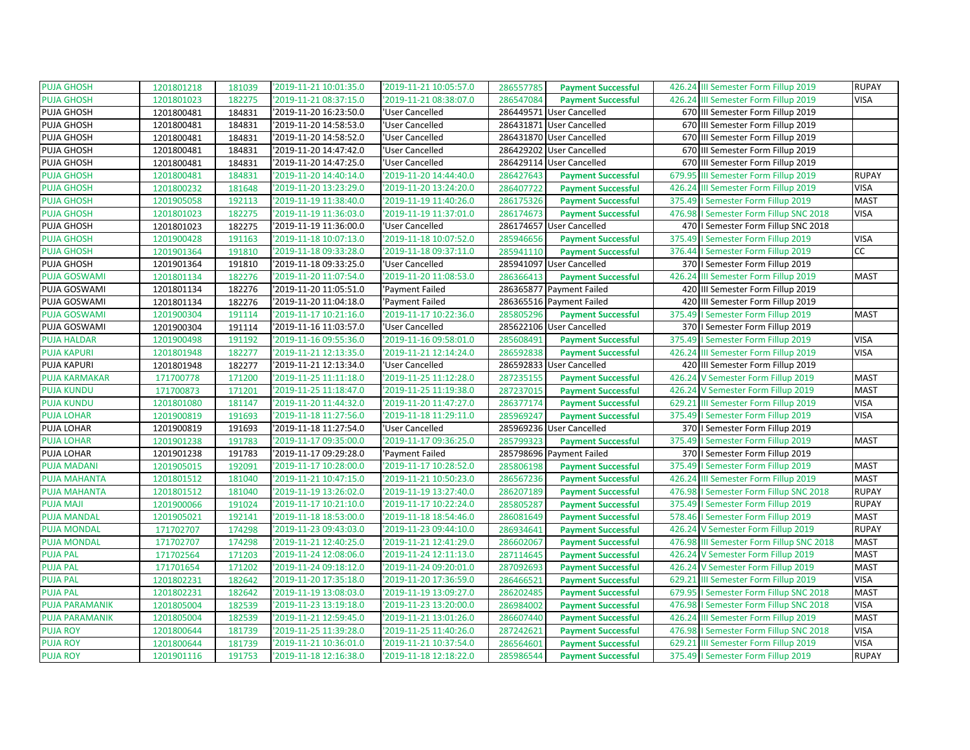| <b>PUJA GHOSH</b>     | 1201801218 | 181039 | '2019-11-21 10:01:35.0 | '2019-11-21 10:05:57.0 | 286557785 | <b>Payment Successful</b> | 426.24 III Semester Form Fillup 2019     | <b>RUPAY</b> |
|-----------------------|------------|--------|------------------------|------------------------|-----------|---------------------------|------------------------------------------|--------------|
| <b>PUJA GHOSH</b>     | 1201801023 | 182275 | '2019-11-21 08:37:15.0 | '2019-11-21 08:38:07.0 | 286547084 | <b>Payment Successful</b> | 426.24 III Semester Form Fillup 2019     | <b>VISA</b>  |
| PUJA GHOSH            | 1201800481 | 184831 | '2019-11-20 16:23:50.0 | 'User Cancelled        |           | 286449571 User Cancelled  | 670 III Semester Form Fillup 2019        |              |
| PUJA GHOSH            | 1201800481 | 184831 | '2019-11-20 14:58:53.0 | 'User Cancelled        |           | 286431871 User Cancelled  | 670 III Semester Form Fillup 2019        |              |
| PUJA GHOSH            | 1201800481 | 184831 | '2019-11-20 14:58:52.0 | 'User Cancelled        |           | 286431870 User Cancelled  | 670 III Semester Form Fillup 2019        |              |
| PUJA GHOSH            | 1201800481 | 184831 | '2019-11-20 14:47:42.0 | 'User Cancelled        |           | 286429202 User Cancelled  | 670 III Semester Form Fillup 2019        |              |
| PUJA GHOSH            | 1201800481 | 184831 | '2019-11-20 14:47:25.0 | 'User Cancelled        |           | 286429114 User Cancelled  | 670 III Semester Form Fillup 2019        |              |
| <b>PUJA GHOSH</b>     | 1201800481 | 184831 | '2019-11-20 14:40:14.0 | '2019-11-20 14:44:40.0 | 286427643 | <b>Payment Successful</b> | 679.95 III Semester Form Fillup 2019     | <b>RUPAY</b> |
| <b>PUJA GHOSH</b>     | 1201800232 | 181648 | '2019-11-20 13:23:29.0 | '2019-11-20 13:24:20.0 | 286407722 | <b>Payment Successful</b> | 426.24 III Semester Form Fillup 2019     | <b>VISA</b>  |
| <b>PUJA GHOSH</b>     | 1201905058 | 192113 | '2019-11-19 11:38:40.0 | '2019-11-19 11:40:26.0 | 286175326 | <b>Payment Successful</b> | 375.49   Semester Form Fillup 2019       | <b>MAST</b>  |
| <b>PUJA GHOSH</b>     | 1201801023 | 182275 | '2019-11-19 11:36:03.0 | '2019-11-19 11:37:01.0 | 286174673 | <b>Payment Successful</b> | 476.98   Semester Form Fillup SNC 2018   | <b>VISA</b>  |
| PUJA GHOSH            | 1201801023 | 182275 | '2019-11-19 11:36:00.0 | 'User Cancelled        |           | 286174657 User Cancelled  | 470   I Semester Form Fillup SNC 2018    |              |
| <b>PUJA GHOSH</b>     | 1201900428 | 191163 | '2019-11-18 10:07:13.0 | '2019-11-18 10:07:52.0 | 285946656 | <b>Payment Successful</b> | 375.49   Semester Form Fillup 2019       | <b>VISA</b>  |
| <b>PUJA GHOSH</b>     | 1201901364 | 191810 | '2019-11-18 09:33:28.0 | '2019-11-18 09:37:11.0 | 285941110 | <b>Payment Successful</b> | 376.44   Semester Form Fillup 2019       | cc           |
| PUJA GHOSH            | 1201901364 | 191810 | '2019-11-18 09:33:25.0 | 'User Cancelled        |           | 285941097 User Cancelled  | 370   Semester Form Fillup 2019          |              |
| <b>PUJA GOSWAMI</b>   | 1201801134 | 182276 | '2019-11-20 11:07:54.0 | '2019-11-20 11:08:53.0 | 286366413 | <b>Payment Successful</b> | 426.24 III Semester Form Fillup 2019     | <b>MAST</b>  |
| PUJA GOSWAMI          | 1201801134 | 182276 | '2019-11-20 11:05:51.0 | 'Payment Failed        |           | 286365877 Payment Failed  | 420 III Semester Form Fillup 2019        |              |
| PUJA GOSWAMI          | 1201801134 | 182276 | '2019-11-20 11:04:18.0 | 'Payment Failed        |           | 286365516 Payment Failed  | 420 III Semester Form Fillup 2019        |              |
| <b>PUJA GOSWAMI</b>   | 1201900304 | 191114 | '2019-11-17 10:21:16.0 | '2019-11-17 10:22:36.0 | 285805296 | <b>Payment Successful</b> | 375.49   Semester Form Fillup 2019       | <b>MAST</b>  |
| PUJA GOSWAMI          | 1201900304 | 191114 | '2019-11-16 11:03:57.0 | 'User Cancelled        |           | 285622106 User Cancelled  | 370   Semester Form Fillup 2019          |              |
| <b>PUJA HALDAR</b>    | 1201900498 | 191192 | '2019-11-16 09:55:36.0 | '2019-11-16 09:58:01.0 | 285608491 | <b>Payment Successful</b> | 375.49   Semester Form Fillup 2019       | <b>VISA</b>  |
| <b>PUJA KAPURI</b>    | 1201801948 | 182277 | '2019-11-21 12:13:35.0 | '2019-11-21 12:14:24.0 | 286592838 | <b>Payment Successful</b> | 426.24 III Semester Form Fillup 2019     | <b>VISA</b>  |
| PUJA KAPURI           | 1201801948 | 182277 | '2019-11-21 12:13:34.0 | 'User Cancelled        |           | 286592833 User Cancelled  | 420 III Semester Form Fillup 2019        |              |
| <b>PUJA KARMAKAR</b>  | 171700778  | 171200 | '2019-11-25 11:11:18.0 | '2019-11-25 11:12:28.0 | 287235155 | <b>Payment Successful</b> | 426.24 V Semester Form Fillup 2019       | <b>MAST</b>  |
| <b>PUJA KUNDU</b>     | 171700873  | 171201 | '2019-11-25 11:18:47.0 | '2019-11-25 11:19:38.0 | 287237015 | <b>Payment Successful</b> | 426.24 V Semester Form Fillup 2019       | <b>MAST</b>  |
| <b>PUJA KUNDU</b>     | 1201801080 | 181147 | '2019-11-20 11:44:32.0 | '2019-11-20 11:47:27.0 | 286377174 | <b>Payment Successful</b> | 629.21 III Semester Form Fillup 2019     | <b>VISA</b>  |
| <b>PUJA LOHAR</b>     | 1201900819 | 191693 | '2019-11-18 11:27:56.0 | '2019-11-18 11:29:11.0 | 285969247 | <b>Payment Successful</b> | 375.49   Semester Form Fillup 2019       | <b>VISA</b>  |
| PUJA LOHAR            | 1201900819 | 191693 | '2019-11-18 11:27:54.0 | 'User Cancelled        |           | 285969236 User Cancelled  | 370   Semester Form Fillup 2019          |              |
| <b>PUJA LOHAR</b>     | 1201901238 | 191783 | '2019-11-17 09:35:00.0 | '2019-11-17 09:36:25.0 | 285799323 | <b>Payment Successful</b> | 375.49   Semester Form Fillup 2019       | <b>MAST</b>  |
| PUJA LOHAR            | 1201901238 | 191783 | '2019-11-17 09:29:28.0 | 'Payment Failed        |           | 285798696 Payment Failed  | 370   Semester Form Fillup 2019          |              |
| <b>PUJA MADANI</b>    | 1201905015 | 192091 | '2019-11-17 10:28:00.0 | '2019-11-17 10:28:52.0 | 285806198 | <b>Payment Successful</b> | 375.49   Semester Form Fillup 2019       | <b>MAST</b>  |
| <b>PUJA MAHANTA</b>   | 1201801512 | 181040 | '2019-11-21 10:47:15.0 | '2019-11-21 10:50:23.0 | 286567236 | <b>Payment Successful</b> | 426.24 III Semester Form Fillup 2019     | <b>MAST</b>  |
| <b>PUJA MAHANTA</b>   | 1201801512 | 181040 | '2019-11-19 13:26:02.0 | '2019-11-19 13:27:40.0 | 286207189 | <b>Payment Successful</b> | 476.98   Semester Form Fillup SNC 2018   | <b>RUPAY</b> |
| <b>PUJA MAJI</b>      | 1201900066 | 191024 | '2019-11-17 10:21:10.0 | '2019-11-17 10:22:24.0 | 285805287 | <b>Payment Successful</b> | 375.49   Semester Form Fillup 2019       | <b>RUPAY</b> |
| <b>PUJA MANDAL</b>    | 1201905021 | 192141 | '2019-11-18 18:53:00.0 | '2019-11-18 18:54:46.0 | 286081649 | <b>Payment Successful</b> | 578.46   Semester Form Fillup 2019       | <b>MAST</b>  |
| <b>PUJA MONDAL</b>    | 171702707  | 174298 | '2019-11-23 09:43:03.0 | '2019-11-23 09:44:10.0 | 286934641 | <b>Payment Successful</b> | 426.24 V Semester Form Fillup 2019       | <b>RUPAY</b> |
| <b>PUJA MONDAL</b>    | 171702707  | 174298 | '2019-11-21 12:40:25.0 | '2019-11-21 12:41:29.0 | 286602067 | <b>Payment Successful</b> | 476.98 III Semester Form Fillup SNC 2018 | <b>MAST</b>  |
| <b>PUJA PAL</b>       | 171702564  | 171203 | '2019-11-24 12:08:06.0 | '2019-11-24 12:11:13.0 | 287114645 | <b>Payment Successful</b> | 426.24 V Semester Form Fillup 2019       | <b>MAST</b>  |
| <b>PUJA PAL</b>       | 171701654  | 171202 | '2019-11-24 09:18:12.0 | '2019-11-24 09:20:01.0 | 287092693 | <b>Payment Successful</b> | 426.24 V Semester Form Fillup 2019       | <b>MAST</b>  |
| <b>PUJA PAL</b>       | 1201802231 | 182642 | '2019-11-20 17:35:18.0 | '2019-11-20 17:36:59.0 | 286466521 | <b>Payment Successful</b> | 629.21 III Semester Form Fillup 2019     | <b>VISA</b>  |
| <b>PUJA PAL</b>       | 1201802231 | 182642 | '2019-11-19 13:08:03.0 | '2019-11-19 13:09:27.0 | 286202485 | <b>Payment Successful</b> | 679.95   Semester Form Fillup SNC 2018   | <b>MAST</b>  |
| <b>PUJA PARAMANIK</b> | 1201805004 | 182539 | '2019-11-23 13:19:18.0 | '2019-11-23 13:20:00.0 | 286984002 | <b>Payment Successful</b> | 476.98   Semester Form Fillup SNC 2018   | <b>VISA</b>  |
| <b>PUJA PARAMANIK</b> | 1201805004 | 182539 | '2019-11-21 12:59:45.0 | '2019-11-21 13:01:26.0 | 286607440 | <b>Payment Successful</b> | 426.24 III Semester Form Fillup 2019     | <b>MAST</b>  |
| <b>PUJA ROY</b>       | 1201800644 | 181739 | '2019-11-25 11:39:28.0 | '2019-11-25 11:40:26.0 | 287242621 | <b>Payment Successful</b> | 476.98   Semester Form Fillup SNC 2018   | <b>VISA</b>  |
| <b>PUJA ROY</b>       | 1201800644 | 181739 | '2019-11-21 10:36:01.0 | '2019-11-21 10:37:54.0 | 286564601 | <b>Payment Successful</b> | 629.21 III Semester Form Fillup 2019     | <b>VISA</b>  |
| <b>PUJA ROY</b>       | 1201901116 | 191753 | '2019-11-18 12:16:38.0 | '2019-11-18 12:18:22.0 | 285986544 | <b>Payment Successful</b> | 375.49   Semester Form Fillup 2019       | <b>RUPAY</b> |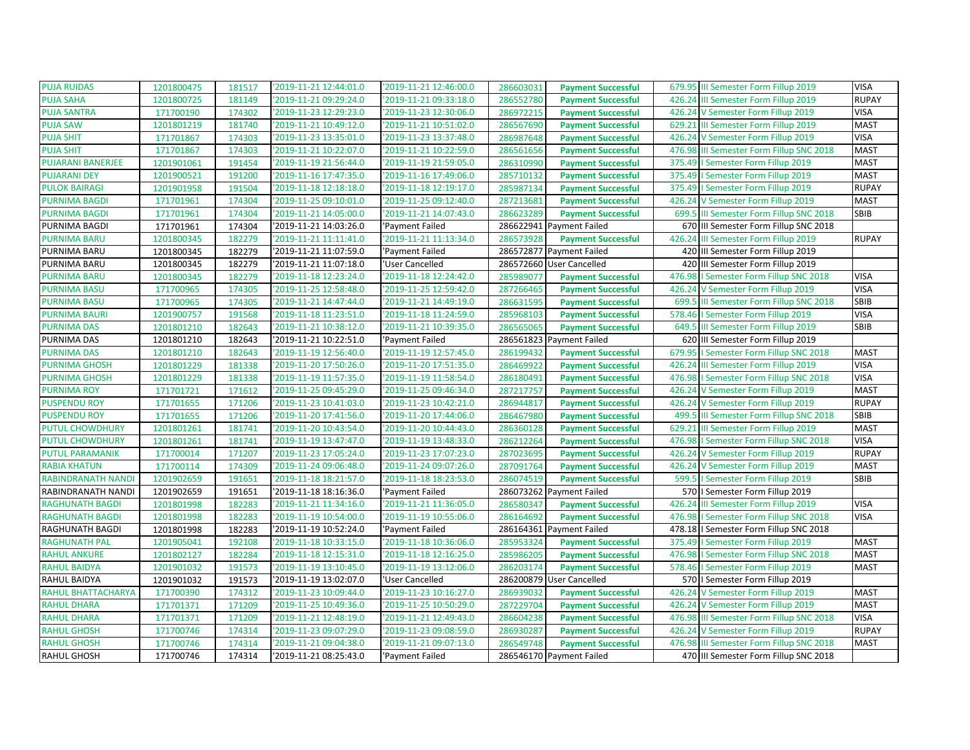| <b>PUJA RUIDAS</b>       | 1201800475 | 181517 | '2019-11-21 12:44:01.0 | '2019-11-21 12:46:00.0 | 286603031 | <b>Payment Successful</b> |        | 679.95 III Semester Form Fillup 2019     | <b>VISA</b>  |
|--------------------------|------------|--------|------------------------|------------------------|-----------|---------------------------|--------|------------------------------------------|--------------|
| <b>PUJA SAHA</b>         | 1201800725 | 181149 | '2019-11-21 09:29:24.0 | '2019-11-21 09:33:18.0 | 286552780 | <b>Payment Successful</b> |        | 426.24 III Semester Form Fillup 2019     | <b>RUPAY</b> |
| <b>PUJA SANTRA</b>       | 171700190  | 174302 | '2019-11-23 12:29:23.0 | '2019-11-23 12:30:06.0 | 286972215 | <b>Payment Successful</b> |        | 426.24 V Semester Form Fillup 2019       | <b>VISA</b>  |
| <b>PUJA SAW</b>          | 1201801219 | 181740 | '2019-11-21 10:49:12.0 | '2019-11-21 10:51:02.0 | 286567690 | <b>Payment Successful</b> | 629.21 | III Semester Form Fillup 2019            | <b>MAST</b>  |
| <b>PUJA SHIT</b>         | 171701867  | 174303 | '2019-11-23 13:35:01.0 | '2019-11-23 13:37:48.0 | 286987648 | <b>Payment Successful</b> |        | 426.24 V Semester Form Fillup 2019       | <b>VISA</b>  |
| <b>PUJA SHIT</b>         | 171701867  | 174303 | '2019-11-21 10:22:07.0 | '2019-11-21 10:22:59.0 | 286561656 | <b>Payment Successful</b> |        | 476.98 III Semester Form Fillup SNC 2018 | <b>MAST</b>  |
| <b>PUJARANI BANERJEE</b> | 1201901061 | 191454 | '2019-11-19 21:56:44.0 | '2019-11-19 21:59:05.0 | 286310990 | <b>Payment Successful</b> |        | 375.49   Semester Form Fillup 2019       | <b>MAST</b>  |
| <b>PUJARANI DEY</b>      | 1201900521 | 191200 | 2019-11-16 17:47:35.0  | '2019-11-16 17:49:06.0 | 285710132 | <b>Payment Successful</b> |        | 375.49   Semester Form Fillup 2019       | <b>MAST</b>  |
| <b>PULOK BAIRAGI</b>     | 1201901958 | 191504 | '2019-11-18 12:18:18.0 | '2019-11-18 12:19:17.0 | 285987134 | <b>Payment Successful</b> |        | 375.49   Semester Form Fillup 2019       | <b>RUPAY</b> |
| <b>PURNIMA BAGDI</b>     | 171701961  | 174304 | '2019-11-25 09:10:01.0 | '2019-11-25 09:12:40.0 | 287213681 | <b>Payment Successful</b> |        | 426.24 V Semester Form Fillup 2019       | <b>MAST</b>  |
| <b>PURNIMA BAGDI</b>     | 171701961  | 174304 | '2019-11-21 14:05:00.0 | '2019-11-21 14:07:43.0 | 286623289 | <b>Payment Successful</b> |        | 699.5 III Semester Form Fillup SNC 2018  | SBIB         |
| PURNIMA BAGDI            | 171701961  | 174304 | '2019-11-21 14:03:26.0 | 'Payment Failed        |           | 286622941 Payment Failed  |        | 670 III Semester Form Fillup SNC 2018    |              |
| <b>PURNIMA BARU</b>      | 1201800345 | 182279 | '2019-11-21 11:11:41.0 | '2019-11-21 11:13:34.0 | 286573928 | <b>Payment Successful</b> | 426.24 | III Semester Form Fillup 2019            | <b>RUPAY</b> |
| PURNIMA BARU             | 1201800345 | 182279 | '2019-11-21 11:07:59.0 | 'Payment Failed        |           | 286572877 Payment Failed  |        | 420 III Semester Form Fillup 2019        |              |
| PURNIMA BARU             | 1201800345 | 182279 | '2019-11-21 11:07:18.0 | 'User Cancelled        |           | 286572660 User Cancelled  |        | 420 III Semester Form Fillup 2019        |              |
| <b>PURNIMA BARU</b>      | 1201800345 | 182279 | '2019-11-18 12:23:24.0 | '2019-11-18 12:24:42.0 | 285989077 | <b>Payment Successful</b> |        | 476.98   Semester Form Fillup SNC 2018   | <b>VISA</b>  |
| <b>PURNIMA BASU</b>      | 171700965  | 174305 | '2019-11-25 12:58:48.0 | '2019-11-25 12:59:42.0 | 287266465 | <b>Payment Successful</b> |        | 426.24 V Semester Form Fillup 2019       | <b>VISA</b>  |
| <b>PURNIMA BASU</b>      | 171700965  | 174305 | '2019-11-21 14:47:44.0 | '2019-11-21 14:49:19.0 | 286631595 | <b>Payment Successful</b> |        | 699.5 III Semester Form Fillup SNC 2018  | SBIB         |
| <b>PURNIMA BAURI</b>     | 1201900757 | 191568 | '2019-11-18 11:23:51.0 | '2019-11-18 11:24:59.0 | 285968103 | <b>Payment Successful</b> |        | 578.46   Semester Form Fillup 2019       | <b>VISA</b>  |
| <b>PURNIMA DAS</b>       | 1201801210 | 182643 | '2019-11-21 10:38:12.0 | '2019-11-21 10:39:35.0 | 286565065 | <b>Payment Successful</b> |        | 649.5 III Semester Form Fillup 2019      | <b>SBIB</b>  |
| PURNIMA DAS              | 1201801210 | 182643 | '2019-11-21 10:22:51.0 | 'Payment Failed        |           | 286561823 Payment Failed  |        | 620 III Semester Form Fillup 2019        |              |
| <b>PURNIMA DAS</b>       | 1201801210 | 182643 | 2019-11-19 12:56:40.0  | '2019-11-19 12:57:45.0 | 286199432 | <b>Payment Successful</b> |        | 679.95   Semester Form Fillup SNC 2018   | <b>MAST</b>  |
| <b>PURNIMA GHOSH</b>     | 1201801229 | 181338 | '2019-11-20 17:50:26.0 | '2019-11-20 17:51:35.0 | 286469922 | <b>Payment Successful</b> |        | 426.24 III Semester Form Fillup 2019     | <b>VISA</b>  |
| <b>PURNIMA GHOSH</b>     | 1201801229 | 181338 | '2019-11-19 11:57:35.0 | '2019-11-19 11:58:54.0 | 286180491 | <b>Payment Successful</b> |        | 476.98   Semester Form Fillup SNC 2018   | <b>VISA</b>  |
| <b>PURNIMA ROY</b>       | 171701721  | 171612 | '2019-11-25 09:45:29.0 | '2019-11-25 09:46:34.0 | 287217757 | <b>Payment Successful</b> |        | 426.24 V Semester Form Fillup 2019       | <b>MAST</b>  |
| <b>PUSPENDU ROY</b>      | 171701655  | 171206 | '2019-11-23 10:41:03.0 | '2019-11-23 10:42:21.0 | 286944817 | <b>Payment Successful</b> |        | 426.24 V Semester Form Fillup 2019       | <b>RUPAY</b> |
| <b>PUSPENDU ROY</b>      | 171701655  | 171206 | 2019-11-20 17:41:56.0  | '2019-11-20 17:44:06.0 | 286467980 | <b>Payment Successful</b> |        | 499.5 III Semester Form Fillup SNC 2018  | SBIB         |
| <b>PUTUL CHOWDHURY</b>   | 1201801261 | 181741 | '2019-11-20 10:43:54.0 | '2019-11-20 10:44:43.0 | 286360128 | <b>Payment Successful</b> | 629.21 | III Semester Form Fillup 2019            | <b>MAST</b>  |
| <b>PUTUL CHOWDHURY</b>   | 1201801261 | 181741 | '2019-11-19 13:47:47.0 | '2019-11-19 13:48:33.0 | 286212264 | <b>Payment Successful</b> |        | 476.98   Semester Form Fillup SNC 2018   | <b>VISA</b>  |
| <b>PUTUL PARAMANIK</b>   | 171700014  | 171207 | '2019-11-23 17:05:24.0 | '2019-11-23 17:07:23.0 | 287023695 | <b>Payment Successful</b> |        | 426.24 V Semester Form Fillup 2019       | <b>RUPAY</b> |
| <b>RABIA KHATUN</b>      | 171700114  | 174309 | '2019-11-24 09:06:48.0 | '2019-11-24 09:07:26.0 | 287091764 | <b>Payment Successful</b> |        | 426.24 V Semester Form Fillup 2019       | <b>MAST</b>  |
| RABINDRANATH NANDI       | 1201902659 | 191651 | 2019-11-18 18:21:57.0  | '2019-11-18 18:23:53.0 | 286074519 | <b>Payment Successful</b> |        | 599.5   Semester Form Fillup 2019        | <b>SBIB</b>  |
| RABINDRANATH NANDI       | 1201902659 | 191651 | '2019-11-18 18:16:36.0 | 'Payment Failed        |           | 286073262 Payment Failed  |        | 570   Semester Form Fillup 2019          |              |
| <b>RAGHUNATH BAGDI</b>   | 1201801998 | 182283 | '2019-11-21 11:34:16.0 | '2019-11-21 11:36:05.0 | 286580347 | <b>Payment Successful</b> |        | 426.24 III Semester Form Fillup 2019     | <b>VISA</b>  |
| <b>RAGHUNATH BAGDI</b>   | 1201801998 | 182283 | '2019-11-19 10:54:00.0 | '2019-11-19 10:55:06.0 | 286164692 | <b>Payment Successful</b> |        | 476.98   Semester Form Fillup SNC 2018   | <b>VISA</b>  |
| RAGHUNATH BAGDI          | 1201801998 | 182283 | '2019-11-19 10:52:24.0 | 'Payment Failed        |           | 286164361 Payment Failed  |        | 478.18   I Semester Form Fillup SNC 2018 |              |
| <b>RAGHUNATH PAL</b>     | 1201905041 | 192108 | '2019-11-18 10:33:15.0 | '2019-11-18 10:36:06.0 | 285953324 | <b>Payment Successful</b> |        | 375.49   Semester Form Fillup 2019       | <b>MAST</b>  |
| <b>RAHUL ANKURE</b>      | 1201802127 | 182284 | '2019-11-18 12:15:31.0 | '2019-11-18 12:16:25.0 | 285986205 | <b>Payment Successful</b> |        | 476.98   Semester Form Fillup SNC 2018   | <b>MAST</b>  |
| <b>RAHUL BAIDYA</b>      | 1201901032 | 191573 | '2019-11-19 13:10:45.0 | '2019-11-19 13:12:06.0 | 286203174 | <b>Payment Successful</b> |        | 578.46   Semester Form Fillup 2019       | <b>MAST</b>  |
| RAHUL BAIDYA             | 1201901032 | 191573 | 2019-11-19 13:02:07.0  | 'User Cancelled        |           | 286200879 User Cancelled  |        | 570   Semester Form Fillup 2019          |              |
| RAHUL BHATTACHARYA       | 171700390  | 174312 | '2019-11-23 10:09:44.0 | '2019-11-23 10:16:27.0 | 286939032 | <b>Payment Successful</b> |        | 426.24 V Semester Form Fillup 2019       | <b>MAST</b>  |
| <b>RAHUL DHARA</b>       | 171701371  | 171209 | '2019-11-25 10:49:36.0 | '2019-11-25 10:50:29.0 | 287229704 | <b>Payment Successful</b> |        | 426.24 V Semester Form Fillup 2019       | <b>MAST</b>  |
| <b>RAHUL DHARA</b>       | 171701371  | 171209 | '2019-11-21 12:48:19.0 | '2019-11-21 12:49:43.0 | 286604238 | <b>Payment Successful</b> |        | 476.98 III Semester Form Fillup SNC 2018 | <b>VISA</b>  |
| <b>RAHUL GHOSH</b>       | 171700746  | 174314 | '2019-11-23 09:07:29.0 | '2019-11-23 09:08:59.0 | 286930287 | <b>Payment Successful</b> |        | 426.24 V Semester Form Fillup 2019       | <b>RUPAY</b> |
| <b>RAHUL GHOSH</b>       | 171700746  | 174314 | '2019-11-21 09:04:38.0 | '2019-11-21 09:07:13.0 | 286549748 | <b>Payment Successful</b> |        | 476.98 III Semester Form Fillup SNC 2018 | <b>MAST</b>  |
| RAHUL GHOSH              | 171700746  | 174314 | '2019-11-21 08:25:43.0 | 'Payment Failed        |           | 286546170 Payment Failed  |        | 470 III Semester Form Fillup SNC 2018    |              |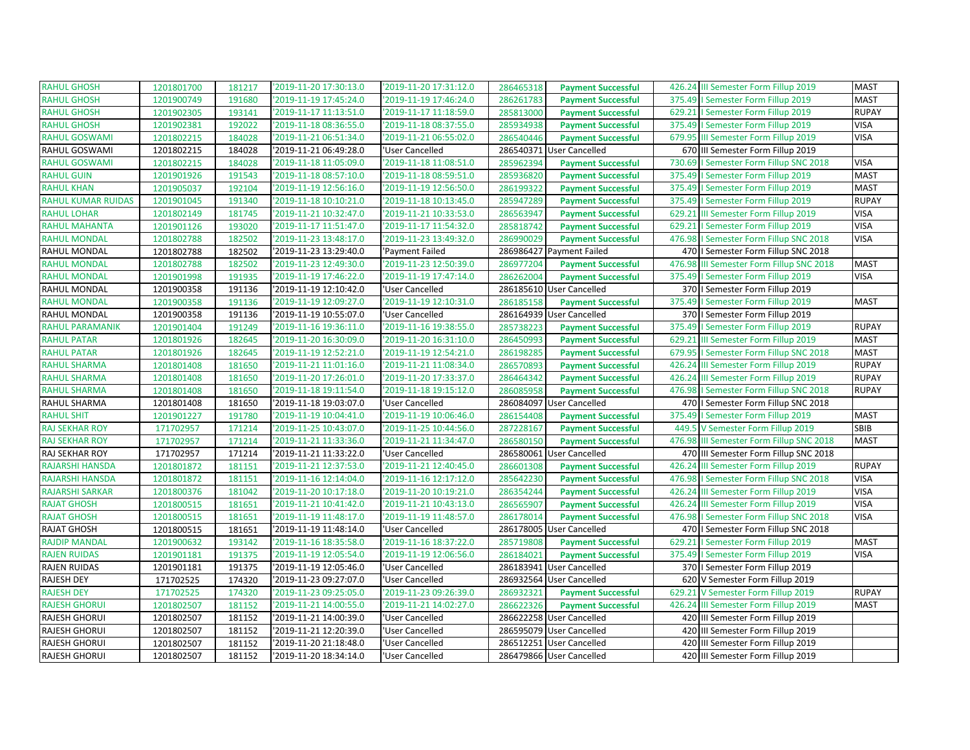| <b>RAHUL GHOSH</b>        | 1201801700 | 181217 | '2019-11-20 17:30:13.0 | '2019-11-20 17:31:12.0 | 286465318 | <b>Payment Successful</b> | 426.24 III Semester Form Fillup 2019        | <b>MAST</b>  |
|---------------------------|------------|--------|------------------------|------------------------|-----------|---------------------------|---------------------------------------------|--------------|
| <b>RAHUL GHOSH</b>        | 1201900749 | 191680 | '2019-11-19 17:45:24.0 | '2019-11-19 17:46:24.0 | 286261783 | <b>Payment Successful</b> | 375.49   Semester Form Fillup 2019          | <b>MAST</b>  |
| <b>RAHUL GHOSH</b>        | 1201902305 | 193141 | '2019-11-17 11:13:51.0 | '2019-11-17 11:18:59.0 | 285813000 | <b>Payment Successful</b> | 629.21   Semester Form Fillup 2019          | <b>RUPAY</b> |
| <b>RAHUL GHOSH</b>        | 1201902381 | 192022 | '2019-11-18 08:36:55.0 | '2019-11-18 08:37:55.0 | 285934938 | <b>Payment Successful</b> | 375.49   Semester Form Fillup 2019          | <b>VISA</b>  |
| <b>RAHUL GOSWAMI</b>      | 1201802215 | 184028 | '2019-11-21 06:51:34.0 | '2019-11-21 06:55:02.0 | 286540446 | <b>Payment Successful</b> | 679.95 III Semester Form Fillup 2019        | <b>VISA</b>  |
| RAHUL GOSWAMI             | 1201802215 | 184028 | '2019-11-21 06:49:28.0 | 'User Cancelled        |           | 286540371 User Cancelled  | 670 III Semester Form Fillup 2019           |              |
| <b>RAHUL GOSWAMI</b>      | 1201802215 | 184028 | '2019-11-18 11:05:09.0 | '2019-11-18 11:08:51.0 | 285962394 | <b>Payment Successful</b> | 730.69   Semester Form Fillup SNC 2018      | <b>VISA</b>  |
| <b>RAHUL GUIN</b>         | 1201901926 | 191543 | '2019-11-18 08:57:10.0 | '2019-11-18 08:59:51.0 | 285936820 | <b>Payment Successful</b> | 375.49   Semester Form Fillup 2019          | <b>MAST</b>  |
| <b>RAHUL KHAN</b>         | 1201905037 | 192104 | '2019-11-19 12:56:16.0 | '2019-11-19 12:56:50.0 | 286199322 | <b>Payment Successful</b> | 375.49   Semester Form Fillup 2019          | <b>MAST</b>  |
| <b>RAHUL KUMAR RUIDAS</b> | 1201901045 | 191340 | '2019-11-18 10:10:21.0 | '2019-11-18 10:13:45.0 | 285947289 | <b>Payment Successful</b> | 375.49   Semester Form Fillup 2019          | <b>RUPAY</b> |
| <b>RAHUL LOHAR</b>        | 1201802149 | 181745 | '2019-11-21 10:32:47.0 | '2019-11-21 10:33:53.0 | 286563947 | <b>Payment Successful</b> | 629.21 III Semester Form Fillup 2019        | <b>VISA</b>  |
| <b>RAHUL MAHANTA</b>      | 1201901126 | 193020 | '2019-11-17 11:51:47.0 | '2019-11-17 11:54:32.0 | 285818742 | <b>Payment Successful</b> | 629.21   Semester Form Fillup 2019          | <b>VISA</b>  |
| <b>RAHUL MONDAL</b>       | 1201802788 | 182502 | '2019-11-23 13:48:17.0 | '2019-11-23 13:49:32.0 | 286990029 | <b>Payment Successful</b> | 476.98<br>I Semester Form Fillup SNC 2018   | <b>VISA</b>  |
| RAHUL MONDAL              | 1201802788 | 182502 | '2019-11-23 13:29:40.0 | 'Payment Failed        |           | 286986427 Payment Failed  | 470   I Semester Form Fillup SNC 2018       |              |
| <b>RAHUL MONDAL</b>       | 1201802788 | 182502 | '2019-11-23 12:49:30.0 | '2019-11-23 12:50:39.0 | 286977204 | <b>Payment Successful</b> | 476.98<br>III Semester Form Fillup SNC 2018 | <b>MAST</b>  |
| <b>RAHUL MONDAL</b>       | 1201901998 | 191935 | '2019-11-19 17:46:22.0 | '2019-11-19 17:47:14.0 | 286262004 | <b>Payment Successful</b> | 375.49   Semester Form Fillup 2019          | <b>VISA</b>  |
| RAHUL MONDAL              | 1201900358 | 191136 | '2019-11-19 12:10:42.0 | 'User Cancelled        |           | 286185610 User Cancelled  | 370   Semester Form Fillup 2019             |              |
| <b>RAHUL MONDAL</b>       | 1201900358 | 191136 | '2019-11-19 12:09:27.0 | '2019-11-19 12:10:31.0 | 286185158 | <b>Payment Successful</b> | 375.49<br>I Semester Form Fillup 2019       | <b>MAST</b>  |
| RAHUL MONDAL              | 1201900358 | 191136 | '2019-11-19 10:55:07.0 | 'User Cancelled        |           | 286164939 User Cancelled  | 370   Semester Form Fillup 2019             |              |
| <b>RAHUL PARAMANIK</b>    | 1201901404 | 191249 | '2019-11-16 19:36:11.0 | '2019-11-16 19:38:55.0 | 285738223 | <b>Payment Successful</b> | 375.49<br>I Semester Form Fillup 2019       | <b>RUPAY</b> |
| <b>RAHUL PATAR</b>        | 1201801926 | 182645 | '2019-11-20 16:30:09.0 | '2019-11-20 16:31:10.0 | 286450993 | <b>Payment Successful</b> | 629.21<br>III Semester Form Fillup 2019     | <b>MAST</b>  |
| <b>RAHUL PATAR</b>        | 1201801926 | 182645 | '2019-11-19 12:52:21.0 | '2019-11-19 12:54:21.0 | 286198285 | <b>Payment Successful</b> | 679.95   Semester Form Fillup SNC 2018      | <b>MAST</b>  |
| <b>RAHUL SHARMA</b>       | 1201801408 | 181650 | '2019-11-21 11:01:16.0 | '2019-11-21 11:08:34.0 | 286570893 | <b>Payment Successful</b> | 426.24 III Semester Form Fillup 2019        | <b>RUPAY</b> |
| <b>RAHUL SHARMA</b>       | 1201801408 | 181650 | '2019-11-20 17:26:01.0 | '2019-11-20 17:33:37.0 | 286464342 | <b>Payment Successful</b> | 426.24 III Semester Form Fillup 2019        | <b>RUPAY</b> |
| <b>RAHUL SHARMA</b>       | 1201801408 | 181650 | '2019-11-18 19:11:54.0 | '2019-11-18 19:15:12.0 | 286085958 | <b>Payment Successful</b> | 476.98   Semester Form Fillup SNC 2018      | <b>RUPAY</b> |
| RAHUL SHARMA              | 1201801408 | 181650 | '2019-11-18 19:03:07.0 | 'User Cancelled        | 286084097 | <b>User Cancelled</b>     | 470   I Semester Form Fillup SNC 2018       |              |
| <b>RAHUL SHIT</b>         | 1201901227 | 191780 | '2019-11-19 10:04:41.0 | '2019-11-19 10:06:46.0 | 286154408 | <b>Payment Successful</b> | 375.49   Semester Form Fillup 2019          | <b>MAST</b>  |
| <b>RAJ SEKHAR ROY</b>     | 171702957  | 171214 | '2019-11-25 10:43:07.0 | '2019-11-25 10:44:56.0 | 287228167 | <b>Payment Successful</b> | 449.5 V Semester Form Fillup 2019           | SBIB         |
| <b>RAJ SEKHAR ROY</b>     | 171702957  | 171214 | '2019-11-21 11:33:36.0 | '2019-11-21 11:34:47.0 | 286580150 | <b>Payment Successful</b> | 476.98 III Semester Form Fillup SNC 2018    | <b>MAST</b>  |
| RAJ SEKHAR ROY            | 171702957  | 171214 | '2019-11-21 11:33:22.0 | 'User Cancelled        | 286580061 | <b>User Cancelled</b>     | 470 III Semester Form Fillup SNC 2018       |              |
| <b>RAJARSHI HANSDA</b>    | 1201801872 | 181151 | '2019-11-21 12:37:53.0 | '2019-11-21 12:40:45.0 | 286601308 | <b>Payment Successful</b> | 426.24<br>III Semester Form Fillup 2019     | <b>RUPAY</b> |
| RAJARSHI HANSDA           | 1201801872 | 181151 | '2019-11-16 12:14:04.0 | '2019-11-16 12:17:12.0 | 285642230 | <b>Payment Successful</b> | 476.98   Semester Form Fillup SNC 2018      | <b>VISA</b>  |
| <b>RAJARSHI SARKAR</b>    | 1201800376 | 181042 | '2019-11-20 10:17:18.0 | '2019-11-20 10:19:21.0 | 286354244 | <b>Payment Successful</b> | 426.24<br>III Semester Form Fillup 2019     | <b>VISA</b>  |
| <b>RAJAT GHOSH</b>        | 1201800515 | 181651 | '2019-11-21 10:41:42.0 | '2019-11-21 10:43:13.0 | 286565907 | <b>Payment Successful</b> | 426.24<br>III Semester Form Fillup 2019     | <b>VISA</b>  |
| <b>RAJAT GHOSH</b>        | 1201800515 | 181651 | '2019-11-19 11:48:17.0 | '2019-11-19 11:48:57.0 | 286178014 | <b>Payment Successful</b> | 476.98   Semester Form Fillup SNC 2018      | <b>VISA</b>  |
| <b>RAJAT GHOSH</b>        | 1201800515 | 181651 | '2019-11-19 11:48:14.0 | 'User Cancelled        |           | 286178005 User Cancelled  | 470   Semester Form Fillup SNC 2018         |              |
| <b>RAJDIP MANDAL</b>      | 1201900632 | 193142 | '2019-11-16 18:35:58.0 | '2019-11-16 18:37:22.0 | 285719808 | <b>Payment Successful</b> | I Semester Form Fillup 2019<br>629.21       | <b>MAST</b>  |
| <b>RAJEN RUIDAS</b>       | 1201901181 | 191375 | '2019-11-19 12:05:54.0 | '2019-11-19 12:06:56.0 | 286184021 | <b>Payment Successful</b> | 375.49<br>I Semester Form Fillup 2019       | <b>VISA</b>  |
| <b>RAJEN RUIDAS</b>       | 1201901181 | 191375 | '2019-11-19 12:05:46.0 | 'User Cancelled        | 286183941 | <b>User Cancelled</b>     | 370   Semester Form Fillup 2019             |              |
| <b>RAJESH DEY</b>         | 171702525  | 174320 | '2019-11-23 09:27:07.0 | 'User Cancelled        |           | 286932564 User Cancelled  | 620 V Semester Form Fillup 2019             |              |
| <b>RAJESH DEY</b>         | 171702525  | 174320 | '2019-11-23 09:25:05.0 | '2019-11-23 09:26:39.0 | 286932321 | <b>Payment Successful</b> | V Semester Form Fillup 2019<br>629.21       | <b>RUPAY</b> |
| <b>RAJESH GHORUI</b>      | 1201802507 | 181152 | '2019-11-21 14:00:55.0 | '2019-11-21 14:02:27.0 | 286622326 | <b>Payment Successful</b> | 426.24<br>III Semester Form Fillup 2019     | <b>MAST</b>  |
| RAJESH GHORUI             | 1201802507 | 181152 | '2019-11-21 14:00:39.0 | 'User Cancelled        |           | 286622258 User Cancelled  | 420 III Semester Form Fillup 2019           |              |
| <b>RAJESH GHORUI</b>      | 1201802507 | 181152 | '2019-11-21 12:20:39.0 | 'User Cancelled        |           | 286595079 User Cancelled  | 420 III Semester Form Fillup 2019           |              |
| <b>RAJESH GHORUI</b>      | 1201802507 | 181152 | '2019-11-20 21:18:48.0 | 'User Cancelled        |           | 286512251 User Cancelled  | 420 III Semester Form Fillup 2019           |              |
| <b>RAJESH GHORUI</b>      | 1201802507 | 181152 | '2019-11-20 18:34:14.0 | 'User Cancelled        |           | 286479866 User Cancelled  | 420 III Semester Form Fillup 2019           |              |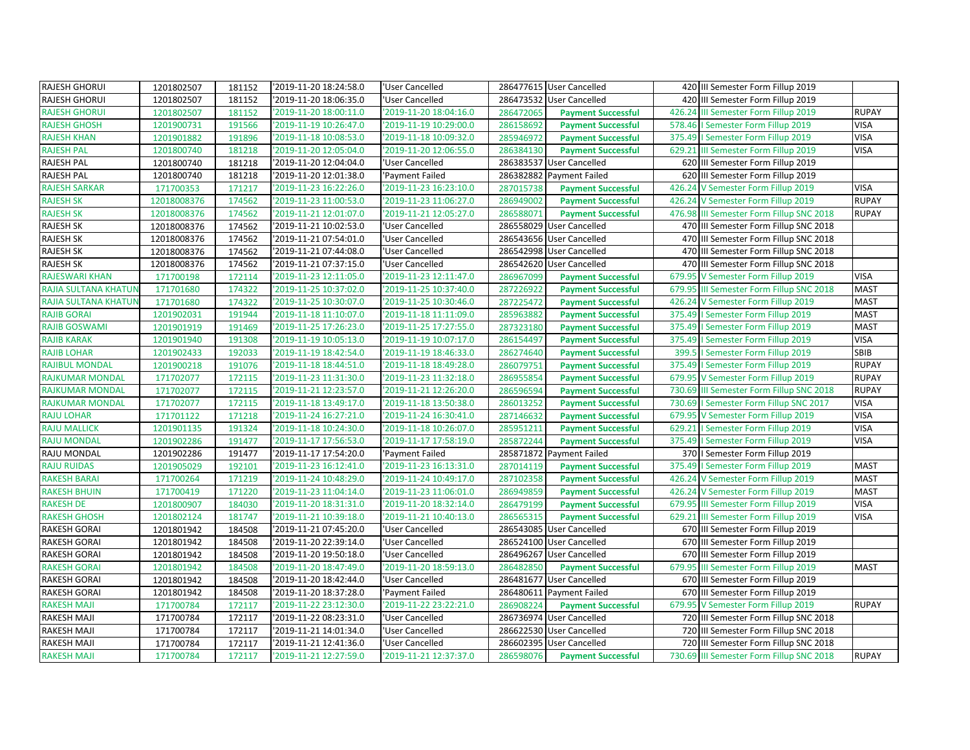| <b>RAJESH GHORUI</b>        | 1201802507  | 181152 | '2019-11-20 18:24:58.0 | 'User Cancelled        |           | 286477615 User Cancelled  | 420 III Semester Form Fillup 2019        |              |
|-----------------------------|-------------|--------|------------------------|------------------------|-----------|---------------------------|------------------------------------------|--------------|
| <b>RAJESH GHORUI</b>        | 1201802507  | 181152 | '2019-11-20 18:06:35.0 | 'User Cancelled        |           | 286473532 User Cancelled  | 420 III Semester Form Fillup 2019        |              |
| <b>RAJESH GHORUI</b>        | 1201802507  | 181152 | '2019-11-20 18:00:11.0 | '2019-11-20 18:04:16.0 | 286472065 | <b>Payment Successful</b> | III Semester Form Fillup 2019<br>426.24  | <b>RUPAY</b> |
| <b>RAJESH GHOSH</b>         | 1201900731  | 191566 | '2019-11-19 10:26:47.0 | '2019-11-19 10:29:00.0 | 286158692 | <b>Payment Successful</b> | 578.46<br>I Semester Form Fillup 2019    | <b>VISA</b>  |
| <b>RAJESH KHAN</b>          | 1201901882  | 191896 | '2019-11-18 10:08:53.0 | '2019-11-18 10:09:32.0 | 285946972 | <b>Payment Successful</b> | I Semester Form Fillup 2019<br>375.49    | <b>VISA</b>  |
| <b>RAJESH PAL</b>           | 1201800740  | 181218 | '2019-11-20 12:05:04.0 | '2019-11-20 12:06:55.0 | 286384130 | <b>Payment Successful</b> | 629.21 III Semester Form Fillup 2019     | <b>VISA</b>  |
| RAJESH PAL                  | 1201800740  | 181218 | '2019-11-20 12:04:04.0 | 'User Cancelled        |           | 286383537 User Cancelled  | 620 III Semester Form Fillup 2019        |              |
| <b>RAJESH PAL</b>           | 1201800740  | 181218 | '2019-11-20 12:01:38.0 | 'Payment Failed        |           | 286382882 Payment Failed  | 620 III Semester Form Fillup 2019        |              |
| <b>RAJESH SARKAR</b>        | 171700353   | 171217 | '2019-11-23 16:22:26.0 | '2019-11-23 16:23:10.0 | 287015738 | <b>Payment Successful</b> | 426.24 V Semester Form Fillup 2019       | <b>VISA</b>  |
| <b>RAJESH SK</b>            | 12018008376 | 174562 | '2019-11-23 11:00:53.0 | '2019-11-23 11:06:27.0 | 286949002 | <b>Payment Successful</b> | 426.24 V Semester Form Fillup 2019       | <b>RUPAY</b> |
| <b>RAJESH SK</b>            | 12018008376 | 174562 | '2019-11-21 12:01:07.0 | '2019-11-21 12:05:27.0 | 286588071 | <b>Payment Successful</b> | 476.98 III Semester Form Fillup SNC 2018 | <b>RUPAY</b> |
| <b>RAJESH SK</b>            | 12018008376 | 174562 | '2019-11-21 10:02:53.0 | 'User Cancelled        |           | 286558029 User Cancelled  | 470 III Semester Form Fillup SNC 2018    |              |
| <b>RAJESH SK</b>            | 12018008376 | 174562 | '2019-11-21 07:54:01.0 | 'User Cancelled        | 286543656 | <b>User Cancelled</b>     | 470 III Semester Form Fillup SNC 2018    |              |
| <b>RAJESH SK</b>            | 12018008376 | 174562 | '2019-11-21 07:44:08.0 | 'User Cancelled        |           | 286542998 User Cancelled  | 470 III Semester Form Fillup SNC 2018    |              |
| <b>RAJESH SK</b>            | 12018008376 | 174562 | '2019-11-21 07:37:15.0 | 'User Cancelled        |           | 286542620 User Cancelled  | 470 III Semester Form Fillup SNC 2018    |              |
| <b>RAJESWARI KHAN</b>       | 171700198   | 172114 | '2019-11-23 12:11:05.0 | '2019-11-23 12:11:47.0 | 286967099 | <b>Payment Successful</b> | 679.95 V Semester Form Fillup 2019       | <b>VISA</b>  |
| <b>RAJIA SULTANA KHATUN</b> | 171701680   | 174322 | '2019-11-25 10:37:02.0 | '2019-11-25 10:37:40.0 | 287226922 | <b>Payment Successful</b> | 679.95 III Semester Form Fillup SNC 2018 | <b>MAST</b>  |
| RAJIA SULTANA KHATUN        | 171701680   | 174322 | '2019-11-25 10:30:07.0 | '2019-11-25 10:30:46.0 | 287225472 | <b>Payment Successful</b> | 426.24 V Semester Form Fillup 2019       | <b>MAST</b>  |
| <b>RAJIB GORAI</b>          | 1201902031  | 191944 | '2019-11-18 11:10:07.0 | '2019-11-18 11:11:09.0 | 285963882 | <b>Payment Successful</b> | 375.49   Semester Form Fillup 2019       | <b>MAST</b>  |
| <b>RAJIB GOSWAMI</b>        | 1201901919  | 191469 | '2019-11-25 17:26:23.0 | '2019-11-25 17:27:55.0 | 287323180 | <b>Payment Successful</b> | 375.49   Semester Form Fillup 2019       | <b>MAST</b>  |
| <b>RAJIB KARAK</b>          | 1201901940  | 191308 | '2019-11-19 10:05:13.0 | '2019-11-19 10:07:17.0 | 286154497 | <b>Payment Successful</b> | 375.49<br>I Semester Form Fillup 2019    | <b>VISA</b>  |
| <b>RAJIB LOHAR</b>          | 1201902433  | 192033 | '2019-11-19 18:42:54.0 | '2019-11-19 18:46:33.0 | 286274640 | <b>Payment Successful</b> | 399.5   Semester Form Fillup 2019        | SBIB         |
| <b>RAJIBUL MONDAL</b>       | 1201900218  | 191076 | '2019-11-18 18:44:51.0 | '2019-11-18 18:49:28.0 | 286079751 | <b>Payment Successful</b> | 375.49   Semester Form Fillup 2019       | <b>RUPAY</b> |
| <b>RAJKUMAR MONDAL</b>      | 171702077   | 172115 | '2019-11-23 11:31:30.0 | '2019-11-23 11:32:18.0 | 286955854 | <b>Payment Successful</b> | 679.95 V Semester Form Fillup 2019       | <b>RUPAY</b> |
| <b>RAJKUMAR MONDAL</b>      | 171702077   | 172115 | '2019-11-21 12:23:57.0 | '2019-11-21 12:26:20.0 | 286596594 | <b>Payment Successful</b> | 730.69 III Semester Form Fillup SNC 2018 | <b>RUPAY</b> |
| <b>RAJKUMAR MONDAL</b>      | 171702077   | 172115 | '2019-11-18 13:49:17.0 | '2019-11-18 13:50:38.0 | 286013252 | <b>Payment Successful</b> | 730.69   Semester Form Fillup SNC 2017   | <b>VISA</b>  |
| <b>RAJU LOHAR</b>           | 171701122   | 171218 | '2019-11-24 16:27:21.0 | '2019-11-24 16:30:41.0 | 287146632 | <b>Payment Successful</b> | 679.95 V Semester Form Fillup 2019       | <b>VISA</b>  |
| <b>RAJU MALLICK</b>         | 1201901135  | 191324 | '2019-11-18 10:24:30.0 | '2019-11-18 10:26:07.0 | 285951211 | <b>Payment Successful</b> | 629.21   Semester Form Fillup 2019       | <b>VISA</b>  |
| <b>RAJU MONDAL</b>          | 1201902286  | 191477 | '2019-11-17 17:56:53.0 | '2019-11-17 17:58:19.0 | 285872244 | <b>Payment Successful</b> | 375.49   Semester Form Fillup 2019       | <b>VISA</b>  |
| RAJU MONDAL                 | 1201902286  | 191477 | '2019-11-17 17:54:20.0 | 'Payment Failed        |           | 285871872 Payment Failed  | 370   Semester Form Fillup 2019          |              |
| <b>RAJU RUIDAS</b>          | 1201905029  | 192101 | '2019-11-23 16:12:41.0 | '2019-11-23 16:13:31.0 | 287014119 | <b>Payment Successful</b> | 375.49   Semester Form Fillup 2019       | <b>MAST</b>  |
| <b>RAKESH BARAI</b>         | 171700264   | 171219 | '2019-11-24 10:48:29.0 | '2019-11-24 10:49:17.0 | 287102358 | <b>Payment Successful</b> | 426.24 V Semester Form Fillup 2019       | <b>MAST</b>  |
| <b>RAKESH BHUIN</b>         | 171700419   | 171220 | '2019-11-23 11:04:14.0 | '2019-11-23 11:06:01.0 | 286949859 | <b>Payment Successful</b> | 426.24 V Semester Form Fillup 2019       | <b>MAST</b>  |
| <b>RAKESH DE</b>            | 1201800907  | 184030 | '2019-11-20 18:31:31.0 | '2019-11-20 18:32:14.0 | 286479199 | <b>Payment Successful</b> | III Semester Form Fillup 2019<br>679.95  | <b>VISA</b>  |
| <b>RAKESH GHOSH</b>         | 1201802124  | 181747 | '2019-11-21 10:39:18.0 | '2019-11-21 10:40:13.0 | 286565315 | <b>Payment Successful</b> | 629.21 III Semester Form Fillup 2019     | <b>VISA</b>  |
| RAKESH GORAI                | 1201801942  | 184508 | '2019-11-21 07:45:20.0 | 'User Cancelled        |           | 286543085 User Cancelled  | 670 III Semester Form Fillup 2019        |              |
| RAKESH GORAI                | 1201801942  | 184508 | '2019-11-20 22:39:14.0 | 'User Cancelled        |           | 286524100 User Cancelled  | 670 III Semester Form Fillup 2019        |              |
| <b>RAKESH GORAI</b>         | 1201801942  | 184508 | '2019-11-20 19:50:18.0 | 'User Cancelled        |           | 286496267 User Cancelled  | 670 III Semester Form Fillup 2019        |              |
| <b>RAKESH GORAI</b>         | 1201801942  | 184508 | '2019-11-20 18:47:49.0 | '2019-11-20 18:59:13.0 | 286482850 | <b>Payment Successful</b> | 679.95<br>III Semester Form Fillup 2019  | <b>MAST</b>  |
| RAKESH GORAI                | 1201801942  | 184508 | '2019-11-20 18:42:44.0 | 'User Cancelled        |           | 286481677 User Cancelled  | 670 III Semester Form Fillup 2019        |              |
| RAKESH GORAI                | 1201801942  | 184508 | '2019-11-20 18:37:28.0 | 'Payment Failed        |           | 286480611 Payment Failed  | 670 III Semester Form Fillup 2019        |              |
| <b>RAKESH MAJI</b>          | 171700784   | 172117 | '2019-11-22 23:12:30.0 | '2019-11-22 23:22:21.0 | 286908224 | <b>Payment Successful</b> | V Semester Form Fillup 2019<br>679.95    | <b>RUPAY</b> |
| RAKESH MAJI                 | 171700784   | 172117 | '2019-11-22 08:23:31.0 | 'User Cancelled        |           | 286736974 User Cancelled  | 720 III Semester Form Fillup SNC 2018    |              |
| RAKESH MAJI                 | 171700784   | 172117 | '2019-11-21 14:01:34.0 | 'User Cancelled        |           | 286622530 User Cancelled  | 720 III Semester Form Fillup SNC 2018    |              |
| RAKESH MAJI                 | 171700784   | 172117 | '2019-11-21 12:41:36.0 | 'User Cancelled        |           | 286602395 User Cancelled  | 720 III Semester Form Fillup SNC 2018    |              |
| <b>RAKESH MAJI</b>          | 171700784   | 172117 | '2019-11-21 12:27:59.0 | '2019-11-21 12:37:37.0 | 286598076 | <b>Payment Successful</b> | 730.69 III Semester Form Fillup SNC 2018 | <b>RUPAY</b> |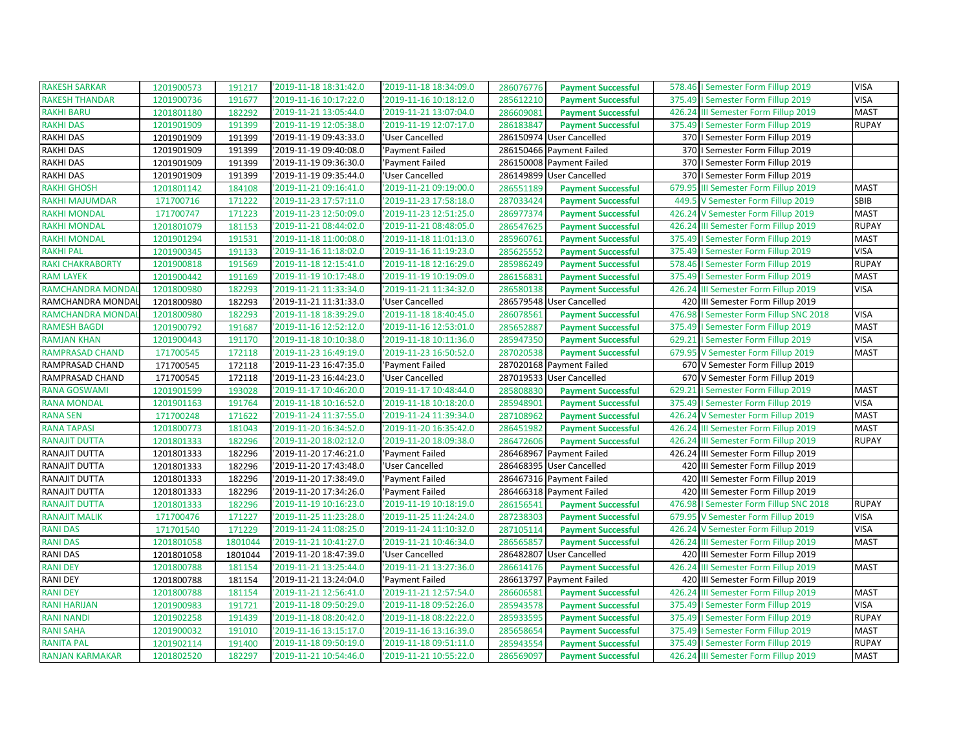| <b>RAKESH SARKAR</b>    | 1201900573 | 191217  | '2019-11-18 18:31:42.0 | '2019-11-18 18:34:09.0 | 286076776 | <b>Payment Successful</b> |        | 578.46   Semester Form Fillup 2019     | <b>VISA</b>  |
|-------------------------|------------|---------|------------------------|------------------------|-----------|---------------------------|--------|----------------------------------------|--------------|
| <b>RAKESH THANDAR</b>   | 1201900736 | 191677  | 2019-11-16 10:17:22.0  | '2019-11-16 10:18:12.0 | 285612210 | <b>Payment Successful</b> | 375.49 | I Semester Form Fillup 2019            | <b>VISA</b>  |
| <b>RAKHI BARU</b>       | 1201801180 | 182292  | '2019-11-21 13:05:44.0 | '2019-11-21 13:07:04.0 | 286609081 | <b>Payment Successful</b> |        | 426.24 III Semester Form Fillup 2019   | <b>MAST</b>  |
| <b>RAKHI DAS</b>        | 1201901909 | 191399  | '2019-11-19 12:05:38.0 | '2019-11-19 12:07:17.0 | 286183847 | <b>Payment Successful</b> | 375.49 | I Semester Form Fillup 2019            | <b>RUPAY</b> |
| <b>RAKHI DAS</b>        | 1201901909 | 191399  | '2019-11-19 09:43:33.0 | 'User Cancelled        |           | 286150974 User Cancelled  |        | 370   Semester Form Fillup 2019        |              |
| <b>RAKHI DAS</b>        | 1201901909 | 191399  | '2019-11-19 09:40:08.0 | 'Payment Failed        |           | 286150466 Payment Failed  |        | 370   Semester Form Fillup 2019        |              |
| <b>RAKHI DAS</b>        | 1201901909 | 191399  | '2019-11-19 09:36:30.0 | 'Payment Failed        |           | 286150008 Payment Failed  |        | 370   Semester Form Fillup 2019        |              |
| <b>RAKHI DAS</b>        | 1201901909 | 191399  | '2019-11-19 09:35:44.0 | 'User Cancelled        |           | 286149899 User Cancelled  |        | 370   Semester Form Fillup 2019        |              |
| <b>RAKHI GHOSH</b>      | 1201801142 | 184108  | '2019-11-21 09:16:41.0 | '2019-11-21 09:19:00.0 | 286551189 | <b>Payment Successful</b> |        | 679.95 III Semester Form Fillup 2019   | <b>MAST</b>  |
| RAKHI MAJUMDAR          | 171700716  | 171222  | '2019-11-23 17:57:11.0 | '2019-11-23 17:58:18.0 | 287033424 | <b>Payment Successful</b> | 449.5  | V Semester Form Fillup 2019            | SBIB         |
| <b>RAKHI MONDAL</b>     | 171700747  | 171223  | '2019-11-23 12:50:09.0 | '2019-11-23 12:51:25.0 | 286977374 | <b>Payment Successful</b> |        | 426.24 V Semester Form Fillup 2019     | <b>MAST</b>  |
| <b>RAKHI MONDAL</b>     | 1201801079 | 181153  | '2019-11-21 08:44:02.0 | '2019-11-21 08:48:05.0 | 286547625 | <b>Payment Successful</b> |        | 426.24 III Semester Form Fillup 2019   | <b>RUPAY</b> |
| <b>RAKHI MONDAL</b>     | 1201901294 | 191531  | '2019-11-18 11:00:08.0 | '2019-11-18 11:01:13.0 | 285960761 | <b>Payment Successful</b> |        | 375.49   Semester Form Fillup 2019     | <b>MAST</b>  |
| <b>RAKHI PAL</b>        | 1201900345 | 191133  | '2019-11-16 11:18:02.0 | '2019-11-16 11:19:23.0 | 285625552 | <b>Payment Successful</b> |        | 375.49   Semester Form Fillup 2019     | <b>VISA</b>  |
| <b>RAKI CHAKRABORTY</b> | 1201900818 | 191569  | '2019-11-18 12:15:41.0 | '2019-11-18 12:16:29.0 | 285986249 | <b>Payment Successful</b> |        | 578.46   Semester Form Fillup 2019     | <b>RUPAY</b> |
| <b>RAM LAYEK</b>        | 1201900442 | 191169  | '2019-11-19 10:17:48.0 | '2019-11-19 10:19:09.0 | 286156831 | <b>Payment Successful</b> |        | 375.49   Semester Form Fillup 2019     | <b>MAST</b>  |
| RAMCHANDRA MONDA        | 1201800980 | 182293  | '2019-11-21 11:33:34.0 | '2019-11-21 11:34:32.0 | 286580138 | <b>Payment Successful</b> |        | 426.24 III Semester Form Fillup 2019   | <b>VISA</b>  |
| RAMCHANDRA MONDAI       | 1201800980 | 182293  | '2019-11-21 11:31:33.0 | 'User Cancelled        |           | 286579548 User Cancelled  |        | 420 III Semester Form Fillup 2019      |              |
| RAMCHANDRA MONDA        | 1201800980 | 182293  | '2019-11-18 18:39:29.0 | '2019-11-18 18:40:45.0 | 286078561 | <b>Payment Successful</b> |        | 476.98   Semester Form Fillup SNC 2018 | <b>VISA</b>  |
| <b>RAMESH BAGDI</b>     | 1201900792 | 191687  | '2019-11-16 12:52:12.0 | '2019-11-16 12:53:01.0 | 285652887 | <b>Payment Successful</b> |        | 375.49   Semester Form Fillup 2019     | <b>MAST</b>  |
| <b>RAMJAN KHAN</b>      | 1201900443 | 191170  | '2019-11-18 10:10:38.0 | '2019-11-18 10:11:36.0 | 285947350 | <b>Payment Successful</b> |        | 629.21   Semester Form Fillup 2019     | <b>VISA</b>  |
| RAMPRASAD CHAND         | 171700545  | 172118  | '2019-11-23 16:49:19.0 | '2019-11-23 16:50:52.0 | 287020538 | <b>Payment Successful</b> |        | 679.95 V Semester Form Fillup 2019     | <b>MAST</b>  |
| RAMPRASAD CHAND         | 171700545  | 172118  | '2019-11-23 16:47:35.0 | 'Payment Failed        |           | 287020168 Payment Failed  |        | 670 V Semester Form Fillup 2019        |              |
| RAMPRASAD CHAND         | 171700545  | 172118  | '2019-11-23 16:44:23.0 | 'User Cancelled        |           | 287019533 User Cancelled  |        | 670 V Semester Form Fillup 2019        |              |
| <b>RANA GOSWAMI</b>     | 1201901599 | 193028  | '2019-11-17 10:46:20.0 | '2019-11-17 10:48:44.0 | 285808830 | <b>Payment Successful</b> |        | 629.21   Semester Form Fillup 2019     | <b>MAST</b>  |
| <b>RANA MONDAL</b>      | 1201901163 | 191764  | '2019-11-18 10:16:52.0 | '2019-11-18 10:18:20.0 | 285948901 | <b>Payment Successful</b> | 375.49 | I Semester Form Fillup 2019            | <b>VISA</b>  |
| <b>RANA SEN</b>         | 171700248  | 171622  | '2019-11-24 11:37:55.0 | '2019-11-24 11:39:34.0 | 287108962 | <b>Payment Successful</b> |        | 426.24 V Semester Form Fillup 2019     | <b>MAST</b>  |
| <b>RANA TAPASI</b>      | 1201800773 | 181043  | '2019-11-20 16:34:52.0 | '2019-11-20 16:35:42.0 | 286451982 | <b>Payment Successful</b> |        | 426.24 III Semester Form Fillup 2019   | <b>MAST</b>  |
| <b>RANAJIT DUTTA</b>    | 1201801333 | 182296  | '2019-11-20 18:02:12.0 | '2019-11-20 18:09:38.0 | 286472606 | <b>Payment Successful</b> |        | 426.24 III Semester Form Fillup 2019   | <b>RUPAY</b> |
| RANAJIT DUTTA           | 1201801333 | 182296  | '2019-11-20 17:46:21.0 | 'Payment Failed        |           | 286468967 Payment Failed  |        | 426.24 III Semester Form Fillup 2019   |              |
| RANAJIT DUTTA           | 1201801333 | 182296  | '2019-11-20 17:43:48.0 | 'User Cancelled        |           | 286468395 User Cancelled  |        | 420 III Semester Form Fillup 2019      |              |
| RANAJIT DUTTA           | 1201801333 | 182296  | '2019-11-20 17:38:49.0 | 'Payment Failed        |           | 286467316 Payment Failed  |        | 420 III Semester Form Fillup 2019      |              |
| RANAJIT DUTTA           | 1201801333 | 182296  | '2019-11-20 17:34:26.0 | 'Payment Failed        |           | 286466318 Payment Failed  |        | 420 III Semester Form Fillup 2019      |              |
| RANAJIT DUTTA           | 1201801333 | 182296  | 2019-11-19 10:16:23.0  | '2019-11-19 10:18:19.0 | 286156541 | <b>Payment Successful</b> | 476.98 | I Semester Form Fillup SNC 2018        | <b>RUPAY</b> |
| <b>RANAJIT MALIK</b>    | 171700476  | 171227  | '2019-11-25 11:23:28.0 | '2019-11-25 11:24:24.0 | 287238303 | <b>Payment Successful</b> |        | 679.95 V Semester Form Fillup 2019     | <b>VISA</b>  |
| <b>RANI DAS</b>         | 171701540  | 171229  | '2019-11-24 11:08:25.0 | '2019-11-24 11:10:32.0 | 287105114 | <b>Payment Successful</b> |        | 426.24 V Semester Form Fillup 2019     | <b>VISA</b>  |
| <b>RANI DAS</b>         | 1201801058 | 1801044 | '2019-11-21 10:41:27.0 | '2019-11-21 10:46:34.0 | 286565857 | <b>Payment Successful</b> |        | 426.24 III Semester Form Fillup 2019   | <b>MAST</b>  |
| <b>RANI DAS</b>         | 1201801058 | 1801044 | '2019-11-20 18:47:39.0 | 'User Cancelled        |           | 286482807 User Cancelled  |        | 420 III Semester Form Fillup 2019      |              |
| <b>RANI DEY</b>         | 1201800788 | 181154  | '2019-11-21 13:25:44.0 | '2019-11-21 13:27:36.0 | 286614176 | <b>Payment Successful</b> | 426.24 | III Semester Form Fillup 2019          | <b>MAST</b>  |
| <b>RANI DEY</b>         | 1201800788 | 181154  | '2019-11-21 13:24:04.0 | 'Payment Failed        |           | 286613797 Payment Failed  |        | 420 III Semester Form Fillup 2019      |              |
| <b>RANI DEY</b>         | 1201800788 | 181154  | '2019-11-21 12:56:41.0 | '2019-11-21 12:57:54.0 | 286606581 | <b>Payment Successful</b> | 426.24 | III Semester Form Fillup 2019          | <b>MAST</b>  |
| <b>RANI HARIJAN</b>     | 1201900983 | 191721  | '2019-11-18 09:50:29.0 | 2019-11-18 09:52:26.0  | 285943578 | <b>Payment Successful</b> | 375.49 | I Semester Form Fillup 2019            | <b>VISA</b>  |
| <b>RANI NANDI</b>       | 1201902258 | 191439  | '2019-11-18 08:20:42.0 | '2019-11-18 08:22:22.0 | 285933595 | <b>Payment Successful</b> |        | 375.49   Semester Form Fillup 2019     | <b>RUPAY</b> |
| <b>RANI SAHA</b>        | 1201900032 | 191010  | '2019-11-16 13:15:17.0 | '2019-11-16 13:16:39.0 | 285658654 | <b>Payment Successful</b> |        | 375.49   Semester Form Fillup 2019     | <b>MAST</b>  |
| <b>RANITA PAL</b>       | 1201902114 | 191400  | '2019-11-18 09:50:19.0 | '2019-11-18 09:51:11.0 | 285943554 | <b>Payment Successful</b> |        | 375.49   Semester Form Fillup 2019     | <b>RUPAY</b> |
| <b>RANJAN KARMAKAR</b>  | 1201802520 | 182297  | '2019-11-21 10:54:46.0 | '2019-11-21 10:55:22.0 | 286569097 | <b>Payment Successful</b> |        | 426.24 III Semester Form Fillup 2019   | <b>MAST</b>  |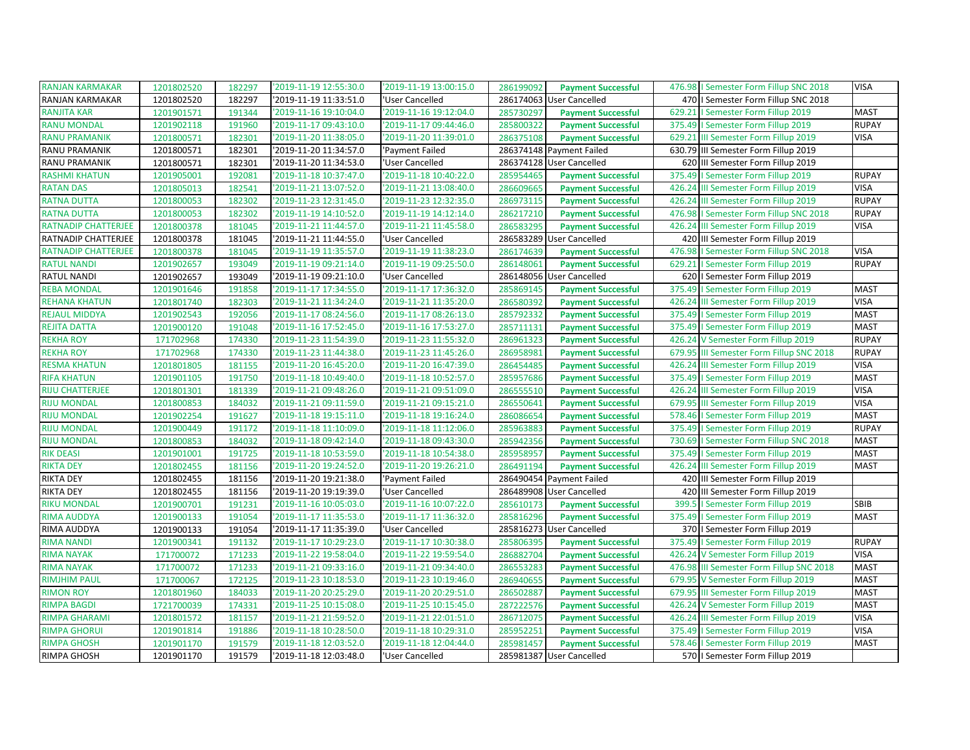| <b>RANJAN KARMAKAR</b>     | 1201802520 | 182297 | '2019-11-19 12:55:30.0 | '2019-11-19 13:00:15.0 | 286199092 | <b>Payment Successful</b> | 476.98   Semester Form Fillup SNC 2018      | <b>VISA</b>  |
|----------------------------|------------|--------|------------------------|------------------------|-----------|---------------------------|---------------------------------------------|--------------|
| <b>RANJAN KARMAKAR</b>     | 1201802520 | 182297 | '2019-11-19 11:33:51.0 | 'User Cancelled        | 286174063 | User Cancelled            | 470   Semester Form Fillup SNC 2018         |              |
| <b>RANJITA KAR</b>         | 1201901571 | 191344 | '2019-11-16 19:10:04.0 | '2019-11-16 19:12:04.0 | 285730297 | <b>Payment Successful</b> | 629.21   Semester Form Fillup 2019          | <b>MAST</b>  |
| <b>RANU MONDAL</b>         | 1201902118 | 191960 | '2019-11-17 09:43:10.0 | '2019-11-17 09:44:46.0 | 285800322 | <b>Payment Successful</b> | 375.49<br>I Semester Form Fillup 2019       | <b>RUPAY</b> |
| <b>RANU PRAMANIK</b>       | 1201800571 | 182301 | '2019-11-20 11:38:05.0 | '2019-11-20 11:39:01.0 | 286375108 | <b>Payment Successful</b> | 629.21<br>III Semester Form Fillup 2019     | <b>VISA</b>  |
| RANU PRAMANIK              | 1201800571 | 182301 | '2019-11-20 11:34:57.0 | 'Payment Failed        |           | 286374148 Payment Failed  | 630.79 III Semester Form Fillup 2019        |              |
| RANU PRAMANIK              | 1201800571 | 182301 | '2019-11-20 11:34:53.0 | 'User Cancelled        | 286374128 | <b>User Cancelled</b>     | 620 III Semester Form Fillup 2019           |              |
| <b>RASHMI KHATUN</b>       | 1201905001 | 192081 | '2019-11-18 10:37:47.0 | '2019-11-18 10:40:22.0 | 285954465 | <b>Payment Successful</b> | 375.49   Semester Form Fillup 2019          | <b>RUPAY</b> |
| <b>RATAN DAS</b>           | 1201805013 | 182541 | '2019-11-21 13:07:52.0 | '2019-11-21 13:08:40.0 | 286609665 | <b>Payment Successful</b> | 426.24 III Semester Form Fillup 2019        | <b>VISA</b>  |
| <b>RATNA DUTTA</b>         | 1201800053 | 182302 | '2019-11-23 12:31:45.0 | '2019-11-23 12:32:35.0 | 286973115 | <b>Payment Successful</b> | 426.24<br>III Semester Form Fillup 2019     | <b>RUPAY</b> |
| <b>RATNA DUTTA</b>         | 1201800053 | 182302 | '2019-11-19 14:10:52.0 | '2019-11-19 14:12:14.0 | 286217210 | <b>Payment Successful</b> | 476.98   Semester Form Fillup SNC 2018      | <b>RUPAY</b> |
| <b>RATNADIP CHATTERJEE</b> | 1201800378 | 181045 | '2019-11-21 11:44:57.0 | '2019-11-21 11:45:58.0 | 286583295 | <b>Payment Successful</b> | III Semester Form Fillup 2019<br>426.24     | <b>VISA</b>  |
| RATNADIP CHATTERJEE        | 1201800378 | 181045 | '2019-11-21 11:44:55.0 | 'User Cancelled        |           | 286583289 User Cancelled  | 420 III Semester Form Fillup 2019           |              |
| <b>RATNADIP CHATTERJEE</b> | 1201800378 | 181045 | '2019-11-19 11:35:57.0 | '2019-11-19 11:38:23.0 | 286174639 | <b>Payment Successful</b> | 476.98<br>I Semester Form Fillup SNC 2018   | <b>VISA</b>  |
| <b>RATUL NANDI</b>         | 1201902657 | 193049 | '2019-11-19 09:21:14.0 | '2019-11-19 09:25:50.0 | 286148061 | <b>Payment Successful</b> | 629.21<br>I Semester Form Fillup 2019       | <b>RUPAY</b> |
| RATUL NANDI                | 1201902657 | 193049 | '2019-11-19 09:21:10.0 | 'User Cancelled        |           | 286148056 User Cancelled  | 620   Semester Form Fillup 2019             |              |
| <b>REBA MONDAL</b>         | 1201901646 | 191858 | '2019-11-17 17:34:55.0 | '2019-11-17 17:36:32.0 | 285869145 | <b>Payment Successful</b> | 375.49<br>I Semester Form Fillup 2019       | <b>MAST</b>  |
| <b>REHANA KHATUN</b>       | 1201801740 | 182303 | '2019-11-21 11:34:24.0 | '2019-11-21 11:35:20.0 | 286580392 | <b>Payment Successful</b> | 426.24 III Semester Form Fillup 2019        | <b>VISA</b>  |
| <b>REJAUL MIDDYA</b>       | 1201902543 | 192056 | '2019-11-17 08:24:56.0 | '2019-11-17 08:26:13.0 | 285792332 | <b>Payment Successful</b> | 375.49   Semester Form Fillup 2019          | <b>MAST</b>  |
| <b>REJITA DATTA</b>        | 1201900120 | 191048 | '2019-11-16 17:52:45.0 | '2019-11-16 17:53:27.0 | 285711131 | <b>Payment Successful</b> | 375.49   Semester Form Fillup 2019          | <b>MAST</b>  |
| <b>REKHA ROY</b>           | 171702968  | 174330 | '2019-11-23 11:54:39.0 | '2019-11-23 11:55:32.0 | 286961323 | <b>Payment Successful</b> | 426.24 V Semester Form Fillup 2019          | <b>RUPAY</b> |
| <b>REKHA ROY</b>           | 171702968  | 174330 | '2019-11-23 11:44:38.0 | '2019-11-23 11:45:26.0 | 286958981 | <b>Payment Successful</b> | 679.95 III Semester Form Fillup SNC 2018    | <b>RUPAY</b> |
| <b>RESMA KHATUN</b>        | 1201801805 | 181155 | '2019-11-20 16:45:20.0 | '2019-11-20 16:47:39.0 | 286454485 | <b>Payment Successful</b> | 426.24 III Semester Form Fillup 2019        | <b>VISA</b>  |
| <b>RIFA KHATUN</b>         | 1201901105 | 191750 | '2019-11-18 10:49:40.0 | '2019-11-18 10:52:57.0 | 285957686 | <b>Payment Successful</b> | 375.49   Semester Form Fillup 2019          | <b>MAST</b>  |
| <b>RIJU CHATTERJEE</b>     | 1201801301 | 181339 | '2019-11-21 09:48:26.0 | '2019-11-21 09:51:09.0 | 286555510 | <b>Payment Successful</b> | 426.24 III Semester Form Fillup 2019        | <b>VISA</b>  |
| <b>RIJU MONDAL</b>         | 1201800853 | 184032 | '2019-11-21 09:11:59.0 | '2019-11-21 09:15:21.0 | 286550641 | <b>Payment Successful</b> | 679.95 III Semester Form Fillup 2019        | <b>VISA</b>  |
| <b>RIJU MONDAL</b>         | 1201902254 | 191627 | '2019-11-18 19:15:11.0 | '2019-11-18 19:16:24.0 | 286086654 | <b>Payment Successful</b> | 578.46   Semester Form Fillup 2019          | <b>MAST</b>  |
| <b>RIJU MONDAL</b>         | 1201900449 | 191172 | '2019-11-18 11:10:09.0 | '2019-11-18 11:12:06.0 | 285963883 | <b>Payment Successful</b> | 375.49   Semester Form Fillup 2019          | <b>RUPAY</b> |
| <b>RIJU MONDAL</b>         | 1201800853 | 184032 | '2019-11-18 09:42:14.0 | '2019-11-18 09:43:30.0 | 285942356 | <b>Payment Successful</b> | 730.69   Semester Form Fillup SNC 2018      | <b>MAST</b>  |
| <b>RIK DEASI</b>           | 1201901001 | 191725 | '2019-11-18 10:53:59.0 | '2019-11-18 10:54:38.0 | 285958957 | <b>Payment Successful</b> | 375.49<br>I Semester Form Fillup 2019       | <b>MAST</b>  |
| <b>RIKTA DEY</b>           | 1201802455 | 181156 | '2019-11-20 19:24:52.0 | '2019-11-20 19:26:21.0 | 286491194 | <b>Payment Successful</b> | 426.24<br>III Semester Form Fillup 2019     | <b>MAST</b>  |
| <b>RIKTA DEY</b>           | 1201802455 | 181156 | '2019-11-20 19:21:38.0 | 'Payment Failed        |           | 286490454 Payment Failed  | 420 III Semester Form Fillup 2019           |              |
| <b>RIKTA DEY</b>           | 1201802455 | 181156 | '2019-11-20 19:19:39.0 | 'User Cancelled        |           | 286489908 User Cancelled  | 420 III Semester Form Fillup 2019           |              |
| <b>RIKU MONDAL</b>         | 1201900701 | 191231 | '2019-11-16 10:05:03.0 | '2019-11-16 10:07:22.0 | 285610173 | <b>Payment Successful</b> | 399.5<br>I Semester Form Fillup 2019        | SBIB         |
| <b>RIMA AUDDYA</b>         | 1201900133 | 191054 | '2019-11-17 11:35:53.0 | '2019-11-17 11:36:32.0 | 285816296 | <b>Payment Successful</b> | 375.49   Semester Form Fillup 2019          | <b>MAST</b>  |
| RIMA AUDDYA                | 1201900133 | 191054 | '2019-11-17 11:35:39.0 | 'User Cancelled        |           | 285816273 User Cancelled  | 370   Semester Form Fillup 2019             |              |
| <b>RIMA NANDI</b>          | 1201900341 | 191132 | '2019-11-17 10:29:23.0 | '2019-11-17 10:30:38.0 | 285806395 | <b>Payment Successful</b> | 375.49   Semester Form Fillup 2019          | <b>RUPAY</b> |
| <b>RIMA NAYAK</b>          | 171700072  | 171233 | '2019-11-22 19:58:04.0 | '2019-11-22 19:59:54.0 | 286882704 | <b>Payment Successful</b> | 426.24 V Semester Form Fillup 2019          | <b>VISA</b>  |
| <b>RIMA NAYAK</b>          | 171700072  | 171233 | '2019-11-21 09:33:16.0 | '2019-11-21 09:34:40.0 | 286553283 | <b>Payment Successful</b> | III Semester Form Fillup SNC 2018<br>476.98 | <b>MAST</b>  |
| <b>RIMJHIM PAUL</b>        | 171700067  | 172125 | '2019-11-23 10:18:53.0 | '2019-11-23 10:19:46.0 | 286940655 | <b>Payment Successful</b> | 679.95 V Semester Form Fillup 2019          | <b>MAST</b>  |
| <b>RIMON ROY</b>           | 1201801960 | 184033 | '2019-11-20 20:25:29.0 | '2019-11-20 20:29:51.0 | 286502887 | <b>Payment Successful</b> | 679.95 III Semester Form Fillup 2019        | <b>MAST</b>  |
| <b>RIMPA BAGDI</b>         | 1721700039 | 174331 | '2019-11-25 10:15:08.0 | '2019-11-25 10:15:45.0 | 287222576 | <b>Payment Successful</b> | 426.24 V Semester Form Fillup 2019          | <b>MAST</b>  |
| <b>RIMPA GHARAMI</b>       | 1201801572 | 181157 | '2019-11-21 21:59:52.0 | '2019-11-21 22:01:51.0 | 286712075 | <b>Payment Successful</b> | 426.24 III Semester Form Fillup 2019        | <b>VISA</b>  |
| <b>RIMPA GHORUI</b>        | 1201901814 | 191886 | '2019-11-18 10:28:50.0 | '2019-11-18 10:29:31.0 | 285952251 | <b>Payment Successful</b> | 375.49   Semester Form Fillup 2019          | <b>VISA</b>  |
| <b>RIMPA GHOSH</b>         | 1201901170 | 191579 | '2019-11-18 12:03:52.0 | '2019-11-18 12:04:44.0 | 285981457 | <b>Payment Successful</b> | 578.46   Semester Form Fillup 2019          | <b>MAST</b>  |
| RIMPA GHOSH                | 1201901170 | 191579 | '2019-11-18 12:03:48.0 | 'User Cancelled        |           | 285981387 User Cancelled  | 570   Semester Form Fillup 2019             |              |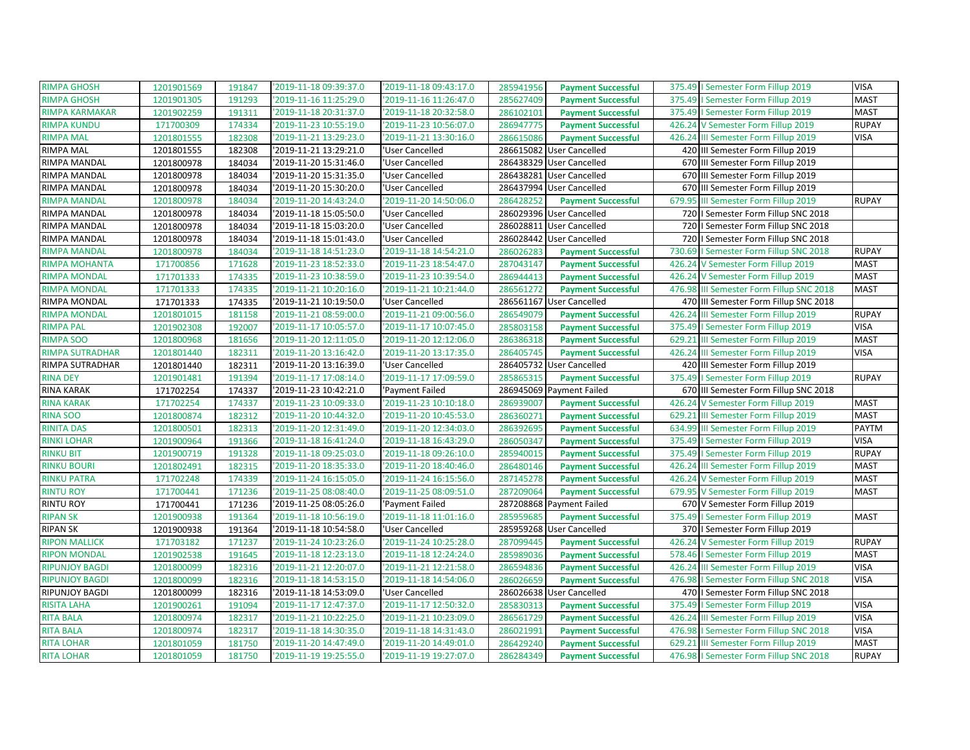| <b>RIMPA GHOSH</b>     | 1201901569 | 191847 | '2019-11-18 09:39:37.0 | '2019-11-18 09:43:17.0 | 285941956 | <b>Payment Successful</b> | 375.49   Semester Form Fillup 2019       | <b>VISA</b>  |
|------------------------|------------|--------|------------------------|------------------------|-----------|---------------------------|------------------------------------------|--------------|
| RIMPA GHOSH            | 1201901305 | 191293 | '2019-11-16 11:25:29.0 | '2019-11-16 11:26:47.0 | 285627409 | <b>Payment Successful</b> | 375.49   Semester Form Fillup 2019       | <b>MAST</b>  |
| RIMPA KARMAKAR         | 1201902259 | 191311 | '2019-11-18 20:31:37.0 | '2019-11-18 20:32:58.0 | 286102101 | <b>Payment Successful</b> | 375.49   Semester Form Fillup 2019       | <b>MAST</b>  |
| <b>RIMPA KUNDU</b>     | 171700309  | 174334 | '2019-11-23 10:55:19.0 | '2019-11-23 10:56:07.0 | 286947775 | <b>Payment Successful</b> | 426.24 V Semester Form Fillup 2019       | <b>RUPAY</b> |
| <b>RIMPA MAL</b>       | 1201801555 | 182308 | '2019-11-21 13:29:23.0 | '2019-11-21 13:30:16.0 | 286615086 | <b>Payment Successful</b> | 426.24 III Semester Form Fillup 2019     | <b>VISA</b>  |
| RIMPA MAL              | 1201801555 | 182308 | '2019-11-21 13:29:21.0 | 'User Cancelled        |           | 286615082 User Cancelled  | 420 III Semester Form Fillup 2019        |              |
| RIMPA MANDAL           | 1201800978 | 184034 | '2019-11-20 15:31:46.0 | 'User Cancelled        |           | 286438329 User Cancelled  | 670 III Semester Form Fillup 2019        |              |
| RIMPA MANDAL           | 1201800978 | 184034 | '2019-11-20 15:31:35.0 | 'User Cancelled        |           | 286438281 User Cancelled  | 670 III Semester Form Fillup 2019        |              |
| RIMPA MANDAL           | 1201800978 | 184034 | '2019-11-20 15:30:20.0 | 'User Cancelled        |           | 286437994 User Cancelled  | 670 III Semester Form Fillup 2019        |              |
| <b>RIMPA MANDAL</b>    | 1201800978 | 184034 | 2019-11-20 14:43:24.0  | '2019-11-20 14:50:06.0 | 286428252 | <b>Payment Successful</b> | 679.95 III Semester Form Fillup 2019     | <b>RUPAY</b> |
| RIMPA MANDAL           | 1201800978 | 184034 | '2019-11-18 15:05:50.0 | 'User Cancelled        |           | 286029396 User Cancelled  | 720   Semester Form Fillup SNC 2018      |              |
| RIMPA MANDAL           | 1201800978 | 184034 | '2019-11-18 15:03:20.0 | 'User Cancelled        |           | 286028811 User Cancelled  | 720   I Semester Form Fillup SNC 2018    |              |
| RIMPA MANDAL           | 1201800978 | 184034 | '2019-11-18 15:01:43.0 | 'User Cancelled        |           | 286028442 User Cancelled  | 720   I Semester Form Fillup SNC 2018    |              |
| <b>RIMPA MANDAL</b>    | 1201800978 | 184034 | '2019-11-18 14:51:23.0 | '2019-11-18 14:54:21.0 | 286026283 | <b>Payment Successful</b> | 730.69   Semester Form Fillup SNC 2018   | <b>RUPAY</b> |
| RIMPA MOHANTA          | 171700856  | 171628 | '2019-11-23 18:52:33.0 | '2019-11-23 18:54:47.0 | 287043147 | <b>Payment Successful</b> | 426.24 V Semester Form Fillup 2019       | <b>MAST</b>  |
| <b>RIMPA MONDAL</b>    | 171701333  | 174335 | '2019-11-23 10:38:59.0 | '2019-11-23 10:39:54.0 | 286944413 | <b>Payment Successful</b> | 426.24 V Semester Form Fillup 2019       | <b>MAST</b>  |
| <b>RIMPA MONDAL</b>    | 171701333  | 174335 | '2019-11-21 10:20:16.0 | '2019-11-21 10:21:44.0 | 286561272 | <b>Payment Successful</b> | 476.98 III Semester Form Fillup SNC 2018 | <b>MAST</b>  |
| RIMPA MONDAL           | 171701333  | 174335 | '2019-11-21 10:19:50.0 | 'User Cancelled        |           | 286561167 User Cancelled  | 470 III Semester Form Fillup SNC 2018    |              |
| <b>RIMPA MONDAL</b>    | 1201801015 | 181158 | '2019-11-21 08:59:00.0 | '2019-11-21 09:00:56.0 | 286549079 | <b>Payment Successful</b> | 426.24 III Semester Form Fillup 2019     | <b>RUPAY</b> |
| <b>RIMPA PAL</b>       | 1201902308 | 192007 | '2019-11-17 10:05:57.0 | '2019-11-17 10:07:45.0 | 285803158 | <b>Payment Successful</b> | 375.49   Semester Form Fillup 2019       | <b>VISA</b>  |
| <b>RIMPA SOO</b>       | 1201800968 | 181656 | '2019-11-20 12:11:05.0 | '2019-11-20 12:12:06.0 | 286386318 | <b>Payment Successful</b> | 629.21 III Semester Form Fillup 2019     | <b>MAST</b>  |
| <b>RIMPA SUTRADHAR</b> | 1201801440 | 182311 | '2019-11-20 13:16:42.0 | '2019-11-20 13:17:35.0 | 286405745 | <b>Payment Successful</b> | 426.24 III Semester Form Fillup 2019     | <b>VISA</b>  |
| RIMPA SUTRADHAR        | 1201801440 | 182311 | '2019-11-20 13:16:39.0 | 'User Cancelled        |           | 286405732 User Cancelled  | 420 III Semester Form Fillup 2019        |              |
| <b>RINA DEY</b>        | 1201901481 | 191394 | '2019-11-17 17:08:14.0 | '2019-11-17 17:09:59.0 | 285865315 | <b>Payment Successful</b> | 375.49   Semester Form Fillup 2019       | <b>RUPAY</b> |
| RINA KARAK             | 171702254  | 174337 | '2019-11-23 10:42:21.0 | 'Payment Failed        |           | 286945069 Payment Failed  | 670 III Semester Form Fillup SNC 2018    |              |
| <b>RINA KARAK</b>      | 171702254  | 174337 | '2019-11-23 10:09:33.0 | '2019-11-23 10:10:18.0 | 286939007 | <b>Payment Successful</b> | 426.24 V Semester Form Fillup 2019       | <b>MAST</b>  |
| <b>RINA SOO</b>        | 1201800874 | 182312 | '2019-11-20 10:44:32.0 | '2019-11-20 10:45:53.0 | 286360271 | <b>Payment Successful</b> | 629.21 III Semester Form Fillup 2019     | <b>MAST</b>  |
| <b>RINITA DAS</b>      | 1201800501 | 182313 | '2019-11-20 12:31:49.0 | '2019-11-20 12:34:03.0 | 286392695 | <b>Payment Successful</b> | 634.99 III Semester Form Fillup 2019     | PAYTM        |
| <b>RINKI LOHAR</b>     | 1201900964 | 191366 | '2019-11-18 16:41:24.0 | '2019-11-18 16:43:29.0 | 286050347 | <b>Payment Successful</b> | 375.49   Semester Form Fillup 2019       | <b>VISA</b>  |
| <b>RINKU BIT</b>       | 1201900719 | 191328 | '2019-11-18 09:25:03.0 | '2019-11-18 09:26:10.0 | 285940015 | <b>Payment Successful</b> | 375.49   Semester Form Fillup 2019       | <b>RUPAY</b> |
| <b>RINKU BOURI</b>     | 1201802491 | 182315 | '2019-11-20 18:35:33.0 | '2019-11-20 18:40:46.0 | 286480146 | <b>Payment Successful</b> | 426.24 III Semester Form Fillup 2019     | <b>MAST</b>  |
| <b>RINKU PATRA</b>     | 171702248  | 174339 | '2019-11-24 16:15:05.0 | '2019-11-24 16:15:56.0 | 287145278 | <b>Payment Successful</b> | 426.24 V Semester Form Fillup 2019       | <b>MAST</b>  |
| <b>RINTU ROY</b>       | 171700441  | 171236 | '2019-11-25 08:08:40.0 | '2019-11-25 08:09:51.0 | 287209064 | <b>Payment Successful</b> | 679.95 V Semester Form Fillup 2019       | <b>MAST</b>  |
| RINTU ROY              | 171700441  | 171236 | '2019-11-25 08:05:26.0 | 'Payment Failed        |           | 287208868 Payment Failed  | 670 V Semester Form Fillup 2019          |              |
| <b>RIPAN SK</b>        | 1201900938 | 191364 | '2019-11-18 10:56:19.0 | '2019-11-18 11:01:16.0 | 285959685 | <b>Payment Successful</b> | 375.49   Semester Form Fillup 2019       | <b>MAST</b>  |
| <b>RIPAN SK</b>        | 1201900938 | 191364 | '2019-11-18 10:54:58.0 | 'User Cancelled        |           | 285959268 User Cancelled  | 370   Semester Form Fillup 2019          |              |
| <b>RIPON MALLICK</b>   | 171703182  | 171237 | '2019-11-24 10:23:26.0 | '2019-11-24 10:25:28.0 | 287099445 | <b>Payment Successful</b> | 426.24 V Semester Form Fillup 2019       | <b>RUPAY</b> |
| <b>RIPON MONDAL</b>    | 1201902538 | 191645 | '2019-11-18 12:23:13.0 | '2019-11-18 12:24:24.0 | 285989036 | <b>Payment Successful</b> | 578.46   Semester Form Fillup 2019       | <b>MAST</b>  |
| <b>RIPUNJOY BAGDI</b>  | 1201800099 | 182316 | '2019-11-21 12:20:07.0 | '2019-11-21 12:21:58.0 | 286594836 | <b>Payment Successful</b> | 426.24 III Semester Form Fillup 2019     | <b>VISA</b>  |
| <b>RIPUNJOY BAGDI</b>  | 1201800099 | 182316 | '2019-11-18 14:53:15.0 | '2019-11-18 14:54:06.0 | 286026659 | <b>Payment Successful</b> | 476.98   Semester Form Fillup SNC 2018   | <b>VISA</b>  |
| RIPUNJOY BAGDI         | 1201800099 | 182316 | '2019-11-18 14:53:09.0 | 'User Cancelled        |           | 286026638 User Cancelled  | 470   I Semester Form Fillup SNC 2018    |              |
| <b>RISITA LAHA</b>     | 1201900261 | 191094 | '2019-11-17 12:47:37.0 | '2019-11-17 12:50:32.0 | 285830313 | <b>Payment Successful</b> | 375.49   Semester Form Fillup 2019       | <b>VISA</b>  |
| <b>RITA BALA</b>       | 1201800974 | 182317 | '2019-11-21 10:22:25.0 | '2019-11-21 10:23:09.0 | 286561729 | <b>Payment Successful</b> | 426.24 III Semester Form Fillup 2019     | <b>VISA</b>  |
| <b>RITA BALA</b>       | 1201800974 | 182317 | '2019-11-18 14:30:35.0 | '2019-11-18 14:31:43.0 | 286021991 | <b>Payment Successful</b> | 476.98   Semester Form Fillup SNC 2018   | <b>VISA</b>  |
| <b>RITA LOHAR</b>      | 1201801059 | 181750 | '2019-11-20 14:47:49.0 | '2019-11-20 14:49:01.0 | 286429240 | <b>Payment Successful</b> | 629.21 III Semester Form Fillup 2019     | <b>MAST</b>  |
| <b>RITA LOHAR</b>      | 1201801059 | 181750 | '2019-11-19 19:25:55.0 | '2019-11-19 19:27:07.0 | 286284349 | <b>Payment Successful</b> | 476.98   Semester Form Fillup SNC 2018   | <b>RUPAY</b> |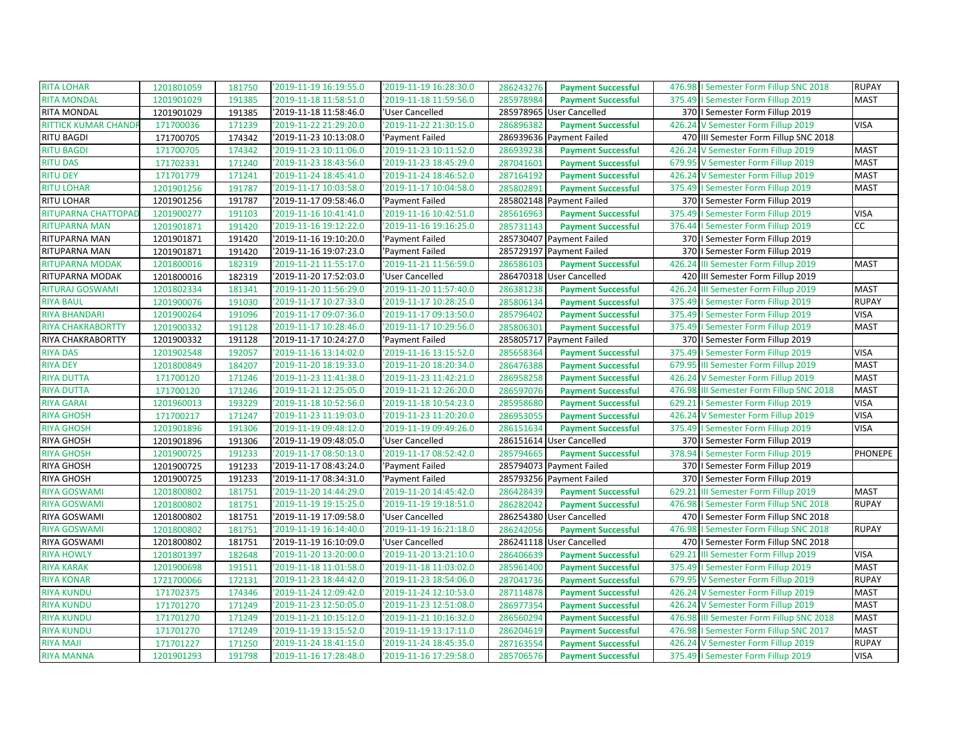| <b>RITA LOHAR</b>           | 1201801059 | 181750 | '2019-11-19 16:19:55.0 | '2019-11-19 16:28:30.0 | 286243276 | <b>Payment Successful</b> |        | 476.98   Semester Form Fillup SNC 2018   | <b>RUPAY</b>   |
|-----------------------------|------------|--------|------------------------|------------------------|-----------|---------------------------|--------|------------------------------------------|----------------|
| <b>RITA MONDAL</b>          | 1201901029 | 191385 | '2019-11-18 11:58:51.0 | '2019-11-18 11:59:56.0 | 285978984 | <b>Payment Successful</b> |        | 375.49   Semester Form Fillup 2019       | <b>MAST</b>    |
| RITA MONDAL                 | 1201901029 | 191385 | '2019-11-18 11:58:46.0 | 'User Cancelled        |           | 285978965 User Cancelled  |        | 370   Semester Form Fillup 2019          |                |
| <b>RITTICK KUMAR CHANDI</b> | 171700036  | 171239 | '2019-11-22 21:29:20.0 | '2019-11-22 21:30:15.0 | 286896382 | <b>Payment Successful</b> |        | 426.24 V Semester Form Fillup 2019       | <b>VISA</b>    |
| <b>RITU BAGDI</b>           | 171700705  | 174342 | '2019-11-23 10:13:08.0 | 'Payment Failed        |           | 286939636 Payment Failed  |        | 470 III Semester Form Fillup SNC 2018    |                |
| <b>RITU BAGDI</b>           | 171700705  | 174342 | '2019-11-23 10:11:06.0 | '2019-11-23 10:11:52.0 | 286939238 | <b>Payment Successful</b> |        | 426.24 V Semester Form Fillup 2019       | <b>MAST</b>    |
| <b>RITU DAS</b>             | 171702331  | 171240 | '2019-11-23 18:43:56.0 | 2019-11-23 18:45:29.0  | 287041601 | <b>Payment Successful</b> |        | 679.95 V Semester Form Fillup 2019       | <b>MAST</b>    |
| <b>RITU DEY</b>             | 171701779  | 171241 | '2019-11-24 18:45:41.0 | '2019-11-24 18:46:52.0 | 287164192 | <b>Payment Successful</b> |        | 426.24 V Semester Form Fillup 2019       | <b>MAST</b>    |
| <b>RITU LOHAR</b>           | 1201901256 | 191787 | '2019-11-17 10:03:58.0 | '2019-11-17 10:04:58.0 | 285802891 | <b>Payment Successful</b> |        | 375.49   Semester Form Fillup 2019       | <b>MAST</b>    |
| <b>RITU LOHAR</b>           | 1201901256 | 191787 | '2019-11-17 09:58:46.0 | 'Payment Failed        |           | 285802148 Payment Failed  |        | 370   Semester Form Fillup 2019          |                |
| RITUPARNA CHATTOPAD         | 1201900277 | 191103 | '2019-11-16 10:41:41.0 | '2019-11-16 10:42:51.0 | 285616963 | <b>Payment Successful</b> |        | 375.49   Semester Form Fillup 2019       | <b>VISA</b>    |
| <b>RITUPARNA MAN</b>        | 1201901871 | 191420 | '2019-11-16 19:12:22.0 | '2019-11-16 19:16:25.0 | 285731143 | <b>Payment Successful</b> |        | 376.44   Semester Form Fillup 2019       | <b>CC</b>      |
| RITUPARNA MAN               | 1201901871 | 191420 | '2019-11-16 19:10:20.0 | 'Payment Failed        |           | 285730407 Payment Failed  |        | 370   Semester Form Fillup 2019          |                |
| RITUPARNA MAN               | 1201901871 | 191420 | '2019-11-16 19:07:23.0 | 'Payment Failed        |           | 285729197 Payment Failed  |        | 370   Semester Form Fillup 2019          |                |
| <b>RITUPARNA MODAK</b>      | 1201800016 | 182319 | '2019-11-21 11:55:17.0 | '2019-11-21 11:56:59.0 | 286586103 | <b>Payment Successful</b> |        | 426.24 III Semester Form Fillup 2019     | <b>MAST</b>    |
| RITUPARNA MODAK             | 1201800016 | 182319 | '2019-11-20 17:52:03.0 | 'User Cancelled        |           | 286470318 User Cancelled  |        | 420 III Semester Form Fillup 2019        |                |
| <b>RITURAJ GOSWAMI</b>      | 1201802334 | 181341 | '2019-11-20 11:56:29.0 | '2019-11-20 11:57:40.0 | 286381238 | <b>Payment Successful</b> |        | 426.24 III Semester Form Fillup 2019     | <b>MAST</b>    |
| <b>RIYA BAUL</b>            | 1201900076 | 191030 | '2019-11-17 10:27:33.0 | '2019-11-17 10:28:25.0 | 285806134 | <b>Payment Successful</b> |        | 375.49   Semester Form Fillup 2019       | <b>RUPAY</b>   |
| <b>RIYA BHANDARI</b>        | 1201900264 | 191096 | '2019-11-17 09:07:36.0 | '2019-11-17 09:13:50.0 | 285796402 | <b>Payment Successful</b> |        | 375.49   Semester Form Fillup 2019       | <b>VISA</b>    |
| <b>RIYA CHAKRABORTTY</b>    | 1201900332 | 191128 | '2019-11-17 10:28:46.0 | '2019-11-17 10:29:56.0 | 285806301 | <b>Payment Successful</b> |        | 375.49   Semester Form Fillup 2019       | <b>MAST</b>    |
| RIYA CHAKRABORTTY           | 1201900332 | 191128 | '2019-11-17 10:24:27.0 | 'Payment Failed        |           | 285805717 Payment Failed  |        | 370   Semester Form Fillup 2019          |                |
| <b>RIYA DAS</b>             | 1201902548 | 192057 | '2019-11-16 13:14:02.0 | '2019-11-16 13:15:52.0 | 285658364 | <b>Payment Successful</b> |        | 375.49   Semester Form Fillup 2019       | <b>VISA</b>    |
| <b>RIYA DEY</b>             | 1201800849 | 184207 | '2019-11-20 18:19:33.0 | '2019-11-20 18:20:34.0 | 286476388 | <b>Payment Successful</b> |        | 679.95 III Semester Form Fillup 2019     | <b>MAST</b>    |
| <b>RIYA DUTTA</b>           | 171700120  | 171246 | '2019-11-23 11:41:38.0 | '2019-11-23 11:42:21.0 | 286958258 | <b>Payment Successful</b> |        | 426.24 V Semester Form Fillup 2019       | <b>MAST</b>    |
| <b>RIYA DUTTA</b>           | 171700120  | 171246 | '2019-11-21 12:25:05.0 | '2019-11-21 12:26:20.0 | 286597076 | <b>Payment Successful</b> |        | 476.98 III Semester Form Fillup SNC 2018 | <b>MAST</b>    |
| <b>RIYA GARAI</b>           | 1201960013 | 193229 | '2019-11-18 10:52:56.0 | '2019-11-18 10:54:23.0 | 285958680 | <b>Payment Successful</b> |        | 629.21   Semester Form Fillup 2019       | <b>VISA</b>    |
| <b>RIYA GHOSH</b>           | 171700217  | 171247 | '2019-11-23 11:19:03.0 | '2019-11-23 11:20:20.0 | 286953055 | <b>Payment Successful</b> |        | 426.24 V Semester Form Fillup 2019       | <b>VISA</b>    |
| <b>RIYA GHOSH</b>           | 1201901896 | 191306 | '2019-11-19 09:48:12.0 | '2019-11-19 09:49:26.0 | 286151634 | <b>Payment Successful</b> |        | 375.49   Semester Form Fillup 2019       | <b>VISA</b>    |
| <b>RIYA GHOSH</b>           | 1201901896 | 191306 | '2019-11-19 09:48:05.0 | 'User Cancelled        |           | 286151614 User Cancelled  |        | 370   Semester Form Fillup 2019          |                |
| <b>RIYA GHOSH</b>           | 1201900725 | 191233 | '2019-11-17 08:50:13.0 | '2019-11-17 08:52:42.0 | 285794665 | <b>Payment Successful</b> |        | 378.94   Semester Form Fillup 2019       | <b>PHONEPE</b> |
| <b>RIYA GHOSH</b>           | 1201900725 | 191233 | '2019-11-17 08:43:24.0 | 'Payment Failed        |           | 285794073 Payment Failed  |        | 370   Semester Form Fillup 2019          |                |
| <b>RIYA GHOSH</b>           | 1201900725 | 191233 | '2019-11-17 08:34:31.0 | 'Payment Failed        |           | 285793256 Payment Failed  |        | 370   Semester Form Fillup 2019          |                |
| <b>RIYA GOSWAMI</b>         | 1201800802 | 181751 | '2019-11-20 14:44:29.0 | '2019-11-20 14:45:42.0 | 286428439 | <b>Payment Successful</b> | 629.21 | III Semester Form Fillup 2019            | <b>MAST</b>    |
| <b>RIYA GOSWAMI</b>         | 1201800802 | 181751 | '2019-11-19 19:15:25.0 | '2019-11-19 19:18:51.0 | 286282042 | <b>Payment Successful</b> |        | 476.98   Semester Form Fillup SNC 2018   | <b>RUPAY</b>   |
| RIYA GOSWAMI                | 1201800802 | 181751 | '2019-11-19 17:09:58.0 | 'User Cancelled        |           | 286254380 User Cancelled  |        | 470   Semester Form Fillup SNC 2018      |                |
| <b>RIYA GOSWAMI</b>         | 1201800802 | 181751 | '2019-11-19 16:14:40.0 | '2019-11-19 16:21:18.0 | 286242056 | <b>Payment Successful</b> |        | 476.98   Semester Form Fillup SNC 2018   | <b>RUPAY</b>   |
| RIYA GOSWAMI                | 1201800802 | 181751 | '2019-11-19 16:10:09.0 | 'User Cancelled        |           | 286241118 User Cancelled  |        | 470   Semester Form Fillup SNC 2018      |                |
| <b>RIYA HOWLY</b>           | 1201801397 | 182648 | '2019-11-20 13:20:00.0 | '2019-11-20 13:21:10.0 | 286406639 | <b>Payment Successful</b> |        | 629.21 III Semester Form Fillup 2019     | <b>VISA</b>    |
| <b>RIYA KARAK</b>           | 1201900698 | 191511 | '2019-11-18 11:01:58.0 | '2019-11-18 11:03:02.0 | 285961400 | <b>Payment Successful</b> |        | 375.49   Semester Form Fillup 2019       | <b>MAST</b>    |
| <b>RIYA KONAR</b>           | 1721700066 | 172131 | '2019-11-23 18:44:42.0 | '2019-11-23 18:54:06.0 | 287041736 | <b>Payment Successful</b> |        | 679.95 V Semester Form Fillup 2019       | <b>RUPAY</b>   |
| <b>RIYA KUNDU</b>           | 171702375  | 174346 | '2019-11-24 12:09:42.0 | '2019-11-24 12:10:53.0 | 287114878 | <b>Payment Successful</b> |        | 426.24 V Semester Form Fillup 2019       | <b>MAST</b>    |
| <b>RIYA KUNDU</b>           | 171701270  | 171249 | '2019-11-23 12:50:05.0 | '2019-11-23 12:51:08.0 | 286977354 | <b>Payment Successful</b> |        | 426.24 V Semester Form Fillup 2019       | <b>MAST</b>    |
| <b>RIYA KUNDU</b>           | 171701270  | 171249 | '2019-11-21 10:15:12.0 | '2019-11-21 10:16:32.0 | 286560294 | <b>Payment Successful</b> |        | 476.98 III Semester Form Fillup SNC 2018 | <b>MAST</b>    |
| <b>RIYA KUNDU</b>           | 171701270  | 171249 | '2019-11-19 13:15:52.0 | '2019-11-19 13:17:11.0 | 286204619 | <b>Payment Successful</b> |        | 476.98   Semester Form Fillup SNC 2017   | <b>MAST</b>    |
| <b>RIYA MAJI</b>            | 171701227  | 171250 | '2019-11-24 18:41:15.0 | '2019-11-24 18:45:35.0 | 287163554 | <b>Payment Successful</b> |        | 426.24 V Semester Form Fillup 2019       | <b>RUPAY</b>   |
| <b>RIYA MANNA</b>           | 1201901293 | 191798 | '2019-11-16 17:28:48.0 | '2019-11-16 17:29:58.0 | 285706576 | <b>Payment Successful</b> |        | 375.49   Semester Form Fillup 2019       | <b>VISA</b>    |
|                             |            |        |                        |                        |           |                           |        |                                          |                |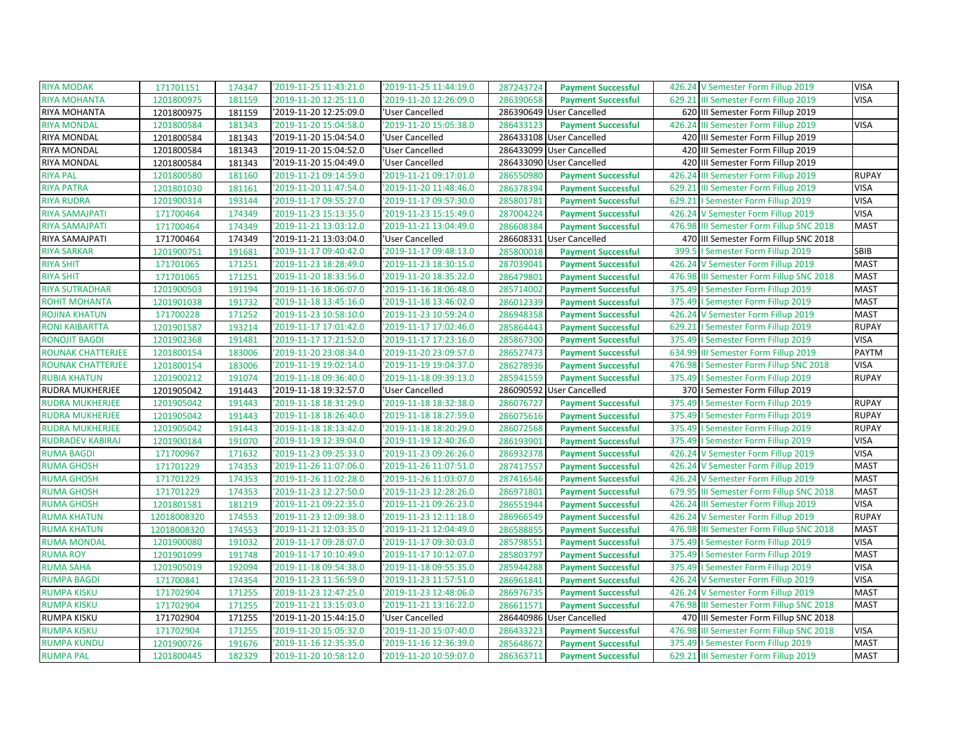| <b>RIYA MODAK</b>       | 171701151   | 174347 | '2019-11-25 11:43:21.0 | '2019-11-25 11:44:19.0 | 287243724 | <b>Payment Successful</b> |        | 426.24 V Semester Form Fillup 2019       | <b>VISA</b>  |
|-------------------------|-------------|--------|------------------------|------------------------|-----------|---------------------------|--------|------------------------------------------|--------------|
| <b>RIYA MOHANTA</b>     | 1201800975  | 181159 | 2019-11-20 12:25:11.0  | '2019-11-20 12:26:09.0 | 286390658 | <b>Payment Successful</b> | 629.21 | III Semester Form Fillup 2019            | <b>VISA</b>  |
| RIYA MOHANTA            | 1201800975  | 181159 | '2019-11-20 12:25:09.0 | 'User Cancelled        |           | 286390649 User Cancelled  |        | 620 III Semester Form Fillup 2019        |              |
| <b>RIYA MONDAL</b>      | 1201800584  | 181343 | '2019-11-20 15:04:58.0 | '2019-11-20 15:05:38.0 | 286433123 | <b>Payment Successful</b> | 426.24 | III Semester Form Fillup 2019            | <b>VISA</b>  |
| RIYA MONDAL             | 1201800584  | 181343 | '2019-11-20 15:04:54.0 | 'User Cancelled        |           | 286433108 User Cancelled  |        | 420 III Semester Form Fillup 2019        |              |
| RIYA MONDAL             | 1201800584  | 181343 | '2019-11-20 15:04:52.0 | 'User Cancelled        |           | 286433099 User Cancelled  |        | 420 III Semester Form Fillup 2019        |              |
| RIYA MONDAL             | 1201800584  | 181343 | '2019-11-20 15:04:49.0 | 'User Cancelled        |           | 286433090 User Cancelled  |        | 420 III Semester Form Fillup 2019        |              |
| <b>RIYA PAL</b>         | 1201800580  | 181160 | '2019-11-21 09:14:59.0 | '2019-11-21 09:17:01.0 | 286550980 | <b>Payment Successful</b> | 426.24 | III Semester Form Fillup 2019            | <b>RUPAY</b> |
| <b>RIYA PATRA</b>       | 1201801030  | 181161 | '2019-11-20 11:47:54.0 | '2019-11-20 11:48:46.0 | 286378394 | <b>Payment Successful</b> | 629.21 | III Semester Form Fillup 2019            | <b>VISA</b>  |
| <b>RIYA RUDRA</b>       | 1201900314  | 193144 | '2019-11-17 09:55:27.0 | '2019-11-17 09:57:30.0 | 285801781 | <b>Payment Successful</b> |        | 629.21   Semester Form Fillup 2019       | <b>VISA</b>  |
| RIYA SAMAJPATI          | 171700464   | 174349 | '2019-11-23 15:13:35.0 | '2019-11-23 15:15:49.0 | 287004224 | <b>Payment Successful</b> |        | 426.24 V Semester Form Fillup 2019       | <b>VISA</b>  |
| RIYA SAMAJPATI          | 171700464   | 174349 | '2019-11-21 13:03:12.0 | '2019-11-21 13:04:49.0 | 286608384 | <b>Payment Successful</b> |        | 476.98 III Semester Form Fillup SNC 2018 | <b>MAST</b>  |
| RIYA SAMAJPATI          | 171700464   | 174349 | '2019-11-21 13:03:04.0 | 'User Cancelled        |           | 286608331 User Cancelled  |        | 470 III Semester Form Fillup SNC 2018    |              |
| <b>RIYA SARKAR</b>      | 1201900751  | 191681 | '2019-11-17 09:40:42.0 | '2019-11-17 09:48:13.0 | 285800018 | <b>Payment Successful</b> |        | 399.5   Semester Form Fillup 2019        | SBIB         |
| <b>RIYA SHIT</b>        | 171701065   | 171251 | '2019-11-23 18:28:49.0 | '2019-11-23 18:30:15.0 | 287039041 | <b>Payment Successful</b> |        | 426.24 V Semester Form Fillup 2019       | <b>MAST</b>  |
| <b>RIYA SHIT</b>        | 171701065   | 171251 | '2019-11-20 18:33:56.0 | '2019-11-20 18:35:22.0 | 286479801 | <b>Payment Successful</b> |        | 476.98 III Semester Form Fillup SNC 2018 | <b>MAST</b>  |
| <b>RIYA SUTRADHAR</b>   | 1201900503  | 191194 | '2019-11-16 18:06:07.0 | '2019-11-16 18:06:48.0 | 285714002 | <b>Payment Successful</b> |        | 375.49   Semester Form Fillup 2019       | <b>MAST</b>  |
| ROHIT MOHANTA           | 1201901038  | 191732 | '2019-11-18 13:45:16.0 | '2019-11-18 13:46:02.0 | 286012339 | <b>Payment Successful</b> |        | 375.49   Semester Form Fillup 2019       | <b>MAST</b>  |
| ROJINA KHATUN           | 171700228   | 171252 | '2019-11-23 10:58:10.0 | '2019-11-23 10:59:24.0 | 286948358 | <b>Payment Successful</b> |        | 426.24 V Semester Form Fillup 2019       | <b>MAST</b>  |
| RONI KAIBARTTA          | 1201901587  | 193214 | '2019-11-17 17:01:42.0 | '2019-11-17 17:02:46.0 | 285864443 | <b>Payment Successful</b> |        | 629.21   Semester Form Fillup 2019       | <b>RUPAY</b> |
| RONOJIT BAGDI           | 1201902368  | 191481 | '2019-11-17 17:21:52.0 | '2019-11-17 17:23:16.0 | 285867300 | <b>Payment Successful</b> |        | 375.49   Semester Form Fillup 2019       | <b>VISA</b>  |
| ROUNAK CHATTERJEE       | 1201800154  | 183006 | '2019-11-20 23:08:34.0 | '2019-11-20 23:09:57.0 | 286527473 | <b>Payment Successful</b> | 634.99 | III Semester Form Fillup 2019            | <b>PAYTM</b> |
| ROUNAK CHATTERJEE       | 1201800154  | 183006 | '2019-11-19 19:02:14.0 | '2019-11-19 19:04:37.0 | 286278936 | <b>Payment Successful</b> |        | 476.98   Semester Form Fillup SNC 2018   | <b>VISA</b>  |
|                         |             |        |                        |                        |           |                           |        |                                          |              |
| <b>RUBIA KHATUN</b>     | 1201900212  | 191074 | '2019-11-18 09:36:40.0 | '2019-11-18 09:39:13.0 | 285941559 | <b>Payment Successful</b> |        | 375.49   Semester Form Fillup 2019       | <b>RUPAY</b> |
| RUDRA MUKHERJEE         | 1201905042  | 191443 | '2019-11-18 19:32:57.0 | 'User Cancelled        |           | 286090592 User Cancelled  |        | 370   Semester Form Fillup 2019          |              |
| <b>RUDRA MUKHERJEE</b>  | 1201905042  | 191443 | 2019-11-18 18:31:29.0  | '2019-11-18 18:32:38.0 | 286076727 | <b>Payment Successful</b> | 375.49 | I Semester Form Fillup 2019              | <b>RUPAY</b> |
| RUDRA MUKHERJEE         | 1201905042  | 191443 | '2019-11-18 18:26:40.0 | '2019-11-18 18:27:59.0 | 286075616 | <b>Payment Successful</b> |        | 375.49   Semester Form Fillup 2019       | <b>RUPAY</b> |
| <b>RUDRA MUKHERJEE</b>  | 1201905042  | 191443 | '2019-11-18 18:13:42.0 | '2019-11-18 18:20:29.0 | 286072568 | <b>Payment Successful</b> |        | 375.49   Semester Form Fillup 2019       | <b>RUPAY</b> |
| <b>RUDRADEV KABIRAJ</b> | 1201900184  | 191070 | '2019-11-19 12:39:04.0 | '2019-11-19 12:40:26.0 | 286193901 | <b>Payment Successful</b> |        | 375.49   Semester Form Fillup 2019       | <b>VISA</b>  |
| <b>RUMA BAGDI</b>       | 171700967   | 171632 | '2019-11-23 09:25:33.0 | '2019-11-23 09:26:26.0 | 286932378 | <b>Payment Successful</b> |        | 426.24 V Semester Form Fillup 2019       | <b>VISA</b>  |
| <b>RUMA GHOSH</b>       | 171701229   | 174353 | '2019-11-26 11:07:06.0 | '2019-11-26 11:07:51.0 | 287417557 | <b>Payment Successful</b> |        | 426.24 V Semester Form Fillup 2019       | <b>MAST</b>  |
| <b>RUMA GHOSH</b>       | 171701229   | 174353 | '2019-11-26 11:02:28.0 | '2019-11-26 11:03:07.0 | 287416546 | <b>Payment Successful</b> |        | 426.24 V Semester Form Fillup 2019       | <b>MAST</b>  |
| <b>RUMA GHOSH</b>       | 171701229   | 174353 | '2019-11-23 12:27:50.0 | '2019-11-23 12:28:26.0 | 286971801 | <b>Payment Successful</b> |        | 679.95 III Semester Form Fillup SNC 2018 | <b>MAST</b>  |
| <b>RUMA GHOSH</b>       | 1201801581  | 181219 | 2019-11-21 09:22:35.0  | '2019-11-21 09:26:23.0 | 286551944 | <b>Payment Successful</b> |        | 426.24 III Semester Form Fillup 2019     | <b>VISA</b>  |
| <b>RUMA KHATUN</b>      | 12018008320 | 174553 | '2019-11-23 12:09:38.0 | '2019-11-23 12:11:18.0 | 286966549 | <b>Payment Successful</b> |        | 426.24 V Semester Form Fillup 2019       | <b>RUPAY</b> |
| <b>RUMA KHATUN</b>      | 12018008320 | 174553 | '2019-11-21 12:03:35.0 | '2019-11-21 12:04:49.0 | 286588855 | <b>Payment Successful</b> | 476.98 | III Semester Form Fillup SNC 2018        | <b>MAST</b>  |
| <b>RUMA MONDAL</b>      | 1201900080  | 191032 | '2019-11-17 09:28:07.0 | '2019-11-17 09:30:03.0 | 285798551 | <b>Payment Successful</b> |        | 375.49   Semester Form Fillup 2019       | <b>VISA</b>  |
| <b>RUMA ROY</b>         | 1201901099  | 191748 | 2019-11-17 10:10:49.0  | '2019-11-17 10:12:07.0 | 285803797 | <b>Payment Successful</b> |        | 375.49   Semester Form Fillup 2019       | <b>MAST</b>  |
| <b>RUMA SAHA</b>        | 1201905019  | 192094 | '2019-11-18 09:54:38.0 | '2019-11-18 09:55:35.0 | 285944288 | <b>Payment Successful</b> |        | 375.49   Semester Form Fillup 2019       | <b>VISA</b>  |
| <b>RUMPA BAGDI</b>      | 171700841   | 174354 | '2019-11-23 11:56:59.0 | '2019-11-23 11:57:51.0 | 286961841 | <b>Payment Successful</b> |        | 426.24 V Semester Form Fillup 2019       | <b>VISA</b>  |
| <b>RUMPA KISKU</b>      | 171702904   | 171255 | '2019-11-23 12:47:25.0 | '2019-11-23 12:48:06.0 | 286976735 | <b>Payment Successful</b> |        | 426.24 V Semester Form Fillup 2019       | <b>MAST</b>  |
| <b>RUMPA KISKU</b>      | 171702904   | 171255 | '2019-11-21 13:15:03.0 | '2019-11-21 13:16:22.0 | 286611571 | <b>Payment Successful</b> | 476.98 | III Semester Form Fillup SNC 2018        | <b>MAST</b>  |
| RUMPA KISKU             | 171702904   | 171255 | '2019-11-20 15:44:15.0 | 'User Cancelled        |           | 286440986 User Cancelled  |        | 470 III Semester Form Fillup SNC 2018    |              |
| <b>RUMPA KISKU</b>      | 171702904   | 171255 | '2019-11-20 15:05:32.0 | '2019-11-20 15:07:40.0 | 286433223 | <b>Payment Successful</b> | 476.98 | III Semester Form Fillup SNC 2018        | <b>VISA</b>  |
| <b>RUMPA KUNDU</b>      | 1201900726  | 191676 | '2019-11-16 12:35:35.0 | '2019-11-16 12:36:39.0 | 285648672 | <b>Payment Successful</b> |        | 375.49   Semester Form Fillup 2019       | <b>MAST</b>  |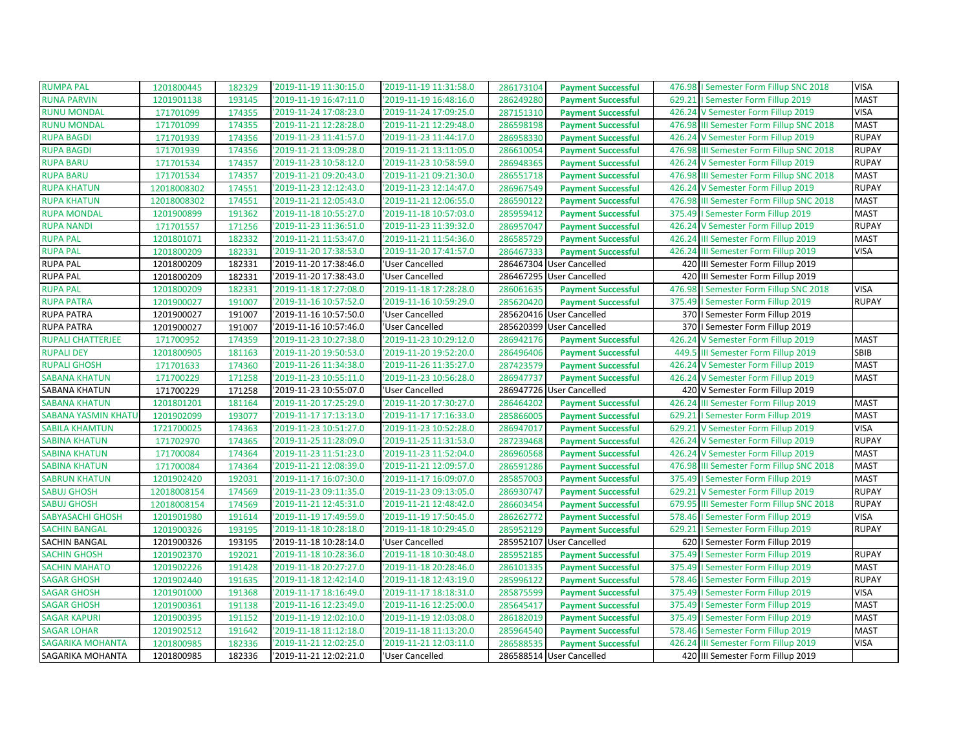| <b>RUMPA PAL</b>         | 1201800445  | 182329 | '2019-11-19 11:30:15.0 | '2019-11-19 11:31:58.0 | 286173104 | <b>Payment Successful</b> | 476.98   Semester Form Fillup SNC 2018   | <b>VISA</b>  |
|--------------------------|-------------|--------|------------------------|------------------------|-----------|---------------------------|------------------------------------------|--------------|
| <b>RUNA PARVIN</b>       | 1201901138  | 193145 | '2019-11-19 16:47:11.0 | '2019-11-19 16:48:16.0 | 286249280 | <b>Payment Successful</b> | 629.21   Semester Form Fillup 2019       | <b>MAST</b>  |
| <b>RUNU MONDAL</b>       | 171701099   | 174355 | '2019-11-24 17:08:23.0 | '2019-11-24 17:09:25.0 | 287151310 | <b>Payment Successful</b> | 426.24 V Semester Form Fillup 2019       | <b>VISA</b>  |
| <b>RUNU MONDAL</b>       | 171701099   | 174355 | '2019-11-21 12:28:28.0 | '2019-11-21 12:29:48.0 | 286598198 | <b>Payment Successful</b> | 476.98 III Semester Form Fillup SNC 2018 | <b>MAST</b>  |
| <b>RUPA BAGDI</b>        | 171701939   | 174356 | 2019-11-23 11:41:57.0  | '2019-11-23 11:44:17.0 | 286958330 | <b>Payment Successful</b> | 426.24 V Semester Form Fillup 2019       | <b>RUPAY</b> |
| <b>RUPA BAGDI</b>        | 171701939   | 174356 | '2019-11-21 13:09:28.0 | '2019-11-21 13:11:05.0 | 286610054 | <b>Payment Successful</b> | 476.98 III Semester Form Fillup SNC 2018 | <b>RUPAY</b> |
| <b>RUPA BARU</b>         | 171701534   | 174357 | '2019-11-23 10:58:12.0 | '2019-11-23 10:58:59.0 | 286948365 | <b>Payment Successful</b> | 426.24 V Semester Form Fillup 2019       | <b>RUPAY</b> |
| <b>RUPA BARU</b>         | 171701534   | 174357 | '2019-11-21 09:20:43.0 | '2019-11-21 09:21:30.0 | 286551718 | <b>Payment Successful</b> | 476.98 III Semester Form Fillup SNC 2018 | <b>MAST</b>  |
| <b>RUPA KHATUN</b>       | 12018008302 | 174551 | '2019-11-23 12:12:43.0 | '2019-11-23 12:14:47.0 | 286967549 | <b>Payment Successful</b> | 426.24 V Semester Form Fillup 2019       | <b>RUPAY</b> |
| <b>RUPA KHATUN</b>       | 12018008302 | 174551 | '2019-11-21 12:05:43.0 | '2019-11-21 12:06:55.0 | 286590122 | <b>Payment Successful</b> | 476.98 III Semester Form Fillup SNC 2018 | <b>MAST</b>  |
| <b>RUPA MONDAL</b>       | 1201900899  | 191362 | '2019-11-18 10:55:27.0 | '2019-11-18 10:57:03.0 | 285959412 | <b>Payment Successful</b> | 375.49   Semester Form Fillup 2019       | <b>MAST</b>  |
| <b>RUPA NANDI</b>        | 171701557   | 171256 | '2019-11-23 11:36:51.0 | '2019-11-23 11:39:32.0 | 286957047 | <b>Payment Successful</b> | 426.24 V Semester Form Fillup 2019       | <b>RUPAY</b> |
| <b>RUPA PAL</b>          | 1201801071  | 182332 | '2019-11-21 11:53:47.0 | '2019-11-21 11:54:36.0 | 286585729 | <b>Payment Successful</b> | 426.24 III Semester Form Fillup 2019     | <b>MAST</b>  |
| <b>RUPA PAL</b>          | 1201800209  | 182331 | '2019-11-20 17:38:53.0 | '2019-11-20 17:41:57.0 | 286467333 | <b>Payment Successful</b> | 426.24 III Semester Form Fillup 2019     | <b>VISA</b>  |
| <b>RUPA PAL</b>          | 1201800209  | 182331 | '2019-11-20 17:38:46.0 | 'User Cancelled        |           | 286467304 User Cancelled  | 420 III Semester Form Fillup 2019        |              |
| <b>RUPA PAL</b>          | 1201800209  | 182331 | '2019-11-20 17:38:43.0 | 'User Cancelled        |           | 286467295 User Cancelled  | 420 III Semester Form Fillup 2019        |              |
| <b>RUPA PAL</b>          | 1201800209  | 182331 | '2019-11-18 17:27:08.0 | '2019-11-18 17:28:28.0 | 286061635 | <b>Payment Successful</b> | 476.98   Semester Form Fillup SNC 2018   | <b>VISA</b>  |
| <b>RUPA PATRA</b>        | 1201900027  | 191007 | '2019-11-16 10:57:52.0 | '2019-11-16 10:59:29.0 | 285620420 | <b>Payment Successful</b> | 375.49   Semester Form Fillup 2019       | <b>RUPAY</b> |
| <b>RUPA PATRA</b>        | 1201900027  | 191007 | 2019-11-16 10:57:50.0  | 'User Cancelled        |           | 285620416 User Cancelled  | 370   Semester Form Fillup 2019          |              |
| <b>RUPA PATRA</b>        | 1201900027  | 191007 | '2019-11-16 10:57:46.0 | 'User Cancelled        |           | 285620399 User Cancelled  | 370   Semester Form Fillup 2019          |              |
| <b>RUPALI CHATTERJEE</b> | 171700952   | 174359 | '2019-11-23 10:27:38.0 | '2019-11-23 10:29:12.0 | 286942176 | <b>Payment Successful</b> | 426.24 V Semester Form Fillup 2019       | <b>MAST</b>  |
| <b>RUPALI DEY</b>        | 1201800905  | 181163 | '2019-11-20 19:50:53.0 | '2019-11-20 19:52:20.0 | 286496406 | <b>Payment Successful</b> | 449.5 III Semester Form Fillup 2019      | <b>SBIB</b>  |
| <b>RUPALI GHOSH</b>      | 171701633   | 174360 | '2019-11-26 11:34:38.0 | '2019-11-26 11:35:27.0 | 287423579 | <b>Payment Successful</b> | 426.24 V Semester Form Fillup 2019       | <b>MAST</b>  |
| <b>SABANA KHATUN</b>     | 171700229   | 171258 | '2019-11-23 10:55:11.0 | '2019-11-23 10:56:28.0 | 286947737 | <b>Payment Successful</b> | 426.24 V Semester Form Fillup 2019       | <b>MAST</b>  |
| SABANA KHATUN            | 171700229   | 171258 | '2019-11-23 10:55:07.0 | 'User Cancelled        |           | 286947726 User Cancelled  | 420 V Semester Form Fillup 2019          |              |
| <b>SABANA KHATUN</b>     | 1201801201  | 181164 | '2019-11-20 17:25:29.0 | '2019-11-20 17:30:27.0 | 286464202 | <b>Payment Successful</b> | 426.24 III Semester Form Fillup 2019     | <b>MAST</b>  |
| SABANA YASMIN KHATU      | 1201902099  | 193077 | '2019-11-17 17:13:13.0 | '2019-11-17 17:16:33.0 | 285866005 | <b>Payment Successful</b> | 629.21   Semester Form Fillup 2019       | <b>MAST</b>  |
| <b>SABILA KHAMTUN</b>    | 1721700025  | 174363 | '2019-11-23 10:51:27.0 | '2019-11-23 10:52:28.0 | 286947017 | <b>Payment Successful</b> | 629.21 V Semester Form Fillup 2019       | <b>VISA</b>  |
| <b>SABINA KHATUN</b>     | 171702970   | 174365 | '2019-11-25 11:28:09.0 | '2019-11-25 11:31:53.0 | 287239468 | <b>Payment Successful</b> | 426.24 V Semester Form Fillup 2019       | <b>RUPAY</b> |
| <b>SABINA KHATUN</b>     | 171700084   | 174364 | '2019-11-23 11:51:23.0 | '2019-11-23 11:52:04.0 | 286960568 | <b>Payment Successful</b> | 426.24 V Semester Form Fillup 2019       | <b>MAST</b>  |
| <b>SABINA KHATUN</b>     | 171700084   | 174364 | '2019-11-21 12:08:39.0 | '2019-11-21 12:09:57.0 | 286591286 | <b>Payment Successful</b> | 476.98 III Semester Form Fillup SNC 2018 | <b>MAST</b>  |
| <b>SABRUN KHATUN</b>     | 1201902420  | 192031 | '2019-11-17 16:07:30.0 | '2019-11-17 16:09:07.0 | 285857003 | <b>Payment Successful</b> | 375.49   Semester Form Fillup 2019       | <b>MAST</b>  |
| <b>SABUJ GHOSH</b>       | 12018008154 | 174569 | '2019-11-23 09:11:35.0 | '2019-11-23 09:13:05.0 | 286930747 | <b>Payment Successful</b> | 629.21 V Semester Form Fillup 2019       | <b>RUPAY</b> |
| <b>SABUJ GHOSH</b>       | 12018008154 | 174569 | '2019-11-21 12:45:31.0 | '2019-11-21 12:48:42.0 | 286603454 | <b>Payment Successful</b> | 679.95 III Semester Form Fillup SNC 2018 | <b>RUPAY</b> |
| SABYASACHI GHOSH         | 1201901980  | 191614 | '2019-11-19 17:49:59.0 | '2019-11-19 17:50:45.0 | 286262772 | <b>Payment Successful</b> | 578.46   Semester Form Fillup 2019       | <b>VISA</b>  |
| <b>SACHIN BANGAL</b>     | 1201900326  | 193195 | '2019-11-18 10:28:18.0 | '2019-11-18 10:29:45.0 | 285952129 | <b>Payment Successful</b> | 629.21   Semester Form Fillup 2019       | <b>RUPAY</b> |
| SACHIN BANGAL            | 1201900326  | 193195 | '2019-11-18 10:28:14.0 | 'User Cancelled        |           | 285952107 User Cancelled  | 620   Semester Form Fillup 2019          |              |
| <b>SACHIN GHOSH</b>      | 1201902370  | 192021 | '2019-11-18 10:28:36.0 | '2019-11-18 10:30:48.0 | 285952185 | <b>Payment Successful</b> | 375.49   Semester Form Fillup 2019       | <b>RUPAY</b> |
| <b>SACHIN MAHATO</b>     | 1201902226  | 191428 | '2019-11-18 20:27:27.0 | '2019-11-18 20:28:46.0 | 286101335 | <b>Payment Successful</b> | 375.49   Semester Form Fillup 2019       | <b>MAST</b>  |
| <b>SAGAR GHOSH</b>       | 1201902440  | 191635 | '2019-11-18 12:42:14.0 | '2019-11-18 12:43:19.0 | 285996122 | <b>Payment Successful</b> | 578.46   Semester Form Fillup 2019       | <b>RUPAY</b> |
| <b>SAGAR GHOSH</b>       | 1201901000  | 191368 | 2019-11-17 18:16:49.0  | '2019-11-17 18:18:31.0 | 285875599 | <b>Payment Successful</b> | 375.49   Semester Form Fillup 2019       | <b>VISA</b>  |
| <b>SAGAR GHOSH</b>       | 1201900361  | 191138 | '2019-11-16 12:23:49.0 | '2019-11-16 12:25:00.0 | 285645417 | <b>Payment Successful</b> | 375.49   Semester Form Fillup 2019       | <b>MAST</b>  |
| <b>SAGAR KAPURI</b>      | 1201900395  | 191152 | '2019-11-19 12:02:10.0 | '2019-11-19 12:03:08.0 | 286182019 | <b>Payment Successful</b> | 375.49   Semester Form Fillup 2019       | <b>MAST</b>  |
| <b>SAGAR LOHAR</b>       | 1201902512  | 191642 | '2019-11-18 11:12:18.0 | '2019-11-18 11:13:20.0 | 285964540 | <b>Payment Successful</b> | 578.46   Semester Form Fillup 2019       | <b>MAST</b>  |
| <b>SAGARIKA MOHANTA</b>  | 1201800985  | 182336 | '2019-11-21 12:02:25.0 | '2019-11-21 12:03:11.0 | 286588535 | <b>Payment Successful</b> | 426.24 III Semester Form Fillup 2019     | <b>VISA</b>  |
| SAGARIKA MOHANTA         | 1201800985  | 182336 | 2019-11-21 12:02:21.0  | 'User Cancelled        |           | 286588514 User Cancelled  | 420 III Semester Form Fillup 2019        |              |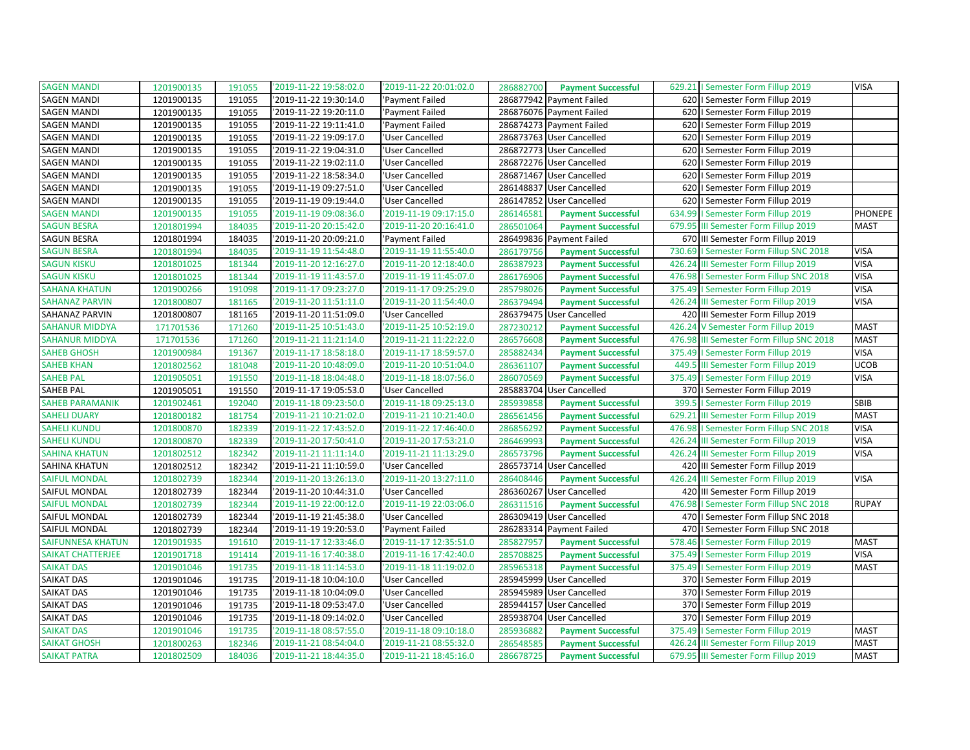| <b>SAGEN MANDI</b>       | 1201900135 | 191055 | '2019-11-22 19:58:02.0 | '2019-11-22 20:01:02.0 | 286882700 | <b>Payment Successful</b> |        | 629.21   Semester Form Fillup 2019       | <b>VISA</b>  |
|--------------------------|------------|--------|------------------------|------------------------|-----------|---------------------------|--------|------------------------------------------|--------------|
| <b>SAGEN MANDI</b>       | 1201900135 | 191055 | '2019-11-22 19:30:14.0 | 'Payment Failed        |           | 286877942 Payment Failed  |        | 620   Semester Form Fillup 2019          |              |
| <b>SAGEN MANDI</b>       | 1201900135 | 191055 | '2019-11-22 19:20:11.0 | 'Payment Failed        |           | 286876076 Payment Failed  |        | 620   Semester Form Fillup 2019          |              |
| <b>SAGEN MANDI</b>       | 1201900135 | 191055 | '2019-11-22 19:11:41.0 | 'Payment Failed        |           | 286874273 Payment Failed  | 620    | I Semester Form Fillup 2019              |              |
| <b>SAGEN MANDI</b>       | 1201900135 | 191055 | '2019-11-22 19:09:17.0 | 'User Cancelled        |           | 286873763 User Cancelled  | 620    | I Semester Form Fillup 2019              |              |
| <b>SAGEN MANDI</b>       | 1201900135 | 191055 | '2019-11-22 19:04:31.0 | 'User Cancelled        |           | 286872773 User Cancelled  | 620    | I Semester Form Fillup 2019              |              |
| <b>SAGEN MANDI</b>       | 1201900135 | 191055 | '2019-11-22 19:02:11.0 | 'User Cancelled        |           | 286872276 User Cancelled  | 620    | I Semester Form Fillup 2019              |              |
| <b>SAGEN MANDI</b>       | 1201900135 | 191055 | '2019-11-22 18:58:34.0 | 'User Cancelled        |           | 286871467 User Cancelled  |        | 620   Semester Form Fillup 2019          |              |
| <b>SAGEN MANDI</b>       | 1201900135 | 191055 | '2019-11-19 09:27:51.0 | 'User Cancelled        |           | 286148837 User Cancelled  |        | 620   Semester Form Fillup 2019          |              |
| <b>SAGEN MANDI</b>       | 1201900135 | 191055 | '2019-11-19 09:19:44.0 | 'User Cancelled        |           | 286147852 User Cancelled  |        | 620   Semester Form Fillup 2019          |              |
| <b>SAGEN MANDI</b>       | 1201900135 | 191055 | '2019-11-19 09:08:36.0 | '2019-11-19 09:17:15.0 | 286146581 | <b>Payment Successful</b> |        | 634.99   Semester Form Fillup 2019       | PHONEPE      |
| <b>SAGUN BESRA</b>       | 1201801994 | 184035 | '2019-11-20 20:15:42.0 | '2019-11-20 20:16:41.0 | 286501064 | <b>Payment Successful</b> |        | 679.95 III Semester Form Fillup 2019     | <b>MAST</b>  |
| SAGUN BESRA              | 1201801994 | 184035 | '2019-11-20 20:09:21.0 | 'Payment Failed        |           | 286499836 Payment Failed  |        | 670 III Semester Form Fillup 2019        |              |
| <b>SAGUN BESRA</b>       | 1201801994 | 184035 | '2019-11-19 11:54:48.0 | '2019-11-19 11:55:40.0 | 286179756 | <b>Payment Successful</b> | 730.69 | I Semester Form Fillup SNC 2018          | <b>VISA</b>  |
| <b>SAGUN KISKU</b>       | 1201801025 | 181344 | '2019-11-20 12:16:27.0 | '2019-11-20 12:18:40.0 | 286387923 | <b>Payment Successful</b> | 426.24 | III Semester Form Fillup 2019            | <b>VISA</b>  |
| <b>SAGUN KISKU</b>       | 1201801025 | 181344 | '2019-11-19 11:43:57.0 | '2019-11-19 11:45:07.0 | 286176906 | <b>Payment Successful</b> |        | 476.98   Semester Form Fillup SNC 2018   | <b>VISA</b>  |
| <b>SAHANA KHATUN</b>     | 1201900266 | 191098 | '2019-11-17 09:23:27.0 | '2019-11-17 09:25:29.0 | 285798026 | <b>Payment Successful</b> |        | 375.49   Semester Form Fillup 2019       | <b>VISA</b>  |
| <b>SAHANAZ PARVIN</b>    | 1201800807 | 181165 | '2019-11-20 11:51:11.0 | '2019-11-20 11:54:40.0 | 286379494 | <b>Payment Successful</b> | 426.24 | III Semester Form Fillup 2019            | <b>VISA</b>  |
| SAHANAZ PARVIN           | 1201800807 | 181165 | '2019-11-20 11:51:09.0 | 'User Cancelled        |           | 286379475 User Cancelled  |        | 420 III Semester Form Fillup 2019        |              |
| <b>SAHANUR MIDDYA</b>    | 171701536  | 171260 | '2019-11-25 10:51:43.0 | '2019-11-25 10:52:19.0 | 287230212 | <b>Payment Successful</b> |        | 426.24 V Semester Form Fillup 2019       | <b>MAST</b>  |
| <b>SAHANUR MIDDYA</b>    | 171701536  | 171260 | '2019-11-21 11:21:14.0 | '2019-11-21 11:22:22.0 | 286576608 | <b>Payment Successful</b> |        | 476.98 III Semester Form Fillup SNC 2018 | <b>MAST</b>  |
| <b>SAHEB GHOSH</b>       | 1201900984 | 191367 | '2019-11-17 18:58:18.0 | '2019-11-17 18:59:57.0 | 285882434 | <b>Payment Successful</b> | 375.49 | I Semester Form Fillup 2019              | <b>VISA</b>  |
| <b>SAHEB KHAN</b>        | 1201802562 | 181048 | '2019-11-20 10:48:09.0 | '2019-11-20 10:51:04.0 | 286361107 | <b>Payment Successful</b> | 449.5  | III Semester Form Fillup 2019            | <b>UCOB</b>  |
| <b>SAHEB PAL</b>         | 1201905051 | 191550 | '2019-11-18 18:04:48.0 | '2019-11-18 18:07:56.0 | 286070569 | <b>Payment Successful</b> |        | 375.49   Semester Form Fillup 2019       | <b>VISA</b>  |
| <b>SAHEB PAL</b>         | 1201905051 | 191550 | '2019-11-17 19:05:53.0 | 'User Cancelled        |           | 285883704 User Cancelled  |        | 370   Semester Form Fillup 2019          |              |
| <b>SAHEB PARAMANIK</b>   | 1201902461 | 192040 | '2019-11-18 09:23:50.0 | '2019-11-18 09:25:13.0 | 285939858 | <b>Payment Successful</b> | 399.5  | I Semester Form Fillup 2019              | SBIB         |
| <b>SAHELI DUARY</b>      | 1201800182 | 181754 | '2019-11-21 10:21:02.0 | '2019-11-21 10:21:40.0 | 286561456 | <b>Payment Successful</b> |        | 629.21 III Semester Form Fillup 2019     | <b>MAST</b>  |
| <b>SAHELI KUNDU</b>      | 1201800870 | 182339 | '2019-11-22 17:43:52.0 | '2019-11-22 17:46:40.0 | 286856292 | <b>Payment Successful</b> |        | 476.98   Semester Form Fillup SNC 2018   | <b>VISA</b>  |
| <b>SAHELI KUNDU</b>      | 1201800870 | 182339 | '2019-11-20 17:50:41.0 | '2019-11-20 17:53:21.0 | 286469993 | <b>Payment Successful</b> |        | 426.24 III Semester Form Fillup 2019     | <b>VISA</b>  |
| <b>SAHINA KHATUN</b>     | 1201802512 | 182342 | '2019-11-21 11:11:14.0 | '2019-11-21 11:13:29.0 | 286573796 | <b>Payment Successful</b> |        | 426.24 III Semester Form Fillup 2019     | <b>VISA</b>  |
| SAHINA KHATUN            | 1201802512 | 182342 | '2019-11-21 11:10:59.0 | 'User Cancelled        | 286573714 | <b>User Cancelled</b>     |        | 420 III Semester Form Fillup 2019        |              |
| <b>SAIFUL MONDAL</b>     | 1201802739 | 182344 | '2019-11-20 13:26:13.0 | '2019-11-20 13:27:11.0 | 286408446 | <b>Payment Successful</b> |        | 426.24 III Semester Form Fillup 2019     | <b>VISA</b>  |
| SAIFUL MONDAL            | 1201802739 | 182344 | '2019-11-20 10:44:31.0 | 'User Cancelled        |           | 286360267 User Cancelled  |        | 420 III Semester Form Fillup 2019        |              |
| <b>SAIFUL MONDAL</b>     | 1201802739 | 182344 | '2019-11-19 22:00:12.0 | '2019-11-19 22:03:06.0 | 286311516 | <b>Payment Successful</b> | 476.98 | I Semester Form Fillup SNC 2018          | <b>RUPAY</b> |
| SAIFUL MONDAL            | 1201802739 | 182344 | '2019-11-19 21:45:38.0 | 'User Cancelled        |           | 286309419 User Cancelled  |        | 470   I Semester Form Fillup SNC 2018    |              |
| SAIFUL MONDAL            | 1201802739 | 182344 | '2019-11-19 19:20:53.0 | 'Payment Failed        |           | 286283314 Payment Failed  |        | 470   Semester Form Fillup SNC 2018      |              |
| <b>SAIFUNNESA KHATUN</b> | 1201901935 | 191610 | '2019-11-17 12:33:46.0 | '2019-11-17 12:35:51.0 | 285827957 | <b>Payment Successful</b> | 578.46 | I Semester Form Fillup 2019              | <b>MAST</b>  |
| <b>SAIKAT CHATTERJEE</b> | 1201901718 | 191414 | '2019-11-16 17:40:38.0 | '2019-11-16 17:42:40.0 | 285708825 | <b>Payment Successful</b> | 375.49 | I Semester Form Fillup 2019              | <b>VISA</b>  |
| <b>SAIKAT DAS</b>        | 1201901046 | 191735 | '2019-11-18 11:14:53.0 | '2019-11-18 11:19:02.0 | 285965318 | <b>Payment Successful</b> |        | 375.49   Semester Form Fillup 2019       | <b>MAST</b>  |
| SAIKAT DAS               | 1201901046 | 191735 | '2019-11-18 10:04:10.0 | 'User Cancelled        |           | 285945999 User Cancelled  |        | 370   Semester Form Fillup 2019          |              |
| SAIKAT DAS               | 1201901046 | 191735 | '2019-11-18 10:04:09.0 | 'User Cancelled        |           | 285945989 User Cancelled  |        | 370   Semester Form Fillup 2019          |              |
| SAIKAT DAS               | 1201901046 | 191735 | '2019-11-18 09:53:47.0 | 'User Cancelled        |           | 285944157 User Cancelled  |        | 370   Semester Form Fillup 2019          |              |
| SAIKAT DAS               | 1201901046 | 191735 | '2019-11-18 09:14:02.0 | 'User Cancelled        |           | 285938704 User Cancelled  |        | 370   Semester Form Fillup 2019          |              |
| <b>SAIKAT DAS</b>        | 1201901046 | 191735 | '2019-11-18 08:57:55.0 | '2019-11-18 09:10:18.0 | 285936882 | <b>Payment Successful</b> |        | 375.49   Semester Form Fillup 2019       | <b>MAST</b>  |
| <b>SAIKAT GHOSH</b>      | 1201800263 | 182346 | '2019-11-21 08:54:04.0 | '2019-11-21 08:55:32.0 | 286548585 | <b>Payment Successful</b> |        | 426.24 III Semester Form Fillup 2019     | <b>MAST</b>  |
| <b>SAIKAT PATRA</b>      | 1201802509 | 184036 | '2019-11-21 18:44:35.0 | '2019-11-21 18:45:16.0 | 286678725 | <b>Payment Successful</b> |        | 679.95 III Semester Form Fillup 2019     | <b>MAST</b>  |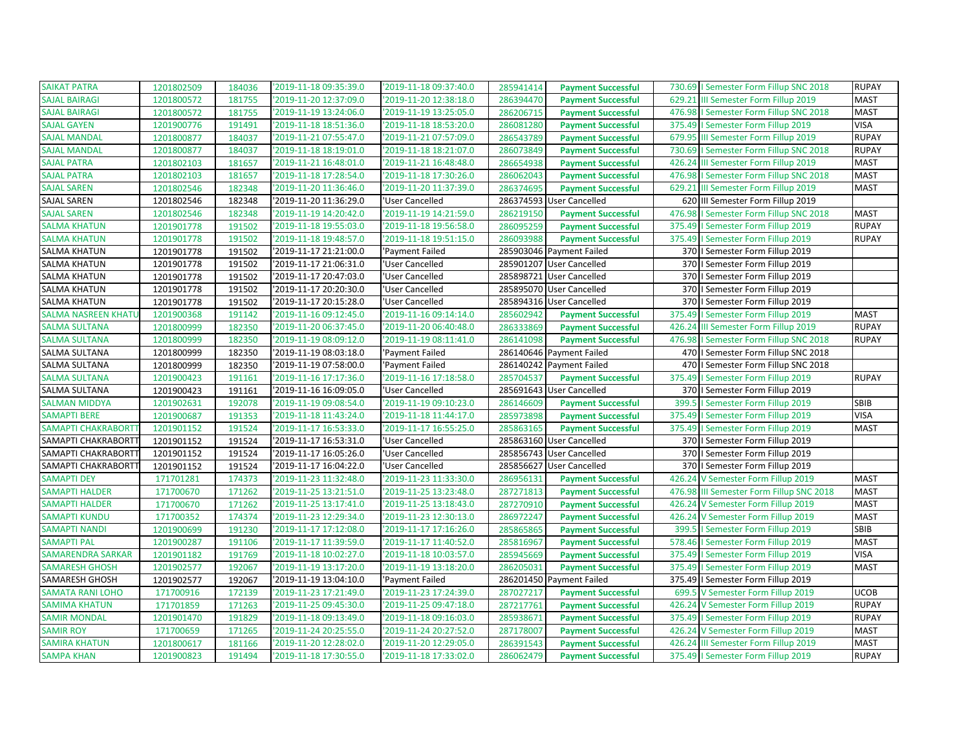| <b>SAIKAT PATRA</b>        | 1201802509 | 184036 | '2019-11-18 09:35:39.0 | '2019-11-18 09:37:40.0 | 285941414 | <b>Payment Successful</b> |        | 730.69   Semester Form Fillup SNC 2018   | <b>RUPAY</b> |
|----------------------------|------------|--------|------------------------|------------------------|-----------|---------------------------|--------|------------------------------------------|--------------|
| <b>SAJAL BAIRAGI</b>       | 1201800572 | 181755 | '2019-11-20 12:37:09.0 | '2019-11-20 12:38:18.0 | 286394470 | <b>Payment Successful</b> |        | 629.21 III Semester Form Fillup 2019     | <b>MAST</b>  |
| <b>SAJAL BAIRAGI</b>       | 1201800572 | 181755 | '2019-11-19 13:24:06.0 | '2019-11-19 13:25:05.0 | 286206715 | <b>Payment Successful</b> |        | 476.98   Semester Form Fillup SNC 2018   | <b>MAST</b>  |
| <b>SAJAL GAYEN</b>         | 1201900776 | 191491 | '2019-11-18 18:51:36.0 | '2019-11-18 18:53:20.0 | 286081280 | <b>Payment Successful</b> |        | 375.49   Semester Form Fillup 2019       | <b>VISA</b>  |
| <b>SAJAL MANDAL</b>        | 1201800877 | 184037 | 2019-11-21 07:55:47.0  | '2019-11-21 07:57:09.0 | 286543789 | <b>Payment Successful</b> | 679.95 | III Semester Form Fillup 2019            | <b>RUPAY</b> |
| <b>SAJAL MANDAL</b>        | 1201800877 | 184037 | '2019-11-18 18:19:01.0 | '2019-11-18 18:21:07.0 | 286073849 | <b>Payment Successful</b> |        | 730.69   Semester Form Fillup SNC 2018   | <b>RUPAY</b> |
| <b>SAJAL PATRA</b>         | 1201802103 | 181657 | '2019-11-21 16:48:01.0 | '2019-11-21 16:48:48.0 | 286654938 | <b>Payment Successful</b> |        | 426.24 III Semester Form Fillup 2019     | <b>MAST</b>  |
| <b>SAJAL PATRA</b>         | 1201802103 | 181657 | '2019-11-18 17:28:54.0 | '2019-11-18 17:30:26.0 | 286062043 | <b>Payment Successful</b> |        | 476.98   Semester Form Fillup SNC 2018   | <b>MAST</b>  |
| <b>SAJAL SAREN</b>         | 1201802546 | 182348 | '2019-11-20 11:36:46.0 | '2019-11-20 11:37:39.0 | 286374695 | <b>Payment Successful</b> |        | 629.21 III Semester Form Fillup 2019     | <b>MAST</b>  |
| SAJAL SAREN                | 1201802546 | 182348 | '2019-11-20 11:36:29.0 | 'User Cancelled        | 286374593 | <b>User Cancelled</b>     |        | 620 III Semester Form Fillup 2019        |              |
| <b>SAJAL SAREN</b>         | 1201802546 | 182348 | '2019-11-19 14:20:42.0 | '2019-11-19 14:21:59.0 | 286219150 | <b>Payment Successful</b> |        | 476.98   Semester Form Fillup SNC 2018   | <b>MAST</b>  |
| <b>SALMA KHATUN</b>        | 1201901778 | 191502 | '2019-11-18 19:55:03.0 | '2019-11-18 19:56:58.0 | 286095259 | <b>Payment Successful</b> |        | 375.49   Semester Form Fillup 2019       | <b>RUPAY</b> |
| <b>SALMA KHATUN</b>        | 1201901778 | 191502 | 2019-11-18 19:48:57.0  | '2019-11-18 19:51:15.0 | 286093988 | <b>Payment Successful</b> |        | 375.49   Semester Form Fillup 2019       | <b>RUPAY</b> |
| SALMA KHATUN               | 1201901778 | 191502 | '2019-11-17 21:21:00.0 | 'Payment Failed        |           | 285903046 Payment Failed  |        | 370   Semester Form Fillup 2019          |              |
| SALMA KHATUN               | 1201901778 | 191502 | '2019-11-17 21:06:31.0 | 'User Cancelled        |           | 285901207 User Cancelled  |        | 370   Semester Form Fillup 2019          |              |
| <b>SALMA KHATUN</b>        | 1201901778 | 191502 | '2019-11-17 20:47:03.0 | 'User Cancelled        |           | 285898721 User Cancelled  |        | 370   Semester Form Fillup 2019          |              |
| <b>SALMA KHATUN</b>        | 1201901778 | 191502 | '2019-11-17 20:20:30.0 | 'User Cancelled        |           | 285895070 User Cancelled  |        | 370   Semester Form Fillup 2019          |              |
| <b>SALMA KHATUN</b>        | 1201901778 | 191502 | 2019-11-17 20:15:28.0  | 'User Cancelled        |           | 285894316 User Cancelled  |        | 370   Semester Form Fillup 2019          |              |
| <b>SALMA NASREEN KHATL</b> | 1201900368 | 191142 | 2019-11-16 09:12:45.0  | '2019-11-16 09:14:14.0 | 285602942 | <b>Payment Successful</b> |        | 375.49   Semester Form Fillup 2019       | <b>MAST</b>  |
| <b>SALMA SULTANA</b>       | 1201800999 | 182350 | '2019-11-20 06:37:45.0 | '2019-11-20 06:40:48.0 | 286333869 | <b>Payment Successful</b> |        | 426.24 III Semester Form Fillup 2019     | <b>RUPAY</b> |
| <b>SALMA SULTANA</b>       | 1201800999 | 182350 | '2019-11-19 08:09:12.0 | '2019-11-19 08:11:41.0 | 286141098 | <b>Payment Successful</b> |        | 476.98   Semester Form Fillup SNC 2018   | <b>RUPAY</b> |
| <b>SALMA SULTANA</b>       | 1201800999 | 182350 | '2019-11-19 08:03:18.0 | 'Payment Failed        |           | 286140646 Payment Failed  |        | 470   Semester Form Fillup SNC 2018      |              |
| SALMA SULTANA              | 1201800999 | 182350 | '2019-11-19 07:58:00.0 | 'Payment Failed        |           | 286140242 Payment Failed  |        | 470   Semester Form Fillup SNC 2018      |              |
| <b>SALMA SULTANA</b>       | 1201900423 | 191161 | 2019-11-16 17:17:36.0  | '2019-11-16 17:18:58.0 | 285704537 | <b>Payment Successful</b> |        | 375.49   Semester Form Fillup 2019       | <b>RUPAY</b> |
| SALMA SULTANA              | 1201900423 | 191161 | '2019-11-16 16:09:05.0 | 'User Cancelled        |           | 285691643 User Cancelled  |        | 370   Semester Form Fillup 2019          |              |
| <b>SALMAN MIDDYA</b>       | 1201902631 | 192078 | '2019-11-19 09:08:54.0 | '2019-11-19 09:10:23.0 | 286146609 | <b>Payment Successful</b> |        | 399.5   Semester Form Fillup 2019        | <b>SBIB</b>  |
| <b>SAMAPTI BERE</b>        | 1201900687 | 191353 | '2019-11-18 11:43:24.0 | '2019-11-18 11:44:17.0 | 285973898 | <b>Payment Successful</b> |        | 375.49   Semester Form Fillup 2019       | <b>VISA</b>  |
| SAMAPTI CHAKRABORTT        | 1201901152 | 191524 | 2019-11-17 16:53:33.0  | '2019-11-17 16:55:25.0 | 285863165 | <b>Payment Successful</b> |        | 375.49   Semester Form Fillup 2019       | <b>MAST</b>  |
| SAMAPTI CHAKRABORTT        | 1201901152 | 191524 | '2019-11-17 16:53:31.0 | 'User Cancelled        |           | 285863160 User Cancelled  |        | 370   Semester Form Fillup 2019          |              |
| SAMAPTI CHAKRABORTT        | 1201901152 | 191524 | '2019-11-17 16:05:26.0 | 'User Cancelled        |           | 285856743 User Cancelled  |        | 370   Semester Form Fillup 2019          |              |
| SAMAPTI CHAKRABORTT        | 1201901152 | 191524 | 2019-11-17 16:04:22.0  | 'User Cancelled        |           | 285856627 User Cancelled  |        | 370   Semester Form Fillup 2019          |              |
| <b>SAMAPTI DEY</b>         | 171701281  | 174373 | '2019-11-23 11:32:48.0 | '2019-11-23 11:33:30.0 | 286956131 | <b>Payment Successful</b> |        | 426.24 V Semester Form Fillup 2019       | <b>MAST</b>  |
| <b>SAMAPTI HALDER</b>      | 171700670  | 171262 | '2019-11-25 13:21:51.0 | '2019-11-25 13:23:48.0 | 287271813 | <b>Payment Successful</b> |        | 476.98 III Semester Form Fillup SNC 2018 | <b>MAST</b>  |
| <b>SAMAPTI HALDER</b>      | 171700670  | 171262 | '2019-11-25 13:17:41.0 | '2019-11-25 13:18:43.0 | 287270910 | <b>Payment Successful</b> |        | 426.24 V Semester Form Fillup 2019       | <b>MAST</b>  |
| <b>SAMAPTI KUNDU</b>       | 171700352  | 174374 | '2019-11-23 12:29:34.0 | '2019-11-23 12:30:13.0 | 286972247 | <b>Payment Successful</b> |        | 426.24 V Semester Form Fillup 2019       | <b>MAST</b>  |
| <b>SAMAPTI NANDI</b>       | 1201900699 | 191230 | '2019-11-17 17:12:08.0 | '2019-11-17 17:16:26.0 | 285865865 | <b>Payment Successful</b> |        | 399.5   Semester Form Fillup 2019        | SBIB         |
| <b>SAMAPTI PAL</b>         | 1201900287 | 191106 | '2019-11-17 11:39:59.0 | '2019-11-17 11:40:52.0 | 285816967 | <b>Payment Successful</b> |        | 578.46   Semester Form Fillup 2019       | <b>MAST</b>  |
| <b>SAMARENDRA SARKAR</b>   | 1201901182 | 191769 | '2019-11-18 10:02:27.0 | '2019-11-18 10:03:57.0 | 285945669 | <b>Payment Successful</b> |        | 375.49   Semester Form Fillup 2019       | <b>VISA</b>  |
| <b>SAMARESH GHOSH</b>      | 1201902577 | 192067 | '2019-11-19 13:17:20.0 | '2019-11-19 13:18:20.0 | 286205031 | <b>Payment Successful</b> |        | 375.49   Semester Form Fillup 2019       | <b>MAST</b>  |
| SAMARESH GHOSH             | 1201902577 | 192067 | '2019-11-19 13:04:10.0 | 'Payment Failed        |           | 286201450 Payment Failed  |        | 375.49   Semester Form Fillup 2019       |              |
| <b>SAMATA RANI LOHO</b>    | 171700916  | 172139 | 2019-11-23 17:21:49.0  | '2019-11-23 17:24:39.0 | 287027217 | <b>Payment Successful</b> |        | 699.5 V Semester Form Fillup 2019        | <b>UCOB</b>  |
| <b>SAMIMA KHATUN</b>       | 171701859  | 171263 | '2019-11-25 09:45:30.0 | '2019-11-25 09:47:18.0 | 287217761 | <b>Payment Successful</b> |        | 426.24 V Semester Form Fillup 2019       | <b>RUPAY</b> |
| <b>SAMIR MONDAL</b>        | 1201901470 | 191829 | '2019-11-18 09:13:49.0 | '2019-11-18 09:16:03.0 | 285938671 | <b>Payment Successful</b> |        | 375.49   Semester Form Fillup 2019       | <b>RUPAY</b> |
| <b>SAMIR ROY</b>           | 171700659  | 171265 | '2019-11-24 20:25:55.0 | '2019-11-24 20:27:52.0 | 287178007 | <b>Payment Successful</b> |        | 426.24 V Semester Form Fillup 2019       | <b>MAST</b>  |
| <b>SAMIRA KHATUN</b>       | 1201800617 | 181166 | '2019-11-20 12:28:02.0 | '2019-11-20 12:29:05.0 | 286391543 | <b>Payment Successful</b> |        | 426.24 III Semester Form Fillup 2019     | <b>MAST</b>  |
| <b>SAMPA KHAN</b>          | 1201900823 | 191494 | '2019-11-18 17:30:55.0 | '2019-11-18 17:33:02.0 | 286062479 | <b>Payment Successful</b> |        | 375.49   Semester Form Fillup 2019       | <b>RUPAY</b> |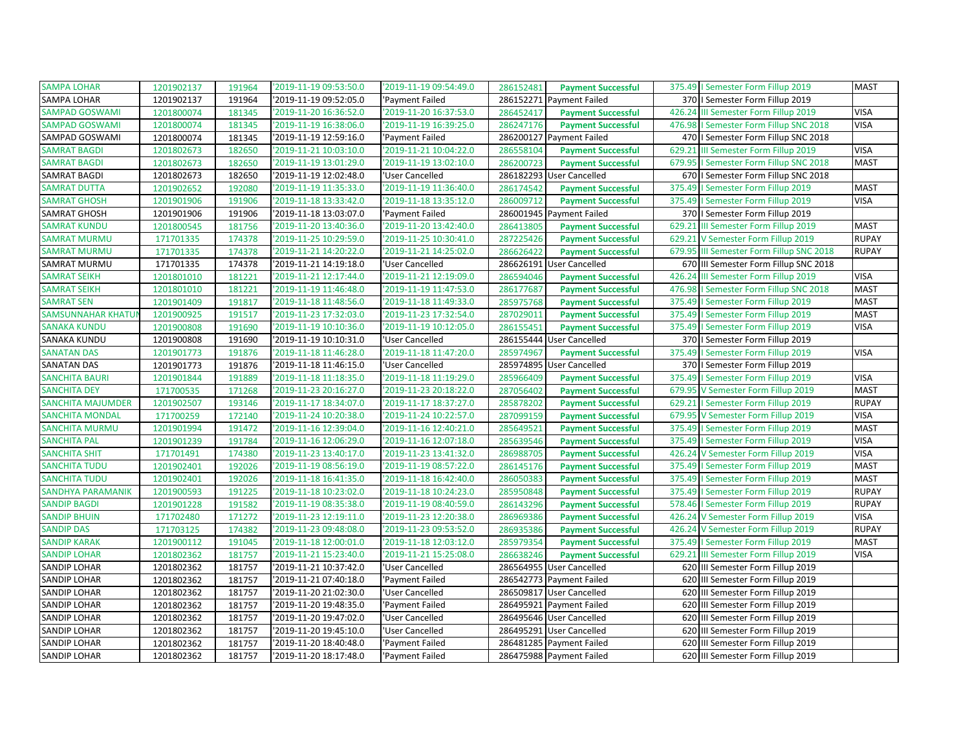| <b>SAMPA LOHAR</b>        | 1201902137 | 191964 | '2019-11-19 09:53:50.0 | '2019-11-19 09:54:49.0 | 286152481 | <b>Payment Successful</b> |        | 375.49   Semester Form Fillup 2019       | <b>MAST</b>  |
|---------------------------|------------|--------|------------------------|------------------------|-----------|---------------------------|--------|------------------------------------------|--------------|
| SAMPA LOHAR               | 1201902137 | 191964 | '2019-11-19 09:52:05.0 | 'Payment Failed        |           | 286152271 Payment Failed  |        | 370   Semester Form Fillup 2019          |              |
| <b>SAMPAD GOSWAMI</b>     | 1201800074 | 181345 | '2019-11-20 16:36:52.0 | '2019-11-20 16:37:53.0 | 286452417 | <b>Payment Successful</b> |        | 426.24 III Semester Form Fillup 2019     | <b>VISA</b>  |
| <b>SAMPAD GOSWAMI</b>     | 1201800074 | 181345 | '2019-11-19 16:38:06.0 | '2019-11-19 16:39:25.0 | 286247176 | <b>Payment Successful</b> |        | 476.98   Semester Form Fillup SNC 2018   | <b>VISA</b>  |
| SAMPAD GOSWAMI            | 1201800074 | 181345 | '2019-11-19 12:59:16.0 | 'Payment Failed        |           | 286200127 Payment Failed  |        | 470   Semester Form Fillup SNC 2018      |              |
| <b>SAMRAT BAGDI</b>       | 1201802673 | 182650 | '2019-11-21 10:03:10.0 | '2019-11-21 10:04:22.0 | 286558104 | <b>Payment Successful</b> | 629.21 | III Semester Form Fillup 2019            | <b>VISA</b>  |
| <b>SAMRAT BAGDI</b>       | 1201802673 | 182650 | '2019-11-19 13:01:29.0 | '2019-11-19 13:02:10.0 | 286200723 | <b>Payment Successful</b> |        | 679.95   Semester Form Fillup SNC 2018   | <b>MAST</b>  |
| <b>SAMRAT BAGDI</b>       | 1201802673 | 182650 | '2019-11-19 12:02:48.0 | 'User Cancelled        |           | 286182293 User Cancelled  |        | 670   Semester Form Fillup SNC 2018      |              |
| <b>SAMRAT DUTTA</b>       | 1201902652 | 192080 | '2019-11-19 11:35:33.0 | '2019-11-19 11:36:40.0 | 286174542 | <b>Payment Successful</b> |        | 375.49   Semester Form Fillup 2019       | <b>MAST</b>  |
| <b>SAMRAT GHOSH</b>       | 1201901906 | 191906 | '2019-11-18 13:33:42.0 | '2019-11-18 13:35:12.0 | 286009712 | <b>Payment Successful</b> |        | 375.49   Semester Form Fillup 2019       | <b>VISA</b>  |
| SAMRAT GHOSH              | 1201901906 | 191906 | '2019-11-18 13:03:07.0 | 'Payment Failed        |           | 286001945 Payment Failed  |        | 370   Semester Form Fillup 2019          |              |
| <b>SAMRAT KUNDU</b>       | 1201800545 | 181756 | '2019-11-20 13:40:36.0 | '2019-11-20 13:42:40.0 | 286413805 | <b>Payment Successful</b> | 629.21 | III Semester Form Fillup 2019            | <b>MAST</b>  |
| <b>SAMRAT MURMU</b>       | 171701335  | 174378 | '2019-11-25 10:29:59.0 | '2019-11-25 10:30:41.0 | 287225426 | <b>Payment Successful</b> | 629.21 | V Semester Form Fillup 2019              | <b>RUPAY</b> |
| <b>SAMRAT MURMU</b>       | 171701335  | 174378 | '2019-11-21 14:20:22.0 | '2019-11-21 14:25:02.0 | 286626422 | <b>Payment Successful</b> |        | 679.95 III Semester Form Fillup SNC 2018 | <b>RUPAY</b> |
| <b>SAMRAT MURMU</b>       | 171701335  | 174378 | '2019-11-21 14:19:18.0 | 'User Cancelled        |           | 286626191 User Cancelled  |        | 670 III Semester Form Fillup SNC 2018    |              |
| <b>SAMRAT SEIKH</b>       | 1201801010 | 181221 | '2019-11-21 12:17:44.0 | '2019-11-21 12:19:09.0 | 286594046 | <b>Payment Successful</b> |        | 426.24 III Semester Form Fillup 2019     | <b>VISA</b>  |
| <b>SAMRAT SEIKH</b>       | 1201801010 | 181221 | '2019-11-19 11:46:48.0 | '2019-11-19 11:47:53.0 | 286177687 | <b>Payment Successful</b> | 476.98 | I Semester Form Fillup SNC 2018          | <b>MAST</b>  |
| <b>SAMRAT SEN</b>         | 1201901409 | 191817 | '2019-11-18 11:48:56.0 | '2019-11-18 11:49:33.0 | 285975768 | <b>Payment Successful</b> |        | 375.49   Semester Form Fillup 2019       | <b>MAST</b>  |
| <b>SAMSUNNAHAR KHATUI</b> | 1201900925 | 191517 | '2019-11-23 17:32:03.0 | '2019-11-23 17:32:54.0 | 287029011 | <b>Payment Successful</b> |        | 375.49   Semester Form Fillup 2019       | <b>MAST</b>  |
| <b>SANAKA KUNDU</b>       | 1201900808 | 191690 | '2019-11-19 10:10:36.0 | '2019-11-19 10:12:05.0 | 286155451 | <b>Payment Successful</b> |        | 375.49   Semester Form Fillup 2019       | <b>VISA</b>  |
| SANAKA KUNDU              | 1201900808 | 191690 | '2019-11-19 10:10:31.0 | 'User Cancelled        | 286155444 | <b>User Cancelled</b>     |        | 370   Semester Form Fillup 2019          |              |
| <b>SANATAN DAS</b>        | 1201901773 | 191876 | '2019-11-18 11:46:28.0 | 2019-11-18 11:47:20.0  | 285974967 | <b>Payment Successful</b> |        | 375.49   Semester Form Fillup 2019       | <b>VISA</b>  |
| <b>SANATAN DAS</b>        | 1201901773 | 191876 | 2019-11-18 11:46:15.0  | 'User Cancelled        | 285974895 | <b>User Cancelled</b>     |        | 370   Semester Form Fillup 2019          |              |
| <b>SANCHITA BAURI</b>     | 1201901844 | 191889 | '2019-11-18 11:18:35.0 | '2019-11-18 11:19:29.0 | 285966409 | <b>Payment Successful</b> |        | 375.49   Semester Form Fillup 2019       | <b>VISA</b>  |
| <b>SANCHITA DEY</b>       | 171700535  | 171268 | '2019-11-23 20:16:27.0 | '2019-11-23 20:18:22.0 | 287056402 | <b>Payment Successful</b> |        | 679.95 V Semester Form Fillup 2019       | <b>MAST</b>  |
| <b>SANCHITA MAJUMDER</b>  | 1201902507 | 193146 | '2019-11-17 18:34:07.0 | '2019-11-17 18:37:27.0 | 285878202 | <b>Payment Successful</b> |        | 629.21   Semester Form Fillup 2019       | <b>RUPAY</b> |
| <b>SANCHITA MONDAL</b>    | 171700259  | 172140 | '2019-11-24 10:20:38.0 | 2019-11-24 10:22:57.0  | 287099159 | <b>Payment Successful</b> |        | 679.95 V Semester Form Fillup 2019       | <b>VISA</b>  |
| <b>SANCHITA MURMU</b>     | 1201901994 | 191472 | '2019-11-16 12:39:04.0 | '2019-11-16 12:40:21.0 | 285649521 | <b>Payment Successful</b> |        | 375.49   Semester Form Fillup 2019       | <b>MAST</b>  |
| <b>SANCHITA PAL</b>       | 1201901239 | 191784 | '2019-11-16 12:06:29.0 | '2019-11-16 12:07:18.0 | 285639546 | <b>Payment Successful</b> |        | 375.49   Semester Form Fillup 2019       | <b>VISA</b>  |
| <b>SANCHITA SHIT</b>      | 171701491  | 174380 | '2019-11-23 13:40:17.0 | '2019-11-23 13:41:32.0 | 286988705 | <b>Payment Successful</b> |        | 426.24 V Semester Form Fillup 2019       | <b>VISA</b>  |
| <b>SANCHITA TUDU</b>      | 1201902401 | 192026 | '2019-11-19 08:56:19.0 | 2019-11-19 08:57:22.0  | 286145176 | <b>Payment Successful</b> |        | 375.49   Semester Form Fillup 2019       | <b>MAST</b>  |
| <b>SANCHITA TUDU</b>      | 1201902401 | 192026 | '2019-11-18 16:41:35.0 | '2019-11-18 16:42:40.0 | 286050383 | <b>Payment Successful</b> |        | 375.49   Semester Form Fillup 2019       | <b>MAST</b>  |
| <b>SANDHYA PARAMANIK</b>  | 1201900593 | 191225 | '2019-11-18 10:23:02.0 | '2019-11-18 10:24:23.0 | 285950848 | <b>Payment Successful</b> |        | 375.49   Semester Form Fillup 2019       | <b>RUPAY</b> |
| <b>SANDIP BAGDI</b>       | 1201901228 | 191582 | '2019-11-19 08:35:38.0 | '2019-11-19 08:40:59.0 | 286143296 | <b>Payment Successful</b> | 578.46 | I Semester Form Fillup 2019              | <b>RUPAY</b> |
| <b>SANDIP BHUIN</b>       | 171702480  | 171272 | '2019-11-23 12:19:11.0 | '2019-11-23 12:20:38.0 | 286969386 | <b>Payment Successful</b> |        | 426.24 V Semester Form Fillup 2019       | <b>VISA</b>  |
| <b>SANDIP DAS</b>         | 171703125  | 174382 | '2019-11-23 09:48:08.0 | '2019-11-23 09:53:52.0 | 286935386 | <b>Payment Successful</b> | 426.24 | V Semester Form Fillup 2019              | <b>RUPAY</b> |
| <b>SANDIP KARAK</b>       | 1201900112 | 191045 | '2019-11-18 12:00:01.0 | '2019-11-18 12:03:12.0 | 285979354 | <b>Payment Successful</b> |        | 375.49   Semester Form Fillup 2019       | <b>MAST</b>  |
| <b>SANDIP LOHAR</b>       | 1201802362 | 181757 | '2019-11-21 15:23:40.0 | 2019-11-21 15:25:08.0  | 286638246 | <b>Payment Successful</b> | 629.21 | III Semester Form Fillup 2019            | <b>VISA</b>  |
| <b>SANDIP LOHAR</b>       | 1201802362 | 181757 | '2019-11-21 10:37:42.0 | 'User Cancelled        |           | 286564955 User Cancelled  |        | 620 III Semester Form Fillup 2019        |              |
| SANDIP LOHAR              | 1201802362 | 181757 | '2019-11-21 07:40:18.0 | 'Payment Failed        |           | 286542773 Payment Failed  | 620    | III Semester Form Fillup 2019            |              |
| <b>SANDIP LOHAR</b>       | 1201802362 | 181757 | '2019-11-20 21:02:30.0 | 'User Cancelled        |           | 286509817 User Cancelled  | 620    | III Semester Form Fillup 2019            |              |
| <b>SANDIP LOHAR</b>       | 1201802362 | 181757 | '2019-11-20 19:48:35.0 | 'Payment Failed        |           | 286495921 Payment Failed  | 620    | III Semester Form Fillup 2019            |              |
| SANDIP LOHAR              | 1201802362 | 181757 | '2019-11-20 19:47:02.0 | 'User Cancelled        |           | 286495646 User Cancelled  | 620    | III Semester Form Fillup 2019            |              |
| <b>SANDIP LOHAR</b>       | 1201802362 | 181757 | '2019-11-20 19:45:10.0 | 'User Cancelled        |           | 286495291 User Cancelled  | 620    | III Semester Form Fillup 2019            |              |
| <b>SANDIP LOHAR</b>       | 1201802362 | 181757 | '2019-11-20 18:40:48.0 | 'Payment Failed        |           | 286481285 Payment Failed  | 620    | III Semester Form Fillup 2019            |              |
| <b>SANDIP LOHAR</b>       | 1201802362 | 181757 | '2019-11-20 18:17:48.0 | 'Payment Failed        |           | 286475988 Payment Failed  |        | 620 III Semester Form Fillup 2019        |              |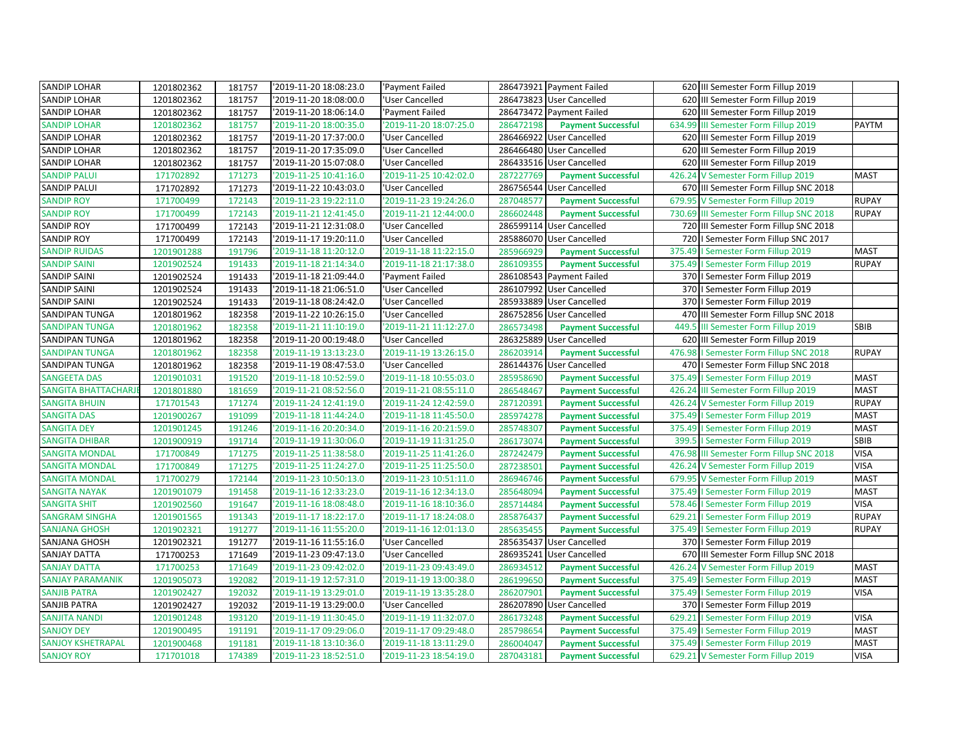| SANDIP LOHAR               | 1201802362 | 181757 | '2019-11-20 18:08:23.0 | 'Payment Failed        |           | 286473921 Payment Failed  | 620 III Semester Form Fillup 2019         |              |
|----------------------------|------------|--------|------------------------|------------------------|-----------|---------------------------|-------------------------------------------|--------------|
| <b>SANDIP LOHAR</b>        | 1201802362 | 181757 | '2019-11-20 18:08:00.0 | 'User Cancelled        |           | 286473823 User Cancelled  | 620 III Semester Form Fillup 2019         |              |
| SANDIP LOHAR               | 1201802362 | 181757 | '2019-11-20 18:06:14.0 | 'Payment Failed        |           | 286473472 Payment Failed  | 620 III Semester Form Fillup 2019         |              |
| <b>SANDIP LOHAR</b>        | 1201802362 | 181757 | '2019-11-20 18:00:35.0 | '2019-11-20 18:07:25.0 | 286472198 | <b>Payment Successful</b> | 634.99<br>III Semester Form Fillup 2019   | <b>PAYTM</b> |
| SANDIP LOHAR               | 1201802362 | 181757 | '2019-11-20 17:37:00.0 | 'User Cancelled        |           | 286466922 User Cancelled  | 620 III Semester Form Fillup 2019         |              |
| SANDIP LOHAR               | 1201802362 | 181757 | '2019-11-20 17:35:09.0 | 'User Cancelled        |           | 286466480 User Cancelled  | 620 III Semester Form Fillup 2019         |              |
| SANDIP LOHAR               | 1201802362 | 181757 | '2019-11-20 15:07:08.0 | 'User Cancelled        |           | 286433516 User Cancelled  | 620 III Semester Form Fillup 2019         |              |
| <b>SANDIP PALUI</b>        | 171702892  | 171273 | '2019-11-25 10:41:16.0 | '2019-11-25 10:42:02.0 | 287227769 | <b>Payment Successful</b> | 426.24 V Semester Form Fillup 2019        | <b>MAST</b>  |
| <b>SANDIP PALUI</b>        | 171702892  | 171273 | '2019-11-22 10:43:03.0 | 'User Cancelled        |           | 286756544 User Cancelled  | 670 III Semester Form Fillup SNC 2018     |              |
| <b>SANDIP ROY</b>          | 171700499  | 172143 | '2019-11-23 19:22:11.0 | '2019-11-23 19:24:26.0 | 287048577 | <b>Payment Successful</b> | 679.95<br>V Semester Form Fillup 2019     | <b>RUPAY</b> |
| <b>SANDIP ROY</b>          | 171700499  | 172143 | '2019-11-21 12:41:45.0 | '2019-11-21 12:44:00.0 | 286602448 | <b>Payment Successful</b> | 730.69 III Semester Form Fillup SNC 2018  | <b>RUPAY</b> |
| <b>SANDIP ROY</b>          | 171700499  | 172143 | '2019-11-21 12:31:08.0 | 'User Cancelled        |           | 286599114 User Cancelled  | 720 III Semester Form Fillup SNC 2018     |              |
| <b>SANDIP ROY</b>          | 171700499  | 172143 | '2019-11-17 19:20:11.0 | 'User Cancelled        |           | 285886070 User Cancelled  | 720   I Semester Form Fillup SNC 2017     |              |
| <b>SANDIP RUIDAS</b>       | 1201901288 | 191796 | '2019-11-18 11:20:12.0 | '2019-11-18 11:22:15.0 | 285966929 | <b>Payment Successful</b> | 375.49   Semester Form Fillup 2019        | <b>MAST</b>  |
| <b>SANDIP SAINI</b>        | 1201902524 | 191433 | '2019-11-18 21:14:34.0 | '2019-11-18 21:17:38.0 | 286109355 | <b>Payment Successful</b> | 375.49   Semester Form Fillup 2019        | <b>RUPAY</b> |
| <b>SANDIP SAINI</b>        | 1201902524 | 191433 | '2019-11-18 21:09:44.0 | 'Payment Failed        |           | 286108543 Payment Failed  | 370   Semester Form Fillup 2019           |              |
| <b>SANDIP SAINI</b>        | 1201902524 | 191433 | '2019-11-18 21:06:51.0 | 'User Cancelled        |           | 286107992 User Cancelled  | 370   Semester Form Fillup 2019           |              |
| <b>SANDIP SAINI</b>        | 1201902524 | 191433 | '2019-11-18 08:24:42.0 | 'User Cancelled        |           | 285933889 User Cancelled  | 370   Semester Form Fillup 2019           |              |
| SANDIPAN TUNGA             | 1201801962 | 182358 | '2019-11-22 10:26:15.0 | 'User Cancelled        |           | 286752856 User Cancelled  | 470 III Semester Form Fillup SNC 2018     |              |
| <b>SANDIPAN TUNGA</b>      | 1201801962 | 182358 | '2019-11-21 11:10:19.0 | '2019-11-21 11:12:27.0 | 286573498 | <b>Payment Successful</b> | 449.5<br>III Semester Form Fillup 2019    | <b>SBIB</b>  |
| SANDIPAN TUNGA             | 1201801962 | 182358 | '2019-11-20 00:19:48.0 | 'User Cancelled        |           | 286325889 User Cancelled  | 620 III Semester Form Fillup 2019         |              |
| <b>SANDIPAN TUNGA</b>      | 1201801962 | 182358 | '2019-11-19 13:13:23.0 | '2019-11-19 13:26:15.0 | 286203914 | <b>Payment Successful</b> | 476.98<br>I Semester Form Fillup SNC 2018 | <b>RUPAY</b> |
| SANDIPAN TUNGA             | 1201801962 | 182358 | '2019-11-19 08:47:53.0 | 'User Cancelled        |           | 286144376 User Cancelled  | 470   I Semester Form Fillup SNC 2018     |              |
| <b>SANGEETA DAS</b>        | 1201901031 | 191520 | '2019-11-18 10:52:59.0 | '2019-11-18 10:55:03.0 | 285958690 | <b>Payment Successful</b> | 375.49   Semester Form Fillup 2019        | <b>MAST</b>  |
| <b>SANGITA BHATTACHARJ</b> | 1201801880 | 181659 | '2019-11-21 08:52:56.0 | '2019-11-21 08:55:11.0 | 286548467 | <b>Payment Successful</b> | 426.24 III Semester Form Fillup 2019      | <b>MAST</b>  |
| <b>SANGITA BHUIN</b>       | 171701543  | 171274 | '2019-11-24 12:41:19.0 | '2019-11-24 12:42:59.0 | 287120391 | <b>Payment Successful</b> | 426.24 V Semester Form Fillup 2019        | <b>RUPAY</b> |
| <b>SANGITA DAS</b>         | 1201900267 | 191099 | '2019-11-18 11:44:24.0 | '2019-11-18 11:45:50.0 | 285974278 | <b>Payment Successful</b> | 375.49   Semester Form Fillup 2019        | <b>MAST</b>  |
| <b>SANGITA DEY</b>         | 1201901245 | 191246 | '2019-11-16 20:20:34.0 | '2019-11-16 20:21:59.0 | 285748307 | <b>Payment Successful</b> | 375.49   Semester Form Fillup 2019        | <b>MAST</b>  |
| <b>SANGITA DHIBAR</b>      | 1201900919 | 191714 | '2019-11-19 11:30:06.0 | '2019-11-19 11:31:25.0 | 286173074 | <b>Payment Successful</b> | 399.5   Semester Form Fillup 2019         | SBIB         |
| <b>SANGITA MONDAL</b>      | 171700849  | 171275 | '2019-11-25 11:38:58.0 | '2019-11-25 11:41:26.0 | 287242479 | <b>Payment Successful</b> | 476.98 III Semester Form Fillup SNC 2018  | <b>VISA</b>  |
| <b>SANGITA MONDAL</b>      | 171700849  | 171275 | '2019-11-25 11:24:27.0 | '2019-11-25 11:25:50.0 | 287238501 | <b>Payment Successful</b> | 426.24 V Semester Form Fillup 2019        | <b>VISA</b>  |
| <b>SANGITA MONDAL</b>      | 171700279  | 172144 | '2019-11-23 10:50:13.0 | '2019-11-23 10:51:11.0 | 286946746 | <b>Payment Successful</b> | 679.95 V Semester Form Fillup 2019        | <b>MAST</b>  |
| <b>SANGITA NAYAK</b>       | 1201901079 | 191458 | '2019-11-16 12:33:23.0 | '2019-11-16 12:34:13.0 | 285648094 | <b>Payment Successful</b> | 375.49   Semester Form Fillup 2019        | <b>MAST</b>  |
| <b>SANGITA SHIT</b>        | 1201902560 | 191647 | '2019-11-16 18:08:48.0 | '2019-11-16 18:10:36.0 | 285714484 | <b>Payment Successful</b> | I Semester Form Fillup 2019<br>578.46     | <b>VISA</b>  |
| <b>SANGRAM SINGHA</b>      | 1201901565 | 191343 | '2019-11-17 18:22:17.0 | '2019-11-17 18:24:08.0 | 285876437 | <b>Payment Successful</b> | 629.21   Semester Form Fillup 2019        | <b>RUPAY</b> |
| <b>SANJANA GHOSH</b>       | 1201902321 | 191277 | '2019-11-16 11:55:20.0 | '2019-11-16 12:01:13.0 | 285635455 | <b>Payment Successful</b> | 375.49   Semester Form Fillup 2019        | <b>RUPAY</b> |
| SANJANA GHOSH              | 1201902321 | 191277 | '2019-11-16 11:55:16.0 | 'User Cancelled        | 285635437 | <b>User Cancelled</b>     | 370   Semester Form Fillup 2019           |              |
| SANJAY DATTA               | 171700253  | 171649 | '2019-11-23 09:47:13.0 | 'User Cancelled        | 286935241 | <b>User Cancelled</b>     | 670 III Semester Form Fillup SNC 2018     |              |
| <b>SANJAY DATTA</b>        | 171700253  | 171649 | '2019-11-23 09:42:02.0 | '2019-11-23 09:43:49.0 | 286934512 | <b>Payment Successful</b> | 426.24 V Semester Form Fillup 2019        | <b>MAST</b>  |
| <b>SANJAY PARAMANIK</b>    | 1201905073 | 192082 | '2019-11-19 12:57:31.0 | '2019-11-19 13:00:38.0 | 286199650 | <b>Payment Successful</b> | 375.49   Semester Form Fillup 2019        | <b>MAST</b>  |
| <b>SANJIB PATRA</b>        | 1201902427 | 192032 | '2019-11-19 13:29:01.0 | '2019-11-19 13:35:28.0 | 286207901 | <b>Payment Successful</b> | 375.49   Semester Form Fillup 2019        | <b>VISA</b>  |
| <b>SANJIB PATRA</b>        | 1201902427 | 192032 | '2019-11-19 13:29:00.0 | 'User Cancelled        |           | 286207890 User Cancelled  | 370   Semester Form Fillup 2019           |              |
| <b>SANJITA NANDI</b>       | 1201901248 | 193120 | '2019-11-19 11:30:45.0 | '2019-11-19 11:32:07.0 | 286173248 | <b>Payment Successful</b> | 629.21   Semester Form Fillup 2019        | <b>VISA</b>  |
| <b>SANJOY DEY</b>          | 1201900495 | 191191 | '2019-11-17 09:29:06.0 | '2019-11-17 09:29:48.0 | 285798654 | <b>Payment Successful</b> | 375.49   Semester Form Fillup 2019        | <b>MAST</b>  |
| <b>SANJOY KSHETRAPAL</b>   | 1201900468 | 191181 | '2019-11-18 13:10:36.0 | '2019-11-18 13:11:29.0 | 286004047 | <b>Payment Successful</b> | 375.49   Semester Form Fillup 2019        | <b>MAST</b>  |
| <b>SANJOY ROY</b>          | 171701018  | 174389 | '2019-11-23 18:52:51.0 | '2019-11-23 18:54:19.0 | 287043181 | <b>Payment Successful</b> | 629.21 V Semester Form Fillup 2019        | <b>VISA</b>  |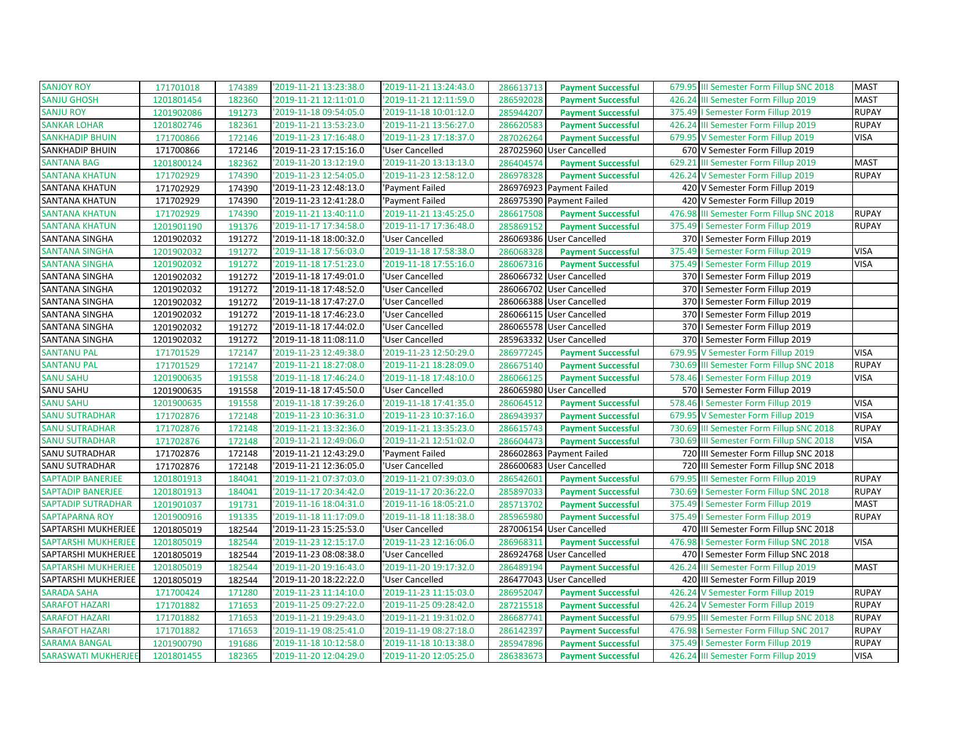| <b>SANJOY ROY</b>          | 171701018  | 174389 | '2019-11-21 13:23:38.0 | '2019-11-21 13:24:43.0 | 286613713 | <b>Payment Successful</b> | 679.95 III Semester Form Fillup SNC 2018 | <b>MAST</b>  |
|----------------------------|------------|--------|------------------------|------------------------|-----------|---------------------------|------------------------------------------|--------------|
| <b>SANJU GHOSH</b>         | 1201801454 | 182360 | '2019-11-21 12:11:01.0 | '2019-11-21 12:11:59.0 | 286592028 | <b>Payment Successful</b> | 426.24 III Semester Form Fillup 2019     | <b>MAST</b>  |
| <b>SANJU ROY</b>           | 1201902086 | 191273 | '2019-11-18 09:54:05.0 | '2019-11-18 10:01:12.0 | 285944207 | <b>Payment Successful</b> | 375.49   Semester Form Fillup 2019       | <b>RUPAY</b> |
| <b>SANKAR LOHAR</b>        | 1201802746 | 182361 | '2019-11-21 13:53:23.0 | '2019-11-21 13:56:27.0 | 286620583 | <b>Payment Successful</b> | 426.24 III Semester Form Fillup 2019     | <b>RUPAY</b> |
| <b>SANKHADIP BHUIN</b>     | 171700866  | 172146 | 2019-11-23 17:16:48.0  | '2019-11-23 17:18:37.0 | 287026264 | <b>Payment Successful</b> | 679.95 V Semester Form Fillup 2019       | <b>VISA</b>  |
| SANKHADIP BHUIN            | 171700866  | 172146 | '2019-11-23 17:15:16.0 | 'User Cancelled        |           | 287025960 User Cancelled  | 670 V Semester Form Fillup 2019          |              |
| <b>SANTANA BAG</b>         | 1201800124 | 182362 | '2019-11-20 13:12:19.0 | '2019-11-20 13:13:13.0 | 286404574 | <b>Payment Successful</b> | 629.21 III Semester Form Fillup 2019     | <b>MAST</b>  |
| <b>SANTANA KHATUN</b>      | 171702929  | 174390 | '2019-11-23 12:54:05.0 | '2019-11-23 12:58:12.0 | 286978328 | <b>Payment Successful</b> | 426.24 V Semester Form Fillup 2019       | <b>RUPAY</b> |
| <b>SANTANA KHATUN</b>      | 171702929  | 174390 | '2019-11-23 12:48:13.0 | 'Payment Failed        |           | 286976923 Payment Failed  | 420 V Semester Form Fillup 2019          |              |
| SANTANA KHATUN             | 171702929  | 174390 | '2019-11-23 12:41:28.0 | 'Payment Failed        |           | 286975390 Payment Failed  | 420 V Semester Form Fillup 2019          |              |
| <b>SANTANA KHATUN</b>      | 171702929  | 174390 | '2019-11-21 13:40:11.0 | '2019-11-21 13:45:25.0 | 286617508 | <b>Payment Successful</b> | 476.98 III Semester Form Fillup SNC 2018 | <b>RUPAY</b> |
| <b>SANTANA KHATUN</b>      | 1201901190 | 191376 | '2019-11-17 17:34:58.0 | '2019-11-17 17:36:48.0 | 285869152 | <b>Payment Successful</b> | 375.49   Semester Form Fillup 2019       | <b>RUPAY</b> |
| SANTANA SINGHA             | 1201902032 | 191272 | '2019-11-18 18:00:32.0 | 'User Cancelled        |           | 286069386 User Cancelled  | 370   Semester Form Fillup 2019          |              |
| <b>SANTANA SINGHA</b>      | 1201902032 | 191272 | 2019-11-18 17:56:03.0  | '2019-11-18 17:58:38.0 | 286068328 | <b>Payment Successful</b> | 375.49   Semester Form Fillup 2019       | <b>VISA</b>  |
| <b>SANTANA SINGHA</b>      | 1201902032 | 191272 | '2019-11-18 17:51:23.0 | '2019-11-18 17:55:16.0 | 286067316 | <b>Payment Successful</b> | 375.49   Semester Form Fillup 2019       | <b>VISA</b>  |
| SANTANA SINGHA             | 1201902032 | 191272 | 2019-11-18 17:49:01.0  | 'User Cancelled        |           | 286066732 User Cancelled  | 370   Semester Form Fillup 2019          |              |
| SANTANA SINGHA             | 1201902032 | 191272 | '2019-11-18 17:48:52.0 | 'User Cancelled        |           | 286066702 User Cancelled  | 370   Semester Form Fillup 2019          |              |
| SANTANA SINGHA             | 1201902032 | 191272 | 2019-11-18 17:47:27.0  | 'User Cancelled        |           | 286066388 User Cancelled  | 370   Semester Form Fillup 2019          |              |
| SANTANA SINGHA             | 1201902032 | 191272 | '2019-11-18 17:46:23.0 | 'User Cancelled        |           | 286066115 User Cancelled  | 370   Semester Form Fillup 2019          |              |
| SANTANA SINGHA             | 1201902032 | 191272 | '2019-11-18 17:44:02.0 | 'User Cancelled        |           | 286065578 User Cancelled  | 370   Semester Form Fillup 2019          |              |
| SANTANA SINGHA             | 1201902032 | 191272 | '2019-11-18 11:08:11.0 | 'User Cancelled        |           | 285963332 User Cancelled  | 370   Semester Form Fillup 2019          |              |
| <b>SANTANU PAL</b>         | 171701529  | 172147 | '2019-11-23 12:49:38.0 | '2019-11-23 12:50:29.0 | 286977245 | <b>Payment Successful</b> | 679.95 V Semester Form Fillup 2019       | <b>VISA</b>  |
| <b>SANTANU PAL</b>         | 171701529  | 172147 | '2019-11-21 18:27:08.0 | '2019-11-21 18:28:09.0 | 286675140 | <b>Payment Successful</b> | 730.69 III Semester Form Fillup SNC 2018 | <b>RUPAY</b> |
| <b>SANU SAHU</b>           | 1201900635 | 191558 | '2019-11-18 17:46:24.0 | '2019-11-18 17:48:10.0 | 286066125 | <b>Payment Successful</b> | 578.46   Semester Form Fillup 2019       | <b>VISA</b>  |
| SANU SAHU                  | 1201900635 | 191558 | 2019-11-18 17:45:50.0  | 'User Cancelled        |           | 286065980 User Cancelled  | 570   Semester Form Fillup 2019          |              |
| <b>SANU SAHU</b>           | 1201900635 | 191558 | '2019-11-18 17:39:26.0 | '2019-11-18 17:41:35.0 | 286064512 | <b>Payment Successful</b> | 578.46   Semester Form Fillup 2019       | <b>VISA</b>  |
| <b>SANU SUTRADHAR</b>      | 171702876  | 172148 | '2019-11-23 10:36:31.0 | '2019-11-23 10:37:16.0 | 286943937 | <b>Payment Successful</b> | 679.95 V Semester Form Fillup 2019       | <b>VISA</b>  |
| <b>SANU SUTRADHAR</b>      | 171702876  | 172148 | '2019-11-21 13:32:36.0 | '2019-11-21 13:35:23.0 | 286615743 | <b>Payment Successful</b> | 730.69 III Semester Form Fillup SNC 2018 | <b>RUPAY</b> |
| <b>SANU SUTRADHAR</b>      | 171702876  | 172148 | '2019-11-21 12:49:06.0 | '2019-11-21 12:51:02.0 | 286604473 | <b>Payment Successful</b> | 730.69 III Semester Form Fillup SNC 2018 | <b>VISA</b>  |
| SANU SUTRADHAR             | 171702876  | 172148 | '2019-11-21 12:43:29.0 | 'Payment Failed        |           | 286602863 Payment Failed  | 720 III Semester Form Fillup SNC 2018    |              |
| SANU SUTRADHAR             | 171702876  | 172148 | '2019-11-21 12:36:05.0 | 'User Cancelled        |           | 286600683 User Cancelled  | 720 III Semester Form Fillup SNC 2018    |              |
| <b>SAPTADIP BANERJEE</b>   | 1201801913 | 184041 | '2019-11-21 07:37:03.0 | '2019-11-21 07:39:03.0 | 286542601 | <b>Payment Successful</b> | 679.95 III Semester Form Fillup 2019     | <b>RUPAY</b> |
| <b>SAPTADIP BANERJEE</b>   | 1201801913 | 184041 | '2019-11-17 20:34:42.0 | '2019-11-17 20:36:22.0 | 285897033 | <b>Payment Successful</b> | 730.69   Semester Form Fillup SNC 2018   | <b>RUPAY</b> |
| <b>SAPTADIP SUTRADHAR</b>  | 1201901037 | 191731 | '2019-11-16 18:04:31.0 | '2019-11-16 18:05:21.0 | 285713702 | <b>Payment Successful</b> | 375.49   Semester Form Fillup 2019       | <b>MAST</b>  |
| <b>SAPTAPARNA ROY</b>      | 1201900916 | 191335 | 2019-11-18 11:17:09.0  | '2019-11-18 11:18:38.0 | 285965980 | <b>Payment Successful</b> | 375.49   Semester Form Fillup 2019       | <b>RUPAY</b> |
| SAPTARSHI MUKHERJEE        | 1201805019 | 182544 | 2019-11-23 15:25:53.0  | 'User Cancelled        |           | 287006154 User Cancelled  | 470 III Semester Form Fillup SNC 2018    |              |
| <b>SAPTARSHI MUKHERJEE</b> | 1201805019 | 182544 | '2019-11-23 12:15:17.0 | '2019-11-23 12:16:06.0 | 286968311 | <b>Payment Successful</b> | 476.98   Semester Form Fillup SNC 2018   | <b>VISA</b>  |
| SAPTARSHI MUKHERJEE        | 1201805019 | 182544 | '2019-11-23 08:08:38.0 | 'User Cancelled        |           | 286924768 User Cancelled  | 470   Semester Form Fillup SNC 2018      |              |
| <b>SAPTARSHI MUKHERJEE</b> | 1201805019 | 182544 | '2019-11-20 19:16:43.0 | '2019-11-20 19:17:32.0 | 286489194 | <b>Payment Successful</b> | 426.24 III Semester Form Fillup 2019     | <b>MAST</b>  |
| SAPTARSHI MUKHERJEE        | 1201805019 | 182544 | '2019-11-20 18:22:22.0 | 'User Cancelled        |           | 286477043 User Cancelled  | 420 III Semester Form Fillup 2019        |              |
| <b>SARADA SAHA</b>         | 171700424  | 171280 | '2019-11-23 11:14:10.0 | '2019-11-23 11:15:03.0 | 286952047 | <b>Payment Successful</b> | 426.24 V Semester Form Fillup 2019       | <b>RUPAY</b> |
| <b>SARAFOT HAZARI</b>      | 171701882  | 171653 | '2019-11-25 09:27:22.0 | '2019-11-25 09:28:42.0 | 287215518 | <b>Payment Successful</b> | 426.24 V Semester Form Fillup 2019       | <b>RUPAY</b> |
| <b>SARAFOT HAZARI</b>      | 171701882  | 171653 | '2019-11-21 19:29:43.0 | '2019-11-21 19:31:02.0 | 286687741 | <b>Payment Successful</b> | 679.95 III Semester Form Fillup SNC 2018 | <b>RUPAY</b> |
| <b>SARAFOT HAZARI</b>      | 171701882  | 171653 | '2019-11-19 08:25:41.0 | '2019-11-19 08:27:18.0 | 286142397 | <b>Payment Successful</b> | 476.98   Semester Form Fillup SNC 2017   | <b>RUPAY</b> |
| <b>SARAMA BANGAL</b>       | 1201900790 | 191686 | '2019-11-18 10:12:58.0 | '2019-11-18 10:13:38.0 | 285947896 | <b>Payment Successful</b> | 375.49   Semester Form Fillup 2019       | <b>RUPAY</b> |
| <b>SARASWATI MUKHERJEE</b> | 1201801455 | 182365 | '2019-11-20 12:04:29.0 | '2019-11-20 12:05:25.0 | 286383673 | <b>Payment Successful</b> | 426.24 III Semester Form Fillup 2019     | <b>VISA</b>  |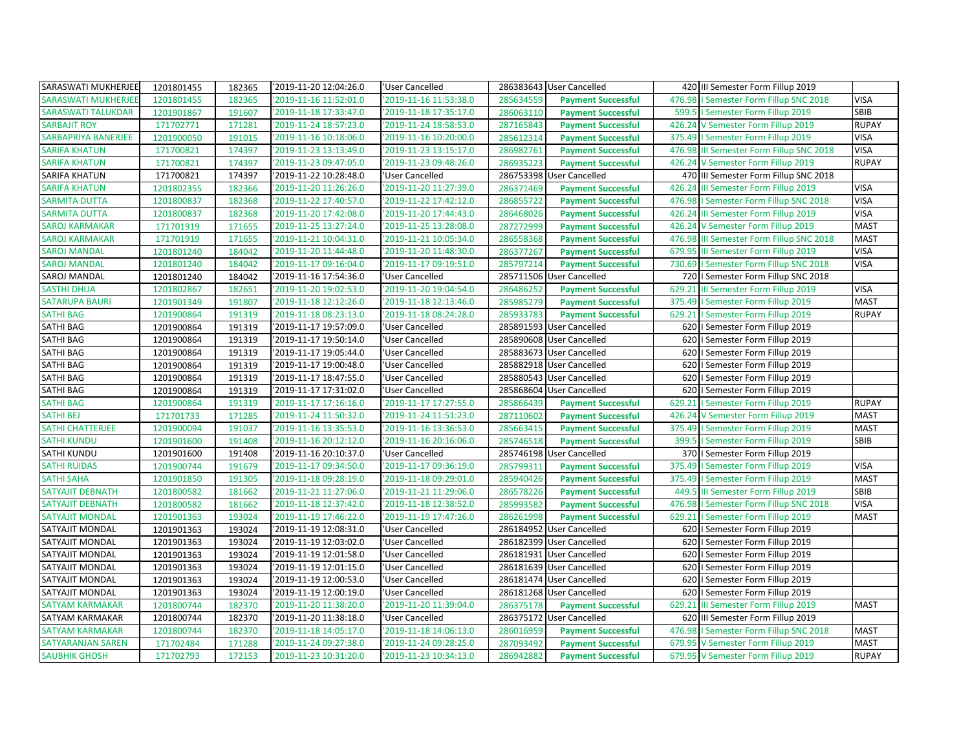| SARASWATI MUKHERJEE        | 1201801455 | 182365 | '2019-11-20 12:04:26.0 | 'User Cancelled        |           | 286383643 User Cancelled  |        | 420 III Semester Form Fillup 2019        |              |
|----------------------------|------------|--------|------------------------|------------------------|-----------|---------------------------|--------|------------------------------------------|--------------|
| <b>SARASWATI MUKHERJEI</b> | 1201801455 | 182365 | 2019-11-16 11:52:01.0  | '2019-11-16 11:53:38.0 | 285634559 | <b>Payment Successful</b> | 476.98 | I Semester Form Fillup SNC 2018          | <b>VISA</b>  |
| <b>SARASWATI TALUKDAR</b>  | 1201901867 | 191607 | '2019-11-18 17:33:47.0 | '2019-11-18 17:35:17.0 | 286063110 | <b>Payment Successful</b> |        | 599.5   Semester Form Fillup 2019        | SBIB         |
| <b>SARBAJIT ROY</b>        | 171702771  | 171281 | '2019-11-24 18:57:23.0 | '2019-11-24 18:58:53.0 | 287165843 | <b>Payment Successful</b> | 426.24 | V Semester Form Fillup 2019              | <b>RUPAY</b> |
| SARBAPRIYA BANERJEE        | 1201900050 | 191015 | '2019-11-16 10:18:06.0 | '2019-11-16 10:20:00.0 | 285612314 | <b>Payment Successful</b> | 375.49 | I Semester Form Fillup 2019              | <b>VISA</b>  |
| <b>SARIFA KHATUN</b>       | 171700821  | 174397 | '2019-11-23 13:13:49.0 | '2019-11-23 13:15:17.0 | 286982761 | <b>Payment Successful</b> | 476.98 | III Semester Form Fillup SNC 2018        | <b>VISA</b>  |
| <b>SARIFA KHATUN</b>       | 171700821  | 174397 | '2019-11-23 09:47:05.0 | '2019-11-23 09:48:26.0 | 286935223 | <b>Payment Successful</b> | 426.24 | V Semester Form Fillup 2019              | <b>RUPAY</b> |
| SARIFA KHATUN              | 171700821  | 174397 | '2019-11-22 10:28:48.0 | 'User Cancelled        |           | 286753398 User Cancelled  |        | 470 III Semester Form Fillup SNC 2018    |              |
| <b>SARIFA KHATUN</b>       | 1201802355 | 182366 | '2019-11-20 11:26:26.0 | '2019-11-20 11:27:39.0 | 286371469 | <b>Payment Successful</b> |        | 426.24 III Semester Form Fillup 2019     | <b>VISA</b>  |
| <b>SARMITA DUTTA</b>       | 1201800837 | 182368 | '2019-11-22 17:40:57.0 | '2019-11-22 17:42:12.0 | 286855722 | <b>Payment Successful</b> | 476.98 | I Semester Form Fillup SNC 2018          | <b>VISA</b>  |
| <b>SARMITA DUTTA</b>       | 1201800837 | 182368 | '2019-11-20 17:42:08.0 | '2019-11-20 17:44:43.0 | 286468026 | <b>Payment Successful</b> |        | 426.24 III Semester Form Fillup 2019     | <b>VISA</b>  |
| <b>SAROJ KARMAKAR</b>      | 171701919  | 171655 | '2019-11-25 13:27:24.0 | '2019-11-25 13:28:08.0 | 287272999 | <b>Payment Successful</b> |        | 426.24 V Semester Form Fillup 2019       | <b>MAST</b>  |
| <b>SAROJ KARMAKAR</b>      | 171701919  | 171655 | '2019-11-21 10:04:31.0 | '2019-11-21 10:05:34.0 | 286558368 | <b>Payment Successful</b> |        | 476.98 III Semester Form Fillup SNC 2018 | <b>MAST</b>  |
| <b>SAROJ MANDAL</b>        | 1201801240 | 184042 | '2019-11-20 11:44:48.0 | '2019-11-20 11:48:30.0 | 286377267 | <b>Payment Successful</b> | 679.95 | III Semester Form Fillup 2019            | <b>VISA</b>  |
| <b>SAROJ MANDAL</b>        | 1201801240 | 184042 | '2019-11-17 09:16:04.0 | '2019-11-17 09:19:51.0 | 285797214 | <b>Payment Successful</b> |        | 730.69   Semester Form Fillup SNC 2018   | <b>VISA</b>  |
| SAROJ MANDAL               | 1201801240 | 184042 | '2019-11-16 17:54:36.0 | 'User Cancelled        |           | 285711506 User Cancelled  |        | 720   Semester Form Fillup SNC 2018      |              |
| <b>SASTHI DHUA</b>         | 1201802867 | 182651 | '2019-11-20 19:02:53.0 | '2019-11-20 19:04:54.0 | 286486252 | <b>Payment Successful</b> | 629.21 | III Semester Form Fillup 2019            | <b>VISA</b>  |
| <b>SATARUPA BAURI</b>      | 1201901349 | 191807 | '2019-11-18 12:12:26.0 | '2019-11-18 12:13:46.0 | 285985279 | <b>Payment Successful</b> | 375.49 | I Semester Form Fillup 2019              | <b>MAST</b>  |
| <b>SATHI BAG</b>           | 1201900864 | 191319 | '2019-11-18 08:23:13.0 | '2019-11-18 08:24:28.0 | 285933783 | <b>Payment Successful</b> |        | 629.21   Semester Form Fillup 2019       | <b>RUPAY</b> |
| SATHI BAG                  | 1201900864 | 191319 | '2019-11-17 19:57:09.0 | 'User Cancelled        |           | 285891593 User Cancelled  |        | 620   Semester Form Fillup 2019          |              |
| <b>SATHI BAG</b>           | 1201900864 | 191319 | '2019-11-17 19:50:14.0 | 'User Cancelled        |           | 285890608 User Cancelled  | 620    | I Semester Form Fillup 2019              |              |
| <b>SATHI BAG</b>           | 1201900864 | 191319 | '2019-11-17 19:05:44.0 | 'User Cancelled        |           | 285883673 User Cancelled  | 620    | I Semester Form Fillup 2019              |              |
| SATHI BAG                  | 1201900864 | 191319 | '2019-11-17 19:00:48.0 | 'User Cancelled        |           | 285882918 User Cancelled  | 620    | I Semester Form Fillup 2019              |              |
| <b>SATHI BAG</b>           | 1201900864 | 191319 | '2019-11-17 18:47:55.0 | 'User Cancelled        |           | 285880543 User Cancelled  |        | 620   Semester Form Fillup 2019          |              |
| <b>SATHI BAG</b>           | 1201900864 | 191319 | '2019-11-17 17:31:02.0 | 'User Cancelled        |           | 285868604 User Cancelled  |        | 620   Semester Form Fillup 2019          |              |
| <b>SATHI BAG</b>           | 1201900864 | 191319 | '2019-11-17 17:16:16.0 | '2019-11-17 17:27:55.0 | 285866439 | <b>Payment Successful</b> | 629.21 | I Semester Form Fillup 2019              | <b>RUPAY</b> |
| <b>SATHI BEJ</b>           | 171701733  | 171285 | '2019-11-24 11:50:32.0 | '2019-11-24 11:51:23.0 | 287110602 | <b>Payment Successful</b> | 426.24 | V Semester Form Fillup 2019              | <b>MAST</b>  |
| SATHI CHATTERJEE           | 1201900094 | 191037 | '2019-11-16 13:35:53.0 | '2019-11-16 13:36:53.0 | 285663415 | <b>Payment Successful</b> |        | 375.49   Semester Form Fillup 2019       | <b>MAST</b>  |
| <b>SATHI KUNDU</b>         | 1201901600 | 191408 | '2019-11-16 20:12:12.0 | '2019-11-16 20:16:06.0 | 285746518 | <b>Payment Successful</b> |        | 399.5   Semester Form Fillup 2019        | SBIB         |
| <b>SATHI KUNDU</b>         | 1201901600 | 191408 | '2019-11-16 20:10:37.0 | 'User Cancelled        |           | 285746198 User Cancelled  |        | 370   Semester Form Fillup 2019          |              |
| <b>SATHI RUIDAS</b>        | 1201900744 | 191679 | '2019-11-17 09:34:50.0 | '2019-11-17 09:36:19.0 | 285799311 | <b>Payment Successful</b> | 375.49 | I Semester Form Fillup 2019              | <b>VISA</b>  |
| <b>SATHI SAHA</b>          | 1201901850 | 191305 | '2019-11-18 09:28:19.0 | '2019-11-18 09:29:01.0 | 285940426 | <b>Payment Successful</b> |        | 375.49   Semester Form Fillup 2019       | <b>MAST</b>  |
| <b>SATYAJIT DEBNATH</b>    | 1201800582 | 181662 | '2019-11-21 11:27:06.0 | '2019-11-21 11:29:06.0 | 286578226 | <b>Payment Successful</b> |        | 449.5 III Semester Form Fillup 2019      | SBIB         |
| SATYAJIT DEBNATH           | 1201800582 | 181662 | '2019-11-18 12:37:42.0 | '2019-11-18 12:38:52.0 | 285993582 | <b>Payment Successful</b> | 476.98 | I Semester Form Fillup SNC 2018          | <b>VISA</b>  |
| <b>SATYAJIT MONDAL</b>     | 1201901363 | 193024 | '2019-11-19 17:46:22.0 | '2019-11-19 17:47:26.0 | 286261998 | <b>Payment Successful</b> |        | 629.21   Semester Form Fillup 2019       | <b>MAST</b>  |
| SATYAJIT MONDAL            | 1201901363 | 193024 | '2019-11-19 12:08:31.0 | 'User Cancelled        |           | 286184952 User Cancelled  |        | 620   Semester Form Fillup 2019          |              |
| SATYAJIT MONDAL            | 1201901363 | 193024 | '2019-11-19 12:03:02.0 | 'User Cancelled        |           | 286182399 User Cancelled  |        | 620   Semester Form Fillup 2019          |              |
| SATYAJIT MONDAL            | 1201901363 | 193024 | '2019-11-19 12:01:58.0 | 'User Cancelled        | 286181931 | <b>User Cancelled</b>     | 620    | I Semester Form Fillup 2019              |              |
| SATYAJIT MONDAL            | 1201901363 | 193024 | '2019-11-19 12:01:15.0 | 'User Cancelled        |           | 286181639 User Cancelled  | 620    | I Semester Form Fillup 2019              |              |
| SATYAJIT MONDAL            | 1201901363 | 193024 | '2019-11-19 12:00:53.0 | 'User Cancelled        |           | 286181474 User Cancelled  |        | 620   Semester Form Fillup 2019          |              |
| SATYAJIT MONDAL            | 1201901363 | 193024 | '2019-11-19 12:00:19.0 | 'User Cancelled        |           | 286181268 User Cancelled  | 620    | I Semester Form Fillup 2019              |              |
| <b>SATYAM KARMAKAR</b>     | 1201800744 | 182370 | '2019-11-20 11:38:20.0 | '2019-11-20 11:39:04.0 | 286375178 | <b>Payment Successful</b> | 629.21 | III Semester Form Fillup 2019            | <b>MAST</b>  |
| SATYAM KARMAKAR            | 1201800744 | 182370 | '2019-11-20 11:38:18.0 | 'User Cancelled        |           | 286375172 User Cancelled  |        | 620 III Semester Form Fillup 2019        |              |
| SATYAM KARMAKAR            | 1201800744 | 182370 | '2019-11-18 14:05:17.0 | '2019-11-18 14:06:13.0 | 286016959 | <b>Payment Successful</b> |        | 476.98   Semester Form Fillup SNC 2018   | <b>MAST</b>  |
| <b>SATYARANJAN SAREN</b>   | 171702484  | 171288 | '2019-11-24 09:27:38.0 | '2019-11-24 09:28:25.0 | 287093492 | <b>Payment Successful</b> |        | 679.95 V Semester Form Fillup 2019       | <b>MAST</b>  |
| <b>SAUBHIK GHOSH</b>       | 171702793  | 172153 | '2019-11-23 10:31:20.0 | '2019-11-23 10:34:13.0 | 286942882 | <b>Payment Successful</b> |        | 679.95 V Semester Form Fillup 2019       | <b>RUPAY</b> |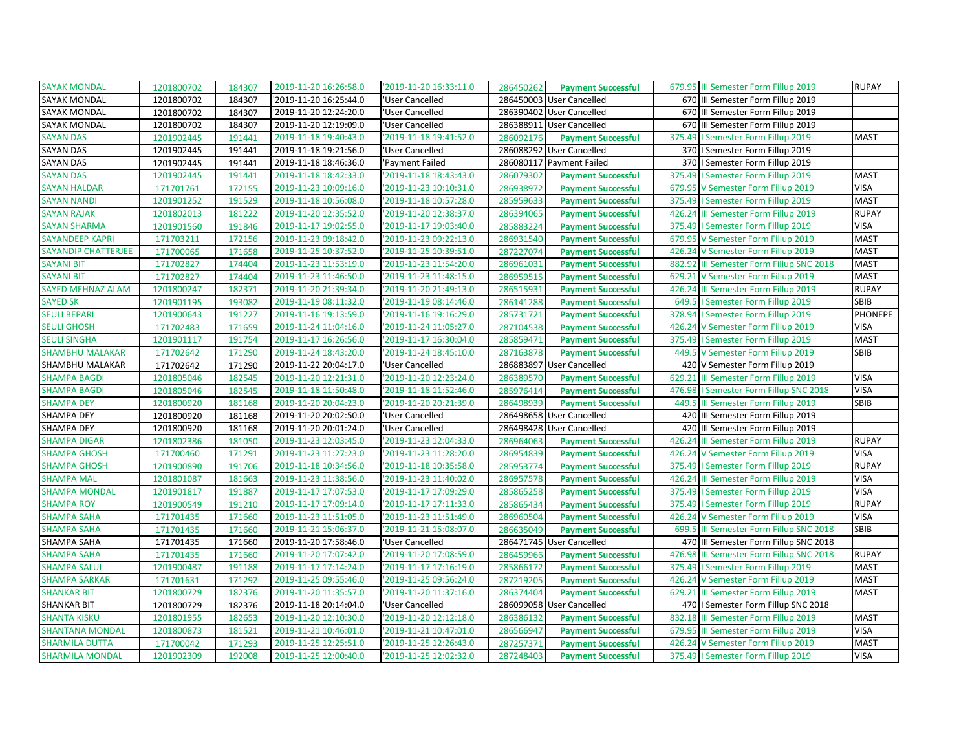| <b>SAYAK MONDAL</b>      | 1201800702 | 184307 | '2019-11-20 16:26:58.0 | '2019-11-20 16:33:11.0 | 286450262<br><b>Payment Successful</b> | 679.95 III Semester Form Fillup 2019      | <b>RUPAY</b> |
|--------------------------|------------|--------|------------------------|------------------------|----------------------------------------|-------------------------------------------|--------------|
| <b>SAYAK MONDAL</b>      | 1201800702 | 184307 | 2019-11-20 16:25:44.0  | 'User Cancelled        | 286450003 User Cancelled               | 670 III Semester Form Fillup 2019         |              |
| SAYAK MONDAL             | 1201800702 | 184307 | '2019-11-20 12:24:20.0 | 'User Cancelled        | 286390402 User Cancelled               | 670 III Semester Form Fillup 2019         |              |
| SAYAK MONDAL             | 1201800702 | 184307 | '2019-11-20 12:19:09.0 | 'User Cancelled        | 286388911<br><b>User Cancelled</b>     | 670 III Semester Form Fillup 2019         |              |
| <b>SAYAN DAS</b>         | 1201902445 | 191441 | '2019-11-18 19:40:43.0 | '2019-11-18 19:41:52.0 | 286092176<br><b>Payment Successful</b> | I Semester Form Fillup 2019<br>375.49     | <b>MAST</b>  |
| SAYAN DAS                | 1201902445 | 191441 | '2019-11-18 19:21:56.0 | 'User Cancelled        | 286088292 User Cancelled               | 370   Semester Form Fillup 2019           |              |
| SAYAN DAS                | 1201902445 | 191441 | '2019-11-18 18:46:36.0 | 'Payment Failed        | 286080117 Payment Failed               | 370   Semester Form Fillup 2019           |              |
| <b>SAYAN DAS</b>         | 1201902445 | 191441 | 2019-11-18 18:42:33.0  | '2019-11-18 18:43:43.0 | 286079302<br><b>Payment Successful</b> | 375.49   Semester Form Fillup 2019        | <b>MAST</b>  |
| <b>SAYAN HALDAR</b>      | 171701761  | 172155 | '2019-11-23 10:09:16.0 | '2019-11-23 10:10:31.0 | 286938972<br><b>Payment Successful</b> | 679.95 V Semester Form Fillup 2019        | <b>VISA</b>  |
| <b>SAYAN NANDI</b>       | 1201901252 | 191529 | '2019-11-18 10:56:08.0 | '2019-11-18 10:57:28.0 | 285959633<br><b>Payment Successful</b> | 375.49   Semester Form Fillup 2019        | <b>MAST</b>  |
| <b>SAYAN RAJAK</b>       | 1201802013 | 181222 | '2019-11-20 12:35:52.0 | '2019-11-20 12:38:37.0 | 286394065<br><b>Payment Successful</b> | 426.24 III Semester Form Fillup 2019      | <b>RUPAY</b> |
| <b>SAYAN SHARMA</b>      | 1201901560 | 191846 | '2019-11-17 19:02:55.0 | '2019-11-17 19:03:40.0 | 285883224<br><b>Payment Successful</b> | 375.49   Semester Form Fillup 2019        | <b>VISA</b>  |
| <b>SAYANDEEP KAPRI</b>   | 171703211  | 172156 | '2019-11-23 09:18:42.0 | '2019-11-23 09:22:13.0 | 286931540<br><b>Payment Successful</b> | 679.95 V Semester Form Fillup 2019        | <b>MAST</b>  |
| SAYANDIP CHATTERJEE      | 171700065  | 171658 | '2019-11-25 10:37:52.0 | '2019-11-25 10:39:51.0 | 287227074<br><b>Payment Successful</b> | 426.24 V Semester Form Fillup 2019        | <b>MAST</b>  |
| <b>SAYANI BIT</b>        | 171702827  | 174404 | '2019-11-23 11:53:19.0 | '2019-11-23 11:54:20.0 | 286961031<br><b>Payment Successful</b> | 882.92 III Semester Form Fillup SNC 2018  | <b>MAST</b>  |
| <b>SAYANI BIT</b>        | 171702827  | 174404 | '2019-11-23 11:46:50.0 | '2019-11-23 11:48:15.0 | 286959515<br><b>Payment Successful</b> | 629.21 V Semester Form Fillup 2019        | <b>MAST</b>  |
| <b>SAYED MEHNAZ ALAM</b> | 1201800247 | 182371 | '2019-11-20 21:39:34.0 | '2019-11-20 21:49:13.0 | 286515931<br><b>Payment Successful</b> | 426.24 III Semester Form Fillup 2019      | <b>RUPAY</b> |
| <b>SAYED SK</b>          | 1201901195 | 193082 | '2019-11-19 08:11:32.0 | '2019-11-19 08:14:46.0 | 286141288<br><b>Payment Successful</b> | 649.5   Semester Form Fillup 2019         | SBIB         |
| SEULI BEPARI             | 1201900643 | 191227 | 2019-11-16 19:13:59.0  | '2019-11-16 19:16:29.0 | 285731721<br><b>Payment Successful</b> | 378.94   Semester Form Fillup 2019        | PHONEPE      |
| <b>SEULI GHOSH</b>       | 171702483  | 171659 | '2019-11-24 11:04:16.0 | '2019-11-24 11:05:27.0 | 287104538<br><b>Payment Successful</b> | 426.24 V Semester Form Fillup 2019        | <b>VISA</b>  |
| <b>SEULI SINGHA</b>      | 1201901117 | 191754 | 2019-11-17 16:26:56.0  | '2019-11-17 16:30:04.0 | 285859471<br><b>Payment Successful</b> | 375.49   Semester Form Fillup 2019        | <b>MAST</b>  |
| <b>SHAMBHU MALAKAR</b>   | 171702642  | 171290 | 2019-11-24 18:43:20.0  | '2019-11-24 18:45:10.0 | 287163878<br><b>Payment Successful</b> | 449.5 V Semester Form Fillup 2019         | <b>SBIB</b>  |
| SHAMBHU MALAKAR          | 171702642  | 171290 | '2019-11-22 20:04:17.0 | 'User Cancelled        | 286883897<br><b>User Cancelled</b>     | 420 V Semester Form Fillup 2019           |              |
| <b>SHAMPA BAGDI</b>      | 1201805046 | 182545 | '2019-11-20 12:21:31.0 | '2019-11-20 12:23:24.0 | 286389570<br><b>Payment Successful</b> | 629.21 III Semester Form Fillup 2019      | <b>VISA</b>  |
| <b>SHAMPA BAGDI</b>      | 1201805046 | 182545 | '2019-11-18 11:50:48.0 | '2019-11-18 11:52:46.0 | 285976414<br><b>Payment Successful</b> | 476.98<br>I Semester Form Fillup SNC 2018 | <b>VISA</b>  |
| <b>SHAMPA DEY</b>        | 1201800920 | 181168 | '2019-11-20 20:04:23.0 | '2019-11-20 20:21:39.0 | 286498939<br><b>Payment Successful</b> | 449.5 III Semester Form Fillup 2019       | SBIB         |
| SHAMPA DEY               | 1201800920 | 181168 | '2019-11-20 20:02:50.0 | 'User Cancelled        | 286498658 User Cancelled               | 420 III Semester Form Fillup 2019         |              |
| <b>SHAMPA DEY</b>        | 1201800920 | 181168 | '2019-11-20 20:01:24.0 | 'User Cancelled        | 286498428 User Cancelled               | 420 III Semester Form Fillup 2019         |              |
| <b>SHAMPA DIGAR</b>      | 1201802386 | 181050 | '2019-11-23 12:03:45.0 | '2019-11-23 12:04:33.0 | 286964063<br><b>Payment Successful</b> | 426.24 III Semester Form Fillup 2019      | <b>RUPAY</b> |
| <b>SHAMPA GHOSH</b>      | 171700460  | 171291 | '2019-11-23 11:27:23.0 | '2019-11-23 11:28:20.0 | 286954839<br><b>Payment Successful</b> | 426.24 V Semester Form Fillup 2019        | <b>VISA</b>  |
| <b>SHAMPA GHOSH</b>      | 1201900890 | 191706 | '2019-11-18 10:34:56.0 | '2019-11-18 10:35:58.0 | 285953774<br><b>Payment Successful</b> | 375.49   Semester Form Fillup 2019        | <b>RUPAY</b> |
| <b>SHAMPA MAL</b>        | 1201801087 | 181663 | '2019-11-23 11:38:56.0 | '2019-11-23 11:40:02.0 | 286957578<br><b>Payment Successful</b> | 426.24 III Semester Form Fillup 2019      | <b>VISA</b>  |
| <b>SHAMPA MONDAL</b>     | 1201901817 | 191887 | '2019-11-17 17:07:53.0 | '2019-11-17 17:09:29.0 | 285865258<br><b>Payment Successful</b> | 375.49   Semester Form Fillup 2019        | <b>VISA</b>  |
| <b>SHAMPA ROY</b>        | 1201900549 | 191210 | '2019-11-17 17:09:14.0 | '2019-11-17 17:11:33.0 | 285865434<br><b>Payment Successful</b> | 375.49   Semester Form Fillup 2019        | <b>RUPAY</b> |
| <b>SHAMPA SAHA</b>       | 171701435  | 171660 | '2019-11-23 11:51:05.0 | '2019-11-23 11:51:49.0 | 286960504<br><b>Payment Successful</b> | 426.24 V Semester Form Fillup 2019        | <b>VISA</b>  |
| <b>SHAMPA SAHA</b>       | 171701435  | 171660 | 2019-11-21 15:06:37.0  | '2019-11-21 15:08:07.0 | 286635049<br><b>Payment Successful</b> | 699.5 III Semester Form Fillup SNC 2018   | SBIB         |
| SHAMPA SAHA              | 171701435  | 171660 | '2019-11-20 17:58:46.0 | 'User Cancelled        | 286471745 User Cancelled               | 470 III Semester Form Fillup SNC 2018     |              |
| <b>SHAMPA SAHA</b>       | 171701435  | 171660 | '2019-11-20 17:07:42.0 | '2019-11-20 17:08:59.0 | 286459966<br><b>Payment Successful</b> | 476.98 III Semester Form Fillup SNC 2018  | <b>RUPAY</b> |
| <b>SHAMPA SALUI</b>      | 1201900487 | 191188 | 2019-11-17 17:14:24.0  | '2019-11-17 17:16:19.0 | 285866172<br><b>Payment Successful</b> | 375.49   Semester Form Fillup 2019        | <b>MAST</b>  |
| <b>SHAMPA SARKAR</b>     | 171701631  | 171292 | '2019-11-25 09:55:46.0 | '2019-11-25 09:56:24.0 | 287219205<br><b>Payment Successful</b> | 426.24 V Semester Form Fillup 2019        | <b>MAST</b>  |
| <b>SHANKAR BIT</b>       | 1201800729 | 182376 | '2019-11-20 11:35:57.0 | '2019-11-20 11:37:16.0 | 286374404<br><b>Payment Successful</b> | 629.21 III Semester Form Fillup 2019      | <b>MAST</b>  |
| <b>SHANKAR BIT</b>       | 1201800729 | 182376 | '2019-11-18 20:14:04.0 | 'User Cancelled        | 286099058<br><b>User Cancelled</b>     | 470   I Semester Form Fillup SNC 2018     |              |
| <b>SHANTA KISKU</b>      | 1201801955 | 182653 | '2019-11-20 12:10:30.0 | '2019-11-20 12:12:18.0 | 286386132<br><b>Payment Successful</b> | 832.18 III Semester Form Fillup 2019      | <b>MAST</b>  |
| <b>SHANTANA MONDAL</b>   | 1201800873 | 181521 | 2019-11-21 10:46:01.0  | '2019-11-21 10:47:01.0 | 286566947<br><b>Payment Successful</b> | 679.95 III Semester Form Fillup 2019      | <b>VISA</b>  |
| <b>SHARMILA DUTTA</b>    | 171700042  | 171293 | '2019-11-25 12:25:51.0 | '2019-11-25 12:26:43.0 | 287257371<br><b>Payment Successful</b> | 426.24 V Semester Form Fillup 2019        | <b>MAST</b>  |
| <b>SHARMILA MONDAL</b>   | 1201902309 | 192008 | 2019-11-25 12:00:40.0  | '2019-11-25 12:02:32.0 | 287248403<br><b>Payment Successful</b> | 375.49   Semester Form Fillup 2019        | <b>VISA</b>  |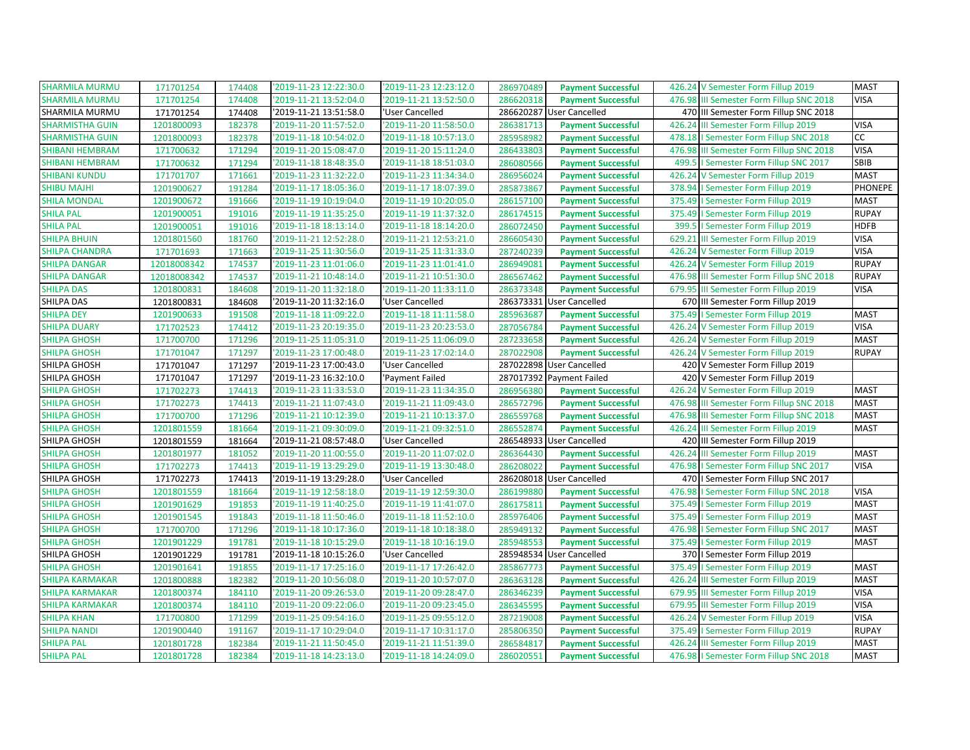| <b>SHARMILA MURMU</b>  | 171701254   | 174408 | '2019-11-23 12:22:30.0 | '2019-11-23 12:23:12.0 | 286970489<br><b>Payment Successful</b> | 426.24 V Semester Form Fillup 2019        | <b>MAST</b>    |
|------------------------|-------------|--------|------------------------|------------------------|----------------------------------------|-------------------------------------------|----------------|
| <b>SHARMILA MURMU</b>  | 171701254   | 174408 | 2019-11-21 13:52:04.0  | '2019-11-21 13:52:50.0 | 286620318<br><b>Payment Successful</b> | 476.98 III Semester Form Fillup SNC 2018  | <b>VISA</b>    |
| SHARMILA MURMU         | 171701254   | 174408 | '2019-11-21 13:51:58.0 | 'User Cancelled        | 286620287<br><b>User Cancelled</b>     | 470 III Semester Form Fillup SNC 2018     |                |
| <b>SHARMISTHA GUIN</b> | 1201800093  | 182378 | '2019-11-20 11:57:52.0 | '2019-11-20 11:58:50.0 | <b>Payment Successful</b><br>286381713 | 426.24 III Semester Form Fillup 2019      | <b>VISA</b>    |
| <b>SHARMISTHA GUIN</b> | 1201800093  | 182378 | 2019-11-18 10:54:02.0  | '2019-11-18 10:57:13.0 | 285958982<br><b>Payment Successful</b> | 478.18   Semester Form Fillup SNC 2018    | cc             |
| <b>SHIBANI HEMBRAM</b> | 171700632   | 171294 | '2019-11-20 15:08:47.0 | '2019-11-20 15:11:24.0 | 286433803<br><b>Payment Successful</b> | 476.98 III Semester Form Fillup SNC 2018  | <b>VISA</b>    |
| <b>SHIBANI HEMBRAM</b> | 171700632   | 171294 | 2019-11-18 18:48:35.0  | '2019-11-18 18:51:03.0 | 286080566<br><b>Payment Successful</b> | 499.5   Semester Form Fillup SNC 2017     | SBIB           |
| <b>SHIBANI KUNDU</b>   | 171701707   | 171661 | '2019-11-23 11:32:22.0 | '2019-11-23 11:34:34.0 | 286956024<br><b>Payment Successful</b> | 426.24 V Semester Form Fillup 2019        | <b>MAST</b>    |
| <b>SHIBU MAJHI</b>     | 1201900627  | 191284 | 2019-11-17 18:05:36.0  | '2019-11-17 18:07:39.0 | 285873867<br><b>Payment Successful</b> | 378.94   Semester Form Fillup 2019        | <b>PHONEPE</b> |
| <b>SHILA MONDAL</b>    | 1201900672  | 191666 | '2019-11-19 10:19:04.0 | '2019-11-19 10:20:05.0 | 286157100<br><b>Payment Successful</b> | 375.49   Semester Form Fillup 2019        | <b>MAST</b>    |
| <b>SHILA PAL</b>       | 1201900051  | 191016 | '2019-11-19 11:35:25.0 | '2019-11-19 11:37:32.0 | 286174515<br><b>Payment Successful</b> | 375.49   Semester Form Fillup 2019        | <b>RUPAY</b>   |
| <b>SHILA PAL</b>       | 1201900051  | 191016 | '2019-11-18 18:13:14.0 | '2019-11-18 18:14:20.0 | 286072450<br><b>Payment Successful</b> | 399.5   Semester Form Fillup 2019         | <b>HDFB</b>    |
| <b>SHILPA BHUIN</b>    | 1201801560  | 181760 | '2019-11-21 12:52:28.0 | '2019-11-21 12:53:21.0 | 286605430<br><b>Payment Successful</b> | 629.21 III Semester Form Fillup 2019      | <b>VISA</b>    |
| <b>SHILPA CHANDRA</b>  | 171701693   | 171663 | '2019-11-25 11:30:56.0 | '2019-11-25 11:31:33.0 | 287240239<br><b>Payment Successful</b> | 426.24 V Semester Form Fillup 2019        | <b>VISA</b>    |
| <b>SHILPA DANGAR</b>   | 12018008342 | 174537 | '2019-11-23 11:01:06.0 | '2019-11-23 11:01:41.0 | 286949081<br><b>Payment Successful</b> | 426.24 V Semester Form Fillup 2019        | <b>RUPAY</b>   |
| <b>SHILPA DANGAR</b>   | 12018008342 | 174537 | '2019-11-21 10:48:14.0 | '2019-11-21 10:51:30.0 | 286567462<br><b>Payment Successful</b> | 476.98 III Semester Form Fillup SNC 2018  | <b>RUPAY</b>   |
| <b>SHILPA DAS</b>      | 1201800831  | 184608 | '2019-11-20 11:32:18.0 | '2019-11-20 11:33:11.0 | 286373348<br><b>Payment Successful</b> | 679.95 III Semester Form Fillup 2019      | <b>VISA</b>    |
| SHILPA DAS             | 1201800831  | 184608 | '2019-11-20 11:32:16.0 | 'User Cancelled        | 286373331<br><b>User Cancelled</b>     | 670 III Semester Form Fillup 2019         |                |
| <b>SHILPA DEY</b>      | 1201900633  | 191508 | '2019-11-18 11:09:22.0 | '2019-11-18 11:11:58.0 | 285963687<br><b>Payment Successful</b> | 375.49   Semester Form Fillup 2019        | <b>MAST</b>    |
| <b>SHILPA DUARY</b>    | 171702523   | 174412 | 2019-11-23 20:19:35.0  | '2019-11-23 20:23:53.0 | 287056784<br><b>Payment Successful</b> | 426.24 V Semester Form Fillup 2019        | <b>VISA</b>    |
| <b>SHILPA GHOSH</b>    | 171700700   | 171296 | '2019-11-25 11:05:31.0 | '2019-11-25 11:06:09.0 | 287233658<br><b>Payment Successful</b> | 426.24 V Semester Form Fillup 2019        | <b>MAST</b>    |
| <b>SHILPA GHOSH</b>    | 171701047   | 171297 | 2019-11-23 17:00:48.0  | '2019-11-23 17:02:14.0 | 287022908<br><b>Payment Successful</b> | 426.24 V Semester Form Fillup 2019        | <b>RUPAY</b>   |
| SHILPA GHOSH           | 171701047   | 171297 | '2019-11-23 17:00:43.0 | 'User Cancelled        | 287022898<br><b>User Cancelled</b>     | 420 V Semester Form Fillup 2019           |                |
| SHILPA GHOSH           | 171701047   | 171297 | '2019-11-23 16:32:10.0 | 'Payment Failed        | 287017392 Payment Failed               | 420 V Semester Form Fillup 2019           |                |
| <b>SHILPA GHOSH</b>    | 171702273   | 174413 | '2019-11-23 11:33:53.0 | '2019-11-23 11:34:35.0 | 286956380<br><b>Payment Successful</b> | 426.24 V Semester Form Fillup 2019        | <b>MAST</b>    |
| <b>SHILPA GHOSH</b>    | 171702273   | 174413 | '2019-11-21 11:07:43.0 | '2019-11-21 11:09:43.0 | 286572796<br><b>Payment Successful</b> | 476.98 III Semester Form Fillup SNC 2018  | <b>MAST</b>    |
| <b>SHILPA GHOSH</b>    | 171700700   | 171296 | '2019-11-21 10:12:39.0 | '2019-11-21 10:13:37.0 | 286559768<br><b>Payment Successful</b> | 476.98 III Semester Form Fillup SNC 2018  | <b>MAST</b>    |
| <b>SHILPA GHOSH</b>    | 1201801559  | 181664 | '2019-11-21 09:30:09.0 | '2019-11-21 09:32:51.0 | 286552874<br><b>Payment Successful</b> | 426.24 III Semester Form Fillup 2019      | <b>MAST</b>    |
| SHILPA GHOSH           | 1201801559  | 181664 | '2019-11-21 08:57:48.0 | 'User Cancelled        | 286548933 User Cancelled               | 420 III Semester Form Fillup 2019         |                |
| <b>SHILPA GHOSH</b>    | 1201801977  | 181052 | '2019-11-20 11:00:55.0 | '2019-11-20 11:07:02.0 | 286364430<br><b>Payment Successful</b> | 426.24 III Semester Form Fillup 2019      | <b>MAST</b>    |
| <b>SHILPA GHOSH</b>    | 171702273   | 174413 | '2019-11-19 13:29:29.0 | '2019-11-19 13:30:48.0 | 286208022<br><b>Payment Successful</b> | 476.98   Semester Form Fillup SNC 2017    | <b>VISA</b>    |
| SHILPA GHOSH           | 171702273   | 174413 | 2019-11-19 13:29:28.0  | 'User Cancelled        | 286208018 User Cancelled               | 470   Semester Form Fillup SNC 2017       |                |
| <b>SHILPA GHOSH</b>    | 1201801559  | 181664 | '2019-11-19 12:58:18.0 | '2019-11-19 12:59:30.0 | 286199880<br><b>Payment Successful</b> | 476.98   Semester Form Fillup SNC 2018    | <b>VISA</b>    |
| <b>SHILPA GHOSH</b>    | 1201901629  | 191853 | '2019-11-19 11:40:25.0 | '2019-11-19 11:41:07.0 | 286175811<br><b>Payment Successful</b> | 375.49   Semester Form Fillup 2019        | <b>MAST</b>    |
| <b>SHILPA GHOSH</b>    | 1201901545  | 191843 | '2019-11-18 11:50:46.0 | '2019-11-18 11:52:10.0 | 285976406<br><b>Payment Successful</b> | 375.49   Semester Form Fillup 2019        | <b>MAST</b>    |
| <b>SHILPA GHOSH</b>    | 171700700   | 171296 | '2019-11-18 10:17:36.0 | '2019-11-18 10:18:38.0 | 285949132<br><b>Payment Successful</b> | 476.98<br>I Semester Form Fillup SNC 2017 | <b>MAST</b>    |
| <b>SHILPA GHOSH</b>    | 1201901229  | 191781 | '2019-11-18 10:15:29.0 | '2019-11-18 10:16:19.0 | 285948553<br><b>Payment Successful</b> | 375.49   Semester Form Fillup 2019        | <b>MAST</b>    |
| SHILPA GHOSH           | 1201901229  | 191781 | '2019-11-18 10:15:26.0 | 'User Cancelled        | 285948534 User Cancelled               | 370   Semester Form Fillup 2019           |                |
| <b>SHILPA GHOSH</b>    | 1201901641  | 191855 | 2019-11-17 17:25:16.0  | '2019-11-17 17:26:42.0 | 285867773<br><b>Payment Successful</b> | 375.49   Semester Form Fillup 2019        | <b>MAST</b>    |
| <b>SHILPA KARMAKAR</b> | 1201800888  | 182382 | 2019-11-20 10:56:08.0  | '2019-11-20 10:57:07.0 | 286363128<br><b>Payment Successful</b> | 426.24 III Semester Form Fillup 2019      | <b>MAST</b>    |
| <b>SHILPA KARMAKAR</b> | 1201800374  | 184110 | '2019-11-20 09:26:53.0 | '2019-11-20 09:28:47.0 | 286346239<br><b>Payment Successful</b> | 679.95 III Semester Form Fillup 2019      | <b>VISA</b>    |
| <b>SHILPA KARMAKAR</b> | 1201800374  | 184110 | '2019-11-20 09:22:06.0 | '2019-11-20 09:23:45.0 | 286345595<br><b>Payment Successful</b> | 679.95 III Semester Form Fillup 2019      | <b>VISA</b>    |
| <b>SHILPA KHAN</b>     | 171700800   | 171299 | '2019-11-25 09:54:16.0 | '2019-11-25 09:55:12.0 | 287219008<br><b>Payment Successful</b> | 426.24 V Semester Form Fillup 2019        | <b>VISA</b>    |
| <b>SHILPA NANDI</b>    | 1201900440  | 191167 | 2019-11-17 10:29:04.0  | '2019-11-17 10:31:17.0 | 285806350<br><b>Payment Successful</b> | 375.49   Semester Form Fillup 2019        | <b>RUPAY</b>   |
| <b>SHILPA PAL</b>      | 1201801728  | 182384 | '2019-11-21 11:50:45.0 | '2019-11-21 11:51:39.0 | 286584817<br><b>Payment Successful</b> | 426.24 III Semester Form Fillup 2019      | <b>MAST</b>    |
| <b>SHILPA PAL</b>      | 1201801728  | 182384 | 2019-11-18 14:23:13.0  | '2019-11-18 14:24:09.0 | 286020551<br><b>Payment Successful</b> | 476.98   Semester Form Fillup SNC 2018    | <b>MAST</b>    |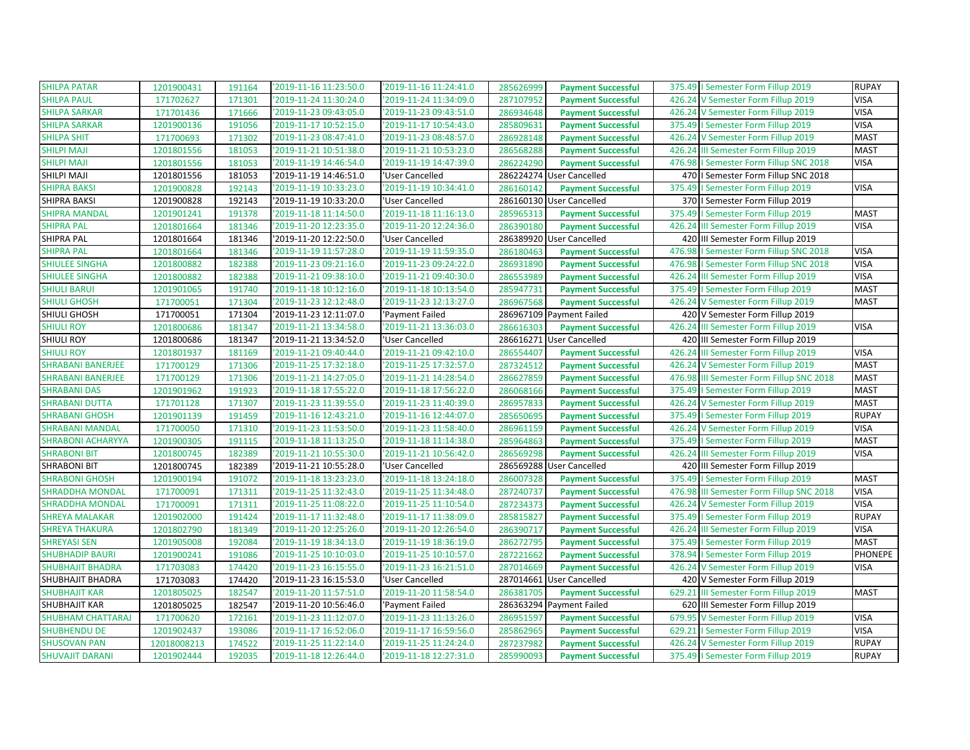| <b>SHILPA PATAR</b>      | 1201900431  | 191164 | '2019-11-16 11:23:50.0 | '2019-11-16 11:24:41.0 | 285626999 | <b>Payment Successful</b> | 375.49   Semester Form Fillup 2019       | <b>RUPAY</b>   |
|--------------------------|-------------|--------|------------------------|------------------------|-----------|---------------------------|------------------------------------------|----------------|
| <b>SHILPA PAUL</b>       | 171702627   | 171301 | '2019-11-24 11:30:24.0 | '2019-11-24 11:34:09.0 | 287107952 | <b>Payment Successful</b> | 426.24 V Semester Form Fillup 2019       | VISA           |
| <b>SHILPA SARKAR</b>     | 171701436   | 171666 | '2019-11-23 09:43:05.0 | '2019-11-23 09:43:51.0 | 286934648 | <b>Payment Successful</b> | 426.24 V Semester Form Fillup 2019       | <b>VISA</b>    |
| <b>SHILPA SARKAR</b>     | 1201900136  | 191056 | '2019-11-17 10:52:15.0 | '2019-11-17 10:54:43.0 | 285809631 | <b>Payment Successful</b> | 375.49   Semester Form Fillup 2019       | <b>VISA</b>    |
| <b>SHILPA SHIT</b>       | 171700693   | 171302 | '2019-11-23 08:47:41.0 | '2019-11-23 08:48:57.0 | 286928148 | <b>Payment Successful</b> | 426.24 V Semester Form Fillup 2019       | <b>MAST</b>    |
| <b>SHILPI MAJI</b>       | 1201801556  | 181053 | '2019-11-21 10:51:38.0 | '2019-11-21 10:53:23.0 | 286568288 | <b>Payment Successful</b> | 426.24 III Semester Form Fillup 2019     | <b>MAST</b>    |
| <b>SHILPI MAJI</b>       | 1201801556  | 181053 | '2019-11-19 14:46:54.0 | '2019-11-19 14:47:39.0 | 286224290 | <b>Payment Successful</b> | 476.98   Semester Form Fillup SNC 2018   | <b>VISA</b>    |
| SHILPI MAJI              | 1201801556  | 181053 | '2019-11-19 14:46:51.0 | 'User Cancelled        |           | 286224274 User Cancelled  | 470   Semester Form Fillup SNC 2018      |                |
| <b>SHIPRA BAKSI</b>      | 1201900828  | 192143 | '2019-11-19 10:33:23.0 | '2019-11-19 10:34:41.0 | 286160142 | <b>Payment Successful</b> | 375.49   Semester Form Fillup 2019       | <b>VISA</b>    |
| SHIPRA BAKSI             | 1201900828  | 192143 | '2019-11-19 10:33:20.0 | 'User Cancelled        |           | 286160130 User Cancelled  | 370   Semester Form Fillup 2019          |                |
| <b>SHIPRA MANDAL</b>     | 1201901241  | 191378 | '2019-11-18 11:14:50.0 | '2019-11-18 11:16:13.0 | 285965313 | <b>Payment Successful</b> | 375.49   Semester Form Fillup 2019       | <b>MAST</b>    |
| <b>SHIPRA PAL</b>        | 1201801664  | 181346 | '2019-11-20 12:23:35.0 | '2019-11-20 12:24:36.0 | 286390180 | <b>Payment Successful</b> | 426.24 III Semester Form Fillup 2019     | <b>VISA</b>    |
| SHIPRA PAL               | 1201801664  | 181346 | '2019-11-20 12:22:50.0 | 'User Cancelled        |           | 286389920 User Cancelled  | 420 III Semester Form Fillup 2019        |                |
| <b>SHIPRA PAL</b>        | 1201801664  | 181346 | '2019-11-19 11:57:28.0 | '2019-11-19 11:59:35.0 | 286180463 | <b>Payment Successful</b> | 476.98   Semester Form Fillup SNC 2018   | <b>VISA</b>    |
| <b>SHIULEE SINGHA</b>    | 1201800882  | 182388 | '2019-11-23 09:21:16.0 | '2019-11-23 09:24:22.0 | 286931890 | <b>Payment Successful</b> | 476.98   Semester Form Fillup SNC 2018   | <b>VISA</b>    |
| <b>SHIULEE SINGHA</b>    | 1201800882  | 182388 | '2019-11-21 09:38:10.0 | '2019-11-21 09:40:30.0 | 286553989 | <b>Payment Successful</b> | 426.24 III Semester Form Fillup 2019     | <b>VISA</b>    |
| <b>SHIULI BARUI</b>      | 1201901065  | 191740 | '2019-11-18 10:12:16.0 | '2019-11-18 10:13:54.0 | 285947731 | <b>Payment Successful</b> | 375.49   Semester Form Fillup 2019       | <b>MAST</b>    |
| <b>SHIULI GHOSH</b>      | 171700051   | 171304 | '2019-11-23 12:12:48.0 | '2019-11-23 12:13:27.0 | 286967568 | <b>Payment Successful</b> | 426.24 V Semester Form Fillup 2019       | <b>MAST</b>    |
| SHIULI GHOSH             | 171700051   | 171304 | '2019-11-23 12:11:07.0 | 'Payment Failed        |           | 286967109 Payment Failed  | 420 V Semester Form Fillup 2019          |                |
| <b>SHIULI ROY</b>        | 1201800686  | 181347 | '2019-11-21 13:34:58.0 | '2019-11-21 13:36:03.0 | 286616303 | <b>Payment Successful</b> | 426.24 III Semester Form Fillup 2019     | <b>VISA</b>    |
| <b>SHIULI ROY</b>        | 1201800686  | 181347 | '2019-11-21 13:34:52.0 | 'User Cancelled        |           | 286616271 User Cancelled  | 420 III Semester Form Fillup 2019        |                |
| <b>SHIULI ROY</b>        | 1201801937  | 181169 | '2019-11-21 09:40:44.0 | '2019-11-21 09:42:10.0 | 286554407 | <b>Payment Successful</b> | 426.24 III Semester Form Fillup 2019     | <b>VISA</b>    |
| <b>SHRABANI BANERJEE</b> | 171700129   | 171306 | '2019-11-25 17:32:18.0 | '2019-11-25 17:32:57.0 | 287324512 | <b>Payment Successful</b> | 426.24 V Semester Form Fillup 2019       | <b>MAST</b>    |
| <b>SHRABANI BANERJEE</b> | 171700129   | 171306 | 2019-11-21 14:27:05.0  | '2019-11-21 14:28:54.0 | 286627859 | <b>Payment Successful</b> | 476.98 III Semester Form Fillup SNC 2018 | <b>MAST</b>    |
| <b>SHRABANI DAS</b>      | 1201901962  | 191923 | '2019-11-18 17:55:22.0 | '2019-11-18 17:56:22.0 | 286068166 | <b>Payment Successful</b> | 375.49   Semester Form Fillup 2019       | <b>MAST</b>    |
| <b>SHRABANI DUTTA</b>    | 171701128   | 171307 | '2019-11-23 11:39:55.0 | '2019-11-23 11:40:39.0 | 286957833 | <b>Payment Successful</b> | 426.24 V Semester Form Fillup 2019       | <b>MAST</b>    |
| <b>SHRABANI GHOSH</b>    | 1201901139  | 191459 | '2019-11-16 12:43:21.0 | '2019-11-16 12:44:07.0 | 285650695 | <b>Payment Successful</b> | 375.49   Semester Form Fillup 2019       | <b>RUPAY</b>   |
| <b>SHRABANI MANDAL</b>   | 171700050   | 171310 | '2019-11-23 11:53:50.0 | '2019-11-23 11:58:40.0 | 286961159 | <b>Payment Successful</b> | 426.24 V Semester Form Fillup 2019       | <b>VISA</b>    |
| <b>SHRABONI ACHARYYA</b> | 1201900305  | 191115 | '2019-11-18 11:13:25.0 | '2019-11-18 11:14:38.0 | 285964863 | <b>Payment Successful</b> | 375.49   Semester Form Fillup 2019       | <b>MAST</b>    |
| <b>SHRABONI BIT</b>      | 1201800745  | 182389 | '2019-11-21 10:55:30.0 | '2019-11-21 10:56:42.0 | 286569298 | <b>Payment Successful</b> | 426.24 III Semester Form Fillup 2019     | <b>VISA</b>    |
| <b>SHRABONI BIT</b>      | 1201800745  | 182389 | '2019-11-21 10:55:28.0 | 'User Cancelled        |           | 286569288 User Cancelled  | 420 III Semester Form Fillup 2019        |                |
| <b>SHRABONI GHOSH</b>    | 1201900194  | 191072 | '2019-11-18 13:23:23.0 | '2019-11-18 13:24:18.0 | 286007328 | <b>Payment Successful</b> | 375.49   Semester Form Fillup 2019       | <b>MAST</b>    |
| <b>SHRADDHA MONDAL</b>   | 171700091   | 171311 | '2019-11-25 11:32:43.0 | '2019-11-25 11:34:48.0 | 287240737 | <b>Payment Successful</b> | 476.98 III Semester Form Fillup SNC 2018 | <b>VISA</b>    |
| <b>SHRADDHA MONDAL</b>   | 171700091   | 171311 | '2019-11-25 11:08:22.0 | '2019-11-25 11:10:54.0 | 287234373 | <b>Payment Successful</b> | 426.24 V Semester Form Fillup 2019       | <b>VISA</b>    |
| <b>SHREYA MALAKAR</b>    | 1201902000  | 191424 | 2019-11-17 11:32:48.0  | '2019-11-17 11:38:09.0 | 285815827 | <b>Payment Successful</b> | 375.49   Semester Form Fillup 2019       | <b>RUPAY</b>   |
| <b>SHREYA THAKURA</b>    | 1201802790  | 181349 | 2019-11-20 12:25:26.0  | '2019-11-20 12:26:54.0 | 286390717 | <b>Payment Successful</b> | 426.24 III Semester Form Fillup 2019     | <b>VISA</b>    |
| <b>SHREYASI SEN</b>      | 1201905008  | 192084 | '2019-11-19 18:34:13.0 | '2019-11-19 18:36:19.0 | 286272795 | <b>Payment Successful</b> | 375.49   Semester Form Fillup 2019       | <b>MAST</b>    |
| <b>SHUBHADIP BAURI</b>   | 1201900241  | 191086 | '2019-11-25 10:10:03.0 | '2019-11-25 10:10:57.0 | 287221662 | <b>Payment Successful</b> | 378.94   Semester Form Fillup 2019       | <b>PHONEPE</b> |
| <b>SHUBHAJIT BHADRA</b>  | 171703083   | 174420 | '2019-11-23 16:15:55.0 | '2019-11-23 16:21:51.0 | 287014669 | <b>Payment Successful</b> | 426.24 V Semester Form Fillup 2019       | <b>VISA</b>    |
| SHUBHAJIT BHADRA         | 171703083   | 174420 | '2019-11-23 16:15:53.0 | 'User Cancelled        |           | 287014661 User Cancelled  | 420 V Semester Form Fillup 2019          |                |
| <b>SHUBHAJIT KAR</b>     | 1201805025  | 182547 | '2019-11-20 11:57:51.0 | '2019-11-20 11:58:54.0 | 286381705 | <b>Payment Successful</b> | 629.21 III Semester Form Fillup 2019     | <b>MAST</b>    |
| SHUBHAJIT KAR            | 1201805025  | 182547 | '2019-11-20 10:56:46.0 | 'Payment Failed        |           | 286363294 Payment Failed  | 620 III Semester Form Fillup 2019        |                |
| <b>SHUBHAM CHATTARAJ</b> | 171700620   | 172161 | '2019-11-23 11:12:07.0 | '2019-11-23 11:13:26.0 | 286951597 | <b>Payment Successful</b> | 679.95 V Semester Form Fillup 2019       | <b>VISA</b>    |
| <b>SHUBHENDU DE</b>      | 1201902437  | 193086 | 2019-11-17 16:52:06.0  | '2019-11-17 16:59:56.0 | 285862965 | <b>Payment Successful</b> | 629.21   Semester Form Fillup 2019       | <b>VISA</b>    |
| <b>SHUSOVAN PAN</b>      | 12018008213 | 174522 | '2019-11-25 11:22:14.0 | '2019-11-25 11:24:24.0 | 287237982 | <b>Payment Successful</b> | 426.24 V Semester Form Fillup 2019       | <b>RUPAY</b>   |
| <b>SHUVAJIT DARANI</b>   | 1201902444  | 192035 | 2019-11-18 12:26:44.0  | '2019-11-18 12:27:31.0 | 285990093 | <b>Payment Successful</b> | 375.49   Semester Form Fillup 2019       | <b>RUPAY</b>   |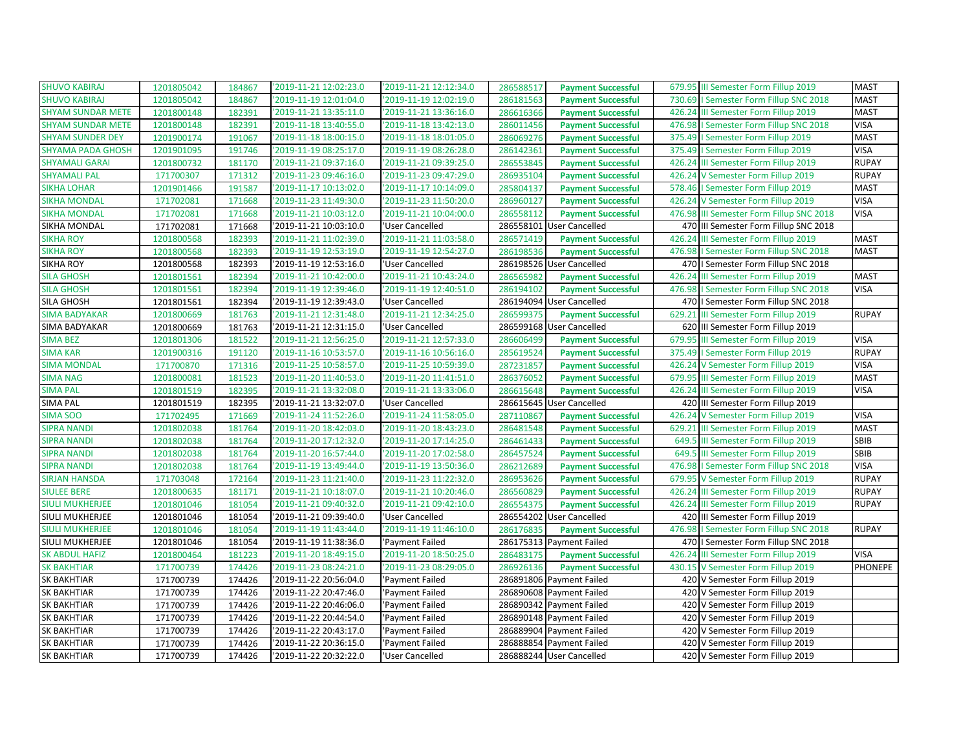| <b>SHUVO KABIRAJ</b>     | 1201805042 | 184867 | '2019-11-21 12:02:23.0 | '2019-11-21 12:12:34.0 | 286588517 | <b>Payment Successful</b> | 679.95 III Semester Form Fillup 2019      | <b>MAST</b>  |
|--------------------------|------------|--------|------------------------|------------------------|-----------|---------------------------|-------------------------------------------|--------------|
| <b>SHUVO KABIRAJ</b>     | 1201805042 | 184867 | '2019-11-19 12:01:04.0 | '2019-11-19 12:02:19.0 | 286181563 | <b>Payment Successful</b> | I Semester Form Fillup SNC 2018<br>730.69 | <b>MAST</b>  |
| <b>SHYAM SUNDAR METE</b> | 1201800148 | 182391 | '2019-11-21 13:35:11.0 | '2019-11-21 13:36:16.0 | 286616366 | <b>Payment Successful</b> | 426.24 III Semester Form Fillup 2019      | <b>MAST</b>  |
| <b>SHYAM SUNDAR METE</b> | 1201800148 | 182391 | '2019-11-18 13:40:55.0 | '2019-11-18 13:42:13.0 | 286011456 | <b>Payment Successful</b> | 476.98   Semester Form Fillup SNC 2018    | <b>VISA</b>  |
| <b>SHYAM SUNDER DEY</b>  | 1201900174 | 191067 | '2019-11-18 18:00:15.0 | '2019-11-18 18:01:05.0 | 286069276 | <b>Payment Successful</b> | 375.49   Semester Form Fillup 2019        | <b>MAST</b>  |
| <b>SHYAMA PADA GHOSH</b> | 1201901095 | 191746 | '2019-11-19 08:25:17.0 | '2019-11-19 08:26:28.0 | 286142361 | <b>Payment Successful</b> | 375.49   Semester Form Fillup 2019        | <b>VISA</b>  |
| <b>SHYAMALI GARAI</b>    | 1201800732 | 181170 | '2019-11-21 09:37:16.0 | '2019-11-21 09:39:25.0 | 286553845 | <b>Payment Successful</b> | 426.24<br>III Semester Form Fillup 2019   | <b>RUPAY</b> |
| <b>SHYAMALI PAL</b>      | 171700307  | 171312 | '2019-11-23 09:46:16.0 | '2019-11-23 09:47:29.0 | 286935104 | <b>Payment Successful</b> | 426.24 V Semester Form Fillup 2019        | <b>RUPAY</b> |
| <b>SIKHA LOHAR</b>       | 1201901466 | 191587 | '2019-11-17 10:13:02.0 | '2019-11-17 10:14:09.0 | 285804137 | <b>Payment Successful</b> | 578.46   Semester Form Fillup 2019        | <b>MAST</b>  |
| <b>SIKHA MONDAL</b>      | 171702081  | 171668 | '2019-11-23 11:49:30.0 | '2019-11-23 11:50:20.0 | 286960127 | <b>Payment Successful</b> | 426.24 V Semester Form Fillup 2019        | <b>VISA</b>  |
| <b>SIKHA MONDAL</b>      | 171702081  | 171668 | '2019-11-21 10:03:12.0 | '2019-11-21 10:04:00.0 | 286558112 | <b>Payment Successful</b> | 476.98 III Semester Form Fillup SNC 2018  | <b>VISA</b>  |
| SIKHA MONDAL             | 171702081  | 171668 | '2019-11-21 10:03:10.0 | 'User Cancelled        |           | 286558101 User Cancelled  | 470 III Semester Form Fillup SNC 2018     |              |
| <b>SIKHA ROY</b>         | 1201800568 | 182393 | '2019-11-21 11:02:39.0 | '2019-11-21 11:03:58.0 | 286571419 | <b>Payment Successful</b> | 426.24 III Semester Form Fillup 2019      | <b>MAST</b>  |
| <b>SIKHA ROY</b>         | 1201800568 | 182393 | '2019-11-19 12:53:19.0 | '2019-11-19 12:54:27.0 | 286198536 | <b>Payment Successful</b> | 476.98   Semester Form Fillup SNC 2018    | <b>MAST</b>  |
| <b>SIKHA ROY</b>         | 1201800568 | 182393 | '2019-11-19 12:53:16.0 | 'User Cancelled        |           | 286198526 User Cancelled  | 470   Semester Form Fillup SNC 2018       |              |
| <b>SILA GHOSH</b>        | 1201801561 | 182394 | '2019-11-21 10:42:00.0 | '2019-11-21 10:43:24.0 | 286565982 | <b>Payment Successful</b> | 426.24<br>III Semester Form Fillup 2019   | <b>MAST</b>  |
| <b>SILA GHOSH</b>        | 1201801561 | 182394 | '2019-11-19 12:39:46.0 | '2019-11-19 12:40:51.0 | 286194102 | <b>Payment Successful</b> | 476.98   Semester Form Fillup SNC 2018    | <b>VISA</b>  |
| SILA GHOSH               | 1201801561 | 182394 | '2019-11-19 12:39:43.0 | 'User Cancelled        | 286194094 | <b>User Cancelled</b>     | 470   I Semester Form Fillup SNC 2018     |              |
| <b>SIMA BADYAKAR</b>     | 1201800669 | 181763 | '2019-11-21 12:31:48.0 | '2019-11-21 12:34:25.0 | 286599375 | <b>Payment Successful</b> | 629.21 III Semester Form Fillup 2019      | <b>RUPAY</b> |
| SIMA BADYAKAR            | 1201800669 | 181763 | '2019-11-21 12:31:15.0 | 'User Cancelled        |           | 286599168 User Cancelled  | 620 III Semester Form Fillup 2019         |              |
| <b>SIMA BEZ</b>          | 1201801306 | 181522 | '2019-11-21 12:56:25.0 | '2019-11-21 12:57:33.0 | 286606499 | <b>Payment Successful</b> | 679.95<br>III Semester Form Fillup 2019   | <b>VISA</b>  |
| <b>SIMA KAR</b>          | 1201900316 | 191120 | '2019-11-16 10:53:57.0 | '2019-11-16 10:56:16.0 | 285619524 | <b>Payment Successful</b> | 375.49   Semester Form Fillup 2019        | <b>RUPAY</b> |
| <b>SIMA MONDAL</b>       | 171700870  | 171316 | '2019-11-25 10:58:57.0 | '2019-11-25 10:59:39.0 | 287231857 | <b>Payment Successful</b> | 426.24 V Semester Form Fillup 2019        | <b>VISA</b>  |
| <b>SIMA NAG</b>          | 1201800081 | 181523 | '2019-11-20 11:40:53.0 | '2019-11-20 11:41:51.0 | 286376052 | <b>Payment Successful</b> | 679.95 III Semester Form Fillup 2019      | <b>MAST</b>  |
| <b>SIMA PAL</b>          | 1201801519 | 182395 | '2019-11-21 13:32:08.0 | '2019-11-21 13:33:06.0 | 286615648 | <b>Payment Successful</b> | 426.24 III Semester Form Fillup 2019      | <b>VISA</b>  |
| <b>SIMA PAL</b>          | 1201801519 | 182395 | '2019-11-21 13:32:07.0 | 'User Cancelled        | 286615645 | User Cancelled            | 420 III Semester Form Fillup 2019         |              |
| <b>SIMA SOO</b>          | 171702495  | 171669 | '2019-11-24 11:52:26.0 | '2019-11-24 11:58:05.0 | 287110867 | <b>Payment Successful</b> | 426.24 V Semester Form Fillup 2019        | <b>VISA</b>  |
| <b>SIPRA NANDI</b>       | 1201802038 | 181764 | '2019-11-20 18:42:03.0 | '2019-11-20 18:43:23.0 | 286481548 | <b>Payment Successful</b> | 629.21<br>III Semester Form Fillup 2019   | <b>MAST</b>  |
| <b>SIPRA NANDI</b>       | 1201802038 | 181764 | '2019-11-20 17:12:32.0 | '2019-11-20 17:14:25.0 | 286461433 | <b>Payment Successful</b> | 649.5 III Semester Form Fillup 2019       | <b>SBIB</b>  |
| <b>SIPRA NANDI</b>       | 1201802038 | 181764 | '2019-11-20 16:57:44.0 | '2019-11-20 17:02:58.0 | 286457524 | <b>Payment Successful</b> | 649.5 III Semester Form Fillup 2019       | <b>SBIB</b>  |
| <b>SIPRA NANDI</b>       | 1201802038 | 181764 | '2019-11-19 13:49:44.0 | '2019-11-19 13:50:36.0 | 286212689 | <b>Payment Successful</b> | 476.98   Semester Form Fillup SNC 2018    | <b>VISA</b>  |
| <b>SIRJAN HANSDA</b>     | 171703048  | 172164 | '2019-11-23 11:21:40.0 | '2019-11-23 11:22:32.0 | 286953626 | <b>Payment Successful</b> | 679.95 V Semester Form Fillup 2019        | <b>RUPAY</b> |
| <b>SIULEE BERE</b>       | 1201800635 | 181171 | '2019-11-21 10:18:07.0 | '2019-11-21 10:20:46.0 | 286560829 | <b>Payment Successful</b> | 426.24<br>III Semester Form Fillup 2019   | <b>RUPAY</b> |
| <b>SIULI MUKHERJEE</b>   | 1201801046 | 181054 | '2019-11-21 09:40:32.0 | '2019-11-21 09:42:10.0 | 286554375 | <b>Payment Successful</b> | 426.24<br>III Semester Form Fillup 2019   | <b>RUPAY</b> |
| SIULI MUKHERJEE          | 1201801046 | 181054 | '2019-11-21 09:39:40.0 | 'User Cancelled        |           | 286554202 User Cancelled  | 420 III Semester Form Fillup 2019         |              |
| <b>SIULI MUKHERJEE</b>   | 1201801046 | 181054 | '2019-11-19 11:43:44.0 | '2019-11-19 11:46:10.0 | 286176835 | <b>Payment Successful</b> | 476.98<br>I Semester Form Fillup SNC 2018 | <b>RUPAY</b> |
| SIULI MUKHERJEE          | 1201801046 | 181054 | '2019-11-19 11:38:36.0 | 'Payment Failed        |           | 286175313 Payment Failed  | 470   I Semester Form Fillup SNC 2018     |              |
| <b>SK ABDUL HAFIZ</b>    | 1201800464 | 181223 | '2019-11-20 18:49:15.0 | '2019-11-20 18:50:25.0 | 286483175 | <b>Payment Successful</b> | 426.24 III Semester Form Fillup 2019      | <b>VISA</b>  |
| <b>SK BAKHTIAR</b>       | 171700739  | 174426 | '2019-11-23 08:24:21.0 | '2019-11-23 08:29:05.0 | 286926136 | <b>Payment Successful</b> | 430.15 V Semester Form Fillup 2019        | PHONEPE      |
| <b>SK BAKHTIAR</b>       | 171700739  | 174426 | '2019-11-22 20:56:04.0 | 'Payment Failed        |           | 286891806 Payment Failed  | 420 V Semester Form Fillup 2019           |              |
| <b>SK BAKHTIAR</b>       | 171700739  | 174426 | '2019-11-22 20:47:46.0 | 'Payment Failed        |           | 286890608 Payment Failed  | 420 V Semester Form Fillup 2019           |              |
| <b>SK BAKHTIAR</b>       | 171700739  | 174426 | '2019-11-22 20:46:06.0 | 'Payment Failed        | 286890342 | Payment Failed            | 420 V Semester Form Fillup 2019           |              |
| <b>SK BAKHTIAR</b>       | 171700739  | 174426 | '2019-11-22 20:44:54.0 | 'Payment Failed        |           | 286890148 Payment Failed  | 420 V Semester Form Fillup 2019           |              |
| SK BAKHTIAR              | 171700739  | 174426 | '2019-11-22 20:43:17.0 | 'Payment Failed        |           | 286889904 Payment Failed  | 420 V Semester Form Fillup 2019           |              |
| <b>SK BAKHTIAR</b>       | 171700739  | 174426 | '2019-11-22 20:36:15.0 | 'Payment Failed        |           | 286888854 Payment Failed  | 420 V Semester Form Fillup 2019           |              |
| <b>SK BAKHTIAR</b>       | 171700739  | 174426 | '2019-11-22 20:32:22.0 | 'User Cancelled        |           | 286888244 User Cancelled  | 420 V Semester Form Fillup 2019           |              |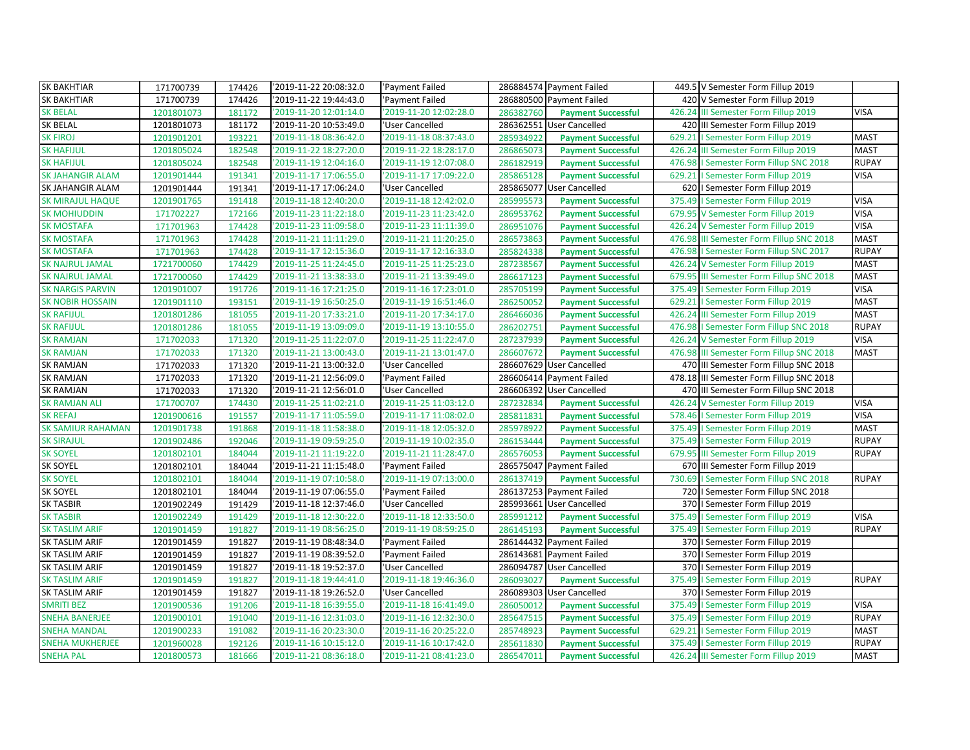| <b>SK BAKHTIAR</b><br>'2019-11-22 20:08:32.0<br>286884574 Payment Failed<br>171700739<br>174426<br>'Payment Failed                                    | 449.5 V Semester Form Fillup 2019        |              |
|-------------------------------------------------------------------------------------------------------------------------------------------------------|------------------------------------------|--------------|
| <b>SK BAKHTIAR</b><br>2019-11-22 19:44:43.0<br>171700739<br>174426<br>'Payment Failed<br>286880500 Payment Failed                                     | 420 V Semester Form Fillup 2019          |              |
| 1201801073<br>286382760<br><b>SK BELAL</b><br>181172<br>'2019-11-20 12:01:14.0<br>'2019-11-20 12:02:28.0<br><b>Payment Successful</b>                 | 426.24 III Semester Form Fillup 2019     | <b>VISA</b>  |
| <b>SK BELAL</b><br>286362551 User Cancelled<br>1201801073<br>181172<br>'2019-11-20 10:53:49.0<br>'User Cancelled                                      | 420 III Semester Form Fillup 2019        |              |
| <b>SK FIROJ</b><br>1201901201<br>193221<br>'2019-11-18 08:36:42.0<br>'2019-11-18 08:37:43.0<br>285934922<br><b>Payment Successful</b>                 | 629.21   Semester Form Fillup 2019       | <b>MAST</b>  |
| <b>SK HAFIJUL</b><br>'2019-11-22 18:27:20.0<br>'2019-11-22 18:28:17.0<br>1201805024<br>182548<br>286865073<br><b>Payment Successful</b>               | 426.24 III Semester Form Fillup 2019     | <b>MAST</b>  |
| <b>SK HAFIJUL</b><br>1201805024<br>182548<br>'2019-11-19 12:04:16.0<br>'2019-11-19 12:07:08.0<br>286182919<br><b>Payment Successful</b>               | 476.98   Semester Form Fillup SNC 2018   | <b>RUPAY</b> |
| SK JAHANGIR ALAM<br>2019-11-17 17:06:55.0<br>'2019-11-17 17:09:22.0<br>1201901444<br>191341<br>285865128<br><b>Payment Successful</b>                 | 629.21   Semester Form Fillup 2019       | <b>VISA</b>  |
| SK JAHANGIR ALAM<br>1201901444<br>191341<br>2019-11-17 17:06:24.0<br>285865077 User Cancelled<br>'User Cancelled                                      | 620   Semester Form Fillup 2019          |              |
| '2019-11-18 12:42:02.0<br><b>SK MIRAJUL HAQUE</b><br>'2019-11-18 12:40:20.0<br>1201901765<br>191418<br>285995573<br><b>Payment Successful</b>         | 375.49   Semester Form Fillup 2019       | <b>VISA</b>  |
| 172166<br>286953762<br>171702227<br>'2019-11-23 11:22:18.0<br>'2019-11-23 11:23:42.0<br><b>SK MOHIUDDIN</b><br><b>Payment Successful</b>              | 679.95 V Semester Form Fillup 2019       | <b>VISA</b>  |
| <b>SK MOSTAFA</b><br>'2019-11-23 11:09:58.0<br>'2019-11-23 11:11:39.0<br>171701963<br>174428<br>286951076<br><b>Payment Successful</b>                | 426.24 V Semester Form Fillup 2019       | <b>VISA</b>  |
| <b>SK MOSTAFA</b><br>171701963<br>174428<br>'2019-11-21 11:11:29.0<br>'2019-11-21 11:20:25.0<br>286573863<br><b>Payment Successful</b>                | 476.98 III Semester Form Fillup SNC 2018 | <b>MAST</b>  |
| <b>SK MOSTAFA</b><br>174428<br>2019-11-17 12:15:36.0<br>'2019-11-17 12:16:33.0<br>171701963<br>285824338<br><b>Payment Successful</b>                 | 476.98   Semester Form Fillup SNC 2017   | <b>RUPAY</b> |
| 174429<br><b>SK NAJRUL JAMAL</b><br>1721700060<br>'2019-11-25 11:24:45.0<br>'2019-11-25 11:25:23.0<br>287238567<br><b>Payment Successful</b>          | 426.24 V Semester Form Fillup 2019       | <b>MAST</b>  |
| <b>SK NAJRUL JAMAL</b><br>'2019-11-21 13:38:33.0<br>'2019-11-21 13:39:49.0<br>1721700060<br>174429<br>286617123<br><b>Payment Successful</b>          | 679.95 III Semester Form Fillup SNC 2018 | <b>MAST</b>  |
| <b>SK NARGIS PARVIN</b><br>1201901007<br>191726<br>'2019-11-16 17:21:25.0<br>'2019-11-16 17:23:01.0<br>285705199<br><b>Payment Successful</b>         | 375.49   Semester Form Fillup 2019       | <b>VISA</b>  |
| <b>SK NOBIR HOSSAIN</b><br>2019-11-19 16:50:25.0<br>193151<br>'2019-11-19 16:51:46.0<br>1201901110<br>286250052<br><b>Payment Successful</b>          | 629.21   Semester Form Fillup 2019       | <b>MAST</b>  |
| 181055<br>286466036<br><b>SK RAFIJUL</b><br>1201801286<br>'2019-11-20 17:33:21.0<br>'2019-11-20 17:34:17.0<br><b>Payment Successful</b>               | 426.24 III Semester Form Fillup 2019     | <b>MAST</b>  |
| <b>SK RAFIJUL</b><br>'2019-11-19 13:09:09.0<br>'2019-11-19 13:10:55.0<br>1201801286<br>181055<br>286202751<br><b>Payment Successful</b>               | 476.98   Semester Form Fillup SNC 2018   | <b>RUPAY</b> |
| <b>SK RAMJAN</b><br>'2019-11-25 11:22:07.0<br>'2019-11-25 11:22:47.0<br>171702033<br>171320<br>287237939<br><b>Payment Successful</b>                 | 426.24 V Semester Form Fillup 2019       | <b>VISA</b>  |
| <b>SK RAMJAN</b><br>'2019-11-21 13:00:43.0<br>'2019-11-21 13:01:47.0<br>171702033<br>171320<br>286607672<br><b>Payment Successful</b>                 | 476.98 III Semester Form Fillup SNC 2018 | <b>MAST</b>  |
| <b>SK RAMJAN</b><br>171320<br>'2019-11-21 13:00:32.0<br>286607629 User Cancelled<br>171702033<br>'User Cancelled                                      | 470 III Semester Form Fillup SNC 2018    |              |
| <b>SK RAMJAN</b><br>171320<br>'2019-11-21 12:56:09.0<br>286606414 Payment Failed<br>171702033<br>'Payment Failed                                      | 478.18 III Semester Form Fillup SNC 2018 |              |
| <b>SK RAMJAN</b><br>'2019-11-21 12:56:01.0<br>286606392 User Cancelled<br>171702033<br>171320<br>'User Cancelled                                      | 470 III Semester Form Fillup SNC 2018    |              |
| <b>SK RAMJAN ALI</b><br>'2019-11-25 11:02:21.0<br>'2019-11-25 11:03:12.0<br>174430<br>171700707<br>287232834<br><b>Payment Successful</b>             | 426.24 V Semester Form Fillup 2019       | <b>VISA</b>  |
| '2019-11-17 11:05:59.0<br>'2019-11-17 11:08:02.0<br><b>SK REFAJ</b><br>1201900616<br>191557<br>285811831<br><b>Payment Successful</b>                 | 578.46   Semester Form Fillup 2019       | <b>VISA</b>  |
| <b>SK SAMIUR RAHAMAN</b><br>1201901738<br>191868<br>'2019-11-18 12:05:32.0<br>'2019-11-18 11:58:38.0<br>285978922<br><b>Payment Successful</b>        | 375.49   Semester Form Fillup 2019       | <b>MAST</b>  |
| <b>SK SIRAJUL</b><br>192046<br>'2019-11-19 09:59:25.0<br>'2019-11-19 10:02:35.0<br>1201902486<br>286153444<br><b>Payment Successful</b>               | 375.49   Semester Form Fillup 2019       | <b>RUPAY</b> |
| <b>SK SOYEL</b><br>'2019-11-21 11:28:47.0<br>1201802101<br>184044<br>'2019-11-21 11:19:22.0<br>286576053<br><b>Payment Successful</b>                 | 679.95 III Semester Form Fillup 2019     | <b>RUPAY</b> |
| SK SOYEL<br>184044<br>'2019-11-21 11:15:48.0<br>286575047 Payment Failed<br>1201802101<br>'Payment Failed                                             | 670 III Semester Form Fillup 2019        |              |
| <b>SK SOYEL</b><br>1201802101<br>184044<br>'2019-11-19 07:10:58.0<br>'2019-11-19 07:13:00.0<br>286137419<br><b>Payment Successful</b>                 | 730.69   Semester Form Fillup SNC 2018   | <b>RUPAY</b> |
| <b>SK SOYEL</b><br>184044<br>'2019-11-19 07:06:55.0<br>286137253 Payment Failed<br>1201802101<br>'Payment Failed                                      | 720   I Semester Form Fillup SNC 2018    |              |
| <b>SK TASBIR</b><br>191429<br>2019-11-18 12:37:46.0<br>285993661<br>1201902249<br>'User Cancelled<br><b>User Cancelled</b>                            | 370   Semester Form Fillup 2019          |              |
| <b>SK TASBIR</b><br>'2019-11-18 12:30:22.0<br>'2019-11-18 12:33:50.0<br>285991212<br>1201902249<br>191429<br><b>Payment Successful</b>                | 375.49   Semester Form Fillup 2019       | <b>VISA</b>  |
| 191827<br><b>SK TASLIM ARIF</b><br>1201901459<br>'2019-11-19 08:56:25.0<br>'2019-11-19 08:59:25.0<br>286145193<br>375.49<br><b>Payment Successful</b> | I Semester Form Fillup 2019              | <b>RUPAY</b> |
| SK TASLIM ARIF<br>191827<br>'2019-11-19 08:48:34.0<br>'Payment Failed<br>286144432 Payment Failed<br>1201901459                                       | 370   Semester Form Fillup 2019          |              |
| 286143681 Payment Failed<br>SK TASLIM ARIF<br>1201901459<br>191827<br>'2019-11-19 08:39:52.0<br>'Payment Failed                                       | 370   Semester Form Fillup 2019          |              |
| SK TASLIM ARIF<br>1201901459<br>191827<br>'2019-11-18 19:52:37.0<br>'User Cancelled<br>286094787<br><b>User Cancelled</b>                             | 370   Semester Form Fillup 2019          |              |
| 1201901459<br>191827<br>286093027<br><b>SK TASLIM ARIF</b><br>'2019-11-18 19:44:41.0<br>'2019-11-18 19:46:36.0<br><b>Payment Successful</b>           | 375.49   Semester Form Fillup 2019       | <b>RUPAY</b> |
| SK TASLIM ARIF<br>191827<br>'2019-11-18 19:26:52.0<br>'User Cancelled<br>286089303 User Cancelled<br>1201901459                                       | 370   Semester Form Fillup 2019          |              |
| <b>SMRITI BEZ</b><br>1201900536<br>191206<br>2019-11-18 16:39:55.0<br>'2019-11-18 16:41:49.0<br>286050012<br><b>Payment Successful</b><br>375.49      | I Semester Form Fillup 2019              | <b>VISA</b>  |
| <b>SNEHA BANERJEE</b><br>'2019-11-16 12:31:03.0<br>'2019-11-16 12:32:30.0<br>1201900101<br>191040<br>285647515<br><b>Payment Successful</b>           | 375.49   Semester Form Fillup 2019       | <b>RUPAY</b> |
| <b>SNEHA MANDAL</b><br>1201900233<br>191082<br>2019-11-16 20:23:30.0<br>'2019-11-16 20:25:22.0<br>285748923<br><b>Payment Successful</b>              | 629.21   Semester Form Fillup 2019       | <b>MAST</b>  |
| <b>SNEHA MUKHERJEE</b><br>192126<br>'2019-11-16 10:15:12.0<br>'2019-11-16 10:17:42.0<br>1201960028<br>285611830<br><b>Payment Successful</b>          | 375.49   Semester Form Fillup 2019       | <b>RUPAY</b> |
| <b>SNEHA PAL</b><br>'2019-11-21 08:36:18.0<br>'2019-11-21 08:41:23.0<br>1201800573<br>181666<br>286547011<br><b>Payment Successful</b>                | 426.24 III Semester Form Fillup 2019     | <b>MAST</b>  |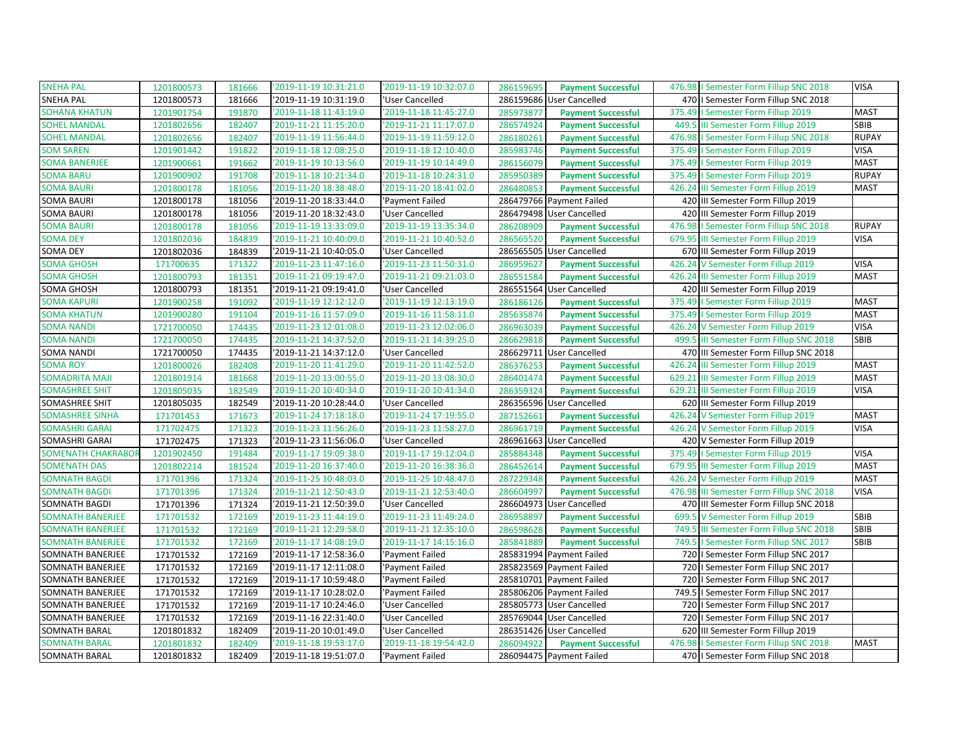| <b>SNEHA PAL</b>         | 1201800573 | 181666 | '2019-11-19 10:31:21.0 | '2019-11-19 10:32:07.0 | 286159695 | <b>Payment Successful</b> | 476.98   Semester Form Fillup SNC 2018     | <b>VISA</b>  |
|--------------------------|------------|--------|------------------------|------------------------|-----------|---------------------------|--------------------------------------------|--------------|
| <b>SNEHA PAL</b>         | 1201800573 | 181666 | '2019-11-19 10:31:19.0 | 'User Cancelled        | 286159686 | User Cancelled            | 470   Semester Form Fillup SNC 2018        |              |
| <b>SOHANA KHATUN</b>     | 1201901754 | 191870 | '2019-11-18 11:43:19.0 | '2019-11-18 11:45:27.0 | 285973877 | <b>Payment Successful</b> | 375.49   Semester Form Fillup 2019         | <b>MAST</b>  |
| <b>SOHEL MANDAL</b>      | 1201802656 | 182407 | '2019-11-21 11:15:20.0 | '2019-11-21 11:17:07.0 | 286574924 | <b>Payment Successful</b> | III Semester Form Fillup 2019<br>449.5     | SBIB         |
| <b>SOHEL MANDAL</b>      | 1201802656 | 182407 | '2019-11-19 11:56:44.0 | '2019-11-19 11:59:12.0 | 286180261 | <b>Payment Successful</b> | 476.98<br>I Semester Form Fillup SNC 2018  | <b>RUPAY</b> |
| <b>SOM SAREN</b>         | 1201901442 | 191822 | '2019-11-18 12:08:25.0 | '2019-11-18 12:10:40.0 | 285983746 | <b>Payment Successful</b> | 375.49   Semester Form Fillup 2019         | <b>VISA</b>  |
| <b>SOMA BANERJEE</b>     | 1201900661 | 191662 | '2019-11-19 10:13:56.0 | '2019-11-19 10:14:49.0 | 286156079 | <b>Payment Successful</b> | 375.49   Semester Form Fillup 2019         | <b>MAST</b>  |
| <b>SOMA BARU</b>         | 1201900902 | 191708 | '2019-11-18 10:21:34.0 | '2019-11-18 10:24:31.0 | 285950389 | <b>Payment Successful</b> | 375.49   Semester Form Fillup 2019         | <b>RUPAY</b> |
| <b>SOMA BAURI</b>        | 1201800178 | 181056 | '2019-11-20 18:38:48.0 | '2019-11-20 18:41:02.0 | 286480853 | <b>Payment Successful</b> | 426.24 III Semester Form Fillup 2019       | <b>MAST</b>  |
| <b>SOMA BAURI</b>        | 1201800178 | 181056 | '2019-11-20 18:33:44.0 | 'Payment Failed        |           | 286479766 Payment Failed  | 420 III Semester Form Fillup 2019          |              |
| <b>SOMA BAURI</b>        | 1201800178 | 181056 | '2019-11-20 18:32:43.0 | 'User Cancelled        |           | 286479498 User Cancelled  | 420 III Semester Form Fillup 2019          |              |
| <b>SOMA BAURI</b>        | 1201800178 | 181056 | '2019-11-19 13:33:09.0 | '2019-11-19 13:35:34.0 | 286208909 | <b>Payment Successful</b> | 476.98   Semester Form Fillup SNC 2018     | <b>RUPAY</b> |
| <b>SOMA DEY</b>          | 1201802036 | 184839 | '2019-11-21 10:40:09.0 | '2019-11-21 10:40:52.0 | 286565520 | <b>Payment Successful</b> | 679.95 III Semester Form Fillup 2019       | <b>VISA</b>  |
| SOMA DEY                 | 1201802036 | 184839 | '2019-11-21 10:40:05.0 | 'User Cancelled        |           | 286565505 User Cancelled  | 670 III Semester Form Fillup 2019          |              |
| <b>SOMA GHOSH</b>        | 171700635  | 171322 | '2019-11-23 11:47:16.0 | '2019-11-23 11:50:31.0 | 286959627 | <b>Payment Successful</b> | 426.24 V Semester Form Fillup 2019         | <b>VISA</b>  |
| <b>SOMA GHOSH</b>        | 1201800793 | 181351 | '2019-11-21 09:19:47.0 | '2019-11-21 09:21:03.0 | 286551584 | <b>Payment Successful</b> | 426.24 III Semester Form Fillup 2019       | <b>MAST</b>  |
| SOMA GHOSH               | 1201800793 | 181351 | '2019-11-21 09:19:41.0 | 'User Cancelled        |           | 286551564 User Cancelled  | 420 III Semester Form Fillup 2019          |              |
| <b>SOMA KAPURI</b>       | 1201900258 | 191092 | '2019-11-19 12:12:12.0 | '2019-11-19 12:13:19.0 | 286186126 | <b>Payment Successful</b> | 375.49<br>I Semester Form Fillup 2019      | <b>MAST</b>  |
| <b>SOMA KHATUN</b>       | 1201900280 | 191104 | '2019-11-16 11:57:09.0 | '2019-11-16 11:58:11.0 | 285635874 | <b>Payment Successful</b> | 375.49   Semester Form Fillup 2019         | <b>MAST</b>  |
| <b>SOMA NANDI</b>        | 1721700050 | 174435 | '2019-11-23 12:01:08.0 | '2019-11-23 12:02:06.0 | 286963039 | <b>Payment Successful</b> | 426.24 V Semester Form Fillup 2019         | <b>VISA</b>  |
| <b>SOMA NANDI</b>        | 1721700050 | 174435 | '2019-11-21 14:37:52.0 | '2019-11-21 14:39:25.0 | 286629818 | <b>Payment Successful</b> | 499.5 III Semester Form Fillup SNC 2018    | <b>SBIB</b>  |
| <b>SOMA NANDI</b>        | 1721700050 | 174435 | '2019-11-21 14:37:12.0 | 'User Cancelled        | 286629711 | <b>User Cancelled</b>     | 470 III Semester Form Fillup SNC 2018      |              |
| <b>SOMA ROY</b>          | 1201800026 | 182408 | '2019-11-20 11:41:29.0 | '2019-11-20 11:42:52.0 | 286376253 | <b>Payment Successful</b> | 426.24 III Semester Form Fillup 2019       | <b>MAST</b>  |
| <b>SOMADRITA MAJI</b>    | 1201801914 | 181668 | '2019-11-20 13:00:55.0 | '2019-11-20 13:08:30.0 | 286401474 | <b>Payment Successful</b> | 629.21 III Semester Form Fillup 2019       | <b>MAST</b>  |
| <b>SOMASHREE SHIT</b>    | 1201805035 | 182549 | '2019-11-20 10:40:34.0 | '2019-11-20 10:41:34.0 | 286359324 | <b>Payment Successful</b> | 629.21 III Semester Form Fillup 2019       | <b>VISA</b>  |
| SOMASHREE SHIT           | 1201805035 | 182549 | '2019-11-20 10:28:44.0 | 'User Cancelled        | 286356596 | User Cancelled            | 620 III Semester Form Fillup 2019          |              |
| <b>SOMASHREE SINHA</b>   | 171701453  | 171673 | '2019-11-24 17:18:18.0 | '2019-11-24 17:19:55.0 | 287152661 | <b>Payment Successful</b> | 426.24 V Semester Form Fillup 2019         | <b>MAST</b>  |
| <b>SOMASHRI GARAI</b>    | 171702475  | 171323 | '2019-11-23 11:56:26.0 | '2019-11-23 11:58:27.0 | 286961719 | <b>Payment Successful</b> | 426.24 V Semester Form Fillup 2019         | <b>VISA</b>  |
| SOMASHRI GARAI           | 171702475  | 171323 | '2019-11-23 11:56:06.0 | 'User Cancelled        |           | 286961663 User Cancelled  | 420 V Semester Form Fillup 2019            |              |
| <b>SOMENATH CHAKRABO</b> | 1201902450 | 191484 | '2019-11-17 19:09:38.0 | '2019-11-17 19:12:04.0 | 285884348 | <b>Payment Successful</b> | 375.49   Semester Form Fillup 2019         | <b>VISA</b>  |
| <b>SOMENATH DAS</b>      | 1201802214 | 181524 | '2019-11-20 16:37:40.0 | '2019-11-20 16:38:36.0 | 286452614 | <b>Payment Successful</b> | 679.95 III Semester Form Fillup 2019       | <b>MAST</b>  |
| <b>SOMNATH BAGDI</b>     | 171701396  | 171324 | '2019-11-25 10:48:03.0 | '2019-11-25 10:48:47.0 | 287229348 | <b>Payment Successful</b> | 426.24 V Semester Form Fillup 2019         | <b>MAST</b>  |
| <b>SOMNATH BAGDI</b>     | 171701396  | 171324 | '2019-11-21 12:50:43.0 | '2019-11-21 12:53:40.0 | 286604997 | <b>Payment Successful</b> | 476.98 III Semester Form Fillup SNC 2018   | <b>VISA</b>  |
| SOMNATH BAGDI            | 171701396  | 171324 | '2019-11-21 12:50:39.0 | 'User Cancelled        | 286604973 | User Cancelled            | 470 III Semester Form Fillup SNC 2018      |              |
| <b>SOMNATH BANERJEE</b>  | 171701532  | 172169 | '2019-11-23 11:44:19.0 | '2019-11-23 11:49:24.0 | 286958897 | <b>Payment Successful</b> | 699.5 V Semester Form Fillup 2019          | SBIB         |
| <b>SOMNATH BANERJEE</b>  | 171701532  | 172169 | '2019-11-21 12:29:58.0 | '2019-11-21 12:35:10.0 | 286598628 | <b>Payment Successful</b> | 749.5<br>III Semester Form Fillup SNC 2018 | SBIB         |
| <b>SOMNATH BANERJEE</b>  | 171701532  | 172169 | '2019-11-17 14:08:19.0 | '2019-11-17 14:15:16.0 | 285841889 | <b>Payment Successful</b> | 749.5   Semester Form Fillup SNC 2017      | <b>SBIB</b>  |
| SOMNATH BANERJEE         | 171701532  | 172169 | '2019-11-17 12:58:36.0 | 'Payment Failed        |           | 285831994 Payment Failed  | 720   I Semester Form Fillup SNC 2017      |              |
| SOMNATH BANERJEE         | 171701532  | 172169 | '2019-11-17 12:11:08.0 | 'Payment Failed        |           | 285823569 Payment Failed  | 720   Semester Form Fillup SNC 2017        |              |
| SOMNATH BANERJEE         | 171701532  | 172169 | '2019-11-17 10:59:48.0 | 'Payment Failed        |           | 285810701 Payment Failed  | 720   Semester Form Fillup SNC 2017        |              |
| SOMNATH BANERJEE         | 171701532  | 172169 | '2019-11-17 10:28:02.0 | 'Payment Failed        |           | 285806206 Payment Failed  | 749.5   Semester Form Fillup SNC 2017      |              |
| SOMNATH BANERJEE         | 171701532  | 172169 | '2019-11-17 10:24:46.0 | 'User Cancelled        | 285805773 | <b>User Cancelled</b>     | 720   I Semester Form Fillup SNC 2017      |              |
| SOMNATH BANERJEE         | 171701532  | 172169 | '2019-11-16 22:31:40.0 | 'User Cancelled        |           | 285769044 User Cancelled  | 720   Semester Form Fillup SNC 2017        |              |
| SOMNATH BARAL            | 1201801832 | 182409 | '2019-11-20 10:01:49.0 | 'User Cancelled        |           | 286351426 User Cancelled  | 620 III Semester Form Fillup 2019          |              |
| <b>SOMNATH BARAL</b>     | 1201801832 | 182409 | '2019-11-18 19:53:17.0 | '2019-11-18 19:54:42.0 | 286094922 | <b>Payment Successful</b> | 476.98   Semester Form Fillup SNC 2018     | <b>MAST</b>  |
| SOMNATH BARAL            | 1201801832 | 182409 | '2019-11-18 19:51:07.0 | 'Payment Failed        |           | 286094475 Payment Failed  | 470   I Semester Form Fillup SNC 2018      |              |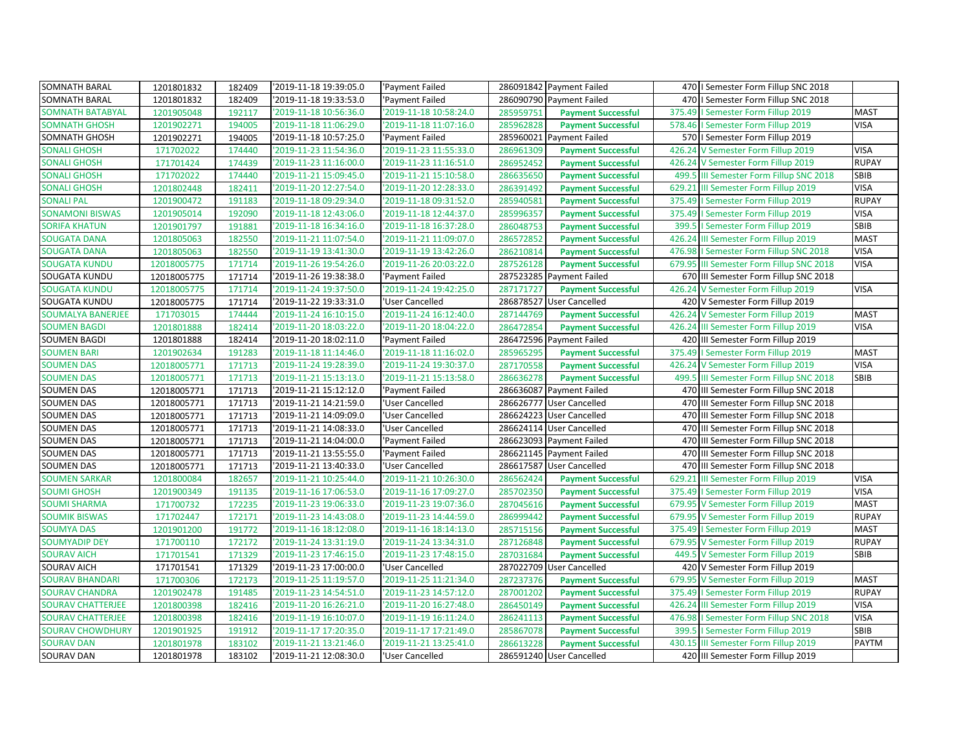| SOMNATH BARAL            | 1201801832  | 182409 | '2019-11-18 19:39:05.0 | 'Payment Failed        |           | 286091842 Payment Failed  | 470   I Semester Form Fillup SNC 2018     |              |
|--------------------------|-------------|--------|------------------------|------------------------|-----------|---------------------------|-------------------------------------------|--------------|
| SOMNATH BARAL            | 1201801832  | 182409 | '2019-11-18 19:33:53.0 | 'Payment Failed        |           | 286090790 Payment Failed  | 470   I Semester Form Fillup SNC 2018     |              |
| <b>SOMNATH BATABYAL</b>  | 1201905048  | 192117 | '2019-11-18 10:56:36.0 | '2019-11-18 10:58:24.0 | 285959751 | <b>Payment Successful</b> | 375.49   Semester Form Fillup 2019        | <b>MAST</b>  |
| <b>SOMNATH GHOSH</b>     | 1201902271  | 194005 | '2019-11-18 11:06:29.0 | '2019-11-18 11:07:16.0 | 285962828 | <b>Payment Successful</b> | 578.46   Semester Form Fillup 2019        | <b>VISA</b>  |
| SOMNATH GHOSH            | 1201902271  | 194005 | '2019-11-18 10:57:25.0 | 'Payment Failed        | 285960021 | Payment Failed            | 570   Semester Form Fillup 2019           |              |
| <b>SONALI GHOSH</b>      | 171702022   | 174440 | '2019-11-23 11:54:36.0 | '2019-11-23 11:55:33.0 | 286961309 | <b>Payment Successful</b> | 426.24 V Semester Form Fillup 2019        | <b>VISA</b>  |
| <b>SONALI GHOSH</b>      | 171701424   | 174439 | '2019-11-23 11:16:00.0 | '2019-11-23 11:16:51.0 | 286952452 | <b>Payment Successful</b> | 426.24 V Semester Form Fillup 2019        | <b>RUPAY</b> |
| <b>SONALI GHOSH</b>      | 171702022   | 174440 | '2019-11-21 15:09:45.0 | '2019-11-21 15:10:58.0 | 286635650 | <b>Payment Successful</b> | 499.5 III Semester Form Fillup SNC 2018   | SBIB         |
| <b>SONALI GHOSH</b>      | 1201802448  | 182411 | '2019-11-20 12:27:54.0 | '2019-11-20 12:28:33.0 | 286391492 | <b>Payment Successful</b> | 629.21 III Semester Form Fillup 2019      | <b>VISA</b>  |
| <b>SONALI PAL</b>        | 1201900472  | 191183 | '2019-11-18 09:29:34.0 | '2019-11-18 09:31:52.0 | 285940581 | <b>Payment Successful</b> | 375.49<br>I Semester Form Fillup 2019     | <b>RUPAY</b> |
| <b>SONAMONI BISWAS</b>   | 1201905014  | 192090 | '2019-11-18 12:43:06.0 | '2019-11-18 12:44:37.0 | 285996357 | <b>Payment Successful</b> | 375.49   Semester Form Fillup 2019        | <b>VISA</b>  |
| <b>SORIFA KHATUN</b>     | 1201901797  | 191881 | '2019-11-18 16:34:16.0 | '2019-11-18 16:37:28.0 | 286048753 | <b>Payment Successful</b> | 399.5   Semester Form Fillup 2019         | SBIB         |
| <b>SOUGATA DANA</b>      | 1201805063  | 182550 | '2019-11-21 11:07:54.0 | '2019-11-21 11:09:07.0 | 286572852 | <b>Payment Successful</b> | 426.24 III Semester Form Fillup 2019      | <b>MAST</b>  |
| <b>SOUGATA DANA</b>      | 1201805063  | 182550 | '2019-11-19 13:41:30.0 | '2019-11-19 13:42:26.0 | 286210814 | <b>Payment Successful</b> | 476.98   Semester Form Fillup SNC 2018    | <b>VISA</b>  |
| <b>SOUGATA KUNDU</b>     | 12018005775 | 171714 | '2019-11-26 19:54:26.0 | '2019-11-26 20:03:22.0 | 287526128 | <b>Payment Successful</b> | 679.95 III Semester Form Fillup SNC 2018  | <b>VISA</b>  |
| SOUGATA KUNDU            | 12018005775 | 171714 | '2019-11-26 19:38:38.0 | 'Payment Failed        |           | 287523285 Payment Failed  | 670 III Semester Form Fillup SNC 2018     |              |
| <b>SOUGATA KUNDU</b>     | 12018005775 | 171714 | '2019-11-24 19:37:50.0 | '2019-11-24 19:42:25.0 | 287171727 | <b>Payment Successful</b> | 426.24 V Semester Form Fillup 2019        | <b>VISA</b>  |
| SOUGATA KUNDU            | 12018005775 | 171714 | '2019-11-22 19:33:31.0 | 'User Cancelled        | 286878527 | <b>User Cancelled</b>     | 420 V Semester Form Fillup 2019           |              |
| <b>SOUMALYA BANERJEE</b> | 171703015   | 174444 | '2019-11-24 16:10:15.0 | '2019-11-24 16:12:40.0 | 287144769 | <b>Payment Successful</b> | 426.24 V Semester Form Fillup 2019        | <b>MAST</b>  |
| <b>SOUMEN BAGDI</b>      | 1201801888  | 182414 | '2019-11-20 18:03:22.0 | '2019-11-20 18:04:22.0 | 286472854 | <b>Payment Successful</b> | 426.24<br>III Semester Form Fillup 2019   | <b>VISA</b>  |
| <b>SOUMEN BAGDI</b>      | 1201801888  | 182414 | '2019-11-20 18:02:11.0 | 'Payment Failed        |           | 286472596 Payment Failed  | 420 III Semester Form Fillup 2019         |              |
| <b>SOUMEN BARI</b>       | 1201902634  | 191283 | '2019-11-18 11:14:46.0 | '2019-11-18 11:16:02.0 | 285965295 | <b>Payment Successful</b> | 375.49   Semester Form Fillup 2019        | <b>MAST</b>  |
| <b>SOUMEN DAS</b>        | 12018005771 | 171713 | '2019-11-24 19:28:39.0 | '2019-11-24 19:30:37.0 | 287170558 | <b>Payment Successful</b> | V Semester Form Fillup 2019<br>426.24     | <b>VISA</b>  |
| <b>SOUMEN DAS</b>        | 12018005771 | 171713 | '2019-11-21 15:13:13.0 | '2019-11-21 15:13:58.0 | 286636278 | <b>Payment Successful</b> | 499.5 III Semester Form Fillup SNC 2018   | SBIB         |
| <b>SOUMEN DAS</b>        | 12018005771 | 171713 | '2019-11-21 15:12:12.0 | 'Payment Failed        |           | 286636087 Payment Failed  | 470 III Semester Form Fillup SNC 2018     |              |
| <b>SOUMEN DAS</b>        | 12018005771 | 171713 | '2019-11-21 14:21:59.0 | 'User Cancelled        |           | 286626777 User Cancelled  | 470 III Semester Form Fillup SNC 2018     |              |
| <b>SOUMEN DAS</b>        | 12018005771 | 171713 | '2019-11-21 14:09:09.0 | 'User Cancelled        |           | 286624223 User Cancelled  | 470 III Semester Form Fillup SNC 2018     |              |
| <b>SOUMEN DAS</b>        | 12018005771 | 171713 | '2019-11-21 14:08:33.0 | 'User Cancelled        |           | 286624114 User Cancelled  | 470 III Semester Form Fillup SNC 2018     |              |
| <b>SOUMEN DAS</b>        | 12018005771 | 171713 | '2019-11-21 14:04:00.0 | 'Payment Failed        |           | 286623093 Payment Failed  | 470 III Semester Form Fillup SNC 2018     |              |
| <b>SOUMEN DAS</b>        | 12018005771 | 171713 | '2019-11-21 13:55:55.0 | 'Payment Failed        |           | 286621145 Payment Failed  | 470 III Semester Form Fillup SNC 2018     |              |
| <b>SOUMEN DAS</b>        | 12018005771 | 171713 | '2019-11-21 13:40:33.0 | 'User Cancelled        |           | 286617587 User Cancelled  | 470 III Semester Form Fillup SNC 2018     |              |
| <b>SOUMEN SARKAR</b>     | 1201800084  | 182657 | '2019-11-21 10:25:44.0 | '2019-11-21 10:26:30.0 | 286562424 | <b>Payment Successful</b> | 629.21<br>III Semester Form Fillup 2019   | <b>VISA</b>  |
| <b>SOUMI GHOSH</b>       | 1201900349  | 191135 | '2019-11-16 17:06:53.0 | '2019-11-16 17:09:27.0 | 285702350 | <b>Payment Successful</b> | 375.49<br>I Semester Form Fillup 2019     | <b>VISA</b>  |
| <b>SOUMI SHARMA</b>      | 171700732   | 172235 | '2019-11-23 19:06:33.0 | '2019-11-23 19:07:36.0 | 287045616 | <b>Payment Successful</b> | 679.95 V Semester Form Fillup 2019        | <b>MAST</b>  |
| <b>SOUMIK BISWAS</b>     | 171702447   | 172171 | '2019-11-23 14:43:08.0 | '2019-11-23 14:44:59.0 | 286999442 | <b>Payment Successful</b> | 679.95 V Semester Form Fillup 2019        | <b>RUPAY</b> |
| <b>SOUMYA DAS</b>        | 1201901200  | 191772 | '2019-11-16 18:12:08.0 | '2019-11-16 18:14:13.0 | 285715156 | <b>Payment Successful</b> | 375.49   Semester Form Fillup 2019        | <b>MAST</b>  |
| <b>SOUMYADIP DEY</b>     | 171700110   | 172172 | '2019-11-24 13:31:19.0 | '2019-11-24 13:34:31.0 | 287126848 | <b>Payment Successful</b> | 679.95 V Semester Form Fillup 2019        | <b>RUPAY</b> |
| <b>SOURAV AICH</b>       | 171701541   | 171329 | '2019-11-23 17:46:15.0 | '2019-11-23 17:48:15.0 | 287031684 | <b>Payment Successful</b> | 449.5 V Semester Form Fillup 2019         | SBIB         |
| <b>SOURAV AICH</b>       | 171701541   | 171329 | '2019-11-23 17:00:00.0 | 'User Cancelled        | 287022709 | <b>User Cancelled</b>     | 420 V Semester Form Fillup 2019           |              |
| <b>SOURAV BHANDARI</b>   | 171700306   | 172173 | '2019-11-25 11:19:57.0 | '2019-11-25 11:21:34.0 | 287237376 | <b>Payment Successful</b> | 679.95 V Semester Form Fillup 2019        | <b>MAST</b>  |
| <b>SOURAV CHANDRA</b>    | 1201902478  | 191485 | '2019-11-23 14:54:51.0 | '2019-11-23 14:57:12.0 | 287001202 | <b>Payment Successful</b> | 375.49   Semester Form Fillup 2019        | <b>RUPAY</b> |
| <b>SOURAV CHATTERJEE</b> | 1201800398  | 182416 | '2019-11-20 16:26:21.0 | '2019-11-20 16:27:48.0 | 286450149 | <b>Payment Successful</b> | 426.24 III Semester Form Fillup 2019      | <b>VISA</b>  |
| <b>SOURAV CHATTERJEE</b> | 1201800398  | 182416 | '2019-11-19 16:10:07.0 | '2019-11-19 16:11:24.0 | 286241113 | <b>Payment Successful</b> | 476.98<br>I Semester Form Fillup SNC 2018 | <b>VISA</b>  |
| <b>SOURAV CHOWDHURY</b>  | 1201901925  | 191912 | '2019-11-17 17:20:35.0 | '2019-11-17 17:21:49.0 | 285867078 | <b>Payment Successful</b> | 399.5   Semester Form Fillup 2019         | SBIB         |
| <b>SOURAV DAN</b>        | 1201801978  | 183102 | '2019-11-21 13:21:46.0 | '2019-11-21 13:25:41.0 | 286613228 | <b>Payment Successful</b> | 430.15 III Semester Form Fillup 2019      | <b>PAYTM</b> |
| SOURAV DAN               | 1201801978  | 183102 | '2019-11-21 12:08:30.0 | 'User Cancelled        |           | 286591240 User Cancelled  | 420 III Semester Form Fillup 2019         |              |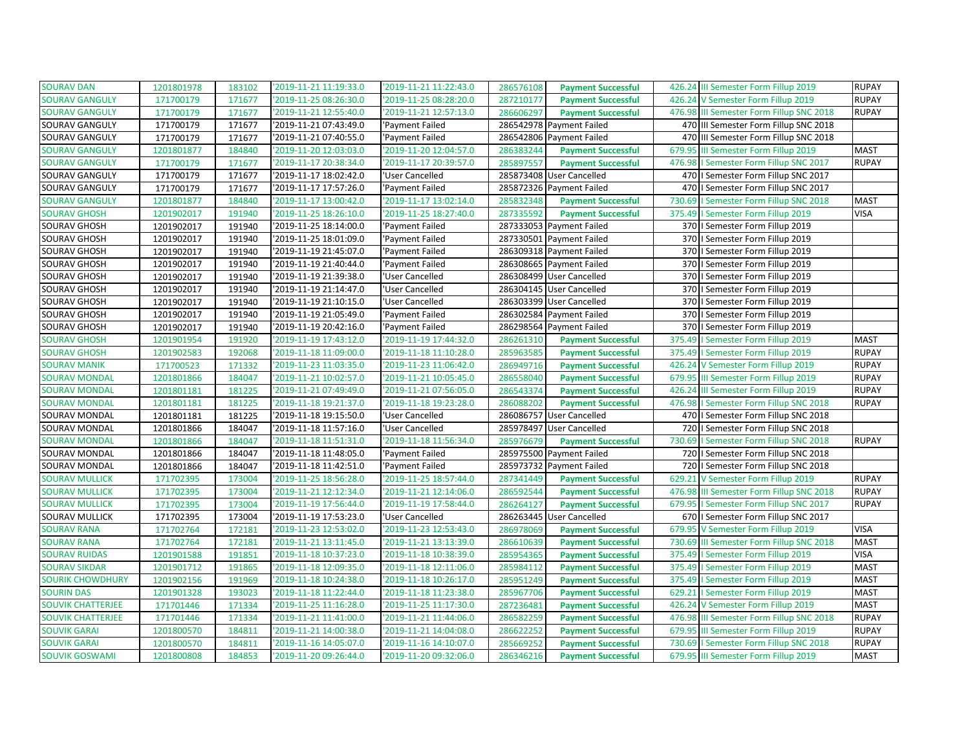| <b>SOURAV DAN</b>        | 1201801978 | 183102 | '2019-11-21 11:19:33.0 | '2019-11-21 11:22:43.0 | 286576108<br><b>Payment Successful</b> | 426.24 III Semester Form Fillup 2019     | <b>RUPAY</b> |
|--------------------------|------------|--------|------------------------|------------------------|----------------------------------------|------------------------------------------|--------------|
| <b>SOURAV GANGULY</b>    | 171700179  | 171677 | 2019-11-25 08:26:30.0  | '2019-11-25 08:28:20.0 | 287210177<br><b>Payment Successful</b> | 426.24 V Semester Form Fillup 2019       | <b>RUPAY</b> |
| <b>SOURAV GANGULY</b>    | 171700179  | 171677 | '2019-11-21 12:55:40.0 | '2019-11-21 12:57:13.0 | 286606297<br><b>Payment Successful</b> | 476.98 III Semester Form Fillup SNC 2018 | <b>RUPAY</b> |
| SOURAV GANGULY           | 171700179  | 171677 | '2019-11-21 07:43:49.0 | 'Payment Failed        | 286542978 Payment Failed               | 470 III Semester Form Fillup SNC 2018    |              |
| SOURAV GANGULY           | 171700179  | 171677 | '2019-11-21 07:40:55.0 | 'Payment Failed        | 286542806 Payment Failed               | 470 III Semester Form Fillup SNC 2018    |              |
| <b>SOURAV GANGULY</b>    | 1201801877 | 184840 | '2019-11-20 12:03:03.0 | '2019-11-20 12:04:57.0 | 286383244<br><b>Payment Successful</b> | 679.95 III Semester Form Fillup 2019     | <b>MAST</b>  |
| <b>SOURAV GANGULY</b>    | 171700179  | 171677 | '2019-11-17 20:38:34.0 | '2019-11-17 20:39:57.0 | 285897557<br><b>Payment Successful</b> | 476.98   Semester Form Fillup SNC 2017   | <b>RUPAY</b> |
| SOURAV GANGULY           | 171700179  | 171677 | '2019-11-17 18:02:42.0 | 'User Cancelled        | 285873408 User Cancelled               | 470   Semester Form Fillup SNC 2017      |              |
| SOURAV GANGULY           | 171700179  | 171677 | 2019-11-17 17:57:26.0  | 'Payment Failed        | 285872326 Payment Failed               | 470   Semester Form Fillup SNC 2017      |              |
| <b>SOURAV GANGULY</b>    | 1201801877 | 184840 | '2019-11-17 13:00:42.0 | '2019-11-17 13:02:14.0 | 285832348<br><b>Payment Successful</b> | 730.69   Semester Form Fillup SNC 2018   | <b>MAST</b>  |
| <b>SOURAV GHOSH</b>      | 1201902017 | 191940 | '2019-11-25 18:26:10.0 | '2019-11-25 18:27:40.0 | 287335592<br><b>Payment Successful</b> | 375.49   Semester Form Fillup 2019       | <b>VISA</b>  |
| SOURAV GHOSH             | 1201902017 | 191940 | '2019-11-25 18:14:00.0 | 'Payment Failed        | 287333053 Payment Failed               | 370   Semester Form Fillup 2019          |              |
| SOURAV GHOSH             | 1201902017 | 191940 | '2019-11-25 18:01:09.0 | 'Payment Failed        | 287330501 Payment Failed               | 370   Semester Form Fillup 2019          |              |
| SOURAV GHOSH             | 1201902017 | 191940 | 2019-11-19 21:45:07.0  | 'Payment Failed        | 286309318 Payment Failed               | 370   Semester Form Fillup 2019          |              |
| SOURAV GHOSH             | 1201902017 | 191940 | '2019-11-19 21:40:44.0 | 'Payment Failed        | 286308665 Payment Failed               | 370   Semester Form Fillup 2019          |              |
| SOURAV GHOSH             | 1201902017 | 191940 | '2019-11-19 21:39:38.0 | 'User Cancelled        | 286308499 User Cancelled               | 370   Semester Form Fillup 2019          |              |
| SOURAV GHOSH             | 1201902017 | 191940 | '2019-11-19 21:14:47.0 | 'User Cancelled        | 286304145 User Cancelled               | 370   Semester Form Fillup 2019          |              |
| SOURAV GHOSH             | 1201902017 | 191940 | '2019-11-19 21:10:15.0 | 'User Cancelled        | 286303399 User Cancelled               | 370   Semester Form Fillup 2019          |              |
| SOURAV GHOSH             | 1201902017 | 191940 | '2019-11-19 21:05:49.0 | 'Payment Failed        | 286302584 Payment Failed               | 370   Semester Form Fillup 2019          |              |
| SOURAV GHOSH             | 1201902017 | 191940 | '2019-11-19 20:42:16.0 | 'Payment Failed        | 286298564 Payment Failed               | 370   Semester Form Fillup 2019          |              |
| <b>SOURAV GHOSH</b>      | 1201901954 | 191920 | '2019-11-19 17:43:12.0 | '2019-11-19 17:44:32.0 | 286261310<br><b>Payment Successful</b> | 375.49   Semester Form Fillup 2019       | <b>MAST</b>  |
| <b>SOURAV GHOSH</b>      | 1201902583 | 192068 | '2019-11-18 11:09:00.0 | '2019-11-18 11:10:28.0 | 285963585<br><b>Payment Successful</b> | 375.49   Semester Form Fillup 2019       | <b>RUPAY</b> |
| <b>SOURAV MANIK</b>      | 171700523  | 171332 | '2019-11-23 11:03:35.0 | '2019-11-23 11:06:42.0 | 286949716<br><b>Payment Successful</b> | 426.24 V Semester Form Fillup 2019       | <b>RUPAY</b> |
| <b>SOURAV MONDAL</b>     | 1201801866 | 184047 | '2019-11-21 10:02:57.0 | '2019-11-21 10:05:45.0 | 286558040<br><b>Payment Successful</b> | 679.95 III Semester Form Fillup 2019     | <b>RUPAY</b> |
| <b>SOURAV MONDAL</b>     | 1201801181 | 181225 | '2019-11-21 07:49:49.0 | '2019-11-21 07:56:05.0 | 286543374<br><b>Payment Successful</b> | 426.24 III Semester Form Fillup 2019     | <b>RUPAY</b> |
| <b>SOURAV MONDAL</b>     | 1201801181 | 181225 | '2019-11-18 19:21:37.0 | '2019-11-18 19:23:28.0 | 286088202<br><b>Payment Successful</b> | 476.98   Semester Form Fillup SNC 2018   | <b>RUPAY</b> |
| SOURAV MONDAL            | 1201801181 | 181225 | '2019-11-18 19:15:50.0 | 'User Cancelled        | 286086757 User Cancelled               | 470   Semester Form Fillup SNC 2018      |              |
| SOURAV MONDAL            | 1201801866 | 184047 | '2019-11-18 11:57:16.0 | 'User Cancelled        | 285978497 User Cancelled               | 720   Semester Form Fillup SNC 2018      |              |
| <b>SOURAV MONDAL</b>     | 1201801866 | 184047 | '2019-11-18 11:51:31.0 | '2019-11-18 11:56:34.0 | 285976679<br><b>Payment Successful</b> | 730.69   Semester Form Fillup SNC 2018   | <b>RUPAY</b> |
| SOURAV MONDAL            | 1201801866 | 184047 | '2019-11-18 11:48:05.0 | 'Payment Failed        | 285975500 Payment Failed               | 720   Semester Form Fillup SNC 2018      |              |
| SOURAV MONDAL            | 1201801866 | 184047 | '2019-11-18 11:42:51.0 | 'Payment Failed        | 285973732 Payment Failed               | 720   Semester Form Fillup SNC 2018      |              |
| <b>SOURAV MULLICK</b>    | 171702395  | 173004 | 2019-11-25 18:56:28.0  | '2019-11-25 18:57:44.0 | 287341449<br><b>Payment Successful</b> | 629.21 V Semester Form Fillup 2019       | <b>RUPAY</b> |
| <b>SOURAV MULLICK</b>    | 171702395  | 173004 | '2019-11-21 12:12:34.0 | '2019-11-21 12:14:06.0 | 286592544<br><b>Payment Successful</b> | 476.98 III Semester Form Fillup SNC 2018 | <b>RUPAY</b> |
| <b>SOURAV MULLICK</b>    | 171702395  | 173004 | '2019-11-19 17:56:44.0 | '2019-11-19 17:58:44.0 | 286264127<br><b>Payment Successful</b> | 679.95   Semester Form Fillup SNC 2017   | <b>RUPAY</b> |
| SOURAV MULLICK           | 171702395  | 173004 | '2019-11-19 17:53:23.0 | 'User Cancelled        | 286263445 User Cancelled               | 670   I Semester Form Fillup SNC 2017    |              |
| <b>SOURAV RANA</b>       | 171702764  | 172181 | '2019-11-23 12:53:02.0 | '2019-11-23 12:53:43.0 | 286978069<br><b>Payment Successful</b> | 679.95 V Semester Form Fillup 2019       | <b>VISA</b>  |
| <b>SOURAV RANA</b>       | 171702764  | 172181 | '2019-11-21 13:11:45.0 | '2019-11-21 13:13:39.0 | 286610639<br><b>Payment Successful</b> | 730.69 III Semester Form Fillup SNC 2018 | <b>MAST</b>  |
| <b>SOURAV RUIDAS</b>     | 1201901588 | 191851 | '2019-11-18 10:37:23.0 | '2019-11-18 10:38:39.0 | 285954365<br><b>Payment Successful</b> | 375.49   Semester Form Fillup 2019       | <b>VISA</b>  |
| <b>SOURAV SIKDAR</b>     | 1201901712 | 191865 | '2019-11-18 12:09:35.0 | '2019-11-18 12:11:06.0 | 285984112<br><b>Payment Successful</b> | 375.49   Semester Form Fillup 2019       | <b>MAST</b>  |
| <b>SOURIK CHOWDHURY</b>  | 1201902156 | 191969 | '2019-11-18 10:24:38.0 | '2019-11-18 10:26:17.0 | 285951249<br><b>Payment Successful</b> | 375.49   Semester Form Fillup 2019       | <b>MAST</b>  |
| <b>SOURIN DAS</b>        | 1201901328 | 193023 | '2019-11-18 11:22:44.0 | '2019-11-18 11:23:38.0 | 285967706<br><b>Payment Successful</b> | 629.21   Semester Form Fillup 2019       | <b>MAST</b>  |
| <b>SOUVIK CHATTERJEE</b> | 171701446  | 171334 | '2019-11-25 11:16:28.0 | '2019-11-25 11:17:30.0 | 287236481<br><b>Payment Successful</b> | 426.24 V Semester Form Fillup 2019       | <b>MAST</b>  |
| <b>SOUVIK CHATTERJEE</b> | 171701446  | 171334 | '2019-11-21 11:41:00.0 | '2019-11-21 11:44:06.0 | 286582259<br><b>Payment Successful</b> | 476.98 III Semester Form Fillup SNC 2018 | <b>RUPAY</b> |
| <b>SOUVIK GARAI</b>      | 1201800570 | 184811 | '2019-11-21 14:00:38.0 | '2019-11-21 14:04:08.0 | 286622252<br><b>Payment Successful</b> | 679.95 III Semester Form Fillup 2019     | <b>RUPAY</b> |
| <b>SOUVIK GARAI</b>      | 1201800570 | 184811 | '2019-11-16 14:05:07.0 | '2019-11-16 14:10:07.0 | 285669252<br><b>Payment Successful</b> | 730.69   Semester Form Fillup SNC 2018   | <b>RUPAY</b> |
| <b>SOUVIK GOSWAMI</b>    | 1201800808 | 184853 | '2019-11-20 09:26:44.0 | '2019-11-20 09:32:06.0 | 286346216<br><b>Payment Successful</b> | 679.95 III Semester Form Fillup 2019     | <b>MAST</b>  |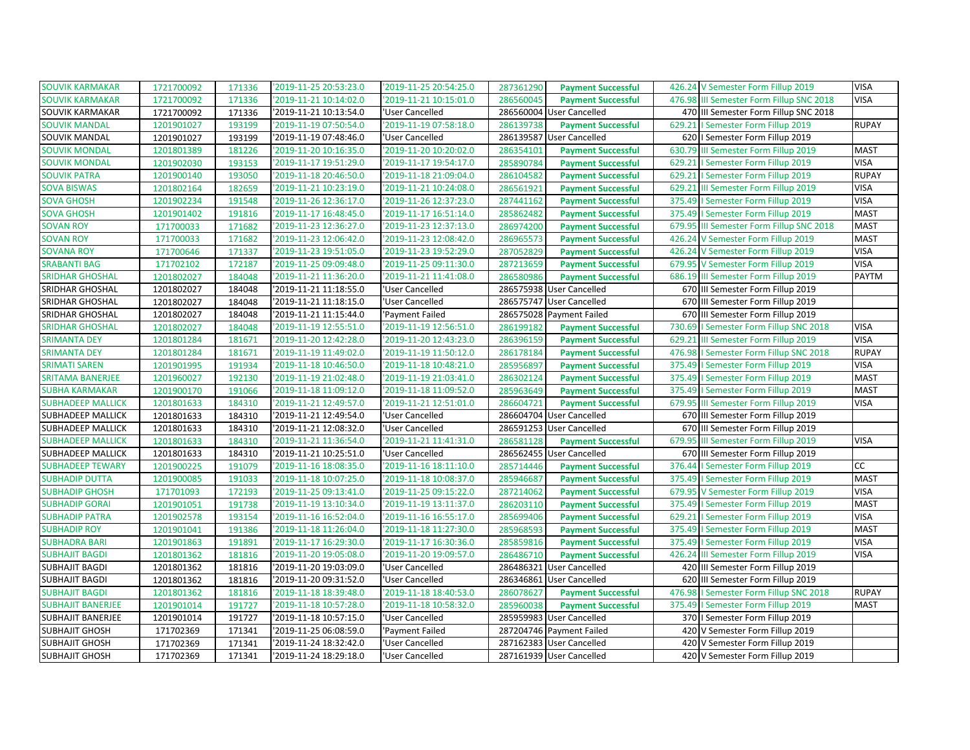| <b>SOUVIK KARMAKAR</b>   | 1721700092 | 171336 | '2019-11-25 20:53:23.0 | '2019-11-25 20:54:25.0 | 287361290 | <b>Payment Successful</b> |        | 426.24 V Semester Form Fillup 2019       | <b>VISA</b>  |
|--------------------------|------------|--------|------------------------|------------------------|-----------|---------------------------|--------|------------------------------------------|--------------|
| <b>SOUVIK KARMAKAR</b>   | 1721700092 | 171336 | '2019-11-21 10:14:02.0 | '2019-11-21 10:15:01.0 | 286560045 | <b>Payment Successful</b> | 476.98 | III Semester Form Fillup SNC 2018        | <b>VISA</b>  |
| SOUVIK KARMAKAR          | 1721700092 | 171336 | '2019-11-21 10:13:54.0 | 'User Cancelled        |           | 286560004 User Cancelled  |        | 470 III Semester Form Fillup SNC 2018    |              |
| <b>SOUVIK MANDAL</b>     | 1201901027 | 193199 | '2019-11-19 07:50:54.0 | '2019-11-19 07:58:18.0 | 286139738 | <b>Payment Successful</b> | 629.21 | I Semester Form Fillup 2019              | <b>RUPAY</b> |
| SOUVIK MANDAL            | 1201901027 | 193199 | '2019-11-19 07:48:46.0 | 'User Cancelled        |           | 286139587 User Cancelled  |        | 620   Semester Form Fillup 2019          |              |
| <b>SOUVIK MONDAL</b>     | 1201801389 | 181226 | '2019-11-20 10:16:35.0 | '2019-11-20 10:20:02.0 | 286354101 | <b>Payment Successful</b> | 630.79 | III Semester Form Fillup 2019            | <b>MAST</b>  |
| <b>SOUVIK MONDAL</b>     | 1201902030 | 193153 | '2019-11-17 19:51:29.0 | '2019-11-17 19:54:17.0 | 285890784 | <b>Payment Successful</b> | 629.21 | I Semester Form Fillup 2019              | <b>VISA</b>  |
| <b>SOUVIK PATRA</b>      | 1201900140 | 193050 | '2019-11-18 20:46:50.0 | '2019-11-18 21:09:04.0 | 286104582 | <b>Payment Successful</b> |        | 629.21   Semester Form Fillup 2019       | <b>RUPAY</b> |
| <b>SOVA BISWAS</b>       | 1201802164 | 182659 | '2019-11-21 10:23:19.0 | '2019-11-21 10:24:08.0 | 286561921 | <b>Payment Successful</b> | 629.21 | III Semester Form Fillup 2019            | <b>VISA</b>  |
| <b>SOVA GHOSH</b>        | 1201902234 | 191548 | '2019-11-26 12:36:17.0 | '2019-11-26 12:37:23.0 | 287441162 | <b>Payment Successful</b> | 375.49 | I Semester Form Fillup 2019              | <b>VISA</b>  |
| <b>SOVA GHOSH</b>        | 1201901402 | 191816 | '2019-11-17 16:48:45.0 | '2019-11-17 16:51:14.0 | 285862482 | <b>Payment Successful</b> |        | 375.49   Semester Form Fillup 2019       | <b>MAST</b>  |
| <b>SOVAN ROY</b>         | 171700033  | 171682 | '2019-11-23 12:36:27.0 | '2019-11-23 12:37:13.0 | 286974200 | <b>Payment Successful</b> |        | 679.95 III Semester Form Fillup SNC 2018 | <b>MAST</b>  |
| <b>SOVAN ROY</b>         | 171700033  | 171682 | '2019-11-23 12:06:42.0 | '2019-11-23 12:08:42.0 | 286965573 | <b>Payment Successful</b> |        | 426.24 V Semester Form Fillup 2019       | <b>MAST</b>  |
| <b>SOVANA ROY</b>        | 171700646  | 171337 | '2019-11-23 19:51:05.0 | '2019-11-23 19:52:29.0 | 287052829 | <b>Payment Successful</b> | 426.24 | V Semester Form Fillup 2019              | <b>VISA</b>  |
| <b>SRABANTI BAG</b>      | 171702102  | 172187 | '2019-11-25 09:09:48.0 | '2019-11-25 09:11:30.0 | 287213659 | <b>Payment Successful</b> |        | 679.95 V Semester Form Fillup 2019       | <b>VISA</b>  |
| <b>SRIDHAR GHOSHAL</b>   | 1201802027 | 184048 | '2019-11-21 11:36:20.0 | '2019-11-21 11:41:08.0 | 286580986 | <b>Payment Successful</b> |        | 686.19 III Semester Form Fillup 2019     | <b>PAYTM</b> |
| SRIDHAR GHOSHAL          | 1201802027 | 184048 | '2019-11-21 11:18:55.0 | 'User Cancelled        |           | 286575938 User Cancelled  |        | 670 III Semester Form Fillup 2019        |              |
| <b>SRIDHAR GHOSHAL</b>   | 1201802027 | 184048 | '2019-11-21 11:18:15.0 | 'User Cancelled        | 286575747 | <b>User Cancelled</b>     | 670    | III Semester Form Fillup 2019            |              |
| SRIDHAR GHOSHAL          | 1201802027 | 184048 | '2019-11-21 11:15:44.0 | 'Payment Failed        |           | 286575028 Payment Failed  |        | 670 III Semester Form Fillup 2019        |              |
| <b>SRIDHAR GHOSHAL</b>   | 1201802027 | 184048 | '2019-11-19 12:55:51.0 | '2019-11-19 12:56:51.0 | 286199182 | <b>Payment Successful</b> | 730.69 | I Semester Form Fillup SNC 2018          | <b>VISA</b>  |
| <b>SRIMANTA DEY</b>      | 1201801284 | 181671 | '2019-11-20 12:42:28.0 | '2019-11-20 12:43:23.0 | 286396159 | <b>Payment Successful</b> | 629.21 | III Semester Form Fillup 2019            | <b>VISA</b>  |
| <b>SRIMANTA DEY</b>      | 1201801284 | 181671 | '2019-11-19 11:49:02.0 | '2019-11-19 11:50:12.0 | 286178184 | <b>Payment Successful</b> | 476.98 | I Semester Form Fillup SNC 2018          | <b>RUPAY</b> |
| <b>SRIMATI SAREN</b>     | 1201901995 | 191934 | '2019-11-18 10:46:50.0 | '2019-11-18 10:48:21.0 | 285956897 | <b>Payment Successful</b> |        | 375.49   Semester Form Fillup 2019       | <b>VISA</b>  |
| <b>SRITAMA BANERJEE</b>  | 1201960027 | 192130 | '2019-11-19 21:02:48.0 | '2019-11-19 21:03:41.0 | 286302124 | <b>Payment Successful</b> |        | 375.49   Semester Form Fillup 2019       | <b>MAST</b>  |
| <b>SUBHA KARMAKAR</b>    | 1201900170 | 191066 | '2019-11-18 11:09:12.0 | '2019-11-18 11:09:52.0 | 285963649 | <b>Payment Successful</b> |        | 375.49   Semester Form Fillup 2019       | <b>MAST</b>  |
| <b>SUBHADEEP MALLICK</b> | 1201801633 | 184310 | '2019-11-21 12:49:57.0 | '2019-11-21 12:51:01.0 | 286604721 | <b>Payment Successful</b> |        | 679.95 III Semester Form Fillup 2019     | <b>VISA</b>  |
| <b>SUBHADEEP MALLICK</b> | 1201801633 | 184310 | '2019-11-21 12:49:54.0 | 'User Cancelled        |           | 286604704 User Cancelled  |        | 670 III Semester Form Fillup 2019        |              |
| SUBHADEEP MALLICK        | 1201801633 | 184310 | '2019-11-21 12:08:32.0 | 'User Cancelled        |           | 286591253 User Cancelled  |        | 670 III Semester Form Fillup 2019        |              |
| <b>SUBHADEEP MALLICK</b> | 1201801633 | 184310 | '2019-11-21 11:36:54.0 | '2019-11-21 11:41:31.0 | 286581128 | <b>Payment Successful</b> |        | 679.95 III Semester Form Fillup 2019     | <b>VISA</b>  |
| <b>SUBHADEEP MALLICK</b> | 1201801633 | 184310 | '2019-11-21 10:25:51.0 | 'User Cancelled        |           | 286562455 User Cancelled  |        | 670 III Semester Form Fillup 2019        |              |
| <b>SUBHADEEP TEWARY</b>  | 1201900225 | 191079 | '2019-11-16 18:08:35.0 | '2019-11-16 18:11:10.0 | 285714446 | <b>Payment Successful</b> | 376.44 | I Semester Form Fillup 2019              | cc           |
| <b>SUBHADIP DUTTA</b>    | 1201900085 | 191033 | '2019-11-18 10:07:25.0 | '2019-11-18 10:08:37.0 | 285946687 | <b>Payment Successful</b> |        | 375.49   Semester Form Fillup 2019       | <b>MAST</b>  |
| <b>SUBHADIP GHOSH</b>    | 171701093  | 172193 | '2019-11-25 09:13:41.0 | '2019-11-25 09:15:22.0 | 287214062 | <b>Payment Successful</b> |        | 679.95 V Semester Form Fillup 2019       | <b>VISA</b>  |
| <b>SUBHADIP GORAI</b>    | 1201901051 | 191738 | '2019-11-19 13:10:34.0 | '2019-11-19 13:11:37.0 | 286203110 | <b>Payment Successful</b> |        | 375.49   Semester Form Fillup 2019       | <b>MAST</b>  |
| <b>SUBHADIP PATRA</b>    | 1201902578 | 193154 | '2019-11-16 16:52:04.0 | '2019-11-16 16:55:17.0 | 285699406 | <b>Payment Successful</b> |        | 629.21   Semester Form Fillup 2019       | <b>VISA</b>  |
| <b>SUBHADIP ROY</b>      | 1201901041 | 191386 | '2019-11-18 11:26:04.0 | '2019-11-18 11:27:30.0 | 285968593 | <b>Payment Successful</b> |        | 375.49   Semester Form Fillup 2019       | <b>MAST</b>  |
| <b>SUBHADRA BARI</b>     | 1201901863 | 191891 | '2019-11-17 16:29:30.0 | '2019-11-17 16:30:36.0 | 285859816 | <b>Payment Successful</b> |        | 375.49   Semester Form Fillup 2019       | <b>VISA</b>  |
| <b>SUBHAJIT BAGDI</b>    | 1201801362 | 181816 | '2019-11-20 19:05:08.0 | '2019-11-20 19:09:57.0 | 286486710 | <b>Payment Successful</b> | 426.24 | III Semester Form Fillup 2019            | <b>VISA</b>  |
| <b>SUBHAJIT BAGDI</b>    | 1201801362 | 181816 | '2019-11-20 19:03:09.0 | 'User Cancelled        | 286486321 | <b>User Cancelled</b>     |        | 420 III Semester Form Fillup 2019        |              |
| <b>SUBHAJIT BAGDI</b>    | 1201801362 | 181816 | '2019-11-20 09:31:52.0 | 'User Cancelled        |           | 286346861 User Cancelled  |        | 620 III Semester Form Fillup 2019        |              |
| <b>SUBHAJIT BAGDI</b>    | 1201801362 | 181816 | '2019-11-18 18:39:48.0 | '2019-11-18 18:40:53.0 | 286078627 | <b>Payment Successful</b> | 476.98 | I Semester Form Fillup SNC 2018          | <b>RUPAY</b> |
| <b>SUBHAJIT BANERJEE</b> | 1201901014 | 191727 | '2019-11-18 10:57:28.0 | '2019-11-18 10:58:32.0 | 285960038 | <b>Payment Successful</b> | 375.49 | I Semester Form Fillup 2019              | <b>MAST</b>  |
| <b>SUBHAJIT BANERJEE</b> | 1201901014 | 191727 | '2019-11-18 10:57:15.0 | 'User Cancelled        |           | 285959983 User Cancelled  |        | 370   Semester Form Fillup 2019          |              |
| <b>SUBHAJIT GHOSH</b>    | 171702369  | 171341 | '2019-11-25 06:08:59.0 | 'Payment Failed        |           | 287204746 Payment Failed  |        | 420 V Semester Form Fillup 2019          |              |
| <b>SUBHAJIT GHOSH</b>    | 171702369  | 171341 | '2019-11-24 18:32:42.0 | 'User Cancelled        |           | 287162383 User Cancelled  |        | 420 V Semester Form Fillup 2019          |              |
| <b>SUBHAJIT GHOSH</b>    | 171702369  | 171341 | '2019-11-24 18:29:18.0 | 'User Cancelled        |           | 287161939 User Cancelled  |        | 420 V Semester Form Fillup 2019          |              |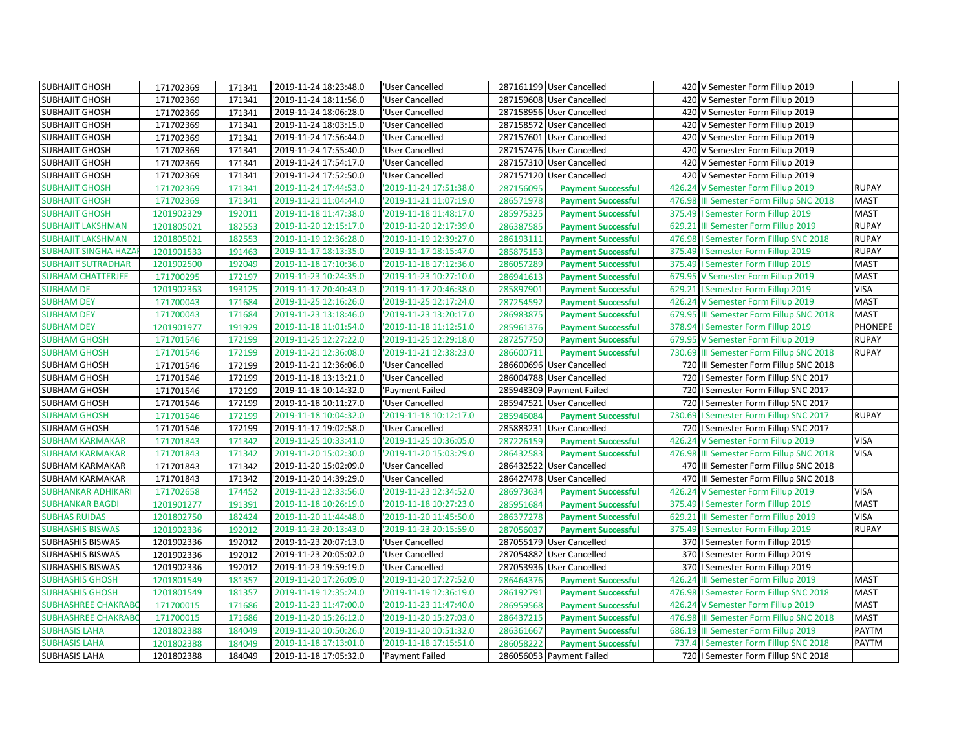| <b>SUBHAJIT GHOSH</b>       | 171702369  | 171341 | '2019-11-24 18:23:48.0 | 'User Cancelled        |           | 287161199 User Cancelled  | 420 V Semester Form Fillup 2019          |                |
|-----------------------------|------------|--------|------------------------|------------------------|-----------|---------------------------|------------------------------------------|----------------|
| <b>SUBHAJIT GHOSH</b>       | 171702369  | 171341 | '2019-11-24 18:11:56.0 | <b>User Cancelled</b>  |           | 287159608 User Cancelled  | 420 V Semester Form Fillup 2019          |                |
| <b>SUBHAJIT GHOSH</b>       | 171702369  | 171341 | '2019-11-24 18:06:28.0 | 'User Cancelled        |           | 287158956 User Cancelled  | 420 V Semester Form Fillup 2019          |                |
| <b>SUBHAJIT GHOSH</b>       | 171702369  | 171341 | '2019-11-24 18:03:15.0 | 'User Cancelled        |           | 287158572 User Cancelled  | 420 V Semester Form Fillup 2019          |                |
| <b>SUBHAJIT GHOSH</b>       | 171702369  | 171341 | '2019-11-24 17:56:44.0 | 'User Cancelled        |           | 287157601 User Cancelled  | 420 V Semester Form Fillup 2019          |                |
| <b>SUBHAJIT GHOSH</b>       | 171702369  | 171341 | '2019-11-24 17:55:40.0 | 'User Cancelled        |           | 287157476 User Cancelled  | 420 V Semester Form Fillup 2019          |                |
| <b>SUBHAJIT GHOSH</b>       | 171702369  | 171341 | '2019-11-24 17:54:17.0 | 'User Cancelled        |           | 287157310 User Cancelled  | 420 V Semester Form Fillup 2019          |                |
| <b>SUBHAJIT GHOSH</b>       | 171702369  | 171341 | '2019-11-24 17:52:50.0 | 'User Cancelled        |           | 287157120 User Cancelled  | 420 V Semester Form Fillup 2019          |                |
| <b>SUBHAJIT GHOSH</b>       | 171702369  | 171341 | '2019-11-24 17:44:53.0 | '2019-11-24 17:51:38.0 | 287156095 | <b>Payment Successful</b> | 426.24 V Semester Form Fillup 2019       | <b>RUPAY</b>   |
| <b>SUBHAJIT GHOSH</b>       | 171702369  | 171341 | '2019-11-21 11:04:44.0 | '2019-11-21 11:07:19.0 | 286571978 | <b>Payment Successful</b> | 476.98 III Semester Form Fillup SNC 2018 | <b>MAST</b>    |
| <b>SUBHAJIT GHOSH</b>       | 1201902329 | 192011 | '2019-11-18 11:47:38.0 | '2019-11-18 11:48:17.0 | 285975325 | <b>Payment Successful</b> | 375.49   Semester Form Fillup 2019       | <b>MAST</b>    |
| <b>SUBHAJIT LAKSHMAN</b>    | 1201805021 | 182553 | '2019-11-20 12:15:17.0 | '2019-11-20 12:17:39.0 | 286387585 | <b>Payment Successful</b> | 629.21 III Semester Form Fillup 2019     | <b>RUPAY</b>   |
| <b>SUBHAJIT LAKSHMAN</b>    | 1201805021 | 182553 | '2019-11-19 12:36:28.0 | '2019-11-19 12:39:27.0 | 286193111 | <b>Payment Successful</b> | 476.98   Semester Form Fillup SNC 2018   | <b>RUPAY</b>   |
| <b>SUBHAJIT SINGHA HAZA</b> | 1201901533 | 191463 | '2019-11-17 18:13:35.0 | '2019-11-17 18:15:47.0 | 285875153 | <b>Payment Successful</b> | 375.49   Semester Form Fillup 2019       | <b>RUPAY</b>   |
| <b>SUBHAJIT SUTRADHAR</b>   | 1201902500 | 192049 | '2019-11-18 17:10:36.0 | '2019-11-18 17:12:36.0 | 286057289 | <b>Payment Successful</b> | 375.49   Semester Form Fillup 2019       | <b>MAST</b>    |
| <b>SUBHAM CHATTERJEE</b>    | 171700295  | 172197 | '2019-11-23 10:24:35.0 | '2019-11-23 10:27:10.0 | 286941613 | <b>Payment Successful</b> | 679.95 V Semester Form Fillup 2019       | <b>MAST</b>    |
| <b>SUBHAM DE</b>            | 1201902363 | 193125 | '2019-11-17 20:40:43.0 | '2019-11-17 20:46:38.0 | 285897901 | <b>Payment Successful</b> | 629.21   Semester Form Fillup 2019       | <b>VISA</b>    |
| <b>SUBHAM DEY</b>           | 171700043  | 171684 | 2019-11-25 12:16:26.0  | '2019-11-25 12:17:24.0 | 287254592 | <b>Payment Successful</b> | 426.24 V Semester Form Fillup 2019       | <b>MAST</b>    |
| <b>SUBHAM DEY</b>           | 171700043  | 171684 | '2019-11-23 13:18:46.0 | 2019-11-23 13:20:17.0  | 286983875 | <b>Payment Successful</b> | 679.95 III Semester Form Fillup SNC 2018 | <b>MAST</b>    |
| <b>SUBHAM DEY</b>           | 1201901977 | 191929 | '2019-11-18 11:01:54.0 | '2019-11-18 11:12:51.0 | 285961376 | <b>Payment Successful</b> | 378.94   Semester Form Fillup 2019       | <b>PHONEPE</b> |
| <b>SUBHAM GHOSH</b>         | 171701546  | 172199 | '2019-11-25 12:27:22.0 | '2019-11-25 12:29:18.0 | 287257750 | <b>Payment Successful</b> | 679.95 V Semester Form Fillup 2019       | <b>RUPAY</b>   |
| <b>SUBHAM GHOSH</b>         | 171701546  | 172199 | '2019-11-21 12:36:08.0 | '2019-11-21 12:38:23.0 | 286600711 | <b>Payment Successful</b> | 730.69 III Semester Form Fillup SNC 2018 | <b>RUPAY</b>   |
| SUBHAM GHOSH                | 171701546  | 172199 | '2019-11-21 12:36:06.0 | 'User Cancelled        |           | 286600696 User Cancelled  | 720 III Semester Form Fillup SNC 2018    |                |
| SUBHAM GHOSH                | 171701546  | 172199 | '2019-11-18 13:13:21.0 | 'User Cancelled        |           | 286004788 User Cancelled  | 720   Semester Form Fillup SNC 2017      |                |
| SUBHAM GHOSH                | 171701546  | 172199 | '2019-11-18 10:14:32.0 | 'Payment Failed        |           | 285948309 Payment Failed  | 720   I Semester Form Fillup SNC 2017    |                |
| SUBHAM GHOSH                | 171701546  | 172199 | 2019-11-18 10:11:27.0  | 'User Cancelled        | 285947521 | <b>User Cancelled</b>     | 720   Semester Form Fillup SNC 2017      |                |
| <b>SUBHAM GHOSH</b>         | 171701546  | 172199 | '2019-11-18 10:04:32.0 | 2019-11-18 10:12:17.0  | 285946084 | <b>Payment Successful</b> | 730.69   Semester Form Fillup SNC 2017   | <b>RUPAY</b>   |
| SUBHAM GHOSH                | 171701546  | 172199 | '2019-11-17 19:02:58.0 | 'User Cancelled        |           | 285883231 User Cancelled  | 720   I Semester Form Fillup SNC 2017    |                |
| <b>SUBHAM KARMAKAR</b>      | 171701843  | 171342 | '2019-11-25 10:33:41.0 | '2019-11-25 10:36:05.0 | 287226159 | <b>Payment Successful</b> | 426.24 V Semester Form Fillup 2019       | <b>VISA</b>    |
| <b>SUBHAM KARMAKAR</b>      | 171701843  | 171342 | '2019-11-20 15:02:30.0 | 2019-11-20 15:03:29.0  | 286432583 | <b>Payment Successful</b> | 476.98 III Semester Form Fillup SNC 2018 | <b>VISA</b>    |
| <b>SUBHAM KARMAKAR</b>      | 171701843  | 171342 | '2019-11-20 15:02:09.0 | 'User Cancelled        |           | 286432522 User Cancelled  | 470 III Semester Form Fillup SNC 2018    |                |
| SUBHAM KARMAKAR             | 171701843  | 171342 | '2019-11-20 14:39:29.0 | 'User Cancelled        |           | 286427478 User Cancelled  | 470 III Semester Form Fillup SNC 2018    |                |
| <b>SUBHANKAR ADHIKARI</b>   | 171702658  | 174452 | '2019-11-23 12:33:56.0 | '2019-11-23 12:34:52.0 | 286973634 | <b>Payment Successful</b> | 426.24 V Semester Form Fillup 2019       | <b>VISA</b>    |
| <b>SUBHANKAR BAGDI</b>      | 1201901277 | 191391 | '2019-11-18 10:26:19.0 | '2019-11-18 10:27:23.0 | 285951684 | <b>Payment Successful</b> | 375.49   Semester Form Fillup 2019       | <b>MAST</b>    |
| <b>SUBHAS RUIDAS</b>        | 1201802750 | 182424 | '2019-11-20 11:44:48.0 | 2019-11-20 11:45:50.0  | 286377278 | <b>Payment Successful</b> | 629.21 III Semester Form Fillup 2019     | <b>VISA</b>    |
| <b>SUBHASHIS BISWAS</b>     | 1201902336 | 192012 | '2019-11-23 20:13:43.0 | '2019-11-23 20:15:59.0 | 287056037 | <b>Payment Successful</b> | 375.49   Semester Form Fillup 2019       | <b>RUPAY</b>   |
| SUBHASHIS BISWAS            | 1201902336 | 192012 | '2019-11-23 20:07:13.0 | 'User Cancelled        |           | 287055179 User Cancelled  | 370   Semester Form Fillup 2019          |                |
| <b>SUBHASHIS BISWAS</b>     | 1201902336 | 192012 | '2019-11-23 20:05:02.0 | 'User Cancelled        |           | 287054882 User Cancelled  | 370   Semester Form Fillup 2019          |                |
| SUBHASHIS BISWAS            | 1201902336 | 192012 | '2019-11-23 19:59:19.0 | 'User Cancelled        |           | 287053936 User Cancelled  | 370   Semester Form Fillup 2019          |                |
| <b>SUBHASHIS GHOSH</b>      | 1201801549 | 181357 | '2019-11-20 17:26:09.0 | '2019-11-20 17:27:52.0 | 286464376 | <b>Payment Successful</b> | 426.24 III Semester Form Fillup 2019     | <b>MAST</b>    |
| <b>SUBHASHIS GHOSH</b>      | 1201801549 | 181357 | '2019-11-19 12:35:24.0 | '2019-11-19 12:36:19.0 | 286192791 | <b>Payment Successful</b> | 476.98   Semester Form Fillup SNC 2018   | <b>MAST</b>    |
| <b>SUBHASHREE CHAKRAB</b>   | 171700015  | 171686 | '2019-11-23 11:47:00.0 | '2019-11-23 11:47:40.0 | 286959568 | <b>Payment Successful</b> | 426.24 V Semester Form Fillup 2019       | <b>MAST</b>    |
| <b>SUBHASHREE CHAKRABC</b>  | 171700015  | 171686 | '2019-11-20 15:26:12.0 | '2019-11-20 15:27:03.0 | 286437215 | <b>Payment Successful</b> | 476.98 III Semester Form Fillup SNC 2018 | <b>MAST</b>    |
| <b>SUBHASIS LAHA</b>        | 1201802388 | 184049 | '2019-11-20 10:50:26.0 | '2019-11-20 10:51:32.0 | 286361667 | <b>Payment Successful</b> | 686.19 III Semester Form Fillup 2019     | <b>PAYTM</b>   |
| <b>SUBHASIS LAHA</b>        | 1201802388 | 184049 | '2019-11-18 17:13:01.0 | '2019-11-18 17:15:51.0 | 286058222 | <b>Payment Successful</b> | 737.4   Semester Form Fillup SNC 2018    | <b>PAYTM</b>   |
| <b>SUBHASIS LAHA</b>        | 1201802388 | 184049 | '2019-11-18 17:05:32.0 | 'Payment Failed        |           | 286056053 Payment Failed  | 720   Semester Form Fillup SNC 2018      |                |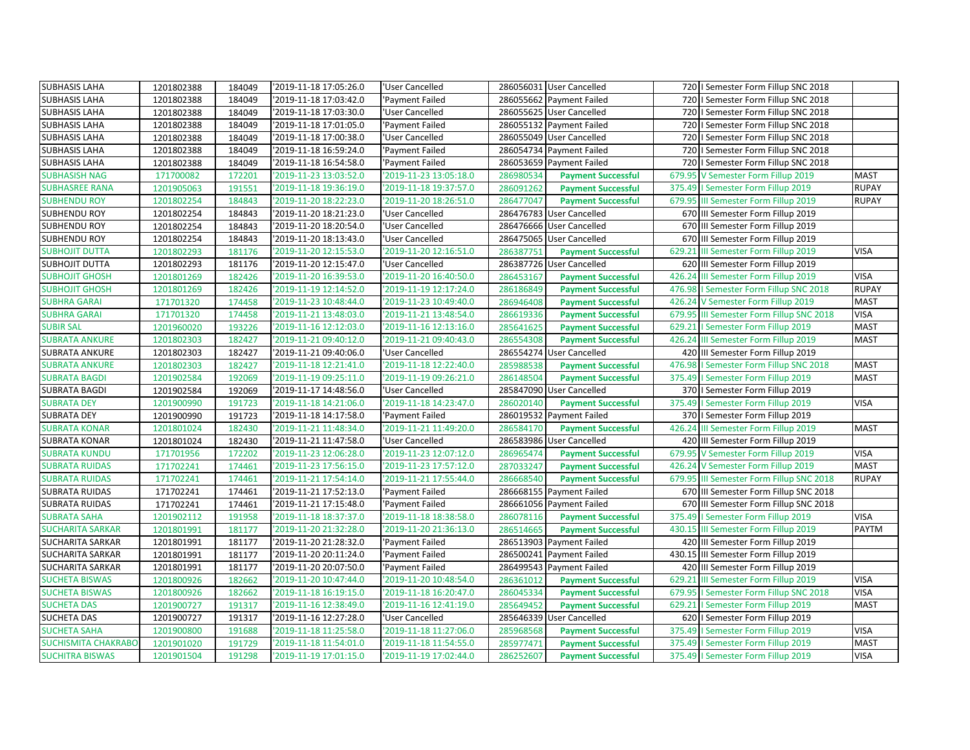| <b>SUBHASIS LAHA</b>       | 1201802388 | 184049 | '2019-11-18 17:05:26.0 | 'User Cancelled        |           | 286056031 User Cancelled  |        | 720   Semester Form Fillup SNC 2018      |              |
|----------------------------|------------|--------|------------------------|------------------------|-----------|---------------------------|--------|------------------------------------------|--------------|
| <b>SUBHASIS LAHA</b>       | 1201802388 | 184049 | '2019-11-18 17:03:42.0 | 'Payment Failed        |           | 286055662 Payment Failed  |        | 720   Semester Form Fillup SNC 2018      |              |
| <b>SUBHASIS LAHA</b>       | 1201802388 | 184049 | '2019-11-18 17:03:30.0 | 'User Cancelled        |           | 286055625 User Cancelled  |        | 720   Semester Form Fillup SNC 2018      |              |
| <b>SUBHASIS LAHA</b>       | 1201802388 | 184049 | '2019-11-18 17:01:05.0 | 'Payment Failed        |           | 286055132 Payment Failed  |        | 720   Semester Form Fillup SNC 2018      |              |
| <b>SUBHASIS LAHA</b>       | 1201802388 | 184049 | 2019-11-18 17:00:38.0  | 'User Cancelled        |           | 286055049 User Cancelled  | 720    | I Semester Form Fillup SNC 2018          |              |
| <b>SUBHASIS LAHA</b>       | 1201802388 | 184049 | '2019-11-18 16:59:24.0 | 'Payment Failed        |           | 286054734 Payment Failed  |        | 720   Semester Form Fillup SNC 2018      |              |
| <b>SUBHASIS LAHA</b>       | 1201802388 | 184049 | 2019-11-18 16:54:58.0  | 'Payment Failed        |           | 286053659 Payment Failed  |        | 720   Semester Form Fillup SNC 2018      |              |
| <b>SUBHASISH NAG</b>       | 171700082  | 172201 | '2019-11-23 13:03:52.0 | '2019-11-23 13:05:18.0 | 286980534 | <b>Payment Successful</b> |        | 679.95 V Semester Form Fillup 2019       | <b>MAST</b>  |
| <b>SUBHASREE RANA</b>      | 1201905063 | 191551 | 2019-11-18 19:36:19.0  | 2019-11-18 19:37:57.0  | 286091262 | <b>Payment Successful</b> |        | 375.49   Semester Form Fillup 2019       | <b>RUPAY</b> |
| <b>SUBHENDU ROY</b>        | 1201802254 | 184843 | '2019-11-20 18:22:23.0 | '2019-11-20 18:26:51.0 | 286477047 | <b>Payment Successful</b> | 679.95 | III Semester Form Fillup 2019            | <b>RUPAY</b> |
| <b>SUBHENDU ROY</b>        | 1201802254 | 184843 | '2019-11-20 18:21:23.0 | 'User Cancelled        |           | 286476783 User Cancelled  |        | 670 III Semester Form Fillup 2019        |              |
| <b>SUBHENDU ROY</b>        | 1201802254 | 184843 | '2019-11-20 18:20:54.0 | 'User Cancelled        |           | 286476666 User Cancelled  |        | 670 III Semester Form Fillup 2019        |              |
| <b>SUBHENDU ROY</b>        | 1201802254 | 184843 | 2019-11-20 18:13:43.0  | 'User Cancelled        |           | 286475065 User Cancelled  |        | 670 III Semester Form Fillup 2019        |              |
| <b>SUBHOJIT DUTTA</b>      | 1201802293 | 181176 | '2019-11-20 12:15:53.0 | '2019-11-20 12:16:51.0 | 286387751 | <b>Payment Successful</b> |        | 629.21 III Semester Form Fillup 2019     | <b>VISA</b>  |
| <b>SUBHOJIT DUTTA</b>      | 1201802293 | 181176 | '2019-11-20 12:15:47.0 | 'User Cancelled        |           | 286387726 User Cancelled  |        | 620 III Semester Form Fillup 2019        |              |
| <b>SUBHOJIT GHOSH</b>      | 1201801269 | 182426 | '2019-11-20 16:39:53.0 | '2019-11-20 16:40:50.0 | 286453167 | <b>Payment Successful</b> | 426.24 | III Semester Form Fillup 2019            | <b>VISA</b>  |
| <b>SUBHOJIT GHOSH</b>      | 1201801269 | 182426 | '2019-11-19 12:14:52.0 | '2019-11-19 12:17:24.0 | 286186849 | <b>Payment Successful</b> |        | 476.98   Semester Form Fillup SNC 2018   | <b>RUPAY</b> |
| <b>SUBHRA GARAI</b>        | 171701320  | 174458 | '2019-11-23 10:48:44.0 | '2019-11-23 10:49:40.0 | 286946408 | <b>Payment Successful</b> |        | 426.24 V Semester Form Fillup 2019       | <b>MAST</b>  |
| <b>SUBHRA GARAI</b>        | 171701320  | 174458 | '2019-11-21 13:48:03.0 | '2019-11-21 13:48:54.0 | 286619336 | <b>Payment Successful</b> |        | 679.95 III Semester Form Fillup SNC 2018 | <b>VISA</b>  |
| <b>SUBIR SAL</b>           | 1201960020 | 193226 | '2019-11-16 12:12:03.0 | '2019-11-16 12:13:16.0 | 285641625 | <b>Payment Successful</b> |        | 629.21   Semester Form Fillup 2019       | <b>MAST</b>  |
| <b>SUBRATA ANKURE</b>      | 1201802303 | 182427 | '2019-11-21 09:40:12.0 | '2019-11-21 09:40:43.0 | 286554308 | <b>Payment Successful</b> |        | 426.24 III Semester Form Fillup 2019     | <b>MAST</b>  |
| <b>SUBRATA ANKURE</b>      | 1201802303 | 182427 | '2019-11-21 09:40:06.0 | 'User Cancelled        |           | 286554274 User Cancelled  |        | 420 III Semester Form Fillup 2019        |              |
| <b>SUBRATA ANKURE</b>      | 1201802303 | 182427 | '2019-11-18 12:21:41.0 | '2019-11-18 12:22:40.0 | 285988538 | <b>Payment Successful</b> | 476.98 | I Semester Form Fillup SNC 2018          | <b>MAST</b>  |
| <b>SUBRATA BAGDI</b>       | 1201902584 | 192069 | '2019-11-19 09:25:11.0 | '2019-11-19 09:26:21.0 | 286148504 | <b>Payment Successful</b> |        | 375.49   Semester Form Fillup 2019       | <b>MAST</b>  |
| <b>SUBRATA BAGDI</b>       | 1201902584 | 192069 | '2019-11-17 14:48:56.0 | 'User Cancelled        |           | 285847090 User Cancelled  |        | 370   Semester Form Fillup 2019          |              |
| <b>SUBRATA DEY</b>         | 1201900990 | 191723 | '2019-11-18 14:21:06.0 | '2019-11-18 14:23:47.0 | 286020140 | <b>Payment Successful</b> |        | 375.49   Semester Form Fillup 2019       | <b>VISA</b>  |
| <b>SUBRATA DEY</b>         | 1201900990 | 191723 | '2019-11-18 14:17:58.0 | 'Payment Failed        |           | 286019532 Payment Failed  |        | 370   Semester Form Fillup 2019          |              |
| <b>SUBRATA KONAR</b>       | 1201801024 | 182430 | '2019-11-21 11:48:34.0 | '2019-11-21 11:49:20.0 | 286584170 | <b>Payment Successful</b> |        | 426.24 III Semester Form Fillup 2019     | <b>MAST</b>  |
| <b>SUBRATA KONAR</b>       | 1201801024 | 182430 | '2019-11-21 11:47:58.0 | 'User Cancelled        |           | 286583986 User Cancelled  |        | 420 III Semester Form Fillup 2019        |              |
| <b>SUBRATA KUNDU</b>       | 171701956  | 172202 | '2019-11-23 12:06:28.0 | '2019-11-23 12:07:12.0 | 286965474 | <b>Payment Successful</b> |        | 679.95 V Semester Form Fillup 2019       | <b>VISA</b>  |
| <b>SUBRATA RUIDAS</b>      | 171702241  | 174461 | '2019-11-23 17:56:15.0 | '2019-11-23 17:57:12.0 | 287033247 | <b>Payment Successful</b> |        | 426.24 V Semester Form Fillup 2019       | <b>MAST</b>  |
| <b>SUBRATA RUIDAS</b>      | 171702241  | 174461 | '2019-11-21 17:54:14.0 | '2019-11-21 17:55:44.0 | 286668540 | <b>Payment Successful</b> |        | 679.95 III Semester Form Fillup SNC 2018 | <b>RUPAY</b> |
| <b>SUBRATA RUIDAS</b>      | 171702241  | 174461 | '2019-11-21 17:52:13.0 | 'Payment Failed        |           | 286668155 Payment Failed  |        | 670 III Semester Form Fillup SNC 2018    |              |
| <b>SUBRATA RUIDAS</b>      | 171702241  | 174461 | '2019-11-21 17:15:48.0 | 'Payment Failed        |           | 286661056 Payment Failed  |        | 670 III Semester Form Fillup SNC 2018    |              |
| <b>SUBRATA SAHA</b>        | 1201902112 | 191958 | 2019-11-18 18:37:37.0  | '2019-11-18 18:38:58.0 | 286078116 | <b>Payment Successful</b> |        | 375.49   Semester Form Fillup 2019       | <b>VISA</b>  |
| <b>SUCHARITA SARKAR</b>    | 1201801991 | 181177 | '2019-11-20 21:32:28.0 | '2019-11-20 21:36:13.0 | 286514665 | <b>Payment Successful</b> |        | 430.15 III Semester Form Fillup 2019     | PAYTM        |
| <b>SUCHARITA SARKAR</b>    | 1201801991 | 181177 | '2019-11-20 21:28:32.0 | 'Payment Failed        |           | 286513903 Payment Failed  |        | 420 III Semester Form Fillup 2019        |              |
| <b>SUCHARITA SARKAR</b>    | 1201801991 | 181177 | 2019-11-20 20:11:24.0  | 'Payment Failed        |           | 286500241 Payment Failed  |        | 430.15 III Semester Form Fillup 2019     |              |
| <b>SUCHARITA SARKAR</b>    | 1201801991 | 181177 | '2019-11-20 20:07:50.0 | 'Payment Failed        |           | 286499543 Payment Failed  |        | 420 III Semester Form Fillup 2019        |              |
| <b>SUCHETA BISWAS</b>      | 1201800926 | 182662 | '2019-11-20 10:47:44.0 | '2019-11-20 10:48:54.0 | 286361012 | <b>Payment Successful</b> |        | 629.21 III Semester Form Fillup 2019     | <b>VISA</b>  |
| <b>SUCHETA BISWAS</b>      | 1201800926 | 182662 | '2019-11-18 16:19:15.0 | '2019-11-18 16:20:47.0 | 286045334 | <b>Payment Successful</b> |        | 679.95   Semester Form Fillup SNC 2018   | <b>VISA</b>  |
| <b>SUCHETA DAS</b>         | 1201900727 | 191317 | '2019-11-16 12:38:49.0 | '2019-11-16 12:41:19.0 | 285649452 | <b>Payment Successful</b> |        | 629.21   Semester Form Fillup 2019       | <b>MAST</b>  |
| <b>SUCHETA DAS</b>         | 1201900727 | 191317 | '2019-11-16 12:27:28.0 | 'User Cancelled        |           | 285646339 User Cancelled  |        | 620   Semester Form Fillup 2019          |              |
| <b>SUCHETA SAHA</b>        | 1201900800 | 191688 | '2019-11-18 11:25:58.0 | '2019-11-18 11:27:06.0 | 285968568 | <b>Payment Successful</b> |        | 375.49   Semester Form Fillup 2019       | <b>VISA</b>  |
| <b>SUCHISMITA CHAKRABO</b> | 1201901020 | 191729 | '2019-11-18 11:54:01.0 | '2019-11-18 11:54:55.0 | 285977471 | <b>Payment Successful</b> |        | 375.49   Semester Form Fillup 2019       | <b>MAST</b>  |
| <b>SUCHITRA BISWAS</b>     | 1201901504 | 191298 | '2019-11-19 17:01:15.0 | '2019-11-19 17:02:44.0 | 286252607 | <b>Payment Successful</b> |        | 375.49   Semester Form Fillup 2019       | <b>VISA</b>  |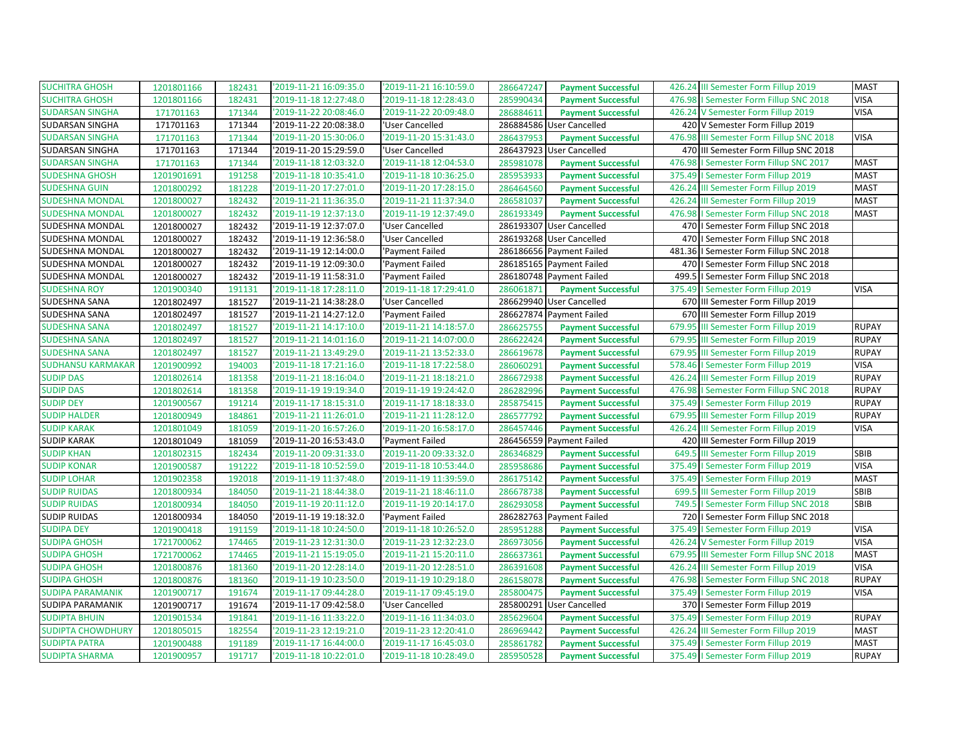| <b>SUCHITRA GHOSH</b>    | 1201801166 | 182431 | '2019-11-21 16:09:35.0 | '2019-11-21 16:10:59.0 | 286647247 | <b>Payment Successful</b> |        | 426.24 III Semester Form Fillup 2019   | <b>MAST</b>  |
|--------------------------|------------|--------|------------------------|------------------------|-----------|---------------------------|--------|----------------------------------------|--------------|
| <b>SUCHITRA GHOSH</b>    | 1201801166 | 182431 | '2019-11-18 12:27:48.0 | '2019-11-18 12:28:43.0 | 285990434 | <b>Payment Successful</b> |        | 476.98   Semester Form Fillup SNC 2018 | <b>VISA</b>  |
| <b>SUDARSAN SINGHA</b>   | 171701163  | 171344 | '2019-11-22 20:08:46.0 | '2019-11-22 20:09:48.0 | 286884611 | <b>Payment Successful</b> |        | 426.24 V Semester Form Fillup 2019     | <b>VISA</b>  |
| SUDARSAN SINGHA          | 171701163  | 171344 | '2019-11-22 20:08:38.0 | 'User Cancelled        |           | 286884586 User Cancelled  |        | 420 V Semester Form Fillup 2019        |              |
| <b>SUDARSAN SINGHA</b>   | 171701163  | 171344 | '2019-11-20 15:30:06.0 | '2019-11-20 15:31:43.0 | 286437953 | <b>Payment Successful</b> | 476.98 | III Semester Form Fillup SNC 2018      | <b>VISA</b>  |
| SUDARSAN SINGHA          | 171701163  | 171344 | '2019-11-20 15:29:59.0 | 'User Cancelled        |           | 286437923 User Cancelled  |        | 470 III Semester Form Fillup SNC 2018  |              |
| <b>SUDARSAN SINGHA</b>   | 171701163  | 171344 | '2019-11-18 12:03:32.0 | 2019-11-18 12:04:53.0  | 285981078 | <b>Payment Successful</b> | 476.98 | I Semester Form Fillup SNC 2017        | <b>MAST</b>  |
| <b>SUDESHNA GHOSH</b>    | 1201901691 | 191258 | '2019-11-18 10:35:41.0 | '2019-11-18 10:36:25.0 | 285953933 | <b>Payment Successful</b> |        | 375.49   Semester Form Fillup 2019     | <b>MAST</b>  |
| <b>SUDESHNA GUIN</b>     | 1201800292 | 181228 | '2019-11-20 17:27:01.0 | '2019-11-20 17:28:15.0 | 286464560 | <b>Payment Successful</b> | 426.24 | III Semester Form Fillup 2019          | <b>MAST</b>  |
| <b>SUDESHNA MONDAL</b>   | 1201800027 | 182432 | '2019-11-21 11:36:35.0 | '2019-11-21 11:37:34.0 | 286581037 | <b>Payment Successful</b> | 426.24 | III Semester Form Fillup 2019          | <b>MAST</b>  |
| <b>SUDESHNA MONDAL</b>   | 1201800027 | 182432 | '2019-11-19 12:37:13.0 | '2019-11-19 12:37:49.0 | 286193349 | <b>Payment Successful</b> |        | 476.98   Semester Form Fillup SNC 2018 | <b>MAST</b>  |
| SUDESHNA MONDAL          | 1201800027 | 182432 | '2019-11-19 12:37:07.0 | 'User Cancelled        |           | 286193307 User Cancelled  |        | 470   I Semester Form Fillup SNC 2018  |              |
| SUDESHNA MONDAL          | 1201800027 | 182432 | '2019-11-19 12:36:58.0 | 'User Cancelled        | 286193268 | <b>User Cancelled</b>     | 470    | I Semester Form Fillup SNC 2018        |              |
| <b>SUDESHNA MONDAL</b>   | 1201800027 | 182432 | '2019-11-19 12:14:00.0 | 'Payment Failed        |           | 286186656 Payment Failed  |        | 481.36   Semester Form Fillup SNC 2018 |              |
| <b>SUDESHNA MONDAL</b>   | 1201800027 | 182432 | '2019-11-19 12:09:30.0 | 'Payment Failed        |           | 286185165 Payment Failed  |        | 470   Semester Form Fillup SNC 2018    |              |
| SUDESHNA MONDAL          | 1201800027 | 182432 | '2019-11-19 11:58:31.0 | 'Payment Failed        |           | 286180748 Payment Failed  |        | 499.5   Semester Form Fillup SNC 2018  |              |
| <b>SUDESHNA ROY</b>      | 1201900340 | 191131 | '2019-11-18 17:28:11.0 | '2019-11-18 17:29:41.0 | 286061871 | <b>Payment Successful</b> | 375.49 | I Semester Form Fillup 2019            | <b>VISA</b>  |
| SUDESHNA SANA            | 1201802497 | 181527 | '2019-11-21 14:38:28.0 | 'User Cancelled        |           | 286629940 User Cancelled  |        | 670 III Semester Form Fillup 2019      |              |
| SUDESHNA SANA            | 1201802497 | 181527 | '2019-11-21 14:27:12.0 | 'Payment Failed        |           | 286627874 Payment Failed  |        | 670 III Semester Form Fillup 2019      |              |
| <b>SUDESHNA SANA</b>     | 1201802497 | 181527 | '2019-11-21 14:17:10.0 | '2019-11-21 14:18:57.0 | 286625755 | <b>Payment Successful</b> |        | 679.95 III Semester Form Fillup 2019   | <b>RUPAY</b> |
| <b>SUDESHNA SANA</b>     | 1201802497 | 181527 | '2019-11-21 14:01:16.0 | '2019-11-21 14:07:00.0 | 286622424 | <b>Payment Successful</b> |        | 679.95 III Semester Form Fillup 2019   | <b>RUPAY</b> |
| <b>SUDESHNA SANA</b>     | 1201802497 | 181527 | '2019-11-21 13:49:29.0 | '2019-11-21 13:52:33.0 | 286619678 | <b>Payment Successful</b> | 679.95 | III Semester Form Fillup 2019          | <b>RUPAY</b> |
| <b>SUDHANSU KARMAKAR</b> | 1201900992 | 194003 | '2019-11-18 17:21:16.0 | '2019-11-18 17:22:58.0 | 286060291 | <b>Payment Successful</b> |        | 578.46   Semester Form Fillup 2019     | <b>VISA</b>  |
| <b>SUDIP DAS</b>         | 1201802614 | 181358 | '2019-11-21 18:16:04.0 | '2019-11-21 18:18:21.0 | 286672938 | <b>Payment Successful</b> |        | 426.24 III Semester Form Fillup 2019   | <b>RUPAY</b> |
| <b>SUDIP DAS</b>         | 1201802614 | 181358 | '2019-11-19 19:19:34.0 | '2019-11-19 19:24:42.0 | 286282996 | <b>Payment Successful</b> |        | 476.98   Semester Form Fillup SNC 2018 | <b>RUPAY</b> |
| <b>SUDIP DEY</b>         | 1201900567 | 191214 | '2019-11-17 18:15:31.0 | '2019-11-17 18:18:33.0 | 285875415 | <b>Payment Successful</b> | 375.49 | I Semester Form Fillup 2019            | <b>RUPAY</b> |
| <b>SUDIP HALDER</b>      | 1201800949 | 184861 | '2019-11-21 11:26:01.0 | '2019-11-21 11:28:12.0 | 286577792 | <b>Payment Successful</b> |        | 679.95 III Semester Form Fillup 2019   | <b>RUPAY</b> |
| <b>SUDIP KARAK</b>       | 1201801049 | 181059 | '2019-11-20 16:57:26.0 | '2019-11-20 16:58:17.0 | 286457446 | <b>Payment Successful</b> | 426.24 | III Semester Form Fillup 2019          | <b>VISA</b>  |
| <b>SUDIP KARAK</b>       | 1201801049 | 181059 | '2019-11-20 16:53:43.0 | 'Payment Failed        |           | 286456559 Payment Failed  |        | 420 III Semester Form Fillup 2019      |              |
| <b>SUDIP KHAN</b>        | 1201802315 | 182434 | '2019-11-20 09:31:33.0 | '2019-11-20 09:33:32.0 | 286346829 | <b>Payment Successful</b> | 649.5  | III Semester Form Fillup 2019          | <b>SBIB</b>  |
| <b>SUDIP KONAR</b>       | 1201900587 | 191222 | '2019-11-18 10:52:59.0 | '2019-11-18 10:53:44.0 | 285958686 | <b>Payment Successful</b> |        | 375.49   Semester Form Fillup 2019     | <b>VISA</b>  |
| <b>SUDIP LOHAR</b>       | 1201902358 | 192018 | '2019-11-19 11:37:48.0 | '2019-11-19 11:39:59.0 | 286175142 | <b>Payment Successful</b> |        | 375.49   Semester Form Fillup 2019     | <b>MAST</b>  |
| <b>SUDIP RUIDAS</b>      | 1201800934 | 184050 | '2019-11-21 18:44:38.0 | '2019-11-21 18:46:11.0 | 286678738 | <b>Payment Successful</b> | 699.5  | III Semester Form Fillup 2019          | SBIB         |
| <b>SUDIP RUIDAS</b>      | 1201800934 | 184050 | '2019-11-19 20:11:12.0 | '2019-11-19 20:14:17.0 | 286293058 | <b>Payment Successful</b> | 749.5  | I Semester Form Fillup SNC 2018        | <b>SBIB</b>  |
| <b>SUDIP RUIDAS</b>      | 1201800934 | 184050 | '2019-11-19 19:18:32.0 | 'Payment Failed        |           | 286282763 Payment Failed  |        | 720   Semester Form Fillup SNC 2018    |              |
| <b>SUDIPA DEY</b>        | 1201900418 | 191159 | '2019-11-18 10:24:50.0 | '2019-11-18 10:26:52.0 | 285951288 | <b>Payment Successful</b> | 375.49 | I Semester Form Fillup 2019            | <b>VISA</b>  |
| <b>SUDIPA GHOSH</b>      | 1721700062 | 174465 | '2019-11-23 12:31:30.0 | '2019-11-23 12:32:23.0 | 286973056 | <b>Payment Successful</b> |        | 426.24 V Semester Form Fillup 2019     | <b>VISA</b>  |
| <b>SUDIPA GHOSH</b>      | 1721700062 | 174465 | '2019-11-21 15:19:05.0 | '2019-11-21 15:20:11.0 | 286637361 | <b>Payment Successful</b> | 679.95 | III Semester Form Fillup SNC 2018      | <b>MAST</b>  |
| <b>SUDIPA GHOSH</b>      | 1201800876 | 181360 | '2019-11-20 12:28:14.0 | '2019-11-20 12:28:51.0 | 286391608 | <b>Payment Successful</b> |        | 426.24 III Semester Form Fillup 2019   | <b>VISA</b>  |
| <b>SUDIPA GHOSH</b>      | 1201800876 | 181360 | '2019-11-19 10:23:50.0 | '2019-11-19 10:29:18.0 | 286158078 | <b>Payment Successful</b> |        | 476.98   Semester Form Fillup SNC 2018 | <b>RUPAY</b> |
| <b>SUDIPA PARAMANIK</b>  | 1201900717 | 191674 | '2019-11-17 09:44:28.0 | '2019-11-17 09:45:19.0 | 285800475 | <b>Payment Successful</b> |        | 375.49   Semester Form Fillup 2019     | <b>VISA</b>  |
| SUDIPA PARAMANIK         | 1201900717 | 191674 | '2019-11-17 09:42:58.0 | 'User Cancelled        | 285800291 | <b>User Cancelled</b>     |        | 370   Semester Form Fillup 2019        |              |
| <b>SUDIPTA BHUIN</b>     | 1201901534 | 191841 | '2019-11-16 11:33:22.0 | '2019-11-16 11:34:03.0 | 285629604 | <b>Payment Successful</b> |        | 375.49   Semester Form Fillup 2019     | <b>RUPAY</b> |
| <b>SUDIPTA CHOWDHURY</b> | 1201805015 | 182554 | '2019-11-23 12:19:21.0 | '2019-11-23 12:20:41.0 | 286969442 | <b>Payment Successful</b> | 426.24 | III Semester Form Fillup 2019          | <b>MAST</b>  |
| <b>SUDIPTA PATRA</b>     | 1201900488 | 191189 | '2019-11-17 16:44:00.0 | '2019-11-17 16:45:03.0 | 285861782 | <b>Payment Successful</b> |        | 375.49   Semester Form Fillup 2019     | <b>MAST</b>  |
| <b>SUDIPTA SHARMA</b>    | 1201900957 | 191717 | '2019-11-18 10:22:01.0 | '2019-11-18 10:28:49.0 | 285950528 | <b>Payment Successful</b> |        | 375.49   Semester Form Fillup 2019     | <b>RUPAY</b> |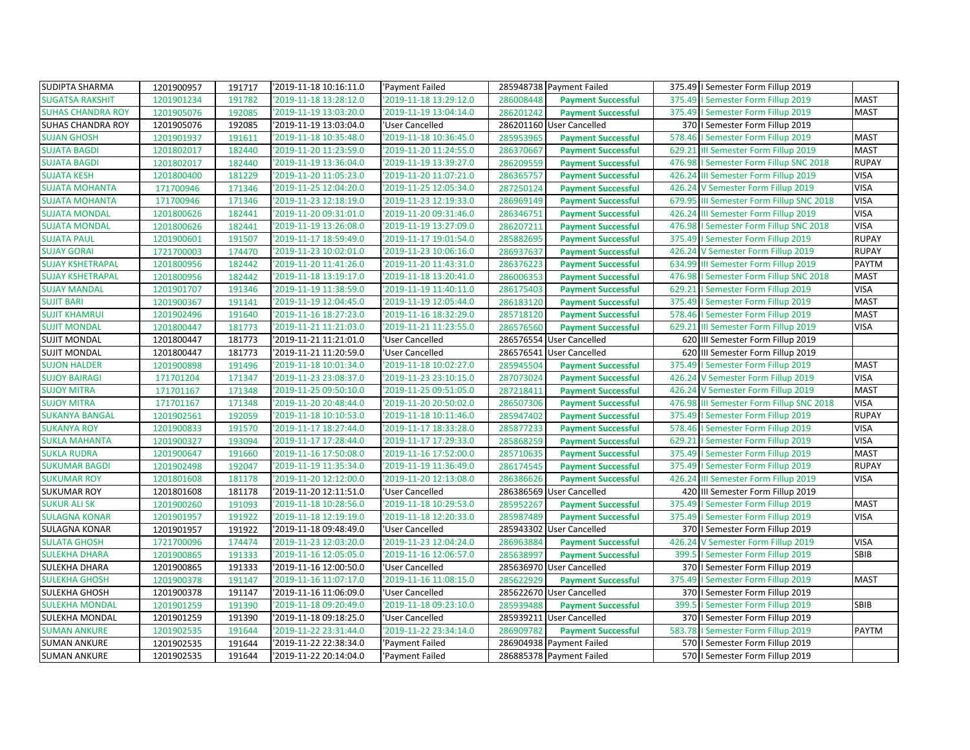| <b>SUDIPTA SHARMA</b>    | 1201900957 | 191717 | '2019-11-18 10:16:11.0 | 'Payment Failed        |           | 285948738 Payment Failed  |        | 375.49   Semester Form Fillup 2019       |              |
|--------------------------|------------|--------|------------------------|------------------------|-----------|---------------------------|--------|------------------------------------------|--------------|
| <b>SUGATSA RAKSHIT</b>   | 1201901234 | 191782 | '2019-11-18 13:28:12.0 | '2019-11-18 13:29:12.0 | 286008448 | <b>Payment Successful</b> |        | 375.49   Semester Form Fillup 2019       | <b>MAST</b>  |
| <b>SUHAS CHANDRA ROY</b> | 1201905076 | 192085 | '2019-11-19 13:03:20.0 | '2019-11-19 13:04:14.0 | 286201242 | <b>Payment Successful</b> |        | 375.49   Semester Form Fillup 2019       | <b>MAST</b>  |
| SUHAS CHANDRA ROY        | 1201905076 | 192085 | '2019-11-19 13:03:04.0 | 'User Cancelled        |           | 286201160 User Cancelled  |        | 370   Semester Form Fillup 2019          |              |
| <b>SUJAN GHOSH</b>       | 1201901937 | 191611 | '2019-11-18 10:35:48.0 | '2019-11-18 10:36:45.0 | 285953965 | <b>Payment Successful</b> | 578.46 | I Semester Form Fillup 2019              | <b>MAST</b>  |
| <b>SUJATA BAGDI</b>      | 1201802017 | 182440 | '2019-11-20 11:23:59.0 | '2019-11-20 11:24:55.0 | 286370667 | <b>Payment Successful</b> |        | 629.21 III Semester Form Fillup 2019     | <b>MAST</b>  |
| <b>SUJATA BAGDI</b>      | 1201802017 | 182440 | '2019-11-19 13:36:04.0 | '2019-11-19 13:39:27.0 | 286209559 | <b>Payment Successful</b> |        | 476.98   Semester Form Fillup SNC 2018   | <b>RUPAY</b> |
| <b>SUJATA KESH</b>       | 1201800400 | 181229 | '2019-11-20 11:05:23.0 | '2019-11-20 11:07:21.0 | 286365757 | <b>Payment Successful</b> |        | 426.24 III Semester Form Fillup 2019     | <b>VISA</b>  |
| <b>SUJATA MOHANTA</b>    | 171700946  | 171346 | '2019-11-25 12:04:20.0 | '2019-11-25 12:05:34.0 | 287250124 | <b>Payment Successful</b> | 426.24 | V Semester Form Fillup 2019              | <b>VISA</b>  |
| <b>SUJATA MOHANTA</b>    | 171700946  | 171346 | '2019-11-23 12:18:19.0 | '2019-11-23 12:19:33.0 | 286969149 | <b>Payment Successful</b> |        | 679.95 III Semester Form Fillup SNC 2018 | <b>VISA</b>  |
| <b>SUJATA MONDAL</b>     | 1201800626 | 182441 | '2019-11-20 09:31:01.0 | '2019-11-20 09:31:46.0 | 286346751 | <b>Payment Successful</b> |        | 426.24 III Semester Form Fillup 2019     | <b>VISA</b>  |
| <b>SUJATA MONDAL</b>     | 1201800626 | 182441 | '2019-11-19 13:26:08.0 | '2019-11-19 13:27:09.0 | 286207211 | <b>Payment Successful</b> |        | 476.98   Semester Form Fillup SNC 2018   | <b>VISA</b>  |
| <b>SUJATA PAUL</b>       | 1201900601 | 191507 | '2019-11-17 18:59:49.0 | '2019-11-17 19:01:54.0 | 285882695 | <b>Payment Successful</b> | 375.49 | I Semester Form Fillup 2019              | <b>RUPAY</b> |
| <b>SUJAY GORAI</b>       | 1721700003 | 174470 | '2019-11-23 10:02:01.0 | '2019-11-23 10:06:16.0 | 286937637 | <b>Payment Successful</b> |        | 426.24 V Semester Form Fillup 2019       | <b>RUPAY</b> |
| <b>SUJAY KSHETRAPAL</b>  | 1201800956 | 182442 | '2019-11-20 11:41:26.0 | '2019-11-20 11:43:31.0 | 286376223 | <b>Payment Successful</b> |        | 634.99 III Semester Form Fillup 2019     | PAYTM        |
| <b>SUJAY KSHETRAPAL</b>  | 1201800956 | 182442 | '2019-11-18 13:19:17.0 | '2019-11-18 13:20:41.0 | 286006353 | <b>Payment Successful</b> |        | 476.98   Semester Form Fillup SNC 2018   | <b>MAST</b>  |
| <b>SUJAY MANDAL</b>      | 1201901707 | 191346 | '2019-11-19 11:38:59.0 | '2019-11-19 11:40:11.0 | 286175403 | <b>Payment Successful</b> | 629.21 | I Semester Form Fillup 2019              | <b>VISA</b>  |
| <b>SUJIT BARI</b>        | 1201900367 | 191141 | '2019-11-19 12:04:45.0 | '2019-11-19 12:05:44.0 | 286183120 | <b>Payment Successful</b> |        | 375.49   Semester Form Fillup 2019       | <b>MAST</b>  |
| <b>SUJIT KHAMRUI</b>     | 1201902496 | 191640 | '2019-11-16 18:27:23.0 | '2019-11-16 18:32:29.0 | 285718120 | <b>Payment Successful</b> |        | 578.46   Semester Form Fillup 2019       | <b>MAST</b>  |
| <b>SUJIT MONDAL</b>      | 1201800447 | 181773 | '2019-11-21 11:21:03.0 | '2019-11-21 11:23:55.0 | 286576560 | <b>Payment Successful</b> |        | 629.21 III Semester Form Fillup 2019     | <b>VISA</b>  |
| <b>SUJIT MONDAL</b>      | 1201800447 | 181773 | '2019-11-21 11:21:01.0 | 'User Cancelled        |           | 286576554 User Cancelled  |        | 620 III Semester Form Fillup 2019        |              |
| <b>SUJIT MONDAL</b>      | 1201800447 | 181773 | '2019-11-21 11:20:59.0 | 'User Cancelled        |           | 286576541 User Cancelled  |        | 620 III Semester Form Fillup 2019        |              |
| <b>SUJON HALDER</b>      | 1201900898 | 191496 | '2019-11-18 10:01:34.0 | '2019-11-18 10:02:27.0 | 285945504 | <b>Payment Successful</b> | 375.49 | I Semester Form Fillup 2019              | <b>MAST</b>  |
| <b>SUJOY BAIRAGI</b>     | 171701204  | 171347 | '2019-11-23 23:08:37.0 | '2019-11-23 23:10:15.0 | 287073024 | <b>Payment Successful</b> |        | 426.24 V Semester Form Fillup 2019       | <b>VISA</b>  |
| <b>SUJOY MITRA</b>       | 171701167  | 171348 | '2019-11-25 09:50:10.0 | '2019-11-25 09:51:05.0 | 287218411 | <b>Payment Successful</b> |        | 426.24 V Semester Form Fillup 2019       | <b>MAST</b>  |
| <b>SUJOY MITRA</b>       | 171701167  | 171348 | '2019-11-20 20:48:44.0 | '2019-11-20 20:50:02.0 | 286507306 | <b>Payment Successful</b> | 476.98 | III Semester Form Fillup SNC 2018        | <b>VISA</b>  |
| <b>SUKANYA BANGAL</b>    | 1201902561 | 192059 | '2019-11-18 10:10:53.0 | '2019-11-18 10:11:46.0 | 285947402 | <b>Payment Successful</b> |        | 375.49   Semester Form Fillup 2019       | <b>RUPAY</b> |
| <b>SUKANYA ROY</b>       | 1201900833 | 191570 | '2019-11-17 18:27:44.0 | '2019-11-17 18:33:28.0 | 285877233 | <b>Payment Successful</b> |        | 578.46   Semester Form Fillup 2019       | <b>VISA</b>  |
| <b>SUKLA MAHANTA</b>     | 1201900327 | 193094 | '2019-11-17 17:28:44.0 | '2019-11-17 17:29:33.0 | 285868259 | <b>Payment Successful</b> |        | 629.21   Semester Form Fillup 2019       | <b>VISA</b>  |
| <b>SUKLA RUDRA</b>       | 1201900647 | 191660 | '2019-11-16 17:50:08.0 | '2019-11-16 17:52:00.0 | 285710635 | <b>Payment Successful</b> |        | 375.49   Semester Form Fillup 2019       | <b>MAST</b>  |
| <b>SUKUMAR BAGDI</b>     | 1201902498 | 192047 | '2019-11-19 11:35:34.0 | '2019-11-19 11:36:49.0 | 286174545 | <b>Payment Successful</b> |        | 375.49   Semester Form Fillup 2019       | <b>RUPAY</b> |
| <b>SUKUMAR ROY</b>       | 1201801608 | 181178 | '2019-11-20 12:12:00.0 | '2019-11-20 12:13:08.0 | 286386626 | <b>Payment Successful</b> |        | 426.24 III Semester Form Fillup 2019     | <b>VISA</b>  |
| <b>SUKUMAR ROY</b>       | 1201801608 | 181178 | '2019-11-20 12:11:51.0 | 'User Cancelled        |           | 286386569 User Cancelled  |        | 420 III Semester Form Fillup 2019        |              |
| <b>SUKUR ALI SK</b>      | 1201900260 | 191093 | '2019-11-18 10:28:56.0 | 2019-11-18 10:29:53.0  | 285952267 | <b>Payment Successful</b> | 375.49 | I Semester Form Fillup 2019              | <b>MAST</b>  |
| <b>SULAGNA KONAR</b>     | 1201901957 | 191922 | '2019-11-18 12:19:19.0 | '2019-11-18 12:20:33.0 | 285987489 | <b>Payment Successful</b> |        | 375.49   Semester Form Fillup 2019       | <b>VISA</b>  |
| <b>SULAGNA KONAR</b>     | 1201901957 | 191922 | '2019-11-18 09:48:49.0 | 'User Cancelled        |           | 285943302 User Cancelled  |        | 370   Semester Form Fillup 2019          |              |
| <b>SULATA GHOSH</b>      | 1721700096 | 174474 | '2019-11-23 12:03:20.0 | '2019-11-23 12:04:24.0 | 286963884 | <b>Payment Successful</b> | 426.24 | V Semester Form Fillup 2019              | <b>VISA</b>  |
| <b>SULEKHA DHARA</b>     | 1201900865 | 191333 | '2019-11-16 12:05:05.0 | '2019-11-16 12:06:57.0 | 285638997 | <b>Payment Successful</b> | 399.5  | I Semester Form Fillup 2019              | <b>SBIB</b>  |
| SULEKHA DHARA            | 1201900865 | 191333 | '2019-11-16 12:00:50.0 | 'User Cancelled        |           | 285636970 User Cancelled  |        | 370   Semester Form Fillup 2019          |              |
| <b>SULEKHA GHOSH</b>     | 1201900378 | 191147 | '2019-11-16 11:07:17.0 | '2019-11-16 11:08:15.0 | 285622929 | <b>Payment Successful</b> |        | 375.49   Semester Form Fillup 2019       | <b>MAST</b>  |
| SULEKHA GHOSH            | 1201900378 | 191147 | '2019-11-16 11:06:09.0 | 'User Cancelled        |           | 285622670 User Cancelled  |        | 370   Semester Form Fillup 2019          |              |
| <b>SULEKHA MONDAL</b>    | 1201901259 | 191390 | '2019-11-18 09:20:49.0 | '2019-11-18 09:23:10.0 | 285939488 | <b>Payment Successful</b> | 399.5  | I Semester Form Fillup 2019              | SBIB         |
| SULEKHA MONDAL           | 1201901259 | 191390 | '2019-11-18 09:18:25.0 | 'User Cancelled        |           | 285939211 User Cancelled  |        | 370   Semester Form Fillup 2019          |              |
| <b>SUMAN ANKURE</b>      | 1201902535 | 191644 | '2019-11-22 23:31:44.0 | '2019-11-22 23:34:14.0 | 286909782 | <b>Payment Successful</b> | 583.78 | I Semester Form Fillup 2019              | <b>PAYTM</b> |
| <b>SUMAN ANKURE</b>      | 1201902535 | 191644 | '2019-11-22 22:38:34.0 | 'Payment Failed        |           | 286904938 Payment Failed  |        | 570   Semester Form Fillup 2019          |              |
| <b>SUMAN ANKURE</b>      | 1201902535 | 191644 | '2019-11-22 20:14:04.0 | 'Payment Failed        |           | 286885378 Payment Failed  |        | 570   Semester Form Fillup 2019          |              |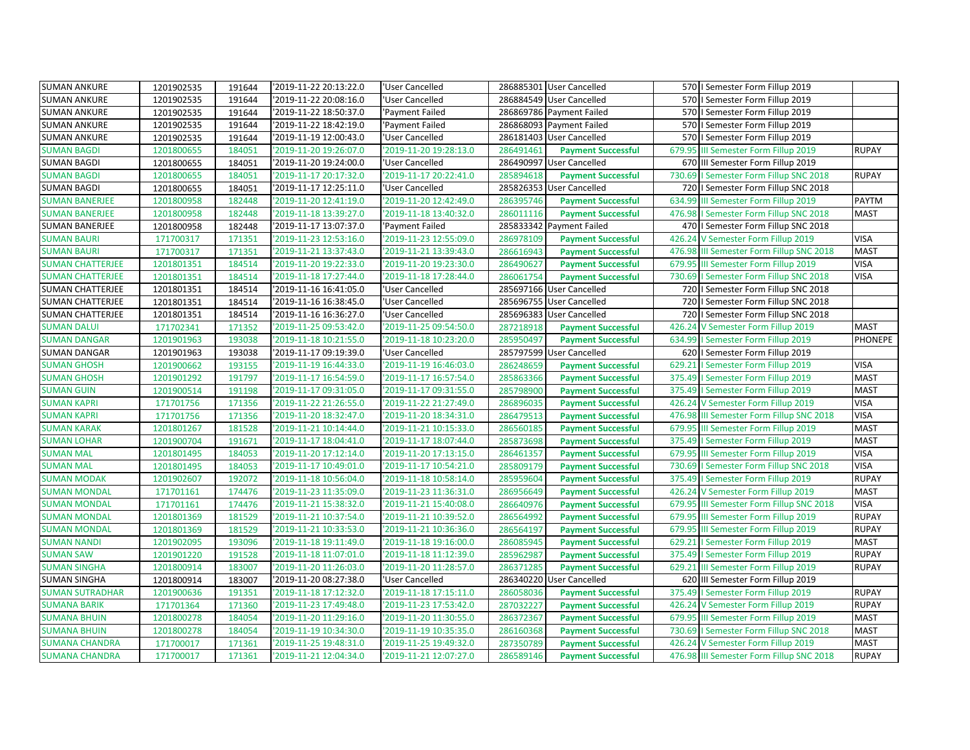| <b>SUMAN ANKURE</b>     | 1201902535 | 191644 | '2019-11-22 20:13:22.0 | 'User Cancelled        |           | 286885301 User Cancelled  |        | 570   Semester Form Fillup 2019          |              |
|-------------------------|------------|--------|------------------------|------------------------|-----------|---------------------------|--------|------------------------------------------|--------------|
| <b>SUMAN ANKURE</b>     | 1201902535 | 191644 | '2019-11-22 20:08:16.0 | 'User Cancelled        |           | 286884549 User Cancelled  |        | 570   Semester Form Fillup 2019          |              |
| <b>SUMAN ANKURE</b>     | 1201902535 | 191644 | '2019-11-22 18:50:37.0 | 'Payment Failed        |           | 286869786 Payment Failed  |        | 570   Semester Form Fillup 2019          |              |
| <b>SUMAN ANKURE</b>     | 1201902535 | 191644 | '2019-11-22 18:42:19.0 | 'Payment Failed        |           | 286868093 Payment Failed  |        | 570   Semester Form Fillup 2019          |              |
| <b>SUMAN ANKURE</b>     | 1201902535 | 191644 | '2019-11-19 12:00:43.0 | 'User Cancelled        |           | 286181403 User Cancelled  | 570    | I Semester Form Fillup 2019              |              |
| <b>SUMAN BAGDI</b>      | 1201800655 | 184051 | '2019-11-20 19:26:07.0 | 2019-11-20 19:28:13.0  | 286491461 | <b>Payment Successful</b> | 679.95 | III Semester Form Fillup 2019            | <b>RUPAY</b> |
| <b>SUMAN BAGDI</b>      | 1201800655 | 184051 | '2019-11-20 19:24:00.0 | 'User Cancelled        |           | 286490997 User Cancelled  |        | 670 III Semester Form Fillup 2019        |              |
| <b>SUMAN BAGDI</b>      | 1201800655 | 184051 | '2019-11-17 20:17:32.0 | '2019-11-17 20:22:41.0 | 285894618 | <b>Payment Successful</b> |        | 730.69   Semester Form Fillup SNC 2018   | <b>RUPAY</b> |
| <b>SUMAN BAGDI</b>      | 1201800655 | 184051 | '2019-11-17 12:25:11.0 | 'User Cancelled        |           | 285826353 User Cancelled  |        | 720   Semester Form Fillup SNC 2018      |              |
| <b>SUMAN BANERJEE</b>   | 1201800958 | 182448 | '2019-11-20 12:41:19.0 | 2019-11-20 12:42:49.0  | 286395746 | <b>Payment Successful</b> | 634.99 | III Semester Form Fillup 2019            | PAYTM        |
| <b>SUMAN BANERJEE</b>   | 1201800958 | 182448 | '2019-11-18 13:39:27.0 | '2019-11-18 13:40:32.0 | 286011116 | <b>Payment Successful</b> |        | 476.98   Semester Form Fillup SNC 2018   | <b>MAST</b>  |
| <b>SUMAN BANERJEE</b>   | 1201800958 | 182448 | '2019-11-17 13:07:37.0 | 'Payment Failed        |           | 285833342 Payment Failed  |        | 470   Semester Form Fillup SNC 2018      |              |
| <b>SUMAN BAURI</b>      | 171700317  | 171351 | '2019-11-23 12:53:16.0 | '2019-11-23 12:55:09.0 | 286978109 | <b>Payment Successful</b> | 426.24 | V Semester Form Fillup 2019              | <b>VISA</b>  |
| <b>SUMAN BAURI</b>      | 171700317  | 171351 | '2019-11-21 13:37:43.0 | '2019-11-21 13:39:43.0 | 286616943 | <b>Payment Successful</b> |        | 476.98 III Semester Form Fillup SNC 2018 | <b>MAST</b>  |
| <b>SUMAN CHATTERJEE</b> | 1201801351 | 184514 | '2019-11-20 19:22:33.0 | '2019-11-20 19:23:30.0 | 286490627 | <b>Payment Successful</b> | 679.95 | III Semester Form Fillup 2019            | <b>VISA</b>  |
| <b>SUMAN CHATTERJEE</b> | 1201801351 | 184514 | '2019-11-18 17:27:44.0 | '2019-11-18 17:28:44.0 | 286061754 | <b>Payment Successful</b> |        | 730.69   Semester Form Fillup SNC 2018   | <b>VISA</b>  |
| <b>SUMAN CHATTERJEE</b> | 1201801351 | 184514 | '2019-11-16 16:41:05.0 | 'User Cancelled        |           | 285697166 User Cancelled  |        | 720   Semester Form Fillup SNC 2018      |              |
| <b>SUMAN CHATTERJEE</b> | 1201801351 | 184514 | 2019-11-16 16:38:45.0  | 'User Cancelled        | 285696755 | <b>User Cancelled</b>     |        | 720   Semester Form Fillup SNC 2018      |              |
| <b>SUMAN CHATTERJEE</b> | 1201801351 | 184514 | '2019-11-16 16:36:27.0 | 'User Cancelled        | 285696383 | <b>User Cancelled</b>     |        | 720   Semester Form Fillup SNC 2018      |              |
| <b>SUMAN DALUI</b>      | 171702341  | 171352 | '2019-11-25 09:53:42.0 | '2019-11-25 09:54:50.0 | 287218918 | <b>Payment Successful</b> | 426.24 | V Semester Form Fillup 2019              | <b>MAST</b>  |
| <b>SUMAN DANGAR</b>     | 1201901963 | 193038 | '2019-11-18 10:21:55.0 | '2019-11-18 10:23:20.0 | 285950497 | <b>Payment Successful</b> | 634.99 | I Semester Form Fillup 2019              | PHONEPE      |
| <b>SUMAN DANGAR</b>     | 1201901963 | 193038 | '2019-11-17 09:19:39.0 | 'User Cancelled        |           | 285797599 User Cancelled  |        | 620   Semester Form Fillup 2019          |              |
| <b>SUMAN GHOSH</b>      | 1201900662 | 193155 | '2019-11-19 16:44:33.0 | 2019-11-19 16:46:03.0  | 286248659 | <b>Payment Successful</b> | 629.21 | I Semester Form Fillup 2019              | <b>VISA</b>  |
| <b>SUMAN GHOSH</b>      | 1201901292 | 191797 | '2019-11-17 16:54:59.0 | '2019-11-17 16:57:54.0 | 285863366 | <b>Payment Successful</b> |        | 375.49   Semester Form Fillup 2019       | <b>MAST</b>  |
| <b>SUMAN GUIN</b>       | 1201900514 | 191198 | '2019-11-17 09:31:05.0 | '2019-11-17 09:31:55.0 | 285798900 | <b>Payment Successful</b> |        | 375.49   Semester Form Fillup 2019       | <b>MAST</b>  |
| <b>SUMAN KAPRI</b>      | 171701756  | 171356 | '2019-11-22 21:26:55.0 | '2019-11-22 21:27:49.0 | 286896035 | <b>Payment Successful</b> | 426.24 | V Semester Form Fillup 2019              | <b>VISA</b>  |
| <b>SUMAN KAPRI</b>      | 171701756  | 171356 | '2019-11-20 18:32:47.0 | 2019-11-20 18:34:31.0  | 286479513 | <b>Payment Successful</b> |        | 476.98 III Semester Form Fillup SNC 2018 | <b>VISA</b>  |
| <b>SUMAN KARAK</b>      | 1201801267 | 181528 | '2019-11-21 10:14:44.0 | '2019-11-21 10:15:33.0 | 286560185 | <b>Payment Successful</b> |        | 679.95 III Semester Form Fillup 2019     | <b>MAST</b>  |
| <b>SUMAN LOHAR</b>      | 1201900704 | 191671 | '2019-11-17 18:04:41.0 | '2019-11-17 18:07:44.0 | 285873698 | <b>Payment Successful</b> |        | 375.49   Semester Form Fillup 2019       | <b>MAST</b>  |
| <b>SUMAN MAL</b>        | 1201801495 | 184053 | '2019-11-20 17:12:14.0 | '2019-11-20 17:13:15.0 | 286461357 | <b>Payment Successful</b> | 679.95 | III Semester Form Fillup 2019            | <b>VISA</b>  |
| <b>SUMAN MAL</b>        | 1201801495 | 184053 | '2019-11-17 10:49:01.0 | 2019-11-17 10:54:21.0  | 285809179 | <b>Payment Successful</b> |        | 730.69   Semester Form Fillup SNC 2018   | <b>VISA</b>  |
| <b>SUMAN MODAK</b>      | 1201902607 | 192072 | '2019-11-18 10:56:04.0 | '2019-11-18 10:58:14.0 | 285959604 | <b>Payment Successful</b> |        | 375.49   Semester Form Fillup 2019       | <b>RUPAY</b> |
| <b>SUMAN MONDAL</b>     | 171701161  | 174476 | '2019-11-23 11:35:09.0 | '2019-11-23 11:36:31.0 | 286956649 | <b>Payment Successful</b> | 426.24 | V Semester Form Fillup 2019              | <b>MAST</b>  |
| <b>SUMAN MONDAL</b>     | 171701161  | 174476 | '2019-11-21 15:38:32.0 | '2019-11-21 15:40:08.0 | 286640976 | <b>Payment Successful</b> |        | 679.95 III Semester Form Fillup SNC 2018 | <b>VISA</b>  |
| <b>SUMAN MONDAL</b>     | 1201801369 | 181529 | '2019-11-21 10:37:54.0 | '2019-11-21 10:39:52.0 | 286564992 | <b>Payment Successful</b> |        | 679.95 III Semester Form Fillup 2019     | <b>RUPAY</b> |
| <b>SUMAN MONDAL</b>     | 1201801369 | 181529 | '2019-11-21 10:33:53.0 | '2019-11-21 10:36:36.0 | 286564197 | <b>Payment Successful</b> |        | 679.95 III Semester Form Fillup 2019     | <b>RUPAY</b> |
| <b>SUMAN NANDI</b>      | 1201902095 | 193096 | '2019-11-18 19:11:49.0 | '2019-11-18 19:16:00.0 | 286085945 | <b>Payment Successful</b> |        | 629.21   Semester Form Fillup 2019       | <b>MAST</b>  |
| <b>SUMAN SAW</b>        | 1201901220 | 191528 | '2019-11-18 11:07:01.0 | '2019-11-18 11:12:39.0 | 285962987 | <b>Payment Successful</b> | 375.49 | I Semester Form Fillup 2019              | <b>RUPAY</b> |
| <b>SUMAN SINGHA</b>     | 1201800914 | 183007 | '2019-11-20 11:26:03.0 | 2019-11-20 11:28:57.0  | 286371285 | <b>Payment Successful</b> | 629.21 | III Semester Form Fillup 2019            | <b>RUPAY</b> |
| <b>SUMAN SINGHA</b>     | 1201800914 | 183007 | '2019-11-20 08:27:38.0 | 'User Cancelled        |           | 286340220 User Cancelled  |        | 620 III Semester Form Fillup 2019        |              |
| <b>SUMAN SUTRADHAR</b>  | 1201900636 | 191351 | '2019-11-18 17:12:32.0 | '2019-11-18 17:15:11.0 | 286058036 | <b>Payment Successful</b> |        | 375.49   Semester Form Fillup 2019       | <b>RUPAY</b> |
| <b>SUMANA BARIK</b>     | 171701364  | 171360 | '2019-11-23 17:49:48.0 | '2019-11-23 17:53:42.0 | 287032227 | <b>Payment Successful</b> | 426.24 | V Semester Form Fillup 2019              | <b>RUPAY</b> |
| <b>SUMANA BHUIN</b>     | 1201800278 | 184054 | '2019-11-20 11:29:16.0 | '2019-11-20 11:30:55.0 | 286372367 | <b>Payment Successful</b> |        | 679.95 III Semester Form Fillup 2019     | <b>MAST</b>  |
| <b>SUMANA BHUIN</b>     | 1201800278 | 184054 | '2019-11-19 10:34:30.0 | '2019-11-19 10:35:35.0 | 286160368 | <b>Payment Successful</b> |        | 730.69   Semester Form Fillup SNC 2018   | <b>MAST</b>  |
| <b>SUMANA CHANDRA</b>   | 171700017  | 171361 | '2019-11-25 19:48:31.0 | '2019-11-25 19:49:32.0 | 287350789 | <b>Payment Successful</b> |        | 426.24 V Semester Form Fillup 2019       | <b>MAST</b>  |
| <b>SUMANA CHANDRA</b>   | 171700017  | 171361 | '2019-11-21 12:04:34.0 | '2019-11-21 12:07:27.0 | 286589146 | <b>Payment Successful</b> |        | 476.98 III Semester Form Fillup SNC 2018 | <b>RUPAY</b> |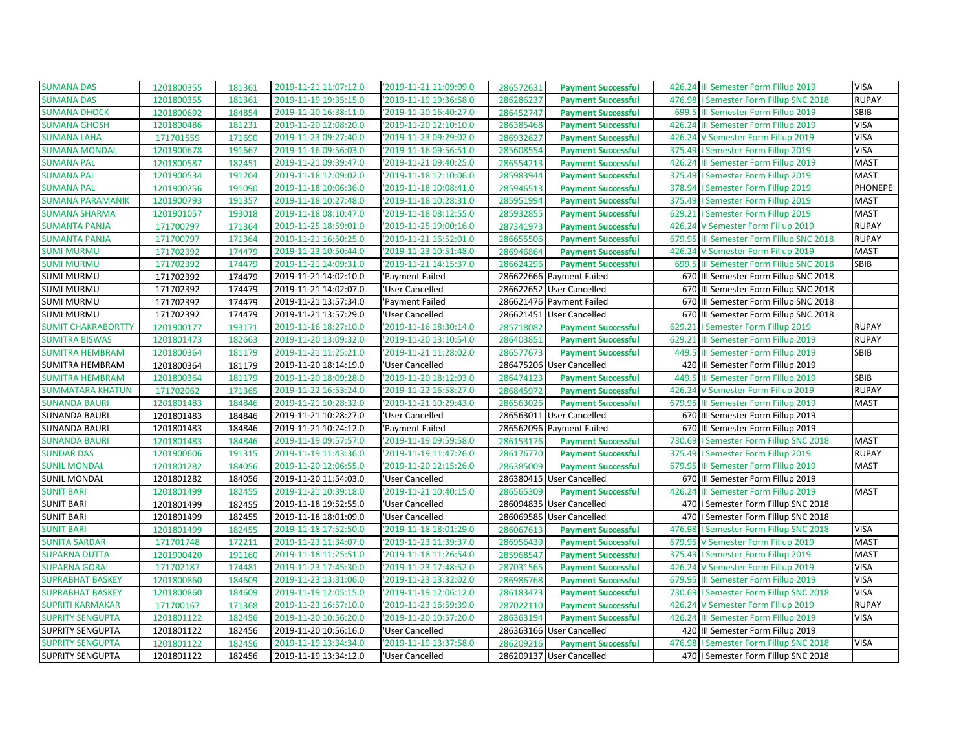| <b>SUMANA DAS</b>         | 1201800355 | 181361 | '2019-11-21 11:07:12.0 | '2019-11-21 11:09:09.0 | 286572631 | <b>Payment Successful</b> |        | 426.24 III Semester Form Fillup 2019   | <b>VISA</b>  |
|---------------------------|------------|--------|------------------------|------------------------|-----------|---------------------------|--------|----------------------------------------|--------------|
| <b>SUMANA DAS</b>         | 1201800355 | 181361 | '2019-11-19 19:35:15.0 | '2019-11-19 19:36:58.0 | 286286237 | <b>Payment Successful</b> |        | 476.98   Semester Form Fillup SNC 2018 | <b>RUPAY</b> |
| <b>SUMANA DHOCK</b>       | 1201800692 | 184854 | '2019-11-20 16:38:11.0 | '2019-11-20 16:40:27.0 | 286452747 | <b>Payment Successful</b> |        | 699.5 III Semester Form Fillup 2019    | SBIB         |
| <b>SUMANA GHOSH</b>       | 1201800486 | 181231 | '2019-11-20 12:08:20.0 | '2019-11-20 12:10:10.0 | 286385468 | <b>Payment Successful</b> | 426.24 | III Semester Form Fillup 2019          | <b>VISA</b>  |
| <b>SUMANA LAHA</b>        | 171701559  | 171690 | '2019-11-23 09:27:40.0 | '2019-11-23 09:29:02.0 | 286932627 | <b>Payment Successful</b> | 426.24 | V Semester Form Fillup 2019            | <b>VISA</b>  |
| <b>SUMANA MONDAL</b>      | 1201900678 | 191667 | '2019-11-16 09:56:03.0 | '2019-11-16 09:56:51.0 | 285608554 | <b>Payment Successful</b> |        | 375.49   Semester Form Fillup 2019     | <b>VISA</b>  |
| <b>SUMANA PAL</b>         | 1201800587 | 182451 | '2019-11-21 09:39:47.0 | '2019-11-21 09:40:25.0 | 286554213 | <b>Payment Successful</b> | 426.24 | III Semester Form Fillup 2019          | <b>MAST</b>  |
| <b>SUMANA PAL</b>         | 1201900534 | 191204 | '2019-11-18 12:09:02.0 | '2019-11-18 12:10:06.0 | 285983944 | <b>Payment Successful</b> |        | 375.49   Semester Form Fillup 2019     | <b>MAST</b>  |
| <b>SUMANA PAL</b>         | 1201900256 | 191090 | '2019-11-18 10:06:36.0 | '2019-11-18 10:08:41.0 | 285946513 | <b>Payment Successful</b> | 378.94 | I Semester Form Fillup 2019            | PHONEPE      |
| <b>SUMANA PARAMANIK</b>   | 1201900793 | 191357 | '2019-11-18 10:27:48.0 | '2019-11-18 10:28:31.0 | 285951994 | <b>Payment Successful</b> | 375.49 | I Semester Form Fillup 2019            | <b>MAST</b>  |
| <b>SUMANA SHARMA</b>      | 1201901057 | 193018 | '2019-11-18 08:10:47.0 | '2019-11-18 08:12:55.0 | 285932855 | <b>Payment Successful</b> |        | 629.21   Semester Form Fillup 2019     | <b>MAST</b>  |
| <b>SUMANTA PANJA</b>      | 171700797  | 171364 | '2019-11-25 18:59:01.0 | '2019-11-25 19:00:16.0 | 287341973 | <b>Payment Successful</b> |        | 426.24 V Semester Form Fillup 2019     | <b>RUPAY</b> |
| <b>SUMANTA PANJA</b>      | 171700797  | 171364 | '2019-11-21 16:50:25.0 | '2019-11-21 16:52:01.0 | 286655506 | <b>Payment Successful</b> | 679.95 | III Semester Form Fillup SNC 2018      | <b>RUPAY</b> |
| <b>SUMI MURMU</b>         | 171702392  | 174479 | '2019-11-23 10:50:44.0 | '2019-11-23 10:51:48.0 | 286946864 | <b>Payment Successful</b> |        | 426.24 V Semester Form Fillup 2019     | <b>MAST</b>  |
| <b>SUMI MURMU</b>         | 171702392  | 174479 | '2019-11-21 14:09:31.0 | '2019-11-21 14:15:37.0 | 286624296 | <b>Payment Successful</b> | 699.5  | III Semester Form Fillup SNC 2018      | SBIB         |
| <b>SUMI MURMU</b>         | 171702392  | 174479 | '2019-11-21 14:02:10.0 | 'Payment Failed        |           | 286622666 Payment Failed  |        | 670 III Semester Form Fillup SNC 2018  |              |
| <b>SUMI MURMU</b>         | 171702392  | 174479 | '2019-11-21 14:02:07.0 | 'User Cancelled        | 286622652 | <b>User Cancelled</b>     | 670    | III Semester Form Fillup SNC 2018      |              |
| <b>SUMI MURMU</b>         | 171702392  | 174479 | '2019-11-21 13:57:34.0 | 'Payment Failed        |           | 286621476 Payment Failed  | 670    | III Semester Form Fillup SNC 2018      |              |
| <b>SUMI MURMU</b>         | 171702392  | 174479 | '2019-11-21 13:57:29.0 | 'User Cancelled        |           | 286621451 User Cancelled  |        | 670 III Semester Form Fillup SNC 2018  |              |
| <b>SUMIT CHAKRABORTTY</b> | 1201900177 | 193171 | '2019-11-16 18:27:10.0 | '2019-11-16 18:30:14.0 | 285718082 | <b>Payment Successful</b> | 629.21 | I Semester Form Fillup 2019            | <b>RUPAY</b> |
| <b>SUMITRA BISWAS</b>     | 1201801473 | 182663 | '2019-11-20 13:09:32.0 | '2019-11-20 13:10:54.0 | 286403851 | <b>Payment Successful</b> | 629.21 | III Semester Form Fillup 2019          | <b>RUPAY</b> |
| <b>SUMITRA HEMBRAM</b>    | 1201800364 | 181179 | '2019-11-21 11:25:21.0 | '2019-11-21 11:28:02.0 | 286577673 | <b>Payment Successful</b> | 449.5  | III Semester Form Fillup 2019          | SBIB         |
| SUMITRA HEMBRAM           | 1201800364 | 181179 | '2019-11-20 18:14:19.0 | 'User Cancelled        |           | 286475206 User Cancelled  |        | 420 III Semester Form Fillup 2019      |              |
| <b>SUMITRA HEMBRAM</b>    | 1201800364 | 181179 | '2019-11-20 18:09:28.0 | '2019-11-20 18:12:03.0 | 286474123 | <b>Payment Successful</b> | 449.5  | III Semester Form Fillup 2019          | SBIB         |
| <b>SUMMATARA KHATUN</b>   | 171702062  | 171365 | '2019-11-22 16:53:24.0 | '2019-11-22 16:58:27.0 | 286845972 | <b>Payment Successful</b> | 426.24 | V Semester Form Fillup 2019            | <b>RUPAY</b> |
| <b>SUNANDA BAURI</b>      | 1201801483 | 184846 | '2019-11-21 10:28:32.0 | '2019-11-21 10:29:43.0 | 286563026 | <b>Payment Successful</b> | 679.95 | III Semester Form Fillup 2019          | <b>MAST</b>  |
| <b>SUNANDA BAURI</b>      | 1201801483 | 184846 | '2019-11-21 10:28:27.0 | 'User Cancelled        |           | 286563011 User Cancelled  |        | 670 III Semester Form Fillup 2019      |              |
| <b>SUNANDA BAURI</b>      | 1201801483 | 184846 | '2019-11-21 10:24:12.0 | 'Payment Failed        |           | 286562096 Payment Failed  |        | 670 III Semester Form Fillup 2019      |              |
| <b>SUNANDA BAURI</b>      | 1201801483 | 184846 | '2019-11-19 09:57:57.0 | '2019-11-19 09:59:58.0 | 286153176 | <b>Payment Successful</b> | 730.69 | I Semester Form Fillup SNC 2018        | <b>MAST</b>  |
| <b>SUNDAR DAS</b>         | 1201900606 | 191315 | '2019-11-19 11:43:36.0 | '2019-11-19 11:47:26.0 | 286176770 | <b>Payment Successful</b> | 375.49 | I Semester Form Fillup 2019            | <b>RUPAY</b> |
| <b>SUNIL MONDAL</b>       | 1201801282 | 184056 | '2019-11-20 12:06:55.0 | '2019-11-20 12:15:26.0 | 286385009 | <b>Payment Successful</b> | 679.95 | III Semester Form Fillup 2019          | <b>MAST</b>  |
| <b>SUNIL MONDAL</b>       | 1201801282 | 184056 | '2019-11-20 11:54:03.0 | 'User Cancelled        |           | 286380415 User Cancelled  |        | 670 III Semester Form Fillup 2019      |              |
| <b>SUNIT BARI</b>         | 1201801499 | 182455 | '2019-11-21 10:39:18.0 | '2019-11-21 10:40:15.0 | 286565309 | <b>Payment Successful</b> | 426.24 | III Semester Form Fillup 2019          | <b>MAST</b>  |
| <b>SUNIT BARI</b>         | 1201801499 | 182455 | '2019-11-18 19:52:55.0 | 'User Cancelled        | 286094835 | <b>User Cancelled</b>     |        | 470   I Semester Form Fillup SNC 2018  |              |
| <b>SUNIT BARI</b>         | 1201801499 | 182455 | '2019-11-18 18:01:09.0 | 'User Cancelled        |           | 286069585 User Cancelled  |        | 470   Semester Form Fillup SNC 2018    |              |
| <b>SUNIT BARI</b>         | 1201801499 | 182455 | '2019-11-18 17:52:50.0 | '2019-11-18 18:01:29.0 | 286067613 | <b>Payment Successful</b> | 476.98 | I Semester Form Fillup SNC 2018        | <b>VISA</b>  |
| <b>SUNITA SARDAR</b>      | 171701748  | 172211 | '2019-11-23 11:34:07.0 | '2019-11-23 11:39:37.0 | 286956439 | <b>Payment Successful</b> |        | 679.95 V Semester Form Fillup 2019     | <b>MAST</b>  |
| <b>SUPARNA DUTTA</b>      | 1201900420 | 191160 | '2019-11-18 11:25:51.0 | '2019-11-18 11:26:54.0 | 285968547 | <b>Payment Successful</b> | 375.49 | I Semester Form Fillup 2019            | <b>MAST</b>  |
| <b>SUPARNA GORAI</b>      | 171702187  | 174481 | '2019-11-23 17:45:30.0 | '2019-11-23 17:48:52.0 | 287031565 | <b>Payment Successful</b> |        | 426.24 V Semester Form Fillup 2019     | <b>VISA</b>  |
| <b>SUPRABHAT BASKEY</b>   | 1201800860 | 184609 | '2019-11-23 13:31:06.0 | '2019-11-23 13:32:02.0 | 286986768 | <b>Payment Successful</b> |        | 679.95 III Semester Form Fillup 2019   | <b>VISA</b>  |
| <b>SUPRABHAT BASKEY</b>   | 1201800860 | 184609 | '2019-11-19 12:05:15.0 | '2019-11-19 12:06:12.0 | 286183473 | <b>Payment Successful</b> | 730.69 | I Semester Form Fillup SNC 2018        | <b>VISA</b>  |
| <b>SUPRITI KARMAKAR</b>   | 171700167  | 171368 | '2019-11-23 16:57:10.0 | '2019-11-23 16:59:39.0 | 287022110 | <b>Payment Successful</b> | 426.24 | V Semester Form Fillup 2019            | <b>RUPAY</b> |
| <b>SUPRITY SENGUPTA</b>   | 1201801122 | 182456 | '2019-11-20 10:56:20.0 | '2019-11-20 10:57:20.0 | 286363194 | <b>Payment Successful</b> |        | 426.24 III Semester Form Fillup 2019   | <b>VISA</b>  |
| <b>SUPRITY SENGUPTA</b>   | 1201801122 | 182456 | '2019-11-20 10:56:16.0 | 'User Cancelled        |           | 286363166 User Cancelled  |        | 420 III Semester Form Fillup 2019      |              |
| <b>SUPRITY SENGUPTA</b>   | 1201801122 | 182456 | '2019-11-19 13:34:34.0 | '2019-11-19 13:37:58.0 | 286209216 | <b>Payment Successful</b> |        | 476.98   Semester Form Fillup SNC 2018 | <b>VISA</b>  |
| <b>SUPRITY SENGUPTA</b>   | 1201801122 | 182456 | '2019-11-19 13:34:12.0 | 'User Cancelled        |           | 286209137 User Cancelled  |        | 470   I Semester Form Fillup SNC 2018  |              |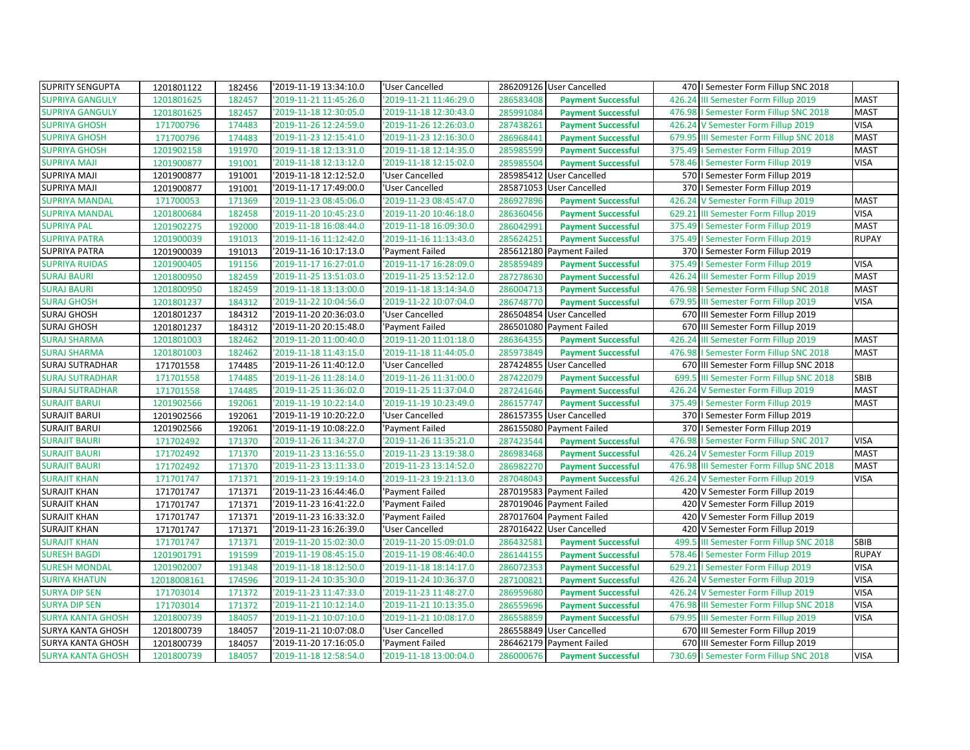| <b>SUPRITY SENGUPTA</b>  | 1201801122  | 182456 | '2019-11-19 13:34:10.0 | 'User Cancelled        |           | 286209126 User Cancelled  |        | 470   Semester Form Fillup SNC 2018     |              |
|--------------------------|-------------|--------|------------------------|------------------------|-----------|---------------------------|--------|-----------------------------------------|--------------|
| <b>SUPRIYA GANGULY</b>   | 1201801625  | 182457 | 2019-11-21 11:45:26.0  | 2019-11-21 11:46:29.0  | 286583408 | <b>Payment Successful</b> | 426.24 | III Semester Form Fillup 2019           | <b>MAST</b>  |
| <b>SUPRIYA GANGULY</b>   | 1201801625  | 182457 | '2019-11-18 12:30:05.0 | 2019-11-18 12:30:43.0  | 285991084 | <b>Payment Successful</b> |        | 476.98   Semester Form Fillup SNC 2018  | <b>MAST</b>  |
| <b>SUPRIYA GHOSH</b>     | 171700796   | 174483 | '2019-11-26 12:24:59.0 | '2019-11-26 12:26:03.0 | 287438261 | <b>Payment Successful</b> | 426.24 | V Semester Form Fillup 2019             | <b>VISA</b>  |
| <b>SUPRIYA GHOSH</b>     | 171700796   | 174483 | '2019-11-23 12:15:41.0 | '2019-11-23 12:16:30.0 | 286968441 | <b>Payment Successful</b> | 679.95 | III Semester Form Fillup SNC 2018       | <b>MAST</b>  |
| <b>SUPRIYA GHOSH</b>     | 1201902158  | 191970 | '2019-11-18 12:13:31.0 | 2019-11-18 12:14:35.0  | 285985599 | <b>Payment Successful</b> | 375.49 | I Semester Form Fillup 2019             | <b>MAST</b>  |
| <b>SUPRIYA MAJI</b>      | 1201900877  | 191001 | '2019-11-18 12:13:12.0 | 2019-11-18 12:15:02.0  | 285985504 | <b>Payment Successful</b> |        | 578.46   Semester Form Fillup 2019      | <b>VISA</b>  |
| SUPRIYA MAJI             | 1201900877  | 191001 | '2019-11-18 12:12:52.0 | 'User Cancelled        |           | 285985412 User Cancelled  |        | 570   Semester Form Fillup 2019         |              |
| <b>SUPRIYA MAJI</b>      | 1201900877  | 191001 | '2019-11-17 17:49:00.0 | 'User Cancelled        | 285871053 | <b>User Cancelled</b>     |        | 370   Semester Form Fillup 2019         |              |
| <b>SUPRIYA MANDAL</b>    | 171700053   | 171369 | '2019-11-23 08:45:06.0 | '2019-11-23 08:45:47.0 | 286927896 | <b>Payment Successful</b> | 426.24 | V Semester Form Fillup 2019             | <b>MAST</b>  |
| <b>SUPRIYA MANDAL</b>    | 1201800684  | 182458 | '2019-11-20 10:45:23.0 | 2019-11-20 10:46:18.0  | 286360456 | <b>Payment Successful</b> |        | 629.21 III Semester Form Fillup 2019    | <b>VISA</b>  |
| <b>SUPRIYA PAL</b>       | 1201902275  | 192000 | '2019-11-18 16:08:44.0 | '2019-11-18 16:09:30.0 | 286042991 | <b>Payment Successful</b> |        | 375.49   Semester Form Fillup 2019      | <b>MAST</b>  |
| <b>SUPRIYA PATRA</b>     | 1201900039  | 191013 | '2019-11-16 11:12:42.0 | '2019-11-16 11:13:43.0 | 285624251 | <b>Payment Successful</b> |        | 375.49   Semester Form Fillup 2019      | <b>RUPAY</b> |
| <b>SUPRIYA PATRA</b>     | 1201900039  | 191013 | '2019-11-16 10:17:13.0 | 'Payment Failed        |           | 285612180 Payment Failed  |        | 370   Semester Form Fillup 2019         |              |
| <b>SUPRIYA RUIDAS</b>    | 1201900405  | 191156 | '2019-11-17 16:27:01.0 | '2019-11-17 16:28:09.0 | 285859489 | <b>Payment Successful</b> |        | 375.49   Semester Form Fillup 2019      | <b>VISA</b>  |
| <b>SURAJ BAURI</b>       | 1201800950  | 182459 | '2019-11-25 13:51:03.0 | '2019-11-25 13:52:12.0 | 287278630 | <b>Payment Successful</b> |        | 426.24 III Semester Form Fillup 2019    | <b>MAST</b>  |
| <b>SURAJ BAURI</b>       | 1201800950  | 182459 | '2019-11-18 13:13:00.0 | '2019-11-18 13:14:34.0 | 286004713 | <b>Payment Successful</b> |        | 476.98   Semester Form Fillup SNC 2018  | <b>MAST</b>  |
| <b>SURAJ GHOSH</b>       | 1201801237  | 184312 | '2019-11-22 10:04:56.0 | '2019-11-22 10:07:04.0 | 286748770 | <b>Payment Successful</b> | 679.95 | III Semester Form Fillup 2019           | <b>VISA</b>  |
| <b>SURAJ GHOSH</b>       | 1201801237  | 184312 | '2019-11-20 20:36:03.0 | 'User Cancelled        |           | 286504854 User Cancelled  |        | 670 III Semester Form Fillup 2019       |              |
| <b>SURAJ GHOSH</b>       | 1201801237  | 184312 | '2019-11-20 20:15:48.0 | 'Payment Failed        |           | 286501080 Payment Failed  |        | 670 III Semester Form Fillup 2019       |              |
| <b>SURAJ SHARMA</b>      | 1201801003  | 182462 | '2019-11-20 11:00:40.0 | '2019-11-20 11:01:18.0 | 286364355 | <b>Payment Successful</b> | 426.24 | III Semester Form Fillup 2019           | <b>MAST</b>  |
| <b>SURAJ SHARMA</b>      | 1201801003  | 182462 | '2019-11-18 11:43:15.0 | '2019-11-18 11:44:05.0 | 285973849 | <b>Payment Successful</b> | 476.98 | I Semester Form Fillup SNC 2018         | <b>MAST</b>  |
| SURAJ SUTRADHAR          | 171701558   | 174485 | '2019-11-26 11:40:12.0 | 'User Cancelled        |           | 287424855 User Cancelled  |        | 670 III Semester Form Fillup SNC 2018   |              |
| <b>SURAJ SUTRADHAR</b>   | 171701558   | 174485 | '2019-11-26 11:28:14.0 | '2019-11-26 11:31:00.0 | 287422079 | <b>Payment Successful</b> |        | 699.5 III Semester Form Fillup SNC 2018 | SBIB         |
| <b>SURAJ SUTRADHAR</b>   | 171701558   | 174485 | '2019-11-25 11:36:02.0 | '2019-11-25 11:37:04.0 | 287241646 | <b>Payment Successful</b> | 426.24 | V Semester Form Fillup 2019             | <b>MAST</b>  |
| <b>SURAJIT BARUI</b>     | 1201902566  | 192061 | '2019-11-19 10:22:14.0 | '2019-11-19 10:23:49.0 | 286157747 | <b>Payment Successful</b> |        | 375.49   Semester Form Fillup 2019      | <b>MAST</b>  |
| <b>SURAJIT BARUI</b>     | 1201902566  | 192061 | '2019-11-19 10:20:22.0 | 'User Cancelled        |           | 286157355 User Cancelled  |        | 370   Semester Form Fillup 2019         |              |
| <b>SURAJIT BARUI</b>     | 1201902566  | 192061 | '2019-11-19 10:08:22.0 | 'Payment Failed        |           | 286155080 Payment Failed  |        | 370   Semester Form Fillup 2019         |              |
| <b>SURAJIT BAURI</b>     | 171702492   | 171370 | '2019-11-26 11:34:27.0 | '2019-11-26 11:35:21.0 | 287423544 | <b>Payment Successful</b> |        | 476.98   Semester Form Fillup SNC 2017  | <b>VISA</b>  |
| <b>SURAJIT BAURI</b>     | 171702492   | 171370 | '2019-11-23 13:16:55.0 | '2019-11-23 13:19:38.0 | 286983468 | <b>Payment Successful</b> | 426.24 | V Semester Form Fillup 2019             | <b>MAST</b>  |
| <b>SURAJIT BAURI</b>     | 171702492   | 171370 | '2019-11-23 13:11:33.0 | 2019-11-23 13:14:52.0  | 286982270 | <b>Payment Successful</b> | 476.98 | III Semester Form Fillup SNC 2018       | <b>MAST</b>  |
| <b>SURAJIT KHAN</b>      | 171701747   | 171371 | '2019-11-23 19:19:14.0 | 2019-11-23 19:21:13.0  | 287048043 | <b>Payment Successful</b> |        | 426.24 V Semester Form Fillup 2019      | <b>VISA</b>  |
| <b>SURAJIT KHAN</b>      | 171701747   | 171371 | '2019-11-23 16:44:46.0 | 'Payment Failed        |           | 287019583 Payment Failed  |        | 420 V Semester Form Fillup 2019         |              |
| <b>SURAJIT KHAN</b>      | 171701747   | 171371 | '2019-11-23 16:41:22.0 | 'Payment Failed        | 287019046 | Payment Failed            | 420    | V Semester Form Fillup 2019             |              |
| <b>SURAJIT KHAN</b>      | 171701747   | 171371 | '2019-11-23 16:33:32.0 | 'Payment Failed        |           | 287017604 Payment Failed  |        | 420 V Semester Form Fillup 2019         |              |
| <b>SURAJIT KHAN</b>      | 171701747   | 171371 | '2019-11-23 16:26:39.0 | 'User Cancelled        |           | 287016422 User Cancelled  |        | 420 V Semester Form Fillup 2019         |              |
| <b>SURAJIT KHAN</b>      | 171701747   | 171371 | '2019-11-20 15:02:30.0 | '2019-11-20 15:09:01.0 | 286432581 | <b>Payment Successful</b> | 499.5  | III Semester Form Fillup SNC 2018       | SBIB         |
| <b>SURESH BAGDI</b>      | 1201901791  | 191599 | '2019-11-19 08:45:15.0 | '2019-11-19 08:46:40.0 | 286144155 | <b>Payment Successful</b> |        | 578.46   Semester Form Fillup 2019      | <b>RUPAY</b> |
| <b>SURESH MONDAL</b>     | 1201902007  | 191348 | '2019-11-18 18:12:50.0 | '2019-11-18 18:14:17.0 | 286072353 | <b>Payment Successful</b> |        | 629.21   Semester Form Fillup 2019      | <b>VISA</b>  |
| <b>SURIYA KHATUN</b>     | 12018008161 | 174596 | '2019-11-24 10:35:30.0 | 2019-11-24 10:36:37.0  | 287100821 | <b>Payment Successful</b> |        | 426.24 V Semester Form Fillup 2019      | <b>VISA</b>  |
| <b>SURYA DIP SEN</b>     | 171703014   | 171372 | '2019-11-23 11:47:33.0 | '2019-11-23 11:48:27.0 | 286959680 | <b>Payment Successful</b> | 426.24 | V Semester Form Fillup 2019             | <b>VISA</b>  |
| <b>SURYA DIP SEN</b>     | 171703014   | 171372 | '2019-11-21 10:12:14.0 | '2019-11-21 10:13:35.0 | 286559696 | <b>Payment Successful</b> | 476.98 | III Semester Form Fillup SNC 2018       | <b>VISA</b>  |
| <b>SURYA KANTA GHOSH</b> | 1201800739  | 184057 | '2019-11-21 10:07:10.0 | 2019-11-21 10:08:17.0  | 286558859 | <b>Payment Successful</b> | 679.95 | III Semester Form Fillup 2019           | <b>VISA</b>  |
| <b>SURYA KANTA GHOSH</b> | 1201800739  | 184057 | '2019-11-21 10:07:08.0 | 'User Cancelled        | 286558849 | <b>User Cancelled</b>     |        | 670 III Semester Form Fillup 2019       |              |
| <b>SURYA KANTA GHOSH</b> | 1201800739  | 184057 | '2019-11-20 17:16:05.0 | 'Payment Failed        |           | 286462179 Payment Failed  |        | 670 III Semester Form Fillup 2019       |              |
| <b>SURYA KANTA GHOSH</b> | 1201800739  | 184057 | '2019-11-18 12:58:54.0 | '2019-11-18 13:00:04.0 | 286000676 | <b>Payment Successful</b> |        | 730.69   Semester Form Fillup SNC 2018  | <b>VISA</b>  |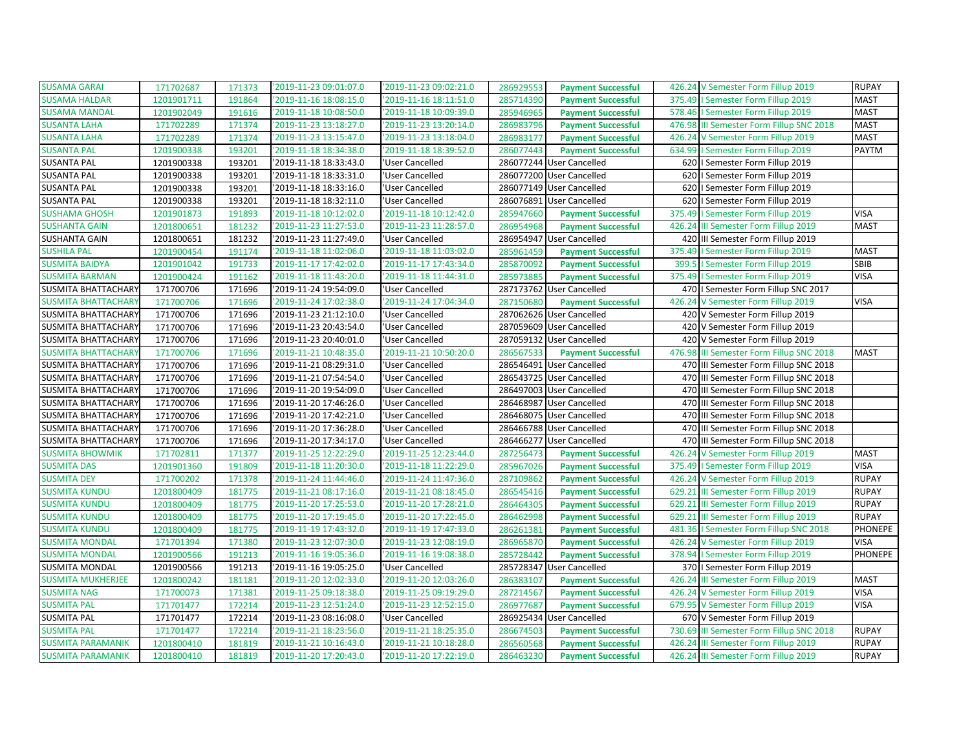| <b>SUSAMA GARAI</b>        | 171702687  | 171373 | '2019-11-23 09:01:07.0 | '2019-11-23 09:02:21.0 | 286929553 | <b>Payment Successful</b> | 426.24 V Semester Form Fillup 2019          | <b>RUPAY</b>   |
|----------------------------|------------|--------|------------------------|------------------------|-----------|---------------------------|---------------------------------------------|----------------|
| <b>SUSAMA HALDAR</b>       | 1201901711 | 191864 | '2019-11-16 18:08:15.0 | '2019-11-16 18:11:51.0 | 285714390 | <b>Payment Successful</b> | 375.49   Semester Form Fillup 2019          | <b>MAST</b>    |
| <b>SUSAMA MANDAL</b>       | 1201902049 | 191616 | '2019-11-18 10:08:50.0 | '2019-11-18 10:09:39.0 | 285946965 | <b>Payment Successful</b> | 578.46   Semester Form Fillup 2019          | <b>MAST</b>    |
| <b>SUSANTA LAHA</b>        | 171702289  | 171374 | '2019-11-23 13:18:27.0 | '2019-11-23 13:20:14.0 | 286983796 | <b>Payment Successful</b> | 476.98 III Semester Form Fillup SNC 2018    | <b>MAST</b>    |
| <b>SUSANTA LAHA</b>        | 171702289  | 171374 | '2019-11-23 13:15:47.0 | '2019-11-23 13:18:04.0 | 286983177 | <b>Payment Successful</b> | 426.24 V Semester Form Fillup 2019          | <b>MAST</b>    |
| <b>SUSANTA PAL</b>         | 1201900338 | 193201 | '2019-11-18 18:34:38.0 | '2019-11-18 18:39:52.0 | 286077443 | <b>Payment Successful</b> | 634.99   Semester Form Fillup 2019          | <b>PAYTM</b>   |
| <b>SUSANTA PAL</b>         | 1201900338 | 193201 | '2019-11-18 18:33:43.0 | 'User Cancelled        | 286077244 | <b>User Cancelled</b>     | 620   Semester Form Fillup 2019             |                |
| <b>SUSANTA PAL</b>         | 1201900338 | 193201 | '2019-11-18 18:33:31.0 | 'User Cancelled        |           | 286077200 User Cancelled  | 620   Semester Form Fillup 2019             |                |
| <b>SUSANTA PAL</b>         | 1201900338 | 193201 | '2019-11-18 18:33:16.0 | 'User Cancelled        | 286077149 | <b>User Cancelled</b>     | 620   Semester Form Fillup 2019             |                |
| <b>SUSANTA PAL</b>         | 1201900338 | 193201 | '2019-11-18 18:32:11.0 | 'User Cancelled        | 286076891 | <b>User Cancelled</b>     | 620   Semester Form Fillup 2019             |                |
| <b>SUSHAMA GHOSH</b>       | 1201901873 | 191893 | '2019-11-18 10:12:02.0 | '2019-11-18 10:12:42.0 | 285947660 | <b>Payment Successful</b> | 375.49<br>I Semester Form Fillup 2019       | <b>VISA</b>    |
| <b>SUSHANTA GAIN</b>       | 1201800651 | 181232 | '2019-11-23 11:27:53.0 | '2019-11-23 11:28:57.0 | 286954968 | <b>Payment Successful</b> | 426.24<br>III Semester Form Fillup 2019     | <b>MAST</b>    |
| <b>SUSHANTA GAIN</b>       | 1201800651 | 181232 | '2019-11-23 11:27:49.0 | 'User Cancelled        |           | 286954947 User Cancelled  | 420 III Semester Form Fillup 2019           |                |
| <b>SUSHILA PAL</b>         | 1201900454 | 191174 | '2019-11-18 11:02:06.0 | '2019-11-18 11:03:02.0 | 285961459 | <b>Payment Successful</b> | 375.49   Semester Form Fillup 2019          | <b>MAST</b>    |
| <b>SUSMITA BAIDYA</b>      | 1201901042 | 191733 | '2019-11-17 17:42:02.0 | '2019-11-17 17:43:34.0 | 285870092 | <b>Payment Successful</b> | 399.5<br>I Semester Form Fillup 2019        | SBIB           |
| <b>SUSMITA BARMAN</b>      | 1201900424 | 191162 | '2019-11-18 11:43:20.0 | '2019-11-18 11:44:31.0 | 285973885 | <b>Payment Successful</b> | 375.49   Semester Form Fillup 2019          | <b>VISA</b>    |
| <b>SUSMITA BHATTACHARY</b> | 171700706  | 171696 | '2019-11-24 19:54:09.0 | 'User Cancelled        |           | 287173762 User Cancelled  | 470   Semester Form Fillup SNC 2017         |                |
| <b>SUSMITA BHATTACHARY</b> | 171700706  | 171696 | '2019-11-24 17:02:38.0 | '2019-11-24 17:04:34.0 | 287150680 | <b>Payment Successful</b> | 426.24<br>V Semester Form Fillup 2019       | <b>VISA</b>    |
| <b>SUSMITA BHATTACHARY</b> | 171700706  | 171696 | '2019-11-23 21:12:10.0 | 'User Cancelled        |           | 287062626 User Cancelled  | 420 V Semester Form Fillup 2019             |                |
| <b>SUSMITA BHATTACHARY</b> | 171700706  | 171696 | '2019-11-23 20:43:54.0 | 'User Cancelled        |           | 287059609 User Cancelled  | 420 V Semester Form Fillup 2019             |                |
| <b>SUSMITA BHATTACHARY</b> | 171700706  | 171696 | '2019-11-23 20:40:01.0 | 'User Cancelled        |           | 287059132 User Cancelled  | 420 V Semester Form Fillup 2019             |                |
| <b>SUSMITA BHATTACHARY</b> | 171700706  | 171696 | '2019-11-21 10:48:35.0 | '2019-11-21 10:50:20.0 | 286567533 | <b>Payment Successful</b> | 476.98<br>III Semester Form Fillup SNC 2018 | <b>MAST</b>    |
| <b>SUSMITA BHATTACHARY</b> | 171700706  | 171696 | '2019-11-21 08:29:31.0 | 'User Cancelled        |           | 286546491 User Cancelled  | 470 III Semester Form Fillup SNC 2018       |                |
| <b>SUSMITA BHATTACHARY</b> | 171700706  | 171696 | '2019-11-21 07:54:54.0 | 'User Cancelled        |           | 286543725 User Cancelled  | 470 III Semester Form Fillup SNC 2018       |                |
| <b>SUSMITA BHATTACHARY</b> | 171700706  | 171696 | '2019-11-20 19:54:09.0 | 'User Cancelled        |           | 286497003 User Cancelled  | 470 III Semester Form Fillup SNC 2018       |                |
| <b>SUSMITA BHATTACHARY</b> | 171700706  | 171696 | '2019-11-20 17:46:26.0 | 'User Cancelled        |           | 286468987 User Cancelled  | 470 III Semester Form Fillup SNC 2018       |                |
| <b>SUSMITA BHATTACHARY</b> | 171700706  | 171696 | '2019-11-20 17:42:21.0 | 'User Cancelled        |           | 286468075 User Cancelled  | 470 III Semester Form Fillup SNC 2018       |                |
| <b>SUSMITA BHATTACHARY</b> | 171700706  | 171696 | '2019-11-20 17:36:28.0 | 'User Cancelled        |           | 286466788 User Cancelled  | 470 III Semester Form Fillup SNC 2018       |                |
| <b>SUSMITA BHATTACHARY</b> | 171700706  | 171696 | '2019-11-20 17:34:17.0 | 'User Cancelled        |           | 286466277 User Cancelled  | 470 III Semester Form Fillup SNC 2018       |                |
| <b>SUSMITA BHOWMIK</b>     | 171702811  | 171377 | '2019-11-25 12:22:29.0 | '2019-11-25 12:23:44.0 | 287256473 | <b>Payment Successful</b> | 426.24 V Semester Form Fillup 2019          | <b>MAST</b>    |
| <b>SUSMITA DAS</b>         | 1201901360 | 191809 | '2019-11-18 11:20:30.0 | '2019-11-18 11:22:29.0 | 285967026 | <b>Payment Successful</b> | 375.49   Semester Form Fillup 2019          | <b>VISA</b>    |
| <b>SUSMITA DEY</b>         | 171700202  | 171378 | '2019-11-24 11:44:46.0 | '2019-11-24 11:47:36.0 | 287109862 | <b>Payment Successful</b> | 426.24 V Semester Form Fillup 2019          | <b>RUPAY</b>   |
| <b>SUSMITA KUNDU</b>       | 1201800409 | 181775 | '2019-11-21 08:17:16.0 | '2019-11-21 08:18:45.0 | 286545416 | <b>Payment Successful</b> | 629.21<br>III Semester Form Fillup 2019     | <b>RUPAY</b>   |
| <b>SUSMITA KUNDU</b>       | 1201800409 | 181775 | '2019-11-20 17:25:53.0 | '2019-11-20 17:28:21.0 | 286464305 | <b>Payment Successful</b> | III Semester Form Fillup 2019<br>629.21     | <b>RUPAY</b>   |
| <b>SUSMITA KUNDU</b>       | 1201800409 | 181775 | '2019-11-20 17:19:45.0 | '2019-11-20 17:22:45.0 | 286462998 | <b>Payment Successful</b> | 629.21 III Semester Form Fillup 2019        | <b>RUPAY</b>   |
| <b>SUSMITA KUNDU</b>       | 1201800409 | 181775 | '2019-11-19 17:43:32.0 | '2019-11-19 17:47:33.0 | 286261381 | <b>Payment Successful</b> | I Semester Form Fillup SNC 2018<br>481.36   | <b>PHONEPE</b> |
| <b>SUSMITA MONDAL</b>      | 171701394  | 171380 | '2019-11-23 12:07:30.0 | '2019-11-23 12:08:19.0 | 286965870 | <b>Payment Successful</b> | 426.24 V Semester Form Fillup 2019          | <b>VISA</b>    |
| <b>SUSMITA MONDAL</b>      | 1201900566 | 191213 | '2019-11-16 19:05:36.0 | '2019-11-16 19:08:38.0 | 285728442 | <b>Payment Successful</b> | 378.94   Semester Form Fillup 2019          | <b>PHONEPE</b> |
| <b>SUSMITA MONDAL</b>      | 1201900566 | 191213 | '2019-11-16 19:05:25.0 | 'User Cancelled        | 285728347 | <b>User Cancelled</b>     | 370   Semester Form Fillup 2019             |                |
| <b>SUSMITA MUKHERJEE</b>   | 1201800242 | 181181 | '2019-11-20 12:02:33.0 | '2019-11-20 12:03:26.0 | 286383107 | <b>Payment Successful</b> | 426.24<br>III Semester Form Fillup 2019     | <b>MAST</b>    |
| <b>SUSMITA NAG</b>         | 171700073  | 171381 | '2019-11-25 09:18:38.0 | '2019-11-25 09:19:29.0 | 287214567 | <b>Payment Successful</b> | 426.24 V Semester Form Fillup 2019          | <b>VISA</b>    |
| <b>SUSMITA PAL</b>         | 171701477  | 172214 | '2019-11-23 12:51:24.0 | '2019-11-23 12:52:15.0 | 286977687 | <b>Payment Successful</b> | 679.95<br>V Semester Form Fillup 2019       | <b>VISA</b>    |
| <b>SUSMITA PAL</b>         | 171701477  | 172214 | '2019-11-23 08:16:08.0 | 'User Cancelled        |           | 286925434 User Cancelled  | 670 V Semester Form Fillup 2019             |                |
| <b>SUSMITA PAL</b>         | 171701477  | 172214 | '2019-11-21 18:23:56.0 | '2019-11-21 18:25:35.0 | 286674503 | <b>Payment Successful</b> | 730.69<br>III Semester Form Fillup SNC 2018 | <b>RUPAY</b>   |
| <b>SUSMITA PARAMANIK</b>   | 1201800410 | 181819 | '2019-11-21 10:16:43.0 | '2019-11-21 10:18:28.0 | 286560568 | <b>Payment Successful</b> | 426.24 III Semester Form Fillup 2019        | <b>RUPAY</b>   |
| <b>SUSMITA PARAMANIK</b>   | 1201800410 | 181819 | '2019-11-20 17:20:43.0 | '2019-11-20 17:22:19.0 | 286463230 | <b>Payment Successful</b> | 426.24 III Semester Form Fillup 2019        | <b>RUPAY</b>   |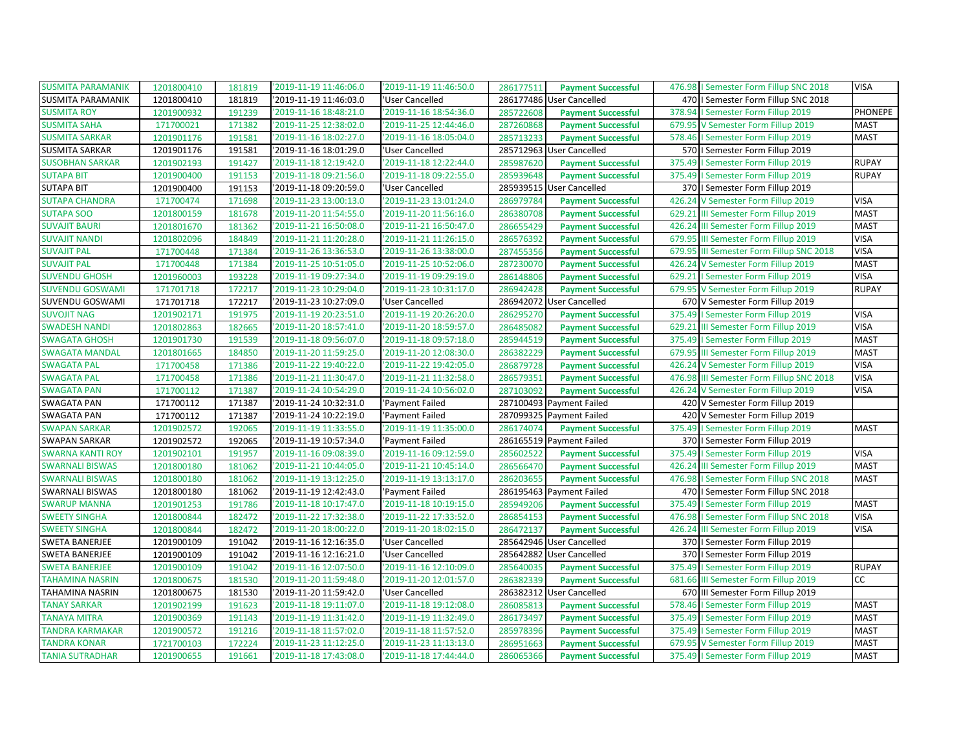| <b>SUSMITA PARAMANIK</b> | 1201800410 | 181819 | '2019-11-19 11:46:06.0 | '2019-11-19 11:46:50.0 | 286177511 | <b>Payment Successful</b> | 476.98   Semester Form Fillup SNC 2018   | <b>VISA</b>  |
|--------------------------|------------|--------|------------------------|------------------------|-----------|---------------------------|------------------------------------------|--------------|
| <b>SUSMITA PARAMANIK</b> | 1201800410 | 181819 | '2019-11-19 11:46:03.0 | 'User Cancelled        | 286177486 | User Cancelled            | 470   Semester Form Fillup SNC 2018      |              |
| <b>SUSMITA ROY</b>       | 1201900932 | 191239 | '2019-11-16 18:48:21.0 | '2019-11-16 18:54:36.0 | 285722608 | <b>Payment Successful</b> | 378.94   Semester Form Fillup 2019       | PHONEPE      |
| <b>SUSMITA SAHA</b>      | 171700021  | 171382 | '2019-11-25 12:38:02.0 | '2019-11-25 12:44:46.0 | 287260868 | <b>Payment Successful</b> | 679.95 V Semester Form Fillup 2019       | <b>MAST</b>  |
| <b>SUSMITA SARKAR</b>    | 1201901176 | 191581 | '2019-11-16 18:02:27.0 | '2019-11-16 18:05:04.0 | 285713233 | <b>Payment Successful</b> | 578.46   Semester Form Fillup 2019       | <b>MAST</b>  |
| <b>SUSMITA SARKAR</b>    | 1201901176 | 191581 | '2019-11-16 18:01:29.0 | 'User Cancelled        |           | 285712963 User Cancelled  | 570   Semester Form Fillup 2019          |              |
| <b>SUSOBHAN SARKAR</b>   | 1201902193 | 191427 | '2019-11-18 12:19:42.0 | '2019-11-18 12:22:44.0 | 285987620 | <b>Payment Successful</b> | 375.49<br>I Semester Form Fillup 2019    | <b>RUPAY</b> |
| <b>SUTAPA BIT</b>        | 1201900400 | 191153 | '2019-11-18 09:21:56.0 | '2019-11-18 09:22:55.0 | 285939648 | <b>Payment Successful</b> | 375.49   Semester Form Fillup 2019       | <b>RUPAY</b> |
| <b>SUTAPA BIT</b>        | 1201900400 | 191153 | '2019-11-18 09:20:59.0 | 'User Cancelled        |           | 285939515 User Cancelled  | 370   Semester Form Fillup 2019          |              |
| <b>SUTAPA CHANDRA</b>    | 171700474  | 171698 | '2019-11-23 13:00:13.0 | '2019-11-23 13:01:24.0 | 286979784 | <b>Payment Successful</b> | 426.24<br>V Semester Form Fillup 2019    | <b>VISA</b>  |
| <b>SUTAPA SOO</b>        | 1201800159 | 181678 | '2019-11-20 11:54:55.0 | '2019-11-20 11:56:16.0 | 286380708 | <b>Payment Successful</b> | 629.21 III Semester Form Fillup 2019     | <b>MAST</b>  |
| <b>SUVAJIT BAURI</b>     | 1201801670 | 181362 | '2019-11-21 16:50:08.0 | '2019-11-21 16:50:47.0 | 286655429 | <b>Payment Successful</b> | 426.24 III Semester Form Fillup 2019     | <b>MAST</b>  |
| <b>SUVAJIT NANDI</b>     | 1201802096 | 184849 | '2019-11-21 11:20:28.0 | '2019-11-21 11:26:15.0 | 286576392 | <b>Payment Successful</b> | 679.95 III Semester Form Fillup 2019     | <b>VISA</b>  |
| <b>SUVAJIT PAL</b>       | 171700448  | 171384 | '2019-11-26 13:36:53.0 | '2019-11-26 13:38:00.0 | 287455356 | <b>Payment Successful</b> | 679.95 III Semester Form Fillup SNC 2018 | <b>VISA</b>  |
| <b>SUVAJIT PAL</b>       | 171700448  | 171384 | '2019-11-25 10:51:05.0 | '2019-11-25 10:52:06.0 | 287230070 | <b>Payment Successful</b> | 426.24 V Semester Form Fillup 2019       | <b>MAST</b>  |
| <b>SUVENDU GHOSH</b>     | 1201960003 | 193228 | '2019-11-19 09:27:34.0 | '2019-11-19 09:29:19.0 | 286148806 | <b>Payment Successful</b> | 629.21   Semester Form Fillup 2019       | <b>VISA</b>  |
| <b>SUVENDU GOSWAMI</b>   | 171701718  | 172217 | '2019-11-23 10:29:04.0 | '2019-11-23 10:31:17.0 | 286942428 | <b>Payment Successful</b> | 679.95 V Semester Form Fillup 2019       | <b>RUPAY</b> |
| SUVENDU GOSWAMI          | 171701718  | 172217 | '2019-11-23 10:27:09.0 | 'User Cancelled        | 286942072 | <b>User Cancelled</b>     | 670 V Semester Form Fillup 2019          |              |
| <b>SUVOJIT NAG</b>       | 1201902171 | 191975 | '2019-11-19 20:23:51.0 | '2019-11-19 20:26:20.0 | 286295270 | <b>Payment Successful</b> | 375.49   Semester Form Fillup 2019       | <b>VISA</b>  |
| <b>SWADESH NANDI</b>     | 1201802863 | 182665 | '2019-11-20 18:57:41.0 | '2019-11-20 18:59:57.0 | 286485082 | <b>Payment Successful</b> | 629.21 III Semester Form Fillup 2019     | <b>VISA</b>  |
| <b>SWAGATA GHOSH</b>     | 1201901730 | 191539 | '2019-11-18 09:56:07.0 | '2019-11-18 09:57:18.0 | 285944519 | <b>Payment Successful</b> | 375.49   Semester Form Fillup 2019       | <b>MAST</b>  |
| <b>SWAGATA MANDAL</b>    | 1201801665 | 184850 | '2019-11-20 11:59:25.0 | '2019-11-20 12:08:30.0 | 286382229 | <b>Payment Successful</b> | 679.95 III Semester Form Fillup 2019     | <b>MAST</b>  |
| <b>SWAGATA PAL</b>       | 171700458  | 171386 | '2019-11-22 19:40:22.0 | '2019-11-22 19:42:05.0 | 286879728 | <b>Payment Successful</b> | 426.24 V Semester Form Fillup 2019       | <b>VISA</b>  |
| <b>SWAGATA PAL</b>       | 171700458  | 171386 | '2019-11-21 11:30:47.0 | '2019-11-21 11:32:58.0 | 286579351 | <b>Payment Successful</b> | 476.98 III Semester Form Fillup SNC 2018 | <b>VISA</b>  |
| <b>SWAGATA PAN</b>       | 171700112  | 171387 | '2019-11-24 10:54:29.0 | '2019-11-24 10:56:02.0 | 287103092 | <b>Payment Successful</b> | 426.24 V Semester Form Fillup 2019       | <b>VISA</b>  |
| <b>SWAGATA PAN</b>       | 171700112  | 171387 | '2019-11-24 10:32:31.0 | 'Payment Failed        | 287100493 | Payment Failed            | 420 V Semester Form Fillup 2019          |              |
| SWAGATA PAN              | 171700112  | 171387 | '2019-11-24 10:22:19.0 | 'Payment Failed        |           | 287099325 Payment Failed  | 420 V Semester Form Fillup 2019          |              |
| <b>SWAPAN SARKAR</b>     | 1201902572 | 192065 | '2019-11-19 11:33:55.0 | '2019-11-19 11:35:00.0 | 286174074 | <b>Payment Successful</b> | 375.49   Semester Form Fillup 2019       | <b>MAST</b>  |
| <b>SWAPAN SARKAR</b>     | 1201902572 | 192065 | '2019-11-19 10:57:34.0 | 'Payment Failed        |           | 286165519 Payment Failed  | 370   Semester Form Fillup 2019          |              |
| <b>SWARNA KANTI ROY</b>  | 1201902101 | 191957 | '2019-11-16 09:08:39.0 | '2019-11-16 09:12:59.0 | 285602522 | <b>Payment Successful</b> | 375.49   Semester Form Fillup 2019       | <b>VISA</b>  |
| <b>SWARNALI BISWAS</b>   | 1201800180 | 181062 | '2019-11-21 10:44:05.0 | '2019-11-21 10:45:14.0 | 286566470 | <b>Payment Successful</b> | 426.24<br>III Semester Form Fillup 2019  | <b>MAST</b>  |
| <b>SWARNALI BISWAS</b>   | 1201800180 | 181062 | '2019-11-19 13:12:25.0 | '2019-11-19 13:13:17.0 | 286203655 | <b>Payment Successful</b> | 476.98   Semester Form Fillup SNC 2018   | <b>MAST</b>  |
| <b>SWARNALI BISWAS</b>   | 1201800180 | 181062 | '2019-11-19 12:42:43.0 | 'Payment Failed        |           | 286195463 Payment Failed  | 470   I Semester Form Fillup SNC 2018    |              |
| <b>SWARUP MANNA</b>      | 1201901253 | 191786 | '2019-11-18 10:17:47.0 | '2019-11-18 10:19:15.0 | 285949206 | <b>Payment Successful</b> | 375.49<br>I Semester Form Fillup 2019    | <b>MAST</b>  |
| <b>SWEETY SINGHA</b>     | 1201800844 | 182472 | '2019-11-22 17:32:38.0 | '2019-11-22 17:33:52.0 | 286854153 | <b>Payment Successful</b> | 476.98   Semester Form Fillup SNC 2018   | <b>VISA</b>  |
| <b>SWEETY SINGHA</b>     | 1201800844 | 182472 | '2019-11-20 18:00:22.0 | '2019-11-20 18:02:15.0 | 286472137 | <b>Payment Successful</b> | 426.24<br>III Semester Form Fillup 2019  | <b>VISA</b>  |
| <b>SWETA BANERJEE</b>    | 1201900109 | 191042 | '2019-11-16 12:16:35.0 | 'User Cancelled        |           | 285642946 User Cancelled  | 370   Semester Form Fillup 2019          |              |
| <b>SWETA BANERJEE</b>    | 1201900109 | 191042 | '2019-11-16 12:16:21.0 | 'User Cancelled        |           | 285642882 User Cancelled  | 370   Semester Form Fillup 2019          |              |
| <b>SWETA BANERJEE</b>    | 1201900109 | 191042 | '2019-11-16 12:07:50.0 | '2019-11-16 12:10:09.0 | 285640035 | <b>Payment Successful</b> | 375.49   Semester Form Fillup 2019       | <b>RUPAY</b> |
| <b>TAHAMINA NASRIN</b>   | 1201800675 | 181530 | '2019-11-20 11:59:48.0 | '2019-11-20 12:01:57.0 | 286382339 | <b>Payment Successful</b> | 681.66 III Semester Form Fillup 2019     | cc           |
| TAHAMINA NASRIN          | 1201800675 | 181530 | '2019-11-20 11:59:42.0 | 'User Cancelled        |           | 286382312 User Cancelled  | 670 III Semester Form Fillup 2019        |              |
| <b>TANAY SARKAR</b>      | 1201902199 | 191623 | '2019-11-18 19:11:07.0 | '2019-11-18 19:12:08.0 | 286085813 | <b>Payment Successful</b> | 578.46<br>I Semester Form Fillup 2019    | <b>MAST</b>  |
| <b>TANAYA MITRA</b>      | 1201900369 | 191143 | '2019-11-19 11:31:42.0 | '2019-11-19 11:32:49.0 | 286173497 | <b>Payment Successful</b> | 375.49   Semester Form Fillup 2019       | <b>MAST</b>  |
| <b>TANDRA KARMAKAR</b>   | 1201900572 | 191216 | '2019-11-18 11:57:02.0 | '2019-11-18 11:57:52.0 | 285978396 | <b>Payment Successful</b> | 375.49   Semester Form Fillup 2019       | <b>MAST</b>  |
| <b>TANDRA KONAR</b>      | 1721700103 | 172224 | '2019-11-23 11:12:25.0 | '2019-11-23 11:13:13.0 | 286951663 | <b>Payment Successful</b> | 679.95 V Semester Form Fillup 2019       | <b>MAST</b>  |
| <b>TANIA SUTRADHAR</b>   | 1201900655 | 191661 | '2019-11-18 17:43:08.0 | '2019-11-18 17:44:44.0 | 286065366 | <b>Payment Successful</b> | 375.49   Semester Form Fillup 2019       | <b>MAST</b>  |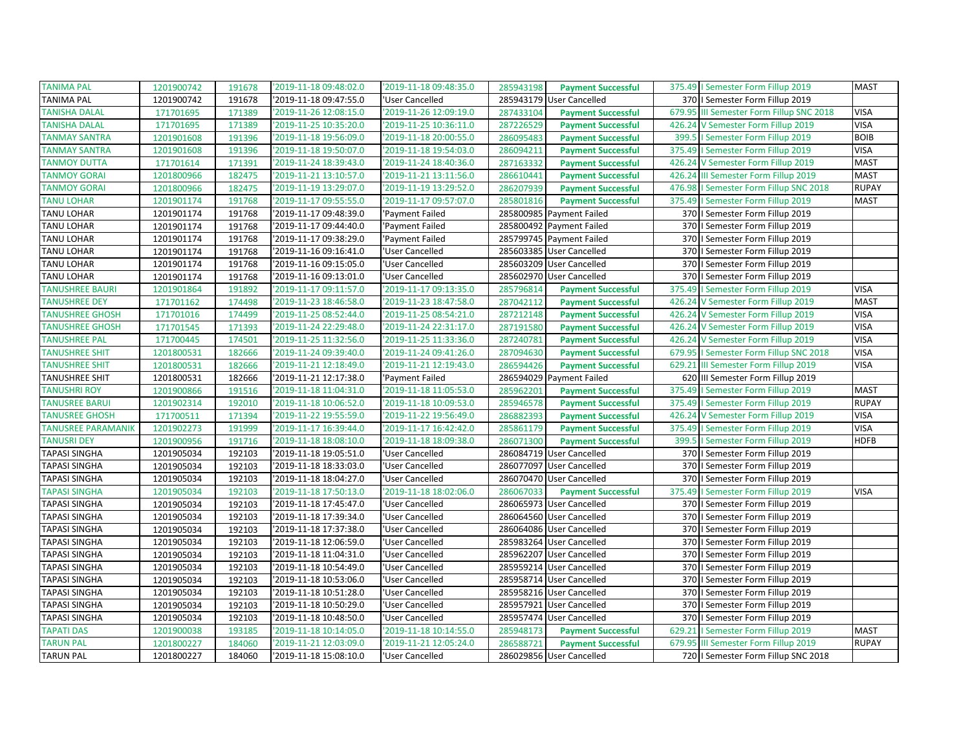| <b>TANIMA PAL</b>         | 1201900742 | 191678 | '2019-11-18 09:48:02.0 | '2019-11-18 09:48:35.0 | 285943198 | <b>Payment Successful</b> | 375.49   Semester Form Fillup 2019        | <b>MAST</b>  |
|---------------------------|------------|--------|------------------------|------------------------|-----------|---------------------------|-------------------------------------------|--------------|
| <b>TANIMA PAL</b>         | 1201900742 | 191678 | '2019-11-18 09:47:55.0 | 'User Cancelled        | 285943179 | User Cancelled            | 370   Semester Form Fillup 2019           |              |
| <b>TANISHA DALAL</b>      | 171701695  | 171389 | '2019-11-26 12:08:15.0 | '2019-11-26 12:09:19.0 | 287433104 | <b>Payment Successful</b> | 679.95 III Semester Form Fillup SNC 2018  | <b>VISA</b>  |
| <b>TANISHA DALAL</b>      | 171701695  | 171389 | '2019-11-25 10:35:20.0 | '2019-11-25 10:36:11.0 | 287226529 | <b>Payment Successful</b> | 426.24 V Semester Form Fillup 2019        | <b>VISA</b>  |
| <b>TANMAY SANTRA</b>      | 1201901608 | 191396 | '2019-11-18 19:56:09.0 | '2019-11-18 20:00:55.0 | 286095483 | <b>Payment Successful</b> | 399.5   Semester Form Fillup 2019         | <b>BOIB</b>  |
| <b>TANMAY SANTRA</b>      | 1201901608 | 191396 | '2019-11-18 19:50:07.0 | '2019-11-18 19:54:03.0 | 286094211 | <b>Payment Successful</b> | 375.49   Semester Form Fillup 2019        | <b>VISA</b>  |
| <b>TANMOY DUTTA</b>       | 171701614  | 171391 | '2019-11-24 18:39:43.0 | '2019-11-24 18:40:36.0 | 287163332 | <b>Payment Successful</b> | 426.24 V Semester Form Fillup 2019        | <b>MAST</b>  |
| <b>TANMOY GORAI</b>       | 1201800966 | 182475 | '2019-11-21 13:10:57.0 | '2019-11-21 13:11:56.0 | 286610441 | <b>Payment Successful</b> | 426.24 III Semester Form Fillup 2019      | <b>MAST</b>  |
| <b>TANMOY GORAI</b>       | 1201800966 | 182475 | '2019-11-19 13:29:07.0 | '2019-11-19 13:29:52.0 | 286207939 | <b>Payment Successful</b> | 476.98<br>I Semester Form Fillup SNC 2018 | <b>RUPAY</b> |
| <b>TANU LOHAR</b>         | 1201901174 | 191768 | '2019-11-17 09:55:55.0 | '2019-11-17 09:57:07.0 | 285801816 | <b>Payment Successful</b> | 375.49   Semester Form Fillup 2019        | <b>MAST</b>  |
| TANU LOHAR                | 1201901174 | 191768 | '2019-11-17 09:48:39.0 | 'Payment Failed        |           | 285800985 Payment Failed  | 370   Semester Form Fillup 2019           |              |
| <b>TANU LOHAR</b>         | 1201901174 | 191768 | '2019-11-17 09:44:40.0 | 'Payment Failed        |           | 285800492 Payment Failed  | 370   Semester Form Fillup 2019           |              |
| <b>TANU LOHAR</b>         | 1201901174 | 191768 | '2019-11-17 09:38:29.0 | 'Payment Failed        |           | 285799745 Payment Failed  | 370   Semester Form Fillup 2019           |              |
| TANU LOHAR                | 1201901174 | 191768 | '2019-11-16 09:16:41.0 | 'User Cancelled        |           | 285603385 User Cancelled  | 370   Semester Form Fillup 2019           |              |
| <b>TANU LOHAR</b>         | 1201901174 | 191768 | '2019-11-16 09:15:05.0 | 'User Cancelled        |           | 285603209 User Cancelled  | 370   Semester Form Fillup 2019           |              |
| <b>TANU LOHAR</b>         | 1201901174 | 191768 | '2019-11-16 09:13:01.0 | 'User Cancelled        |           | 285602970 User Cancelled  | 370   Semester Form Fillup 2019           |              |
| <b>TANUSHREE BAURI</b>    | 1201901864 | 191892 | '2019-11-17 09:11:57.0 | '2019-11-17 09:13:35.0 | 285796814 | <b>Payment Successful</b> | 375.49<br>I Semester Form Fillup 2019     | <b>VISA</b>  |
| <b>TANUSHREE DEY</b>      | 171701162  | 174498 | '2019-11-23 18:46:58.0 | '2019-11-23 18:47:58.0 | 287042112 | <b>Payment Successful</b> | V Semester Form Fillup 2019<br>426.24     | <b>MAST</b>  |
| <b>TANUSHREE GHOSH</b>    | 171701016  | 174499 | '2019-11-25 08:52:44.0 | '2019-11-25 08:54:21.0 | 287212148 | <b>Payment Successful</b> | 426.24 V Semester Form Fillup 2019        | <b>VISA</b>  |
| <b>TANUSHREE GHOSH</b>    | 171701545  | 171393 | '2019-11-24 22:29:48.0 | '2019-11-24 22:31:17.0 | 287191580 | <b>Payment Successful</b> | 426.24 V Semester Form Fillup 2019        | <b>VISA</b>  |
| <b>TANUSHREE PAL</b>      | 171700445  | 174501 | '2019-11-25 11:32:56.0 | '2019-11-25 11:33:36.0 | 287240781 | <b>Payment Successful</b> | 426.24 V Semester Form Fillup 2019        | <b>VISA</b>  |
| <b>TANUSHREE SHIT</b>     | 1201800531 | 182666 | '2019-11-24 09:39:40.0 | '2019-11-24 09:41:26.0 | 287094630 | <b>Payment Successful</b> | 679.95   Semester Form Fillup SNC 2018    | <b>VISA</b>  |
| <b>TANUSHREE SHIT</b>     | 1201800531 | 182666 | '2019-11-21 12:18:49.0 | '2019-11-21 12:19:43.0 | 286594426 | <b>Payment Successful</b> | 629.21 III Semester Form Fillup 2019      | <b>VISA</b>  |
| <b>TANUSHREE SHIT</b>     | 1201800531 | 182666 | '2019-11-21 12:17:38.0 | 'Payment Failed        |           | 286594029 Payment Failed  | 620 III Semester Form Fillup 2019         |              |
| <b>TANUSHRI ROY</b>       | 1201900866 | 191516 | '2019-11-18 11:04:31.0 | '2019-11-18 11:05:53.0 | 285962201 | <b>Payment Successful</b> | 375.49   Semester Form Fillup 2019        | <b>MAST</b>  |
| <b>TANUSREE BARUI</b>     | 1201902314 | 192010 | '2019-11-18 10:06:52.0 | '2019-11-18 10:09:53.0 | 285946578 | <b>Payment Successful</b> | I Semester Form Fillup 2019<br>375.49     | <b>RUPAY</b> |
| <b>TANUSREE GHOSH</b>     | 171700511  | 171394 | '2019-11-22 19:55:59.0 | '2019-11-22 19:56:49.0 | 286882393 | <b>Payment Successful</b> | 426.24 V Semester Form Fillup 2019        | <b>VISA</b>  |
| <b>TANUSREE PARAMANIK</b> | 1201902273 | 191999 | '2019-11-17 16:39:44.0 | '2019-11-17 16:42:42.0 | 285861179 | <b>Payment Successful</b> | 375.49   Semester Form Fillup 2019        | <b>VISA</b>  |
| <b>TANUSRI DEY</b>        | 1201900956 | 191716 | '2019-11-18 18:08:10.0 | '2019-11-18 18:09:38.0 | 286071300 | <b>Payment Successful</b> | 399.5   Semester Form Fillup 2019         | <b>HDFB</b>  |
| <b>TAPASI SINGHA</b>      | 1201905034 | 192103 | '2019-11-18 19:05:51.0 | 'User Cancelled        |           | 286084719 User Cancelled  | 370   Semester Form Fillup 2019           |              |
| <b>TAPASI SINGHA</b>      | 1201905034 | 192103 | '2019-11-18 18:33:03.0 | 'User Cancelled        |           | 286077097 User Cancelled  | 370   Semester Form Fillup 2019           |              |
| TAPASI SINGHA             | 1201905034 | 192103 | '2019-11-18 18:04:27.0 | 'User Cancelled        |           | 286070470 User Cancelled  | 370   Semester Form Fillup 2019           |              |
| <b>TAPASI SINGHA</b>      | 1201905034 | 192103 | '2019-11-18 17:50:13.0 | '2019-11-18 18:02:06.0 | 286067033 | <b>Payment Successful</b> | 375.49<br>I Semester Form Fillup 2019     | <b>VISA</b>  |
| <b>TAPASI SINGHA</b>      | 1201905034 | 192103 | '2019-11-18 17:45:47.0 | 'User Cancelled        |           | 286065973 User Cancelled  | 370   Semester Form Fillup 2019           |              |
| <b>TAPASI SINGHA</b>      | 1201905034 | 192103 | '2019-11-18 17:39:34.0 | 'User Cancelled        |           | 286064560 User Cancelled  | 370   Semester Form Fillup 2019           |              |
| <b>TAPASI SINGHA</b>      | 1201905034 | 192103 | '2019-11-18 17:37:38.0 | 'User Cancelled        |           | 286064086 User Cancelled  | 370   Semester Form Fillup 2019           |              |
| <b>TAPASI SINGHA</b>      | 1201905034 | 192103 | '2019-11-18 12:06:59.0 | 'User Cancelled        |           | 285983264 User Cancelled  | 370   Semester Form Fillup 2019           |              |
| TAPASI SINGHA             | 1201905034 | 192103 | '2019-11-18 11:04:31.0 | 'User Cancelled        |           | 285962207 User Cancelled  | 370   Semester Form Fillup 2019           |              |
| <b>TAPASI SINGHA</b>      | 1201905034 | 192103 | '2019-11-18 10:54:49.0 | 'User Cancelled        |           | 285959214 User Cancelled  | 370   Semester Form Fillup 2019           |              |
| <b>TAPASI SINGHA</b>      | 1201905034 | 192103 | '2019-11-18 10:53:06.0 | 'User Cancelled        |           | 285958714 User Cancelled  | 370   Semester Form Fillup 2019           |              |
| <b>TAPASI SINGHA</b>      | 1201905034 | 192103 | '2019-11-18 10:51:28.0 | 'User Cancelled        |           | 285958216 User Cancelled  | 370   Semester Form Fillup 2019           |              |
| <b>TAPASI SINGHA</b>      | 1201905034 | 192103 | '2019-11-18 10:50:29.0 | 'User Cancelled        |           | 285957921 User Cancelled  | 370<br>I Semester Form Fillup 2019        |              |
| <b>TAPASI SINGHA</b>      | 1201905034 | 192103 | '2019-11-18 10:48:50.0 | 'User Cancelled        |           | 285957474 User Cancelled  | 370   Semester Form Fillup 2019           |              |
| <b>TAPATI DAS</b>         | 1201900038 | 193185 | '2019-11-18 10:14:05.0 | '2019-11-18 10:14:55.0 | 285948173 | <b>Payment Successful</b> | 629.21<br>I Semester Form Fillup 2019     | <b>MAST</b>  |
| <b>TARUN PAL</b>          | 1201800227 | 184060 | '2019-11-21 12:03:09.0 | '2019-11-21 12:05:24.0 | 286588721 | <b>Payment Successful</b> | 679.95 III Semester Form Fillup 2019      | <b>RUPAY</b> |
| <b>TARUN PAL</b>          | 1201800227 | 184060 | '2019-11-18 15:08:10.0 | 'User Cancelled        |           | 286029856 User Cancelled  | 720   I Semester Form Fillup SNC 2018     |              |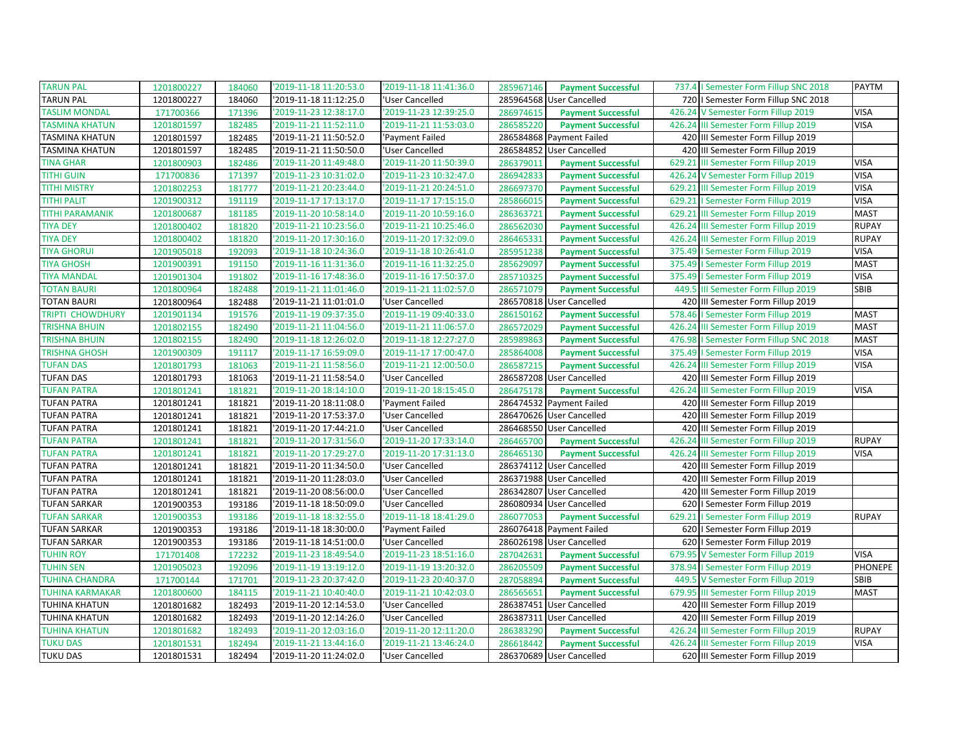| <b>TARUN PAL</b>       | 1201800227 | 184060 | '2019-11-18 11:20:53.0 | '2019-11-18 11:41:36.0 | 285967146 | <b>Payment Successful</b> | 737.4   Semester Form Fillup SNC 2018  | PAYTM          |
|------------------------|------------|--------|------------------------|------------------------|-----------|---------------------------|----------------------------------------|----------------|
| <b>TARUN PAL</b>       | 1201800227 | 184060 | '2019-11-18 11:12:25.0 | 'User Cancelled        |           | 285964568 User Cancelled  | 720   Semester Form Fillup SNC 2018    |                |
| <b>TASLIM MONDAL</b>   | 171700366  | 171396 | '2019-11-23 12:38:17.0 | '2019-11-23 12:39:25.0 | 286974615 | <b>Payment Successful</b> | 426.24 V Semester Form Fillup 2019     | <b>VISA</b>    |
| <b>TASMINA KHATUN</b>  | 1201801597 | 182485 | '2019-11-21 11:52:11.0 | '2019-11-21 11:53:03.0 | 286585220 | <b>Payment Successful</b> | 426.24 III Semester Form Fillup 2019   | <b>VISA</b>    |
| TASMINA KHATUN         | 1201801597 | 182485 | '2019-11-21 11:50:52.0 | 'Payment Failed        |           | 286584868 Payment Failed  | 420 III Semester Form Fillup 2019      |                |
| TASMINA KHATUN         | 1201801597 | 182485 | '2019-11-21 11:50:50.0 | 'User Cancelled        |           | 286584852 User Cancelled  | 420 III Semester Form Fillup 2019      |                |
| <b>TINA GHAR</b>       | 1201800903 | 182486 | '2019-11-20 11:49:48.0 | '2019-11-20 11:50:39.0 | 286379011 | <b>Payment Successful</b> | 629.21 III Semester Form Fillup 2019   | <b>VISA</b>    |
| TITHI GUIN             | 171700836  | 171397 | 2019-11-23 10:31:02.0  | '2019-11-23 10:32:47.0 | 286942833 | <b>Payment Successful</b> | 426.24 V Semester Form Fillup 2019     | <b>VISA</b>    |
| <b>TITHI MISTRY</b>    | 1201802253 | 181777 | '2019-11-21 20:23:44.0 | '2019-11-21 20:24:51.0 | 286697370 | <b>Payment Successful</b> | 629.21 III Semester Form Fillup 2019   | <b>VISA</b>    |
| <b>TITHI PALIT</b>     | 1201900312 | 191119 | '2019-11-17 17:13:17.0 | '2019-11-17 17:15:15.0 | 285866015 | <b>Payment Successful</b> | 629.21   Semester Form Fillup 2019     | <b>VISA</b>    |
| <b>TITHI PARAMANIK</b> | 1201800687 | 181185 | '2019-11-20 10:58:14.0 | '2019-11-20 10:59:16.0 | 286363721 | <b>Payment Successful</b> | 629.21 III Semester Form Fillup 2019   | <b>MAST</b>    |
| <b>TIYA DEY</b>        | 1201800402 | 181820 | '2019-11-21 10:23:56.0 | '2019-11-21 10:25:46.0 | 286562030 | <b>Payment Successful</b> | 426.24 III Semester Form Fillup 2019   | <b>RUPAY</b>   |
| <b>TIYA DEY</b>        | 1201800402 | 181820 | '2019-11-20 17:30:16.0 | '2019-11-20 17:32:09.0 | 286465331 | <b>Payment Successful</b> | 426.24 III Semester Form Fillup 2019   | <b>RUPAY</b>   |
| <b>TIYA GHORUI</b>     | 1201905018 | 192093 | '2019-11-18 10:24:36.0 | '2019-11-18 10:26:41.0 | 285951238 | <b>Payment Successful</b> | 375.49   Semester Form Fillup 2019     | <b>VISA</b>    |
| <b>TIYA GHOSH</b>      | 1201900391 | 191150 | '2019-11-16 11:31:36.0 | '2019-11-16 11:32:25.0 | 285629097 | <b>Payment Successful</b> | 375.49   Semester Form Fillup 2019     | <b>MAST</b>    |
| <b>TIYA MANDAL</b>     | 1201901304 | 191802 | '2019-11-16 17:48:36.0 | '2019-11-16 17:50:37.0 | 285710325 | <b>Payment Successful</b> | 375.49   Semester Form Fillup 2019     | <b>VISA</b>    |
| <b>TOTAN BAURI</b>     | 1201800964 | 182488 | '2019-11-21 11:01:46.0 | '2019-11-21 11:02:57.0 | 286571079 | <b>Payment Successful</b> | 449.5 III Semester Form Fillup 2019    | SBIB           |
| TOTAN BAURI            | 1201800964 | 182488 | '2019-11-21 11:01:01.0 | 'User Cancelled        |           | 286570818 User Cancelled  | 420 III Semester Form Fillup 2019      |                |
| TRIPTI CHOWDHURY       | 1201901134 | 191576 | '2019-11-19 09:37:35.0 | '2019-11-19 09:40:33.0 | 286150162 | <b>Payment Successful</b> | 578.46   Semester Form Fillup 2019     | <b>MAST</b>    |
| TRISHNA BHUIN          | 1201802155 | 182490 | '2019-11-21 11:04:56.0 | '2019-11-21 11:06:57.0 | 286572029 | <b>Payment Successful</b> | 426.24 III Semester Form Fillup 2019   | <b>MAST</b>    |
| TRISHNA BHUIN          | 1201802155 | 182490 | '2019-11-18 12:26:02.0 | '2019-11-18 12:27:27.0 | 285989863 | <b>Payment Successful</b> | 476.98   Semester Form Fillup SNC 2018 | <b>MAST</b>    |
| <b>TRISHNA GHOSH</b>   | 1201900309 | 191117 | 2019-11-17 16:59:09.0  | '2019-11-17 17:00:47.0 | 285864008 | <b>Payment Successful</b> | 375.49   Semester Form Fillup 2019     | <b>VISA</b>    |
| <b>TUFAN DAS</b>       | 1201801793 | 181063 | '2019-11-21 11:58:56.0 | '2019-11-21 12:00:50.0 | 286587215 | <b>Payment Successful</b> | 426.24 III Semester Form Fillup 2019   | <b>VISA</b>    |
| <b>TUFAN DAS</b>       | 1201801793 | 181063 | '2019-11-21 11:58:54.0 | 'User Cancelled        |           | 286587208 User Cancelled  | 420 III Semester Form Fillup 2019      |                |
| <b>TUFAN PATRA</b>     | 1201801241 | 181821 | '2019-11-20 18:14:10.0 | '2019-11-20 18:15:45.0 | 286475178 | <b>Payment Successful</b> | 426.24 III Semester Form Fillup 2019   | <b>VISA</b>    |
| <b>TUFAN PATRA</b>     | 1201801241 | 181821 | '2019-11-20 18:11:08.0 | 'Payment Failed        |           | 286474532 Payment Failed  | 420 III Semester Form Fillup 2019      |                |
| TUFAN PATRA            | 1201801241 | 181821 | '2019-11-20 17:53:37.0 | 'User Cancelled        |           | 286470626 User Cancelled  | 420 III Semester Form Fillup 2019      |                |
| <b>TUFAN PATRA</b>     | 1201801241 | 181821 | '2019-11-20 17:44:21.0 | 'User Cancelled        |           | 286468550 User Cancelled  | 420 III Semester Form Fillup 2019      |                |
| <b>TUFAN PATRA</b>     | 1201801241 | 181821 | '2019-11-20 17:31:56.0 | '2019-11-20 17:33:14.0 | 286465700 | <b>Payment Successful</b> | 426.24 III Semester Form Fillup 2019   | <b>RUPAY</b>   |
| <b>TUFAN PATRA</b>     | 1201801241 | 181821 | '2019-11-20 17:29:27.0 | '2019-11-20 17:31:13.0 | 286465130 | <b>Payment Successful</b> | 426.24 III Semester Form Fillup 2019   | <b>VISA</b>    |
| <b>TUFAN PATRA</b>     | 1201801241 | 181821 | '2019-11-20 11:34:50.0 | 'User Cancelled        |           | 286374112 User Cancelled  | 420 III Semester Form Fillup 2019      |                |
| TUFAN PATRA            | 1201801241 | 181821 | '2019-11-20 11:28:03.0 | 'User Cancelled        |           | 286371988 User Cancelled  | 420 III Semester Form Fillup 2019      |                |
| <b>TUFAN PATRA</b>     | 1201801241 | 181821 | '2019-11-20 08:56:00.0 | 'User Cancelled        |           | 286342807 User Cancelled  | 420 III Semester Form Fillup 2019      |                |
| TUFAN SARKAR           | 1201900353 | 193186 | '2019-11-18 18:50:09.0 | 'User Cancelled        |           | 286080934 User Cancelled  | 620   Semester Form Fillup 2019        |                |
| <b>TUFAN SARKAR</b>    | 1201900353 | 193186 | '2019-11-18 18:32:55.0 | '2019-11-18 18:41:29.0 | 286077053 | <b>Payment Successful</b> | 629.21   Semester Form Fillup 2019     | <b>RUPAY</b>   |
| <b>TUFAN SARKAR</b>    | 1201900353 | 193186 | 2019-11-18 18:30:00.0  | 'Payment Failed        |           | 286076418 Payment Failed  | 620   Semester Form Fillup 2019        |                |
| TUFAN SARKAR           | 1201900353 | 193186 | '2019-11-18 14:51:00.0 | 'User Cancelled        |           | 286026198 User Cancelled  | 620   Semester Form Fillup 2019        |                |
| <b>TUHIN ROY</b>       | 171701408  | 172232 | '2019-11-23 18:49:54.0 | '2019-11-23 18:51:16.0 | 287042631 | <b>Payment Successful</b> | 679.95 V Semester Form Fillup 2019     | <b>VISA</b>    |
| <b>TUHIN SEN</b>       | 1201905023 | 192096 | '2019-11-19 13:19:12.0 | '2019-11-19 13:20:32.0 | 286205509 | <b>Payment Successful</b> | 378.94   Semester Form Fillup 2019     | <b>PHONEPE</b> |
| <b>TUHINA CHANDRA</b>  | 171700144  | 171701 | '2019-11-23 20:37:42.0 | '2019-11-23 20:40:37.0 | 287058894 | <b>Payment Successful</b> | 449.5 V Semester Form Fillup 2019      | SBIB           |
| TUHINA KARMAKAR        | 1201800600 | 184115 | '2019-11-21 10:40:40.0 | '2019-11-21 10:42:03.0 | 286565651 | <b>Payment Successful</b> | 679.95 III Semester Form Fillup 2019   | <b>MAST</b>    |
| TUHINA KHATUN          | 1201801682 | 182493 | '2019-11-20 12:14:53.0 | 'User Cancelled        |           | 286387451 User Cancelled  | 420 III Semester Form Fillup 2019      |                |
| TUHINA KHATUN          | 1201801682 | 182493 | '2019-11-20 12:14:26.0 | 'User Cancelled        |           | 286387311 User Cancelled  | 420 III Semester Form Fillup 2019      |                |
| <b>TUHINA KHATUN</b>   | 1201801682 | 182493 | '2019-11-20 12:03:16.0 | '2019-11-20 12:11:20.0 | 286383290 | <b>Payment Successful</b> | 426.24 III Semester Form Fillup 2019   | <b>RUPAY</b>   |
| TUKU DAS               | 1201801531 | 182494 | '2019-11-21 13:44:16.0 | '2019-11-21 13:46:24.0 | 286618442 | <b>Payment Successful</b> | 426.24 III Semester Form Fillup 2019   | <b>VISA</b>    |
| <b>TUKU DAS</b>        | 1201801531 | 182494 | 2019-11-20 11:24:02.0  | 'User Cancelled        |           | 286370689 User Cancelled  | 620 III Semester Form Fillup 2019      |                |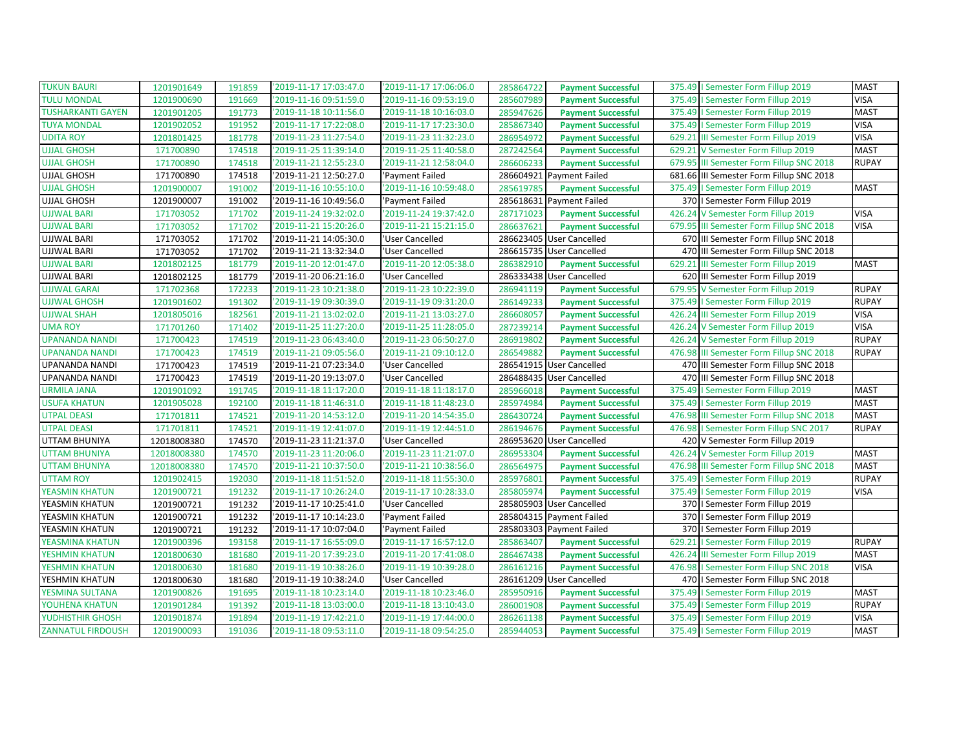| <b>TUKUN BAURI</b>                           | 1201901649  | 191859           | '2019-11-17 17:03:47.0                           | '2019-11-17 17:06:06.0                           | 285864722              | <b>Payment Successful</b> | <b>MAST</b><br>375.49   Semester Form Fillup 2019                |              |
|----------------------------------------------|-------------|------------------|--------------------------------------------------|--------------------------------------------------|------------------------|---------------------------|------------------------------------------------------------------|--------------|
| <b>TULU MONDAL</b>                           | 1201900690  | 191669           | '2019-11-16 09:51:59.0                           | '2019-11-16 09:53:19.0                           | 285607989              | <b>Payment Successful</b> | <b>VISA</b><br>375.49   Semester Form Fillup 2019                |              |
| <b>TUSHARKANTI GAYEN</b>                     | 1201901205  | 191773           | '2019-11-18 10:11:56.0                           | '2019-11-18 10:16:03.0                           | 285947626              | <b>Payment Successful</b> | 375.49   Semester Form Fillup 2019<br><b>MAST</b>                |              |
| <b>TUYA MONDAL</b>                           | 1201902052  | 191952           | '2019-11-17 17:22:08.0                           | '2019-11-17 17:23:30.0                           | 285867340              | <b>Payment Successful</b> | <b>VISA</b><br>375.49   Semester Form Fillup 2019                |              |
| <b>UDITA ROY</b>                             | 1201801425  | 181778           | '2019-11-23 11:27:54.0                           | '2019-11-23 11:32:23.0                           | 286954972              | <b>Payment Successful</b> | <b>VISA</b><br>629.21 III Semester Form Fillup 2019              |              |
| <b>UJJAL GHOSH</b>                           | 171700890   | 174518           | '2019-11-25 11:39:14.0                           | '2019-11-25 11:40:58.0                           | 287242564              | <b>Payment Successful</b> | <b>MAST</b><br>629.21<br>V Semester Form Fillup 2019             |              |
| <b>UJJAL GHOSH</b>                           | 171700890   | 174518           | '2019-11-21 12:55:23.0                           | '2019-11-21 12:58:04.0                           | 286606233              | <b>Payment Successful</b> | 679.95 III Semester Form Fillup SNC 2018                         | <b>RUPAY</b> |
| <b>UJJAL GHOSH</b>                           | 171700890   | 174518           | '2019-11-21 12:50:27.0                           | 'Payment Failed                                  | 286604921              | <b>Payment Failed</b>     | 681.66 III Semester Form Fillup SNC 2018                         |              |
| <b>UJJAL GHOSH</b>                           | 1201900007  | 191002           | '2019-11-16 10:55:10.0                           | '2019-11-16 10:59:48.0                           | 285619785              | <b>Payment Successful</b> | <b>MAST</b><br>375.49   Semester Form Fillup 2019                |              |
| <b>UJJAL GHOSH</b>                           | 1201900007  | 191002           | '2019-11-16 10:49:56.0                           | 'Payment Failed                                  |                        | 285618631 Payment Failed  | 370   Semester Form Fillup 2019                                  |              |
| <b>UJJWAL BARI</b>                           | 171703052   | 171702           | '2019-11-24 19:32:02.0                           | '2019-11-24 19:37:42.0                           | 287171023              | <b>Payment Successful</b> | 426.24 V Semester Form Fillup 2019<br><b>VISA</b>                |              |
| <b>UJJWAL BARI</b>                           | 171703052   | 171702           | '2019-11-21 15:20:26.0                           | '2019-11-21 15:21:15.0                           | 286637621              | <b>Payment Successful</b> | <b>VISA</b><br>III Semester Form Fillup SNC 2018<br>679.95       |              |
| <b>UJJWAL BARI</b>                           | 171703052   | 171702           | '2019-11-21 14:05:30.0                           | 'User Cancelled                                  |                        | 286623405 User Cancelled  | 670 III Semester Form Fillup SNC 2018                            |              |
| <b>UJJWAL BARI</b>                           | 171703052   | 171702           | '2019-11-21 13:32:34.0                           | 'User Cancelled                                  |                        | 286615735 User Cancelled  | 470 III Semester Form Fillup SNC 2018                            |              |
| <b>UJJWAL BARI</b>                           | 1201802125  | 181779           | '2019-11-20 12:01:47.0                           | '2019-11-20 12:05:38.0                           | 286382910              | <b>Payment Successful</b> | 629.21<br><b>MAST</b><br>III Semester Form Fillup 2019           |              |
| <b>UJJWAL BARI</b>                           | 1201802125  | 181779           | '2019-11-20 06:21:16.0                           | 'User Cancelled                                  |                        | 286333438 User Cancelled  | 620 III Semester Form Fillup 2019                                |              |
| <b>UJJWAL GARAI</b>                          | 171702368   | 172233           | '2019-11-23 10:21:38.0                           | '2019-11-23 10:22:39.0                           | 286941119              | <b>Payment Successful</b> | 679.95 V Semester Form Fillup 2019                               | <b>RUPAY</b> |
| <b>UJJWAL GHOSH</b>                          | 1201901602  | 191302           | '2019-11-19 09:30:39.0                           | '2019-11-19 09:31:20.0                           | 286149233              | <b>Payment Successful</b> | 375.49   Semester Form Fillup 2019                               | <b>RUPAY</b> |
| <b>UJJWAL SHAH</b>                           | 1201805016  | 182561           | '2019-11-21 13:02:02.0                           | '2019-11-21 13:03:27.0                           | 286608057              | <b>Payment Successful</b> | <b>VISA</b><br>426.24<br>III Semester Form Fillup 2019           |              |
| <b>UMA ROY</b>                               | 171701260   | 171402           | '2019-11-25 11:27:20.0                           | '2019-11-25 11:28:05.0                           | 287239214              | <b>Payment Successful</b> | <b>VISA</b><br>426.24 V Semester Form Fillup 2019                |              |
| <b>UPANANDA NANDI</b>                        | 171700423   | 174519           | '2019-11-23 06:43:40.0                           | '2019-11-23 06:50:27.0                           | 286919802              | <b>Payment Successful</b> | 426.24 V Semester Form Fillup 2019                               | <b>RUPAY</b> |
| <b>UPANANDA NANDI</b>                        | 171700423   | 174519           | '2019-11-21 09:05:56.0                           | '2019-11-21 09:10:12.0                           | 286549882              | <b>Payment Successful</b> | 476.98 III Semester Form Fillup SNC 2018                         | <b>RUPAY</b> |
| UPANANDA NANDI                               | 171700423   | 174519           | '2019-11-21 07:23:34.0                           | 'User Cancelled                                  |                        | 286541915 User Cancelled  | 470 III Semester Form Fillup SNC 2018                            |              |
| <b>UPANANDA NANDI</b>                        | 171700423   | 174519           | '2019-11-20 19:13:07.0                           | 'User Cancelled                                  |                        | 286488435 User Cancelled  | 470 III Semester Form Fillup SNC 2018                            |              |
| <b>URMILA JANA</b>                           | 1201901092  | 191745           | '2019-11-18 11:17:20.0                           | '2019-11-18 11:18:17.0                           | 285966018              | <b>Payment Successful</b> | <b>MAST</b><br>375.49   Semester Form Fillup 2019                |              |
| <b>USUFA KHATUN</b>                          | 1201905028  | 192100           | '2019-11-18 11:46:31.0                           | '2019-11-18 11:48:23.0                           | 285974984              | <b>Payment Successful</b> | 375.49   Semester Form Fillup 2019<br><b>MAST</b>                |              |
| <b>UTPAL DEASI</b>                           | 171701811   | 174521           | '2019-11-20 14:53:12.0                           | '2019-11-20 14:54:35.0                           | 286430724              | <b>Payment Successful</b> | <b>MAST</b><br>476.98 III Semester Form Fillup SNC 2018          |              |
| <b>UTPAL DEASI</b>                           | 171701811   | 174521           | '2019-11-19 12:41:07.0                           | '2019-11-19 12:44:51.0                           | 286194676              | <b>Payment Successful</b> | 476.98   Semester Form Fillup SNC 2017                           | <b>RUPAY</b> |
| UTTAM BHUNIYA                                | 12018008380 | 174570           | '2019-11-23 11:21:37.0                           | 'User Cancelled                                  |                        | 286953620 User Cancelled  | 420 V Semester Form Fillup 2019                                  |              |
| <b>UTTAM BHUNIYA</b>                         | 12018008380 | 174570           | '2019-11-23 11:20:06.0                           | '2019-11-23 11:21:07.0                           | 286953304              | <b>Payment Successful</b> | 426.24 V Semester Form Fillup 2019<br><b>MAST</b>                |              |
| <b>UTTAM BHUNIYA</b>                         | 12018008380 | 174570           | '2019-11-21 10:37:50.0                           | '2019-11-21 10:38:56.0                           | 286564975              | <b>Payment Successful</b> | <b>MAST</b><br>476.98 III Semester Form Fillup SNC 2018          |              |
| <b>UTTAM ROY</b>                             | 1201902415  | 192030           | '2019-11-18 11:51:52.0                           | '2019-11-18 11:55:30.0                           | 285976801              | <b>Payment Successful</b> | 375.49   Semester Form Fillup 2019                               | <b>RUPAY</b> |
| YEASMIN KHATUN                               | 1201900721  | 191232           | '2019-11-17 10:26:24.0                           | '2019-11-17 10:28:33.0                           | 285805974              | <b>Payment Successful</b> | 375.49   Semester Form Fillup 2019<br><b>VISA</b>                |              |
| YEASMIN KHATUN                               | 1201900721  | 191232           | '2019-11-17 10:25:41.0                           | 'User Cancelled                                  | 285805903              | <b>User Cancelled</b>     | 370   Semester Form Fillup 2019                                  |              |
| YEASMIN KHATUN                               | 1201900721  | 191232           | '2019-11-17 10:14:23.0                           | 'Payment Failed                                  |                        | 285804315 Payment Failed  | 370   Semester Form Fillup 2019                                  |              |
| YEASMIN KHATUN                               | 1201900721  | 191232           | '2019-11-17 10:07:04.0                           | 'Payment Failed                                  |                        | 285803303 Payment Failed  | 370   Semester Form Fillup 2019                                  |              |
| YEASMINA KHATUN                              |             |                  |                                                  |                                                  |                        |                           |                                                                  |              |
|                                              | 1201900396  | 193158           | '2019-11-17 16:55:09.0                           | '2019-11-17 16:57:12.0                           | 285863407              | <b>Payment Successful</b> | <b>RUPAY</b><br>629.21   Semester Form Fillup 2019               |              |
| YESHMIN KHATUN                               | 1201800630  | 181680           | '2019-11-20 17:39:23.0                           | '2019-11-20 17:41:08.0                           | 286467438              | <b>Payment Successful</b> | <b>III Semester Form Fillup 2019</b><br><b>MAST</b><br>426.24    |              |
| YESHMIN KHATUN                               | 1201800630  | 181680           | '2019-11-19 10:38:26.0                           | '2019-11-19 10:39:28.0                           | 286161216              | <b>Payment Successful</b> | 476.98   Semester Form Fillup SNC 2018<br><b>VISA</b>            |              |
| YESHMIN KHATUN                               | 1201800630  | 181680           | '2019-11-19 10:38:24.0                           | 'User Cancelled                                  |                        | 286161209 User Cancelled  | 470   I Semester Form Fillup SNC 2018                            |              |
| YESMINA SULTANA                              | 1201900826  | 191695           | '2019-11-18 10:23:14.0                           | '2019-11-18 10:23:46.0                           | 285950916              | <b>Payment Successful</b> | <b>MAST</b><br>375.49   Semester Form Fillup 2019                |              |
| YOUHENA KHATUN                               | 1201901284  | 191392           | '2019-11-18 13:03:00.0                           | '2019-11-18 13:10:43.0                           | 286001908              | <b>Payment Successful</b> | 375.49   Semester Form Fillup 2019                               | <b>RUPAY</b> |
| YUDHISTHIR GHOSH<br><b>ZANNATUL FIRDOUSH</b> | 1201901874  | 191894<br>191036 | '2019-11-19 17:42:21.0<br>'2019-11-18 09:53:11.0 | '2019-11-19 17:44:00.0<br>'2019-11-18 09:54:25.0 | 286261138<br>285944053 | <b>Payment Successful</b> | <b>VISA</b><br>375.49   Semester Form Fillup 2019<br><b>MAST</b> |              |